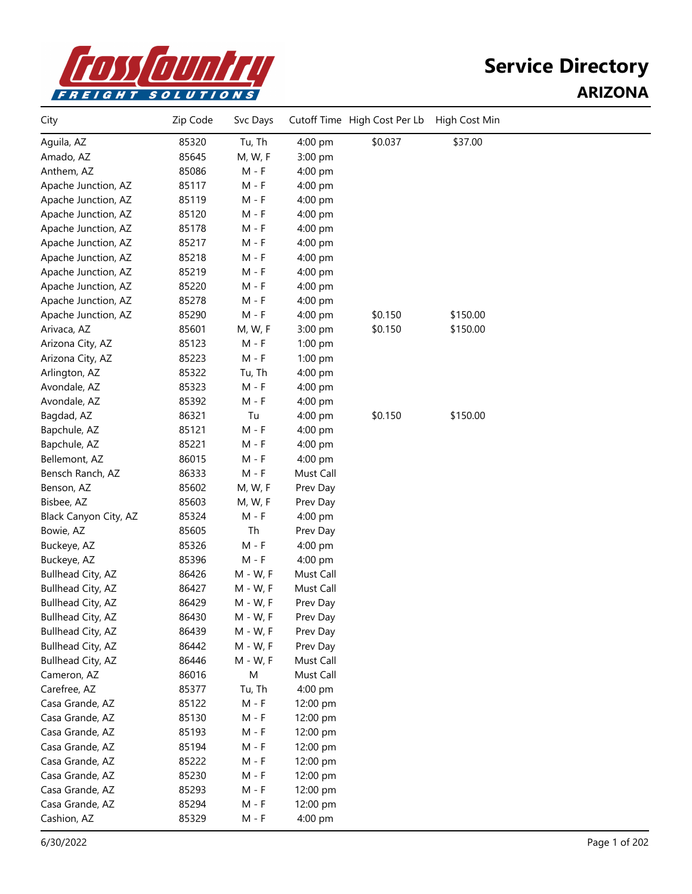

| City                     | Zip Code | Svc Days    |           | Cutoff Time High Cost Per Lb | High Cost Min |  |
|--------------------------|----------|-------------|-----------|------------------------------|---------------|--|
| Aguila, AZ               | 85320    | Tu, Th      | 4:00 pm   | \$0.037                      | \$37.00       |  |
| Amado, AZ                | 85645    | M, W, F     | 3:00 pm   |                              |               |  |
| Anthem, AZ               | 85086    | M - F       | 4:00 pm   |                              |               |  |
| Apache Junction, AZ      | 85117    | M - F       | 4:00 pm   |                              |               |  |
| Apache Junction, AZ      | 85119    | $M - F$     | 4:00 pm   |                              |               |  |
| Apache Junction, AZ      | 85120    | $M - F$     | 4:00 pm   |                              |               |  |
| Apache Junction, AZ      | 85178    | $M - F$     | 4:00 pm   |                              |               |  |
| Apache Junction, AZ      | 85217    | $M - F$     | 4:00 pm   |                              |               |  |
| Apache Junction, AZ      | 85218    | $M - F$     | 4:00 pm   |                              |               |  |
| Apache Junction, AZ      | 85219    | $M - F$     | 4:00 pm   |                              |               |  |
| Apache Junction, AZ      | 85220    | M - F       | 4:00 pm   |                              |               |  |
| Apache Junction, AZ      | 85278    | M - F       | 4:00 pm   |                              |               |  |
| Apache Junction, AZ      | 85290    | M - F       | 4:00 pm   | \$0.150                      | \$150.00      |  |
| Arivaca, AZ              | 85601    | M, W, F     | 3:00 pm   | \$0.150                      | \$150.00      |  |
| Arizona City, AZ         | 85123    | $M - F$     | $1:00$ pm |                              |               |  |
| Arizona City, AZ         | 85223    | $M - F$     | 1:00 pm   |                              |               |  |
| Arlington, AZ            | 85322    | Tu, Th      | 4:00 pm   |                              |               |  |
| Avondale, AZ             | 85323    | $M - F$     | 4:00 pm   |                              |               |  |
| Avondale, AZ             | 85392    | M - F       | 4:00 pm   |                              |               |  |
| Bagdad, AZ               | 86321    | Tu          | 4:00 pm   | \$0.150                      | \$150.00      |  |
| Bapchule, AZ             | 85121    | $M - F$     | 4:00 pm   |                              |               |  |
| Bapchule, AZ             | 85221    | $M - F$     | 4:00 pm   |                              |               |  |
| Bellemont, AZ            | 86015    | $M - F$     | 4:00 pm   |                              |               |  |
| Bensch Ranch, AZ         | 86333    | $M - F$     | Must Call |                              |               |  |
| Benson, AZ               | 85602    | M, W, F     | Prev Day  |                              |               |  |
| Bisbee, AZ               | 85603    | M, W, F     | Prev Day  |                              |               |  |
| Black Canyon City, AZ    | 85324    | M - F       | 4:00 pm   |                              |               |  |
| Bowie, AZ                | 85605    | Th          | Prev Day  |                              |               |  |
| Buckeye, AZ              | 85326    | M - F       | 4:00 pm   |                              |               |  |
| Buckeye, AZ              | 85396    | M - F       | 4:00 pm   |                              |               |  |
| Bullhead City, AZ        | 86426    | $M - W$ , F | Must Call |                              |               |  |
| Bullhead City, AZ        | 86427    | $M - W$ , F | Must Call |                              |               |  |
| Bullhead City, AZ        | 86429    | M - W, F    | Prev Day  |                              |               |  |
| Bullhead City, AZ        | 86430    | $M - W$ , F | Prev Day  |                              |               |  |
| Bullhead City, AZ        | 86439    | $M - W$ , F | Prev Day  |                              |               |  |
| <b>Bullhead City, AZ</b> | 86442    | M - W, F    | Prev Day  |                              |               |  |
| Bullhead City, AZ        | 86446    | $M - W$ , F | Must Call |                              |               |  |
| Cameron, AZ              | 86016    | M           | Must Call |                              |               |  |
| Carefree, AZ             | 85377    | Tu, Th      | 4:00 pm   |                              |               |  |
| Casa Grande, AZ          | 85122    | $M - F$     | 12:00 pm  |                              |               |  |
| Casa Grande, AZ          | 85130    | $M - F$     | 12:00 pm  |                              |               |  |
| Casa Grande, AZ          | 85193    | $M - F$     | 12:00 pm  |                              |               |  |
| Casa Grande, AZ          | 85194    | M - F       | 12:00 pm  |                              |               |  |
| Casa Grande, AZ          | 85222    | M - F       | 12:00 pm  |                              |               |  |
| Casa Grande, AZ          | 85230    | M - F       | 12:00 pm  |                              |               |  |
| Casa Grande, AZ          | 85293    | M - F       | 12:00 pm  |                              |               |  |
| Casa Grande, AZ          | 85294    | M - F       | 12:00 pm  |                              |               |  |
| Cashion, AZ              | 85329    | M - F       | 4:00 pm   |                              |               |  |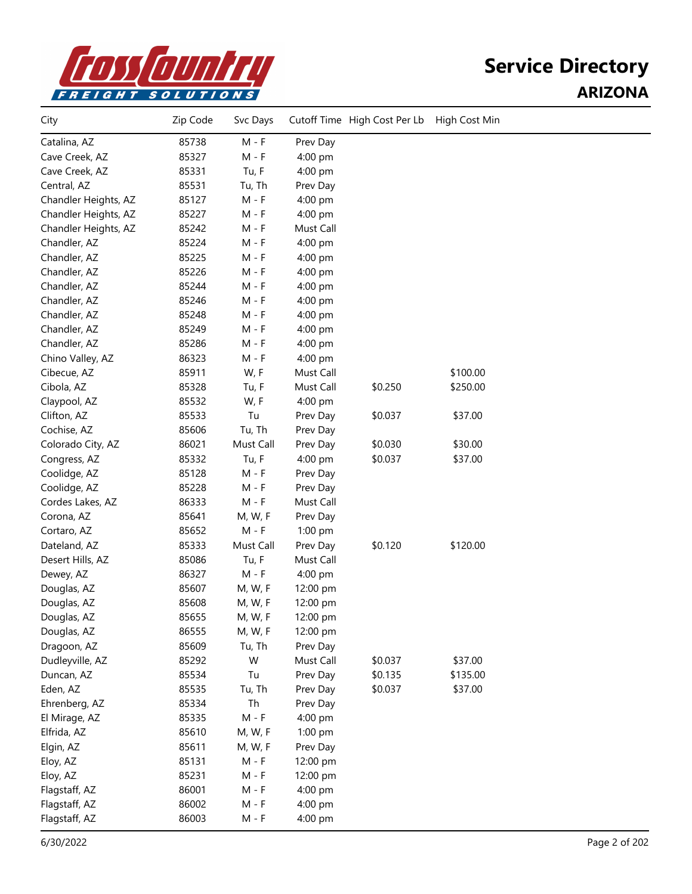

| City                 | Zip Code | Svc Days  |           | Cutoff Time High Cost Per Lb | High Cost Min |  |
|----------------------|----------|-----------|-----------|------------------------------|---------------|--|
| Catalina, AZ         | 85738    | $M - F$   | Prev Day  |                              |               |  |
| Cave Creek, AZ       | 85327    | $M - F$   | 4:00 pm   |                              |               |  |
| Cave Creek, AZ       | 85331    | Tu, F     | 4:00 pm   |                              |               |  |
| Central, AZ          | 85531    | Tu, Th    | Prev Day  |                              |               |  |
| Chandler Heights, AZ | 85127    | $M - F$   | 4:00 pm   |                              |               |  |
| Chandler Heights, AZ | 85227    | $M - F$   | 4:00 pm   |                              |               |  |
| Chandler Heights, AZ | 85242    | $M - F$   | Must Call |                              |               |  |
| Chandler, AZ         | 85224    | $M - F$   | 4:00 pm   |                              |               |  |
| Chandler, AZ         | 85225    | M - F     | 4:00 pm   |                              |               |  |
| Chandler, AZ         | 85226    | $M - F$   | 4:00 pm   |                              |               |  |
| Chandler, AZ         | 85244    | $M - F$   | 4:00 pm   |                              |               |  |
| Chandler, AZ         | 85246    | M - F     | 4:00 pm   |                              |               |  |
| Chandler, AZ         | 85248    | M - F     | 4:00 pm   |                              |               |  |
| Chandler, AZ         | 85249    | M - F     | 4:00 pm   |                              |               |  |
| Chandler, AZ         | 85286    | M - F     | 4:00 pm   |                              |               |  |
| Chino Valley, AZ     | 86323    | M - F     | 4:00 pm   |                              |               |  |
| Cibecue, AZ          | 85911    | W, F      | Must Call |                              | \$100.00      |  |
| Cibola, AZ           | 85328    | Tu, F     | Must Call | \$0.250                      | \$250.00      |  |
| Claypool, AZ         | 85532    | W, F      | 4:00 pm   |                              |               |  |
| Clifton, AZ          | 85533    | Tu        | Prev Day  | \$0.037                      | \$37.00       |  |
| Cochise, AZ          | 85606    | Tu, Th    | Prev Day  |                              |               |  |
| Colorado City, AZ    | 86021    | Must Call | Prev Day  | \$0.030                      | \$30.00       |  |
| Congress, AZ         | 85332    | Tu, F     | 4:00 pm   | \$0.037                      | \$37.00       |  |
| Coolidge, AZ         | 85128    | $M - F$   | Prev Day  |                              |               |  |
| Coolidge, AZ         | 85228    | $M - F$   | Prev Day  |                              |               |  |
| Cordes Lakes, AZ     | 86333    | $M - F$   | Must Call |                              |               |  |
| Corona, AZ           | 85641    | M, W, F   | Prev Day  |                              |               |  |
| Cortaro, AZ          | 85652    | M - F     | 1:00 pm   |                              |               |  |
| Dateland, AZ         | 85333    | Must Call | Prev Day  | \$0.120                      | \$120.00      |  |
| Desert Hills, AZ     | 85086    | Tu, F     | Must Call |                              |               |  |
| Dewey, AZ            | 86327    | $M - F$   | 4:00 pm   |                              |               |  |
| Douglas, AZ          | 85607    | M, W, F   | 12:00 pm  |                              |               |  |
| Douglas, AZ          | 85608    | M, W, F   | 12:00 pm  |                              |               |  |
| Douglas, AZ          | 85655    | M, W, F   | 12:00 pm  |                              |               |  |
| Douglas, AZ          | 86555    | M, W, F   | 12:00 pm  |                              |               |  |
| Dragoon, AZ          | 85609    | Tu, Th    | Prev Day  |                              |               |  |
| Dudleyville, AZ      | 85292    | W         | Must Call | \$0.037                      | \$37.00       |  |
| Duncan, AZ           | 85534    | Tu        | Prev Day  | \$0.135                      | \$135.00      |  |
| Eden, AZ             | 85535    | Tu, Th    | Prev Day  | \$0.037                      | \$37.00       |  |
| Ehrenberg, AZ        | 85334    | Th        | Prev Day  |                              |               |  |
| El Mirage, AZ        | 85335    | $M - F$   | 4:00 pm   |                              |               |  |
| Elfrida, AZ          | 85610    | M, W, F   | 1:00 pm   |                              |               |  |
| Elgin, AZ            | 85611    | M, W, F   | Prev Day  |                              |               |  |
| Eloy, AZ             | 85131    | $M - F$   | 12:00 pm  |                              |               |  |
| Eloy, AZ             | 85231    | M - F     | 12:00 pm  |                              |               |  |
| Flagstaff, AZ        | 86001    | $M - F$   | 4:00 pm   |                              |               |  |
| Flagstaff, AZ        | 86002    | $M - F$   | 4:00 pm   |                              |               |  |
| Flagstaff, AZ        | 86003    | $M - F$   | 4:00 pm   |                              |               |  |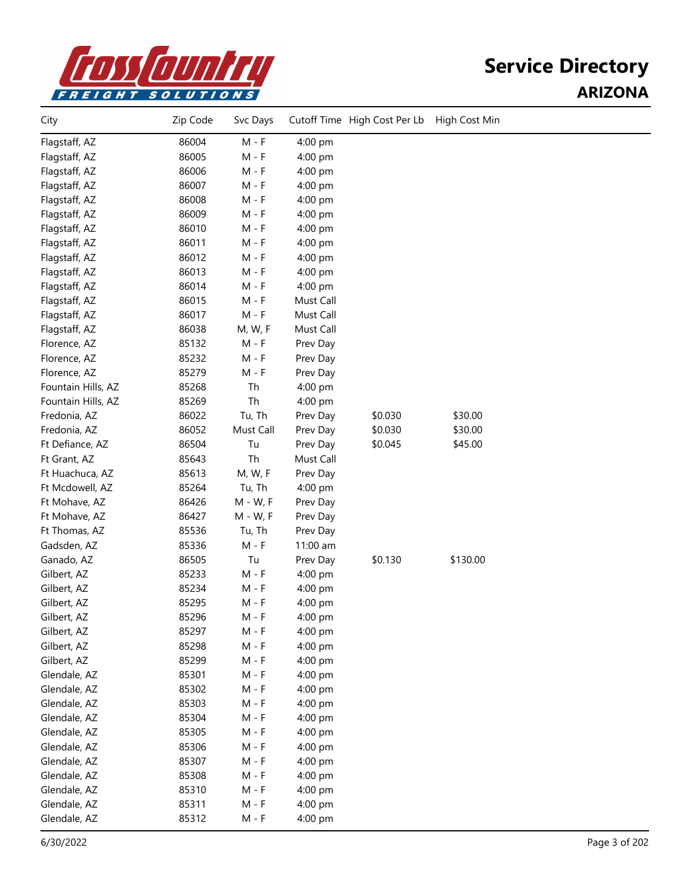

| City               | Zip Code | Svc Days  |           | Cutoff Time High Cost Per Lb | High Cost Min |  |
|--------------------|----------|-----------|-----------|------------------------------|---------------|--|
| Flagstaff, AZ      | 86004    | $M - F$   | 4:00 pm   |                              |               |  |
| Flagstaff, AZ      | 86005    | $M - F$   | 4:00 pm   |                              |               |  |
| Flagstaff, AZ      | 86006    | $M - F$   | 4:00 pm   |                              |               |  |
| Flagstaff, AZ      | 86007    | M - F     | 4:00 pm   |                              |               |  |
| Flagstaff, AZ      | 86008    | $M - F$   | 4:00 pm   |                              |               |  |
| Flagstaff, AZ      | 86009    | $M - F$   | 4:00 pm   |                              |               |  |
| Flagstaff, AZ      | 86010    | $M - F$   | 4:00 pm   |                              |               |  |
| Flagstaff, AZ      | 86011    | $M - F$   | 4:00 pm   |                              |               |  |
| Flagstaff, AZ      | 86012    | $M - F$   | 4:00 pm   |                              |               |  |
| Flagstaff, AZ      | 86013    | $M - F$   | 4:00 pm   |                              |               |  |
| Flagstaff, AZ      | 86014    | M - F     | 4:00 pm   |                              |               |  |
| Flagstaff, AZ      | 86015    | M - F     | Must Call |                              |               |  |
| Flagstaff, AZ      | 86017    | $M - F$   | Must Call |                              |               |  |
| Flagstaff, AZ      | 86038    | M, W, F   | Must Call |                              |               |  |
| Florence, AZ       | 85132    | $M - F$   | Prev Day  |                              |               |  |
| Florence, AZ       | 85232    | $M - F$   | Prev Day  |                              |               |  |
| Florence, AZ       | 85279    | $M - F$   | Prev Day  |                              |               |  |
| Fountain Hills, AZ | 85268    | Th        | 4:00 pm   |                              |               |  |
| Fountain Hills, AZ | 85269    | Th        | 4:00 pm   |                              |               |  |
| Fredonia, AZ       | 86022    | Tu, Th    | Prev Day  | \$0.030                      | \$30.00       |  |
| Fredonia, AZ       | 86052    | Must Call | Prev Day  | \$0.030                      | \$30.00       |  |
| Ft Defiance, AZ    | 86504    | Tu        | Prev Day  | \$0.045                      | \$45.00       |  |
| Ft Grant, AZ       | 85643    | Th        | Must Call |                              |               |  |
| Ft Huachuca, AZ    | 85613    | M, W, F   | Prev Day  |                              |               |  |
| Ft Mcdowell, AZ    | 85264    | Tu, Th    | 4:00 pm   |                              |               |  |
| Ft Mohave, AZ      | 86426    | M - W, F  | Prev Day  |                              |               |  |
| Ft Mohave, AZ      | 86427    | M - W, F  | Prev Day  |                              |               |  |
| Ft Thomas, AZ      | 85536    | Tu, Th    | Prev Day  |                              |               |  |
| Gadsden, AZ        | 85336    | $M - F$   | 11:00 am  |                              |               |  |
| Ganado, AZ         | 86505    | Tu        | Prev Day  | \$0.130                      | \$130.00      |  |
| Gilbert, AZ        | 85233    | $M - F$   | 4:00 pm   |                              |               |  |
| Gilbert, AZ        | 85234    | $M - F$   | 4:00 pm   |                              |               |  |
| Gilbert, AZ        | 85295    | $M - F$   | 4:00 pm   |                              |               |  |
| Gilbert, AZ        | 85296    | M - F     | 4:00 pm   |                              |               |  |
| Gilbert, AZ        | 85297    | $M - F$   | 4:00 pm   |                              |               |  |
| Gilbert, AZ        | 85298    | $M - F$   | 4:00 pm   |                              |               |  |
| Gilbert, AZ        | 85299    | M - F     | 4:00 pm   |                              |               |  |
| Glendale, AZ       | 85301    | M - F     | 4:00 pm   |                              |               |  |
| Glendale, AZ       | 85302    | M - F     | 4:00 pm   |                              |               |  |
| Glendale, AZ       | 85303    | M - F     | 4:00 pm   |                              |               |  |
| Glendale, AZ       | 85304    | $M - F$   | 4:00 pm   |                              |               |  |
| Glendale, AZ       | 85305    | $M - F$   | 4:00 pm   |                              |               |  |
| Glendale, AZ       | 85306    | $M - F$   | 4:00 pm   |                              |               |  |
| Glendale, AZ       | 85307    | M - F     | 4:00 pm   |                              |               |  |
| Glendale, AZ       | 85308    | $M - F$   | 4:00 pm   |                              |               |  |
| Glendale, AZ       | 85310    | $M - F$   | 4:00 pm   |                              |               |  |
| Glendale, AZ       | 85311    | $M - F$   | 4:00 pm   |                              |               |  |
| Glendale, AZ       | 85312    | M - F     | 4:00 pm   |                              |               |  |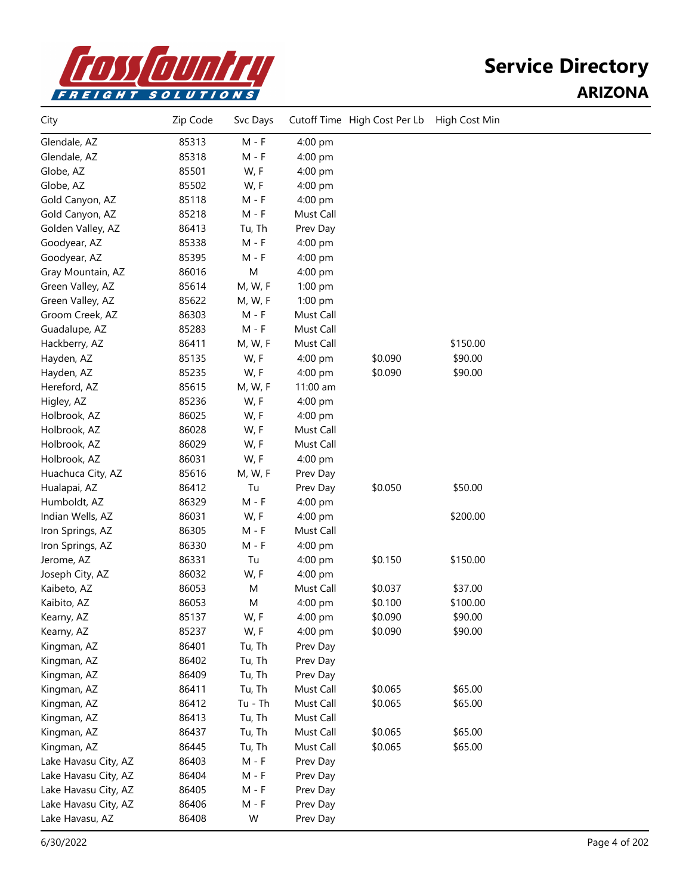

| City                 | Zip Code | Svc Days  |           | Cutoff Time High Cost Per Lb | High Cost Min |  |
|----------------------|----------|-----------|-----------|------------------------------|---------------|--|
| Glendale, AZ         | 85313    | $M - F$   | 4:00 pm   |                              |               |  |
| Glendale, AZ         | 85318    | $M - F$   | 4:00 pm   |                              |               |  |
| Globe, AZ            | 85501    | W, F      | 4:00 pm   |                              |               |  |
| Globe, AZ            | 85502    | W, F      | 4:00 pm   |                              |               |  |
| Gold Canyon, AZ      | 85118    | M - F     | 4:00 pm   |                              |               |  |
| Gold Canyon, AZ      | 85218    | $M - F$   | Must Call |                              |               |  |
| Golden Valley, AZ    | 86413    | Tu, Th    | Prev Day  |                              |               |  |
| Goodyear, AZ         | 85338    | $M - F$   | 4:00 pm   |                              |               |  |
| Goodyear, AZ         | 85395    | $M - F$   | 4:00 pm   |                              |               |  |
| Gray Mountain, AZ    | 86016    | M         | 4:00 pm   |                              |               |  |
| Green Valley, AZ     | 85614    | M, W, F   | 1:00 pm   |                              |               |  |
| Green Valley, AZ     | 85622    | M, W, F   | 1:00 pm   |                              |               |  |
| Groom Creek, AZ      | 86303    | M - F     | Must Call |                              |               |  |
| Guadalupe, AZ        | 85283    | $M - F$   | Must Call |                              |               |  |
| Hackberry, AZ        | 86411    | M, W, F   | Must Call |                              | \$150.00      |  |
| Hayden, AZ           | 85135    | W, F      | 4:00 pm   | \$0.090                      | \$90.00       |  |
| Hayden, AZ           | 85235    | W, F      | 4:00 pm   | \$0.090                      | \$90.00       |  |
| Hereford, AZ         | 85615    | M, W, F   | 11:00 am  |                              |               |  |
| Higley, AZ           | 85236    | W, F      | 4:00 pm   |                              |               |  |
| Holbrook, AZ         | 86025    | W, F      | 4:00 pm   |                              |               |  |
| Holbrook, AZ         | 86028    | W, F      | Must Call |                              |               |  |
| Holbrook, AZ         | 86029    | W, F      | Must Call |                              |               |  |
| Holbrook, AZ         | 86031    | W, F      | 4:00 pm   |                              |               |  |
| Huachuca City, AZ    | 85616    | M, W, F   | Prev Day  |                              |               |  |
| Hualapai, AZ         | 86412    | Tu        | Prev Day  | \$0.050                      | \$50.00       |  |
| Humboldt, AZ         | 86329    | $M - F$   | 4:00 pm   |                              |               |  |
| Indian Wells, AZ     | 86031    | W, F      | 4:00 pm   |                              | \$200.00      |  |
| Iron Springs, AZ     | 86305    | M - F     | Must Call |                              |               |  |
| Iron Springs, AZ     | 86330    | $M - F$   | 4:00 pm   |                              |               |  |
| Jerome, AZ           | 86331    | Tu        | 4:00 pm   | \$0.150                      | \$150.00      |  |
| Joseph City, AZ      | 86032    | W, F      | 4:00 pm   |                              |               |  |
| Kaibeto, AZ          | 86053    | M         | Must Call | \$0.037                      | \$37.00       |  |
| Kaibito, AZ          | 86053    | M         | 4:00 pm   | \$0.100                      | \$100.00      |  |
| Kearny, AZ           | 85137    | W, F      | 4:00 pm   | \$0.090                      | \$90.00       |  |
| Kearny, AZ           | 85237    | W, F      | 4:00 pm   | \$0.090                      | \$90.00       |  |
| Kingman, AZ          | 86401    | Tu, Th    | Prev Day  |                              |               |  |
| Kingman, AZ          | 86402    | Tu, Th    | Prev Day  |                              |               |  |
| Kingman, AZ          | 86409    | Tu, Th    | Prev Day  |                              |               |  |
| Kingman, AZ          | 86411    | Tu, Th    | Must Call | \$0.065                      | \$65.00       |  |
| Kingman, AZ          | 86412    | $Tu - Th$ | Must Call | \$0.065                      | \$65.00       |  |
| Kingman, AZ          | 86413    | Tu, Th    | Must Call |                              |               |  |
| Kingman, AZ          | 86437    | Tu, Th    | Must Call | \$0.065                      | \$65.00       |  |
| Kingman, AZ          | 86445    | Tu, Th    | Must Call | \$0.065                      | \$65.00       |  |
| Lake Havasu City, AZ | 86403    | $M - F$   | Prev Day  |                              |               |  |
| Lake Havasu City, AZ | 86404    | $M - F$   | Prev Day  |                              |               |  |
| Lake Havasu City, AZ | 86405    | $M - F$   | Prev Day  |                              |               |  |
| Lake Havasu City, AZ | 86406    | $M - F$   | Prev Day  |                              |               |  |
| Lake Havasu, AZ      | 86408    | W         | Prev Day  |                              |               |  |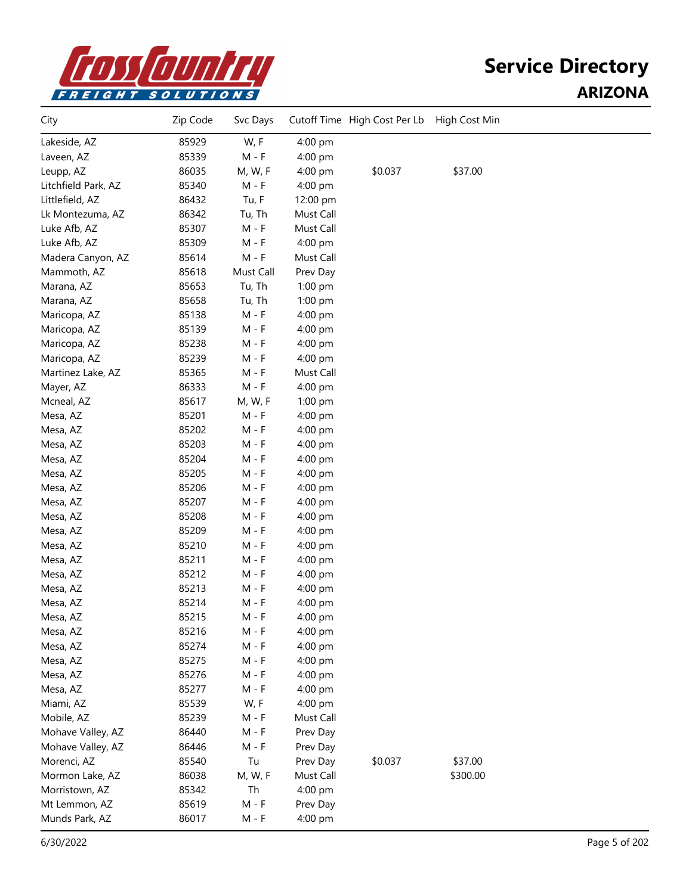

| City                | Zip Code | Svc Days  |           | Cutoff Time High Cost Per Lb | High Cost Min |  |
|---------------------|----------|-----------|-----------|------------------------------|---------------|--|
| Lakeside, AZ        | 85929    | W, F      | 4:00 pm   |                              |               |  |
| Laveen, AZ          | 85339    | M - F     | 4:00 pm   |                              |               |  |
| Leupp, AZ           | 86035    | M, W, F   | 4:00 pm   | \$0.037                      | \$37.00       |  |
| Litchfield Park, AZ | 85340    | $M - F$   | 4:00 pm   |                              |               |  |
| Littlefield, AZ     | 86432    | Tu, F     | 12:00 pm  |                              |               |  |
| Lk Montezuma, AZ    | 86342    | Tu, Th    | Must Call |                              |               |  |
| Luke Afb, AZ        | 85307    | $M - F$   | Must Call |                              |               |  |
| Luke Afb, AZ        | 85309    | $M - F$   | 4:00 pm   |                              |               |  |
| Madera Canyon, AZ   | 85614    | $M - F$   | Must Call |                              |               |  |
| Mammoth, AZ         | 85618    | Must Call | Prev Day  |                              |               |  |
| Marana, AZ          | 85653    | Tu, Th    | 1:00 pm   |                              |               |  |
| Marana, AZ          | 85658    | Tu, Th    | 1:00 pm   |                              |               |  |
| Maricopa, AZ        | 85138    | $M - F$   | 4:00 pm   |                              |               |  |
| Maricopa, AZ        | 85139    | $M - F$   | 4:00 pm   |                              |               |  |
| Maricopa, AZ        | 85238    | $M - F$   | 4:00 pm   |                              |               |  |
| Maricopa, AZ        | 85239    | $M - F$   | 4:00 pm   |                              |               |  |
| Martinez Lake, AZ   | 85365    | M - F     | Must Call |                              |               |  |
| Mayer, AZ           | 86333    | M - F     | 4:00 pm   |                              |               |  |
| Mcneal, AZ          | 85617    | M, W, F   | 1:00 pm   |                              |               |  |
| Mesa, AZ            | 85201    | $M - F$   | 4:00 pm   |                              |               |  |
| Mesa, AZ            | 85202    | $M - F$   | 4:00 pm   |                              |               |  |
| Mesa, AZ            | 85203    | $M - F$   | 4:00 pm   |                              |               |  |
| Mesa, AZ            | 85204    | $M - F$   | 4:00 pm   |                              |               |  |
| Mesa, AZ            | 85205    | M - F     | 4:00 pm   |                              |               |  |
| Mesa, AZ            | 85206    | M - F     | 4:00 pm   |                              |               |  |
| Mesa, AZ            | 85207    | M - F     | 4:00 pm   |                              |               |  |
| Mesa, AZ            | 85208    | M - F     | 4:00 pm   |                              |               |  |
| Mesa, AZ            | 85209    | M - F     | 4:00 pm   |                              |               |  |
| Mesa, AZ            | 85210    | $M - F$   | 4:00 pm   |                              |               |  |
| Mesa, AZ            | 85211    | M - F     | 4:00 pm   |                              |               |  |
| Mesa, AZ            | 85212    | $M - F$   | 4:00 pm   |                              |               |  |
| Mesa, AZ            | 85213    | M - F     | 4:00 pm   |                              |               |  |
| Mesa, AZ            | 85214    | M - F     | 4:00 pm   |                              |               |  |
| Mesa, AZ            | 85215    | M - F     | 4:00 pm   |                              |               |  |
| Mesa, AZ            | 85216    | M - F     | 4:00 pm   |                              |               |  |
| Mesa, AZ            | 85274    | $M - F$   | 4:00 pm   |                              |               |  |
| Mesa, AZ            | 85275    | M - F     | 4:00 pm   |                              |               |  |
| Mesa, AZ            | 85276    | M - F     | 4:00 pm   |                              |               |  |
| Mesa, AZ            | 85277    | M - F     | 4:00 pm   |                              |               |  |
| Miami, AZ           | 85539    | W, F      | 4:00 pm   |                              |               |  |
| Mobile, AZ          | 85239    | M - F     | Must Call |                              |               |  |
| Mohave Valley, AZ   | 86440    | M - F     | Prev Day  |                              |               |  |
| Mohave Valley, AZ   | 86446    | M - F     | Prev Day  |                              |               |  |
| Morenci, AZ         | 85540    | Tu        | Prev Day  | \$0.037                      | \$37.00       |  |
| Mormon Lake, AZ     | 86038    | M, W, F   | Must Call |                              | \$300.00      |  |
| Morristown, AZ      | 85342    | Th        | 4:00 pm   |                              |               |  |
| Mt Lemmon, AZ       | 85619    | $M - F$   | Prev Day  |                              |               |  |
| Munds Park, AZ      | 86017    | M - F     | 4:00 pm   |                              |               |  |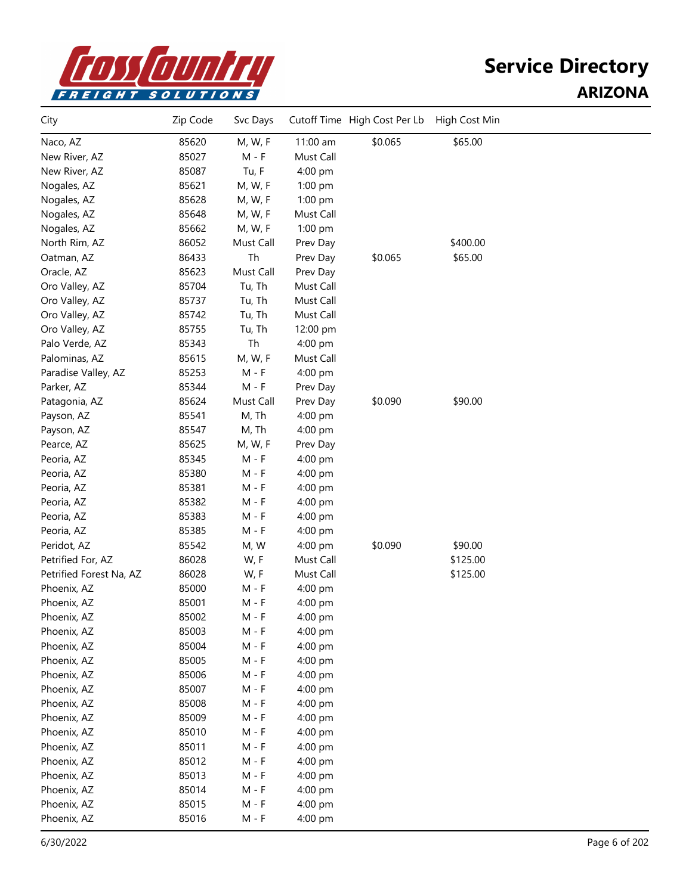

| City                    | Zip Code | Svc Days  |           | Cutoff Time High Cost Per Lb | High Cost Min |  |
|-------------------------|----------|-----------|-----------|------------------------------|---------------|--|
| Naco, AZ                | 85620    | M, W, F   | 11:00 am  | \$0.065                      | \$65.00       |  |
| New River, AZ           | 85027    | M - F     | Must Call |                              |               |  |
| New River, AZ           | 85087    | Tu, F     | 4:00 pm   |                              |               |  |
| Nogales, AZ             | 85621    | M, W, F   | 1:00 pm   |                              |               |  |
| Nogales, AZ             | 85628    | M, W, F   | 1:00 pm   |                              |               |  |
| Nogales, AZ             | 85648    | M, W, F   | Must Call |                              |               |  |
| Nogales, AZ             | 85662    | M, W, F   | 1:00 pm   |                              |               |  |
| North Rim, AZ           | 86052    | Must Call | Prev Day  |                              | \$400.00      |  |
| Oatman, AZ              | 86433    | Th        | Prev Day  | \$0.065                      | \$65.00       |  |
| Oracle, AZ              | 85623    | Must Call | Prev Day  |                              |               |  |
| Oro Valley, AZ          | 85704    | Tu, Th    | Must Call |                              |               |  |
| Oro Valley, AZ          | 85737    | Tu, Th    | Must Call |                              |               |  |
| Oro Valley, AZ          | 85742    | Tu, Th    | Must Call |                              |               |  |
| Oro Valley, AZ          | 85755    | Tu, Th    | 12:00 pm  |                              |               |  |
| Palo Verde, AZ          | 85343    | Th        | 4:00 pm   |                              |               |  |
| Palominas, AZ           | 85615    | M, W, F   | Must Call |                              |               |  |
| Paradise Valley, AZ     | 85253    | $M - F$   | 4:00 pm   |                              |               |  |
| Parker, AZ              | 85344    | M - F     | Prev Day  |                              |               |  |
| Patagonia, AZ           | 85624    | Must Call | Prev Day  | \$0.090                      | \$90.00       |  |
| Payson, AZ              | 85541    | M, Th     | 4:00 pm   |                              |               |  |
| Payson, AZ              | 85547    | M, Th     | 4:00 pm   |                              |               |  |
| Pearce, AZ              | 85625    | M, W, F   | Prev Day  |                              |               |  |
| Peoria, AZ              | 85345    | $M - F$   | 4:00 pm   |                              |               |  |
| Peoria, AZ              | 85380    | $M - F$   | 4:00 pm   |                              |               |  |
| Peoria, AZ              | 85381    | $M - F$   | 4:00 pm   |                              |               |  |
| Peoria, AZ              | 85382    | M - F     | 4:00 pm   |                              |               |  |
| Peoria, AZ              | 85383    | $M - F$   | 4:00 pm   |                              |               |  |
| Peoria, AZ              | 85385    | $M - F$   | 4:00 pm   |                              |               |  |
| Peridot, AZ             | 85542    | M, W      | 4:00 pm   | \$0.090                      | \$90.00       |  |
| Petrified For, AZ       | 86028    | W, F      | Must Call |                              | \$125.00      |  |
| Petrified Forest Na, AZ | 86028    | W, F      | Must Call |                              | \$125.00      |  |
| Phoenix, AZ             | 85000    | $M - F$   | 4:00 pm   |                              |               |  |
| Phoenix, AZ             | 85001    | $M - F$   | 4:00 pm   |                              |               |  |
| Phoenix, AZ             | 85002    | M - F     | 4:00 pm   |                              |               |  |
| Phoenix, AZ             | 85003    | $M - F$   | 4:00 pm   |                              |               |  |
| Phoenix, AZ             | 85004    | $M - F$   | 4:00 pm   |                              |               |  |
| Phoenix, AZ             | 85005    | $M - F$   | 4:00 pm   |                              |               |  |
| Phoenix, AZ             | 85006    | $M - F$   | 4:00 pm   |                              |               |  |
| Phoenix, AZ             | 85007    | $M - F$   | 4:00 pm   |                              |               |  |
| Phoenix, AZ             | 85008    | $M - F$   | 4:00 pm   |                              |               |  |
| Phoenix, AZ             | 85009    | $M - F$   | 4:00 pm   |                              |               |  |
| Phoenix, AZ             | 85010    | $M - F$   | 4:00 pm   |                              |               |  |
| Phoenix, AZ             | 85011    | $M - F$   | 4:00 pm   |                              |               |  |
| Phoenix, AZ             | 85012    | $M - F$   | 4:00 pm   |                              |               |  |
| Phoenix, AZ             | 85013    | $M - F$   | 4:00 pm   |                              |               |  |
| Phoenix, AZ             | 85014    | $M - F$   | 4:00 pm   |                              |               |  |
| Phoenix, AZ             | 85015    | $M - F$   | 4:00 pm   |                              |               |  |
| Phoenix, AZ             | 85016    | $M - F$   | 4:00 pm   |                              |               |  |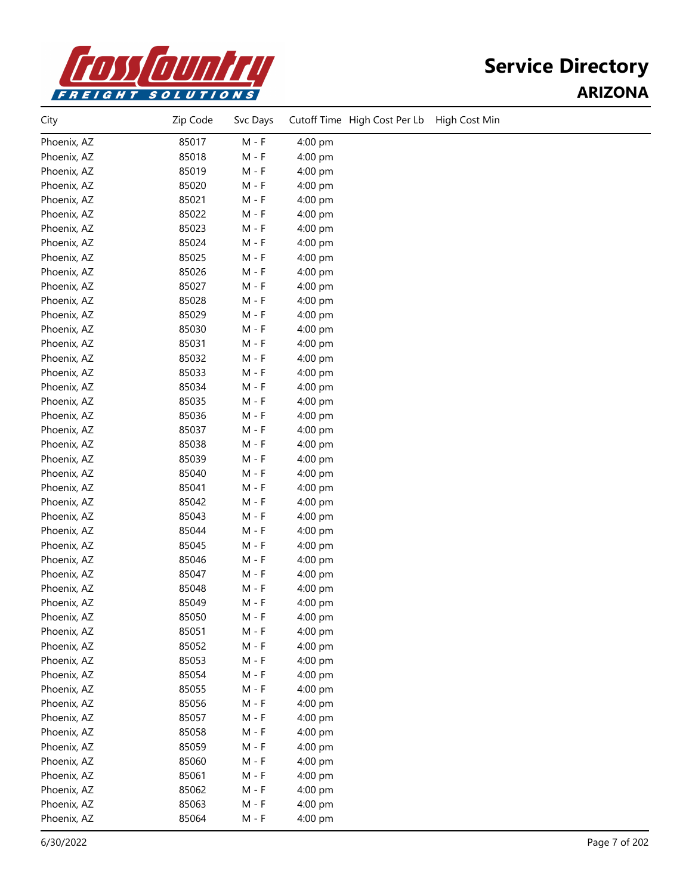

| City        | Zip Code | Svc Days |         | Cutoff Time High Cost Per Lb | High Cost Min |
|-------------|----------|----------|---------|------------------------------|---------------|
| Phoenix, AZ | 85017    | $M - F$  | 4:00 pm |                              |               |
| Phoenix, AZ | 85018    | $M - F$  | 4:00 pm |                              |               |
| Phoenix, AZ | 85019    | $M - F$  | 4:00 pm |                              |               |
| Phoenix, AZ | 85020    | $M - F$  | 4:00 pm |                              |               |
| Phoenix, AZ | 85021    | $M - F$  | 4:00 pm |                              |               |
| Phoenix, AZ | 85022    | $M - F$  | 4:00 pm |                              |               |
| Phoenix, AZ | 85023    | M - F    | 4:00 pm |                              |               |
| Phoenix, AZ | 85024    | M - F    | 4:00 pm |                              |               |
| Phoenix, AZ | 85025    | $M - F$  | 4:00 pm |                              |               |
| Phoenix, AZ | 85026    | $M - F$  | 4:00 pm |                              |               |
| Phoenix, AZ | 85027    | $M - F$  | 4:00 pm |                              |               |
| Phoenix, AZ | 85028    | $M - F$  | 4:00 pm |                              |               |
| Phoenix, AZ | 85029    | $M - F$  | 4:00 pm |                              |               |
| Phoenix, AZ | 85030    | $M - F$  | 4:00 pm |                              |               |
| Phoenix, AZ | 85031    | $M - F$  | 4:00 pm |                              |               |
| Phoenix, AZ | 85032    | $M - F$  | 4:00 pm |                              |               |
| Phoenix, AZ | 85033    | $M - F$  | 4:00 pm |                              |               |
| Phoenix, AZ | 85034    | $M - F$  | 4:00 pm |                              |               |
| Phoenix, AZ | 85035    | M - F    | 4:00 pm |                              |               |
| Phoenix, AZ | 85036    | M - F    | 4:00 pm |                              |               |
| Phoenix, AZ | 85037    | $M - F$  | 4:00 pm |                              |               |
| Phoenix, AZ | 85038    | $M - F$  | 4:00 pm |                              |               |
| Phoenix, AZ | 85039    | M - F    | 4:00 pm |                              |               |
| Phoenix, AZ | 85040    | M - F    | 4:00 pm |                              |               |
| Phoenix, AZ | 85041    | $M - F$  | 4:00 pm |                              |               |
| Phoenix, AZ | 85042    | $M - F$  | 4:00 pm |                              |               |
| Phoenix, AZ | 85043    | $M - F$  | 4:00 pm |                              |               |
| Phoenix, AZ | 85044    | $M - F$  | 4:00 pm |                              |               |
| Phoenix, AZ | 85045    | $M - F$  | 4:00 pm |                              |               |
| Phoenix, AZ | 85046    | $M - F$  | 4:00 pm |                              |               |
| Phoenix, AZ | 85047    | M - F    | 4:00 pm |                              |               |
| Phoenix, AZ | 85048    | M - F    | 4:00 pm |                              |               |
| Phoenix, AZ | 85049    | $M - F$  | 4:00 pm |                              |               |
| Phoenix, AZ | 85050    | $M - F$  | 4:00 pm |                              |               |
| Phoenix, AZ | 85051    | M - F    | 4:00 pm |                              |               |
| Phoenix, AZ | 85052    | $M - F$  | 4:00 pm |                              |               |
| Phoenix, AZ | 85053    | $M - F$  | 4:00 pm |                              |               |
| Phoenix, AZ | 85054    | $M - F$  | 4:00 pm |                              |               |
| Phoenix, AZ | 85055    | $M - F$  | 4:00 pm |                              |               |
| Phoenix, AZ | 85056    | $M - F$  | 4:00 pm |                              |               |
| Phoenix, AZ | 85057    | $M - F$  | 4:00 pm |                              |               |
| Phoenix, AZ | 85058    | $M - F$  | 4:00 pm |                              |               |
| Phoenix, AZ | 85059    | $M - F$  | 4:00 pm |                              |               |
| Phoenix, AZ | 85060    | $M - F$  | 4:00 pm |                              |               |
| Phoenix, AZ | 85061    | $M - F$  | 4:00 pm |                              |               |
| Phoenix, AZ | 85062    | $M - F$  | 4:00 pm |                              |               |
| Phoenix, AZ | 85063    | $M - F$  | 4:00 pm |                              |               |
| Phoenix, AZ | 85064    | $M - F$  | 4:00 pm |                              |               |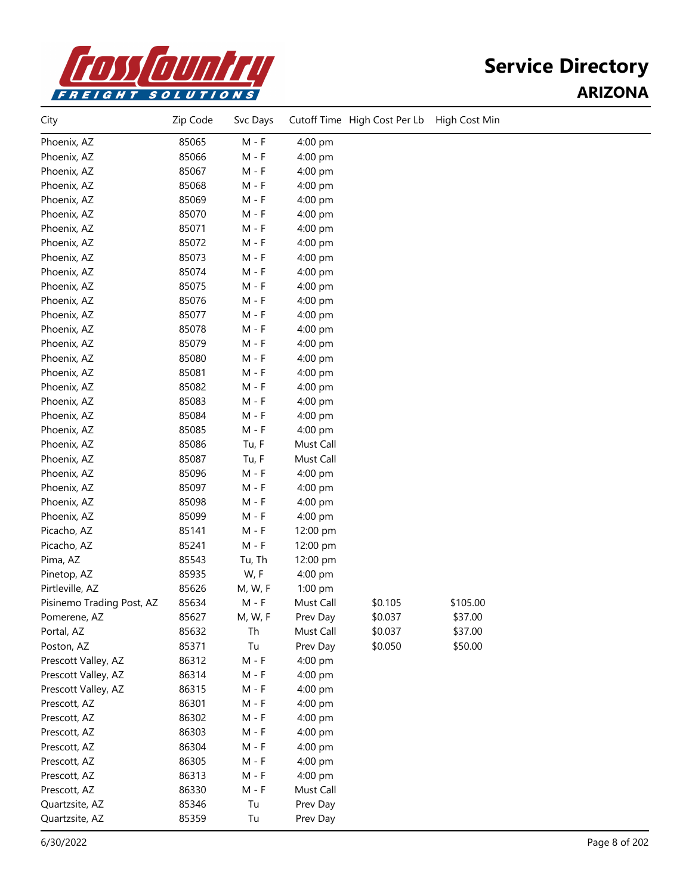

| City                      | Zip Code | Svc Days |           | Cutoff Time High Cost Per Lb | High Cost Min |  |
|---------------------------|----------|----------|-----------|------------------------------|---------------|--|
| Phoenix, AZ               | 85065    | $M - F$  | 4:00 pm   |                              |               |  |
| Phoenix, AZ               | 85066    | $M - F$  | 4:00 pm   |                              |               |  |
| Phoenix, AZ               | 85067    | $M - F$  | 4:00 pm   |                              |               |  |
| Phoenix, AZ               | 85068    | $M - F$  | 4:00 pm   |                              |               |  |
| Phoenix, AZ               | 85069    | $M - F$  | 4:00 pm   |                              |               |  |
| Phoenix, AZ               | 85070    | $M - F$  | 4:00 pm   |                              |               |  |
| Phoenix, AZ               | 85071    | $M - F$  | 4:00 pm   |                              |               |  |
| Phoenix, AZ               | 85072    | $M - F$  | 4:00 pm   |                              |               |  |
| Phoenix, AZ               | 85073    | $M - F$  | 4:00 pm   |                              |               |  |
| Phoenix, AZ               | 85074    | $M - F$  | 4:00 pm   |                              |               |  |
| Phoenix, AZ               | 85075    | M - F    | 4:00 pm   |                              |               |  |
| Phoenix, AZ               | 85076    | $M - F$  | 4:00 pm   |                              |               |  |
| Phoenix, AZ               | 85077    | $M - F$  | 4:00 pm   |                              |               |  |
| Phoenix, AZ               | 85078    | $M - F$  | 4:00 pm   |                              |               |  |
| Phoenix, AZ               | 85079    | $M - F$  | 4:00 pm   |                              |               |  |
| Phoenix, AZ               | 85080    | $M - F$  | 4:00 pm   |                              |               |  |
| Phoenix, AZ               | 85081    | $M - F$  | 4:00 pm   |                              |               |  |
| Phoenix, AZ               | 85082    | $M - F$  | 4:00 pm   |                              |               |  |
| Phoenix, AZ               | 85083    | $M - F$  | 4:00 pm   |                              |               |  |
| Phoenix, AZ               | 85084    | $M - F$  | 4:00 pm   |                              |               |  |
| Phoenix, AZ               | 85085    | $M - F$  | 4:00 pm   |                              |               |  |
| Phoenix, AZ               | 85086    | Tu, F    | Must Call |                              |               |  |
| Phoenix, AZ               | 85087    | Tu, F    | Must Call |                              |               |  |
| Phoenix, AZ               | 85096    | $M - F$  | 4:00 pm   |                              |               |  |
| Phoenix, AZ               | 85097    | $M - F$  | 4:00 pm   |                              |               |  |
| Phoenix, AZ               | 85098    | $M - F$  | 4:00 pm   |                              |               |  |
| Phoenix, AZ               | 85099    | $M - F$  | 4:00 pm   |                              |               |  |
| Picacho, AZ               | 85141    | $M - F$  | 12:00 pm  |                              |               |  |
| Picacho, AZ               | 85241    | $M - F$  | 12:00 pm  |                              |               |  |
| Pima, AZ                  | 85543    | Tu, Th   | 12:00 pm  |                              |               |  |
| Pinetop, AZ               | 85935    | W, F     | 4:00 pm   |                              |               |  |
| Pirtleville, AZ           | 85626    | M, W, F  | 1:00 pm   |                              |               |  |
| Pisinemo Trading Post, AZ | 85634    | $M - F$  | Must Call | \$0.105                      | \$105.00      |  |
| Pomerene, AZ              | 85627    | M, W, F  | Prev Day  | \$0.037                      | \$37.00       |  |
| Portal, AZ                | 85632    | Th       | Must Call | \$0.037                      | \$37.00       |  |
| Poston, AZ                | 85371    | Tu       | Prev Day  | \$0.050                      | \$50.00       |  |
| Prescott Valley, AZ       | 86312    | $M - F$  | 4:00 pm   |                              |               |  |
| Prescott Valley, AZ       | 86314    | M - F    | 4:00 pm   |                              |               |  |
| Prescott Valley, AZ       | 86315    | M - F    | 4:00 pm   |                              |               |  |
| Prescott, AZ              | 86301    | $M - F$  | 4:00 pm   |                              |               |  |
| Prescott, AZ              | 86302    | $M - F$  | 4:00 pm   |                              |               |  |
| Prescott, AZ              | 86303    | M - F    | 4:00 pm   |                              |               |  |
| Prescott, AZ              | 86304    | $M - F$  | 4:00 pm   |                              |               |  |
| Prescott, AZ              | 86305    | $M - F$  | 4:00 pm   |                              |               |  |
| Prescott, AZ              | 86313    | $M - F$  | 4:00 pm   |                              |               |  |
| Prescott, AZ              | 86330    | $M - F$  | Must Call |                              |               |  |
| Quartzsite, AZ            | 85346    | Tu       | Prev Day  |                              |               |  |
| Quartzsite, AZ            | 85359    | Tu       | Prev Day  |                              |               |  |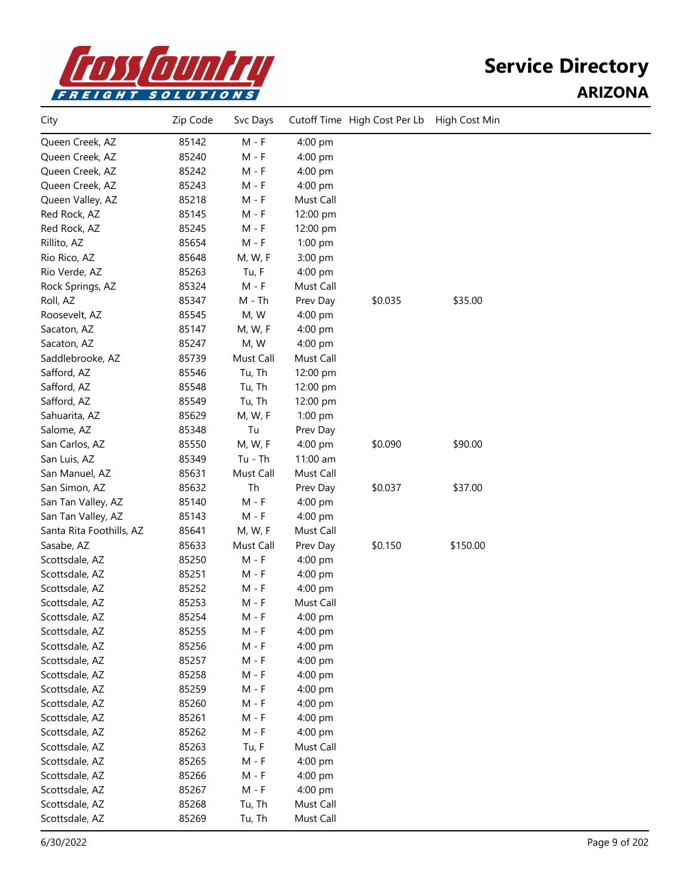

| City                     | Zip Code | Svc Days  |           | Cutoff Time High Cost Per Lb | High Cost Min |  |
|--------------------------|----------|-----------|-----------|------------------------------|---------------|--|
| Queen Creek, AZ          | 85142    | $M - F$   | 4:00 pm   |                              |               |  |
| Queen Creek, AZ          | 85240    | $M - F$   | 4:00 pm   |                              |               |  |
| Queen Creek, AZ          | 85242    | $M - F$   | 4:00 pm   |                              |               |  |
| Queen Creek, AZ          | 85243    | M - F     | 4:00 pm   |                              |               |  |
| Queen Valley, AZ         | 85218    | M - F     | Must Call |                              |               |  |
| Red Rock, AZ             | 85145    | M - F     | 12:00 pm  |                              |               |  |
| Red Rock, AZ             | 85245    | $M - F$   | 12:00 pm  |                              |               |  |
| Rillito, AZ              | 85654    | $M - F$   | $1:00$ pm |                              |               |  |
| Rio Rico, AZ             | 85648    | M, W, F   | 3:00 pm   |                              |               |  |
| Rio Verde, AZ            | 85263    | Tu, F     | 4:00 pm   |                              |               |  |
| Rock Springs, AZ         | 85324    | $M - F$   | Must Call |                              |               |  |
| Roll, AZ                 | 85347    | M - Th    | Prev Day  | \$0.035                      | \$35.00       |  |
| Roosevelt, AZ            | 85545    | M, W      | 4:00 pm   |                              |               |  |
| Sacaton, AZ              | 85147    | M, W, F   | 4:00 pm   |                              |               |  |
| Sacaton, AZ              | 85247    | M, W      | 4:00 pm   |                              |               |  |
| Saddlebrooke, AZ         | 85739    | Must Call | Must Call |                              |               |  |
| Safford, AZ              | 85546    | Tu, Th    | 12:00 pm  |                              |               |  |
| Safford, AZ              | 85548    | Tu, Th    | 12:00 pm  |                              |               |  |
| Safford, AZ              | 85549    | Tu, Th    | 12:00 pm  |                              |               |  |
| Sahuarita, AZ            | 85629    | M, W, F   | 1:00 pm   |                              |               |  |
| Salome, AZ               | 85348    | Tu        | Prev Day  |                              |               |  |
| San Carlos, AZ           | 85550    | M, W, F   | 4:00 pm   | \$0.090                      | \$90.00       |  |
| San Luis, AZ             | 85349    | Tu - Th   | 11:00 am  |                              |               |  |
| San Manuel, AZ           | 85631    | Must Call | Must Call |                              |               |  |
| San Simon, AZ            | 85632    | Th        | Prev Day  | \$0.037                      | \$37.00       |  |
| San Tan Valley, AZ       | 85140    | $M - F$   | 4:00 pm   |                              |               |  |
| San Tan Valley, AZ       | 85143    | $M - F$   | 4:00 pm   |                              |               |  |
| Santa Rita Foothills, AZ | 85641    | M, W, F   | Must Call |                              |               |  |
| Sasabe, AZ               | 85633    | Must Call | Prev Day  | \$0.150                      | \$150.00      |  |
| Scottsdale, AZ           | 85250    | $M - F$   | 4:00 pm   |                              |               |  |
| Scottsdale, AZ           | 85251    | M - F     | 4:00 pm   |                              |               |  |
| Scottsdale, AZ           | 85252    | M - F     | 4:00 pm   |                              |               |  |
| Scottsdale, AZ           | 85253    | M - F     | Must Call |                              |               |  |
| Scottsdale, AZ           | 85254    | $M - F$   | $4:00$ pm |                              |               |  |
| Scottsdale, AZ           | 85255    | $M - F$   | 4:00 pm   |                              |               |  |
| Scottsdale, AZ           | 85256    | $M - F$   | 4:00 pm   |                              |               |  |
| Scottsdale, AZ           | 85257    | $M - F$   | 4:00 pm   |                              |               |  |
| Scottsdale, AZ           | 85258    | $M - F$   | 4:00 pm   |                              |               |  |
| Scottsdale, AZ           | 85259    | $M - F$   | 4:00 pm   |                              |               |  |
| Scottsdale, AZ           | 85260    | $M - F$   | 4:00 pm   |                              |               |  |
| Scottsdale, AZ           | 85261    | $M - F$   | 4:00 pm   |                              |               |  |
| Scottsdale, AZ           | 85262    | $M - F$   | 4:00 pm   |                              |               |  |
| Scottsdale, AZ           | 85263    | Tu, F     | Must Call |                              |               |  |
| Scottsdale, AZ           | 85265    | $M - F$   | 4:00 pm   |                              |               |  |
| Scottsdale, AZ           | 85266    | $M - F$   | 4:00 pm   |                              |               |  |
| Scottsdale, AZ           | 85267    | $M - F$   | 4:00 pm   |                              |               |  |
| Scottsdale, AZ           | 85268    | Tu, Th    | Must Call |                              |               |  |
| Scottsdale, AZ           | 85269    | Tu, Th    | Must Call |                              |               |  |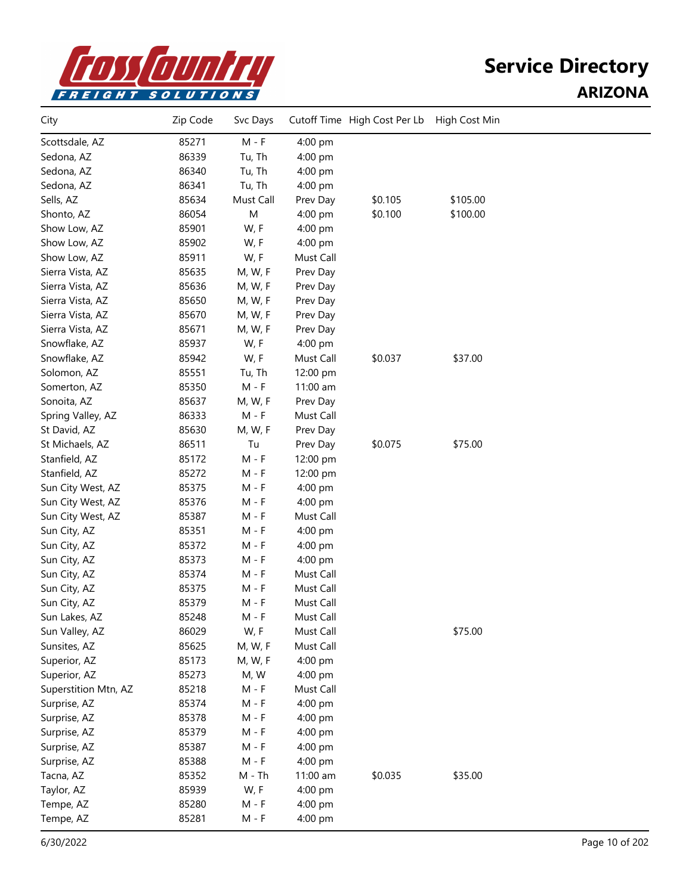

| City                 | Zip Code | Svc Days  |           | Cutoff Time High Cost Per Lb | High Cost Min |  |
|----------------------|----------|-----------|-----------|------------------------------|---------------|--|
| Scottsdale, AZ       | 85271    | $M - F$   | 4:00 pm   |                              |               |  |
| Sedona, AZ           | 86339    | Tu, Th    | 4:00 pm   |                              |               |  |
| Sedona, AZ           | 86340    | Tu, Th    | 4:00 pm   |                              |               |  |
| Sedona, AZ           | 86341    | Tu, Th    | 4:00 pm   |                              |               |  |
| Sells, AZ            | 85634    | Must Call | Prev Day  | \$0.105                      | \$105.00      |  |
| Shonto, AZ           | 86054    | M         | 4:00 pm   | \$0.100                      | \$100.00      |  |
| Show Low, AZ         | 85901    | W, F      | 4:00 pm   |                              |               |  |
| Show Low, AZ         | 85902    | W, F      | 4:00 pm   |                              |               |  |
| Show Low, AZ         | 85911    | W, F      | Must Call |                              |               |  |
| Sierra Vista, AZ     | 85635    | M, W, F   | Prev Day  |                              |               |  |
| Sierra Vista, AZ     | 85636    | M, W, F   | Prev Day  |                              |               |  |
| Sierra Vista, AZ     | 85650    | M, W, F   | Prev Day  |                              |               |  |
| Sierra Vista, AZ     | 85670    | M, W, F   | Prev Day  |                              |               |  |
| Sierra Vista, AZ     | 85671    | M, W, F   | Prev Day  |                              |               |  |
| Snowflake, AZ        | 85937    | W, F      | 4:00 pm   |                              |               |  |
| Snowflake, AZ        | 85942    | W, F      | Must Call | \$0.037                      | \$37.00       |  |
| Solomon, AZ          | 85551    | Tu, Th    | 12:00 pm  |                              |               |  |
| Somerton, AZ         | 85350    | $M - F$   | 11:00 am  |                              |               |  |
| Sonoita, AZ          | 85637    | M, W, F   | Prev Day  |                              |               |  |
| Spring Valley, AZ    | 86333    | $M - F$   | Must Call |                              |               |  |
| St David, AZ         | 85630    | M, W, F   | Prev Day  |                              |               |  |
| St Michaels, AZ      | 86511    | Tu        | Prev Day  | \$0.075                      | \$75.00       |  |
| Stanfield, AZ        | 85172    | $M - F$   | 12:00 pm  |                              |               |  |
| Stanfield, AZ        | 85272    | $M - F$   | 12:00 pm  |                              |               |  |
| Sun City West, AZ    | 85375    | $M - F$   | 4:00 pm   |                              |               |  |
| Sun City West, AZ    | 85376    | M - F     | 4:00 pm   |                              |               |  |
| Sun City West, AZ    | 85387    | M - F     | Must Call |                              |               |  |
| Sun City, AZ         | 85351    | M - F     | 4:00 pm   |                              |               |  |
| Sun City, AZ         | 85372    | M - F     | 4:00 pm   |                              |               |  |
| Sun City, AZ         | 85373    | $M - F$   | 4:00 pm   |                              |               |  |
| Sun City, AZ         | 85374    | $M - F$   | Must Call |                              |               |  |
| Sun City, AZ         | 85375    | $M - F$   | Must Call |                              |               |  |
| Sun City, AZ         | 85379    | $M - F$   | Must Call |                              |               |  |
| Sun Lakes, AZ        | 85248    | M - F     | Must Call |                              |               |  |
| Sun Valley, AZ       | 86029    | W, F      | Must Call |                              | \$75.00       |  |
| Sunsites, AZ         | 85625    | M, W, F   | Must Call |                              |               |  |
| Superior, AZ         | 85173    | M, W, F   | 4:00 pm   |                              |               |  |
| Superior, AZ         | 85273    | M, W      | 4:00 pm   |                              |               |  |
| Superstition Mtn, AZ | 85218    | $M - F$   | Must Call |                              |               |  |
| Surprise, AZ         | 85374    | $M - F$   | 4:00 pm   |                              |               |  |
| Surprise, AZ         | 85378    | $M - F$   | 4:00 pm   |                              |               |  |
| Surprise, AZ         | 85379    | $M - F$   | 4:00 pm   |                              |               |  |
| Surprise, AZ         | 85387    | $M - F$   | 4:00 pm   |                              |               |  |
| Surprise, AZ         | 85388    | $M - F$   | 4:00 pm   |                              |               |  |
| Tacna, AZ            | 85352    | $M - Th$  | 11:00 am  | \$0.035                      | \$35.00       |  |
| Taylor, AZ           | 85939    | W, F      | 4:00 pm   |                              |               |  |
| Tempe, AZ            | 85280    | $M - F$   | 4:00 pm   |                              |               |  |
| Tempe, AZ            | 85281    | $M - F$   | 4:00 pm   |                              |               |  |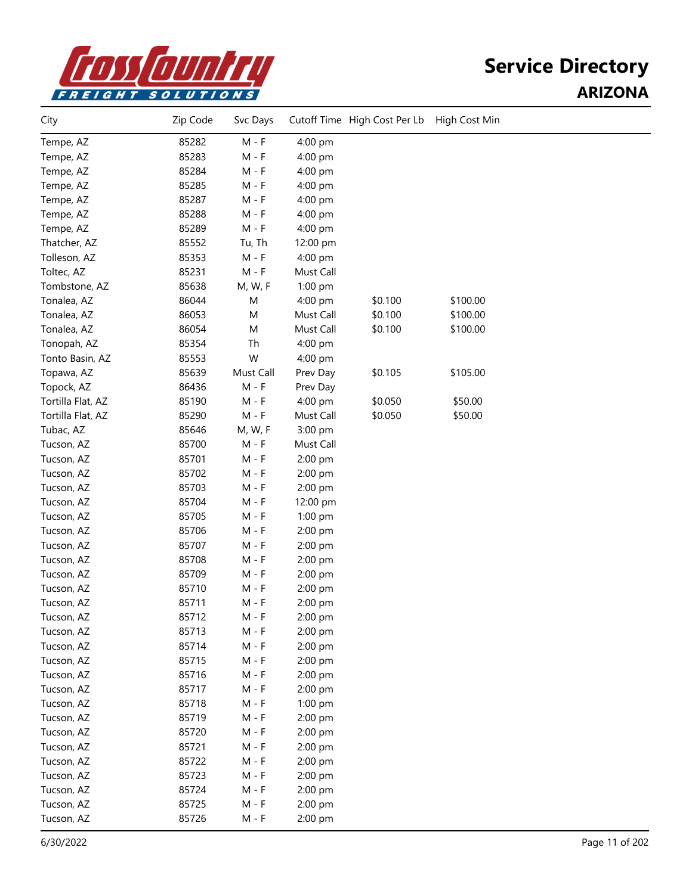

| City              | Zip Code | Svc Days  |           | Cutoff Time High Cost Per Lb | High Cost Min |  |
|-------------------|----------|-----------|-----------|------------------------------|---------------|--|
| Tempe, AZ         | 85282    | $M - F$   | 4:00 pm   |                              |               |  |
| Tempe, AZ         | 85283    | $M - F$   | 4:00 pm   |                              |               |  |
| Tempe, AZ         | 85284    | $M - F$   | 4:00 pm   |                              |               |  |
| Tempe, AZ         | 85285    | $M - F$   | 4:00 pm   |                              |               |  |
| Tempe, AZ         | 85287    | M - F     | 4:00 pm   |                              |               |  |
| Tempe, AZ         | 85288    | $M - F$   | 4:00 pm   |                              |               |  |
| Tempe, AZ         | 85289    | $M - F$   | 4:00 pm   |                              |               |  |
| Thatcher, AZ      | 85552    | Tu, Th    | 12:00 pm  |                              |               |  |
| Tolleson, AZ      | 85353    | $M - F$   | 4:00 pm   |                              |               |  |
| Toltec, AZ        | 85231    | $M - F$   | Must Call |                              |               |  |
| Tombstone, AZ     | 85638    | M, W, F   | 1:00 pm   |                              |               |  |
| Tonalea, AZ       | 86044    | M         | 4:00 pm   | \$0.100                      | \$100.00      |  |
| Tonalea, AZ       | 86053    | M         | Must Call | \$0.100                      | \$100.00      |  |
| Tonalea, AZ       | 86054    | M         | Must Call | \$0.100                      | \$100.00      |  |
| Tonopah, AZ       | 85354    | Th        | 4:00 pm   |                              |               |  |
| Tonto Basin, AZ   | 85553    | W         | 4:00 pm   |                              |               |  |
| Topawa, AZ        | 85639    | Must Call | Prev Day  | \$0.105                      | \$105.00      |  |
| Topock, AZ        | 86436    | $M - F$   | Prev Day  |                              |               |  |
| Tortilla Flat, AZ | 85190    | $M - F$   | 4:00 pm   | \$0.050                      | \$50.00       |  |
| Tortilla Flat, AZ | 85290    | $M - F$   | Must Call | \$0.050                      | \$50.00       |  |
| Tubac, AZ         | 85646    | M, W, F   | 3:00 pm   |                              |               |  |
| Tucson, AZ        | 85700    | $M - F$   | Must Call |                              |               |  |
| Tucson, AZ        | 85701    | $M - F$   | 2:00 pm   |                              |               |  |
| Tucson, AZ        | 85702    | $M - F$   | 2:00 pm   |                              |               |  |
| Tucson, AZ        | 85703    | $M - F$   | 2:00 pm   |                              |               |  |
| Tucson, AZ        | 85704    | $M - F$   | 12:00 pm  |                              |               |  |
| Tucson, AZ        | 85705    | $M - F$   | 1:00 pm   |                              |               |  |
| Tucson, AZ        | 85706    | $M - F$   | 2:00 pm   |                              |               |  |
| Tucson, AZ        | 85707    | M - F     | 2:00 pm   |                              |               |  |
| Tucson, AZ        | 85708    | $M - F$   | 2:00 pm   |                              |               |  |
| Tucson, AZ        | 85709    | $M - F$   | 2:00 pm   |                              |               |  |
| Tucson, AZ        | 85710    | $M - F$   | 2:00 pm   |                              |               |  |
| Tucson, AZ        | 85711    | M - F     | 2:00 pm   |                              |               |  |
| Tucson, AZ        | 85712    | M - F     | 2:00 pm   |                              |               |  |
| Tucson, AZ        | 85713    | $M - F$   | 2:00 pm   |                              |               |  |
| Tucson, AZ        | 85714    | $M - F$   | 2:00 pm   |                              |               |  |
| Tucson, AZ        | 85715    | $M - F$   | 2:00 pm   |                              |               |  |
| Tucson, AZ        | 85716    | $M - F$   | 2:00 pm   |                              |               |  |
| Tucson, AZ        | 85717    | $M - F$   | 2:00 pm   |                              |               |  |
| Tucson, AZ        | 85718    | $M - F$   | 1:00 pm   |                              |               |  |
| Tucson, AZ        | 85719    | $M - F$   | 2:00 pm   |                              |               |  |
| Tucson, AZ        | 85720    | $M - F$   | 2:00 pm   |                              |               |  |
| Tucson, AZ        | 85721    | $M - F$   | 2:00 pm   |                              |               |  |
| Tucson, AZ        | 85722    | $M - F$   | 2:00 pm   |                              |               |  |
| Tucson, AZ        | 85723    | $M - F$   | 2:00 pm   |                              |               |  |
| Tucson, AZ        | 85724    | $M - F$   | 2:00 pm   |                              |               |  |
| Tucson, AZ        | 85725    | $M - F$   | 2:00 pm   |                              |               |  |
| Tucson, AZ        | 85726    | $M - F$   | 2:00 pm   |                              |               |  |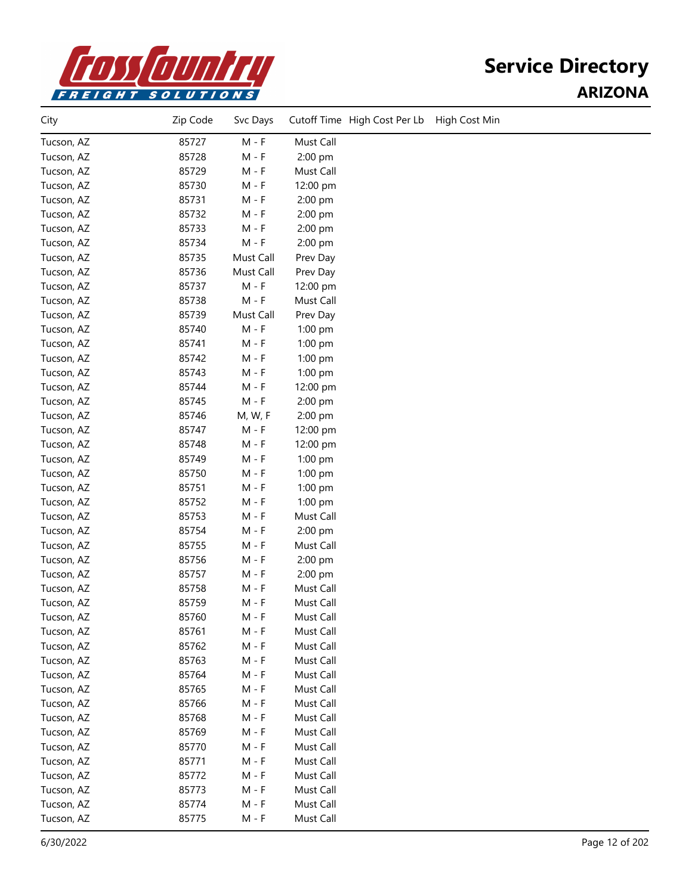

| City       | Zip Code | Svc Days  | Cutoff Time High Cost Per Lb<br>High Cost Min |
|------------|----------|-----------|-----------------------------------------------|
| Tucson, AZ | 85727    | $M - F$   | Must Call                                     |
| Tucson, AZ | 85728    | $M - F$   | 2:00 pm                                       |
| Tucson, AZ | 85729    | $M - F$   | Must Call                                     |
| Tucson, AZ | 85730    | $M - F$   | 12:00 pm                                      |
| Tucson, AZ | 85731    | $M - F$   | 2:00 pm                                       |
| Tucson, AZ | 85732    | $M - F$   | 2:00 pm                                       |
| Tucson, AZ | 85733    | M - F     | 2:00 pm                                       |
| Tucson, AZ | 85734    | $M - F$   | 2:00 pm                                       |
| Tucson, AZ | 85735    | Must Call | Prev Day                                      |
| Tucson, AZ | 85736    | Must Call | Prev Day                                      |
| Tucson, AZ | 85737    | $M - F$   | 12:00 pm                                      |
| Tucson, AZ | 85738    | $M - F$   | Must Call                                     |
| Tucson, AZ | 85739    | Must Call | Prev Day                                      |
| Tucson, AZ | 85740    | $M - F$   | 1:00 pm                                       |
| Tucson, AZ | 85741    | $M - F$   | 1:00 pm                                       |
| Tucson, AZ | 85742    | $M - F$   | 1:00 pm                                       |
| Tucson, AZ | 85743    | $M - F$   | 1:00 pm                                       |
| Tucson, AZ | 85744    | $M - F$   | 12:00 pm                                      |
| Tucson, AZ | 85745    | $M - F$   | 2:00 pm                                       |
| Tucson, AZ | 85746    | M, W, F   | 2:00 pm                                       |
| Tucson, AZ | 85747    | $M - F$   | 12:00 pm                                      |
| Tucson, AZ | 85748    | $M - F$   | 12:00 pm                                      |
| Tucson, AZ | 85749    | $M - F$   | 1:00 pm                                       |
| Tucson, AZ | 85750    | $M - F$   | 1:00 pm                                       |
| Tucson, AZ | 85751    | M - F     | 1:00 pm                                       |
| Tucson, AZ | 85752    | M - F     | 1:00 pm                                       |
| Tucson, AZ | 85753    | M - F     | Must Call                                     |
| Tucson, AZ | 85754    | M - F     | 2:00 pm                                       |
| Tucson, AZ | 85755    | $M - F$   | Must Call                                     |
| Tucson, AZ | 85756    | $M - F$   | 2:00 pm                                       |
| Tucson, AZ | 85757    | $M - F$   | 2:00 pm                                       |
| Tucson, AZ | 85758    | $M - F$   | Must Call                                     |
| Tucson, AZ | 85759    | M - F     | Must Call                                     |
| Tucson, AZ | 85760    | M - F     | Must Call                                     |
| Tucson, AZ | 85761    | M - F     | Must Call                                     |
| Tucson, AZ | 85762    | $M - F$   | Must Call                                     |
| Tucson, AZ | 85763    | M - F     | Must Call                                     |
| Tucson, AZ | 85764    | M - F     | Must Call                                     |
| Tucson, AZ | 85765    | M - F     | Must Call                                     |
| Tucson, AZ | 85766    | M - F     | Must Call                                     |
| Tucson, AZ | 85768    | $M - F$   | Must Call                                     |
| Tucson, AZ | 85769    | M - F     | Must Call                                     |
| Tucson, AZ | 85770    | M - F     | Must Call                                     |
| Tucson, AZ | 85771    | M - F     | Must Call                                     |
| Tucson, AZ | 85772    | M - F     | Must Call                                     |
| Tucson, AZ | 85773    | $M - F$   | Must Call                                     |
| Tucson, AZ | 85774    | M - F     | Must Call                                     |
| Tucson, AZ | 85775    | $M - F$   | Must Call                                     |
|            |          |           |                                               |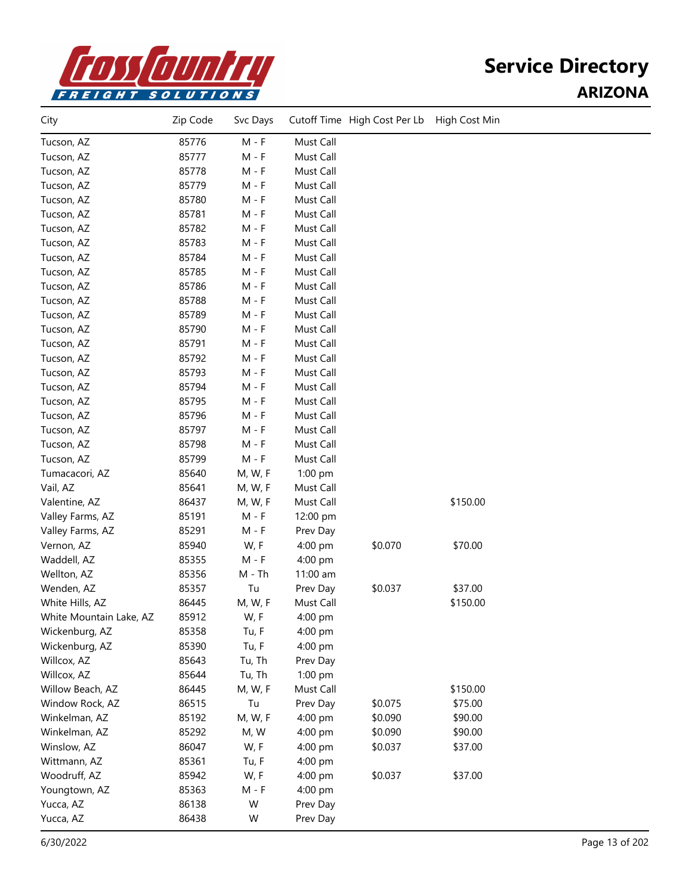

| City                    | Zip Code | Svc Days |           | Cutoff Time High Cost Per Lb High Cost Min |          |  |
|-------------------------|----------|----------|-----------|--------------------------------------------|----------|--|
| Tucson, AZ              | 85776    | $M - F$  | Must Call |                                            |          |  |
| Tucson, AZ              | 85777    | $M - F$  | Must Call |                                            |          |  |
| Tucson, AZ              | 85778    | $M - F$  | Must Call |                                            |          |  |
| Tucson, AZ              | 85779    | $M - F$  | Must Call |                                            |          |  |
| Tucson, AZ              | 85780    | $M - F$  | Must Call |                                            |          |  |
| Tucson, AZ              | 85781    | $M - F$  | Must Call |                                            |          |  |
| Tucson, AZ              | 85782    | $M - F$  | Must Call |                                            |          |  |
| Tucson, AZ              | 85783    | $M - F$  | Must Call |                                            |          |  |
| Tucson, AZ              | 85784    | $M - F$  | Must Call |                                            |          |  |
| Tucson, AZ              | 85785    | $M - F$  | Must Call |                                            |          |  |
| Tucson, AZ              | 85786    | $M - F$  | Must Call |                                            |          |  |
| Tucson, AZ              | 85788    | $M - F$  | Must Call |                                            |          |  |
| Tucson, AZ              | 85789    | $M - F$  | Must Call |                                            |          |  |
| Tucson, AZ              | 85790    | $M - F$  | Must Call |                                            |          |  |
| Tucson, AZ              | 85791    | $M - F$  | Must Call |                                            |          |  |
| Tucson, AZ              | 85792    | $M - F$  | Must Call |                                            |          |  |
| Tucson, AZ              | 85793    | $M - F$  | Must Call |                                            |          |  |
| Tucson, AZ              | 85794    | $M - F$  | Must Call |                                            |          |  |
| Tucson, AZ              | 85795    | $M - F$  | Must Call |                                            |          |  |
| Tucson, AZ              | 85796    | $M - F$  | Must Call |                                            |          |  |
| Tucson, AZ              | 85797    | $M - F$  | Must Call |                                            |          |  |
| Tucson, AZ              | 85798    | $M - F$  | Must Call |                                            |          |  |
| Tucson, AZ              | 85799    | $M - F$  | Must Call |                                            |          |  |
| Tumacacori, AZ          | 85640    | M, W, F  | 1:00 pm   |                                            |          |  |
| Vail, AZ                | 85641    | M, W, F  | Must Call |                                            |          |  |
| Valentine, AZ           | 86437    | M, W, F  | Must Call |                                            | \$150.00 |  |
| Valley Farms, AZ        | 85191    | M - F    | 12:00 pm  |                                            |          |  |
| Valley Farms, AZ        | 85291    | $M - F$  | Prev Day  |                                            |          |  |
| Vernon, AZ              | 85940    | W, F     | 4:00 pm   | \$0.070                                    | \$70.00  |  |
| Waddell, AZ             | 85355    | $M - F$  | 4:00 pm   |                                            |          |  |
| Wellton, AZ             | 85356    | $M - Th$ | 11:00 am  |                                            |          |  |
| Wenden, AZ              | 85357    | Tu       | Prev Day  | \$0.037                                    | \$37.00  |  |
| White Hills, AZ         | 86445    | M, W, F  | Must Call |                                            | \$150.00 |  |
| White Mountain Lake, AZ | 85912    | W, F     | 4:00 pm   |                                            |          |  |
| Wickenburg, AZ          | 85358    | Tu, F    | 4:00 pm   |                                            |          |  |
| Wickenburg, AZ          | 85390    | Tu, F    | 4:00 pm   |                                            |          |  |
| Willcox, AZ             | 85643    | Tu, Th   | Prev Day  |                                            |          |  |
| Willcox, AZ             | 85644    | Tu, Th   | 1:00 pm   |                                            |          |  |
| Willow Beach, AZ        | 86445    | M, W, F  | Must Call |                                            | \$150.00 |  |
| Window Rock, AZ         | 86515    | Tu       | Prev Day  | \$0.075                                    | \$75.00  |  |
| Winkelman, AZ           | 85192    | M, W, F  | 4:00 pm   | \$0.090                                    | \$90.00  |  |
| Winkelman, AZ           | 85292    | M, W     | 4:00 pm   | \$0.090                                    | \$90.00  |  |
| Winslow, AZ             | 86047    | W, F     | 4:00 pm   | \$0.037                                    | \$37.00  |  |
| Wittmann, AZ            | 85361    | Tu, F    | 4:00 pm   |                                            |          |  |
| Woodruff, AZ            | 85942    | W, F     | 4:00 pm   | \$0.037                                    | \$37.00  |  |
| Youngtown, AZ           | 85363    | $M - F$  | 4:00 pm   |                                            |          |  |
| Yucca, AZ               | 86138    | W        | Prev Day  |                                            |          |  |
| Yucca, AZ               | 86438    | W        | Prev Day  |                                            |          |  |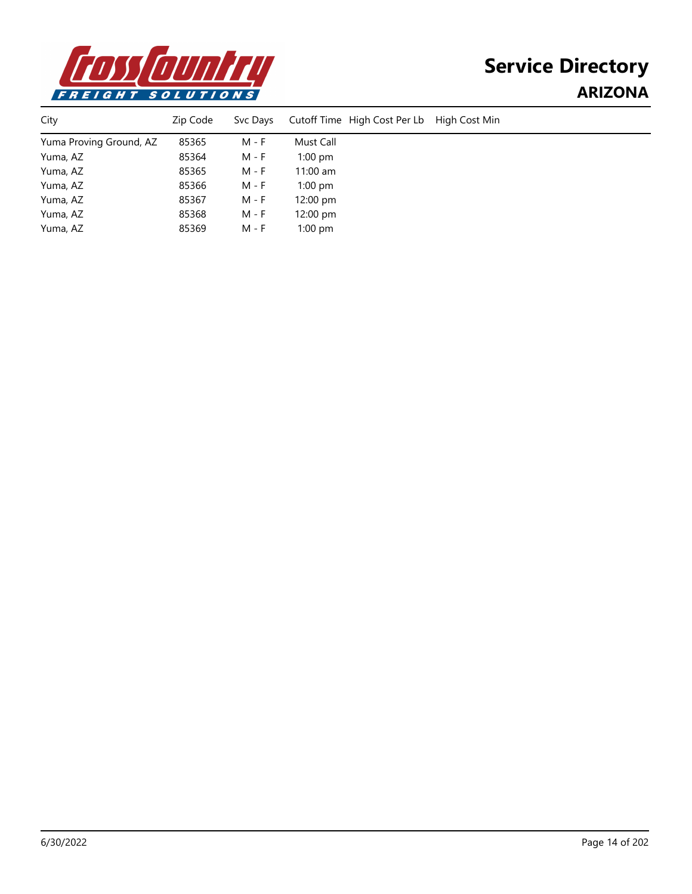

| City                    | Zip Code | Svc Days | Cutoff Time High Cost Per Lb | High Cost Min |
|-------------------------|----------|----------|------------------------------|---------------|
| Yuma Proving Ground, AZ | 85365    | M - F    | Must Call                    |               |
| Yuma, AZ                | 85364    | M - F    | $1:00$ pm                    |               |
| Yuma, AZ                | 85365    | M - F    | $11:00$ am                   |               |
| Yuma, AZ                | 85366    | M - F    | $1:00$ pm                    |               |
| Yuma, AZ                | 85367    | M - F    | $12:00 \text{ pm}$           |               |
| Yuma, AZ                | 85368    | M - F    | $12:00$ pm                   |               |
| Yuma, AZ                | 85369    | M - F    | $1:00$ pm                    |               |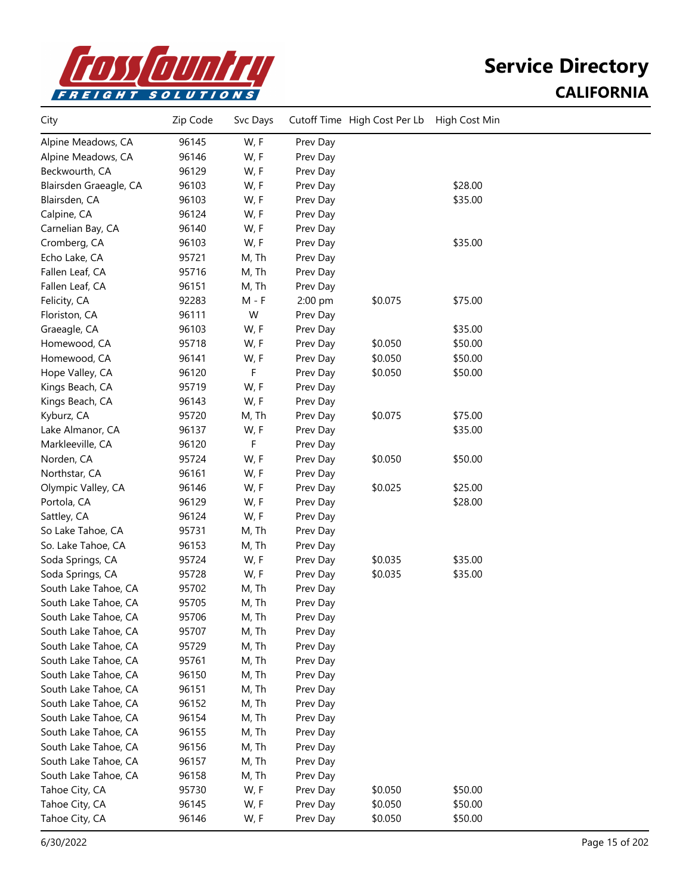

### **Service Directory CALIFORNIA**

| City                   | Zip Code | Svc Days |          | Cutoff Time High Cost Per Lb | High Cost Min |  |
|------------------------|----------|----------|----------|------------------------------|---------------|--|
| Alpine Meadows, CA     | 96145    | W, F     | Prev Day |                              |               |  |
| Alpine Meadows, CA     | 96146    | W, F     | Prev Day |                              |               |  |
| Beckwourth, CA         | 96129    | W, F     | Prev Day |                              |               |  |
| Blairsden Graeagle, CA | 96103    | W, F     | Prev Day |                              | \$28.00       |  |
| Blairsden, CA          | 96103    | W, F     | Prev Day |                              | \$35.00       |  |
| Calpine, CA            | 96124    | W, F     | Prev Day |                              |               |  |
| Carnelian Bay, CA      | 96140    | W, F     | Prev Day |                              |               |  |
| Cromberg, CA           | 96103    | W, F     | Prev Day |                              | \$35.00       |  |
| Echo Lake, CA          | 95721    | M, Th    | Prev Day |                              |               |  |
| Fallen Leaf, CA        | 95716    | M, Th    | Prev Day |                              |               |  |
| Fallen Leaf, CA        | 96151    | M, Th    | Prev Day |                              |               |  |
| Felicity, CA           | 92283    | $M - F$  | 2:00 pm  | \$0.075                      | \$75.00       |  |
| Floriston, CA          | 96111    | W        | Prev Day |                              |               |  |
| Graeagle, CA           | 96103    | W, F     | Prev Day |                              | \$35.00       |  |
| Homewood, CA           | 95718    | W, F     | Prev Day | \$0.050                      | \$50.00       |  |
| Homewood, CA           | 96141    | W, F     | Prev Day | \$0.050                      | \$50.00       |  |
| Hope Valley, CA        | 96120    | F        | Prev Day | \$0.050                      | \$50.00       |  |
| Kings Beach, CA        | 95719    | W, F     | Prev Day |                              |               |  |
| Kings Beach, CA        | 96143    | W, F     | Prev Day |                              |               |  |
| Kyburz, CA             | 95720    | M, Th    | Prev Day | \$0.075                      | \$75.00       |  |
| Lake Almanor, CA       | 96137    | W, F     | Prev Day |                              | \$35.00       |  |
| Markleeville, CA       | 96120    | F        | Prev Day |                              |               |  |
| Norden, CA             | 95724    | W, F     | Prev Day | \$0.050                      | \$50.00       |  |
| Northstar, CA          | 96161    | W, F     | Prev Day |                              |               |  |
| Olympic Valley, CA     | 96146    | W, F     | Prev Day | \$0.025                      | \$25.00       |  |
| Portola, CA            | 96129    | W, F     | Prev Day |                              | \$28.00       |  |
| Sattley, CA            | 96124    | W, F     | Prev Day |                              |               |  |
| So Lake Tahoe, CA      | 95731    | M, Th    | Prev Day |                              |               |  |
| So. Lake Tahoe, CA     | 96153    | M, Th    | Prev Day |                              |               |  |
| Soda Springs, CA       | 95724    | W, F     | Prev Day | \$0.035                      | \$35.00       |  |
| Soda Springs, CA       | 95728    | W, F     | Prev Day | \$0.035                      | \$35.00       |  |
| South Lake Tahoe, CA   | 95702    | M, Th    | Prev Day |                              |               |  |
| South Lake Tahoe, CA   | 95705    | M, Th    | Prev Day |                              |               |  |
| South Lake Tahoe, CA   | 95706    | M, Th    | Prev Day |                              |               |  |
| South Lake Tahoe, CA   | 95707    | M, Th    | Prev Day |                              |               |  |
| South Lake Tahoe, CA   | 95729    | M, Th    | Prev Day |                              |               |  |
| South Lake Tahoe, CA   | 95761    | M, Th    | Prev Day |                              |               |  |
| South Lake Tahoe, CA   | 96150    | M, Th    | Prev Day |                              |               |  |
| South Lake Tahoe, CA   | 96151    | M, Th    | Prev Day |                              |               |  |
| South Lake Tahoe, CA   | 96152    | M, Th    | Prev Day |                              |               |  |
| South Lake Tahoe, CA   | 96154    | M, Th    | Prev Day |                              |               |  |
| South Lake Tahoe, CA   | 96155    | M, Th    | Prev Day |                              |               |  |
| South Lake Tahoe, CA   | 96156    | M, Th    | Prev Day |                              |               |  |
| South Lake Tahoe, CA   | 96157    | M, Th    | Prev Day |                              |               |  |
| South Lake Tahoe, CA   | 96158    | M, Th    | Prev Day |                              |               |  |
| Tahoe City, CA         | 95730    | W, F     | Prev Day | \$0.050                      | \$50.00       |  |
| Tahoe City, CA         | 96145    | W, F     | Prev Day | \$0.050                      | \$50.00       |  |
| Tahoe City, CA         | 96146    | W, F     | Prev Day | \$0.050                      | \$50.00       |  |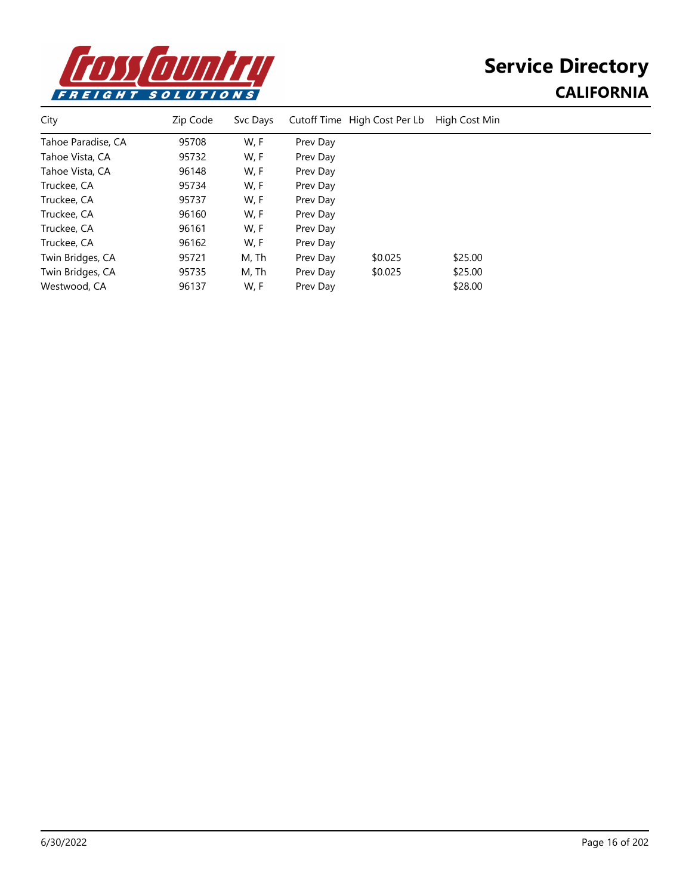

# **Service Directory CALIFORNIA**

| City               | Zip Code | Svc Days |          | Cutoff Time High Cost Per Lb | High Cost Min |  |
|--------------------|----------|----------|----------|------------------------------|---------------|--|
| Tahoe Paradise, CA | 95708    | W, F     | Prev Day |                              |               |  |
| Tahoe Vista, CA    | 95732    | W, F     | Prev Day |                              |               |  |
| Tahoe Vista, CA    | 96148    | W, F     | Prev Day |                              |               |  |
| Truckee, CA        | 95734    | W, F     | Prev Day |                              |               |  |
| Truckee, CA        | 95737    | W, F     | Prev Day |                              |               |  |
| Truckee, CA        | 96160    | W, F     | Prev Day |                              |               |  |
| Truckee, CA        | 96161    | W, F     | Prev Day |                              |               |  |
| Truckee, CA        | 96162    | W, F     | Prev Day |                              |               |  |
| Twin Bridges, CA   | 95721    | M, Th    | Prev Day | \$0.025                      | \$25.00       |  |
| Twin Bridges, CA   | 95735    | M, Th    | Prev Day | \$0.025                      | \$25.00       |  |
| Westwood, CA       | 96137    | W, F     | Prev Dav |                              | \$28.00       |  |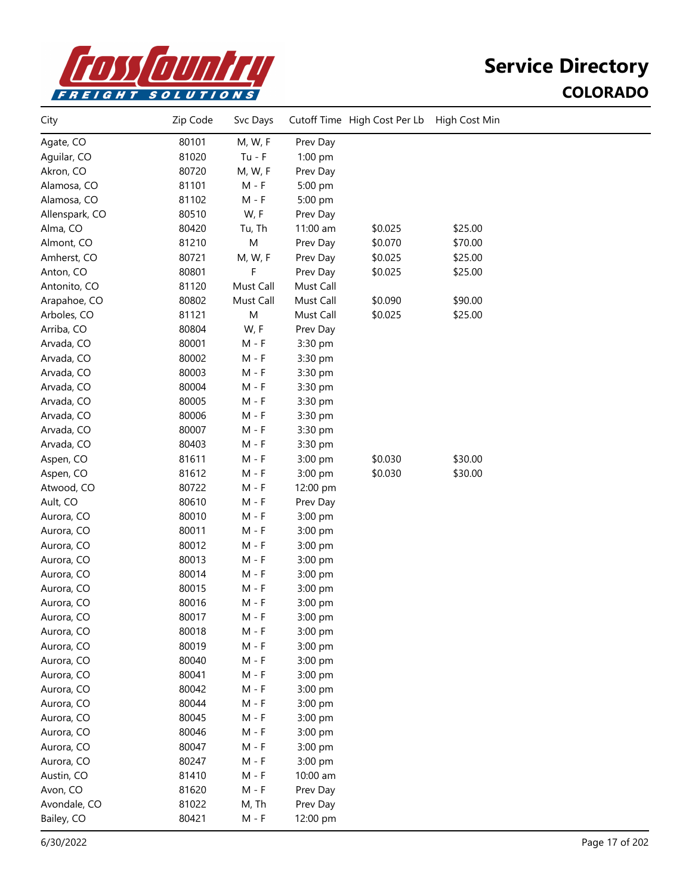

| City           | Zip Code | Svc Days  |           | Cutoff Time High Cost Per Lb | High Cost Min |  |
|----------------|----------|-----------|-----------|------------------------------|---------------|--|
| Agate, CO      | 80101    | M, W, F   | Prev Day  |                              |               |  |
| Aguilar, CO    | 81020    | $Tu - F$  | 1:00 pm   |                              |               |  |
| Akron, CO      | 80720    | M, W, F   | Prev Day  |                              |               |  |
| Alamosa, CO    | 81101    | $M - F$   | 5:00 pm   |                              |               |  |
| Alamosa, CO    | 81102    | $M - F$   | 5:00 pm   |                              |               |  |
| Allenspark, CO | 80510    | W, F      | Prev Day  |                              |               |  |
| Alma, CO       | 80420    | Tu, Th    | 11:00 am  | \$0.025                      | \$25.00       |  |
| Almont, CO     | 81210    | M         | Prev Day  | \$0.070                      | \$70.00       |  |
| Amherst, CO    | 80721    | M, W, F   | Prev Day  | \$0.025                      | \$25.00       |  |
| Anton, CO      | 80801    | F         | Prev Day  | \$0.025                      | \$25.00       |  |
| Antonito, CO   | 81120    | Must Call | Must Call |                              |               |  |
| Arapahoe, CO   | 80802    | Must Call | Must Call | \$0.090                      | \$90.00       |  |
| Arboles, CO    | 81121    | ${\sf M}$ | Must Call | \$0.025                      | \$25.00       |  |
| Arriba, CO     | 80804    | W, F      | Prev Day  |                              |               |  |
| Arvada, CO     | 80001    | $M - F$   | 3:30 pm   |                              |               |  |
| Arvada, CO     | 80002    | $M - F$   | 3:30 pm   |                              |               |  |
| Arvada, CO     | 80003    | $M - F$   | 3:30 pm   |                              |               |  |
| Arvada, CO     | 80004    | $M - F$   | 3:30 pm   |                              |               |  |
| Arvada, CO     | 80005    | $M - F$   | 3:30 pm   |                              |               |  |
| Arvada, CO     | 80006    | $M - F$   | 3:30 pm   |                              |               |  |
| Arvada, CO     | 80007    | $M - F$   | 3:30 pm   |                              |               |  |
| Arvada, CO     | 80403    | $M - F$   | 3:30 pm   |                              |               |  |
| Aspen, CO      | 81611    | $M - F$   | 3:00 pm   | \$0.030                      | \$30.00       |  |
| Aspen, CO      | 81612    | $M - F$   | 3:00 pm   | \$0.030                      | \$30.00       |  |
| Atwood, CO     | 80722    | $M - F$   | 12:00 pm  |                              |               |  |
| Ault, CO       | 80610    | $M - F$   | Prev Day  |                              |               |  |
| Aurora, CO     | 80010    | M - F     | 3:00 pm   |                              |               |  |
| Aurora, CO     | 80011    | $M - F$   | 3:00 pm   |                              |               |  |
| Aurora, CO     | 80012    | $M - F$   | 3:00 pm   |                              |               |  |
| Aurora, CO     | 80013    | $M - F$   | 3:00 pm   |                              |               |  |
| Aurora, CO     | 80014    | $M - F$   | 3:00 pm   |                              |               |  |
| Aurora, CO     | 80015    | $M - F$   | 3:00 pm   |                              |               |  |
| Aurora, CO     | 80016    | $M - F$   | 3:00 pm   |                              |               |  |
| Aurora, CO     | 80017    | $M - F$   | 3:00 pm   |                              |               |  |
| Aurora, CO     | 80018    | $M - F$   | 3:00 pm   |                              |               |  |
| Aurora, CO     | 80019    | $M - F$   | 3:00 pm   |                              |               |  |
| Aurora, CO     | 80040    | $M - F$   | 3:00 pm   |                              |               |  |
| Aurora, CO     | 80041    | $M - F$   | 3:00 pm   |                              |               |  |
| Aurora, CO     | 80042    | $M - F$   | 3:00 pm   |                              |               |  |
| Aurora, CO     | 80044    | $M - F$   | 3:00 pm   |                              |               |  |
| Aurora, CO     | 80045    | $M - F$   | 3:00 pm   |                              |               |  |
| Aurora, CO     | 80046    | $M - F$   | 3:00 pm   |                              |               |  |
| Aurora, CO     | 80047    | $M - F$   | 3:00 pm   |                              |               |  |
| Aurora, CO     | 80247    | $M - F$   | 3:00 pm   |                              |               |  |
| Austin, CO     | 81410    | $M - F$   | 10:00 am  |                              |               |  |
| Avon, CO       | 81620    | $M - F$   | Prev Day  |                              |               |  |
| Avondale, CO   | 81022    | M, Th     | Prev Day  |                              |               |  |
| Bailey, CO     | 80421    | $M - F$   | 12:00 pm  |                              |               |  |
|                |          |           |           |                              |               |  |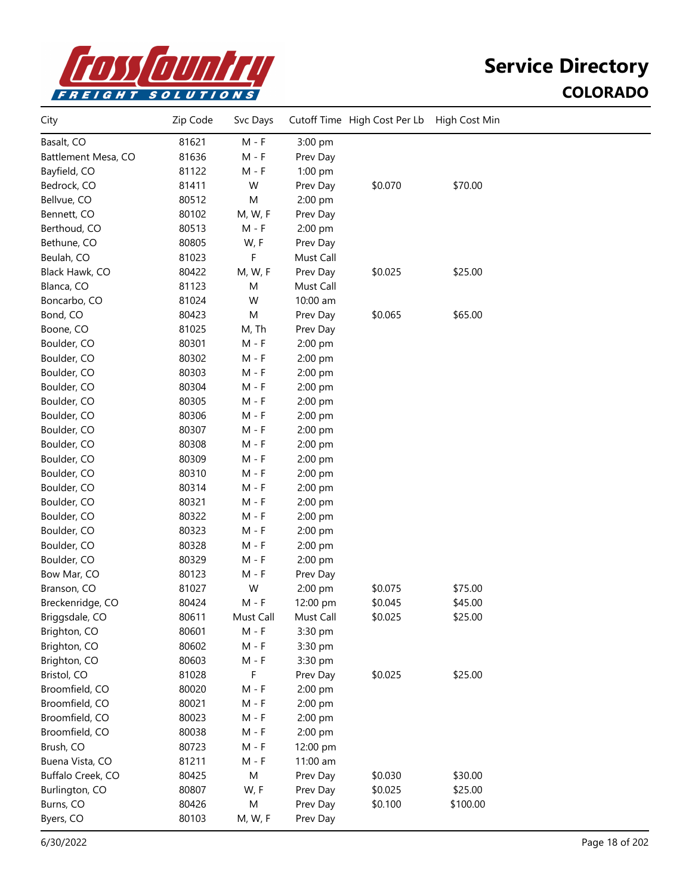

| City                | Zip Code | Svc Days  |           | Cutoff Time High Cost Per Lb | High Cost Min |  |
|---------------------|----------|-----------|-----------|------------------------------|---------------|--|
| Basalt, CO          | 81621    | $M - F$   | 3:00 pm   |                              |               |  |
| Battlement Mesa, CO | 81636    | $M - F$   | Prev Day  |                              |               |  |
| Bayfield, CO        | 81122    | M - F     | 1:00 pm   |                              |               |  |
| Bedrock, CO         | 81411    | W         | Prev Day  | \$0.070                      | \$70.00       |  |
| Bellvue, CO         | 80512    | M         | 2:00 pm   |                              |               |  |
| Bennett, CO         | 80102    | M, W, F   | Prev Day  |                              |               |  |
| Berthoud, CO        | 80513    | $M - F$   | 2:00 pm   |                              |               |  |
| Bethune, CO         | 80805    | W, F      | Prev Day  |                              |               |  |
| Beulah, CO          | 81023    | F         | Must Call |                              |               |  |
| Black Hawk, CO      | 80422    | M, W, F   | Prev Day  | \$0.025                      | \$25.00       |  |
| Blanca, CO          | 81123    | M         | Must Call |                              |               |  |
| Boncarbo, CO        | 81024    | W         | 10:00 am  |                              |               |  |
| Bond, CO            | 80423    | M         | Prev Day  | \$0.065                      | \$65.00       |  |
| Boone, CO           | 81025    | M, Th     | Prev Day  |                              |               |  |
| Boulder, CO         | 80301    | $M - F$   | 2:00 pm   |                              |               |  |
| Boulder, CO         | 80302    | $M - F$   | 2:00 pm   |                              |               |  |
| Boulder, CO         | 80303    | $M - F$   | 2:00 pm   |                              |               |  |
| Boulder, CO         | 80304    | M - F     | 2:00 pm   |                              |               |  |
| Boulder, CO         | 80305    | M - F     | 2:00 pm   |                              |               |  |
| Boulder, CO         | 80306    | $M - F$   | 2:00 pm   |                              |               |  |
| Boulder, CO         | 80307    | $M - F$   | 2:00 pm   |                              |               |  |
| Boulder, CO         | 80308    | $M - F$   | 2:00 pm   |                              |               |  |
| Boulder, CO         | 80309    | $M - F$   | 2:00 pm   |                              |               |  |
| Boulder, CO         | 80310    | $M - F$   | 2:00 pm   |                              |               |  |
| Boulder, CO         | 80314    | $M - F$   | 2:00 pm   |                              |               |  |
| Boulder, CO         | 80321    | M - F     | 2:00 pm   |                              |               |  |
| Boulder, CO         | 80322    | M - F     | 2:00 pm   |                              |               |  |
| Boulder, CO         | 80323    | M - F     | 2:00 pm   |                              |               |  |
| Boulder, CO         | 80328    | M - F     | 2:00 pm   |                              |               |  |
| Boulder, CO         | 80329    | $M - F$   | 2:00 pm   |                              |               |  |
| Bow Mar, CO         | 80123    | $M - F$   | Prev Day  |                              |               |  |
| Branson, CO         | 81027    | W         | 2:00 pm   | \$0.075                      | \$75.00       |  |
| Breckenridge, CO    | 80424    | $M - F$   | 12:00 pm  | \$0.045                      | \$45.00       |  |
| Briggsdale, CO      | 80611    | Must Call | Must Call | \$0.025                      | \$25.00       |  |
| Brighton, CO        | 80601    | $M - F$   | 3:30 pm   |                              |               |  |
| Brighton, CO        | 80602    | $M - F$   | 3:30 pm   |                              |               |  |
| Brighton, CO        | 80603    | $M - F$   | 3:30 pm   |                              |               |  |
| Bristol, CO         | 81028    | F         | Prev Day  | \$0.025                      | \$25.00       |  |
| Broomfield, CO      | 80020    | $M - F$   | 2:00 pm   |                              |               |  |
| Broomfield, CO      | 80021    | $M - F$   | 2:00 pm   |                              |               |  |
| Broomfield, CO      | 80023    | $M - F$   | 2:00 pm   |                              |               |  |
| Broomfield, CO      | 80038    | $M - F$   | 2:00 pm   |                              |               |  |
| Brush, CO           | 80723    | $M - F$   | 12:00 pm  |                              |               |  |
| Buena Vista, CO     | 81211    | $M - F$   | 11:00 am  |                              |               |  |
| Buffalo Creek, CO   | 80425    | M         | Prev Day  | \$0.030                      | \$30.00       |  |
| Burlington, CO      | 80807    | W, F      | Prev Day  | \$0.025                      | \$25.00       |  |
| Burns, CO           | 80426    | M         | Prev Day  | \$0.100                      | \$100.00      |  |
| Byers, CO           | 80103    | M, W, F   | Prev Day  |                              |               |  |
|                     |          |           |           |                              |               |  |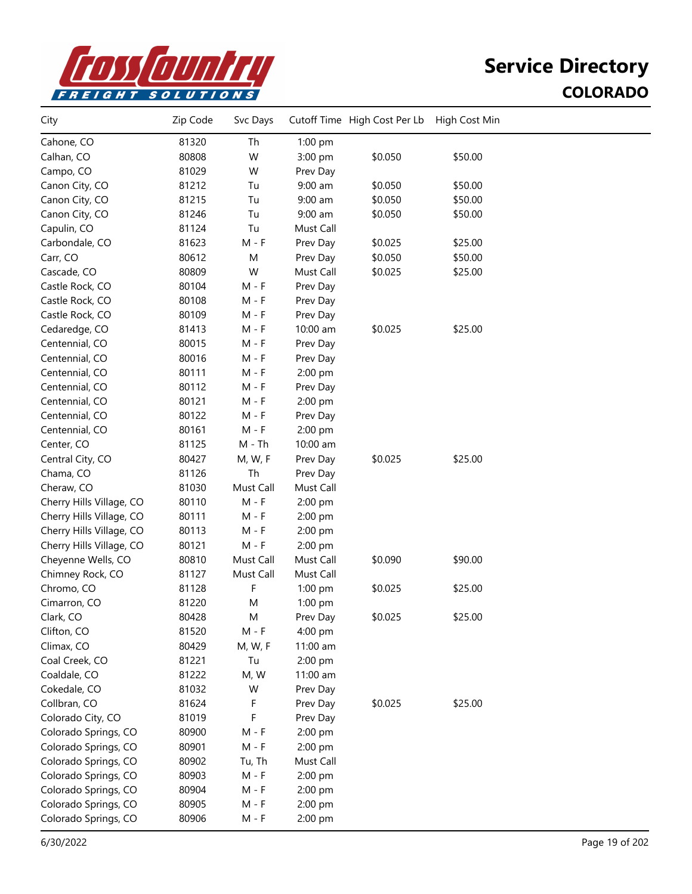

| City                     | Zip Code | Svc Days  |           | Cutoff Time High Cost Per Lb | High Cost Min |  |
|--------------------------|----------|-----------|-----------|------------------------------|---------------|--|
| Cahone, CO               | 81320    | Th        | 1:00 pm   |                              |               |  |
| Calhan, CO               | 80808    | W         | 3:00 pm   | \$0.050                      | \$50.00       |  |
| Campo, CO                | 81029    | W         | Prev Day  |                              |               |  |
| Canon City, CO           | 81212    | Tu        | $9:00$ am | \$0.050                      | \$50.00       |  |
| Canon City, CO           | 81215    | Tu        | $9:00$ am | \$0.050                      | \$50.00       |  |
| Canon City, CO           | 81246    | Tu        | $9:00$ am | \$0.050                      | \$50.00       |  |
| Capulin, CO              | 81124    | Tu        | Must Call |                              |               |  |
| Carbondale, CO           | 81623    | $M - F$   | Prev Day  | \$0.025                      | \$25.00       |  |
| Carr, CO                 | 80612    | M         | Prev Day  | \$0.050                      | \$50.00       |  |
| Cascade, CO              | 80809    | W         | Must Call | \$0.025                      | \$25.00       |  |
| Castle Rock, CO          | 80104    | $M - F$   | Prev Day  |                              |               |  |
| Castle Rock, CO          | 80108    | $M - F$   | Prev Day  |                              |               |  |
| Castle Rock, CO          | 80109    | M - F     | Prev Day  |                              |               |  |
| Cedaredge, CO            | 81413    | M - F     | 10:00 am  | \$0.025                      | \$25.00       |  |
| Centennial, CO           | 80015    | $M - F$   | Prev Day  |                              |               |  |
| Centennial, CO           | 80016    | $M - F$   | Prev Day  |                              |               |  |
| Centennial, CO           | 80111    | $M - F$   | 2:00 pm   |                              |               |  |
| Centennial, CO           | 80112    | $M - F$   | Prev Day  |                              |               |  |
| Centennial, CO           | 80121    | $M - F$   | 2:00 pm   |                              |               |  |
| Centennial, CO           | 80122    | $M - F$   | Prev Day  |                              |               |  |
| Centennial, CO           | 80161    | M - F     | 2:00 pm   |                              |               |  |
| Center, CO               | 81125    | $M - Th$  | 10:00 am  |                              |               |  |
| Central City, CO         | 80427    | M, W, F   | Prev Day  | \$0.025                      | \$25.00       |  |
| Chama, CO                | 81126    | Th        | Prev Day  |                              |               |  |
| Cheraw, CO               | 81030    | Must Call | Must Call |                              |               |  |
| Cherry Hills Village, CO | 80110    | $M - F$   | 2:00 pm   |                              |               |  |
| Cherry Hills Village, CO | 80111    | $M - F$   | 2:00 pm   |                              |               |  |
| Cherry Hills Village, CO | 80113    | $M - F$   | 2:00 pm   |                              |               |  |
| Cherry Hills Village, CO | 80121    | M - F     | 2:00 pm   |                              |               |  |
| Cheyenne Wells, CO       | 80810    | Must Call | Must Call | \$0.090                      | \$90.00       |  |
| Chimney Rock, CO         | 81127    | Must Call | Must Call |                              |               |  |
| Chromo, CO               | 81128    | F         | 1:00 pm   | \$0.025                      | \$25.00       |  |
| Cimarron, CO             | 81220    | M         | $1:00$ pm |                              |               |  |
| Clark, CO                | 80428    | M         | Prev Day  | \$0.025                      | \$25.00       |  |
| Clifton, CO              | 81520    | $M - F$   | 4:00 pm   |                              |               |  |
| Climax, CO               | 80429    | M, W, F   | 11:00 am  |                              |               |  |
| Coal Creek, CO           | 81221    | Tu        | 2:00 pm   |                              |               |  |
| Coaldale, CO             | 81222    | M, W      | 11:00 am  |                              |               |  |
| Cokedale, CO             | 81032    | W         | Prev Day  |                              |               |  |
| Collbran, CO             | 81624    | F         | Prev Day  | \$0.025                      | \$25.00       |  |
| Colorado City, CO        | 81019    | F         | Prev Day  |                              |               |  |
| Colorado Springs, CO     | 80900    | $M - F$   | 2:00 pm   |                              |               |  |
| Colorado Springs, CO     | 80901    | $M - F$   | 2:00 pm   |                              |               |  |
| Colorado Springs, CO     | 80902    | Tu, Th    | Must Call |                              |               |  |
| Colorado Springs, CO     | 80903    | M - F     | 2:00 pm   |                              |               |  |
| Colorado Springs, CO     | 80904    | $M - F$   | 2:00 pm   |                              |               |  |
| Colorado Springs, CO     | 80905    | $M - F$   | 2:00 pm   |                              |               |  |
| Colorado Springs, CO     | 80906    | $M - F$   | 2:00 pm   |                              |               |  |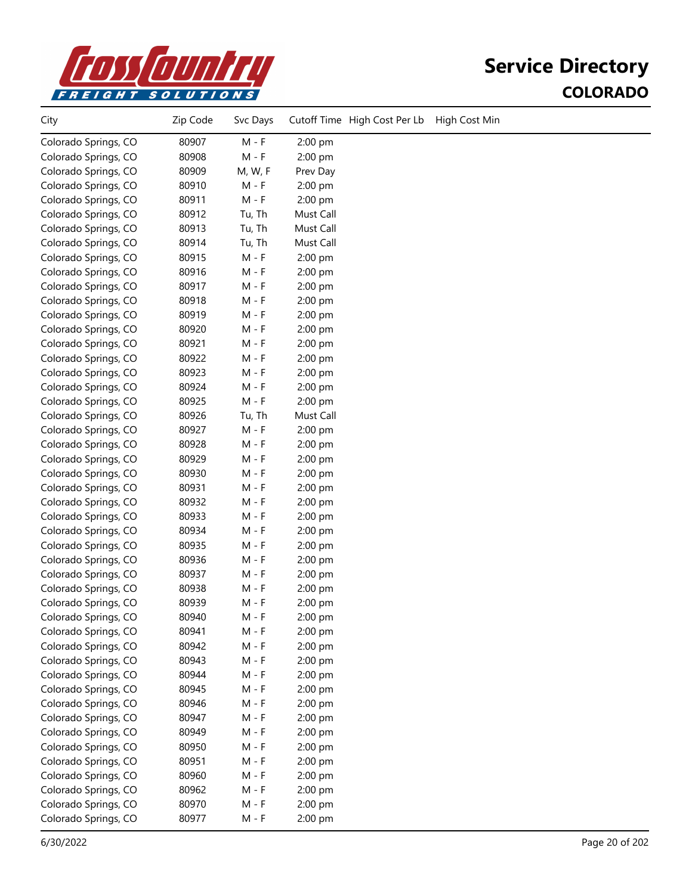

| City                 | Zip Code | Svc Days |           | Cutoff Time High Cost Per Lb | High Cost Min |
|----------------------|----------|----------|-----------|------------------------------|---------------|
| Colorado Springs, CO | 80907    | $M - F$  | 2:00 pm   |                              |               |
| Colorado Springs, CO | 80908    | $M - F$  | 2:00 pm   |                              |               |
| Colorado Springs, CO | 80909    | M, W, F  | Prev Day  |                              |               |
| Colorado Springs, CO | 80910    | $M - F$  | 2:00 pm   |                              |               |
| Colorado Springs, CO | 80911    | $M - F$  | 2:00 pm   |                              |               |
| Colorado Springs, CO | 80912    | Tu, Th   | Must Call |                              |               |
| Colorado Springs, CO | 80913    | Tu, Th   | Must Call |                              |               |
| Colorado Springs, CO | 80914    | Tu, Th   | Must Call |                              |               |
| Colorado Springs, CO | 80915    | $M - F$  | 2:00 pm   |                              |               |
| Colorado Springs, CO | 80916    | $M - F$  | $2:00$ pm |                              |               |
| Colorado Springs, CO | 80917    | $M - F$  | 2:00 pm   |                              |               |
| Colorado Springs, CO | 80918    | $M - F$  | 2:00 pm   |                              |               |
| Colorado Springs, CO | 80919    | $M - F$  | 2:00 pm   |                              |               |
| Colorado Springs, CO | 80920    | $M - F$  | 2:00 pm   |                              |               |
| Colorado Springs, CO | 80921    | $M - F$  | 2:00 pm   |                              |               |
| Colorado Springs, CO | 80922    | $M - F$  | 2:00 pm   |                              |               |
| Colorado Springs, CO | 80923    | $M - F$  | 2:00 pm   |                              |               |
| Colorado Springs, CO | 80924    | $M - F$  | 2:00 pm   |                              |               |
| Colorado Springs, CO | 80925    | $M - F$  | 2:00 pm   |                              |               |
| Colorado Springs, CO | 80926    | Tu, Th   | Must Call |                              |               |
| Colorado Springs, CO | 80927    | $M - F$  | 2:00 pm   |                              |               |
| Colorado Springs, CO | 80928    | $M - F$  | 2:00 pm   |                              |               |
| Colorado Springs, CO | 80929    | $M - F$  | 2:00 pm   |                              |               |
| Colorado Springs, CO | 80930    | M - F    | 2:00 pm   |                              |               |
| Colorado Springs, CO | 80931    | M - F    | 2:00 pm   |                              |               |
| Colorado Springs, CO | 80932    | M - F    | 2:00 pm   |                              |               |
| Colorado Springs, CO | 80933    | $M - F$  | 2:00 pm   |                              |               |
| Colorado Springs, CO | 80934    | $M - F$  | 2:00 pm   |                              |               |
| Colorado Springs, CO | 80935    | $M - F$  | 2:00 pm   |                              |               |
| Colorado Springs, CO | 80936    | $M - F$  | 2:00 pm   |                              |               |
| Colorado Springs, CO | 80937    | M - F    | 2:00 pm   |                              |               |
| Colorado Springs, CO | 80938    | M - F    | 2:00 pm   |                              |               |
| Colorado Springs, CO | 80939    | M - F    | 2:00 pm   |                              |               |
| Colorado Springs, CO | 80940    | $M - F$  | 2:00 pm   |                              |               |
| Colorado Springs, CO | 80941    | $M - F$  | 2:00 pm   |                              |               |
| Colorado Springs, CO | 80942    | $M - F$  | 2:00 pm   |                              |               |
| Colorado Springs, CO | 80943    | $M - F$  | 2:00 pm   |                              |               |
| Colorado Springs, CO | 80944    | $M - F$  | 2:00 pm   |                              |               |
| Colorado Springs, CO | 80945    | $M - F$  | 2:00 pm   |                              |               |
| Colorado Springs, CO | 80946    | M - F    | 2:00 pm   |                              |               |
| Colorado Springs, CO | 80947    | $M - F$  | 2:00 pm   |                              |               |
| Colorado Springs, CO | 80949    | $M - F$  | 2:00 pm   |                              |               |
| Colorado Springs, CO | 80950    | $M - F$  | $2:00$ pm |                              |               |
| Colorado Springs, CO | 80951    | $M - F$  | $2:00$ pm |                              |               |
| Colorado Springs, CO | 80960    | $M - F$  | 2:00 pm   |                              |               |
| Colorado Springs, CO | 80962    | $M - F$  | 2:00 pm   |                              |               |
| Colorado Springs, CO | 80970    | $M - F$  | 2:00 pm   |                              |               |
| Colorado Springs, CO | 80977    | $M - F$  | 2:00 pm   |                              |               |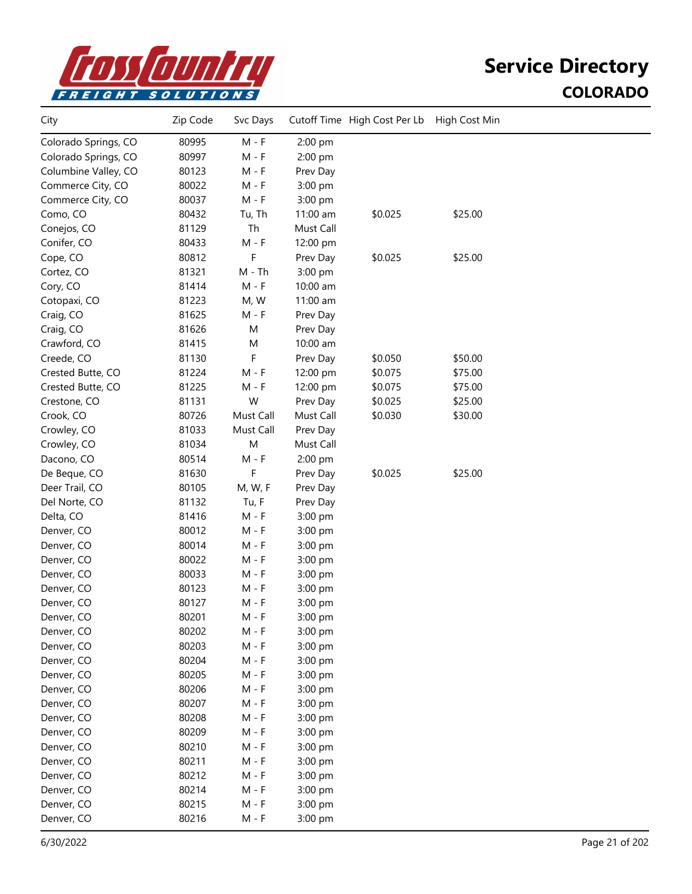

| City                 | Zip Code | Svc Days  |           | Cutoff Time High Cost Per Lb | High Cost Min |  |
|----------------------|----------|-----------|-----------|------------------------------|---------------|--|
| Colorado Springs, CO | 80995    | $M - F$   | 2:00 pm   |                              |               |  |
| Colorado Springs, CO | 80997    | $M - F$   | 2:00 pm   |                              |               |  |
| Columbine Valley, CO | 80123    | M - F     | Prev Day  |                              |               |  |
| Commerce City, CO    | 80022    | M - F     | 3:00 pm   |                              |               |  |
| Commerce City, CO    | 80037    | $M - F$   | 3:00 pm   |                              |               |  |
| Como, CO             | 80432    | Tu, Th    | 11:00 am  | \$0.025                      | \$25.00       |  |
| Conejos, CO          | 81129    | Th        | Must Call |                              |               |  |
| Conifer, CO          | 80433    | $M - F$   | 12:00 pm  |                              |               |  |
| Cope, CO             | 80812    | F         | Prev Day  | \$0.025                      | \$25.00       |  |
| Cortez, CO           | 81321    | M - Th    | 3:00 pm   |                              |               |  |
| Cory, CO             | 81414    | $M - F$   | 10:00 am  |                              |               |  |
| Cotopaxi, CO         | 81223    | M, W      | 11:00 am  |                              |               |  |
| Craig, CO            | 81625    | $M - F$   | Prev Day  |                              |               |  |
| Craig, CO            | 81626    | M         | Prev Day  |                              |               |  |
| Crawford, CO         | 81415    | M         | 10:00 am  |                              |               |  |
| Creede, CO           | 81130    | F         | Prev Day  | \$0.050                      | \$50.00       |  |
| Crested Butte, CO    | 81224    | $M - F$   | 12:00 pm  | \$0.075                      | \$75.00       |  |
| Crested Butte, CO    | 81225    | M - F     | 12:00 pm  | \$0.075                      | \$75.00       |  |
| Crestone, CO         | 81131    | W         | Prev Day  | \$0.025                      | \$25.00       |  |
| Crook, CO            | 80726    | Must Call | Must Call | \$0.030                      | \$30.00       |  |
| Crowley, CO          | 81033    | Must Call | Prev Day  |                              |               |  |
| Crowley, CO          | 81034    | M         | Must Call |                              |               |  |
| Dacono, CO           | 80514    | $M - F$   | 2:00 pm   |                              |               |  |
| De Beque, CO         | 81630    | F         | Prev Day  | \$0.025                      | \$25.00       |  |
| Deer Trail, CO       | 80105    | M, W, F   | Prev Day  |                              |               |  |
| Del Norte, CO        | 81132    | Tu, F     | Prev Day  |                              |               |  |
| Delta, CO            | 81416    | M - F     | 3:00 pm   |                              |               |  |
| Denver, CO           | 80012    | M - F     | 3:00 pm   |                              |               |  |
| Denver, CO           | 80014    | M - F     | 3:00 pm   |                              |               |  |
| Denver, CO           | 80022    | $M - F$   | 3:00 pm   |                              |               |  |
| Denver, CO           | 80033    | $M - F$   | 3:00 pm   |                              |               |  |
| Denver, CO           | 80123    | M - F     | 3:00 pm   |                              |               |  |
| Denver, CO           | 80127    | $M - F$   | 3:00 pm   |                              |               |  |
| Denver, CO           | 80201    | M - F     | $3:00$ pm |                              |               |  |
| Denver, CO           | 80202    | M - F     | 3:00 pm   |                              |               |  |
| Denver, CO           | 80203    | $M - F$   | 3:00 pm   |                              |               |  |
| Denver, CO           | 80204    | $M - F$   | 3:00 pm   |                              |               |  |
| Denver, CO           | 80205    | $M - F$   | 3:00 pm   |                              |               |  |
| Denver, CO           | 80206    | $M - F$   | 3:00 pm   |                              |               |  |
| Denver, CO           | 80207    | $M - F$   | 3:00 pm   |                              |               |  |
| Denver, CO           | 80208    | $M - F$   | 3:00 pm   |                              |               |  |
| Denver, CO           | 80209    | M - F     | 3:00 pm   |                              |               |  |
| Denver, CO           | 80210    | $M - F$   | 3:00 pm   |                              |               |  |
| Denver, CO           | 80211    | $M - F$   | 3:00 pm   |                              |               |  |
| Denver, CO           | 80212    | $M - F$   | 3:00 pm   |                              |               |  |
| Denver, CO           | 80214    | $M - F$   | 3:00 pm   |                              |               |  |
| Denver, CO           | 80215    | $M - F$   | 3:00 pm   |                              |               |  |
| Denver, CO           | 80216    | $M - F$   | 3:00 pm   |                              |               |  |
|                      |          |           |           |                              |               |  |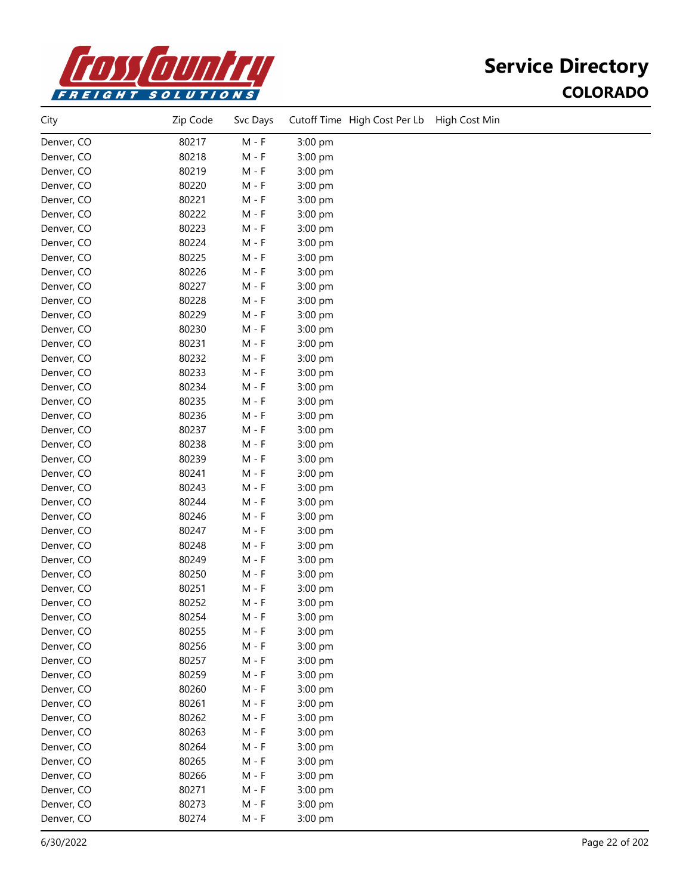

| City       | Zip Code | Svc Days                    |         | Cutoff Time High Cost Per Lb | High Cost Min |
|------------|----------|-----------------------------|---------|------------------------------|---------------|
| Denver, CO | 80217    | $\mathsf{M}$ - $\mathsf{F}$ | 3:00 pm |                              |               |
| Denver, CO | 80218    | $M - F$                     | 3:00 pm |                              |               |
| Denver, CO | 80219    | $M - F$                     | 3:00 pm |                              |               |
| Denver, CO | 80220    | $M - F$                     | 3:00 pm |                              |               |
| Denver, CO | 80221    | $M - F$                     | 3:00 pm |                              |               |
| Denver, CO | 80222    | M - F                       | 3:00 pm |                              |               |
| Denver, CO | 80223    | M - F                       | 3:00 pm |                              |               |
| Denver, CO | 80224    | $M - F$                     | 3:00 pm |                              |               |
| Denver, CO | 80225    | $M - F$                     | 3:00 pm |                              |               |
| Denver, CO | 80226    | $M - F$                     | 3:00 pm |                              |               |
| Denver, CO | 80227    | $M - F$                     | 3:00 pm |                              |               |
| Denver, CO | 80228    | $M - F$                     | 3:00 pm |                              |               |
| Denver, CO | 80229    | $M - F$                     | 3:00 pm |                              |               |
| Denver, CO | 80230    | $M - F$                     | 3:00 pm |                              |               |
| Denver, CO | 80231    | M - F                       | 3:00 pm |                              |               |
| Denver, CO | 80232    | $M - F$                     | 3:00 pm |                              |               |
| Denver, CO | 80233    | $M - F$                     | 3:00 pm |                              |               |
| Denver, CO | 80234    | $M - F$                     | 3:00 pm |                              |               |
| Denver, CO | 80235    | $M - F$                     | 3:00 pm |                              |               |
| Denver, CO | 80236    | $M - F$                     | 3:00 pm |                              |               |
| Denver, CO | 80237    | $M - F$                     | 3:00 pm |                              |               |
| Denver, CO | 80238    | M - F                       | 3:00 pm |                              |               |
| Denver, CO | 80239    | M - F                       | 3:00 pm |                              |               |
| Denver, CO | 80241    | M - F                       | 3:00 pm |                              |               |
| Denver, CO | 80243    | M - F                       | 3:00 pm |                              |               |
| Denver, CO | 80244    | $M - F$                     | 3:00 pm |                              |               |
| Denver, CO | 80246    | $M - F$                     | 3:00 pm |                              |               |
| Denver, CO | 80247    | $M - F$                     | 3:00 pm |                              |               |
| Denver, CO | 80248    | $M - F$                     | 3:00 pm |                              |               |
| Denver, CO | 80249    | $M - F$                     | 3:00 pm |                              |               |
| Denver, CO | 80250    | $M - F$                     | 3:00 pm |                              |               |
| Denver, CO | 80251    | $M - F$                     | 3:00 pm |                              |               |
| Denver, CO | 80252    | $M - F$                     | 3:00 pm |                              |               |
| Denver, CO | 80254    | M - F                       | 3:00 pm |                              |               |
| Denver, CO | 80255    | $M - F$                     | 3:00 pm |                              |               |
| Denver, CO | 80256    | $M - F$                     | 3:00 pm |                              |               |
| Denver, CO | 80257    | $M - F$                     | 3:00 pm |                              |               |
| Denver, CO | 80259    | $M - F$                     | 3:00 pm |                              |               |
| Denver, CO | 80260    | $M - F$                     | 3:00 pm |                              |               |
| Denver, CO | 80261    | $M - F$                     | 3:00 pm |                              |               |
| Denver, CO | 80262    | $M - F$                     | 3:00 pm |                              |               |
| Denver, CO | 80263    | $M - F$                     | 3:00 pm |                              |               |
| Denver, CO | 80264    | $M - F$                     | 3:00 pm |                              |               |
| Denver, CO | 80265    | $M - F$                     | 3:00 pm |                              |               |
| Denver, CO | 80266    | $M - F$                     | 3:00 pm |                              |               |
| Denver, CO | 80271    | $M - F$                     | 3:00 pm |                              |               |
| Denver, CO | 80273    | $M - F$                     | 3:00 pm |                              |               |
| Denver, CO | 80274    | $M - F$                     | 3:00 pm |                              |               |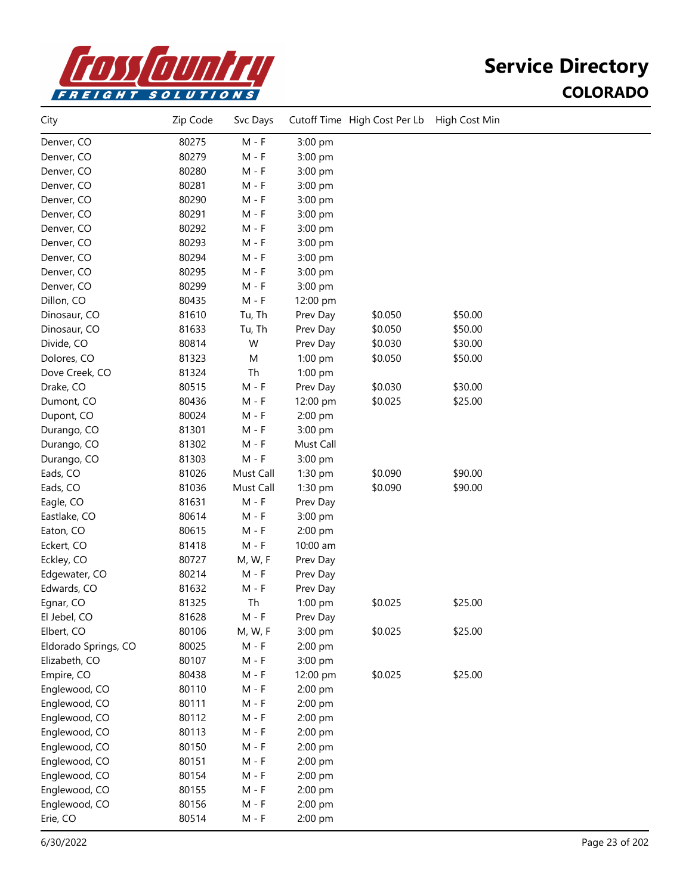

| City                 | Zip Code | Svc Days  |           | Cutoff Time High Cost Per Lb | High Cost Min |  |
|----------------------|----------|-----------|-----------|------------------------------|---------------|--|
| Denver, CO           | 80275    | $M - F$   | 3:00 pm   |                              |               |  |
| Denver, CO           | 80279    | $M - F$   | 3:00 pm   |                              |               |  |
| Denver, CO           | 80280    | $M - F$   | 3:00 pm   |                              |               |  |
| Denver, CO           | 80281    | $M - F$   | 3:00 pm   |                              |               |  |
| Denver, CO           | 80290    | $M - F$   | 3:00 pm   |                              |               |  |
| Denver, CO           | 80291    | $M - F$   | 3:00 pm   |                              |               |  |
| Denver, CO           | 80292    | $M - F$   | 3:00 pm   |                              |               |  |
| Denver, CO           | 80293    | $M - F$   | 3:00 pm   |                              |               |  |
| Denver, CO           | 80294    | $M - F$   | 3:00 pm   |                              |               |  |
| Denver, CO           | 80295    | $M - F$   | 3:00 pm   |                              |               |  |
| Denver, CO           | 80299    | $M - F$   | 3:00 pm   |                              |               |  |
| Dillon, CO           | 80435    | $M - F$   | 12:00 pm  |                              |               |  |
| Dinosaur, CO         | 81610    | Tu, Th    | Prev Day  | \$0.050                      | \$50.00       |  |
| Dinosaur, CO         | 81633    | Tu, Th    | Prev Day  | \$0.050                      | \$50.00       |  |
| Divide, CO           | 80814    | W         | Prev Day  | \$0.030                      | \$30.00       |  |
| Dolores, CO          | 81323    | M         | 1:00 pm   | \$0.050                      | \$50.00       |  |
| Dove Creek, CO       | 81324    | Th        | 1:00 pm   |                              |               |  |
| Drake, CO            | 80515    | $M - F$   | Prev Day  | \$0.030                      | \$30.00       |  |
| Dumont, CO           | 80436    | $M - F$   | 12:00 pm  | \$0.025                      | \$25.00       |  |
| Dupont, CO           | 80024    | $M - F$   | 2:00 pm   |                              |               |  |
| Durango, CO          | 81301    | $M - F$   | 3:00 pm   |                              |               |  |
| Durango, CO          | 81302    | $M - F$   | Must Call |                              |               |  |
| Durango, CO          | 81303    | $M - F$   | 3:00 pm   |                              |               |  |
| Eads, CO             | 81026    | Must Call | 1:30 pm   | \$0.090                      | \$90.00       |  |
| Eads, CO             | 81036    | Must Call | 1:30 pm   | \$0.090                      | \$90.00       |  |
| Eagle, CO            | 81631    | $M - F$   | Prev Day  |                              |               |  |
| Eastlake, CO         | 80614    | M - F     | 3:00 pm   |                              |               |  |
| Eaton, CO            | 80615    | M - F     | 2:00 pm   |                              |               |  |
| Eckert, CO           | 81418    | $M - F$   | 10:00 am  |                              |               |  |
| Eckley, CO           | 80727    | M, W, F   | Prev Day  |                              |               |  |
| Edgewater, CO        | 80214    | $M - F$   | Prev Day  |                              |               |  |
| Edwards, CO          | 81632    | $M - F$   | Prev Day  |                              |               |  |
| Egnar, CO            | 81325    | Th        | 1:00 pm   | \$0.025                      | \$25.00       |  |
| El Jebel, CO         | 81628    | $M - F$   | Prev Day  |                              |               |  |
| Elbert, CO           | 80106    | M, W, F   | 3:00 pm   | \$0.025                      | \$25.00       |  |
| Eldorado Springs, CO | 80025    | $M - F$   | 2:00 pm   |                              |               |  |
| Elizabeth, CO        | 80107    | $M - F$   | 3:00 pm   |                              |               |  |
| Empire, CO           | 80438    | $M - F$   | 12:00 pm  | \$0.025                      | \$25.00       |  |
| Englewood, CO        | 80110    | $M - F$   | 2:00 pm   |                              |               |  |
| Englewood, CO        | 80111    | $M - F$   | 2:00 pm   |                              |               |  |
| Englewood, CO        | 80112    | $M - F$   | 2:00 pm   |                              |               |  |
| Englewood, CO        | 80113    | $M - F$   | 2:00 pm   |                              |               |  |
| Englewood, CO        | 80150    | $M - F$   | 2:00 pm   |                              |               |  |
| Englewood, CO        | 80151    | M - F     | 2:00 pm   |                              |               |  |
| Englewood, CO        | 80154    | $M - F$   | 2:00 pm   |                              |               |  |
| Englewood, CO        | 80155    | $M - F$   | 2:00 pm   |                              |               |  |
| Englewood, CO        | 80156    | $M - F$   | 2:00 pm   |                              |               |  |
| Erie, CO             | 80514    | M - F     | 2:00 pm   |                              |               |  |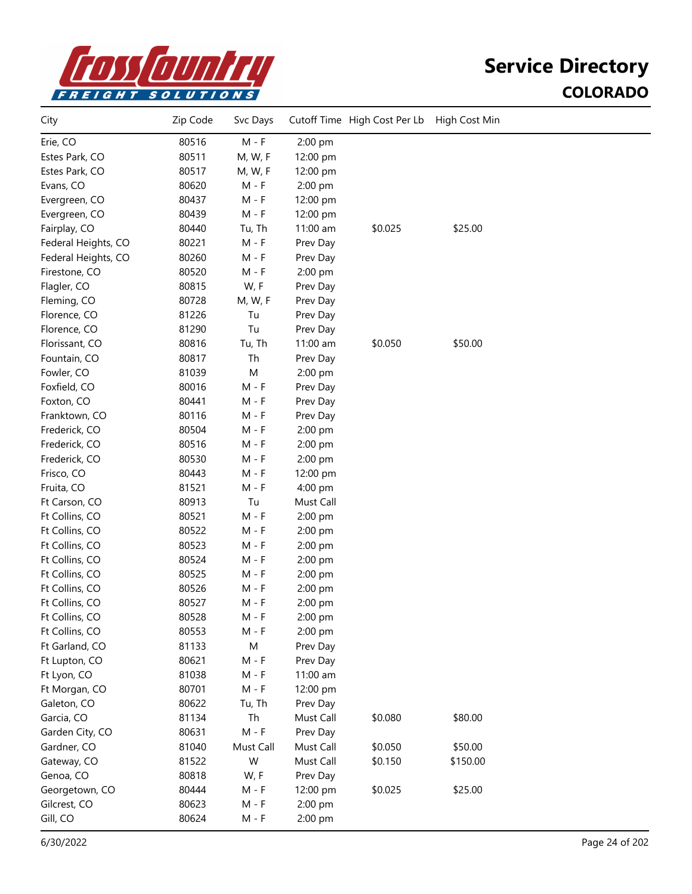

| City                | Zip Code | Svc Days  |                    | Cutoff Time High Cost Per Lb | High Cost Min |  |
|---------------------|----------|-----------|--------------------|------------------------------|---------------|--|
| Erie, CO            | 80516    | $M - F$   | 2:00 pm            |                              |               |  |
| Estes Park, CO      | 80511    | M, W, F   | 12:00 pm           |                              |               |  |
| Estes Park, CO      | 80517    | M, W, F   | 12:00 pm           |                              |               |  |
| Evans, CO           | 80620    | $M - F$   | 2:00 pm            |                              |               |  |
| Evergreen, CO       | 80437    | $M - F$   | 12:00 pm           |                              |               |  |
| Evergreen, CO       | 80439    | $M - F$   | 12:00 pm           |                              |               |  |
| Fairplay, CO        | 80440    | Tu, Th    | 11:00 am           | \$0.025                      | \$25.00       |  |
| Federal Heights, CO | 80221    | $M - F$   | Prev Day           |                              |               |  |
| Federal Heights, CO | 80260    | $M - F$   | Prev Day           |                              |               |  |
| Firestone, CO       | 80520    | M - F     | 2:00 pm            |                              |               |  |
| Flagler, CO         | 80815    | W, F      | Prev Day           |                              |               |  |
| Fleming, CO         | 80728    | M, W, F   | Prev Day           |                              |               |  |
| Florence, CO        | 81226    | Tu        | Prev Day           |                              |               |  |
| Florence, CO        | 81290    | Tu        | Prev Day           |                              |               |  |
| Florissant, CO      | 80816    | Tu, Th    | 11:00 am           | \$0.050                      | \$50.00       |  |
| Fountain, CO        | 80817    | Th        | Prev Day           |                              |               |  |
| Fowler, CO          | 81039    | M         | 2:00 pm            |                              |               |  |
| Foxfield, CO        | 80016    | $M - F$   | Prev Day           |                              |               |  |
| Foxton, CO          | 80441    | $M - F$   | Prev Day           |                              |               |  |
| Franktown, CO       | 80116    | $M - F$   | Prev Day           |                              |               |  |
| Frederick, CO       | 80504    | $M - F$   | 2:00 pm            |                              |               |  |
| Frederick, CO       | 80516    | $M - F$   | 2:00 pm            |                              |               |  |
| Frederick, CO       | 80530    | $M - F$   | 2:00 pm            |                              |               |  |
| Frisco, CO          | 80443    | M - F     | 12:00 pm           |                              |               |  |
| Fruita, CO          | 81521    | $M - F$   | 4:00 pm            |                              |               |  |
| Ft Carson, CO       | 80913    | Tu        | Must Call          |                              |               |  |
| Ft Collins, CO      | 80521    | $M - F$   | 2:00 pm            |                              |               |  |
| Ft Collins, CO      | 80522    | M - F     | 2:00 pm            |                              |               |  |
| Ft Collins, CO      | 80523    | M - F     | 2:00 pm            |                              |               |  |
| Ft Collins, CO      | 80524    | $M - F$   | 2:00 pm            |                              |               |  |
| Ft Collins, CO      | 80525    | $M - F$   | 2:00 pm            |                              |               |  |
| Ft Collins, CO      | 80526    | $M - F$   | 2:00 pm            |                              |               |  |
| Ft Collins, CO      | 80527    | M - F     | 2:00 pm            |                              |               |  |
| Ft Collins, CO      | 80528    | M - F     | $2:00~\mathrm{pm}$ |                              |               |  |
| Ft Collins, CO      | 80553    | M - F     | 2:00 pm            |                              |               |  |
| Ft Garland, CO      | 81133    | M         | Prev Day           |                              |               |  |
| Ft Lupton, CO       | 80621    | $M - F$   | Prev Day           |                              |               |  |
| Ft Lyon, CO         | 81038    | $M - F$   | 11:00 am           |                              |               |  |
| Ft Morgan, CO       | 80701    | $M - F$   | 12:00 pm           |                              |               |  |
| Galeton, CO         | 80622    | Tu, Th    | Prev Day           |                              |               |  |
| Garcia, CO          | 81134    | Th        | Must Call          | \$0.080                      | \$80.00       |  |
| Garden City, CO     | 80631    | $M - F$   | Prev Day           |                              |               |  |
| Gardner, CO         | 81040    | Must Call | Must Call          | \$0.050                      | \$50.00       |  |
| Gateway, CO         | 81522    | W         | Must Call          | \$0.150                      | \$150.00      |  |
| Genoa, CO           | 80818    | W, F      | Prev Day           |                              |               |  |
| Georgetown, CO      | 80444    | $M - F$   | 12:00 pm           | \$0.025                      | \$25.00       |  |
| Gilcrest, CO        | 80623    | $M - F$   | 2:00 pm            |                              |               |  |
| Gill, CO            | 80624    | $M - F$   | 2:00 pm            |                              |               |  |
|                     |          |           |                    |                              |               |  |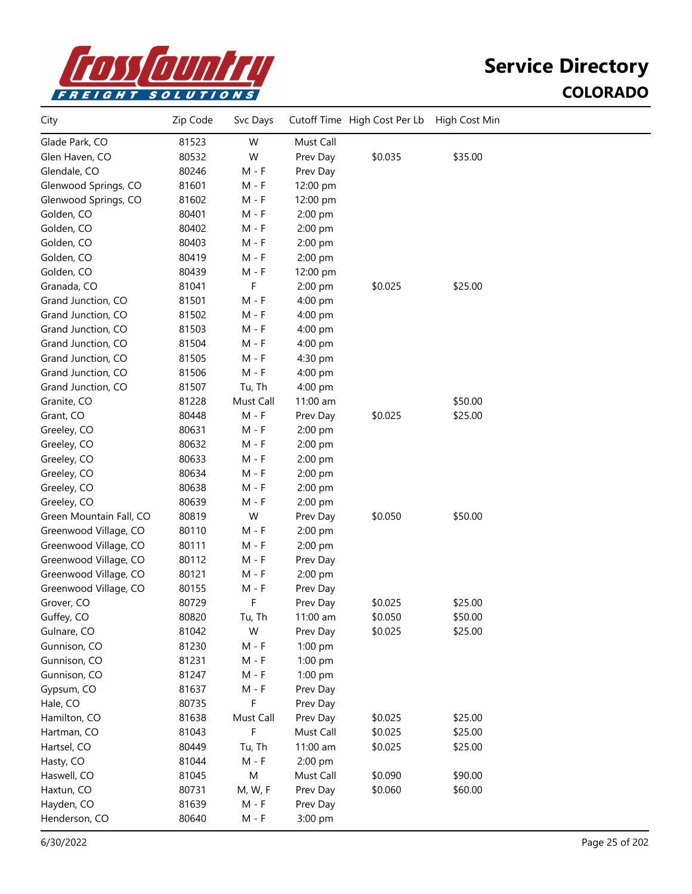

| City                    | Zip Code | Svc Days  |           | Cutoff Time High Cost Per Lb | High Cost Min |  |
|-------------------------|----------|-----------|-----------|------------------------------|---------------|--|
| Glade Park, CO          | 81523    | W         | Must Call |                              |               |  |
| Glen Haven, CO          | 80532    | W         | Prev Day  | \$0.035                      | \$35.00       |  |
| Glendale, CO            | 80246    | M - F     | Prev Day  |                              |               |  |
| Glenwood Springs, CO    | 81601    | M - F     | 12:00 pm  |                              |               |  |
| Glenwood Springs, CO    | 81602    | M - F     | 12:00 pm  |                              |               |  |
| Golden, CO              | 80401    | $M - F$   | 2:00 pm   |                              |               |  |
| Golden, CO              | 80402    | $M - F$   | 2:00 pm   |                              |               |  |
| Golden, CO              | 80403    | $M - F$   | 2:00 pm   |                              |               |  |
| Golden, CO              | 80419    | $M - F$   | 2:00 pm   |                              |               |  |
| Golden, CO              | 80439    | $M - F$   | 12:00 pm  |                              |               |  |
| Granada, CO             | 81041    | F         | 2:00 pm   | \$0.025                      | \$25.00       |  |
| Grand Junction, CO      | 81501    | M - F     | 4:00 pm   |                              |               |  |
| Grand Junction, CO      | 81502    | M - F     | 4:00 pm   |                              |               |  |
| Grand Junction, CO      | 81503    | $M - F$   | 4:00 pm   |                              |               |  |
| Grand Junction, CO      | 81504    | M - F     | 4:00 pm   |                              |               |  |
| Grand Junction, CO      | 81505    | $M - F$   | 4:30 pm   |                              |               |  |
| Grand Junction, CO      | 81506    | $M - F$   | 4:00 pm   |                              |               |  |
| Grand Junction, CO      | 81507    | Tu, Th    | 4:00 pm   |                              |               |  |
| Granite, CO             | 81228    | Must Call | 11:00 am  |                              | \$50.00       |  |
| Grant, CO               | 80448    | M - F     | Prev Day  | \$0.025                      | \$25.00       |  |
| Greeley, CO             | 80631    | M - F     | 2:00 pm   |                              |               |  |
| Greeley, CO             | 80632    | M - F     | 2:00 pm   |                              |               |  |
| Greeley, CO             | 80633    | M - F     | 2:00 pm   |                              |               |  |
| Greeley, CO             | 80634    | M - F     | 2:00 pm   |                              |               |  |
| Greeley, CO             | 80638    | $M - F$   | 2:00 pm   |                              |               |  |
| Greeley, CO             | 80639    | $M - F$   | 2:00 pm   |                              |               |  |
| Green Mountain Fall, CO | 80819    | W         | Prev Day  | \$0.050                      | \$50.00       |  |
| Greenwood Village, CO   | 80110    | M - F     | 2:00 pm   |                              |               |  |
| Greenwood Village, CO   | 80111    | M - F     | $2:00$ pm |                              |               |  |
| Greenwood Village, CO   | 80112    | M - F     | Prev Day  |                              |               |  |
| Greenwood Village, CO   | 80121    | M - F     | 2:00 pm   |                              |               |  |
| Greenwood Village, CO   | 80155    | M - F     | Prev Day  |                              |               |  |
| Grover, CO              | 80729    | F         | Prev Day  | \$0.025                      | \$25.00       |  |
| Guffey, CO              | 80820    | Tu, Th    | 11:00 am  | \$0.050                      | \$50.00       |  |
| Gulnare, CO             | 81042    | W         | Prev Day  | \$0.025                      | \$25.00       |  |
| Gunnison, CO            | 81230    | $M - F$   | 1:00 pm   |                              |               |  |
| Gunnison, CO            | 81231    | $M - F$   | 1:00 pm   |                              |               |  |
| Gunnison, CO            | 81247    | M - F     | 1:00 pm   |                              |               |  |
| Gypsum, CO              | 81637    | $M - F$   | Prev Day  |                              |               |  |
| Hale, CO                | 80735    | F         | Prev Day  |                              |               |  |
| Hamilton, CO            | 81638    | Must Call | Prev Day  | \$0.025                      | \$25.00       |  |
| Hartman, CO             | 81043    | F         | Must Call | \$0.025                      | \$25.00       |  |
| Hartsel, CO             | 80449    | Tu, Th    | 11:00 am  | \$0.025                      | \$25.00       |  |
| Hasty, CO               | 81044    | M - F     | 2:00 pm   |                              |               |  |
| Haswell, CO             | 81045    | M         | Must Call | \$0.090                      | \$90.00       |  |
| Haxtun, CO              | 80731    | M, W, F   | Prev Day  | \$0.060                      | \$60.00       |  |
| Hayden, CO              | 81639    | $M - F$   | Prev Day  |                              |               |  |
| Henderson, CO           | 80640    | $M - F$   | 3:00 pm   |                              |               |  |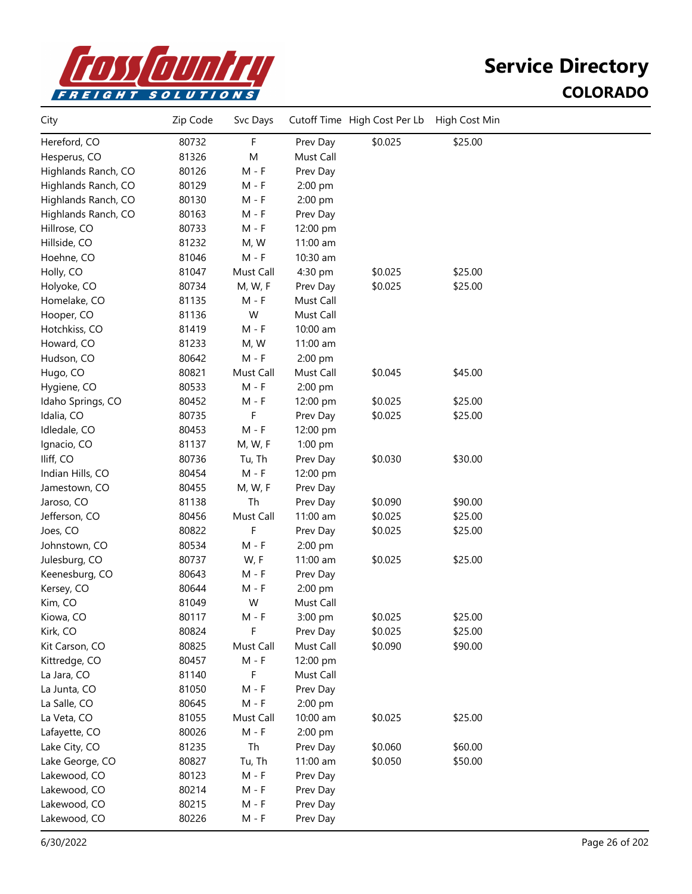

| City                | Zip Code | Svc Days  |           | Cutoff Time High Cost Per Lb | High Cost Min |  |
|---------------------|----------|-----------|-----------|------------------------------|---------------|--|
| Hereford, CO        | 80732    | F         | Prev Day  | \$0.025                      | \$25.00       |  |
| Hesperus, CO        | 81326    | M         | Must Call |                              |               |  |
| Highlands Ranch, CO | 80126    | $M - F$   | Prev Day  |                              |               |  |
| Highlands Ranch, CO | 80129    | $M - F$   | 2:00 pm   |                              |               |  |
| Highlands Ranch, CO | 80130    | $M - F$   | 2:00 pm   |                              |               |  |
| Highlands Ranch, CO | 80163    | $M - F$   | Prev Day  |                              |               |  |
| Hillrose, CO        | 80733    | $M - F$   | 12:00 pm  |                              |               |  |
| Hillside, CO        | 81232    | M, W      | 11:00 am  |                              |               |  |
| Hoehne, CO          | 81046    | M - F     | 10:30 am  |                              |               |  |
| Holly, CO           | 81047    | Must Call | 4:30 pm   | \$0.025                      | \$25.00       |  |
| Holyoke, CO         | 80734    | M, W, F   | Prev Day  | \$0.025                      | \$25.00       |  |
| Homelake, CO        | 81135    | M - F     | Must Call |                              |               |  |
| Hooper, CO          | 81136    | W         | Must Call |                              |               |  |
| Hotchkiss, CO       | 81419    | M - F     | 10:00 am  |                              |               |  |
| Howard, CO          | 81233    | M, W      | 11:00 am  |                              |               |  |
| Hudson, CO          | 80642    | $M - F$   | 2:00 pm   |                              |               |  |
| Hugo, CO            | 80821    | Must Call | Must Call | \$0.045                      | \$45.00       |  |
| Hygiene, CO         | 80533    | M - F     | 2:00 pm   |                              |               |  |
| Idaho Springs, CO   | 80452    | M - F     | 12:00 pm  | \$0.025                      | \$25.00       |  |
| Idalia, CO          | 80735    | F         | Prev Day  | \$0.025                      | \$25.00       |  |
| Idledale, CO        | 80453    | $M - F$   | 12:00 pm  |                              |               |  |
| Ignacio, CO         | 81137    | M, W, F   | 1:00 pm   |                              |               |  |
| Iliff, CO           | 80736    | Tu, Th    | Prev Day  | \$0.030                      | \$30.00       |  |
| Indian Hills, CO    | 80454    | $M - F$   | 12:00 pm  |                              |               |  |
| Jamestown, CO       | 80455    | M, W, F   | Prev Day  |                              |               |  |
| Jaroso, CO          | 81138    | Th        | Prev Day  | \$0.090                      | \$90.00       |  |
| Jefferson, CO       | 80456    | Must Call | 11:00 am  | \$0.025                      | \$25.00       |  |
| Joes, CO            | 80822    | F         | Prev Day  | \$0.025                      | \$25.00       |  |
| Johnstown, CO       | 80534    | $M - F$   | 2:00 pm   |                              |               |  |
| Julesburg, CO       | 80737    | W, F      | 11:00 am  | \$0.025                      | \$25.00       |  |
| Keenesburg, CO      | 80643    | $M - F$   | Prev Day  |                              |               |  |
| Kersey, CO          | 80644    | $M - F$   | 2:00 pm   |                              |               |  |
| Kim, CO             | 81049    | W         | Must Call |                              |               |  |
| Kiowa, CO           | 80117    | M - F     | 3:00 pm   | \$0.025                      | \$25.00       |  |
| Kirk, CO            | 80824    | F         | Prev Day  | \$0.025                      | \$25.00       |  |
| Kit Carson, CO      | 80825    | Must Call | Must Call | \$0.090                      | \$90.00       |  |
| Kittredge, CO       | 80457    | $M - F$   | 12:00 pm  |                              |               |  |
| La Jara, CO         | 81140    | F         | Must Call |                              |               |  |
| La Junta, CO        | 81050    | $M - F$   | Prev Day  |                              |               |  |
| La Salle, CO        | 80645    | $M - F$   | 2:00 pm   |                              |               |  |
| La Veta, CO         | 81055    | Must Call | 10:00 am  | \$0.025                      | \$25.00       |  |
| Lafayette, CO       | 80026    | $M - F$   | 2:00 pm   |                              |               |  |
| Lake City, CO       | 81235    | Th        | Prev Day  | \$0.060                      | \$60.00       |  |
| Lake George, CO     | 80827    | Tu, Th    | 11:00 am  | \$0.050                      | \$50.00       |  |
| Lakewood, CO        | 80123    | $M - F$   | Prev Day  |                              |               |  |
| Lakewood, CO        | 80214    | $M - F$   | Prev Day  |                              |               |  |
| Lakewood, CO        | 80215    | M - F     | Prev Day  |                              |               |  |
| Lakewood, CO        | 80226    | M - F     | Prev Day  |                              |               |  |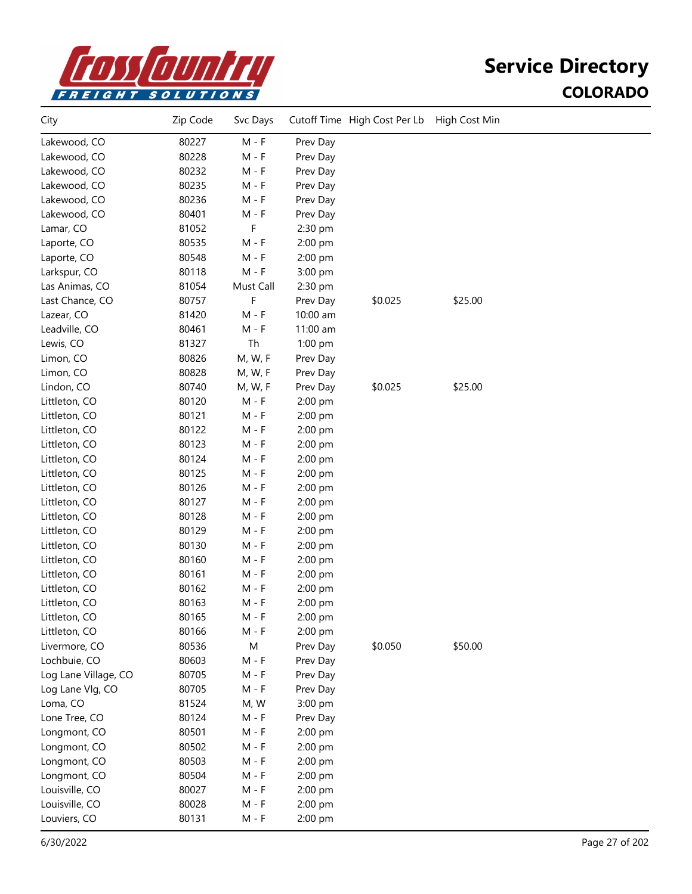

| City                 | Zip Code | Svc Days  |           | Cutoff Time High Cost Per Lb | High Cost Min |  |
|----------------------|----------|-----------|-----------|------------------------------|---------------|--|
| Lakewood, CO         | 80227    | $M - F$   | Prev Day  |                              |               |  |
| Lakewood, CO         | 80228    | $M - F$   | Prev Day  |                              |               |  |
| Lakewood, CO         | 80232    | $M - F$   | Prev Day  |                              |               |  |
| Lakewood, CO         | 80235    | $M - F$   | Prev Day  |                              |               |  |
| Lakewood, CO         | 80236    | $M - F$   | Prev Day  |                              |               |  |
| Lakewood, CO         | 80401    | $M - F$   | Prev Day  |                              |               |  |
| Lamar, CO            | 81052    | F         | 2:30 pm   |                              |               |  |
| Laporte, CO          | 80535    | $M - F$   | 2:00 pm   |                              |               |  |
| Laporte, CO          | 80548    | $M - F$   | 2:00 pm   |                              |               |  |
| Larkspur, CO         | 80118    | $M - F$   | 3:00 pm   |                              |               |  |
| Las Animas, CO       | 81054    | Must Call | 2:30 pm   |                              |               |  |
| Last Chance, CO      | 80757    | F         | Prev Day  | \$0.025                      | \$25.00       |  |
| Lazear, CO           | 81420    | $M - F$   | 10:00 am  |                              |               |  |
| Leadville, CO        | 80461    | $M - F$   | 11:00 am  |                              |               |  |
| Lewis, CO            | 81327    | Th        | $1:00$ pm |                              |               |  |
| Limon, CO            | 80826    | M, W, F   | Prev Day  |                              |               |  |
| Limon, CO            | 80828    | M, W, F   | Prev Day  |                              |               |  |
| Lindon, CO           | 80740    | M, W, F   | Prev Day  | \$0.025                      | \$25.00       |  |
| Littleton, CO        | 80120    | $M - F$   | 2:00 pm   |                              |               |  |
| Littleton, CO        | 80121    | M - F     | 2:00 pm   |                              |               |  |
| Littleton, CO        | 80122    | M - F     | 2:00 pm   |                              |               |  |
| Littleton, CO        | 80123    | $M - F$   | 2:00 pm   |                              |               |  |
| Littleton, CO        | 80124    | $M - F$   | 2:00 pm   |                              |               |  |
| Littleton, CO        | 80125    | $M - F$   | 2:00 pm   |                              |               |  |
| Littleton, CO        | 80126    | $M - F$   | 2:00 pm   |                              |               |  |
| Littleton, CO        | 80127    | $M - F$   | 2:00 pm   |                              |               |  |
| Littleton, CO        | 80128    | $M - F$   | 2:00 pm   |                              |               |  |
| Littleton, CO        | 80129    | M - F     | 2:00 pm   |                              |               |  |
| Littleton, CO        | 80130    | M - F     | 2:00 pm   |                              |               |  |
| Littleton, CO        | 80160    | M - F     | 2:00 pm   |                              |               |  |
| Littleton, CO        | 80161    | M - F     | 2:00 pm   |                              |               |  |
| Littleton, CO        | 80162    | M - F     | 2:00 pm   |                              |               |  |
| Littleton, CO        | 80163    | M - F     | 2:00 pm   |                              |               |  |
| Littleton, CO        | 80165    | M - F     | 2:00 pm   |                              |               |  |
| Littleton, CO        | 80166    | $M - F$   | 2:00 pm   |                              |               |  |
| Livermore, CO        | 80536    | M         | Prev Day  | \$0.050                      | \$50.00       |  |
| Lochbuie, CO         | 80603    | $M - F$   | Prev Day  |                              |               |  |
| Log Lane Village, CO | 80705    | $M - F$   | Prev Day  |                              |               |  |
| Log Lane Vlg, CO     | 80705    | $M - F$   | Prev Day  |                              |               |  |
| Loma, CO             | 81524    | M, W      | 3:00 pm   |                              |               |  |
| Lone Tree, CO        | 80124    | $M - F$   | Prev Day  |                              |               |  |
| Longmont, CO         | 80501    | $M - F$   | 2:00 pm   |                              |               |  |
| Longmont, CO         | 80502    | $M - F$   | 2:00 pm   |                              |               |  |
| Longmont, CO         | 80503    | $M - F$   | 2:00 pm   |                              |               |  |
| Longmont, CO         | 80504    | $M - F$   | 2:00 pm   |                              |               |  |
| Louisville, CO       | 80027    | $M - F$   | 2:00 pm   |                              |               |  |
| Louisville, CO       | 80028    | $M - F$   | 2:00 pm   |                              |               |  |
| Louviers, CO         | 80131    | $M - F$   | 2:00 pm   |                              |               |  |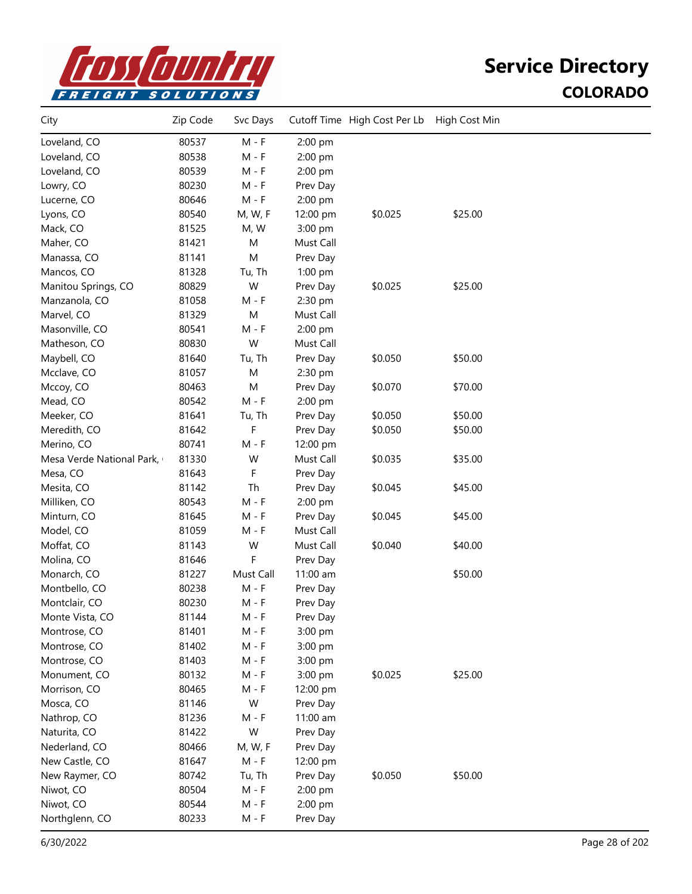

| City                      | Zip Code | Svc Days  |           | Cutoff Time High Cost Per Lb | High Cost Min |  |
|---------------------------|----------|-----------|-----------|------------------------------|---------------|--|
| Loveland, CO              | 80537    | $M - F$   | 2:00 pm   |                              |               |  |
| Loveland, CO              | 80538    | $M - F$   | 2:00 pm   |                              |               |  |
| Loveland, CO              | 80539    | $M - F$   | 2:00 pm   |                              |               |  |
| Lowry, CO                 | 80230    | $M - F$   | Prev Day  |                              |               |  |
| Lucerne, CO               | 80646    | $M - F$   | 2:00 pm   |                              |               |  |
| Lyons, CO                 | 80540    | M, W, F   | 12:00 pm  | \$0.025                      | \$25.00       |  |
| Mack, CO                  | 81525    | M, W      | 3:00 pm   |                              |               |  |
| Maher, CO                 | 81421    | M         | Must Call |                              |               |  |
| Manassa, CO               | 81141    | M         | Prev Day  |                              |               |  |
| Mancos, CO                | 81328    | Tu, Th    | 1:00 pm   |                              |               |  |
| Manitou Springs, CO       | 80829    | W         | Prev Day  | \$0.025                      | \$25.00       |  |
| Manzanola, CO             | 81058    | M - F     | 2:30 pm   |                              |               |  |
| Marvel, CO                | 81329    | M         | Must Call |                              |               |  |
| Masonville, CO            | 80541    | $M - F$   | 2:00 pm   |                              |               |  |
| Matheson, CO              | 80830    | W         | Must Call |                              |               |  |
| Maybell, CO               | 81640    | Tu, Th    | Prev Day  | \$0.050                      | \$50.00       |  |
| Mcclave, CO               | 81057    | M         | 2:30 pm   |                              |               |  |
| Mccoy, CO                 | 80463    | M         | Prev Day  | \$0.070                      | \$70.00       |  |
| Mead, CO                  | 80542    | $M - F$   | 2:00 pm   |                              |               |  |
| Meeker, CO                | 81641    | Tu, Th    | Prev Day  | \$0.050                      | \$50.00       |  |
| Meredith, CO              | 81642    | F         | Prev Day  | \$0.050                      | \$50.00       |  |
| Merino, CO                | 80741    | $M - F$   | 12:00 pm  |                              |               |  |
| Mesa Verde National Park, | 81330    | W         | Must Call | \$0.035                      | \$35.00       |  |
| Mesa, CO                  | 81643    | F         | Prev Day  |                              |               |  |
| Mesita, CO                | 81142    | Th        | Prev Day  | \$0.045                      | \$45.00       |  |
| Milliken, CO              | 80543    | $M - F$   | 2:00 pm   |                              |               |  |
| Minturn, CO               | 81645    | $M - F$   | Prev Day  | \$0.045                      | \$45.00       |  |
| Model, CO                 | 81059    | $M - F$   | Must Call |                              |               |  |
| Moffat, CO                | 81143    | W         | Must Call | \$0.040                      | \$40.00       |  |
| Molina, CO                | 81646    | F         | Prev Day  |                              |               |  |
| Monarch, CO               | 81227    | Must Call | 11:00 am  |                              | \$50.00       |  |
| Montbello, CO             | 80238    | $M - F$   | Prev Day  |                              |               |  |
| Montclair, CO             | 80230    | M - F     | Prev Day  |                              |               |  |
| Monte Vista, CO           | 81144    | M - F     | Prev Day  |                              |               |  |
| Montrose, CO              | 81401    | M - F     | 3:00 pm   |                              |               |  |
| Montrose, CO              | 81402    | $M - F$   | 3:00 pm   |                              |               |  |
| Montrose, CO              | 81403    | $M - F$   | 3:00 pm   |                              |               |  |
| Monument, CO              | 80132    | $M - F$   | 3:00 pm   | \$0.025                      | \$25.00       |  |
| Morrison, CO              | 80465    | $M - F$   | 12:00 pm  |                              |               |  |
| Mosca, CO                 | 81146    | W         | Prev Day  |                              |               |  |
| Nathrop, CO               | 81236    | $M - F$   | 11:00 am  |                              |               |  |
| Naturita, CO              | 81422    | W         | Prev Day  |                              |               |  |
| Nederland, CO             | 80466    | M, W, F   | Prev Day  |                              |               |  |
| New Castle, CO            | 81647    | $M - F$   | 12:00 pm  |                              |               |  |
| New Raymer, CO            | 80742    | Tu, Th    | Prev Day  | \$0.050                      | \$50.00       |  |
| Niwot, CO                 | 80504    | $M - F$   | 2:00 pm   |                              |               |  |
| Niwot, CO                 | 80544    | $M - F$   | 2:00 pm   |                              |               |  |
| Northglenn, CO            | 80233    | $M - F$   | Prev Day  |                              |               |  |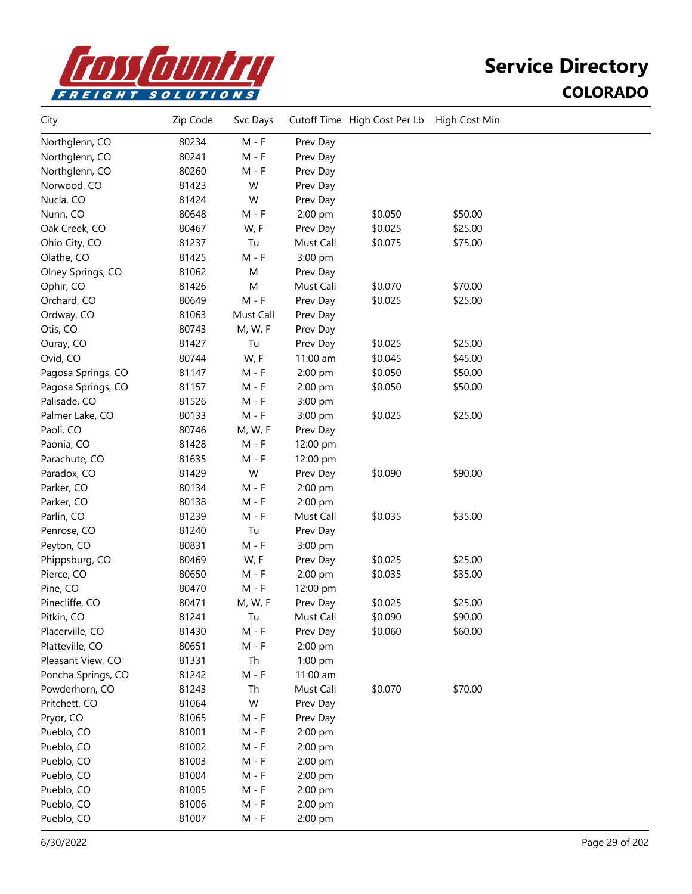

| City               | Zip Code | Svc Days  |           | Cutoff Time High Cost Per Lb | High Cost Min |  |
|--------------------|----------|-----------|-----------|------------------------------|---------------|--|
| Northglenn, CO     | 80234    | $M - F$   | Prev Day  |                              |               |  |
| Northglenn, CO     | 80241    | M - F     | Prev Day  |                              |               |  |
| Northglenn, CO     | 80260    | M - F     | Prev Day  |                              |               |  |
| Norwood, CO        | 81423    | W         | Prev Day  |                              |               |  |
| Nucla, CO          | 81424    | W         | Prev Day  |                              |               |  |
| Nunn, CO           | 80648    | $M - F$   | 2:00 pm   | \$0.050                      | \$50.00       |  |
| Oak Creek, CO      | 80467    | W, F      | Prev Day  | \$0.025                      | \$25.00       |  |
| Ohio City, CO      | 81237    | Tu        | Must Call | \$0.075                      | \$75.00       |  |
| Olathe, CO         | 81425    | $M - F$   | 3:00 pm   |                              |               |  |
| Olney Springs, CO  | 81062    | M         | Prev Day  |                              |               |  |
| Ophir, CO          | 81426    | M         | Must Call | \$0.070                      | \$70.00       |  |
| Orchard, CO        | 80649    | $M - F$   | Prev Day  | \$0.025                      | \$25.00       |  |
| Ordway, CO         | 81063    | Must Call | Prev Day  |                              |               |  |
| Otis, CO           | 80743    | M, W, F   | Prev Day  |                              |               |  |
| Ouray, CO          | 81427    | Tu        | Prev Day  | \$0.025                      | \$25.00       |  |
| Ovid, CO           | 80744    | W, F      | 11:00 am  | \$0.045                      | \$45.00       |  |
| Pagosa Springs, CO | 81147    | M - F     | 2:00 pm   | \$0.050                      | \$50.00       |  |
| Pagosa Springs, CO | 81157    | M - F     | 2:00 pm   | \$0.050                      | \$50.00       |  |
| Palisade, CO       | 81526    | $M - F$   | 3:00 pm   |                              |               |  |
| Palmer Lake, CO    | 80133    | $M - F$   | 3:00 pm   | \$0.025                      | \$25.00       |  |
| Paoli, CO          | 80746    | M, W, F   | Prev Day  |                              |               |  |
| Paonia, CO         | 81428    | $M - F$   | 12:00 pm  |                              |               |  |
| Parachute, CO      | 81635    | $M - F$   | 12:00 pm  |                              |               |  |
| Paradox, CO        | 81429    | W         | Prev Day  | \$0.090                      | \$90.00       |  |
| Parker, CO         | 80134    | $M - F$   | 2:00 pm   |                              |               |  |
| Parker, CO         | 80138    | M - F     | 2:00 pm   |                              |               |  |
| Parlin, CO         | 81239    | M - F     | Must Call | \$0.035                      | \$35.00       |  |
| Penrose, CO        | 81240    | Tu        | Prev Day  |                              |               |  |
| Peyton, CO         | 80831    | $M - F$   | 3:00 pm   |                              |               |  |
| Phippsburg, CO     | 80469    | W, F      | Prev Day  | \$0.025                      | \$25.00       |  |
| Pierce, CO         | 80650    | $M - F$   | 2:00 pm   | \$0.035                      | \$35.00       |  |
| Pine, CO           | 80470    | $M - F$   | 12:00 pm  |                              |               |  |
| Pinecliffe, CO     | 80471    | M, W, F   | Prev Day  | \$0.025                      | \$25.00       |  |
| Pitkin, CO         | 81241    | Tu        | Must Call | \$0.090                      | \$90.00       |  |
| Placerville, CO    | 81430    | M - F     | Prev Day  | \$0.060                      | \$60.00       |  |
| Platteville, CO    | 80651    | $M - F$   | 2:00 pm   |                              |               |  |
| Pleasant View, CO  | 81331    | Th        | 1:00 pm   |                              |               |  |
| Poncha Springs, CO | 81242    | $M - F$   | 11:00 am  |                              |               |  |
| Powderhorn, CO     | 81243    | Th        | Must Call | \$0.070                      | \$70.00       |  |
| Pritchett, CO      | 81064    | W         | Prev Day  |                              |               |  |
| Pryor, CO          | 81065    | $M - F$   | Prev Day  |                              |               |  |
| Pueblo, CO         | 81001    | $M - F$   | 2:00 pm   |                              |               |  |
| Pueblo, CO         | 81002    | M - F     | 2:00 pm   |                              |               |  |
| Pueblo, CO         | 81003    | $M - F$   | 2:00 pm   |                              |               |  |
| Pueblo, CO         | 81004    | M - F     | 2:00 pm   |                              |               |  |
| Pueblo, CO         | 81005    | $M - F$   | 2:00 pm   |                              |               |  |
| Pueblo, CO         | 81006    | $M - F$   | 2:00 pm   |                              |               |  |
| Pueblo, CO         | 81007    | M - F     | 2:00 pm   |                              |               |  |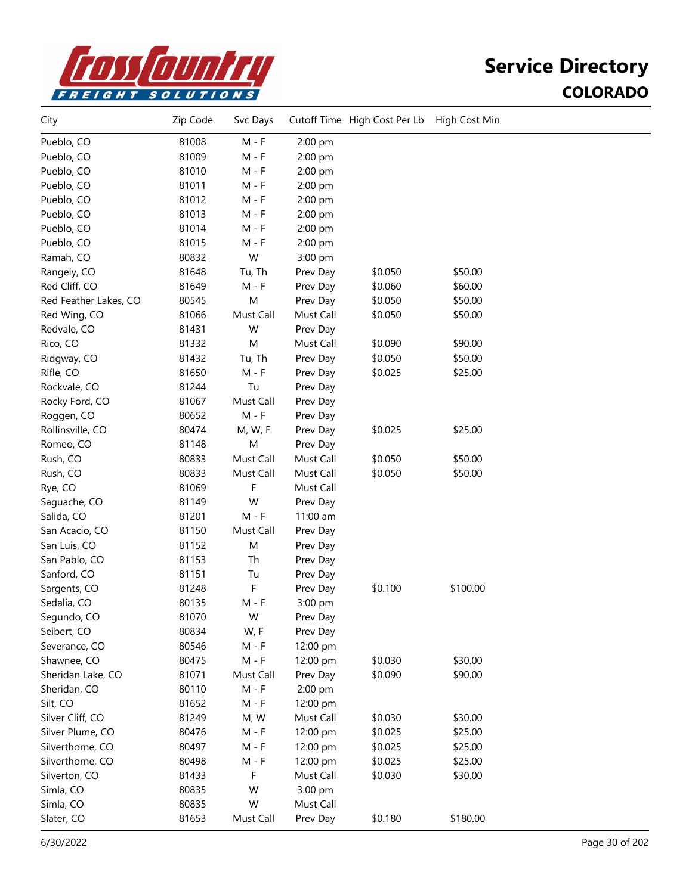

| 81008<br>$M - F$<br>Pueblo, CO<br>2:00 pm<br>81009<br>Pueblo, CO<br>M - F<br>2:00 pm<br>Pueblo, CO<br>81010<br>M - F<br>2:00 pm<br>Pueblo, CO<br>81011<br>$M - F$<br>2:00 pm<br>Pueblo, CO<br>81012<br>$M - F$<br>2:00 pm<br>Pueblo, CO<br>81013<br>$M - F$<br>2:00 pm<br>Pueblo, CO<br>81014<br>$M - F$<br>2:00 pm<br>Pueblo, CO<br>81015<br>$M - F$<br>2:00 pm<br>W<br>Ramah, CO<br>80832<br>3:00 pm<br>81648<br>\$0.050<br>\$50.00<br>Rangely, CO<br>Tu, Th<br>Prev Day<br>Red Cliff, CO<br>81649<br>$M - F$<br>\$0.060<br>\$60.00<br>Prev Day<br>${\sf M}$<br>80545<br>Prev Day<br>\$0.050<br>\$50.00<br>Red Feather Lakes, CO<br>Red Wing, CO<br>81066<br>Must Call<br>Must Call<br>\$0.050<br>\$50.00<br>Redvale, CO<br>81431<br>W<br>Prev Day<br>\$90.00<br>Rico, CO<br>81332<br>M<br>Must Call<br>\$0.090<br>81432<br>\$50.00<br>Ridgway, CO<br>Tu, Th<br>Prev Day<br>\$0.050<br>Rifle, CO<br>81650<br>$M - F$<br>\$25.00<br>\$0.025<br>Prev Day<br>81244<br>Rockvale, CO<br>Tu<br>Prev Day<br>81067<br>Must Call<br>Rocky Ford, CO<br>Prev Day<br>Roggen, CO<br>80652<br>$M - F$<br>Prev Day<br>\$25.00<br>Rollinsville, CO<br>80474<br>\$0.025<br>M, W, F<br>Prev Day<br>81148<br>M<br>Romeo, CO<br>Prev Day<br>Rush, CO<br>80833<br>Must Call<br>Must Call<br>\$0.050<br>\$50.00<br>Rush, CO<br>80833<br>Must Call<br>Must Call<br>\$0.050<br>\$50.00<br>F<br>Rye, CO<br>81069<br>Must Call | City         | Zip Code | Svc Days |          | Cutoff Time High Cost Per Lb | High Cost Min |  |
|--------------------------------------------------------------------------------------------------------------------------------------------------------------------------------------------------------------------------------------------------------------------------------------------------------------------------------------------------------------------------------------------------------------------------------------------------------------------------------------------------------------------------------------------------------------------------------------------------------------------------------------------------------------------------------------------------------------------------------------------------------------------------------------------------------------------------------------------------------------------------------------------------------------------------------------------------------------------------------------------------------------------------------------------------------------------------------------------------------------------------------------------------------------------------------------------------------------------------------------------------------------------------------------------------------------------------------------------------------------------------------------------------------|--------------|----------|----------|----------|------------------------------|---------------|--|
|                                                                                                                                                                                                                                                                                                                                                                                                                                                                                                                                                                                                                                                                                                                                                                                                                                                                                                                                                                                                                                                                                                                                                                                                                                                                                                                                                                                                        |              |          |          |          |                              |               |  |
|                                                                                                                                                                                                                                                                                                                                                                                                                                                                                                                                                                                                                                                                                                                                                                                                                                                                                                                                                                                                                                                                                                                                                                                                                                                                                                                                                                                                        |              |          |          |          |                              |               |  |
|                                                                                                                                                                                                                                                                                                                                                                                                                                                                                                                                                                                                                                                                                                                                                                                                                                                                                                                                                                                                                                                                                                                                                                                                                                                                                                                                                                                                        |              |          |          |          |                              |               |  |
|                                                                                                                                                                                                                                                                                                                                                                                                                                                                                                                                                                                                                                                                                                                                                                                                                                                                                                                                                                                                                                                                                                                                                                                                                                                                                                                                                                                                        |              |          |          |          |                              |               |  |
|                                                                                                                                                                                                                                                                                                                                                                                                                                                                                                                                                                                                                                                                                                                                                                                                                                                                                                                                                                                                                                                                                                                                                                                                                                                                                                                                                                                                        |              |          |          |          |                              |               |  |
|                                                                                                                                                                                                                                                                                                                                                                                                                                                                                                                                                                                                                                                                                                                                                                                                                                                                                                                                                                                                                                                                                                                                                                                                                                                                                                                                                                                                        |              |          |          |          |                              |               |  |
|                                                                                                                                                                                                                                                                                                                                                                                                                                                                                                                                                                                                                                                                                                                                                                                                                                                                                                                                                                                                                                                                                                                                                                                                                                                                                                                                                                                                        |              |          |          |          |                              |               |  |
|                                                                                                                                                                                                                                                                                                                                                                                                                                                                                                                                                                                                                                                                                                                                                                                                                                                                                                                                                                                                                                                                                                                                                                                                                                                                                                                                                                                                        |              |          |          |          |                              |               |  |
|                                                                                                                                                                                                                                                                                                                                                                                                                                                                                                                                                                                                                                                                                                                                                                                                                                                                                                                                                                                                                                                                                                                                                                                                                                                                                                                                                                                                        |              |          |          |          |                              |               |  |
|                                                                                                                                                                                                                                                                                                                                                                                                                                                                                                                                                                                                                                                                                                                                                                                                                                                                                                                                                                                                                                                                                                                                                                                                                                                                                                                                                                                                        |              |          |          |          |                              |               |  |
|                                                                                                                                                                                                                                                                                                                                                                                                                                                                                                                                                                                                                                                                                                                                                                                                                                                                                                                                                                                                                                                                                                                                                                                                                                                                                                                                                                                                        |              |          |          |          |                              |               |  |
|                                                                                                                                                                                                                                                                                                                                                                                                                                                                                                                                                                                                                                                                                                                                                                                                                                                                                                                                                                                                                                                                                                                                                                                                                                                                                                                                                                                                        |              |          |          |          |                              |               |  |
|                                                                                                                                                                                                                                                                                                                                                                                                                                                                                                                                                                                                                                                                                                                                                                                                                                                                                                                                                                                                                                                                                                                                                                                                                                                                                                                                                                                                        |              |          |          |          |                              |               |  |
|                                                                                                                                                                                                                                                                                                                                                                                                                                                                                                                                                                                                                                                                                                                                                                                                                                                                                                                                                                                                                                                                                                                                                                                                                                                                                                                                                                                                        |              |          |          |          |                              |               |  |
|                                                                                                                                                                                                                                                                                                                                                                                                                                                                                                                                                                                                                                                                                                                                                                                                                                                                                                                                                                                                                                                                                                                                                                                                                                                                                                                                                                                                        |              |          |          |          |                              |               |  |
|                                                                                                                                                                                                                                                                                                                                                                                                                                                                                                                                                                                                                                                                                                                                                                                                                                                                                                                                                                                                                                                                                                                                                                                                                                                                                                                                                                                                        |              |          |          |          |                              |               |  |
|                                                                                                                                                                                                                                                                                                                                                                                                                                                                                                                                                                                                                                                                                                                                                                                                                                                                                                                                                                                                                                                                                                                                                                                                                                                                                                                                                                                                        |              |          |          |          |                              |               |  |
|                                                                                                                                                                                                                                                                                                                                                                                                                                                                                                                                                                                                                                                                                                                                                                                                                                                                                                                                                                                                                                                                                                                                                                                                                                                                                                                                                                                                        |              |          |          |          |                              |               |  |
|                                                                                                                                                                                                                                                                                                                                                                                                                                                                                                                                                                                                                                                                                                                                                                                                                                                                                                                                                                                                                                                                                                                                                                                                                                                                                                                                                                                                        |              |          |          |          |                              |               |  |
|                                                                                                                                                                                                                                                                                                                                                                                                                                                                                                                                                                                                                                                                                                                                                                                                                                                                                                                                                                                                                                                                                                                                                                                                                                                                                                                                                                                                        |              |          |          |          |                              |               |  |
|                                                                                                                                                                                                                                                                                                                                                                                                                                                                                                                                                                                                                                                                                                                                                                                                                                                                                                                                                                                                                                                                                                                                                                                                                                                                                                                                                                                                        |              |          |          |          |                              |               |  |
|                                                                                                                                                                                                                                                                                                                                                                                                                                                                                                                                                                                                                                                                                                                                                                                                                                                                                                                                                                                                                                                                                                                                                                                                                                                                                                                                                                                                        |              |          |          |          |                              |               |  |
|                                                                                                                                                                                                                                                                                                                                                                                                                                                                                                                                                                                                                                                                                                                                                                                                                                                                                                                                                                                                                                                                                                                                                                                                                                                                                                                                                                                                        |              |          |          |          |                              |               |  |
|                                                                                                                                                                                                                                                                                                                                                                                                                                                                                                                                                                                                                                                                                                                                                                                                                                                                                                                                                                                                                                                                                                                                                                                                                                                                                                                                                                                                        |              |          |          |          |                              |               |  |
|                                                                                                                                                                                                                                                                                                                                                                                                                                                                                                                                                                                                                                                                                                                                                                                                                                                                                                                                                                                                                                                                                                                                                                                                                                                                                                                                                                                                        |              |          |          |          |                              |               |  |
|                                                                                                                                                                                                                                                                                                                                                                                                                                                                                                                                                                                                                                                                                                                                                                                                                                                                                                                                                                                                                                                                                                                                                                                                                                                                                                                                                                                                        | Saguache, CO | 81149    | W        | Prev Day |                              |               |  |
| 81201<br>$M - F$<br>11:00 am<br>Salida, CO                                                                                                                                                                                                                                                                                                                                                                                                                                                                                                                                                                                                                                                                                                                                                                                                                                                                                                                                                                                                                                                                                                                                                                                                                                                                                                                                                             |              |          |          |          |                              |               |  |
| 81150<br>Must Call<br>San Acacio, CO<br>Prev Day                                                                                                                                                                                                                                                                                                                                                                                                                                                                                                                                                                                                                                                                                                                                                                                                                                                                                                                                                                                                                                                                                                                                                                                                                                                                                                                                                       |              |          |          |          |                              |               |  |
| 81152<br>M<br>San Luis, CO<br>Prev Day                                                                                                                                                                                                                                                                                                                                                                                                                                                                                                                                                                                                                                                                                                                                                                                                                                                                                                                                                                                                                                                                                                                                                                                                                                                                                                                                                                 |              |          |          |          |                              |               |  |
| San Pablo, CO<br>81153<br>Th<br>Prev Day                                                                                                                                                                                                                                                                                                                                                                                                                                                                                                                                                                                                                                                                                                                                                                                                                                                                                                                                                                                                                                                                                                                                                                                                                                                                                                                                                               |              |          |          |          |                              |               |  |
| Sanford, CO<br>81151<br>Tu<br>Prev Day                                                                                                                                                                                                                                                                                                                                                                                                                                                                                                                                                                                                                                                                                                                                                                                                                                                                                                                                                                                                                                                                                                                                                                                                                                                                                                                                                                 |              |          |          |          |                              |               |  |
| F<br>\$0.100<br>\$100.00<br>Sargents, CO<br>81248<br>Prev Day                                                                                                                                                                                                                                                                                                                                                                                                                                                                                                                                                                                                                                                                                                                                                                                                                                                                                                                                                                                                                                                                                                                                                                                                                                                                                                                                          |              |          |          |          |                              |               |  |
| Sedalia, CO<br>80135<br>$M - F$<br>3:00 pm                                                                                                                                                                                                                                                                                                                                                                                                                                                                                                                                                                                                                                                                                                                                                                                                                                                                                                                                                                                                                                                                                                                                                                                                                                                                                                                                                             |              |          |          |          |                              |               |  |
| 81070<br>W<br>Segundo, CO<br>Prev Day                                                                                                                                                                                                                                                                                                                                                                                                                                                                                                                                                                                                                                                                                                                                                                                                                                                                                                                                                                                                                                                                                                                                                                                                                                                                                                                                                                  |              |          |          |          |                              |               |  |
| 80834<br>W, F<br>Seibert, CO<br>Prev Day                                                                                                                                                                                                                                                                                                                                                                                                                                                                                                                                                                                                                                                                                                                                                                                                                                                                                                                                                                                                                                                                                                                                                                                                                                                                                                                                                               |              |          |          |          |                              |               |  |
| $M - F$<br>Severance, CO<br>80546<br>12:00 pm                                                                                                                                                                                                                                                                                                                                                                                                                                                                                                                                                                                                                                                                                                                                                                                                                                                                                                                                                                                                                                                                                                                                                                                                                                                                                                                                                          |              |          |          |          |                              |               |  |
| \$30.00<br>Shawnee, CO<br>80475<br>$M - F$<br>12:00 pm<br>\$0.030                                                                                                                                                                                                                                                                                                                                                                                                                                                                                                                                                                                                                                                                                                                                                                                                                                                                                                                                                                                                                                                                                                                                                                                                                                                                                                                                      |              |          |          |          |                              |               |  |
| 81071<br>Must Call<br>\$0.090<br>\$90.00<br>Sheridan Lake, CO<br>Prev Day                                                                                                                                                                                                                                                                                                                                                                                                                                                                                                                                                                                                                                                                                                                                                                                                                                                                                                                                                                                                                                                                                                                                                                                                                                                                                                                              |              |          |          |          |                              |               |  |
| 80110<br>$M - F$<br>2:00 pm<br>Sheridan, CO                                                                                                                                                                                                                                                                                                                                                                                                                                                                                                                                                                                                                                                                                                                                                                                                                                                                                                                                                                                                                                                                                                                                                                                                                                                                                                                                                            |              |          |          |          |                              |               |  |
| Silt, CO<br>81652<br>$M - F$<br>12:00 pm                                                                                                                                                                                                                                                                                                                                                                                                                                                                                                                                                                                                                                                                                                                                                                                                                                                                                                                                                                                                                                                                                                                                                                                                                                                                                                                                                               |              |          |          |          |                              |               |  |
| Silver Cliff, CO<br>81249<br>M, W<br>\$0.030<br>\$30.00<br>Must Call                                                                                                                                                                                                                                                                                                                                                                                                                                                                                                                                                                                                                                                                                                                                                                                                                                                                                                                                                                                                                                                                                                                                                                                                                                                                                                                                   |              |          |          |          |                              |               |  |
| 80476<br>$M - F$<br>\$0.025<br>\$25.00<br>Silver Plume, CO<br>12:00 pm                                                                                                                                                                                                                                                                                                                                                                                                                                                                                                                                                                                                                                                                                                                                                                                                                                                                                                                                                                                                                                                                                                                                                                                                                                                                                                                                 |              |          |          |          |                              |               |  |
| Silverthorne, CO<br>80497<br>\$0.025<br>\$25.00<br>M - F<br>12:00 pm                                                                                                                                                                                                                                                                                                                                                                                                                                                                                                                                                                                                                                                                                                                                                                                                                                                                                                                                                                                                                                                                                                                                                                                                                                                                                                                                   |              |          |          |          |                              |               |  |
| Silverthorne, CO<br>80498<br>$M - F$<br>12:00 pm<br>\$0.025<br>\$25.00                                                                                                                                                                                                                                                                                                                                                                                                                                                                                                                                                                                                                                                                                                                                                                                                                                                                                                                                                                                                                                                                                                                                                                                                                                                                                                                                 |              |          |          |          |                              |               |  |
| Silverton, CO<br>81433<br>F<br>Must Call<br>\$0.030<br>\$30.00                                                                                                                                                                                                                                                                                                                                                                                                                                                                                                                                                                                                                                                                                                                                                                                                                                                                                                                                                                                                                                                                                                                                                                                                                                                                                                                                         |              |          |          |          |                              |               |  |
| 80835<br>W<br>Simla, CO<br>3:00 pm                                                                                                                                                                                                                                                                                                                                                                                                                                                                                                                                                                                                                                                                                                                                                                                                                                                                                                                                                                                                                                                                                                                                                                                                                                                                                                                                                                     |              |          |          |          |                              |               |  |
| W<br>80835<br>Must Call<br>Simla, CO                                                                                                                                                                                                                                                                                                                                                                                                                                                                                                                                                                                                                                                                                                                                                                                                                                                                                                                                                                                                                                                                                                                                                                                                                                                                                                                                                                   |              |          |          |          |                              |               |  |
| Slater, CO<br>81653<br>Must Call<br>Prev Day<br>\$0.180<br>\$180.00                                                                                                                                                                                                                                                                                                                                                                                                                                                                                                                                                                                                                                                                                                                                                                                                                                                                                                                                                                                                                                                                                                                                                                                                                                                                                                                                    |              |          |          |          |                              |               |  |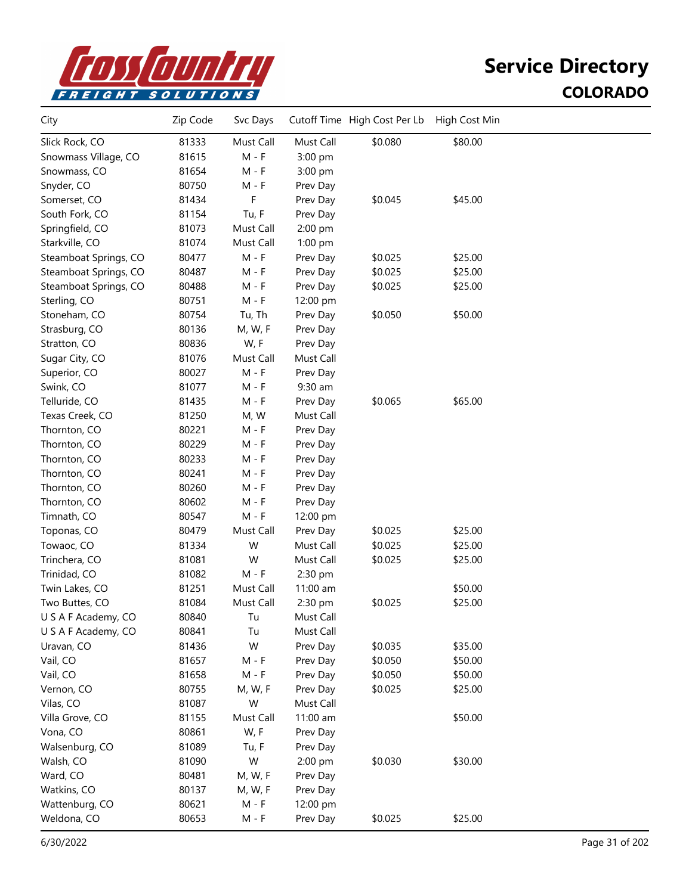

| City                  | Zip Code | Svc Days  |           | Cutoff Time High Cost Per Lb | High Cost Min |  |
|-----------------------|----------|-----------|-----------|------------------------------|---------------|--|
| Slick Rock, CO        | 81333    | Must Call | Must Call | \$0.080                      | \$80.00       |  |
| Snowmass Village, CO  | 81615    | $M - F$   | 3:00 pm   |                              |               |  |
| Snowmass, CO          | 81654    | M - F     | 3:00 pm   |                              |               |  |
| Snyder, CO            | 80750    | M - F     | Prev Day  |                              |               |  |
| Somerset, CO          | 81434    | F         | Prev Day  | \$0.045                      | \$45.00       |  |
| South Fork, CO        | 81154    | Tu, F     | Prev Day  |                              |               |  |
| Springfield, CO       | 81073    | Must Call | 2:00 pm   |                              |               |  |
| Starkville, CO        | 81074    | Must Call | 1:00 pm   |                              |               |  |
| Steamboat Springs, CO | 80477    | $M - F$   | Prev Day  | \$0.025                      | \$25.00       |  |
| Steamboat Springs, CO | 80487    | M - F     | Prev Day  | \$0.025                      | \$25.00       |  |
| Steamboat Springs, CO | 80488    | M - F     | Prev Day  | \$0.025                      | \$25.00       |  |
| Sterling, CO          | 80751    | $M - F$   | 12:00 pm  |                              |               |  |
| Stoneham, CO          | 80754    | Tu, Th    | Prev Day  | \$0.050                      | \$50.00       |  |
| Strasburg, CO         | 80136    | M, W, F   | Prev Day  |                              |               |  |
| Stratton, CO          | 80836    | W, F      | Prev Day  |                              |               |  |
| Sugar City, CO        | 81076    | Must Call | Must Call |                              |               |  |
| Superior, CO          | 80027    | $M - F$   | Prev Day  |                              |               |  |
| Swink, CO             | 81077    | M - F     | $9:30$ am |                              |               |  |
| Telluride, CO         | 81435    | $M - F$   | Prev Day  | \$0.065                      | \$65.00       |  |
| Texas Creek, CO       | 81250    | M, W      | Must Call |                              |               |  |
| Thornton, CO          | 80221    | $M - F$   | Prev Day  |                              |               |  |
| Thornton, CO          | 80229    | $M - F$   | Prev Day  |                              |               |  |
| Thornton, CO          | 80233    | $M - F$   | Prev Day  |                              |               |  |
| Thornton, CO          | 80241    | $M - F$   | Prev Day  |                              |               |  |
| Thornton, CO          | 80260    | $M - F$   | Prev Day  |                              |               |  |
| Thornton, CO          | 80602    | M - F     | Prev Day  |                              |               |  |
| Timnath, CO           | 80547    | $M - F$   | 12:00 pm  |                              |               |  |
| Toponas, CO           | 80479    | Must Call | Prev Day  | \$0.025                      | \$25.00       |  |
| Towaoc, CO            | 81334    | W         | Must Call | \$0.025                      | \$25.00       |  |
| Trinchera, CO         | 81081    | W         | Must Call | \$0.025                      | \$25.00       |  |
| Trinidad, CO          | 81082    | $M - F$   | 2:30 pm   |                              |               |  |
| Twin Lakes, CO        | 81251    | Must Call | 11:00 am  |                              | \$50.00       |  |
| Two Buttes, CO        | 81084    | Must Call | 2:30 pm   | \$0.025                      | \$25.00       |  |
| U S A F Academy, CO   | 80840    | Tu        | Must Call |                              |               |  |
| U S A F Academy, CO   | 80841    | Tu        | Must Call |                              |               |  |
| Uravan, CO            | 81436    | W         | Prev Day  | \$0.035                      | \$35.00       |  |
| Vail, CO              | 81657    | $M - F$   | Prev Day  | \$0.050                      | \$50.00       |  |
| Vail, CO              | 81658    | $M - F$   | Prev Day  | \$0.050                      | \$50.00       |  |
| Vernon, CO            | 80755    | M, W, F   | Prev Day  | \$0.025                      | \$25.00       |  |
| Vilas, CO             | 81087    | W         | Must Call |                              |               |  |
| Villa Grove, CO       | 81155    | Must Call | 11:00 am  |                              | \$50.00       |  |
| Vona, CO              | 80861    | W, F      | Prev Day  |                              |               |  |
| Walsenburg, CO        | 81089    | Tu, F     | Prev Day  |                              |               |  |
| Walsh, CO             | 81090    | W         | 2:00 pm   | \$0.030                      | \$30.00       |  |
| Ward, CO              | 80481    | M, W, F   | Prev Day  |                              |               |  |
| Watkins, CO           | 80137    | M, W, F   | Prev Day  |                              |               |  |
| Wattenburg, CO        | 80621    | $M - F$   | 12:00 pm  |                              |               |  |
| Weldona, CO           | 80653    | $M - F$   | Prev Day  | \$0.025                      | \$25.00       |  |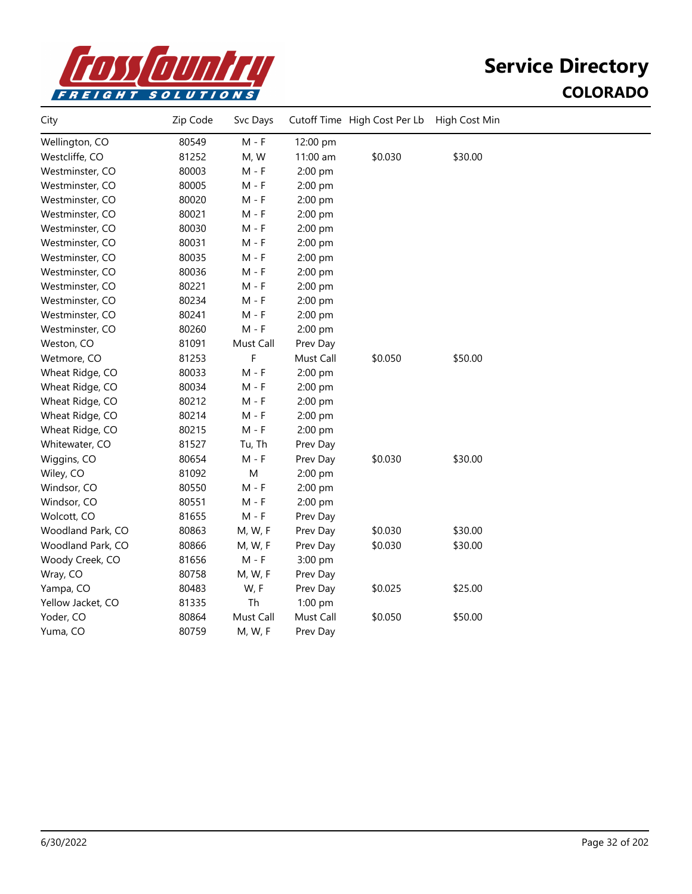

| City              | Zip Code | Svc Days  |           | Cutoff Time High Cost Per Lb | High Cost Min |  |
|-------------------|----------|-----------|-----------|------------------------------|---------------|--|
| Wellington, CO    | 80549    | $M - F$   | 12:00 pm  |                              |               |  |
| Westcliffe, CO    | 81252    | M, W      | 11:00 am  | \$0.030                      | \$30.00       |  |
| Westminster, CO   | 80003    | $M - F$   | 2:00 pm   |                              |               |  |
| Westminster, CO   | 80005    | $M - F$   | 2:00 pm   |                              |               |  |
| Westminster, CO   | 80020    | $M - F$   | 2:00 pm   |                              |               |  |
| Westminster, CO   | 80021    | $M - F$   | 2:00 pm   |                              |               |  |
| Westminster, CO   | 80030    | $M - F$   | 2:00 pm   |                              |               |  |
| Westminster, CO   | 80031    | $M - F$   | 2:00 pm   |                              |               |  |
| Westminster, CO   | 80035    | $M - F$   | 2:00 pm   |                              |               |  |
| Westminster, CO   | 80036    | $M - F$   | 2:00 pm   |                              |               |  |
| Westminster, CO   | 80221    | $M - F$   | 2:00 pm   |                              |               |  |
| Westminster, CO   | 80234    | $M - F$   | 2:00 pm   |                              |               |  |
| Westminster, CO   | 80241    | $M - F$   | 2:00 pm   |                              |               |  |
| Westminster, CO   | 80260    | $M - F$   | 2:00 pm   |                              |               |  |
| Weston, CO        | 81091    | Must Call | Prev Day  |                              |               |  |
| Wetmore, CO       | 81253    | F         | Must Call | \$0.050                      | \$50.00       |  |
| Wheat Ridge, CO   | 80033    | $M - F$   | 2:00 pm   |                              |               |  |
| Wheat Ridge, CO   | 80034    | $M - F$   | 2:00 pm   |                              |               |  |
| Wheat Ridge, CO   | 80212    | $M - F$   | 2:00 pm   |                              |               |  |
| Wheat Ridge, CO   | 80214    | $M - F$   | 2:00 pm   |                              |               |  |
| Wheat Ridge, CO   | 80215    | $M - F$   | 2:00 pm   |                              |               |  |
| Whitewater, CO    | 81527    | Tu, Th    | Prev Day  |                              |               |  |
| Wiggins, CO       | 80654    | $M - F$   | Prev Day  | \$0.030                      | \$30.00       |  |
| Wiley, CO         | 81092    | M         | 2:00 pm   |                              |               |  |
| Windsor, CO       | 80550    | M - F     | 2:00 pm   |                              |               |  |
| Windsor, CO       | 80551    | M - F     | 2:00 pm   |                              |               |  |
| Wolcott, CO       | 81655    | M - F     | Prev Day  |                              |               |  |
| Woodland Park, CO | 80863    | M, W, F   | Prev Day  | \$0.030                      | \$30.00       |  |
| Woodland Park, CO | 80866    | M, W, F   | Prev Day  | \$0.030                      | \$30.00       |  |
| Woody Creek, CO   | 81656    | M - F     | 3:00 pm   |                              |               |  |
| Wray, CO          | 80758    | M, W, F   | Prev Day  |                              |               |  |
| Yampa, CO         | 80483    | W, F      | Prev Day  | \$0.025                      | \$25.00       |  |
| Yellow Jacket, CO | 81335    | Th        | $1:00$ pm |                              |               |  |
| Yoder, CO         | 80864    | Must Call | Must Call | \$0.050                      | \$50.00       |  |
| Yuma, CO          | 80759    | M, W, F   | Prev Day  |                              |               |  |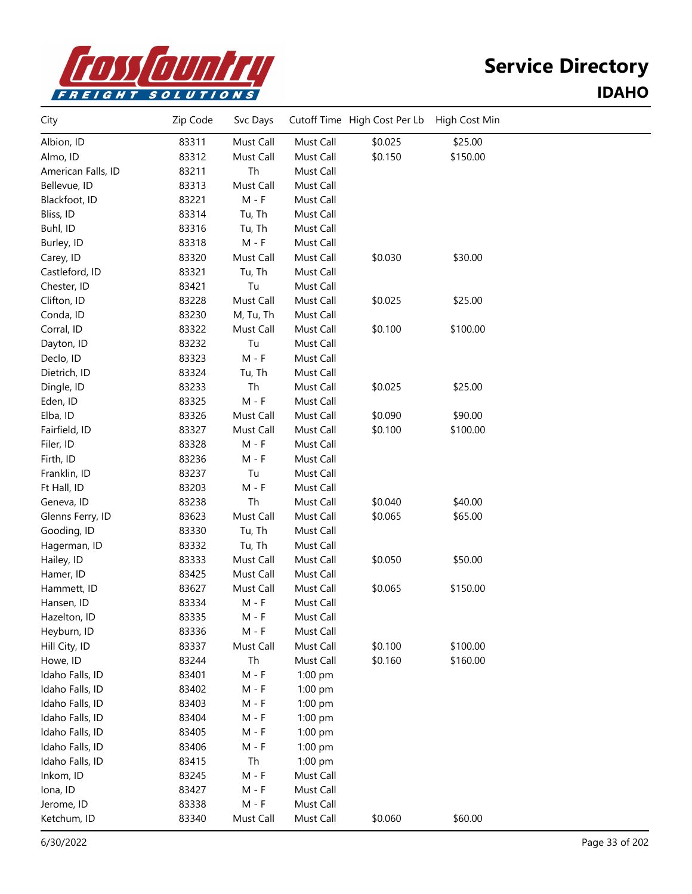

#### **Service Directory IDAHO**

| City               | Zip Code | Svc Days  |           | Cutoff Time High Cost Per Lb | High Cost Min |  |
|--------------------|----------|-----------|-----------|------------------------------|---------------|--|
| Albion, ID         | 83311    | Must Call | Must Call | \$0.025                      | \$25.00       |  |
| Almo, ID           | 83312    | Must Call | Must Call | \$0.150                      | \$150.00      |  |
| American Falls, ID | 83211    | Th        | Must Call |                              |               |  |
| Bellevue, ID       | 83313    | Must Call | Must Call |                              |               |  |
| Blackfoot, ID      | 83221    | $M - F$   | Must Call |                              |               |  |
| Bliss, ID          | 83314    | Tu, Th    | Must Call |                              |               |  |
| Buhl, ID           | 83316    | Tu, Th    | Must Call |                              |               |  |
| Burley, ID         | 83318    | $M - F$   | Must Call |                              |               |  |
| Carey, ID          | 83320    | Must Call | Must Call | \$0.030                      | \$30.00       |  |
| Castleford, ID     | 83321    | Tu, Th    | Must Call |                              |               |  |
| Chester, ID        | 83421    | Tu        | Must Call |                              |               |  |
| Clifton, ID        | 83228    | Must Call | Must Call | \$0.025                      | \$25.00       |  |
| Conda, ID          | 83230    | M, Tu, Th | Must Call |                              |               |  |
| Corral, ID         | 83322    | Must Call | Must Call | \$0.100                      | \$100.00      |  |
| Dayton, ID         | 83232    | Tu        | Must Call |                              |               |  |
| Declo, ID          | 83323    | $M - F$   | Must Call |                              |               |  |
| Dietrich, ID       | 83324    | Tu, Th    | Must Call |                              |               |  |
| Dingle, ID         | 83233    | Th        | Must Call | \$0.025                      | \$25.00       |  |
| Eden, ID           | 83325    | $M - F$   | Must Call |                              |               |  |
| Elba, ID           | 83326    | Must Call | Must Call | \$0.090                      | \$90.00       |  |
| Fairfield, ID      | 83327    | Must Call | Must Call | \$0.100                      | \$100.00      |  |
| Filer, ID          | 83328    | $M - F$   | Must Call |                              |               |  |
| Firth, ID          | 83236    | $M - F$   | Must Call |                              |               |  |
| Franklin, ID       | 83237    | Tu        | Must Call |                              |               |  |
| Ft Hall, ID        | 83203    | $M - F$   | Must Call |                              |               |  |
| Geneva, ID         | 83238    | Th        | Must Call | \$0.040                      | \$40.00       |  |
| Glenns Ferry, ID   | 83623    | Must Call | Must Call | \$0.065                      | \$65.00       |  |
| Gooding, ID        | 83330    | Tu, Th    | Must Call |                              |               |  |
| Hagerman, ID       | 83332    | Tu, Th    | Must Call |                              |               |  |
| Hailey, ID         | 83333    | Must Call | Must Call | \$0.050                      | \$50.00       |  |
| Hamer, ID          | 83425    | Must Call | Must Call |                              |               |  |
| Hammett, ID        | 83627    | Must Call | Must Call | \$0.065                      | \$150.00      |  |
| Hansen, ID         | 83334    | $M - F$   | Must Call |                              |               |  |
| Hazelton, ID       | 83335    | M - F     | Must Call |                              |               |  |
| Heyburn, ID        | 83336    | M - F     | Must Call |                              |               |  |
| Hill City, ID      | 83337    | Must Call | Must Call | \$0.100                      | \$100.00      |  |
| Howe, ID           | 83244    | Th        | Must Call | \$0.160                      | \$160.00      |  |
| Idaho Falls, ID    | 83401    | $M - F$   | 1:00 pm   |                              |               |  |
| Idaho Falls, ID    | 83402    | $M - F$   | $1:00$ pm |                              |               |  |
| Idaho Falls, ID    | 83403    | M - F     | $1:00$ pm |                              |               |  |
| Idaho Falls, ID    | 83404    | M - F     | 1:00 pm   |                              |               |  |
| Idaho Falls, ID    | 83405    | $M - F$   | 1:00 pm   |                              |               |  |
| Idaho Falls, ID    | 83406    | M - F     | 1:00 pm   |                              |               |  |
| Idaho Falls, ID    | 83415    | Th        | 1:00 pm   |                              |               |  |
| Inkom, ID          | 83245    | M - F     | Must Call |                              |               |  |
| Iona, ID           | 83427    | M - F     | Must Call |                              |               |  |
| Jerome, ID         | 83338    | $M - F$   | Must Call |                              |               |  |
| Ketchum, ID        | 83340    | Must Call | Must Call | \$0.060                      | \$60.00       |  |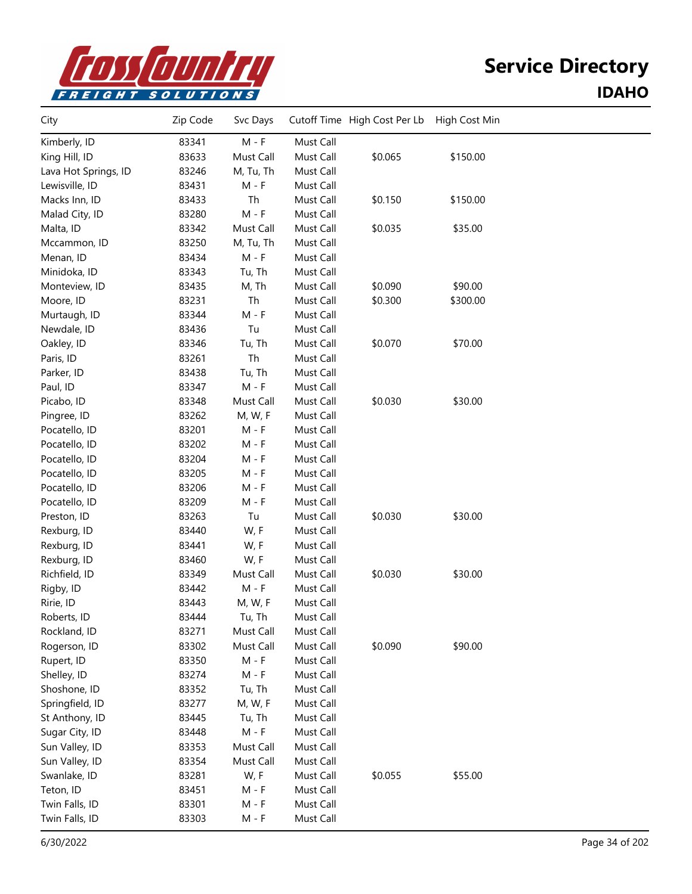

#### **Service Directory IDAHO**

| City                 | Zip Code | Svc Days                    |           | Cutoff Time High Cost Per Lb | High Cost Min |  |
|----------------------|----------|-----------------------------|-----------|------------------------------|---------------|--|
| Kimberly, ID         | 83341    | $M - F$                     | Must Call |                              |               |  |
| King Hill, ID        | 83633    | Must Call                   | Must Call | \$0.065                      | \$150.00      |  |
| Lava Hot Springs, ID | 83246    | M, Tu, Th                   | Must Call |                              |               |  |
| Lewisville, ID       | 83431    | $M - F$                     | Must Call |                              |               |  |
| Macks Inn, ID        | 83433    | Th                          | Must Call | \$0.150                      | \$150.00      |  |
| Malad City, ID       | 83280    | $\mathsf{M}$ - $\mathsf{F}$ | Must Call |                              |               |  |
| Malta, ID            | 83342    | Must Call                   | Must Call | \$0.035                      | \$35.00       |  |
| Mccammon, ID         | 83250    | M, Tu, Th                   | Must Call |                              |               |  |
| Menan, ID            | 83434    | $M - F$                     | Must Call |                              |               |  |
| Minidoka, ID         | 83343    | Tu, Th                      | Must Call |                              |               |  |
| Monteview, ID        | 83435    | M, Th                       | Must Call | \$0.090                      | \$90.00       |  |
| Moore, ID            | 83231    | Th                          | Must Call | \$0.300                      | \$300.00      |  |
| Murtaugh, ID         | 83344    | $M - F$                     | Must Call |                              |               |  |
| Newdale, ID          | 83436    | Tu                          | Must Call |                              |               |  |
| Oakley, ID           | 83346    | Tu, Th                      | Must Call | \$0.070                      | \$70.00       |  |
| Paris, ID            | 83261    | Th                          | Must Call |                              |               |  |
| Parker, ID           | 83438    | Tu, Th                      | Must Call |                              |               |  |
| Paul, ID             | 83347    | $M - F$                     | Must Call |                              |               |  |
| Picabo, ID           | 83348    | Must Call                   | Must Call | \$0.030                      | \$30.00       |  |
| Pingree, ID          | 83262    | M, W, F                     | Must Call |                              |               |  |
| Pocatello, ID        | 83201    | $M - F$                     | Must Call |                              |               |  |
| Pocatello, ID        | 83202    | $M - F$                     | Must Call |                              |               |  |
| Pocatello, ID        | 83204    | $M - F$                     | Must Call |                              |               |  |
| Pocatello, ID        | 83205    | $M - F$                     | Must Call |                              |               |  |
| Pocatello, ID        | 83206    | $M - F$                     | Must Call |                              |               |  |
| Pocatello, ID        | 83209    | M - F                       | Must Call |                              |               |  |
| Preston, ID          | 83263    | Tu                          | Must Call | \$0.030                      | \$30.00       |  |
| Rexburg, ID          | 83440    | W, F                        | Must Call |                              |               |  |
| Rexburg, ID          | 83441    | W, F                        | Must Call |                              |               |  |
| Rexburg, ID          | 83460    | W, F                        | Must Call |                              |               |  |
| Richfield, ID        | 83349    | Must Call                   | Must Call | \$0.030                      | \$30.00       |  |
| Rigby, ID            | 83442    | $M - F$                     | Must Call |                              |               |  |
| Ririe, ID            | 83443    | M, W, F                     | Must Call |                              |               |  |
| Roberts, ID          | 83444    | Tu, Th                      | Must Call |                              |               |  |
| Rockland, ID         | 83271    | Must Call                   | Must Call |                              |               |  |
| Rogerson, ID         | 83302    | Must Call                   | Must Call | \$0.090                      | \$90.00       |  |
| Rupert, ID           | 83350    | $M - F$                     | Must Call |                              |               |  |
| Shelley, ID          | 83274    | $M - F$                     | Must Call |                              |               |  |
| Shoshone, ID         | 83352    | Tu, Th                      | Must Call |                              |               |  |
| Springfield, ID      | 83277    | M, W, F                     | Must Call |                              |               |  |
| St Anthony, ID       | 83445    | Tu, Th                      | Must Call |                              |               |  |
| Sugar City, ID       | 83448    | $M - F$                     | Must Call |                              |               |  |
| Sun Valley, ID       | 83353    | Must Call                   | Must Call |                              |               |  |
| Sun Valley, ID       | 83354    | Must Call                   | Must Call |                              |               |  |
| Swanlake, ID         | 83281    | W, F                        | Must Call | \$0.055                      | \$55.00       |  |
| Teton, ID            | 83451    | M - F                       | Must Call |                              |               |  |
| Twin Falls, ID       | 83301    | M - F                       | Must Call |                              |               |  |
| Twin Falls, ID       | 83303    | $M - F$                     | Must Call |                              |               |  |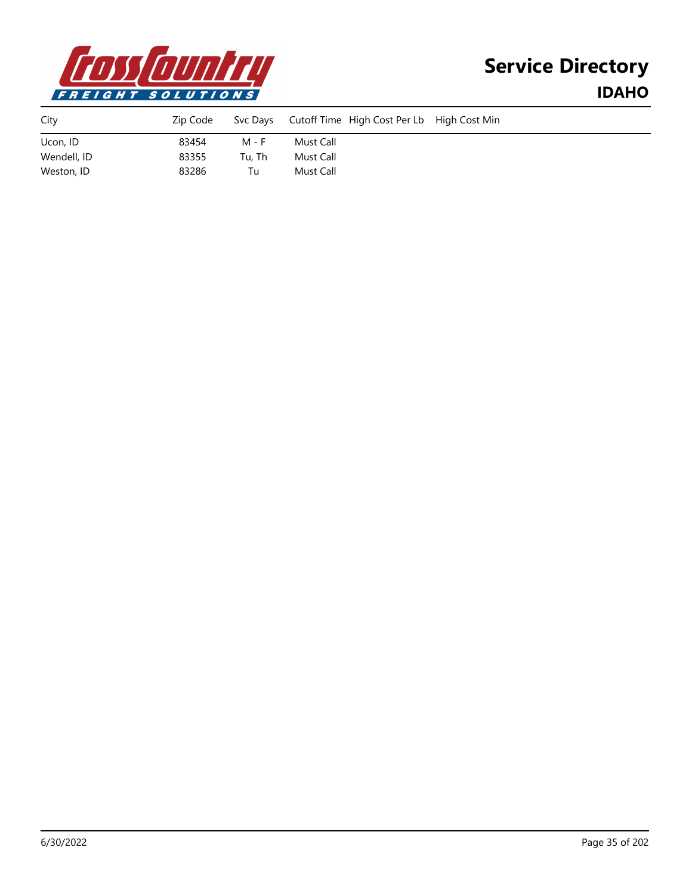

# **Service Directory IDAHO**

| City        | Zip Code |        | Svc Days Cutoff Time High Cost Per Lb High Cost Min |  |
|-------------|----------|--------|-----------------------------------------------------|--|
| Ucon, ID    | 83454    | M - F  | Must Call                                           |  |
| Wendell, ID | 83355    | Tu, Th | Must Call                                           |  |
| Weston, ID  | 83286    | Tu     | Must Call                                           |  |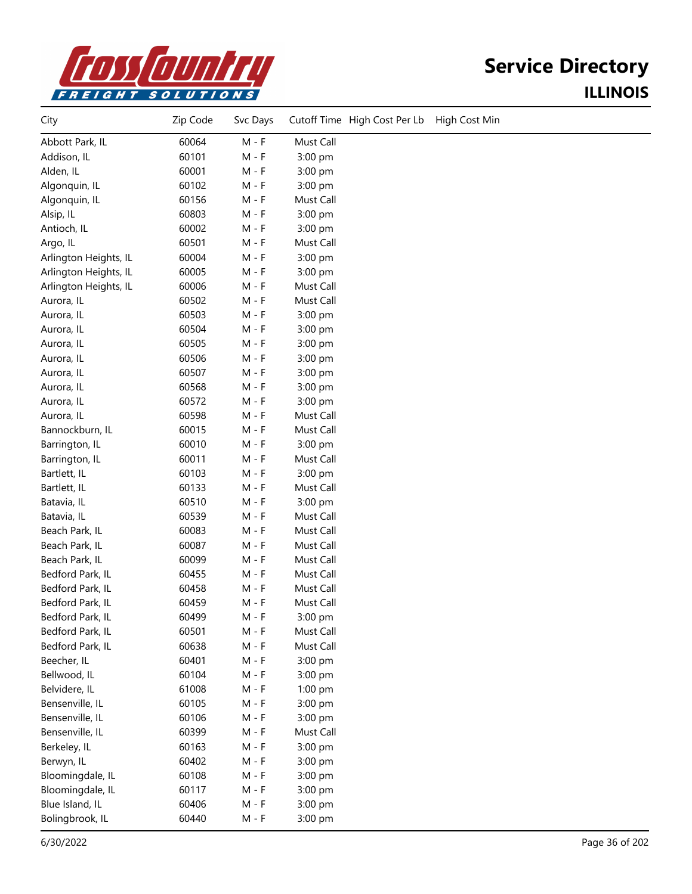

# **Service Directory ILLINOIS**

| City                  | Zip Code | Svc Days |           | Cutoff Time High Cost Per Lb | High Cost Min |
|-----------------------|----------|----------|-----------|------------------------------|---------------|
| Abbott Park, IL       | 60064    | $M - F$  | Must Call |                              |               |
| Addison, IL           | 60101    | $M - F$  | 3:00 pm   |                              |               |
| Alden, IL             | 60001    | $M - F$  | 3:00 pm   |                              |               |
| Algonquin, IL         | 60102    | $M - F$  | 3:00 pm   |                              |               |
| Algonquin, IL         | 60156    | $M - F$  | Must Call |                              |               |
| Alsip, IL             | 60803    | $M - F$  | 3:00 pm   |                              |               |
| Antioch, IL           | 60002    | $M - F$  | 3:00 pm   |                              |               |
| Argo, IL              | 60501    | $M - F$  | Must Call |                              |               |
| Arlington Heights, IL | 60004    | $M - F$  | 3:00 pm   |                              |               |
| Arlington Heights, IL | 60005    | $M - F$  | 3:00 pm   |                              |               |
| Arlington Heights, IL | 60006    | $M - F$  | Must Call |                              |               |
| Aurora, IL            | 60502    | $M - F$  | Must Call |                              |               |
| Aurora, IL            | 60503    | $M - F$  | 3:00 pm   |                              |               |
| Aurora, IL            | 60504    | $M - F$  | 3:00 pm   |                              |               |
| Aurora, IL            | 60505    | $M - F$  | 3:00 pm   |                              |               |
| Aurora, IL            | 60506    | $M - F$  | 3:00 pm   |                              |               |
| Aurora, IL            | 60507    | $M - F$  | 3:00 pm   |                              |               |
| Aurora, IL            | 60568    | $M - F$  | 3:00 pm   |                              |               |
| Aurora, IL            | 60572    | $M - F$  | 3:00 pm   |                              |               |
| Aurora, IL            | 60598    | $M - F$  | Must Call |                              |               |
| Bannockburn, IL       | 60015    | $M - F$  | Must Call |                              |               |
| Barrington, IL        | 60010    | $M - F$  | 3:00 pm   |                              |               |
| Barrington, IL        | 60011    | $M - F$  | Must Call |                              |               |
| Bartlett, IL          | 60103    | $M - F$  | 3:00 pm   |                              |               |
| Bartlett, IL          | 60133    | M - F    | Must Call |                              |               |
| Batavia, IL           | 60510    | $M - F$  | 3:00 pm   |                              |               |
| Batavia, IL           | 60539    | $M - F$  | Must Call |                              |               |
| Beach Park, IL        | 60083    | $M - F$  | Must Call |                              |               |
| Beach Park, IL        | 60087    | $M - F$  | Must Call |                              |               |
| Beach Park, IL        | 60099    | $M - F$  | Must Call |                              |               |
| Bedford Park, IL      | 60455    | $M - F$  | Must Call |                              |               |
| Bedford Park, IL      | 60458    | $M - F$  | Must Call |                              |               |
| Bedford Park, IL      | 60459    | $M - F$  | Must Call |                              |               |
| Bedford Park, IL      | 60499    | $M - F$  | 3:00 pm   |                              |               |
| Bedford Park, IL      | 60501    | $M - F$  | Must Call |                              |               |
| Bedford Park, IL      | 60638    | $M - F$  | Must Call |                              |               |
| Beecher, IL           | 60401    | $M - F$  | 3:00 pm   |                              |               |
| Bellwood, IL          | 60104    | $M - F$  | 3:00 pm   |                              |               |
| Belvidere, IL         | 61008    | $M - F$  | 1:00 pm   |                              |               |
| Bensenville, IL       | 60105    | $M - F$  | 3:00 pm   |                              |               |
| Bensenville, IL       | 60106    | $M - F$  | 3:00 pm   |                              |               |
| Bensenville, IL       | 60399    | $M - F$  | Must Call |                              |               |
| Berkeley, IL          | 60163    | $M - F$  | 3:00 pm   |                              |               |
| Berwyn, IL            | 60402    | $M - F$  | 3:00 pm   |                              |               |
| Bloomingdale, IL      | 60108    | $M - F$  | 3:00 pm   |                              |               |
| Bloomingdale, IL      | 60117    | $M - F$  | 3:00 pm   |                              |               |
| Blue Island, IL       | 60406    | $M - F$  | 3:00 pm   |                              |               |
| Bolingbrook, IL       | 60440    | $M - F$  | 3:00 pm   |                              |               |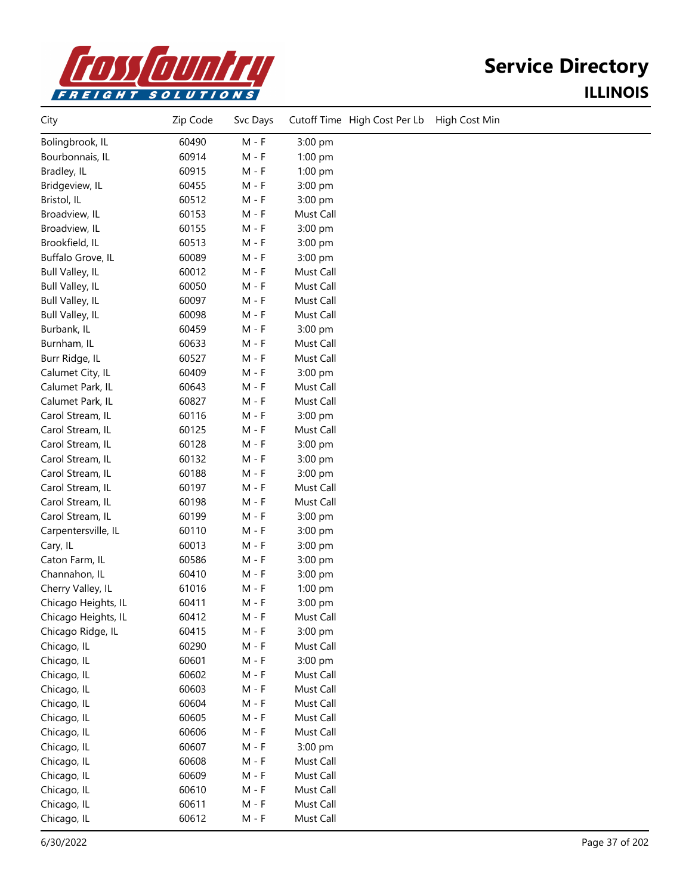

| City                | Zip Code | Svc Days | Cutoff Time High Cost Per Lb | High Cost Min |
|---------------------|----------|----------|------------------------------|---------------|
| Bolingbrook, IL     | 60490    | $M - F$  | 3:00 pm                      |               |
| Bourbonnais, IL     | 60914    | $M - F$  | 1:00 pm                      |               |
| Bradley, IL         | 60915    | $M - F$  | 1:00 pm                      |               |
| Bridgeview, IL      | 60455    | $M - F$  | 3:00 pm                      |               |
| Bristol, IL         | 60512    | $M - F$  | 3:00 pm                      |               |
| Broadview, IL       | 60153    | $M - F$  | Must Call                    |               |
| Broadview, IL       | 60155    | $M - F$  | 3:00 pm                      |               |
| Brookfield, IL      | 60513    | M - F    | 3:00 pm                      |               |
| Buffalo Grove, IL   | 60089    | $M - F$  | 3:00 pm                      |               |
| Bull Valley, IL     | 60012    | $M - F$  | Must Call                    |               |
| Bull Valley, IL     | 60050    | $M - F$  | Must Call                    |               |
| Bull Valley, IL     | 60097    | $M - F$  | Must Call                    |               |
| Bull Valley, IL     | 60098    | $M - F$  | Must Call                    |               |
| Burbank, IL         | 60459    | $M - F$  | 3:00 pm                      |               |
| Burnham, IL         | 60633    | $M - F$  | Must Call                    |               |
| Burr Ridge, IL      | 60527    | $M - F$  | Must Call                    |               |
| Calumet City, IL    | 60409    | $M - F$  | 3:00 pm                      |               |
| Calumet Park, IL    | 60643    | $M - F$  | Must Call                    |               |
| Calumet Park, IL    | 60827    | $M - F$  | Must Call                    |               |
| Carol Stream, IL    | 60116    | $M - F$  | 3:00 pm                      |               |
| Carol Stream, IL    | 60125    | $M - F$  | Must Call                    |               |
| Carol Stream, IL    | 60128    | $M - F$  | 3:00 pm                      |               |
| Carol Stream, IL    | 60132    | $M - F$  | 3:00 pm                      |               |
| Carol Stream, IL    | 60188    | M - F    | 3:00 pm                      |               |
| Carol Stream, IL    | 60197    | $M - F$  | Must Call                    |               |
| Carol Stream, IL    | 60198    | $M - F$  | Must Call                    |               |
| Carol Stream, IL    | 60199    | $M - F$  | 3:00 pm                      |               |
| Carpentersville, IL | 60110    | $M - F$  | 3:00 pm                      |               |
| Cary, IL            | 60013    | $M - F$  | 3:00 pm                      |               |
| Caton Farm, IL      | 60586    | $M - F$  | 3:00 pm                      |               |
| Channahon, IL       | 60410    | $M - F$  | 3:00 pm                      |               |
| Cherry Valley, IL   | 61016    | M - F    | 1:00 pm                      |               |
| Chicago Heights, IL | 60411    | $M - F$  | 3:00 pm                      |               |
| Chicago Heights, IL | 60412    | $M - F$  | Must Call                    |               |
| Chicago Ridge, IL   | 60415    | $M - F$  | 3:00 pm                      |               |
| Chicago, IL         | 60290    | $M - F$  | Must Call                    |               |
| Chicago, IL         | 60601    | $M - F$  | 3:00 pm                      |               |
| Chicago, IL         | 60602    | $M - F$  | Must Call                    |               |
| Chicago, IL         | 60603    | $M - F$  | Must Call                    |               |
| Chicago, IL         | 60604    | $M - F$  | Must Call                    |               |
| Chicago, IL         | 60605    | $M - F$  | Must Call                    |               |
| Chicago, IL         | 60606    | $M - F$  | Must Call                    |               |
| Chicago, IL         | 60607    | $M - F$  | 3:00 pm                      |               |
| Chicago, IL         | 60608    | $M - F$  | Must Call                    |               |
| Chicago, IL         | 60609    | $M - F$  | Must Call                    |               |
| Chicago, IL         | 60610    | $M - F$  | Must Call                    |               |
| Chicago, IL         | 60611    | $M - F$  | Must Call                    |               |
| Chicago, IL         | 60612    | $M - F$  | Must Call                    |               |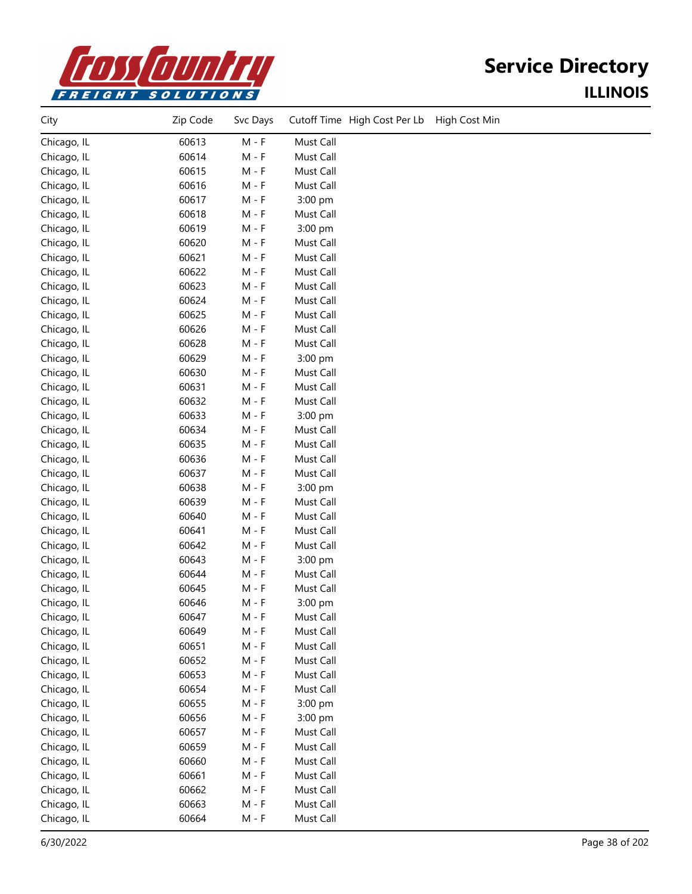

| City        | Zip Code | Svc Days | Cutoff Time High Cost Per Lb<br>High Cost Min |
|-------------|----------|----------|-----------------------------------------------|
| Chicago, IL | 60613    | $M - F$  | Must Call                                     |
| Chicago, IL | 60614    | $M - F$  | Must Call                                     |
| Chicago, IL | 60615    | $M - F$  | Must Call                                     |
| Chicago, IL | 60616    | $M - F$  | Must Call                                     |
| Chicago, IL | 60617    | $M - F$  | 3:00 pm                                       |
| Chicago, IL | 60618    | $M - F$  | Must Call                                     |
| Chicago, IL | 60619    | $M - F$  | 3:00 pm                                       |
| Chicago, IL | 60620    | $M - F$  | Must Call                                     |
| Chicago, IL | 60621    | $M - F$  | Must Call                                     |
| Chicago, IL | 60622    | $M - F$  | Must Call                                     |
| Chicago, IL | 60623    | $M - F$  | Must Call                                     |
| Chicago, IL | 60624    | $M - F$  | Must Call                                     |
| Chicago, IL | 60625    | $M - F$  | Must Call                                     |
| Chicago, IL | 60626    | $M - F$  | Must Call                                     |
| Chicago, IL | 60628    | $M - F$  | Must Call                                     |
| Chicago, IL | 60629    | $M - F$  | 3:00 pm                                       |
| Chicago, IL | 60630    | $M - F$  | Must Call                                     |
| Chicago, IL | 60631    | $M - F$  | Must Call                                     |
| Chicago, IL | 60632    | $M - F$  | Must Call                                     |
| Chicago, IL | 60633    | $M - F$  | 3:00 pm                                       |
| Chicago, IL | 60634    | $M - F$  | Must Call                                     |
| Chicago, IL | 60635    | $M - F$  | Must Call                                     |
| Chicago, IL | 60636    | $M - F$  | Must Call                                     |
| Chicago, IL | 60637    | $M - F$  | Must Call                                     |
| Chicago, IL | 60638    | $M - F$  | 3:00 pm                                       |
| Chicago, IL | 60639    | $M - F$  | Must Call                                     |
| Chicago, IL | 60640    | $M - F$  | Must Call                                     |
| Chicago, IL | 60641    | $M - F$  | Must Call                                     |
| Chicago, IL | 60642    | $M - F$  | Must Call                                     |
| Chicago, IL | 60643    | $M - F$  | 3:00 pm                                       |
| Chicago, IL | 60644    | $M - F$  | Must Call                                     |
| Chicago, IL | 60645    | $M - F$  | Must Call                                     |
| Chicago, IL | 60646    | $M - F$  | 3:00 pm                                       |
| Chicago, IL | 60647    | $M - F$  | Must Call                                     |
| Chicago, IL | 60649    | $M - F$  | Must Call                                     |
| Chicago, IL | 60651    | $M - F$  | Must Call                                     |
| Chicago, IL | 60652    | $M - F$  | Must Call                                     |
| Chicago, IL | 60653    | $M - F$  | Must Call                                     |
| Chicago, IL | 60654    | $M - F$  | Must Call                                     |
| Chicago, IL | 60655    | $M - F$  | 3:00 pm                                       |
| Chicago, IL | 60656    | $M - F$  | 3:00 pm                                       |
| Chicago, IL | 60657    | $M - F$  | Must Call                                     |
| Chicago, IL | 60659    | $M - F$  | Must Call                                     |
| Chicago, IL | 60660    | $M - F$  | Must Call                                     |
| Chicago, IL | 60661    | $M - F$  | Must Call                                     |
| Chicago, IL | 60662    | $M - F$  | Must Call                                     |
| Chicago, IL | 60663    | $M - F$  | Must Call                                     |
| Chicago, IL | 60664    | $M - F$  | Must Call                                     |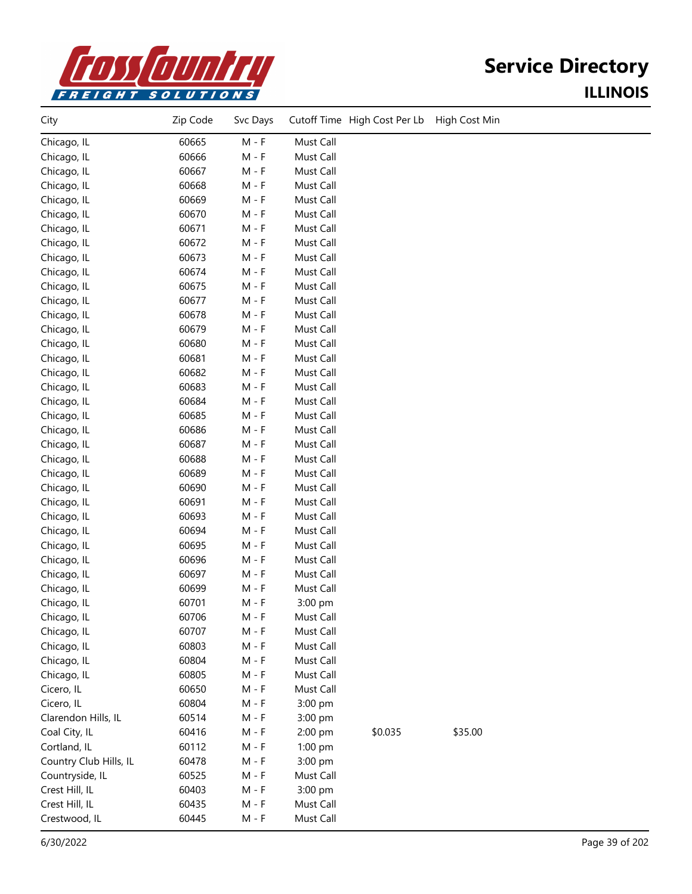

| City                   | Zip Code | Svc Days |           | Cutoff Time High Cost Per Lb | High Cost Min |  |
|------------------------|----------|----------|-----------|------------------------------|---------------|--|
| Chicago, IL            | 60665    | $M - F$  | Must Call |                              |               |  |
| Chicago, IL            | 60666    | $M - F$  | Must Call |                              |               |  |
| Chicago, IL            | 60667    | $M - F$  | Must Call |                              |               |  |
| Chicago, IL            | 60668    | $M - F$  | Must Call |                              |               |  |
| Chicago, IL            | 60669    | $M - F$  | Must Call |                              |               |  |
| Chicago, IL            | 60670    | $M - F$  | Must Call |                              |               |  |
| Chicago, IL            | 60671    | $M - F$  | Must Call |                              |               |  |
| Chicago, IL            | 60672    | $M - F$  | Must Call |                              |               |  |
| Chicago, IL            | 60673    | $M - F$  | Must Call |                              |               |  |
| Chicago, IL            | 60674    | $M - F$  | Must Call |                              |               |  |
| Chicago, IL            | 60675    | $M - F$  | Must Call |                              |               |  |
| Chicago, IL            | 60677    | $M - F$  | Must Call |                              |               |  |
| Chicago, IL            | 60678    | $M - F$  | Must Call |                              |               |  |
| Chicago, IL            | 60679    | $M - F$  | Must Call |                              |               |  |
| Chicago, IL            | 60680    | $M - F$  | Must Call |                              |               |  |
| Chicago, IL            | 60681    | $M - F$  | Must Call |                              |               |  |
| Chicago, IL            | 60682    | $M - F$  | Must Call |                              |               |  |
| Chicago, IL            | 60683    | $M - F$  | Must Call |                              |               |  |
| Chicago, IL            | 60684    | $M - F$  | Must Call |                              |               |  |
| Chicago, IL            | 60685    | $M - F$  | Must Call |                              |               |  |
| Chicago, IL            | 60686    | $M - F$  | Must Call |                              |               |  |
| Chicago, IL            | 60687    | $M - F$  | Must Call |                              |               |  |
| Chicago, IL            | 60688    | $M - F$  | Must Call |                              |               |  |
| Chicago, IL            | 60689    | $M - F$  | Must Call |                              |               |  |
| Chicago, IL            | 60690    | $M - F$  | Must Call |                              |               |  |
| Chicago, IL            | 60691    | $M - F$  | Must Call |                              |               |  |
| Chicago, IL            | 60693    | $M - F$  | Must Call |                              |               |  |
| Chicago, IL            | 60694    | $M - F$  | Must Call |                              |               |  |
| Chicago, IL            | 60695    | $M - F$  | Must Call |                              |               |  |
| Chicago, IL            | 60696    | $M - F$  | Must Call |                              |               |  |
| Chicago, IL            | 60697    | $M - F$  | Must Call |                              |               |  |
| Chicago, IL            | 60699    | $M - F$  | Must Call |                              |               |  |
| Chicago, IL            | 60701    | $M - F$  | 3:00 pm   |                              |               |  |
| Chicago, IL            | 60706    | M - F    | Must Call |                              |               |  |
| Chicago, IL            | 60707    | $M - F$  | Must Call |                              |               |  |
| Chicago, IL            | 60803    | $M - F$  | Must Call |                              |               |  |
| Chicago, IL            | 60804    | $M - F$  | Must Call |                              |               |  |
| Chicago, IL            | 60805    | $M - F$  | Must Call |                              |               |  |
| Cicero, IL             | 60650    | $M - F$  | Must Call |                              |               |  |
| Cicero, IL             | 60804    | $M - F$  | 3:00 pm   |                              |               |  |
| Clarendon Hills, IL    | 60514    | $M - F$  | 3:00 pm   |                              |               |  |
| Coal City, IL          | 60416    | $M - F$  | 2:00 pm   | \$0.035                      | \$35.00       |  |
| Cortland, IL           | 60112    | $M - F$  | 1:00 pm   |                              |               |  |
| Country Club Hills, IL | 60478    | $M - F$  | 3:00 pm   |                              |               |  |
| Countryside, IL        | 60525    | $M - F$  | Must Call |                              |               |  |
| Crest Hill, IL         | 60403    | $M - F$  | 3:00 pm   |                              |               |  |
| Crest Hill, IL         | 60435    | $M - F$  | Must Call |                              |               |  |
| Crestwood, IL          | 60445    | $M - F$  | Must Call |                              |               |  |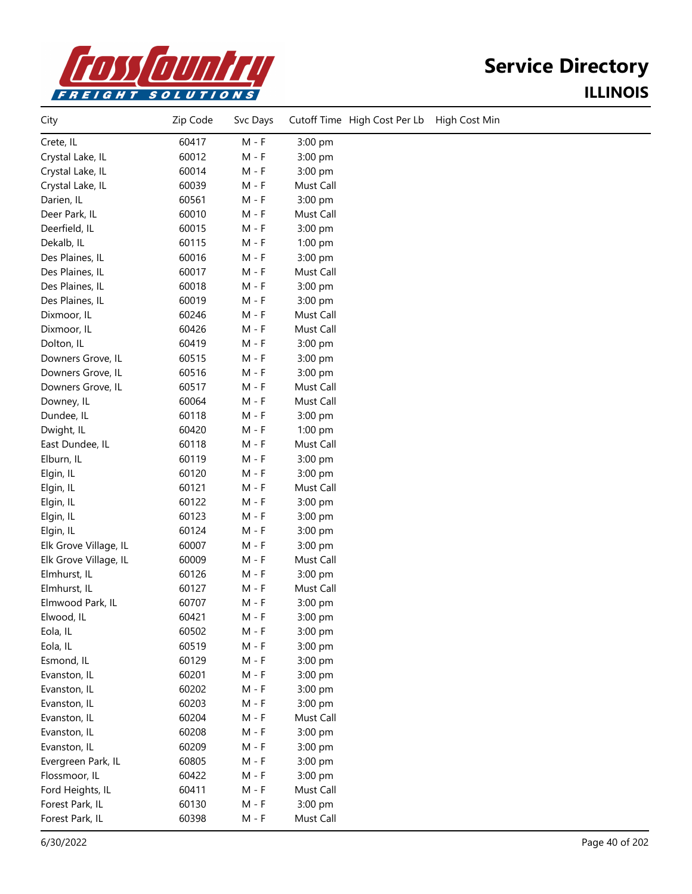

| City                  | Zip Code | Svc Days | Cutoff Time High Cost Per Lb<br>High Cost Min |
|-----------------------|----------|----------|-----------------------------------------------|
| Crete, IL             | 60417    | $M - F$  | 3:00 pm                                       |
| Crystal Lake, IL      | 60012    | $M - F$  | 3:00 pm                                       |
| Crystal Lake, IL      | 60014    | $M - F$  | 3:00 pm                                       |
| Crystal Lake, IL      | 60039    | $M - F$  | Must Call                                     |
| Darien, IL            | 60561    | $M - F$  | 3:00 pm                                       |
| Deer Park, IL         | 60010    | $M - F$  | Must Call                                     |
| Deerfield, IL         | 60015    | $M - F$  | 3:00 pm                                       |
| Dekalb, IL            | 60115    | $M - F$  | 1:00 pm                                       |
| Des Plaines, IL       | 60016    | M - F    | 3:00 pm                                       |
| Des Plaines, IL       | 60017    | $M - F$  | Must Call                                     |
| Des Plaines, IL       | 60018    | $M - F$  | 3:00 pm                                       |
| Des Plaines, IL       | 60019    | $M - F$  | 3:00 pm                                       |
| Dixmoor, IL           | 60246    | $M - F$  | Must Call                                     |
| Dixmoor, IL           | 60426    | $M - F$  | Must Call                                     |
| Dolton, IL            | 60419    | $M - F$  | 3:00 pm                                       |
| Downers Grove, IL     | 60515    | $M - F$  | 3:00 pm                                       |
| Downers Grove, IL     | 60516    | $M - F$  | 3:00 pm                                       |
| Downers Grove, IL     | 60517    | $M - F$  | Must Call                                     |
| Downey, IL            | 60064    | $M - F$  | Must Call                                     |
| Dundee, IL            | 60118    | $M - F$  | 3:00 pm                                       |
| Dwight, IL            | 60420    | $M - F$  | 1:00 pm                                       |
| East Dundee, IL       | 60118    | $M - F$  | Must Call                                     |
| Elburn, IL            | 60119    | $M - F$  | 3:00 pm                                       |
| Elgin, IL             | 60120    | $M - F$  | 3:00 pm                                       |
| Elgin, IL             | 60121    | M - F    | Must Call                                     |
| Elgin, IL             | 60122    | $M - F$  | 3:00 pm                                       |
| Elgin, IL             | 60123    | $M - F$  | 3:00 pm                                       |
| Elgin, IL             | 60124    | $M - F$  | 3:00 pm                                       |
| Elk Grove Village, IL | 60007    | $M - F$  | 3:00 pm                                       |
| Elk Grove Village, IL | 60009    | $M - F$  | Must Call                                     |
| Elmhurst, IL          | 60126    | $M - F$  | 3:00 pm                                       |
| Elmhurst, IL          | 60127    | $M - F$  | Must Call                                     |
| Elmwood Park, IL      | 60707    | M - F    | 3:00 pm                                       |
| Elwood, IL            | 60421    | M - F    | 3:00 pm                                       |
| Eola, IL              | 60502    | $M - F$  | 3:00 pm                                       |
| Eola, IL              | 60519    | $M - F$  | 3:00 pm                                       |
| Esmond, IL            | 60129    | $M - F$  | 3:00 pm                                       |
| Evanston, IL          | 60201    | $M - F$  | 3:00 pm                                       |
| Evanston, IL          | 60202    | $M - F$  | 3:00 pm                                       |
| Evanston, IL          | 60203    | $M - F$  | 3:00 pm                                       |
| Evanston, IL          | 60204    | $M - F$  | Must Call                                     |
| Evanston, IL          | 60208    | $M - F$  | 3:00 pm                                       |
| Evanston, IL          | 60209    | $M - F$  | 3:00 pm                                       |
| Evergreen Park, IL    | 60805    | $M - F$  | 3:00 pm                                       |
| Flossmoor, IL         | 60422    | $M - F$  | 3:00 pm                                       |
| Ford Heights, IL      | 60411    | $M - F$  | Must Call                                     |
| Forest Park, IL       | 60130    | $M - F$  | 3:00 pm                                       |
| Forest Park, IL       | 60398    | $M - F$  | Must Call                                     |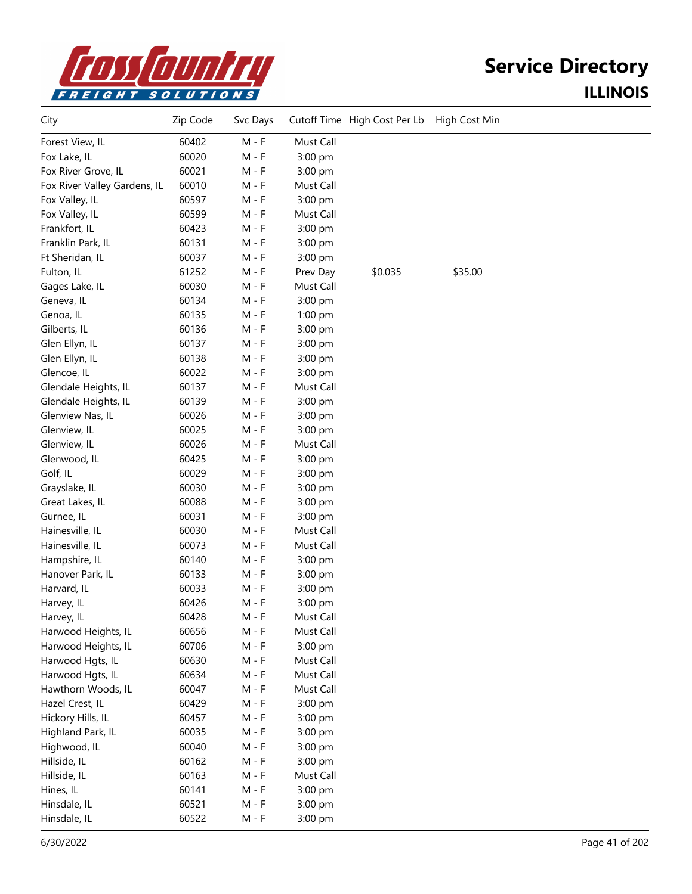

| City                         | Zip Code | Svc Days |           | Cutoff Time High Cost Per Lb | High Cost Min |  |
|------------------------------|----------|----------|-----------|------------------------------|---------------|--|
| Forest View, IL              | 60402    | $M - F$  | Must Call |                              |               |  |
| Fox Lake, IL                 | 60020    | $M - F$  | 3:00 pm   |                              |               |  |
| Fox River Grove, IL          | 60021    | $M - F$  | 3:00 pm   |                              |               |  |
| Fox River Valley Gardens, IL | 60010    | $M - F$  | Must Call |                              |               |  |
| Fox Valley, IL               | 60597    | M - F    | 3:00 pm   |                              |               |  |
| Fox Valley, IL               | 60599    | $M - F$  | Must Call |                              |               |  |
| Frankfort, IL                | 60423    | $M - F$  | 3:00 pm   |                              |               |  |
| Franklin Park, IL            | 60131    | $M - F$  | 3:00 pm   |                              |               |  |
| Ft Sheridan, IL              | 60037    | $M - F$  | 3:00 pm   |                              |               |  |
| Fulton, IL                   | 61252    | $M - F$  | Prev Day  | \$0.035                      | \$35.00       |  |
| Gages Lake, IL               | 60030    | $M - F$  | Must Call |                              |               |  |
| Geneva, IL                   | 60134    | $M - F$  | 3:00 pm   |                              |               |  |
| Genoa, IL                    | 60135    | $M - F$  | $1:00$ pm |                              |               |  |
| Gilberts, IL                 | 60136    | $M - F$  | 3:00 pm   |                              |               |  |
| Glen Ellyn, IL               | 60137    | $M - F$  | 3:00 pm   |                              |               |  |
| Glen Ellyn, IL               | 60138    | $M - F$  | 3:00 pm   |                              |               |  |
| Glencoe, IL                  | 60022    | $M - F$  | 3:00 pm   |                              |               |  |
| Glendale Heights, IL         | 60137    | $M - F$  | Must Call |                              |               |  |
| Glendale Heights, IL         | 60139    | $M - F$  | 3:00 pm   |                              |               |  |
| Glenview Nas, IL             | 60026    | M - F    | 3:00 pm   |                              |               |  |
| Glenview, IL                 | 60025    | $M - F$  | 3:00 pm   |                              |               |  |
| Glenview, IL                 | 60026    | $M - F$  | Must Call |                              |               |  |
| Glenwood, IL                 | 60425    | $M - F$  | 3:00 pm   |                              |               |  |
| Golf, IL                     | 60029    | $M - F$  | 3:00 pm   |                              |               |  |
| Grayslake, IL                | 60030    | $M - F$  | 3:00 pm   |                              |               |  |
| Great Lakes, IL              | 60088    | $M - F$  | 3:00 pm   |                              |               |  |
| Gurnee, IL                   | 60031    | $M - F$  | 3:00 pm   |                              |               |  |
| Hainesville, IL              | 60030    | $M - F$  | Must Call |                              |               |  |
| Hainesville, IL              | 60073    | M - F    | Must Call |                              |               |  |
| Hampshire, IL                | 60140    | $M - F$  | 3:00 pm   |                              |               |  |
| Hanover Park, IL             | 60133    | $M - F$  | 3:00 pm   |                              |               |  |
| Harvard, IL                  | 60033    | $M - F$  | 3:00 pm   |                              |               |  |
| Harvey, IL                   | 60426    | $M - F$  | 3:00 pm   |                              |               |  |
| Harvey, IL                   | 60428    | $M - F$  | Must Call |                              |               |  |
| Harwood Heights, IL          | 60656    | $M - F$  | Must Call |                              |               |  |
| Harwood Heights, IL          | 60706    | $M - F$  | 3:00 pm   |                              |               |  |
| Harwood Hgts, IL             | 60630    | $M - F$  | Must Call |                              |               |  |
| Harwood Hgts, IL             | 60634    | $M - F$  | Must Call |                              |               |  |
| Hawthorn Woods, IL           | 60047    | $M - F$  | Must Call |                              |               |  |
| Hazel Crest, IL              | 60429    | $M - F$  | 3:00 pm   |                              |               |  |
| Hickory Hills, IL            | 60457    | $M - F$  | 3:00 pm   |                              |               |  |
| Highland Park, IL            | 60035    | $M - F$  | 3:00 pm   |                              |               |  |
| Highwood, IL                 | 60040    | $M - F$  | 3:00 pm   |                              |               |  |
| Hillside, IL                 | 60162    | $M - F$  | 3:00 pm   |                              |               |  |
| Hillside, IL                 | 60163    | $M - F$  | Must Call |                              |               |  |
| Hines, IL                    | 60141    | $M - F$  | 3:00 pm   |                              |               |  |
| Hinsdale, IL                 | 60521    | $M - F$  | 3:00 pm   |                              |               |  |
| Hinsdale, IL                 | 60522    | $M - F$  | 3:00 pm   |                              |               |  |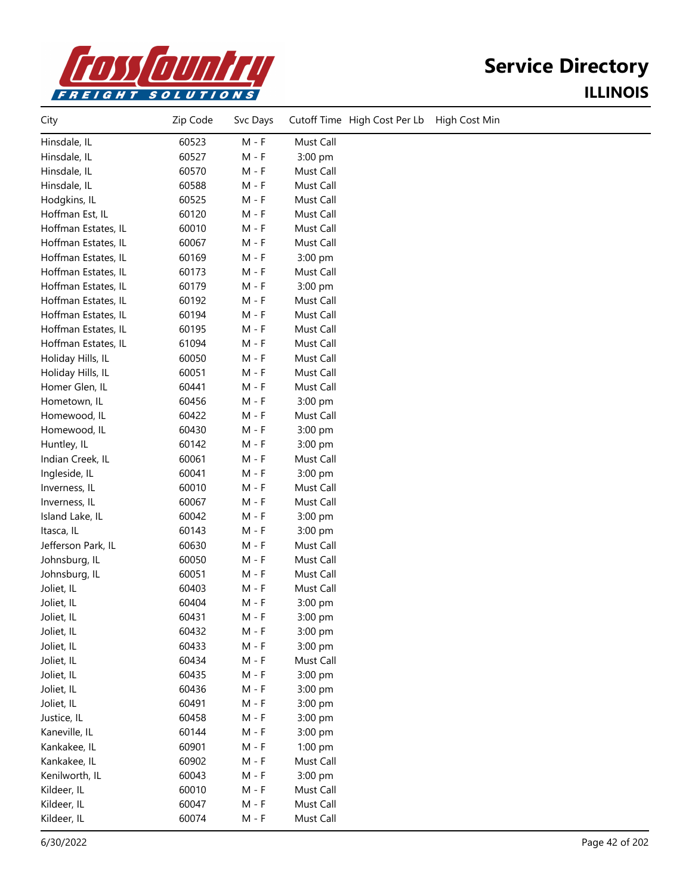

| City                | Zip Code | Svc Days | Cutoff Time High Cost Per Lb<br>High Cost Min |
|---------------------|----------|----------|-----------------------------------------------|
| Hinsdale, IL        | 60523    | $M - F$  | Must Call                                     |
| Hinsdale, IL        | 60527    | $M - F$  | 3:00 pm                                       |
| Hinsdale, IL        | 60570    | $M - F$  | Must Call                                     |
| Hinsdale, IL        | 60588    | $M - F$  | Must Call                                     |
| Hodgkins, IL        | 60525    | $M - F$  | Must Call                                     |
| Hoffman Est, IL     | 60120    | $M - F$  | Must Call                                     |
| Hoffman Estates, IL | 60010    | $M - F$  | Must Call                                     |
| Hoffman Estates, IL | 60067    | $M - F$  | Must Call                                     |
| Hoffman Estates, IL | 60169    | $M - F$  | 3:00 pm                                       |
| Hoffman Estates, IL | 60173    | $M - F$  | Must Call                                     |
| Hoffman Estates, IL | 60179    | $M - F$  | 3:00 pm                                       |
| Hoffman Estates, IL | 60192    | $M - F$  | Must Call                                     |
| Hoffman Estates, IL | 60194    | $M - F$  | Must Call                                     |
| Hoffman Estates, IL | 60195    | $M - F$  | Must Call                                     |
| Hoffman Estates, IL | 61094    | $M - F$  | Must Call                                     |
| Holiday Hills, IL   | 60050    | $M - F$  | Must Call                                     |
| Holiday Hills, IL   | 60051    | $M - F$  | Must Call                                     |
| Homer Glen, IL      | 60441    | $M - F$  | Must Call                                     |
| Hometown, IL        | 60456    | $M - F$  | 3:00 pm                                       |
| Homewood, IL        | 60422    | $M - F$  | Must Call                                     |
| Homewood, IL        | 60430    | $M - F$  | 3:00 pm                                       |
| Huntley, IL         | 60142    | $M - F$  | 3:00 pm                                       |
| Indian Creek, IL    | 60061    | $M - F$  | Must Call                                     |
| Ingleside, IL       | 60041    | $M - F$  | 3:00 pm                                       |
| Inverness, IL       | 60010    | $M - F$  | Must Call                                     |
| Inverness, IL       | 60067    | $M - F$  | Must Call                                     |
| Island Lake, IL     | 60042    | $M - F$  | 3:00 pm                                       |
| Itasca, IL          | 60143    | $M - F$  | 3:00 pm                                       |
| Jefferson Park, IL  | 60630    | $M - F$  | Must Call                                     |
| Johnsburg, IL       | 60050    | $M - F$  | Must Call                                     |
| Johnsburg, IL       | 60051    | $M - F$  | Must Call                                     |
| Joliet, IL          | 60403    | M - F    | Must Call                                     |
| Joliet, IL          | 60404    | $M - F$  | 3:00 pm                                       |
| Joliet, IL          | 60431    | M - F    | 3:00 pm                                       |
| Joliet, IL          | 60432    | M - F    | 3:00 pm                                       |
| Joliet, IL          | 60433    | $M - F$  | 3:00 pm                                       |
| Joliet, IL          | 60434    | $M - F$  | Must Call                                     |
| Joliet, IL          | 60435    | $M - F$  | 3:00 pm                                       |
| Joliet, IL          | 60436    | $M - F$  | 3:00 pm                                       |
| Joliet, IL          | 60491    | $M - F$  | 3:00 pm                                       |
| Justice, IL         | 60458    | $M - F$  | 3:00 pm                                       |
| Kaneville, IL       | 60144    | $M - F$  | 3:00 pm                                       |
| Kankakee, IL        | 60901    | $M - F$  | 1:00 pm                                       |
| Kankakee, IL        | 60902    | $M - F$  | Must Call                                     |
| Kenilworth, IL      | 60043    | $M - F$  | 3:00 pm                                       |
| Kildeer, IL         | 60010    | $M - F$  | Must Call                                     |
| Kildeer, IL         | 60047    | $M - F$  | Must Call                                     |
| Kildeer, IL         | 60074    | $M - F$  | Must Call                                     |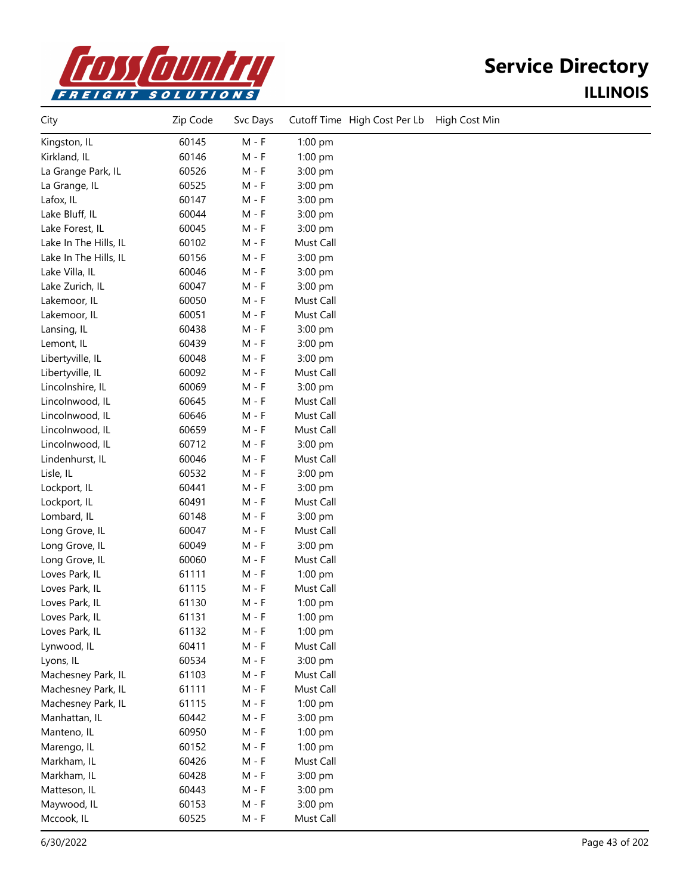

| City                  | Zip Code | Svc Days |           | Cutoff Time High Cost Per Lb | High Cost Min |
|-----------------------|----------|----------|-----------|------------------------------|---------------|
| Kingston, IL          | 60145    | $M - F$  | 1:00 pm   |                              |               |
| Kirkland, IL          | 60146    | $M - F$  | 1:00 pm   |                              |               |
| La Grange Park, IL    | 60526    | $M - F$  | 3:00 pm   |                              |               |
| La Grange, IL         | 60525    | $M - F$  | 3:00 pm   |                              |               |
| Lafox, IL             | 60147    | $M - F$  | 3:00 pm   |                              |               |
| Lake Bluff, IL        | 60044    | $M - F$  | 3:00 pm   |                              |               |
| Lake Forest, IL       | 60045    | $M - F$  | 3:00 pm   |                              |               |
| Lake In The Hills, IL | 60102    | M - F    | Must Call |                              |               |
| Lake In The Hills, IL | 60156    | $M - F$  | 3:00 pm   |                              |               |
| Lake Villa, IL        | 60046    | $M - F$  | 3:00 pm   |                              |               |
| Lake Zurich, IL       | 60047    | $M - F$  | 3:00 pm   |                              |               |
| Lakemoor, IL          | 60050    | $M - F$  | Must Call |                              |               |
| Lakemoor, IL          | 60051    | $M - F$  | Must Call |                              |               |
| Lansing, IL           | 60438    | $M - F$  | 3:00 pm   |                              |               |
| Lemont, IL            | 60439    | $M - F$  | 3:00 pm   |                              |               |
| Libertyville, IL      | 60048    | $M - F$  | 3:00 pm   |                              |               |
| Libertyville, IL      | 60092    | $M - F$  | Must Call |                              |               |
| Lincolnshire, IL      | 60069    | $M - F$  | 3:00 pm   |                              |               |
| Lincolnwood, IL       | 60645    | $M - F$  | Must Call |                              |               |
| Lincolnwood, IL       | 60646    | $M - F$  | Must Call |                              |               |
| Lincolnwood, IL       | 60659    | $M - F$  | Must Call |                              |               |
| Lincolnwood, IL       | 60712    | $M - F$  | 3:00 pm   |                              |               |
| Lindenhurst, IL       | 60046    | $M - F$  | Must Call |                              |               |
| Lisle, IL             | 60532    | $M - F$  | 3:00 pm   |                              |               |
| Lockport, IL          | 60441    | $M - F$  | 3:00 pm   |                              |               |
| Lockport, IL          | 60491    | $M - F$  | Must Call |                              |               |
| Lombard, IL           | 60148    | $M - F$  | 3:00 pm   |                              |               |
| Long Grove, IL        | 60047    | $M - F$  | Must Call |                              |               |
| Long Grove, IL        | 60049    | $M - F$  | 3:00 pm   |                              |               |
| Long Grove, IL        | 60060    | $M - F$  | Must Call |                              |               |
| Loves Park, IL        | 61111    | $M - F$  | 1:00 pm   |                              |               |
| Loves Park, IL        | 61115    | $M - F$  | Must Call |                              |               |
| Loves Park, IL        | 61130    | $M - F$  | 1:00 pm   |                              |               |
| Loves Park, IL        | 61131    | $M - F$  | 1:00 pm   |                              |               |
| Loves Park, IL        | 61132    | $M - F$  | 1:00 pm   |                              |               |
| Lynwood, IL           | 60411    | $M - F$  | Must Call |                              |               |
| Lyons, IL             | 60534    | $M - F$  | 3:00 pm   |                              |               |
| Machesney Park, IL    | 61103    | $M - F$  | Must Call |                              |               |
| Machesney Park, IL    | 61111    | $M - F$  | Must Call |                              |               |
| Machesney Park, IL    | 61115    | $M - F$  | 1:00 pm   |                              |               |
| Manhattan, IL         | 60442    | $M - F$  | 3:00 pm   |                              |               |
| Manteno, IL           | 60950    | $M - F$  | 1:00 pm   |                              |               |
| Marengo, IL           | 60152    | $M - F$  | 1:00 pm   |                              |               |
| Markham, IL           | 60426    | $M - F$  | Must Call |                              |               |
| Markham, IL           | 60428    | $M - F$  | 3:00 pm   |                              |               |
| Matteson, IL          | 60443    | $M - F$  | 3:00 pm   |                              |               |
| Maywood, IL           | 60153    | $M - F$  | 3:00 pm   |                              |               |
| Mccook, IL            | 60525    | $M - F$  | Must Call |                              |               |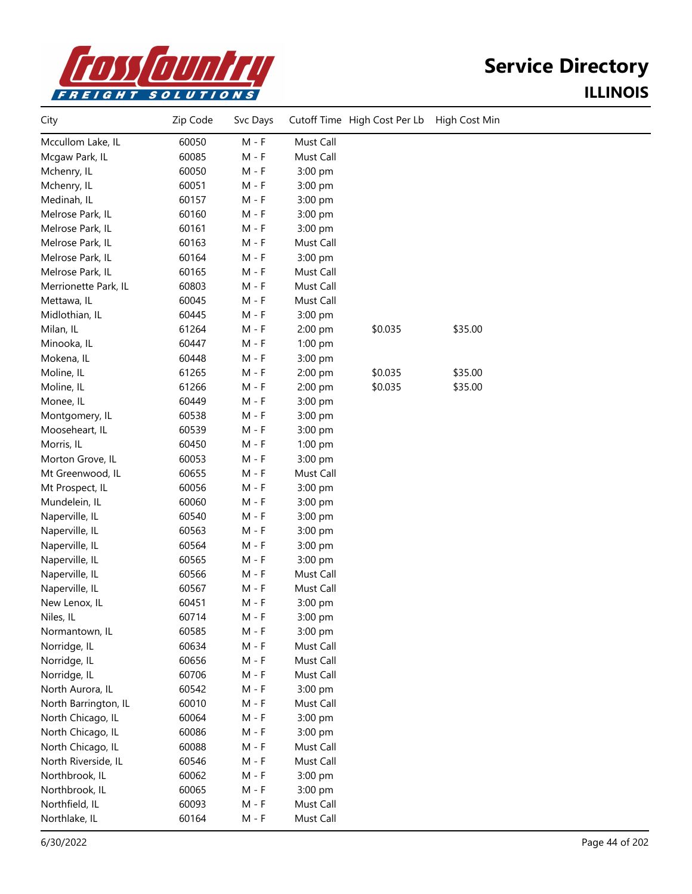

| City                 | Zip Code | Svc Days |           | Cutoff Time High Cost Per Lb | High Cost Min |  |
|----------------------|----------|----------|-----------|------------------------------|---------------|--|
| Mccullom Lake, IL    | 60050    | $M - F$  | Must Call |                              |               |  |
| Mcgaw Park, IL       | 60085    | $M - F$  | Must Call |                              |               |  |
| Mchenry, IL          | 60050    | $M - F$  | 3:00 pm   |                              |               |  |
| Mchenry, IL          | 60051    | $M - F$  | 3:00 pm   |                              |               |  |
| Medinah, IL          | 60157    | $M - F$  | 3:00 pm   |                              |               |  |
| Melrose Park, IL     | 60160    | $M - F$  | 3:00 pm   |                              |               |  |
| Melrose Park, IL     | 60161    | $M - F$  | 3:00 pm   |                              |               |  |
| Melrose Park, IL     | 60163    | $M - F$  | Must Call |                              |               |  |
| Melrose Park, IL     | 60164    | $M - F$  | 3:00 pm   |                              |               |  |
| Melrose Park, IL     | 60165    | $M - F$  | Must Call |                              |               |  |
| Merrionette Park, IL | 60803    | $M - F$  | Must Call |                              |               |  |
| Mettawa, IL          | 60045    | $M - F$  | Must Call |                              |               |  |
| Midlothian, IL       | 60445    | $M - F$  | 3:00 pm   |                              |               |  |
| Milan, IL            | 61264    | $M - F$  | 2:00 pm   | \$0.035                      | \$35.00       |  |
| Minooka, IL          | 60447    | $M - F$  | 1:00 pm   |                              |               |  |
| Mokena, IL           | 60448    | $M - F$  | 3:00 pm   |                              |               |  |
| Moline, IL           | 61265    | $M - F$  | 2:00 pm   | \$0.035                      | \$35.00       |  |
| Moline, IL           | 61266    | $M - F$  | 2:00 pm   | \$0.035                      | \$35.00       |  |
| Monee, IL            | 60449    | $M - F$  | 3:00 pm   |                              |               |  |
| Montgomery, IL       | 60538    | $M - F$  | 3:00 pm   |                              |               |  |
| Mooseheart, IL       | 60539    | $M - F$  | 3:00 pm   |                              |               |  |
| Morris, IL           | 60450    | $M - F$  | 1:00 pm   |                              |               |  |
| Morton Grove, IL     | 60053    | $M - F$  | 3:00 pm   |                              |               |  |
| Mt Greenwood, IL     | 60655    | $M - F$  | Must Call |                              |               |  |
| Mt Prospect, IL      | 60056    | $M - F$  | 3:00 pm   |                              |               |  |
| Mundelein, IL        | 60060    | $M - F$  | 3:00 pm   |                              |               |  |
| Naperville, IL       | 60540    | $M - F$  | 3:00 pm   |                              |               |  |
| Naperville, IL       | 60563    | $M - F$  | 3:00 pm   |                              |               |  |
| Naperville, IL       | 60564    | $M - F$  | 3:00 pm   |                              |               |  |
| Naperville, IL       | 60565    | $M - F$  | 3:00 pm   |                              |               |  |
| Naperville, IL       | 60566    | $M - F$  | Must Call |                              |               |  |
| Naperville, IL       | 60567    | $M - F$  | Must Call |                              |               |  |
| New Lenox, IL        | 60451    | $M - F$  | 3:00 pm   |                              |               |  |
| Niles, IL            | 60714    | $M - F$  | 3:00 pm   |                              |               |  |
| Normantown, IL       | 60585    | $M - F$  | 3:00 pm   |                              |               |  |
| Norridge, IL         | 60634    | $M - F$  | Must Call |                              |               |  |
| Norridge, IL         | 60656    | $M - F$  | Must Call |                              |               |  |
| Norridge, IL         | 60706    | $M - F$  | Must Call |                              |               |  |
| North Aurora, IL     | 60542    | $M - F$  | 3:00 pm   |                              |               |  |
| North Barrington, IL | 60010    | $M - F$  | Must Call |                              |               |  |
| North Chicago, IL    | 60064    | $M - F$  | 3:00 pm   |                              |               |  |
| North Chicago, IL    | 60086    | $M - F$  | 3:00 pm   |                              |               |  |
| North Chicago, IL    | 60088    | $M - F$  | Must Call |                              |               |  |
| North Riverside, IL  | 60546    | $M - F$  | Must Call |                              |               |  |
| Northbrook, IL       | 60062    | $M - F$  | 3:00 pm   |                              |               |  |
| Northbrook, IL       | 60065    | $M - F$  | 3:00 pm   |                              |               |  |
| Northfield, IL       | 60093    | $M - F$  | Must Call |                              |               |  |
| Northlake, IL        | 60164    | $M - F$  | Must Call |                              |               |  |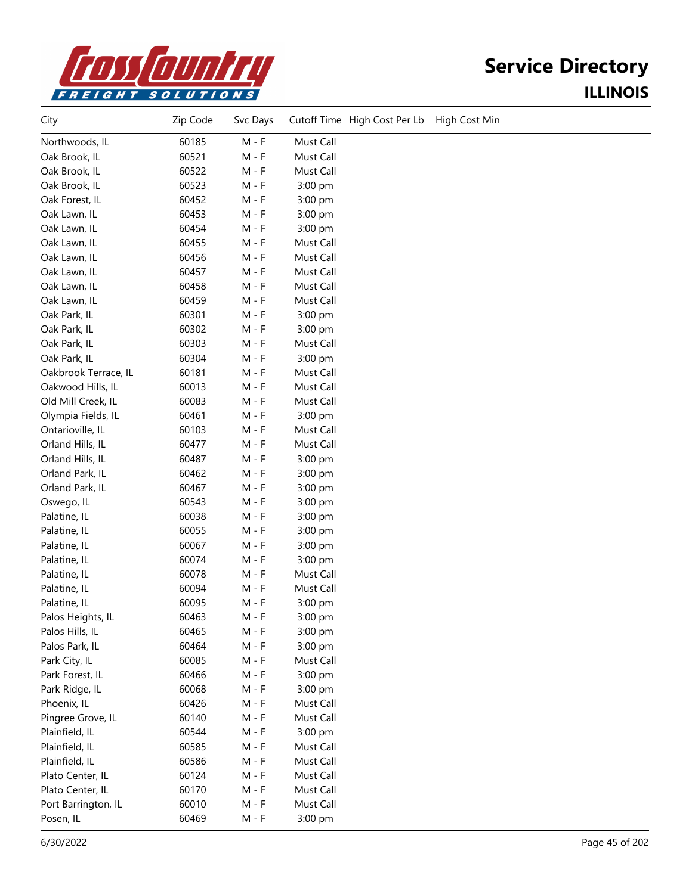

| City                 | Zip Code | Svc Days |           | Cutoff Time High Cost Per Lb | High Cost Min |
|----------------------|----------|----------|-----------|------------------------------|---------------|
| Northwoods, IL       | 60185    | $M - F$  | Must Call |                              |               |
| Oak Brook, IL        | 60521    | $M - F$  | Must Call |                              |               |
| Oak Brook, IL        | 60522    | $M - F$  | Must Call |                              |               |
| Oak Brook, IL        | 60523    | $M - F$  | 3:00 pm   |                              |               |
| Oak Forest, IL       | 60452    | $M - F$  | 3:00 pm   |                              |               |
| Oak Lawn, IL         | 60453    | $M - F$  | 3:00 pm   |                              |               |
| Oak Lawn, IL         | 60454    | M - F    | 3:00 pm   |                              |               |
| Oak Lawn, IL         | 60455    | M - F    | Must Call |                              |               |
| Oak Lawn, IL         | 60456    | $M - F$  | Must Call |                              |               |
| Oak Lawn, IL         | 60457    | $M - F$  | Must Call |                              |               |
| Oak Lawn, IL         | 60458    | $M - F$  | Must Call |                              |               |
| Oak Lawn, IL         | 60459    | $M - F$  | Must Call |                              |               |
| Oak Park, IL         | 60301    | $M - F$  | 3:00 pm   |                              |               |
| Oak Park, IL         | 60302    | $M - F$  | 3:00 pm   |                              |               |
| Oak Park, IL         | 60303    | $M - F$  | Must Call |                              |               |
| Oak Park, IL         | 60304    | M - F    | 3:00 pm   |                              |               |
| Oakbrook Terrace, IL | 60181    | $M - F$  | Must Call |                              |               |
| Oakwood Hills, IL    | 60013    | $M - F$  | Must Call |                              |               |
| Old Mill Creek, IL   | 60083    | $M - F$  | Must Call |                              |               |
| Olympia Fields, IL   | 60461    | $M - F$  | 3:00 pm   |                              |               |
| Ontarioville, IL     | 60103    | $M - F$  | Must Call |                              |               |
| Orland Hills, IL     | 60477    | $M - F$  | Must Call |                              |               |
| Orland Hills, IL     | 60487    | $M - F$  | 3:00 pm   |                              |               |
| Orland Park, IL      | 60462    | M - F    | 3:00 pm   |                              |               |
| Orland Park, IL      | 60467    | $M - F$  | 3:00 pm   |                              |               |
| Oswego, IL           | 60543    | $M - F$  | 3:00 pm   |                              |               |
| Palatine, IL         | 60038    | $M - F$  | 3:00 pm   |                              |               |
| Palatine, IL         | 60055    | $M - F$  | 3:00 pm   |                              |               |
| Palatine, IL         | 60067    | $M - F$  | 3:00 pm   |                              |               |
| Palatine, IL         | 60074    | $M - F$  | 3:00 pm   |                              |               |
| Palatine, IL         | 60078    | $M - F$  | Must Call |                              |               |
| Palatine, IL         | 60094    | M - F    | Must Call |                              |               |
| Palatine, IL         | 60095    | M - F    | 3:00 pm   |                              |               |
| Palos Heights, IL    | 60463    | M - F    | 3:00 pm   |                              |               |
| Palos Hills, IL      | 60465    | $M - F$  | 3:00 pm   |                              |               |
| Palos Park, IL       | 60464    | $M - F$  | 3:00 pm   |                              |               |
| Park City, IL        | 60085    | M - F    | Must Call |                              |               |
| Park Forest, IL      | 60466    | $M - F$  | 3:00 pm   |                              |               |
| Park Ridge, IL       | 60068    | $M - F$  | 3:00 pm   |                              |               |
| Phoenix, IL          | 60426    | M - F    | Must Call |                              |               |
| Pingree Grove, IL    | 60140    | $M - F$  | Must Call |                              |               |
| Plainfield, IL       | 60544    | $M - F$  | 3:00 pm   |                              |               |
| Plainfield, IL       | 60585    | $M - F$  | Must Call |                              |               |
| Plainfield, IL       | 60586    | $M - F$  | Must Call |                              |               |
| Plato Center, IL     | 60124    | $M - F$  | Must Call |                              |               |
| Plato Center, IL     | 60170    | $M - F$  | Must Call |                              |               |
| Port Barrington, IL  | 60010    | $M - F$  | Must Call |                              |               |
| Posen, IL            | 60469    | M - F    | 3:00 pm   |                              |               |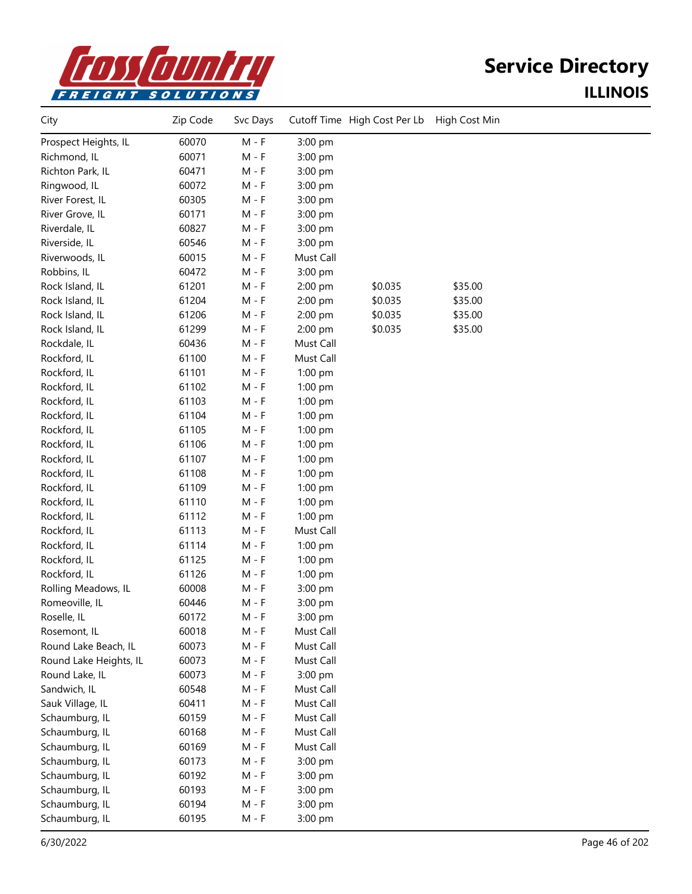

| City                   | Zip Code | Svc Days |           | Cutoff Time High Cost Per Lb High Cost Min |         |  |
|------------------------|----------|----------|-----------|--------------------------------------------|---------|--|
| Prospect Heights, IL   | 60070    | $M - F$  | 3:00 pm   |                                            |         |  |
| Richmond, IL           | 60071    | $M - F$  | 3:00 pm   |                                            |         |  |
| Richton Park, IL       | 60471    | $M - F$  | 3:00 pm   |                                            |         |  |
| Ringwood, IL           | 60072    | $M - F$  | 3:00 pm   |                                            |         |  |
| River Forest, IL       | 60305    | $M - F$  | 3:00 pm   |                                            |         |  |
| River Grove, IL        | 60171    | $M - F$  | 3:00 pm   |                                            |         |  |
| Riverdale, IL          | 60827    | $M - F$  | 3:00 pm   |                                            |         |  |
| Riverside, IL          | 60546    | $M - F$  | 3:00 pm   |                                            |         |  |
| Riverwoods, IL         | 60015    | $M - F$  | Must Call |                                            |         |  |
| Robbins, IL            | 60472    | $M - F$  | 3:00 pm   |                                            |         |  |
| Rock Island, IL        | 61201    | $M - F$  | 2:00 pm   | \$0.035                                    | \$35.00 |  |
| Rock Island, IL        | 61204    | $M - F$  | 2:00 pm   | \$0.035                                    | \$35.00 |  |
| Rock Island, IL        | 61206    | $M - F$  | 2:00 pm   | \$0.035                                    | \$35.00 |  |
| Rock Island, IL        | 61299    | $M - F$  | 2:00 pm   | \$0.035                                    | \$35.00 |  |
| Rockdale, IL           | 60436    | $M - F$  | Must Call |                                            |         |  |
| Rockford, IL           | 61100    | $M - F$  | Must Call |                                            |         |  |
| Rockford, IL           | 61101    | $M - F$  | 1:00 pm   |                                            |         |  |
| Rockford, IL           | 61102    | $M - F$  | 1:00 pm   |                                            |         |  |
| Rockford, IL           | 61103    | M - F    | 1:00 pm   |                                            |         |  |
| Rockford, IL           | 61104    | $M - F$  | 1:00 pm   |                                            |         |  |
| Rockford, IL           | 61105    | $M - F$  | $1:00$ pm |                                            |         |  |
| Rockford, IL           | 61106    | $M - F$  | 1:00 pm   |                                            |         |  |
| Rockford, IL           | 61107    | $M - F$  | $1:00$ pm |                                            |         |  |
| Rockford, IL           | 61108    | $M - F$  | $1:00$ pm |                                            |         |  |
| Rockford, IL           | 61109    | $M - F$  | 1:00 pm   |                                            |         |  |
| Rockford, IL           | 61110    | $M - F$  | 1:00 pm   |                                            |         |  |
| Rockford, IL           | 61112    | M - F    | 1:00 pm   |                                            |         |  |
| Rockford, IL           | 61113    | M - F    | Must Call |                                            |         |  |
| Rockford, IL           | 61114    | $M - F$  | $1:00$ pm |                                            |         |  |
| Rockford, IL           | 61125    | $M - F$  | $1:00$ pm |                                            |         |  |
| Rockford, IL           | 61126    | $M - F$  | $1:00$ pm |                                            |         |  |
| Rolling Meadows, IL    | 60008    | $M - F$  | 3:00 pm   |                                            |         |  |
| Romeoville, IL         | 60446    | $M - F$  | 3:00 pm   |                                            |         |  |
| Roselle, IL            | 60172    | $M - F$  | 3:00 pm   |                                            |         |  |
| Rosemont, IL           | 60018    | $M - F$  | Must Call |                                            |         |  |
| Round Lake Beach, IL   | 60073    | $M - F$  | Must Call |                                            |         |  |
| Round Lake Heights, IL | 60073    | $M - F$  | Must Call |                                            |         |  |
| Round Lake, IL         | 60073    | $M - F$  | 3:00 pm   |                                            |         |  |
| Sandwich, IL           | 60548    | $M - F$  | Must Call |                                            |         |  |
| Sauk Village, IL       | 60411    | $M - F$  | Must Call |                                            |         |  |
| Schaumburg, IL         | 60159    | $M - F$  | Must Call |                                            |         |  |
| Schaumburg, IL         | 60168    | $M - F$  | Must Call |                                            |         |  |
| Schaumburg, IL         | 60169    | $M - F$  | Must Call |                                            |         |  |
| Schaumburg, IL         | 60173    | $M - F$  | 3:00 pm   |                                            |         |  |
| Schaumburg, IL         | 60192    | $M - F$  | 3:00 pm   |                                            |         |  |
| Schaumburg, IL         | 60193    | $M - F$  | 3:00 pm   |                                            |         |  |
| Schaumburg, IL         | 60194    | $M - F$  | 3:00 pm   |                                            |         |  |
| Schaumburg, IL         | 60195    | $M - F$  | 3:00 pm   |                                            |         |  |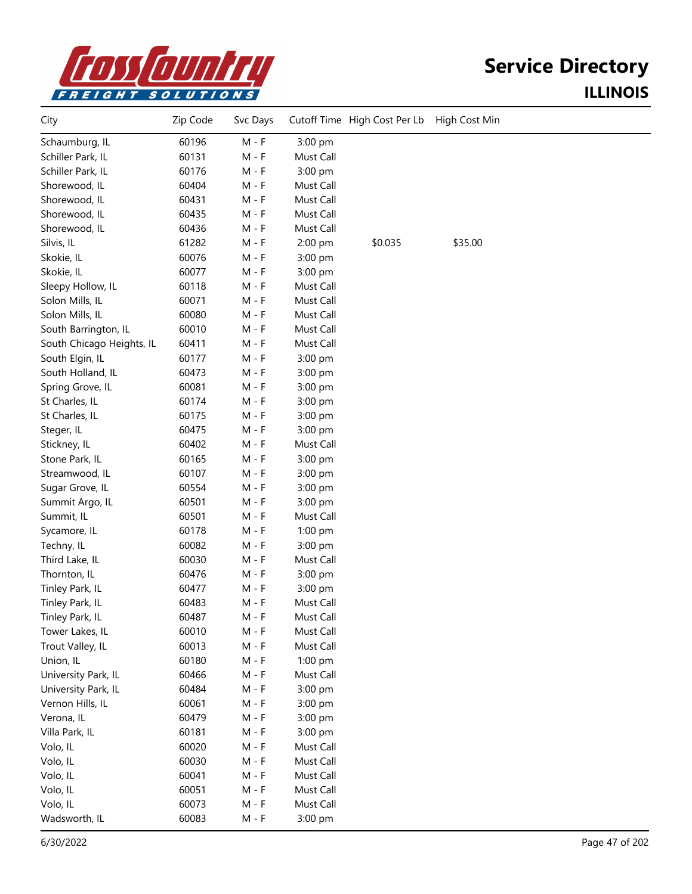

| City                      | Zip Code | Svc Days |           | Cutoff Time High Cost Per Lb | High Cost Min |  |
|---------------------------|----------|----------|-----------|------------------------------|---------------|--|
| Schaumburg, IL            | 60196    | $M - F$  | 3:00 pm   |                              |               |  |
| Schiller Park, IL         | 60131    | $M - F$  | Must Call |                              |               |  |
| Schiller Park, IL         | 60176    | M - F    | 3:00 pm   |                              |               |  |
| Shorewood, IL             | 60404    | $M - F$  | Must Call |                              |               |  |
| Shorewood, IL             | 60431    | $M - F$  | Must Call |                              |               |  |
| Shorewood, IL             | 60435    | $M - F$  | Must Call |                              |               |  |
| Shorewood, IL             | 60436    | $M - F$  | Must Call |                              |               |  |
| Silvis, IL                | 61282    | $M - F$  | 2:00 pm   | \$0.035                      | \$35.00       |  |
| Skokie, IL                | 60076    | $M - F$  | 3:00 pm   |                              |               |  |
| Skokie, IL                | 60077    | $M - F$  | 3:00 pm   |                              |               |  |
| Sleepy Hollow, IL         | 60118    | M - F    | Must Call |                              |               |  |
| Solon Mills, IL           | 60071    | M - F    | Must Call |                              |               |  |
| Solon Mills, IL           | 60080    | M - F    | Must Call |                              |               |  |
| South Barrington, IL      | 60010    | $M - F$  | Must Call |                              |               |  |
| South Chicago Heights, IL | 60411    | $M - F$  | Must Call |                              |               |  |
| South Elgin, IL           | 60177    | $M - F$  | 3:00 pm   |                              |               |  |
| South Holland, IL         | 60473    | $M - F$  | 3:00 pm   |                              |               |  |
| Spring Grove, IL          | 60081    | $M - F$  | 3:00 pm   |                              |               |  |
| St Charles, IL            | 60174    | $M - F$  | 3:00 pm   |                              |               |  |
| St Charles, IL            | 60175    | $M - F$  | 3:00 pm   |                              |               |  |
| Steger, IL                | 60475    | $M - F$  | 3:00 pm   |                              |               |  |
| Stickney, IL              | 60402    | $M - F$  | Must Call |                              |               |  |
| Stone Park, IL            | 60165    | $M - F$  | 3:00 pm   |                              |               |  |
| Streamwood, IL            | 60107    | $M - F$  | 3:00 pm   |                              |               |  |
| Sugar Grove, IL           | 60554    | $M - F$  | 3:00 pm   |                              |               |  |
| Summit Argo, IL           | 60501    | M - F    | 3:00 pm   |                              |               |  |
| Summit, IL                | 60501    | M - F    | Must Call |                              |               |  |
| Sycamore, IL              | 60178    | M - F    | 1:00 pm   |                              |               |  |
| Techny, IL                | 60082    | M - F    | 3:00 pm   |                              |               |  |
| Third Lake, IL            | 60030    | M - F    | Must Call |                              |               |  |
| Thornton, IL              | 60476    | $M - F$  | 3:00 pm   |                              |               |  |
| Tinley Park, IL           | 60477    | $M - F$  | 3:00 pm   |                              |               |  |
| Tinley Park, IL           | 60483    | $M - F$  | Must Call |                              |               |  |
| Tinley Park, IL           | 60487    | $M - F$  | Must Call |                              |               |  |
| Tower Lakes, IL           | 60010    | $M - F$  | Must Call |                              |               |  |
| Trout Valley, IL          | 60013    | $M - F$  | Must Call |                              |               |  |
| Union, IL                 | 60180    | $M - F$  | $1:00$ pm |                              |               |  |
| University Park, IL       | 60466    | $M - F$  | Must Call |                              |               |  |
| University Park, IL       | 60484    | $M - F$  | 3:00 pm   |                              |               |  |
| Vernon Hills, IL          | 60061    | $M - F$  | 3:00 pm   |                              |               |  |
| Verona, IL                | 60479    | $M - F$  | 3:00 pm   |                              |               |  |
| Villa Park, IL            | 60181    | $M - F$  | 3:00 pm   |                              |               |  |
| Volo, IL                  | 60020    | $M - F$  | Must Call |                              |               |  |
| Volo, IL                  | 60030    | $M - F$  | Must Call |                              |               |  |
| Volo, IL                  | 60041    | $M - F$  | Must Call |                              |               |  |
| Volo, IL                  | 60051    | $M - F$  | Must Call |                              |               |  |
| Volo, IL                  | 60073    | $M - F$  | Must Call |                              |               |  |
| Wadsworth, IL             | 60083    | $M - F$  | 3:00 pm   |                              |               |  |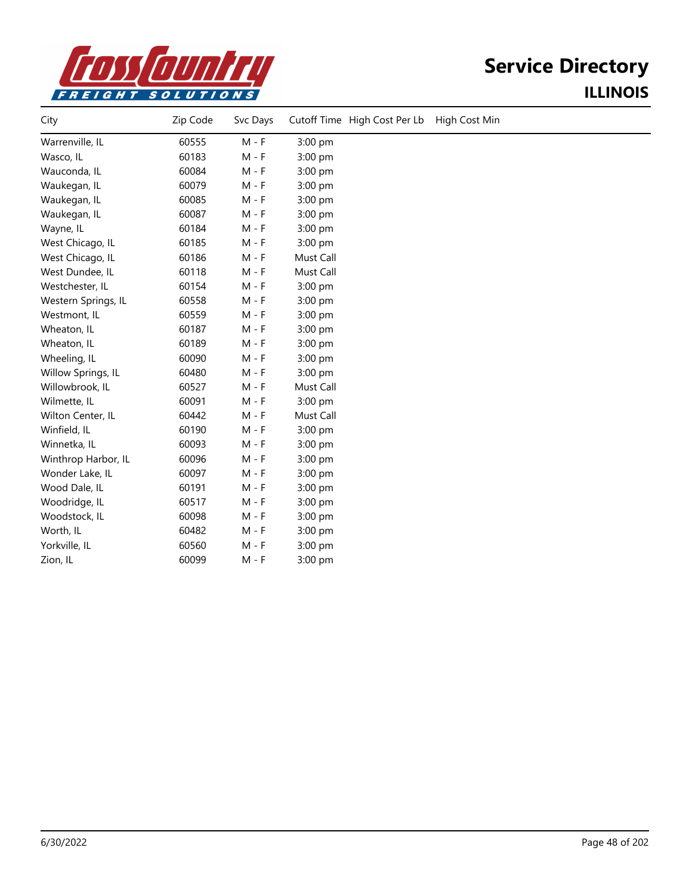

| City                | Zip Code | Svc Days |           | Cutoff Time High Cost Per Lb | High Cost Min |
|---------------------|----------|----------|-----------|------------------------------|---------------|
| Warrenville, IL     | 60555    | $M - F$  | 3:00 pm   |                              |               |
| Wasco, IL           | 60183    | $M - F$  | 3:00 pm   |                              |               |
| Wauconda, IL        | 60084    | $M - F$  | 3:00 pm   |                              |               |
| Waukegan, IL        | 60079    | $M - F$  | 3:00 pm   |                              |               |
| Waukegan, IL        | 60085    | $M - F$  | $3:00$ pm |                              |               |
| Waukegan, IL        | 60087    | $M - F$  | 3:00 pm   |                              |               |
| Wayne, IL           | 60184    | $M - F$  | 3:00 pm   |                              |               |
| West Chicago, IL    | 60185    | $M - F$  | 3:00 pm   |                              |               |
| West Chicago, IL    | 60186    | $M - F$  | Must Call |                              |               |
| West Dundee, IL     | 60118    | $M - F$  | Must Call |                              |               |
| Westchester, IL     | 60154    | $M - F$  | 3:00 pm   |                              |               |
| Western Springs, IL | 60558    | $M - F$  | 3:00 pm   |                              |               |
| Westmont, IL        | 60559    | $M - F$  | 3:00 pm   |                              |               |
| Wheaton, IL         | 60187    | $M - F$  | 3:00 pm   |                              |               |
| Wheaton, IL         | 60189    | $M - F$  | 3:00 pm   |                              |               |
| Wheeling, IL        | 60090    | $M - F$  | 3:00 pm   |                              |               |
| Willow Springs, IL  | 60480    | $M - F$  | 3:00 pm   |                              |               |
| Willowbrook, IL     | 60527    | $M - F$  | Must Call |                              |               |
| Wilmette, IL        | 60091    | $M - F$  | 3:00 pm   |                              |               |
| Wilton Center, IL   | 60442    | $M - F$  | Must Call |                              |               |
| Winfield, IL        | 60190    | $M - F$  | 3:00 pm   |                              |               |
| Winnetka, IL        | 60093    | $M - F$  | 3:00 pm   |                              |               |
| Winthrop Harbor, IL | 60096    | $M - F$  | 3:00 pm   |                              |               |
| Wonder Lake, IL     | 60097    | $M - F$  | 3:00 pm   |                              |               |
| Wood Dale, IL       | 60191    | $M - F$  | 3:00 pm   |                              |               |
| Woodridge, IL       | 60517    | $M - F$  | 3:00 pm   |                              |               |
| Woodstock, IL       | 60098    | $M - F$  | $3:00$ pm |                              |               |
| Worth, IL           | 60482    | M - F    | 3:00 pm   |                              |               |
| Yorkville, IL       | 60560    | $M - F$  | 3:00 pm   |                              |               |
| Zion, IL            | 60099    | $M - F$  | 3:00 pm   |                              |               |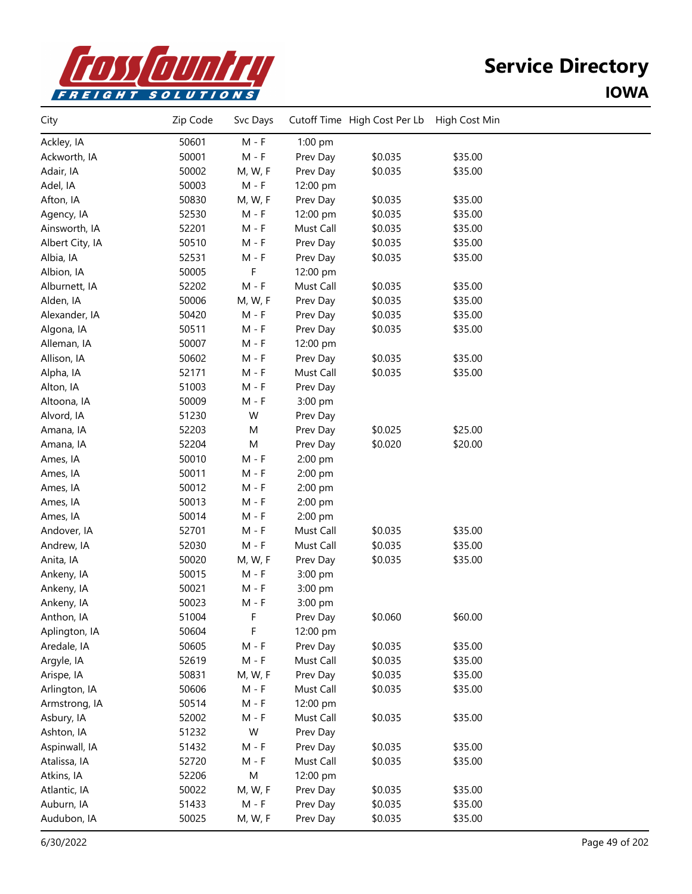

| City            | Zip Code | Svc Days |           | Cutoff Time High Cost Per Lb | High Cost Min |  |
|-----------------|----------|----------|-----------|------------------------------|---------------|--|
| Ackley, IA      | 50601    | $M - F$  | 1:00 pm   |                              |               |  |
| Ackworth, IA    | 50001    | $M - F$  | Prev Day  | \$0.035                      | \$35.00       |  |
| Adair, IA       | 50002    | M, W, F  | Prev Day  | \$0.035                      | \$35.00       |  |
| Adel, IA        | 50003    | $M - F$  | 12:00 pm  |                              |               |  |
| Afton, IA       | 50830    | M, W, F  | Prev Day  | \$0.035                      | \$35.00       |  |
| Agency, IA      | 52530    | $M - F$  | 12:00 pm  | \$0.035                      | \$35.00       |  |
| Ainsworth, IA   | 52201    | $M - F$  | Must Call | \$0.035                      | \$35.00       |  |
| Albert City, IA | 50510    | $M - F$  | Prev Day  | \$0.035                      | \$35.00       |  |
| Albia, IA       | 52531    | M - F    | Prev Day  | \$0.035                      | \$35.00       |  |
| Albion, IA      | 50005    | F        | 12:00 pm  |                              |               |  |
| Alburnett, IA   | 52202    | $M - F$  | Must Call | \$0.035                      | \$35.00       |  |
| Alden, IA       | 50006    | M, W, F  | Prev Day  | \$0.035                      | \$35.00       |  |
| Alexander, IA   | 50420    | $M - F$  | Prev Day  | \$0.035                      | \$35.00       |  |
| Algona, IA      | 50511    | $M - F$  | Prev Day  | \$0.035                      | \$35.00       |  |
| Alleman, IA     | 50007    | $M - F$  | 12:00 pm  |                              |               |  |
| Allison, IA     | 50602    | $M - F$  | Prev Day  | \$0.035                      | \$35.00       |  |
| Alpha, IA       | 52171    | $M - F$  | Must Call | \$0.035                      | \$35.00       |  |
| Alton, IA       | 51003    | $M - F$  | Prev Day  |                              |               |  |
| Altoona, IA     | 50009    | $M - F$  | 3:00 pm   |                              |               |  |
| Alvord, IA      | 51230    | W        | Prev Day  |                              |               |  |
| Amana, IA       | 52203    | M        | Prev Day  | \$0.025                      | \$25.00       |  |
| Amana, IA       | 52204    | M        | Prev Day  | \$0.020                      | \$20.00       |  |
| Ames, IA        | 50010    | $M - F$  | 2:00 pm   |                              |               |  |
| Ames, IA        | 50011    | $M - F$  | 2:00 pm   |                              |               |  |
| Ames, IA        | 50012    | $M - F$  | 2:00 pm   |                              |               |  |
| Ames, IA        | 50013    | M - F    | 2:00 pm   |                              |               |  |
| Ames, IA        | 50014    | $M - F$  | 2:00 pm   |                              |               |  |
| Andover, IA     | 52701    | M - F    | Must Call | \$0.035                      | \$35.00       |  |
| Andrew, IA      | 52030    | $M - F$  | Must Call | \$0.035                      | \$35.00       |  |
| Anita, IA       | 50020    | M, W, F  | Prev Day  | \$0.035                      | \$35.00       |  |
| Ankeny, IA      | 50015    | $M - F$  | 3:00 pm   |                              |               |  |
| Ankeny, IA      | 50021    | $M - F$  | 3:00 pm   |                              |               |  |
| Ankeny, IA      | 50023    | M - F    | 3:00 pm   |                              |               |  |
| Anthon, IA      | 51004    | F        | Prev Day  | \$0.060                      | \$60.00       |  |
| Aplington, IA   | 50604    | F        | 12:00 pm  |                              |               |  |
| Aredale, IA     | 50605    | $M - F$  | Prev Day  | \$0.035                      | \$35.00       |  |
| Argyle, IA      | 52619    | $M - F$  | Must Call | \$0.035                      | \$35.00       |  |
| Arispe, IA      | 50831    | M, W, F  | Prev Day  | \$0.035                      | \$35.00       |  |
| Arlington, IA   | 50606    | $M - F$  | Must Call | \$0.035                      | \$35.00       |  |
| Armstrong, IA   | 50514    | $M - F$  | 12:00 pm  |                              |               |  |
| Asbury, IA      | 52002    | $M - F$  | Must Call | \$0.035                      | \$35.00       |  |
| Ashton, IA      | 51232    | W        | Prev Day  |                              |               |  |
| Aspinwall, IA   | 51432    | $M - F$  | Prev Day  | \$0.035                      | \$35.00       |  |
| Atalissa, IA    | 52720    | $M - F$  | Must Call | \$0.035                      | \$35.00       |  |
| Atkins, IA      | 52206    | M        | 12:00 pm  |                              |               |  |
| Atlantic, IA    | 50022    | M, W, F  | Prev Day  | \$0.035                      | \$35.00       |  |
| Auburn, IA      | 51433    | $M - F$  | Prev Day  | \$0.035                      | \$35.00       |  |
| Audubon, IA     | 50025    | M, W, F  | Prev Day  | \$0.035                      | \$35.00       |  |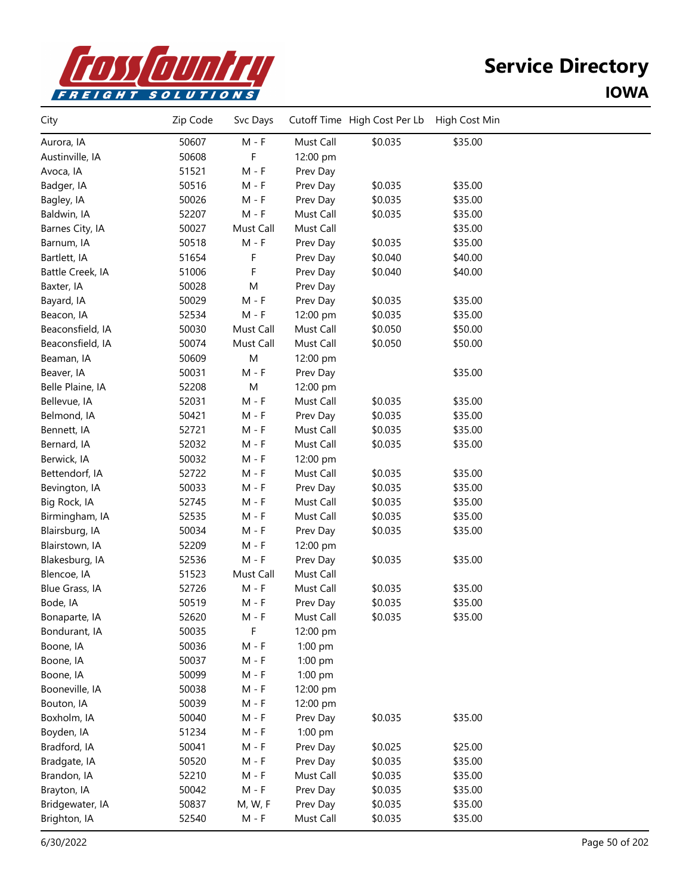

| City             | Zip Code | Svc Days                    |           | Cutoff Time High Cost Per Lb | High Cost Min |  |
|------------------|----------|-----------------------------|-----------|------------------------------|---------------|--|
| Aurora, IA       | 50607    | $M - F$                     | Must Call | \$0.035                      | \$35.00       |  |
| Austinville, IA  | 50608    | F                           | 12:00 pm  |                              |               |  |
| Avoca, IA        | 51521    | $M - F$                     | Prev Day  |                              |               |  |
| Badger, IA       | 50516    | $M - F$                     | Prev Day  | \$0.035                      | \$35.00       |  |
| Bagley, IA       | 50026    | $M - F$                     | Prev Day  | \$0.035                      | \$35.00       |  |
| Baldwin, IA      | 52207    | $M - F$                     | Must Call | \$0.035                      | \$35.00       |  |
| Barnes City, IA  | 50027    | Must Call                   | Must Call |                              | \$35.00       |  |
| Barnum, IA       | 50518    | $M - F$                     | Prev Day  | \$0.035                      | \$35.00       |  |
| Bartlett, IA     | 51654    | F                           | Prev Day  | \$0.040                      | \$40.00       |  |
| Battle Creek, IA | 51006    | F                           | Prev Day  | \$0.040                      | \$40.00       |  |
| Baxter, IA       | 50028    | M                           | Prev Day  |                              |               |  |
| Bayard, IA       | 50029    | $M - F$                     | Prev Day  | \$0.035                      | \$35.00       |  |
| Beacon, IA       | 52534    | $M - F$                     | 12:00 pm  | \$0.035                      | \$35.00       |  |
| Beaconsfield, IA | 50030    | Must Call                   | Must Call | \$0.050                      | \$50.00       |  |
| Beaconsfield, IA | 50074    | Must Call                   | Must Call | \$0.050                      | \$50.00       |  |
| Beaman, IA       | 50609    | M                           | 12:00 pm  |                              |               |  |
| Beaver, IA       | 50031    | $M - F$                     | Prev Day  |                              | \$35.00       |  |
| Belle Plaine, IA | 52208    | ${\sf M}$                   | 12:00 pm  |                              |               |  |
| Bellevue, IA     | 52031    | $M - F$                     | Must Call | \$0.035                      | \$35.00       |  |
| Belmond, IA      | 50421    | $M - F$                     | Prev Day  | \$0.035                      | \$35.00       |  |
| Bennett, IA      | 52721    | $M - F$                     | Must Call | \$0.035                      | \$35.00       |  |
| Bernard, IA      | 52032    | $M - F$                     | Must Call | \$0.035                      | \$35.00       |  |
| Berwick, IA      | 50032    | $M - F$                     | 12:00 pm  |                              |               |  |
| Bettendorf, IA   | 52722    | $M - F$                     | Must Call | \$0.035                      | \$35.00       |  |
| Bevington, IA    | 50033    | $M - F$                     | Prev Day  | \$0.035                      | \$35.00       |  |
| Big Rock, IA     | 52745    | $M - F$                     | Must Call | \$0.035                      | \$35.00       |  |
| Birmingham, IA   | 52535    | $M - F$                     | Must Call | \$0.035                      | \$35.00       |  |
| Blairsburg, IA   | 50034    | $M - F$                     | Prev Day  | \$0.035                      | \$35.00       |  |
| Blairstown, IA   | 52209    | $M - F$                     | 12:00 pm  |                              |               |  |
| Blakesburg, IA   | 52536    | $\mathsf{M}$ - $\mathsf{F}$ | Prev Day  | \$0.035                      | \$35.00       |  |
| Blencoe, IA      | 51523    | Must Call                   | Must Call |                              |               |  |
| Blue Grass, IA   | 52726    | $M - F$                     | Must Call | \$0.035                      | \$35.00       |  |
| Bode, IA         | 50519    | $M - F$                     | Prev Day  | \$0.035                      | \$35.00       |  |
| Bonaparte, IA    | 52620    | M - F                       | Must Call | \$0.035                      | \$35.00       |  |
| Bondurant, IA    | 50035    | F                           | 12:00 pm  |                              |               |  |
| Boone, IA        | 50036    | $M - F$                     | $1:00$ pm |                              |               |  |
| Boone, IA        | 50037    | $M - F$                     | 1:00 pm   |                              |               |  |
| Boone, IA        | 50099    | $M - F$                     | 1:00 pm   |                              |               |  |
| Booneville, IA   | 50038    | $M - F$                     | 12:00 pm  |                              |               |  |
| Bouton, IA       | 50039    | $M - F$                     | 12:00 pm  |                              |               |  |
| Boxholm, IA      | 50040    | $M - F$                     | Prev Day  | \$0.035                      | \$35.00       |  |
| Boyden, IA       | 51234    | $M - F$                     | 1:00 pm   |                              |               |  |
| Bradford, IA     | 50041    | $M - F$                     | Prev Day  | \$0.025                      | \$25.00       |  |
| Bradgate, IA     | 50520    | $M - F$                     | Prev Day  | \$0.035                      | \$35.00       |  |
| Brandon, IA      | 52210    | $M - F$                     | Must Call | \$0.035                      | \$35.00       |  |
| Brayton, IA      | 50042    | $M - F$                     | Prev Day  | \$0.035                      | \$35.00       |  |
| Bridgewater, IA  | 50837    | M, W, F                     | Prev Day  | \$0.035                      | \$35.00       |  |
| Brighton, IA     | 52540    | M - F                       | Must Call | \$0.035                      | \$35.00       |  |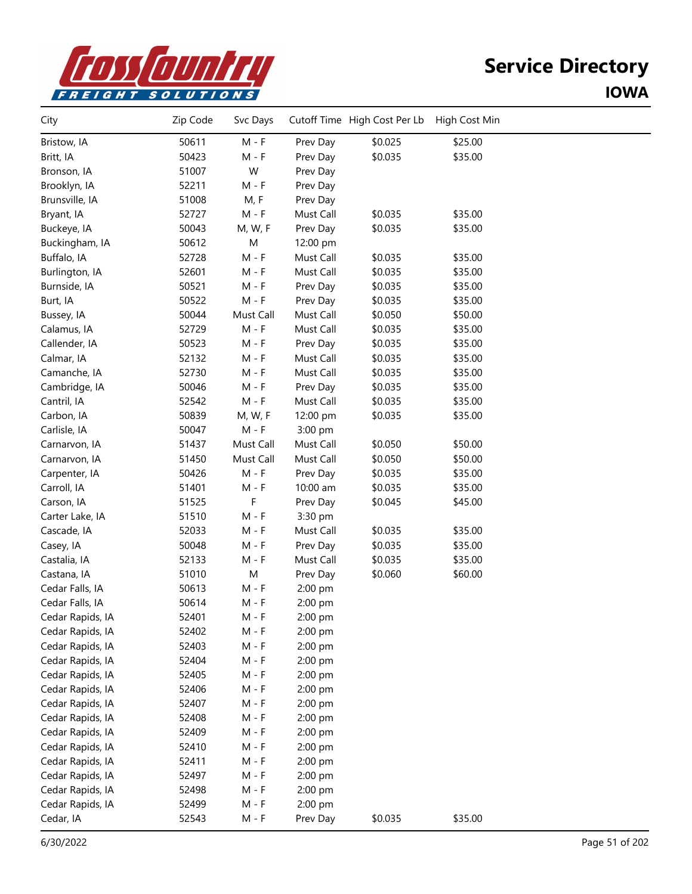

| City             | Zip Code | Svc Days  |           | Cutoff Time High Cost Per Lb | High Cost Min |  |
|------------------|----------|-----------|-----------|------------------------------|---------------|--|
| Bristow, IA      | 50611    | $M - F$   | Prev Day  | \$0.025                      | \$25.00       |  |
| Britt, IA        | 50423    | $M - F$   | Prev Day  | \$0.035                      | \$35.00       |  |
| Bronson, IA      | 51007    | W         | Prev Day  |                              |               |  |
| Brooklyn, IA     | 52211    | $M - F$   | Prev Day  |                              |               |  |
| Brunsville, IA   | 51008    | M, F      | Prev Day  |                              |               |  |
| Bryant, IA       | 52727    | $M - F$   | Must Call | \$0.035                      | \$35.00       |  |
| Buckeye, IA      | 50043    | M, W, F   | Prev Day  | \$0.035                      | \$35.00       |  |
| Buckingham, IA   | 50612    | M         | 12:00 pm  |                              |               |  |
| Buffalo, IA      | 52728    | $M - F$   | Must Call | \$0.035                      | \$35.00       |  |
| Burlington, IA   | 52601    | $M - F$   | Must Call | \$0.035                      | \$35.00       |  |
| Burnside, IA     | 50521    | $M - F$   | Prev Day  | \$0.035                      | \$35.00       |  |
| Burt, IA         | 50522    | $M - F$   | Prev Day  | \$0.035                      | \$35.00       |  |
| Bussey, IA       | 50044    | Must Call | Must Call | \$0.050                      | \$50.00       |  |
| Calamus, IA      | 52729    | $M - F$   | Must Call | \$0.035                      | \$35.00       |  |
| Callender, IA    | 50523    | $M - F$   | Prev Day  | \$0.035                      | \$35.00       |  |
| Calmar, IA       | 52132    | $M - F$   | Must Call | \$0.035                      | \$35.00       |  |
| Camanche, IA     | 52730    | $M - F$   | Must Call | \$0.035                      | \$35.00       |  |
| Cambridge, IA    | 50046    | $M - F$   | Prev Day  | \$0.035                      | \$35.00       |  |
| Cantril, IA      | 52542    | $M - F$   | Must Call | \$0.035                      | \$35.00       |  |
| Carbon, IA       | 50839    | M, W, F   | 12:00 pm  | \$0.035                      | \$35.00       |  |
| Carlisle, IA     | 50047    | $M - F$   | 3:00 pm   |                              |               |  |
| Carnarvon, IA    | 51437    | Must Call | Must Call | \$0.050                      | \$50.00       |  |
| Carnarvon, IA    | 51450    | Must Call | Must Call | \$0.050                      | \$50.00       |  |
| Carpenter, IA    | 50426    | $M - F$   | Prev Day  | \$0.035                      | \$35.00       |  |
| Carroll, IA      | 51401    | $M - F$   | 10:00 am  | \$0.035                      | \$35.00       |  |
| Carson, IA       | 51525    | F         | Prev Day  | \$0.045                      | \$45.00       |  |
| Carter Lake, IA  | 51510    | $M - F$   | 3:30 pm   |                              |               |  |
| Cascade, IA      | 52033    | $M - F$   | Must Call | \$0.035                      | \$35.00       |  |
| Casey, IA        | 50048    | $M - F$   | Prev Day  | \$0.035                      | \$35.00       |  |
| Castalia, IA     | 52133    | $M - F$   | Must Call | \$0.035                      | \$35.00       |  |
| Castana, IA      | 51010    | M         | Prev Day  | \$0.060                      | \$60.00       |  |
| Cedar Falls, IA  | 50613    | $M - F$   | 2:00 pm   |                              |               |  |
| Cedar Falls, IA  | 50614    | $M - F$   | 2:00 pm   |                              |               |  |
| Cedar Rapids, IA | 52401    | M - F     | 2:00 pm   |                              |               |  |
| Cedar Rapids, IA | 52402    | M - F     | 2:00 pm   |                              |               |  |
| Cedar Rapids, IA | 52403    | M - F     | 2:00 pm   |                              |               |  |
| Cedar Rapids, IA | 52404    | M - F     | 2:00 pm   |                              |               |  |
| Cedar Rapids, IA | 52405    | $M - F$   | 2:00 pm   |                              |               |  |
| Cedar Rapids, IA | 52406    | $M - F$   | 2:00 pm   |                              |               |  |
| Cedar Rapids, IA | 52407    | M - F     | 2:00 pm   |                              |               |  |
| Cedar Rapids, IA | 52408    | M - F     | 2:00 pm   |                              |               |  |
| Cedar Rapids, IA | 52409    | M - F     | 2:00 pm   |                              |               |  |
| Cedar Rapids, IA | 52410    | $M - F$   | 2:00 pm   |                              |               |  |
| Cedar Rapids, IA | 52411    | $M - F$   | $2:00$ pm |                              |               |  |
| Cedar Rapids, IA | 52497    | $M - F$   | 2:00 pm   |                              |               |  |
| Cedar Rapids, IA | 52498    | $M - F$   | 2:00 pm   |                              |               |  |
| Cedar Rapids, IA | 52499    | $M - F$   | 2:00 pm   |                              |               |  |
| Cedar, IA        | 52543    | $M - F$   | Prev Day  | \$0.035                      | \$35.00       |  |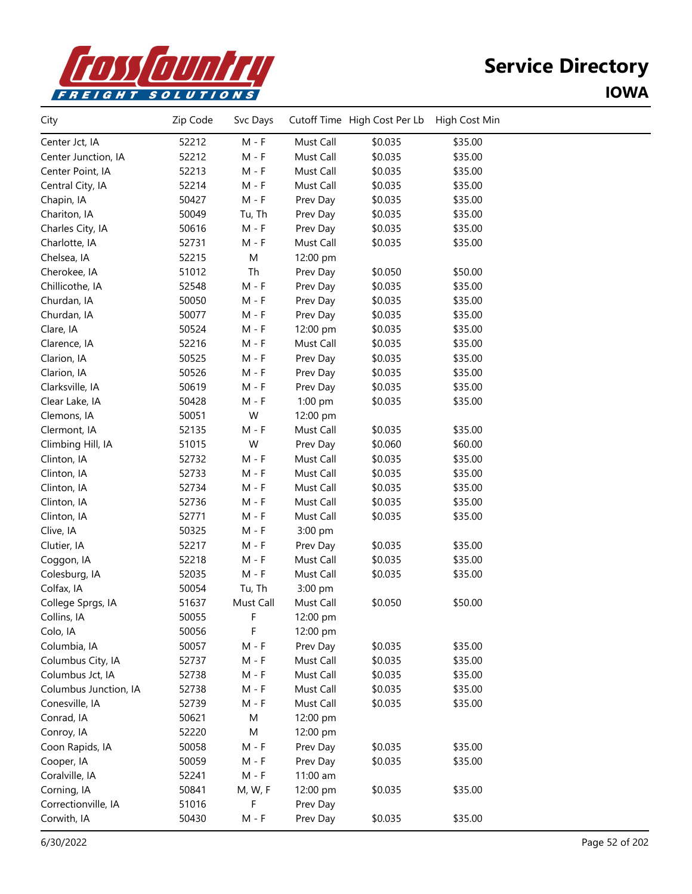

| City                  | Zip Code | Svc Days                    |           | Cutoff Time High Cost Per Lb | High Cost Min |  |
|-----------------------|----------|-----------------------------|-----------|------------------------------|---------------|--|
| Center Jct, IA        | 52212    | $M - F$                     | Must Call | \$0.035                      | \$35.00       |  |
| Center Junction, IA   | 52212    | $M - F$                     | Must Call | \$0.035                      | \$35.00       |  |
| Center Point, IA      | 52213    | $M - F$                     | Must Call | \$0.035                      | \$35.00       |  |
| Central City, IA      | 52214    | $M - F$                     | Must Call | \$0.035                      | \$35.00       |  |
| Chapin, IA            | 50427    | $M - F$                     | Prev Day  | \$0.035                      | \$35.00       |  |
| Chariton, IA          | 50049    | Tu, Th                      | Prev Day  | \$0.035                      | \$35.00       |  |
| Charles City, IA      | 50616    | $M - F$                     | Prev Day  | \$0.035                      | \$35.00       |  |
| Charlotte, IA         | 52731    | $M - F$                     | Must Call | \$0.035                      | \$35.00       |  |
| Chelsea, IA           | 52215    | M                           | 12:00 pm  |                              |               |  |
| Cherokee, IA          | 51012    | Th                          | Prev Day  | \$0.050                      | \$50.00       |  |
| Chillicothe, IA       | 52548    | $M - F$                     | Prev Day  | \$0.035                      | \$35.00       |  |
| Churdan, IA           | 50050    | $M - F$                     | Prev Day  | \$0.035                      | \$35.00       |  |
| Churdan, IA           | 50077    | $M - F$                     | Prev Day  | \$0.035                      | \$35.00       |  |
| Clare, IA             | 50524    | $M - F$                     | 12:00 pm  | \$0.035                      | \$35.00       |  |
| Clarence, IA          | 52216    | $M - F$                     | Must Call | \$0.035                      | \$35.00       |  |
| Clarion, IA           | 50525    | $M - F$                     | Prev Day  | \$0.035                      | \$35.00       |  |
| Clarion, IA           | 50526    | $M - F$                     | Prev Day  | \$0.035                      | \$35.00       |  |
| Clarksville, IA       | 50619    | $M - F$                     | Prev Day  | \$0.035                      | \$35.00       |  |
| Clear Lake, IA        | 50428    | $M - F$                     | 1:00 pm   | \$0.035                      | \$35.00       |  |
| Clemons, IA           | 50051    | W                           | 12:00 pm  |                              |               |  |
| Clermont, IA          | 52135    | $M - F$                     | Must Call | \$0.035                      | \$35.00       |  |
| Climbing Hill, IA     | 51015    | W                           | Prev Day  | \$0.060                      | \$60.00       |  |
| Clinton, IA           | 52732    | $M - F$                     | Must Call | \$0.035                      | \$35.00       |  |
| Clinton, IA           | 52733    | $M - F$                     | Must Call | \$0.035                      | \$35.00       |  |
| Clinton, IA           | 52734    | $M - F$                     | Must Call | \$0.035                      | \$35.00       |  |
| Clinton, IA           | 52736    | $M - F$                     | Must Call | \$0.035                      | \$35.00       |  |
| Clinton, IA           | 52771    | $M - F$                     | Must Call | \$0.035                      | \$35.00       |  |
| Clive, IA             | 50325    | $M - F$                     | 3:00 pm   |                              |               |  |
| Clutier, IA           | 52217    | $M - F$                     | Prev Day  | \$0.035                      | \$35.00       |  |
| Coggon, IA            | 52218    | $M - F$                     | Must Call | \$0.035                      | \$35.00       |  |
| Colesburg, IA         | 52035    | $\mathsf{M}$ - $\mathsf{F}$ | Must Call | \$0.035                      | \$35.00       |  |
| Colfax, IA            | 50054    | Tu, Th                      | 3:00 pm   |                              |               |  |
| College Sprgs, IA     | 51637    | Must Call                   | Must Call | \$0.050                      | \$50.00       |  |
| Collins, IA           | 50055    | F                           | 12:00 pm  |                              |               |  |
| Colo, IA              | 50056    | F                           | 12:00 pm  |                              |               |  |
| Columbia, IA          | 50057    | $M - F$                     | Prev Day  | \$0.035                      | \$35.00       |  |
| Columbus City, IA     | 52737    | $M - F$                     | Must Call | \$0.035                      | \$35.00       |  |
| Columbus Jct, IA      | 52738    | $M - F$                     | Must Call | \$0.035                      | \$35.00       |  |
| Columbus Junction, IA | 52738    | $M - F$                     | Must Call | \$0.035                      | \$35.00       |  |
| Conesville, IA        | 52739    | $M - F$                     | Must Call | \$0.035                      | \$35.00       |  |
| Conrad, IA            | 50621    | M                           | 12:00 pm  |                              |               |  |
| Conroy, IA            | 52220    | M                           | 12:00 pm  |                              |               |  |
| Coon Rapids, IA       | 50058    | $M - F$                     | Prev Day  | \$0.035                      | \$35.00       |  |
| Cooper, IA            | 50059    | $M - F$                     | Prev Day  | \$0.035                      | \$35.00       |  |
| Coralville, IA        | 52241    | $M - F$                     | 11:00 am  |                              |               |  |
| Corning, IA           | 50841    | M, W, F                     | 12:00 pm  | \$0.035                      | \$35.00       |  |
| Correctionville, IA   | 51016    | F                           | Prev Day  |                              |               |  |
| Corwith, IA           | 50430    | $M - F$                     | Prev Day  | \$0.035                      | \$35.00       |  |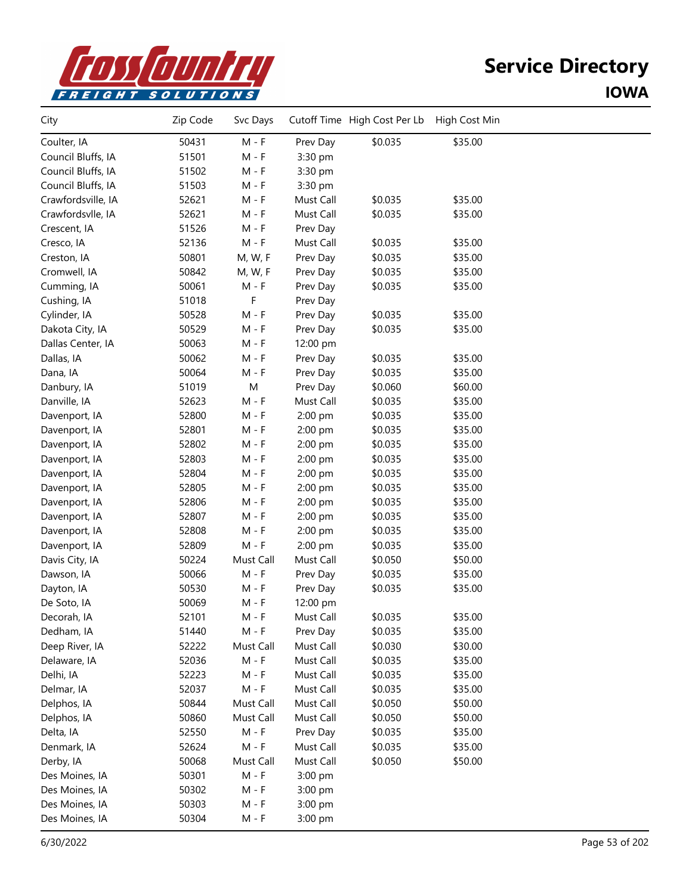

| City               | Zip Code | Svc Days  |           | Cutoff Time High Cost Per Lb | High Cost Min |  |
|--------------------|----------|-----------|-----------|------------------------------|---------------|--|
| Coulter, IA        | 50431    | $M - F$   | Prev Day  | \$0.035                      | \$35.00       |  |
| Council Bluffs, IA | 51501    | $M - F$   | 3:30 pm   |                              |               |  |
| Council Bluffs, IA | 51502    | $M - F$   | 3:30 pm   |                              |               |  |
| Council Bluffs, IA | 51503    | $M - F$   | 3:30 pm   |                              |               |  |
| Crawfordsville, IA | 52621    | $M - F$   | Must Call | \$0.035                      | \$35.00       |  |
| Crawfordsvlle, IA  | 52621    | $M - F$   | Must Call | \$0.035                      | \$35.00       |  |
| Crescent, IA       | 51526    | $M - F$   | Prev Day  |                              |               |  |
| Cresco, IA         | 52136    | $M - F$   | Must Call | \$0.035                      | \$35.00       |  |
| Creston, IA        | 50801    | M, W, F   | Prev Day  | \$0.035                      | \$35.00       |  |
| Cromwell, IA       | 50842    | M, W, F   | Prev Day  | \$0.035                      | \$35.00       |  |
| Cumming, IA        | 50061    | $M - F$   | Prev Day  | \$0.035                      | \$35.00       |  |
| Cushing, IA        | 51018    | F         | Prev Day  |                              |               |  |
| Cylinder, IA       | 50528    | $M - F$   | Prev Day  | \$0.035                      | \$35.00       |  |
| Dakota City, IA    | 50529    | $M - F$   | Prev Day  | \$0.035                      | \$35.00       |  |
| Dallas Center, IA  | 50063    | $M - F$   | 12:00 pm  |                              |               |  |
| Dallas, IA         | 50062    | $M - F$   | Prev Day  | \$0.035                      | \$35.00       |  |
| Dana, IA           | 50064    | $M - F$   | Prev Day  | \$0.035                      | \$35.00       |  |
| Danbury, IA        | 51019    | M         | Prev Day  | \$0.060                      | \$60.00       |  |
| Danville, IA       | 52623    | $M - F$   | Must Call | \$0.035                      | \$35.00       |  |
| Davenport, IA      | 52800    | $M - F$   | 2:00 pm   | \$0.035                      | \$35.00       |  |
| Davenport, IA      | 52801    | $M - F$   | 2:00 pm   | \$0.035                      | \$35.00       |  |
| Davenport, IA      | 52802    | $M - F$   | 2:00 pm   | \$0.035                      | \$35.00       |  |
| Davenport, IA      | 52803    | $M - F$   | 2:00 pm   | \$0.035                      | \$35.00       |  |
| Davenport, IA      | 52804    | $M - F$   | 2:00 pm   | \$0.035                      | \$35.00       |  |
| Davenport, IA      | 52805    | $M - F$   | 2:00 pm   | \$0.035                      | \$35.00       |  |
| Davenport, IA      | 52806    | M - F     | 2:00 pm   | \$0.035                      | \$35.00       |  |
| Davenport, IA      | 52807    | $M - F$   | 2:00 pm   | \$0.035                      | \$35.00       |  |
| Davenport, IA      | 52808    | $M - F$   | 2:00 pm   | \$0.035                      | \$35.00       |  |
| Davenport, IA      | 52809    | $M - F$   | 2:00 pm   | \$0.035                      | \$35.00       |  |
| Davis City, IA     | 50224    | Must Call | Must Call | \$0.050                      | \$50.00       |  |
| Dawson, IA         | 50066    | $M - F$   | Prev Day  | \$0.035                      | \$35.00       |  |
| Dayton, IA         | 50530    | $M - F$   | Prev Day  | \$0.035                      | \$35.00       |  |
| De Soto, IA        | 50069    | $M - F$   | 12:00 pm  |                              |               |  |
| Decorah, IA        | 52101    | M - F     | Must Call | \$0.035                      | \$35.00       |  |
| Dedham, IA         | 51440    | $M - F$   | Prev Day  | \$0.035                      | \$35.00       |  |
| Deep River, IA     | 52222    | Must Call | Must Call | \$0.030                      | \$30.00       |  |
| Delaware, IA       | 52036    | $M - F$   | Must Call | \$0.035                      | \$35.00       |  |
| Delhi, IA          | 52223    | $M - F$   | Must Call | \$0.035                      | \$35.00       |  |
| Delmar, IA         | 52037    | $M - F$   | Must Call | \$0.035                      | \$35.00       |  |
| Delphos, IA        | 50844    | Must Call | Must Call | \$0.050                      | \$50.00       |  |
| Delphos, IA        | 50860    | Must Call | Must Call | \$0.050                      | \$50.00       |  |
| Delta, IA          | 52550    | $M - F$   | Prev Day  | \$0.035                      | \$35.00       |  |
| Denmark, IA        | 52624    | $M - F$   | Must Call | \$0.035                      | \$35.00       |  |
| Derby, IA          | 50068    | Must Call | Must Call | \$0.050                      | \$50.00       |  |
| Des Moines, IA     | 50301    | $M - F$   | 3:00 pm   |                              |               |  |
| Des Moines, IA     | 50302    | $M - F$   | 3:00 pm   |                              |               |  |
| Des Moines, IA     | 50303    | $M - F$   | 3:00 pm   |                              |               |  |
| Des Moines, IA     | 50304    | M - F     | 3:00 pm   |                              |               |  |
|                    |          |           |           |                              |               |  |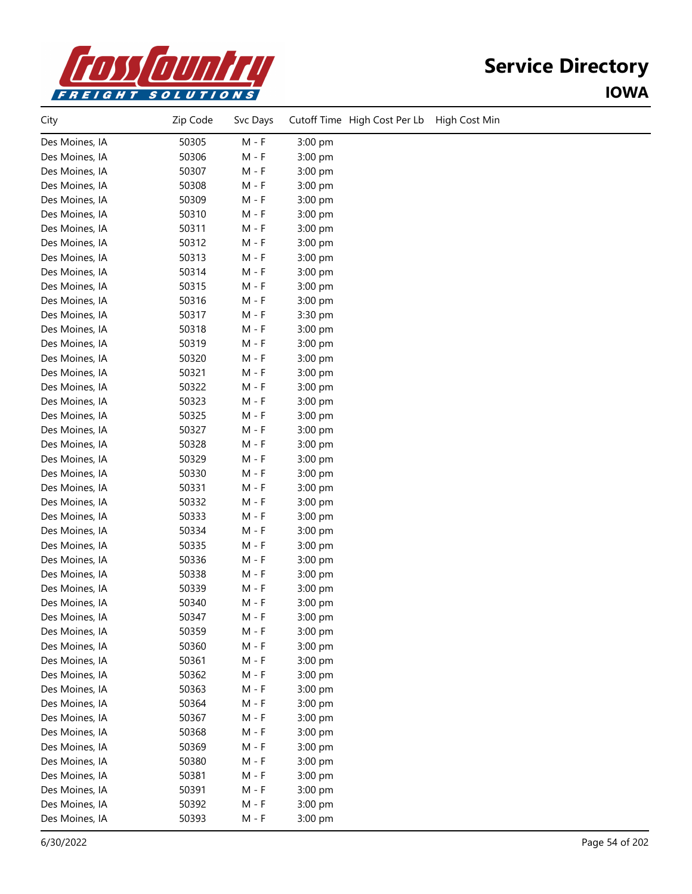

| City           | Zip Code | Svc Days | Cutoff Time High Cost Per Lb<br>High Cost Min |
|----------------|----------|----------|-----------------------------------------------|
| Des Moines, IA | 50305    | $M - F$  | 3:00 pm                                       |
| Des Moines, IA | 50306    | $M - F$  | 3:00 pm                                       |
| Des Moines, IA | 50307    | $M - F$  | 3:00 pm                                       |
| Des Moines, IA | 50308    | $M - F$  | 3:00 pm                                       |
| Des Moines, IA | 50309    | $M - F$  | 3:00 pm                                       |
| Des Moines, IA | 50310    | $M - F$  | 3:00 pm                                       |
| Des Moines, IA | 50311    | $M - F$  | 3:00 pm                                       |
| Des Moines, IA | 50312    | $M - F$  | 3:00 pm                                       |
| Des Moines, IA | 50313    | $M - F$  | 3:00 pm                                       |
| Des Moines, IA | 50314    | $M - F$  | 3:00 pm                                       |
| Des Moines, IA | 50315    | M - F    | 3:00 pm                                       |
| Des Moines, IA | 50316    | $M - F$  | 3:00 pm                                       |
| Des Moines, IA | 50317    | $M - F$  | 3:30 pm                                       |
| Des Moines, IA | 50318    | $M - F$  | 3:00 pm                                       |
| Des Moines, IA | 50319    | $M - F$  | 3:00 pm                                       |
| Des Moines, IA | 50320    | $M - F$  | 3:00 pm                                       |
| Des Moines, IA | 50321    | $M - F$  | 3:00 pm                                       |
| Des Moines, IA | 50322    | $M - F$  | 3:00 pm                                       |
| Des Moines, IA | 50323    | $M - F$  | 3:00 pm                                       |
| Des Moines, IA | 50325    | $M - F$  | 3:00 pm                                       |
| Des Moines, IA | 50327    | $M - F$  | 3:00 pm                                       |
| Des Moines, IA | 50328    | $M - F$  | 3:00 pm                                       |
| Des Moines, IA | 50329    | $M - F$  | 3:00 pm                                       |
| Des Moines, IA | 50330    | $M - F$  | 3:00 pm                                       |
| Des Moines, IA | 50331    | M - F    | 3:00 pm                                       |
| Des Moines, IA | 50332    | M - F    | 3:00 pm                                       |
| Des Moines, IA | 50333    | $M - F$  | 3:00 pm                                       |
| Des Moines, IA | 50334    | $M - F$  | 3:00 pm                                       |
| Des Moines, IA | 50335    | $M - F$  | 3:00 pm                                       |
| Des Moines, IA | 50336    | $M - F$  | 3:00 pm                                       |
| Des Moines, IA | 50338    | $M - F$  | 3:00 pm                                       |
| Des Moines, IA | 50339    | $M - F$  | 3:00 pm                                       |
| Des Moines, IA | 50340    | $M - F$  | 3:00 pm                                       |
| Des Moines, IA | 50347    | $M - F$  | 3:00 pm                                       |
| Des Moines, IA | 50359    | $M - F$  | 3:00 pm                                       |
| Des Moines, IA | 50360    | $M - F$  | 3:00 pm                                       |
| Des Moines, IA | 50361    | $M - F$  | 3:00 pm                                       |
| Des Moines, IA | 50362    | $M - F$  | 3:00 pm                                       |
| Des Moines, IA | 50363    | $M - F$  | 3:00 pm                                       |
| Des Moines, IA | 50364    | $M - F$  | 3:00 pm                                       |
| Des Moines, IA | 50367    | $M - F$  | 3:00 pm                                       |
| Des Moines, IA | 50368    | $M - F$  | 3:00 pm                                       |
| Des Moines, IA | 50369    | $M - F$  | 3:00 pm                                       |
| Des Moines, IA | 50380    | $M - F$  | 3:00 pm                                       |
| Des Moines, IA | 50381    | $M - F$  | 3:00 pm                                       |
| Des Moines, IA | 50391    | $M - F$  | 3:00 pm                                       |
| Des Moines, IA | 50392    | $M - F$  | 3:00 pm                                       |
| Des Moines, IA | 50393    | $M - F$  | 3:00 pm                                       |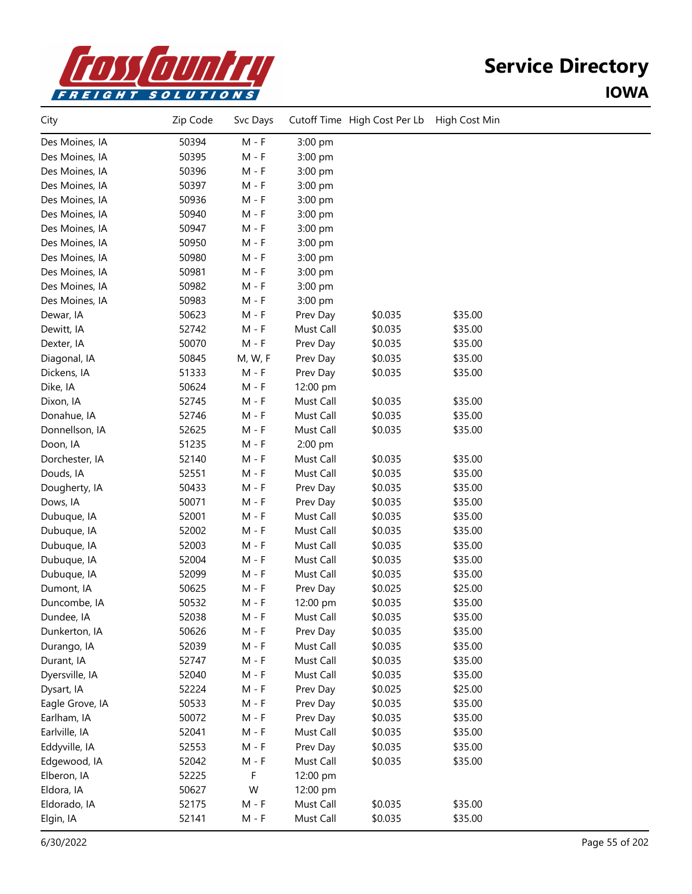

| City            | Zip Code | Svc Days |           | Cutoff Time High Cost Per Lb | High Cost Min |  |
|-----------------|----------|----------|-----------|------------------------------|---------------|--|
| Des Moines, IA  | 50394    | $M - F$  | 3:00 pm   |                              |               |  |
| Des Moines, IA  | 50395    | $M - F$  | 3:00 pm   |                              |               |  |
| Des Moines, IA  | 50396    | $M - F$  | 3:00 pm   |                              |               |  |
| Des Moines, IA  | 50397    | $M - F$  | 3:00 pm   |                              |               |  |
| Des Moines, IA  | 50936    | $M - F$  | 3:00 pm   |                              |               |  |
| Des Moines, IA  | 50940    | $M - F$  | 3:00 pm   |                              |               |  |
| Des Moines, IA  | 50947    | $M - F$  | 3:00 pm   |                              |               |  |
| Des Moines, IA  | 50950    | $M - F$  | 3:00 pm   |                              |               |  |
| Des Moines, IA  | 50980    | $M - F$  | 3:00 pm   |                              |               |  |
| Des Moines, IA  | 50981    | $M - F$  | 3:00 pm   |                              |               |  |
| Des Moines, IA  | 50982    | $M - F$  | 3:00 pm   |                              |               |  |
| Des Moines, IA  | 50983    | $M - F$  | 3:00 pm   |                              |               |  |
| Dewar, IA       | 50623    | $M - F$  | Prev Day  | \$0.035                      | \$35.00       |  |
| Dewitt, IA      | 52742    | $M - F$  | Must Call | \$0.035                      | \$35.00       |  |
| Dexter, IA      | 50070    | $M - F$  | Prev Day  | \$0.035                      | \$35.00       |  |
| Diagonal, IA    | 50845    | M, W, F  | Prev Day  | \$0.035                      | \$35.00       |  |
| Dickens, IA     | 51333    | $M - F$  | Prev Day  | \$0.035                      | \$35.00       |  |
| Dike, IA        | 50624    | $M - F$  | 12:00 pm  |                              |               |  |
| Dixon, IA       | 52745    | $M - F$  | Must Call | \$0.035                      | \$35.00       |  |
| Donahue, IA     | 52746    | $M - F$  | Must Call | \$0.035                      | \$35.00       |  |
| Donnellson, IA  | 52625    | $M - F$  | Must Call | \$0.035                      | \$35.00       |  |
| Doon, IA        | 51235    | $M - F$  | 2:00 pm   |                              |               |  |
| Dorchester, IA  | 52140    | $M - F$  | Must Call | \$0.035                      | \$35.00       |  |
| Douds, IA       | 52551    | $M - F$  | Must Call | \$0.035                      | \$35.00       |  |
| Dougherty, IA   | 50433    | $M - F$  | Prev Day  | \$0.035                      | \$35.00       |  |
| Dows, IA        | 50071    | $M - F$  | Prev Day  | \$0.035                      | \$35.00       |  |
| Dubuque, IA     | 52001    | $M - F$  | Must Call | \$0.035                      | \$35.00       |  |
| Dubuque, IA     | 52002    | $M - F$  | Must Call | \$0.035                      | \$35.00       |  |
| Dubuque, IA     | 52003    | $M - F$  | Must Call | \$0.035                      | \$35.00       |  |
| Dubuque, IA     | 52004    | $M - F$  | Must Call | \$0.035                      | \$35.00       |  |
| Dubuque, IA     | 52099    | $M - F$  | Must Call | \$0.035                      | \$35.00       |  |
| Dumont, IA      | 50625    | $M - F$  | Prev Day  | \$0.025                      | \$25.00       |  |
| Duncombe, IA    | 50532    | $M - F$  | 12:00 pm  | \$0.035                      | \$35.00       |  |
| Dundee, IA      | 52038    | $M - F$  | Must Call | \$0.035                      | \$35.00       |  |
| Dunkerton, IA   | 50626    | $M - F$  | Prev Day  | \$0.035                      | \$35.00       |  |
| Durango, IA     | 52039    | $M - F$  | Must Call | \$0.035                      | \$35.00       |  |
| Durant, IA      | 52747    | $M - F$  | Must Call | \$0.035                      | \$35.00       |  |
| Dyersville, IA  | 52040    | $M - F$  | Must Call | \$0.035                      | \$35.00       |  |
| Dysart, IA      | 52224    | $M - F$  | Prev Day  | \$0.025                      | \$25.00       |  |
| Eagle Grove, IA | 50533    | $M - F$  | Prev Day  | \$0.035                      | \$35.00       |  |
| Earlham, IA     | 50072    | $M - F$  | Prev Day  | \$0.035                      | \$35.00       |  |
| Earlville, IA   | 52041    | $M - F$  | Must Call | \$0.035                      | \$35.00       |  |
| Eddyville, IA   | 52553    | $M - F$  | Prev Day  | \$0.035                      | \$35.00       |  |
| Edgewood, IA    | 52042    | $M - F$  | Must Call | \$0.035                      | \$35.00       |  |
| Elberon, IA     | 52225    | F        | 12:00 pm  |                              |               |  |
| Eldora, IA      | 50627    | W        | 12:00 pm  |                              |               |  |
| Eldorado, IA    | 52175    | $M - F$  | Must Call | \$0.035                      | \$35.00       |  |
| Elgin, IA       | 52141    | $M - F$  | Must Call | \$0.035                      | \$35.00       |  |
|                 |          |          |           |                              |               |  |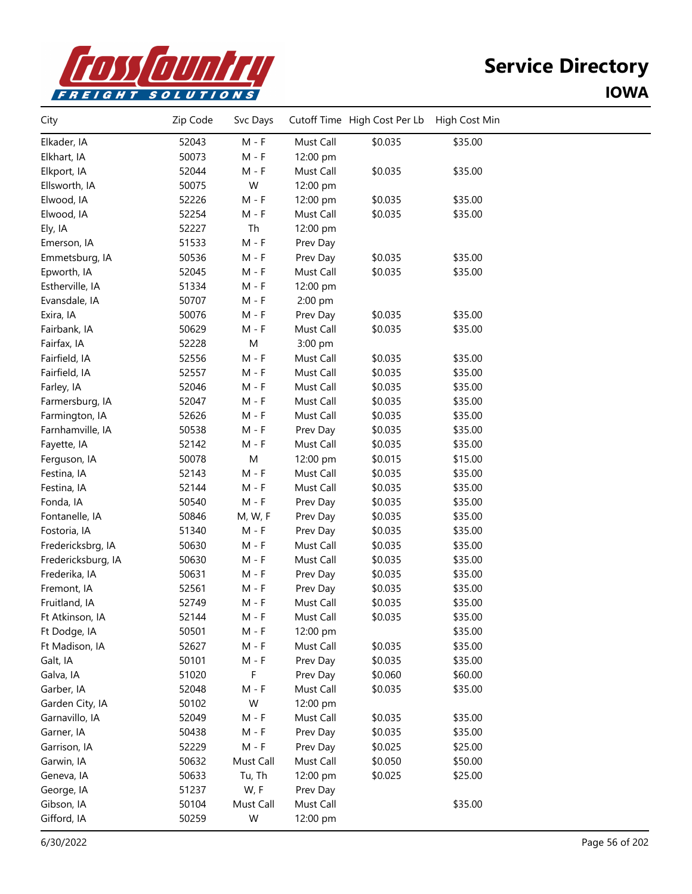

| City               | Zip Code | Svc Days  |           | Cutoff Time High Cost Per Lb | High Cost Min |  |
|--------------------|----------|-----------|-----------|------------------------------|---------------|--|
| Elkader, IA        | 52043    | $M - F$   | Must Call | \$0.035                      | \$35.00       |  |
| Elkhart, IA        | 50073    | $M - F$   | 12:00 pm  |                              |               |  |
| Elkport, IA        | 52044    | $M - F$   | Must Call | \$0.035                      | \$35.00       |  |
| Ellsworth, IA      | 50075    | W         | 12:00 pm  |                              |               |  |
| Elwood, IA         | 52226    | $M - F$   | 12:00 pm  | \$0.035                      | \$35.00       |  |
| Elwood, IA         | 52254    | $M - F$   | Must Call | \$0.035                      | \$35.00       |  |
| Ely, IA            | 52227    | Th        | 12:00 pm  |                              |               |  |
| Emerson, IA        | 51533    | $M - F$   | Prev Day  |                              |               |  |
| Emmetsburg, IA     | 50536    | $M - F$   | Prev Day  | \$0.035                      | \$35.00       |  |
| Epworth, IA        | 52045    | $M - F$   | Must Call | \$0.035                      | \$35.00       |  |
| Estherville, IA    | 51334    | $M - F$   | 12:00 pm  |                              |               |  |
| Evansdale, IA      | 50707    | $M - F$   | 2:00 pm   |                              |               |  |
| Exira, IA          | 50076    | $M - F$   | Prev Day  | \$0.035                      | \$35.00       |  |
| Fairbank, IA       | 50629    | $M - F$   | Must Call | \$0.035                      | \$35.00       |  |
| Fairfax, IA        | 52228    | M         | 3:00 pm   |                              |               |  |
| Fairfield, IA      | 52556    | $M - F$   | Must Call | \$0.035                      | \$35.00       |  |
| Fairfield, IA      | 52557    | $M - F$   | Must Call | \$0.035                      | \$35.00       |  |
| Farley, IA         | 52046    | $M - F$   | Must Call | \$0.035                      | \$35.00       |  |
| Farmersburg, IA    | 52047    | $M - F$   | Must Call | \$0.035                      | \$35.00       |  |
| Farmington, IA     | 52626    | $M - F$   | Must Call | \$0.035                      | \$35.00       |  |
| Farnhamville, IA   | 50538    | $M - F$   | Prev Day  | \$0.035                      | \$35.00       |  |
| Fayette, IA        | 52142    | $M - F$   | Must Call | \$0.035                      | \$35.00       |  |
| Ferguson, IA       | 50078    | M         | 12:00 pm  | \$0.015                      | \$15.00       |  |
| Festina, IA        | 52143    | $M - F$   | Must Call | \$0.035                      | \$35.00       |  |
| Festina, IA        | 52144    | $M - F$   | Must Call | \$0.035                      | \$35.00       |  |
| Fonda, IA          | 50540    | $M - F$   | Prev Day  | \$0.035                      | \$35.00       |  |
| Fontanelle, IA     | 50846    | M, W, F   | Prev Day  | \$0.035                      | \$35.00       |  |
| Fostoria, IA       | 51340    | $M - F$   | Prev Day  | \$0.035                      | \$35.00       |  |
| Fredericksbrg, IA  | 50630    | $M - F$   | Must Call | \$0.035                      | \$35.00       |  |
| Fredericksburg, IA | 50630    | $M - F$   | Must Call | \$0.035                      | \$35.00       |  |
| Frederika, IA      | 50631    | $M - F$   | Prev Day  | \$0.035                      | \$35.00       |  |
| Fremont, IA        | 52561    | M - F     | Prev Day  | \$0.035                      | \$35.00       |  |
| Fruitland, IA      | 52749    | $M - F$   | Must Call | \$0.035                      | \$35.00       |  |
| Ft Atkinson, IA    | 52144    | $M - F$   | Must Call | \$0.035                      | \$35.00       |  |
| Ft Dodge, IA       | 50501    | M - F     | 12:00 pm  |                              | \$35.00       |  |
| Ft Madison, IA     | 52627    | $M - F$   | Must Call | \$0.035                      | \$35.00       |  |
| Galt, IA           | 50101    | $M - F$   | Prev Day  | \$0.035                      | \$35.00       |  |
| Galva, IA          | 51020    | F         | Prev Day  | \$0.060                      | \$60.00       |  |
| Garber, IA         | 52048    | $M - F$   | Must Call | \$0.035                      | \$35.00       |  |
| Garden City, IA    | 50102    | W         | 12:00 pm  |                              |               |  |
| Garnavillo, IA     | 52049    | M - F     | Must Call | \$0.035                      | \$35.00       |  |
| Garner, IA         | 50438    | $M - F$   | Prev Day  | \$0.035                      | \$35.00       |  |
| Garrison, IA       | 52229    | $M - F$   | Prev Day  | \$0.025                      | \$25.00       |  |
| Garwin, IA         | 50632    | Must Call | Must Call | \$0.050                      | \$50.00       |  |
| Geneva, IA         | 50633    | Tu, Th    | 12:00 pm  | \$0.025                      | \$25.00       |  |
| George, IA         | 51237    | W, F      | Prev Day  |                              |               |  |
| Gibson, IA         | 50104    | Must Call | Must Call |                              | \$35.00       |  |
| Gifford, IA        | 50259    | W         | 12:00 pm  |                              |               |  |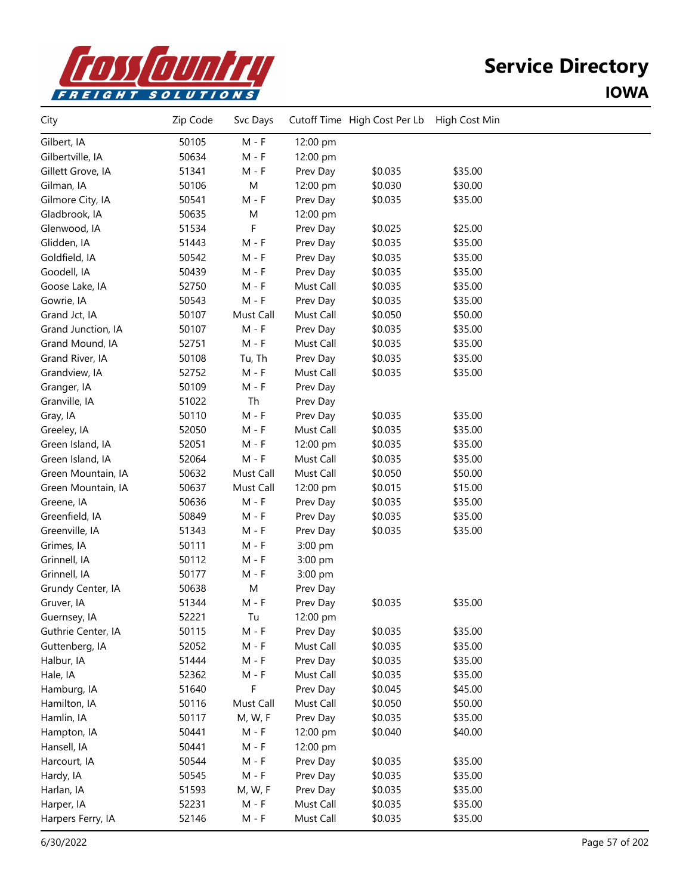

| City               | Zip Code | Svc Days                    |           | Cutoff Time High Cost Per Lb High Cost Min |         |  |
|--------------------|----------|-----------------------------|-----------|--------------------------------------------|---------|--|
| Gilbert, IA        | 50105    | $M - F$                     | 12:00 pm  |                                            |         |  |
| Gilbertville, IA   | 50634    | $M - F$                     | 12:00 pm  |                                            |         |  |
| Gillett Grove, IA  | 51341    | $M - F$                     | Prev Day  | \$0.035                                    | \$35.00 |  |
| Gilman, IA         | 50106    | ${\sf M}$                   | 12:00 pm  | \$0.030                                    | \$30.00 |  |
| Gilmore City, IA   | 50541    | $M - F$                     | Prev Day  | \$0.035                                    | \$35.00 |  |
| Gladbrook, IA      | 50635    | M                           | 12:00 pm  |                                            |         |  |
| Glenwood, IA       | 51534    | F                           | Prev Day  | \$0.025                                    | \$25.00 |  |
| Glidden, IA        | 51443    | $M - F$                     | Prev Day  | \$0.035                                    | \$35.00 |  |
| Goldfield, IA      | 50542    | $M - F$                     | Prev Day  | \$0.035                                    | \$35.00 |  |
| Goodell, IA        | 50439    | $M - F$                     | Prev Day  | \$0.035                                    | \$35.00 |  |
| Goose Lake, IA     | 52750    | $M - F$                     | Must Call | \$0.035                                    | \$35.00 |  |
| Gowrie, IA         | 50543    | $M - F$                     | Prev Day  | \$0.035                                    | \$35.00 |  |
| Grand Jct, IA      | 50107    | Must Call                   | Must Call | \$0.050                                    | \$50.00 |  |
| Grand Junction, IA | 50107    | $M - F$                     | Prev Day  | \$0.035                                    | \$35.00 |  |
| Grand Mound, IA    | 52751    | $M - F$                     | Must Call | \$0.035                                    | \$35.00 |  |
| Grand River, IA    | 50108    | Tu, Th                      | Prev Day  | \$0.035                                    | \$35.00 |  |
| Grandview, IA      | 52752    | $M - F$                     | Must Call | \$0.035                                    | \$35.00 |  |
| Granger, IA        | 50109    | $M - F$                     | Prev Day  |                                            |         |  |
| Granville, IA      | 51022    | Th                          | Prev Day  |                                            |         |  |
| Gray, IA           | 50110    | $M - F$                     | Prev Day  | \$0.035                                    | \$35.00 |  |
| Greeley, IA        | 52050    | $\mathsf{M}$ - $\mathsf{F}$ | Must Call | \$0.035                                    | \$35.00 |  |
| Green Island, IA   | 52051    | $M - F$                     | 12:00 pm  | \$0.035                                    | \$35.00 |  |
| Green Island, IA   | 52064    | $M - F$                     | Must Call | \$0.035                                    | \$35.00 |  |
| Green Mountain, IA | 50632    | Must Call                   | Must Call | \$0.050                                    | \$50.00 |  |
| Green Mountain, IA | 50637    | Must Call                   | 12:00 pm  | \$0.015                                    | \$15.00 |  |
| Greene, IA         | 50636    | $M - F$                     | Prev Day  | \$0.035                                    | \$35.00 |  |
| Greenfield, IA     | 50849    | $M - F$                     | Prev Day  | \$0.035                                    | \$35.00 |  |
| Greenville, IA     | 51343    | $M - F$                     | Prev Day  | \$0.035                                    | \$35.00 |  |
| Grimes, IA         | 50111    | $M - F$                     | 3:00 pm   |                                            |         |  |
| Grinnell, IA       | 50112    | $M - F$                     | 3:00 pm   |                                            |         |  |
| Grinnell, IA       | 50177    | $M - F$                     | 3:00 pm   |                                            |         |  |
| Grundy Center, IA  | 50638    | ${\sf M}$                   | Prev Day  |                                            |         |  |
| Gruver, IA         | 51344    | $M - F$                     | Prev Day  | \$0.035                                    | \$35.00 |  |
| Guernsey, IA       | 52221    | Tu                          | 12:00 pm  |                                            |         |  |
| Guthrie Center, IA | 50115    | $M - F$                     | Prev Day  | \$0.035                                    | \$35.00 |  |
| Guttenberg, IA     | 52052    | $M - F$                     | Must Call | \$0.035                                    | \$35.00 |  |
| Halbur, IA         | 51444    | $M - F$                     | Prev Day  | \$0.035                                    | \$35.00 |  |
| Hale, IA           | 52362    | $M - F$                     | Must Call | \$0.035                                    | \$35.00 |  |
| Hamburg, IA        | 51640    | F                           | Prev Day  | \$0.045                                    | \$45.00 |  |
| Hamilton, IA       | 50116    | Must Call                   | Must Call | \$0.050                                    | \$50.00 |  |
| Hamlin, IA         | 50117    | M, W, F                     | Prev Day  | \$0.035                                    | \$35.00 |  |
| Hampton, IA        | 50441    | $M - F$                     | 12:00 pm  | \$0.040                                    | \$40.00 |  |
| Hansell, IA        | 50441    | $M - F$                     | 12:00 pm  |                                            |         |  |
| Harcourt, IA       | 50544    | $\mathsf{M}$ - $\mathsf{F}$ | Prev Day  | \$0.035                                    | \$35.00 |  |
| Hardy, IA          | 50545    | $\mathsf{M}$ - $\mathsf{F}$ | Prev Day  | \$0.035                                    | \$35.00 |  |
| Harlan, IA         | 51593    | M, W, F                     | Prev Day  | \$0.035                                    | \$35.00 |  |
| Harper, IA         | 52231    | $M - F$                     | Must Call | \$0.035                                    | \$35.00 |  |
| Harpers Ferry, IA  | 52146    | $M - F$                     | Must Call | \$0.035                                    | \$35.00 |  |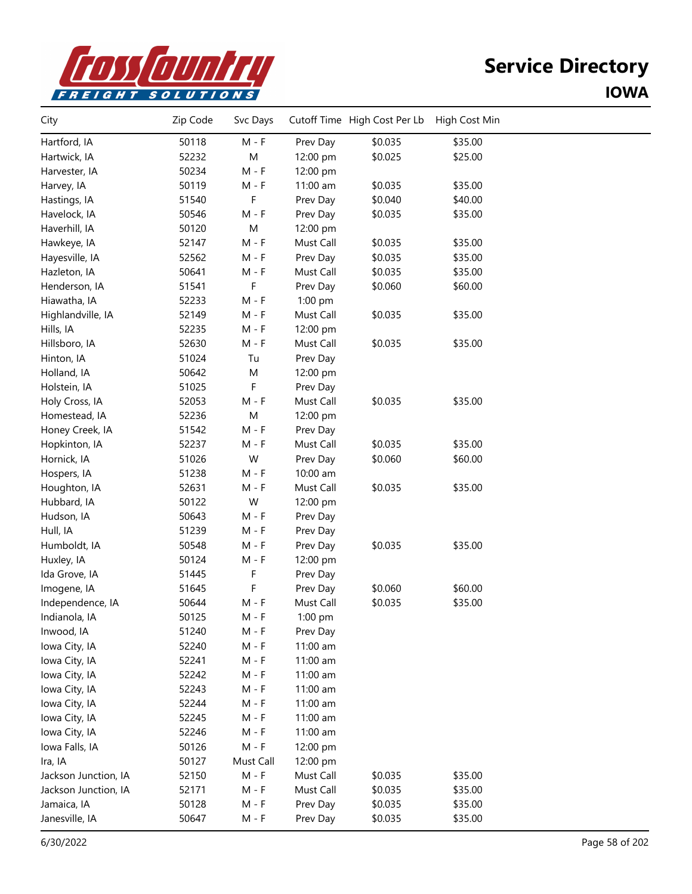

| City                 | Zip Code | Svc Days  |           | Cutoff Time High Cost Per Lb | High Cost Min |  |
|----------------------|----------|-----------|-----------|------------------------------|---------------|--|
| Hartford, IA         | 50118    | $M - F$   | Prev Day  | \$0.035                      | \$35.00       |  |
| Hartwick, IA         | 52232    | M         | 12:00 pm  | \$0.025                      | \$25.00       |  |
| Harvester, IA        | 50234    | $M - F$   | 12:00 pm  |                              |               |  |
| Harvey, IA           | 50119    | $M - F$   | 11:00 am  | \$0.035                      | \$35.00       |  |
| Hastings, IA         | 51540    | F         | Prev Day  | \$0.040                      | \$40.00       |  |
| Havelock, IA         | 50546    | $M - F$   | Prev Day  | \$0.035                      | \$35.00       |  |
| Haverhill, IA        | 50120    | ${\sf M}$ | 12:00 pm  |                              |               |  |
| Hawkeye, IA          | 52147    | $M - F$   | Must Call | \$0.035                      | \$35.00       |  |
| Hayesville, IA       | 52562    | $M - F$   | Prev Day  | \$0.035                      | \$35.00       |  |
| Hazleton, IA         | 50641    | M - F     | Must Call | \$0.035                      | \$35.00       |  |
| Henderson, IA        | 51541    | F         | Prev Day  | \$0.060                      | \$60.00       |  |
| Hiawatha, IA         | 52233    | $M - F$   | 1:00 pm   |                              |               |  |
| Highlandville, IA    | 52149    | $M - F$   | Must Call | \$0.035                      | \$35.00       |  |
| Hills, IA            | 52235    | $M - F$   | 12:00 pm  |                              |               |  |
| Hillsboro, IA        | 52630    | $M - F$   | Must Call | \$0.035                      | \$35.00       |  |
| Hinton, IA           | 51024    | Tu        | Prev Day  |                              |               |  |
| Holland, IA          | 50642    | M         | 12:00 pm  |                              |               |  |
| Holstein, IA         | 51025    | F         | Prev Day  |                              |               |  |
| Holy Cross, IA       | 52053    | $M - F$   | Must Call | \$0.035                      | \$35.00       |  |
| Homestead, IA        | 52236    | M         | 12:00 pm  |                              |               |  |
| Honey Creek, IA      | 51542    | $M - F$   | Prev Day  |                              |               |  |
| Hopkinton, IA        | 52237    | $M - F$   | Must Call | \$0.035                      | \$35.00       |  |
| Hornick, IA          | 51026    | W         | Prev Day  | \$0.060                      | \$60.00       |  |
| Hospers, IA          | 51238    | M - F     | 10:00 am  |                              |               |  |
| Houghton, IA         | 52631    | M - F     | Must Call | \$0.035                      | \$35.00       |  |
| Hubbard, IA          | 50122    | W         | 12:00 pm  |                              |               |  |
| Hudson, IA           | 50643    | M - F     | Prev Day  |                              |               |  |
| Hull, IA             | 51239    | $M - F$   | Prev Day  |                              |               |  |
| Humboldt, IA         | 50548    | $M - F$   | Prev Day  | \$0.035                      | \$35.00       |  |
| Huxley, IA           | 50124    | $M - F$   | 12:00 pm  |                              |               |  |
| Ida Grove, IA        | 51445    | F         | Prev Day  |                              |               |  |
| Imogene, IA          | 51645    | F         | Prev Day  | \$0.060                      | \$60.00       |  |
| Independence, IA     | 50644    | $M - F$   | Must Call | \$0.035                      | \$35.00       |  |
| Indianola, IA        | 50125    | M - F     | 1:00 pm   |                              |               |  |
| Inwood, IA           | 51240    | M - F     | Prev Day  |                              |               |  |
| Iowa City, IA        | 52240    | $M - F$   | 11:00 am  |                              |               |  |
| Iowa City, IA        | 52241    | M - F     | 11:00 am  |                              |               |  |
| Iowa City, IA        | 52242    | $M - F$   | 11:00 am  |                              |               |  |
| Iowa City, IA        | 52243    | $M - F$   | 11:00 am  |                              |               |  |
| Iowa City, IA        | 52244    | $M - F$   | 11:00 am  |                              |               |  |
| Iowa City, IA        | 52245    | M - F     | 11:00 am  |                              |               |  |
| Iowa City, IA        | 52246    | M - F     | 11:00 am  |                              |               |  |
| Iowa Falls, IA       | 50126    | $M - F$   | 12:00 pm  |                              |               |  |
| Ira, IA              | 50127    | Must Call | 12:00 pm  |                              |               |  |
| Jackson Junction, IA | 52150    | $M - F$   | Must Call | \$0.035                      | \$35.00       |  |
| Jackson Junction, IA | 52171    | $M - F$   | Must Call | \$0.035                      | \$35.00       |  |
| Jamaica, IA          | 50128    | $M - F$   | Prev Day  | \$0.035                      | \$35.00       |  |
| Janesville, IA       | 50647    | $M - F$   | Prev Day  | \$0.035                      | \$35.00       |  |
|                      |          |           |           |                              |               |  |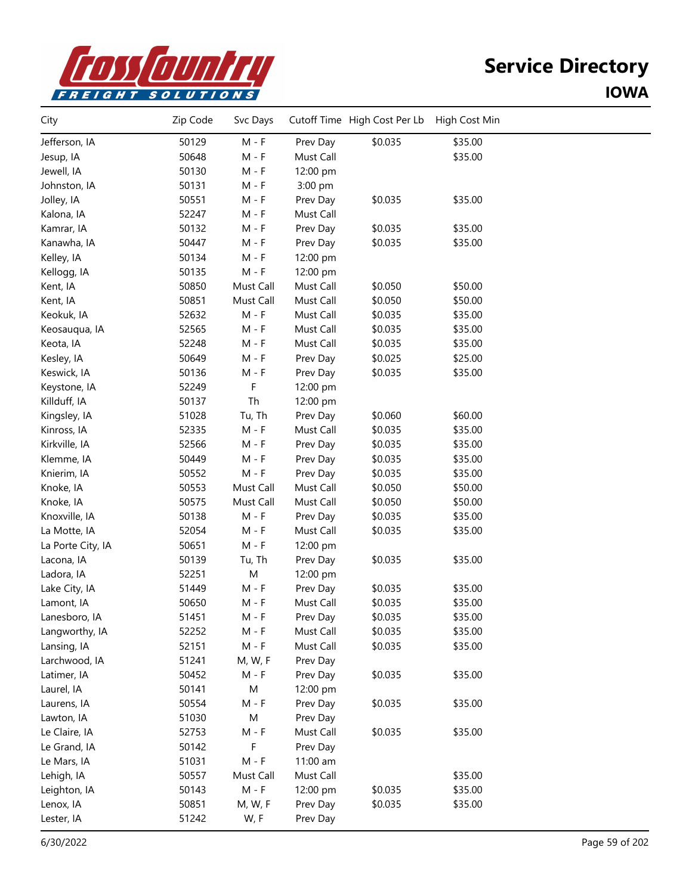

| City              | Zip Code | Svc Days                    |           | Cutoff Time High Cost Per Lb | High Cost Min |  |
|-------------------|----------|-----------------------------|-----------|------------------------------|---------------|--|
| Jefferson, IA     | 50129    | $M - F$                     | Prev Day  | \$0.035                      | \$35.00       |  |
| Jesup, IA         | 50648    | $M - F$                     | Must Call |                              | \$35.00       |  |
| Jewell, IA        | 50130    | $M - F$                     | 12:00 pm  |                              |               |  |
| Johnston, IA      | 50131    | $M - F$                     | 3:00 pm   |                              |               |  |
| Jolley, IA        | 50551    | $M - F$                     | Prev Day  | \$0.035                      | \$35.00       |  |
| Kalona, IA        | 52247    | $M - F$                     | Must Call |                              |               |  |
| Kamrar, IA        | 50132    | $M - F$                     | Prev Day  | \$0.035                      | \$35.00       |  |
| Kanawha, IA       | 50447    | $M - F$                     | Prev Day  | \$0.035                      | \$35.00       |  |
| Kelley, IA        | 50134    | M - F                       | 12:00 pm  |                              |               |  |
| Kellogg, IA       | 50135    | $M - F$                     | 12:00 pm  |                              |               |  |
| Kent, IA          | 50850    | Must Call                   | Must Call | \$0.050                      | \$50.00       |  |
| Kent, IA          | 50851    | Must Call                   | Must Call | \$0.050                      | \$50.00       |  |
| Keokuk, IA        | 52632    | $M - F$                     | Must Call | \$0.035                      | \$35.00       |  |
| Keosauqua, IA     | 52565    | $M - F$                     | Must Call | \$0.035                      | \$35.00       |  |
| Keota, IA         | 52248    | $M - F$                     | Must Call | \$0.035                      | \$35.00       |  |
| Kesley, IA        | 50649    | $M - F$                     | Prev Day  | \$0.025                      | \$25.00       |  |
| Keswick, IA       | 50136    | M - F                       | Prev Day  | \$0.035                      | \$35.00       |  |
| Keystone, IA      | 52249    | F                           | 12:00 pm  |                              |               |  |
| Killduff, IA      | 50137    | Th                          | 12:00 pm  |                              |               |  |
| Kingsley, IA      | 51028    | Tu, Th                      | Prev Day  | \$0.060                      | \$60.00       |  |
| Kinross, IA       | 52335    | $M - F$                     | Must Call | \$0.035                      | \$35.00       |  |
| Kirkville, IA     | 52566    | $M - F$                     | Prev Day  | \$0.035                      | \$35.00       |  |
| Klemme, IA        | 50449    | $M - F$                     | Prev Day  | \$0.035                      | \$35.00       |  |
| Knierim, IA       | 50552    | $M - F$                     | Prev Day  | \$0.035                      | \$35.00       |  |
| Knoke, IA         | 50553    | Must Call                   | Must Call | \$0.050                      | \$50.00       |  |
| Knoke, IA         | 50575    | Must Call                   | Must Call | \$0.050                      | \$50.00       |  |
| Knoxville, IA     | 50138    | $M - F$                     | Prev Day  | \$0.035                      | \$35.00       |  |
| La Motte, IA      | 52054    | $M - F$                     | Must Call | \$0.035                      | \$35.00       |  |
| La Porte City, IA | 50651    | $\mathsf{M}$ - $\mathsf{F}$ | 12:00 pm  |                              |               |  |
| Lacona, IA        | 50139    | Tu, Th                      | Prev Day  | \$0.035                      | \$35.00       |  |
| Ladora, IA        | 52251    | M                           | 12:00 pm  |                              |               |  |
| Lake City, IA     | 51449    | M - F                       | Prev Day  | \$0.035                      | \$35.00       |  |
| Lamont, IA        | 50650    | M - F                       | Must Call | \$0.035                      | \$35.00       |  |
| Lanesboro, IA     | 51451    | M - F                       | Prev Day  | \$0.035                      | \$35.00       |  |
| Langworthy, IA    | 52252    | M - F                       | Must Call | \$0.035                      | \$35.00       |  |
| Lansing, IA       | 52151    | $M - F$                     | Must Call | \$0.035                      | \$35.00       |  |
| Larchwood, IA     | 51241    | M, W, F                     | Prev Day  |                              |               |  |
| Latimer, IA       | 50452    | $M - F$                     | Prev Day  | \$0.035                      | \$35.00       |  |
| Laurel, IA        | 50141    | ${\sf M}$                   | 12:00 pm  |                              |               |  |
| Laurens, IA       | 50554    | $M - F$                     | Prev Day  | \$0.035                      | \$35.00       |  |
| Lawton, IA        | 51030    | M                           | Prev Day  |                              |               |  |
| Le Claire, IA     | 52753    | $M - F$                     | Must Call | \$0.035                      | \$35.00       |  |
| Le Grand, IA      | 50142    | F                           | Prev Day  |                              |               |  |
| Le Mars, IA       | 51031    | $M - F$                     | 11:00 am  |                              |               |  |
| Lehigh, IA        | 50557    | Must Call                   | Must Call |                              | \$35.00       |  |
| Leighton, IA      | 50143    | $M - F$                     | 12:00 pm  | \$0.035                      | \$35.00       |  |
| Lenox, IA         | 50851    | M, W, F                     | Prev Day  | \$0.035                      | \$35.00       |  |
| Lester, IA        | 51242    | W, F                        | Prev Day  |                              |               |  |
|                   |          |                             |           |                              |               |  |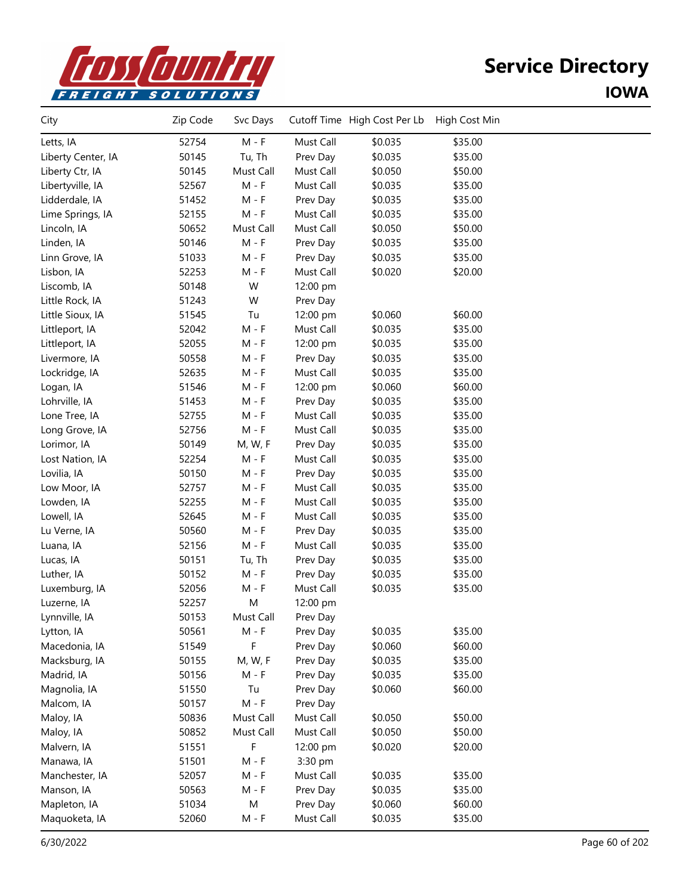

| City               | Zip Code | Svc Days  |           | Cutoff Time High Cost Per Lb | High Cost Min |  |
|--------------------|----------|-----------|-----------|------------------------------|---------------|--|
| Letts, IA          | 52754    | $M - F$   | Must Call | \$0.035                      | \$35.00       |  |
| Liberty Center, IA | 50145    | Tu, Th    | Prev Day  | \$0.035                      | \$35.00       |  |
| Liberty Ctr, IA    | 50145    | Must Call | Must Call | \$0.050                      | \$50.00       |  |
| Libertyville, IA   | 52567    | $M - F$   | Must Call | \$0.035                      | \$35.00       |  |
| Lidderdale, IA     | 51452    | $M - F$   | Prev Day  | \$0.035                      | \$35.00       |  |
| Lime Springs, IA   | 52155    | $M - F$   | Must Call | \$0.035                      | \$35.00       |  |
| Lincoln, IA        | 50652    | Must Call | Must Call | \$0.050                      | \$50.00       |  |
| Linden, IA         | 50146    | $M - F$   | Prev Day  | \$0.035                      | \$35.00       |  |
| Linn Grove, IA     | 51033    | $M - F$   | Prev Day  | \$0.035                      | \$35.00       |  |
| Lisbon, IA         | 52253    | $M - F$   | Must Call | \$0.020                      | \$20.00       |  |
| Liscomb, IA        | 50148    | W         | 12:00 pm  |                              |               |  |
| Little Rock, IA    | 51243    | W         | Prev Day  |                              |               |  |
| Little Sioux, IA   | 51545    | Tu        | 12:00 pm  | \$0.060                      | \$60.00       |  |
| Littleport, IA     | 52042    | $M - F$   | Must Call | \$0.035                      | \$35.00       |  |
| Littleport, IA     | 52055    | $M - F$   | 12:00 pm  | \$0.035                      | \$35.00       |  |
| Livermore, IA      | 50558    | $M - F$   | Prev Day  | \$0.035                      | \$35.00       |  |
| Lockridge, IA      | 52635    | $M - F$   | Must Call | \$0.035                      | \$35.00       |  |
| Logan, IA          | 51546    | $M - F$   | 12:00 pm  | \$0.060                      | \$60.00       |  |
| Lohrville, IA      | 51453    | $M - F$   | Prev Day  | \$0.035                      | \$35.00       |  |
| Lone Tree, IA      | 52755    | $M - F$   | Must Call | \$0.035                      | \$35.00       |  |
| Long Grove, IA     | 52756    | $M - F$   | Must Call | \$0.035                      | \$35.00       |  |
| Lorimor, IA        | 50149    | M, W, F   | Prev Day  | \$0.035                      | \$35.00       |  |
| Lost Nation, IA    | 52254    | $M - F$   | Must Call | \$0.035                      | \$35.00       |  |
| Lovilia, IA        | 50150    | $M - F$   | Prev Day  | \$0.035                      | \$35.00       |  |
| Low Moor, IA       | 52757    | $M - F$   | Must Call | \$0.035                      | \$35.00       |  |
| Lowden, IA         | 52255    | M - F     | Must Call | \$0.035                      | \$35.00       |  |
| Lowell, IA         | 52645    | $M - F$   | Must Call | \$0.035                      | \$35.00       |  |
| Lu Verne, IA       | 50560    | M - F     | Prev Day  | \$0.035                      | \$35.00       |  |
| Luana, IA          | 52156    | $M - F$   | Must Call | \$0.035                      | \$35.00       |  |
| Lucas, IA          | 50151    | Tu, Th    | Prev Day  | \$0.035                      | \$35.00       |  |
| Luther, IA         | 50152    | $M - F$   | Prev Day  | \$0.035                      | \$35.00       |  |
| Luxemburg, IA      | 52056    | $M - F$   | Must Call | \$0.035                      | \$35.00       |  |
| Luzerne, IA        | 52257    | M         | 12:00 pm  |                              |               |  |
| Lynnville, IA      | 50153    | Must Call | Prev Day  |                              |               |  |
| Lytton, IA         | 50561    | M - F     | Prev Day  | \$0.035                      | \$35.00       |  |
| Macedonia, IA      | 51549    | F.        | Prev Day  | \$0.060                      | \$60.00       |  |
| Macksburg, IA      | 50155    | M, W, F   | Prev Day  | \$0.035                      | \$35.00       |  |
| Madrid, IA         | 50156    | $M - F$   | Prev Day  | \$0.035                      | \$35.00       |  |
| Magnolia, IA       | 51550    | Tu        | Prev Day  | \$0.060                      | \$60.00       |  |
| Malcom, IA         | 50157    | $M - F$   | Prev Day  |                              |               |  |
| Maloy, IA          | 50836    | Must Call | Must Call | \$0.050                      | \$50.00       |  |
| Maloy, IA          | 50852    | Must Call | Must Call | \$0.050                      | \$50.00       |  |
| Malvern, IA        | 51551    | F         | 12:00 pm  | \$0.020                      | \$20.00       |  |
| Manawa, IA         | 51501    | $M - F$   | 3:30 pm   |                              |               |  |
| Manchester, IA     | 52057    | $M - F$   | Must Call | \$0.035                      | \$35.00       |  |
| Manson, IA         | 50563    | $M - F$   | Prev Day  | \$0.035                      | \$35.00       |  |
| Mapleton, IA       | 51034    | M         | Prev Day  | \$0.060                      | \$60.00       |  |
| Maquoketa, IA      | 52060    | $M - F$   | Must Call | \$0.035                      | \$35.00       |  |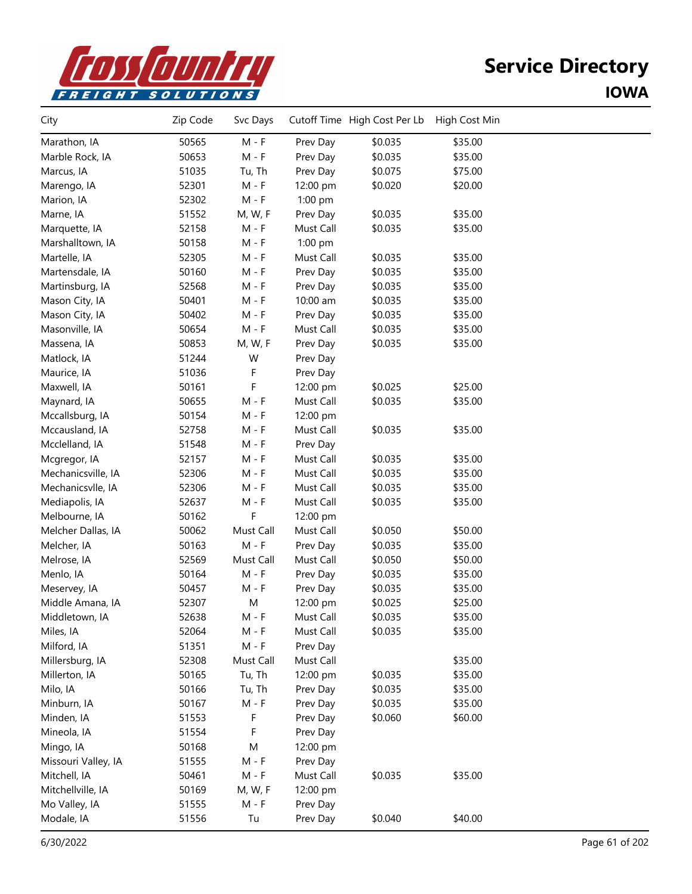

| City                | Zip Code | Svc Days  |           | Cutoff Time High Cost Per Lb | High Cost Min |  |
|---------------------|----------|-----------|-----------|------------------------------|---------------|--|
| Marathon, IA        | 50565    | $M - F$   | Prev Day  | \$0.035                      | \$35.00       |  |
| Marble Rock, IA     | 50653    | $M - F$   | Prev Day  | \$0.035                      | \$35.00       |  |
| Marcus, IA          | 51035    | Tu, Th    | Prev Day  | \$0.075                      | \$75.00       |  |
| Marengo, IA         | 52301    | M - F     | 12:00 pm  | \$0.020                      | \$20.00       |  |
| Marion, IA          | 52302    | $M - F$   | 1:00 pm   |                              |               |  |
| Marne, IA           | 51552    | M, W, F   | Prev Day  | \$0.035                      | \$35.00       |  |
| Marquette, IA       | 52158    | $M - F$   | Must Call | \$0.035                      | \$35.00       |  |
| Marshalltown, IA    | 50158    | $M - F$   | 1:00 pm   |                              |               |  |
| Martelle, IA        | 52305    | $M - F$   | Must Call | \$0.035                      | \$35.00       |  |
| Martensdale, IA     | 50160    | M - F     | Prev Day  | \$0.035                      | \$35.00       |  |
| Martinsburg, IA     | 52568    | $M - F$   | Prev Day  | \$0.035                      | \$35.00       |  |
| Mason City, IA      | 50401    | $M - F$   | 10:00 am  | \$0.035                      | \$35.00       |  |
| Mason City, IA      | 50402    | $M - F$   | Prev Day  | \$0.035                      | \$35.00       |  |
| Masonville, IA      | 50654    | $M - F$   | Must Call | \$0.035                      | \$35.00       |  |
| Massena, IA         | 50853    | M, W, F   | Prev Day  | \$0.035                      | \$35.00       |  |
| Matlock, IA         | 51244    | W         | Prev Day  |                              |               |  |
| Maurice, IA         | 51036    | F         | Prev Day  |                              |               |  |
| Maxwell, IA         | 50161    | F         | 12:00 pm  | \$0.025                      | \$25.00       |  |
| Maynard, IA         | 50655    | $M - F$   | Must Call | \$0.035                      | \$35.00       |  |
| Mccallsburg, IA     | 50154    | M - F     | 12:00 pm  |                              |               |  |
| Mccausland, IA      | 52758    | $M - F$   | Must Call | \$0.035                      | \$35.00       |  |
| Mcclelland, IA      | 51548    | $M - F$   | Prev Day  |                              |               |  |
| Mcgregor, IA        | 52157    | $M - F$   | Must Call | \$0.035                      | \$35.00       |  |
| Mechanicsville, IA  | 52306    | $M - F$   | Must Call | \$0.035                      | \$35.00       |  |
| Mechanicsvlle, IA   | 52306    | $M - F$   | Must Call | \$0.035                      | \$35.00       |  |
| Mediapolis, IA      | 52637    | $M - F$   | Must Call | \$0.035                      | \$35.00       |  |
| Melbourne, IA       | 50162    | F         | 12:00 pm  |                              |               |  |
| Melcher Dallas, IA  | 50062    | Must Call | Must Call | \$0.050                      | \$50.00       |  |
| Melcher, IA         | 50163    | $M - F$   | Prev Day  | \$0.035                      | \$35.00       |  |
| Melrose, IA         | 52569    | Must Call | Must Call | \$0.050                      | \$50.00       |  |
| Menlo, IA           | 50164    | $M - F$   | Prev Day  | \$0.035                      | \$35.00       |  |
| Meservey, IA        | 50457    | M - F     | Prev Day  | \$0.035                      | \$35.00       |  |
| Middle Amana, IA    | 52307    | M         | 12:00 pm  | \$0.025                      | \$25.00       |  |
| Middletown, IA      | 52638    | M - F     | Must Call | \$0.035                      | \$35.00       |  |
| Miles, IA           | 52064    | M - F     | Must Call | \$0.035                      | \$35.00       |  |
| Milford, IA         | 51351    | $M - F$   | Prev Day  |                              |               |  |
| Millersburg, IA     | 52308    | Must Call | Must Call |                              | \$35.00       |  |
| Millerton, IA       | 50165    | Tu, Th    | 12:00 pm  | \$0.035                      | \$35.00       |  |
| Milo, IA            | 50166    | Tu, Th    | Prev Day  | \$0.035                      | \$35.00       |  |
| Minburn, IA         | 50167    | $M - F$   | Prev Day  | \$0.035                      | \$35.00       |  |
| Minden, IA          | 51553    | F         | Prev Day  | \$0.060                      | \$60.00       |  |
| Mineola, IA         | 51554    | F         | Prev Day  |                              |               |  |
| Mingo, IA           | 50168    | M         | 12:00 pm  |                              |               |  |
| Missouri Valley, IA | 51555    | $M - F$   | Prev Day  |                              |               |  |
| Mitchell, IA        | 50461    | $M - F$   | Must Call | \$0.035                      | \$35.00       |  |
| Mitchellville, IA   | 50169    | M, W, F   | 12:00 pm  |                              |               |  |
| Mo Valley, IA       | 51555    | M - F     | Prev Day  |                              |               |  |
| Modale, IA          | 51556    | Tu        | Prev Day  | \$0.040                      | \$40.00       |  |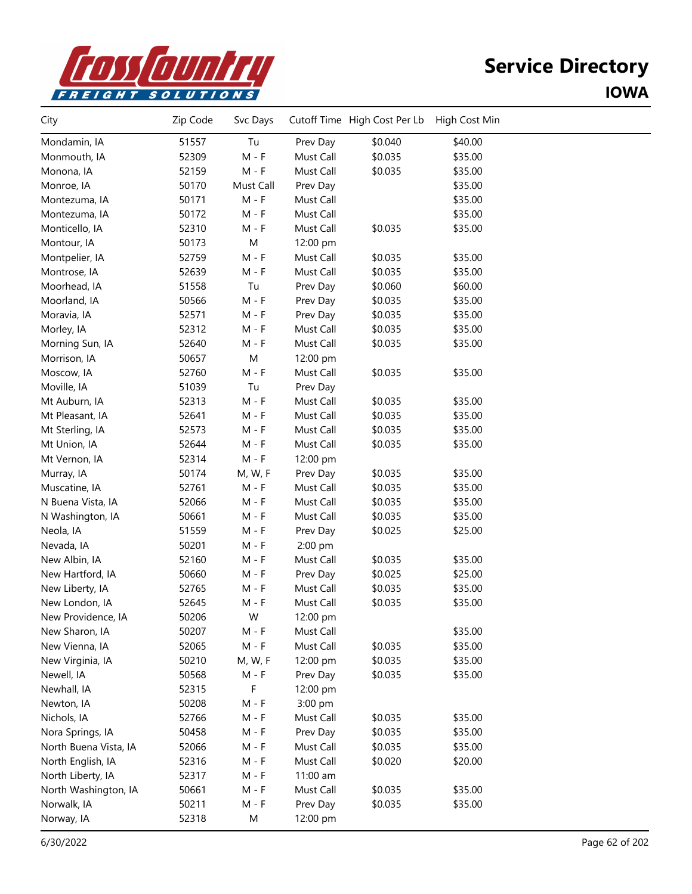

| City                  | Zip Code | Svc Days  |           | Cutoff Time High Cost Per Lb | High Cost Min |  |
|-----------------------|----------|-----------|-----------|------------------------------|---------------|--|
| Mondamin, IA          | 51557    | Tu        | Prev Day  | \$0.040                      | \$40.00       |  |
| Monmouth, IA          | 52309    | $M - F$   | Must Call | \$0.035                      | \$35.00       |  |
| Monona, IA            | 52159    | $M - F$   | Must Call | \$0.035                      | \$35.00       |  |
| Monroe, IA            | 50170    | Must Call | Prev Day  |                              | \$35.00       |  |
| Montezuma, IA         | 50171    | $M - F$   | Must Call |                              | \$35.00       |  |
| Montezuma, IA         | 50172    | $M - F$   | Must Call |                              | \$35.00       |  |
| Monticello, IA        | 52310    | $M - F$   | Must Call | \$0.035                      | \$35.00       |  |
| Montour, IA           | 50173    | ${\sf M}$ | 12:00 pm  |                              |               |  |
| Montpelier, IA        | 52759    | $M - F$   | Must Call | \$0.035                      | \$35.00       |  |
| Montrose, IA          | 52639    | $M - F$   | Must Call | \$0.035                      | \$35.00       |  |
| Moorhead, IA          | 51558    | Tu        | Prev Day  | \$0.060                      | \$60.00       |  |
| Moorland, IA          | 50566    | $M - F$   | Prev Day  | \$0.035                      | \$35.00       |  |
| Moravia, IA           | 52571    | $M - F$   | Prev Day  | \$0.035                      | \$35.00       |  |
| Morley, IA            | 52312    | $M - F$   | Must Call | \$0.035                      | \$35.00       |  |
| Morning Sun, IA       | 52640    | $M - F$   | Must Call | \$0.035                      | \$35.00       |  |
| Morrison, IA          | 50657    | M         | 12:00 pm  |                              |               |  |
| Moscow, IA            | 52760    | $M - F$   | Must Call | \$0.035                      | \$35.00       |  |
| Moville, IA           | 51039    | Tu        | Prev Day  |                              |               |  |
| Mt Auburn, IA         | 52313    | $M - F$   | Must Call | \$0.035                      | \$35.00       |  |
| Mt Pleasant, IA       | 52641    | $M - F$   | Must Call | \$0.035                      | \$35.00       |  |
| Mt Sterling, IA       | 52573    | $M - F$   | Must Call | \$0.035                      | \$35.00       |  |
| Mt Union, IA          | 52644    | $M - F$   | Must Call | \$0.035                      | \$35.00       |  |
| Mt Vernon, IA         | 52314    | $M - F$   | 12:00 pm  |                              |               |  |
| Murray, IA            | 50174    | M, W, F   | Prev Day  | \$0.035                      | \$35.00       |  |
| Muscatine, IA         | 52761    | $M - F$   | Must Call | \$0.035                      | \$35.00       |  |
| N Buena Vista, IA     | 52066    | $M - F$   | Must Call | \$0.035                      | \$35.00       |  |
| N Washington, IA      | 50661    | $M - F$   | Must Call | \$0.035                      | \$35.00       |  |
| Neola, IA             | 51559    | $M - F$   | Prev Day  | \$0.025                      | \$25.00       |  |
| Nevada, IA            | 50201    | $M - F$   | 2:00 pm   |                              |               |  |
| New Albin, IA         | 52160    | $M - F$   | Must Call | \$0.035                      | \$35.00       |  |
| New Hartford, IA      | 50660    | $M - F$   | Prev Day  | \$0.025                      | \$25.00       |  |
| New Liberty, IA       | 52765    | $M - F$   | Must Call | \$0.035                      | \$35.00       |  |
| New London, IA        | 52645    | $M - F$   | Must Call | \$0.035                      | \$35.00       |  |
| New Providence, IA    | 50206    | W         | 12:00 pm  |                              |               |  |
| New Sharon, IA        | 50207    | $M - F$   | Must Call |                              | \$35.00       |  |
| New Vienna, IA        | 52065    | $M - F$   | Must Call | \$0.035                      | \$35.00       |  |
| New Virginia, IA      | 50210    | M, W, F   | 12:00 pm  | \$0.035                      | \$35.00       |  |
| Newell, IA            | 50568    | $M - F$   | Prev Day  | \$0.035                      | \$35.00       |  |
| Newhall, IA           | 52315    | F         | 12:00 pm  |                              |               |  |
| Newton, IA            | 50208    | $M - F$   | 3:00 pm   |                              |               |  |
| Nichols, IA           | 52766    | $M - F$   | Must Call | \$0.035                      | \$35.00       |  |
| Nora Springs, IA      | 50458    | $M - F$   | Prev Day  | \$0.035                      | \$35.00       |  |
| North Buena Vista, IA | 52066    | $M - F$   | Must Call | \$0.035                      | \$35.00       |  |
| North English, IA     | 52316    | $M - F$   | Must Call | \$0.020                      | \$20.00       |  |
| North Liberty, IA     | 52317    | $M - F$   | 11:00 am  |                              |               |  |
| North Washington, IA  | 50661    | $M - F$   | Must Call | \$0.035                      | \$35.00       |  |
| Norwalk, IA           | 50211    | $M - F$   | Prev Day  | \$0.035                      | \$35.00       |  |
| Norway, IA            | 52318    | M         | 12:00 pm  |                              |               |  |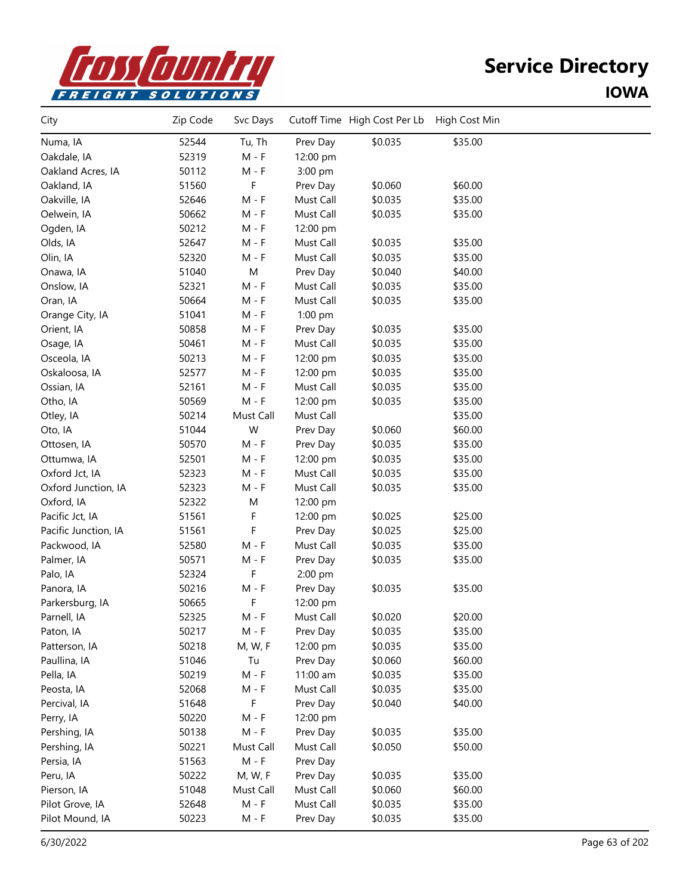

| City                 | Zip Code | Svc Days  |           | Cutoff Time High Cost Per Lb | High Cost Min |  |
|----------------------|----------|-----------|-----------|------------------------------|---------------|--|
| Numa, IA             | 52544    | Tu, Th    | Prev Day  | \$0.035                      | \$35.00       |  |
| Oakdale, IA          | 52319    | $M - F$   | 12:00 pm  |                              |               |  |
| Oakland Acres, IA    | 50112    | $M - F$   | 3:00 pm   |                              |               |  |
| Oakland, IA          | 51560    | F         | Prev Day  | \$0.060                      | \$60.00       |  |
| Oakville, IA         | 52646    | $M - F$   | Must Call | \$0.035                      | \$35.00       |  |
| Oelwein, IA          | 50662    | $M - F$   | Must Call | \$0.035                      | \$35.00       |  |
| Ogden, IA            | 50212    | $M - F$   | 12:00 pm  |                              |               |  |
| Olds, IA             | 52647    | $M - F$   | Must Call | \$0.035                      | \$35.00       |  |
| Olin, IA             | 52320    | $M - F$   | Must Call | \$0.035                      | \$35.00       |  |
| Onawa, IA            | 51040    | M         | Prev Day  | \$0.040                      | \$40.00       |  |
| Onslow, IA           | 52321    | $M - F$   | Must Call | \$0.035                      | \$35.00       |  |
| Oran, IA             | 50664    | $M - F$   | Must Call | \$0.035                      | \$35.00       |  |
| Orange City, IA      | 51041    | $M - F$   | 1:00 pm   |                              |               |  |
| Orient, IA           | 50858    | $M - F$   | Prev Day  | \$0.035                      | \$35.00       |  |
| Osage, IA            | 50461    | $M - F$   | Must Call | \$0.035                      | \$35.00       |  |
| Osceola, IA          | 50213    | $M - F$   | 12:00 pm  | \$0.035                      | \$35.00       |  |
| Oskaloosa, IA        | 52577    | $M - F$   | 12:00 pm  | \$0.035                      | \$35.00       |  |
| Ossian, IA           | 52161    | $M - F$   | Must Call | \$0.035                      | \$35.00       |  |
| Otho, IA             | 50569    | $M - F$   | 12:00 pm  | \$0.035                      | \$35.00       |  |
| Otley, IA            | 50214    | Must Call | Must Call |                              | \$35.00       |  |
| Oto, IA              | 51044    | W         | Prev Day  | \$0.060                      | \$60.00       |  |
| Ottosen, IA          | 50570    | $M - F$   | Prev Day  | \$0.035                      | \$35.00       |  |
| Ottumwa, IA          | 52501    | $M - F$   | 12:00 pm  | \$0.035                      | \$35.00       |  |
| Oxford Jct, IA       | 52323    | $M - F$   | Must Call | \$0.035                      | \$35.00       |  |
| Oxford Junction, IA  | 52323    | $M - F$   | Must Call | \$0.035                      | \$35.00       |  |
| Oxford, IA           | 52322    | M         | 12:00 pm  |                              |               |  |
| Pacific Jct, IA      | 51561    | F         | 12:00 pm  | \$0.025                      | \$25.00       |  |
| Pacific Junction, IA | 51561    | F         | Prev Day  | \$0.025                      | \$25.00       |  |
| Packwood, IA         | 52580    | $M - F$   | Must Call | \$0.035                      | \$35.00       |  |
| Palmer, IA           | 50571    | $M - F$   | Prev Day  | \$0.035                      | \$35.00       |  |
| Palo, IA             | 52324    | F         | 2:00 pm   |                              |               |  |
| Panora, IA           | 50216    | $M - F$   | Prev Day  | \$0.035                      | \$35.00       |  |
| Parkersburg, IA      | 50665    | F         | 12:00 pm  |                              |               |  |
| Parnell, IA          | 52325    | M - F     | Must Call | \$0.020                      | \$20.00       |  |
| Paton, IA            | 50217    | M - F     | Prev Day  | \$0.035                      | \$35.00       |  |
| Patterson, IA        | 50218    | M, W, F   | 12:00 pm  | \$0.035                      | \$35.00       |  |
| Paullina, IA         | 51046    | Tu        | Prev Day  | \$0.060                      | \$60.00       |  |
| Pella, IA            | 50219    | $M - F$   | 11:00 am  | \$0.035                      | \$35.00       |  |
| Peosta, IA           | 52068    | $M - F$   | Must Call | \$0.035                      | \$35.00       |  |
| Percival, IA         | 51648    | F         | Prev Day  | \$0.040                      | \$40.00       |  |
| Perry, IA            | 50220    | $M - F$   | 12:00 pm  |                              |               |  |
| Pershing, IA         | 50138    | $M - F$   | Prev Day  | \$0.035                      | \$35.00       |  |
| Pershing, IA         | 50221    | Must Call | Must Call | \$0.050                      | \$50.00       |  |
| Persia, IA           | 51563    | $M - F$   | Prev Day  |                              |               |  |
| Peru, IA             | 50222    | M, W, F   | Prev Day  | \$0.035                      | \$35.00       |  |
| Pierson, IA          | 51048    | Must Call | Must Call | \$0.060                      | \$60.00       |  |
| Pilot Grove, IA      | 52648    | $M - F$   | Must Call | \$0.035                      | \$35.00       |  |
| Pilot Mound, IA      | 50223    | $M - F$   | Prev Day  | \$0.035                      | \$35.00       |  |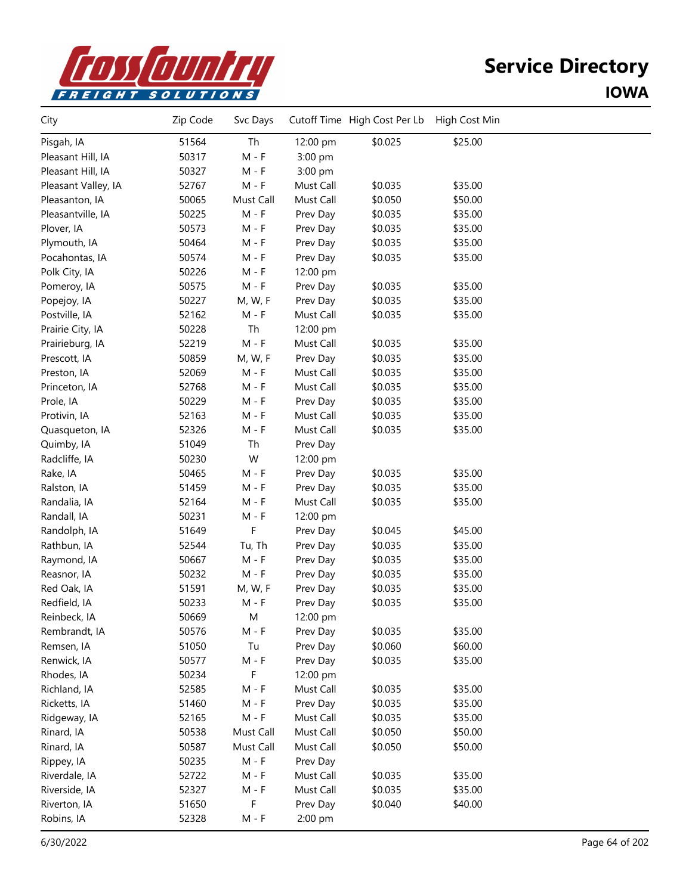

| City                | Zip Code | Svc Days                    |           | Cutoff Time High Cost Per Lb | High Cost Min |  |
|---------------------|----------|-----------------------------|-----------|------------------------------|---------------|--|
| Pisgah, IA          | 51564    | Th                          | 12:00 pm  | \$0.025                      | \$25.00       |  |
| Pleasant Hill, IA   | 50317    | $M - F$                     | 3:00 pm   |                              |               |  |
| Pleasant Hill, IA   | 50327    | $M - F$                     | 3:00 pm   |                              |               |  |
| Pleasant Valley, IA | 52767    | $M - F$                     | Must Call | \$0.035                      | \$35.00       |  |
| Pleasanton, IA      | 50065    | Must Call                   | Must Call | \$0.050                      | \$50.00       |  |
| Pleasantville, IA   | 50225    | $M - F$                     | Prev Day  | \$0.035                      | \$35.00       |  |
| Plover, IA          | 50573    | $M - F$                     | Prev Day  | \$0.035                      | \$35.00       |  |
| Plymouth, IA        | 50464    | $M - F$                     | Prev Day  | \$0.035                      | \$35.00       |  |
| Pocahontas, IA      | 50574    | $M - F$                     | Prev Day  | \$0.035                      | \$35.00       |  |
| Polk City, IA       | 50226    | $M - F$                     | 12:00 pm  |                              |               |  |
| Pomeroy, IA         | 50575    | $M - F$                     | Prev Day  | \$0.035                      | \$35.00       |  |
| Popejoy, IA         | 50227    | M, W, F                     | Prev Day  | \$0.035                      | \$35.00       |  |
| Postville, IA       | 52162    | $M - F$                     | Must Call | \$0.035                      | \$35.00       |  |
| Prairie City, IA    | 50228    | Th                          | 12:00 pm  |                              |               |  |
| Prairieburg, IA     | 52219    | $M - F$                     | Must Call | \$0.035                      | \$35.00       |  |
| Prescott, IA        | 50859    | M, W, F                     | Prev Day  | \$0.035                      | \$35.00       |  |
| Preston, IA         | 52069    | $M - F$                     | Must Call | \$0.035                      | \$35.00       |  |
| Princeton, IA       | 52768    | $M - F$                     | Must Call | \$0.035                      | \$35.00       |  |
| Prole, IA           | 50229    | $M - F$                     | Prev Day  | \$0.035                      | \$35.00       |  |
| Protivin, IA        | 52163    | $M - F$                     | Must Call | \$0.035                      | \$35.00       |  |
| Quasqueton, IA      | 52326    | $M - F$                     | Must Call | \$0.035                      | \$35.00       |  |
| Quimby, IA          | 51049    | Th                          | Prev Day  |                              |               |  |
| Radcliffe, IA       | 50230    | W                           | 12:00 pm  |                              |               |  |
| Rake, IA            | 50465    | $M - F$                     | Prev Day  | \$0.035                      | \$35.00       |  |
| Ralston, IA         | 51459    | $M - F$                     | Prev Day  | \$0.035                      | \$35.00       |  |
| Randalia, IA        | 52164    | $M - F$                     | Must Call | \$0.035                      | \$35.00       |  |
| Randall, IA         | 50231    | $M - F$                     | 12:00 pm  |                              |               |  |
| Randolph, IA        | 51649    | F                           | Prev Day  | \$0.045                      | \$45.00       |  |
| Rathbun, IA         | 52544    | Tu, Th                      | Prev Day  | \$0.035                      | \$35.00       |  |
| Raymond, IA         | 50667    | $M - F$                     | Prev Day  | \$0.035                      | \$35.00       |  |
| Reasnor, IA         | 50232    | $M - F$                     | Prev Day  | \$0.035                      | \$35.00       |  |
| Red Oak, IA         | 51591    | M, W, F                     | Prev Day  | \$0.035                      | \$35.00       |  |
| Redfield, IA        | 50233    | $M - F$                     | Prev Day  | \$0.035                      | \$35.00       |  |
| Reinbeck, IA        | 50669    | M                           | 12:00 pm  |                              |               |  |
| Rembrandt, IA       | 50576    | M - F                       | Prev Day  | \$0.035                      | \$35.00       |  |
| Remsen, IA          | 51050    | Tu                          | Prev Day  | \$0.060                      | \$60.00       |  |
| Renwick, IA         | 50577    | $M - F$                     | Prev Day  | \$0.035                      | \$35.00       |  |
| Rhodes, IA          | 50234    | F                           | 12:00 pm  |                              |               |  |
| Richland, IA        | 52585    | $M - F$                     | Must Call | \$0.035                      | \$35.00       |  |
| Ricketts, IA        | 51460    | $M - F$                     | Prev Day  | \$0.035                      | \$35.00       |  |
| Ridgeway, IA        | 52165    | $\mathsf{M}$ - $\mathsf{F}$ | Must Call | \$0.035                      | \$35.00       |  |
| Rinard, IA          | 50538    | Must Call                   | Must Call | \$0.050                      | \$50.00       |  |
| Rinard, IA          | 50587    | Must Call                   | Must Call | \$0.050                      | \$50.00       |  |
| Rippey, IA          | 50235    | $M - F$                     | Prev Day  |                              |               |  |
| Riverdale, IA       | 52722    | $M - F$                     | Must Call | \$0.035                      | \$35.00       |  |
| Riverside, IA       | 52327    | $M - F$                     | Must Call | \$0.035                      | \$35.00       |  |
| Riverton, IA        | 51650    | F                           | Prev Day  | \$0.040                      | \$40.00       |  |
| Robins, IA          | 52328    | $M - F$                     | 2:00 pm   |                              |               |  |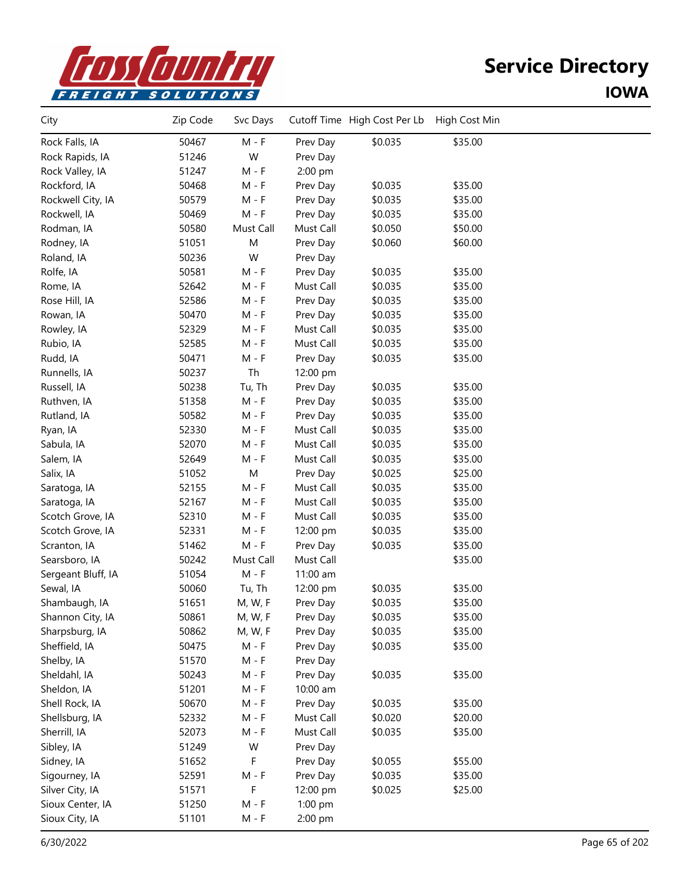

| City               | Zip Code | Svc Days                    |           | Cutoff Time High Cost Per Lb | High Cost Min |  |
|--------------------|----------|-----------------------------|-----------|------------------------------|---------------|--|
| Rock Falls, IA     | 50467    | $M - F$                     | Prev Day  | \$0.035                      | \$35.00       |  |
| Rock Rapids, IA    | 51246    | W                           | Prev Day  |                              |               |  |
| Rock Valley, IA    | 51247    | $M - F$                     | 2:00 pm   |                              |               |  |
| Rockford, IA       | 50468    | $M - F$                     | Prev Day  | \$0.035                      | \$35.00       |  |
| Rockwell City, IA  | 50579    | $M - F$                     | Prev Day  | \$0.035                      | \$35.00       |  |
| Rockwell, IA       | 50469    | $M - F$                     | Prev Day  | \$0.035                      | \$35.00       |  |
| Rodman, IA         | 50580    | Must Call                   | Must Call | \$0.050                      | \$50.00       |  |
| Rodney, IA         | 51051    | M                           | Prev Day  | \$0.060                      | \$60.00       |  |
| Roland, IA         | 50236    | W                           | Prev Day  |                              |               |  |
| Rolfe, IA          | 50581    | $M - F$                     | Prev Day  | \$0.035                      | \$35.00       |  |
| Rome, IA           | 52642    | $M - F$                     | Must Call | \$0.035                      | \$35.00       |  |
| Rose Hill, IA      | 52586    | $M - F$                     | Prev Day  | \$0.035                      | \$35.00       |  |
| Rowan, IA          | 50470    | $M - F$                     | Prev Day  | \$0.035                      | \$35.00       |  |
| Rowley, IA         | 52329    | $M - F$                     | Must Call | \$0.035                      | \$35.00       |  |
| Rubio, IA          | 52585    | $\mathsf{M}$ - $\mathsf{F}$ | Must Call | \$0.035                      | \$35.00       |  |
| Rudd, IA           | 50471    | $M - F$                     | Prev Day  | \$0.035                      | \$35.00       |  |
| Runnells, IA       | 50237    | Th                          | 12:00 pm  |                              |               |  |
| Russell, IA        | 50238    | Tu, Th                      | Prev Day  | \$0.035                      | \$35.00       |  |
| Ruthven, IA        | 51358    | $M - F$                     | Prev Day  | \$0.035                      | \$35.00       |  |
| Rutland, IA        | 50582    | $M - F$                     | Prev Day  | \$0.035                      | \$35.00       |  |
| Ryan, IA           | 52330    | $M - F$                     | Must Call | \$0.035                      | \$35.00       |  |
| Sabula, IA         | 52070    | $M - F$                     | Must Call | \$0.035                      | \$35.00       |  |
| Salem, IA          | 52649    | $M - F$                     | Must Call | \$0.035                      | \$35.00       |  |
| Salix, IA          | 51052    | ${\sf M}$                   | Prev Day  | \$0.025                      | \$25.00       |  |
| Saratoga, IA       | 52155    | $M - F$                     | Must Call | \$0.035                      | \$35.00       |  |
| Saratoga, IA       | 52167    | $M - F$                     | Must Call | \$0.035                      | \$35.00       |  |
| Scotch Grove, IA   | 52310    | $M - F$                     | Must Call | \$0.035                      | \$35.00       |  |
| Scotch Grove, IA   | 52331    | $M - F$                     | 12:00 pm  | \$0.035                      | \$35.00       |  |
| Scranton, IA       | 51462    | $M - F$                     | Prev Day  | \$0.035                      | \$35.00       |  |
| Searsboro, IA      | 50242    | Must Call                   | Must Call |                              | \$35.00       |  |
| Sergeant Bluff, IA | 51054    | $\mathsf{M}$ - $\mathsf{F}$ | 11:00 am  |                              |               |  |
| Sewal, IA          | 50060    | Tu, Th                      | 12:00 pm  | \$0.035                      | \$35.00       |  |
| Shambaugh, IA      | 51651    | M, W, F                     | Prev Day  | \$0.035                      | \$35.00       |  |
| Shannon City, IA   | 50861    | M, W, F                     | Prev Day  | \$0.035                      | \$35.00       |  |
| Sharpsburg, IA     | 50862    | M, W, F                     | Prev Day  | \$0.035                      | \$35.00       |  |
| Sheffield, IA      | 50475    | $M - F$                     | Prev Day  | \$0.035                      | \$35.00       |  |
| Shelby, IA         | 51570    | $M - F$                     | Prev Day  |                              |               |  |
| Sheldahl, IA       | 50243    | $M - F$                     | Prev Day  | \$0.035                      | \$35.00       |  |
| Sheldon, IA        | 51201    | $M - F$                     | 10:00 am  |                              |               |  |
| Shell Rock, IA     | 50670    | $M - F$                     | Prev Day  | \$0.035                      | \$35.00       |  |
| Shellsburg, IA     | 52332    | $M - F$                     | Must Call | \$0.020                      | \$20.00       |  |
| Sherrill, IA       | 52073    | $M - F$                     | Must Call | \$0.035                      | \$35.00       |  |
| Sibley, IA         | 51249    | W                           | Prev Day  |                              |               |  |
| Sidney, IA         | 51652    | F                           | Prev Day  | \$0.055                      | \$55.00       |  |
| Sigourney, IA      | 52591    | M - F                       | Prev Day  | \$0.035                      | \$35.00       |  |
| Silver City, IA    | 51571    | F                           | 12:00 pm  | \$0.025                      | \$25.00       |  |
| Sioux Center, IA   | 51250    | $M - F$                     | 1:00 pm   |                              |               |  |
| Sioux City, IA     | 51101    | $M - F$                     | 2:00 pm   |                              |               |  |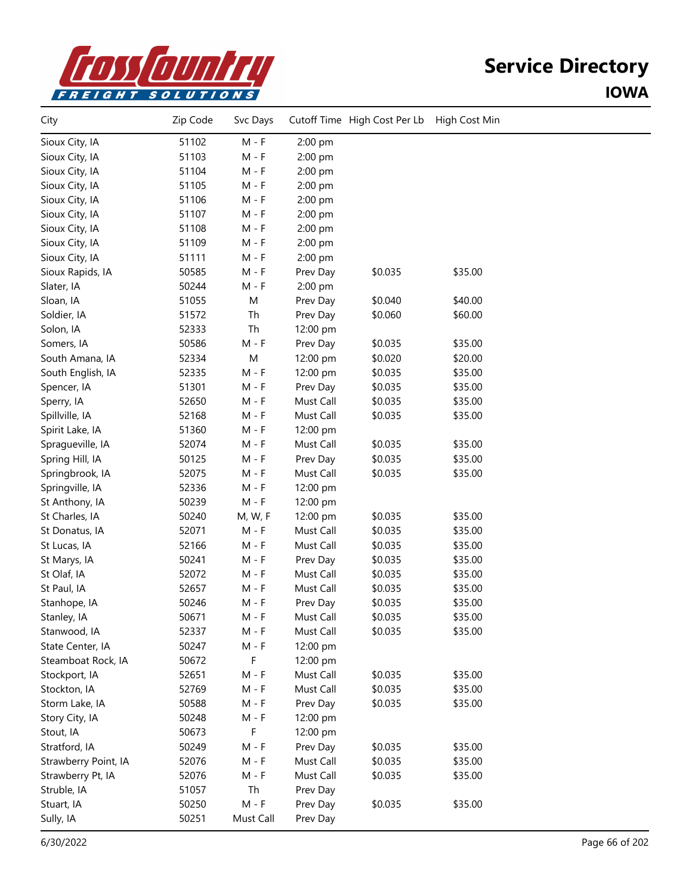

| City                 | Zip Code | Svc Days                    |           | Cutoff Time High Cost Per Lb | High Cost Min |  |
|----------------------|----------|-----------------------------|-----------|------------------------------|---------------|--|
| Sioux City, IA       | 51102    | $M - F$                     | 2:00 pm   |                              |               |  |
| Sioux City, IA       | 51103    | $M - F$                     | 2:00 pm   |                              |               |  |
| Sioux City, IA       | 51104    | $M - F$                     | 2:00 pm   |                              |               |  |
| Sioux City, IA       | 51105    | $M - F$                     | 2:00 pm   |                              |               |  |
| Sioux City, IA       | 51106    | $M - F$                     | 2:00 pm   |                              |               |  |
| Sioux City, IA       | 51107    | $M - F$                     | 2:00 pm   |                              |               |  |
| Sioux City, IA       | 51108    | $M - F$                     | 2:00 pm   |                              |               |  |
| Sioux City, IA       | 51109    | $M - F$                     | 2:00 pm   |                              |               |  |
| Sioux City, IA       | 51111    | $M - F$                     | 2:00 pm   |                              |               |  |
| Sioux Rapids, IA     | 50585    | $M - F$                     | Prev Day  | \$0.035                      | \$35.00       |  |
| Slater, IA           | 50244    | $M - F$                     | 2:00 pm   |                              |               |  |
| Sloan, IA            | 51055    | M                           | Prev Day  | \$0.040                      | \$40.00       |  |
| Soldier, IA          | 51572    | Th                          | Prev Day  | \$0.060                      | \$60.00       |  |
| Solon, IA            | 52333    | Th                          | 12:00 pm  |                              |               |  |
| Somers, IA           | 50586    | $M - F$                     | Prev Day  | \$0.035                      | \$35.00       |  |
| South Amana, IA      | 52334    | M                           | 12:00 pm  | \$0.020                      | \$20.00       |  |
| South English, IA    | 52335    | $M - F$                     | 12:00 pm  | \$0.035                      | \$35.00       |  |
| Spencer, IA          | 51301    | $M - F$                     | Prev Day  | \$0.035                      | \$35.00       |  |
| Sperry, IA           | 52650    | $M - F$                     | Must Call | \$0.035                      | \$35.00       |  |
| Spillville, IA       | 52168    | $M - F$                     | Must Call | \$0.035                      | \$35.00       |  |
| Spirit Lake, IA      | 51360    | $M - F$                     | 12:00 pm  |                              |               |  |
| Spragueville, IA     | 52074    | $M - F$                     | Must Call | \$0.035                      | \$35.00       |  |
| Spring Hill, IA      | 50125    | $M - F$                     | Prev Day  | \$0.035                      | \$35.00       |  |
| Springbrook, IA      | 52075    | $M - F$                     | Must Call | \$0.035                      | \$35.00       |  |
| Springville, IA      | 52336    | $M - F$                     | 12:00 pm  |                              |               |  |
| St Anthony, IA       | 50239    | $M - F$                     | 12:00 pm  |                              |               |  |
| St Charles, IA       | 50240    | M, W, F                     | 12:00 pm  | \$0.035                      | \$35.00       |  |
| St Donatus, IA       | 52071    | $M - F$                     | Must Call | \$0.035                      | \$35.00       |  |
| St Lucas, IA         | 52166    | $M - F$                     | Must Call | \$0.035                      | \$35.00       |  |
| St Marys, IA         | 50241    | $M - F$                     | Prev Day  | \$0.035                      | \$35.00       |  |
| St Olaf, IA          | 52072    | $M - F$                     | Must Call | \$0.035                      | \$35.00       |  |
| St Paul, IA          | 52657    | $M - F$                     | Must Call | \$0.035                      | \$35.00       |  |
| Stanhope, IA         | 50246    | $M - F$                     | Prev Day  | \$0.035                      | \$35.00       |  |
| Stanley, IA          | 50671    | $M - F$                     | Must Call | \$0.035                      | \$35.00       |  |
| Stanwood, IA         | 52337    | $M - F$                     | Must Call | \$0.035                      | \$35.00       |  |
| State Center, IA     | 50247    | $M - F$                     | 12:00 pm  |                              |               |  |
| Steamboat Rock, IA   | 50672    | F                           | 12:00 pm  |                              |               |  |
| Stockport, IA        | 52651    | $M - F$                     | Must Call | \$0.035                      | \$35.00       |  |
| Stockton, IA         | 52769    | $M - F$                     | Must Call | \$0.035                      | \$35.00       |  |
| Storm Lake, IA       | 50588    | $M - F$                     | Prev Day  | \$0.035                      | \$35.00       |  |
| Story City, IA       | 50248    | $M - F$                     | 12:00 pm  |                              |               |  |
| Stout, IA            | 50673    | F                           | 12:00 pm  |                              |               |  |
| Stratford, IA        | 50249    | $M - F$                     | Prev Day  | \$0.035                      | \$35.00       |  |
| Strawberry Point, IA | 52076    | $M - F$                     | Must Call | \$0.035                      | \$35.00       |  |
| Strawberry Pt, IA    | 52076    | $M - F$                     | Must Call | \$0.035                      | \$35.00       |  |
| Struble, IA          | 51057    | Th                          | Prev Day  |                              |               |  |
| Stuart, IA           | 50250    | $\mathsf{M}$ - $\mathsf{F}$ | Prev Day  | \$0.035                      | \$35.00       |  |
| Sully, IA            | 50251    | Must Call                   | Prev Day  |                              |               |  |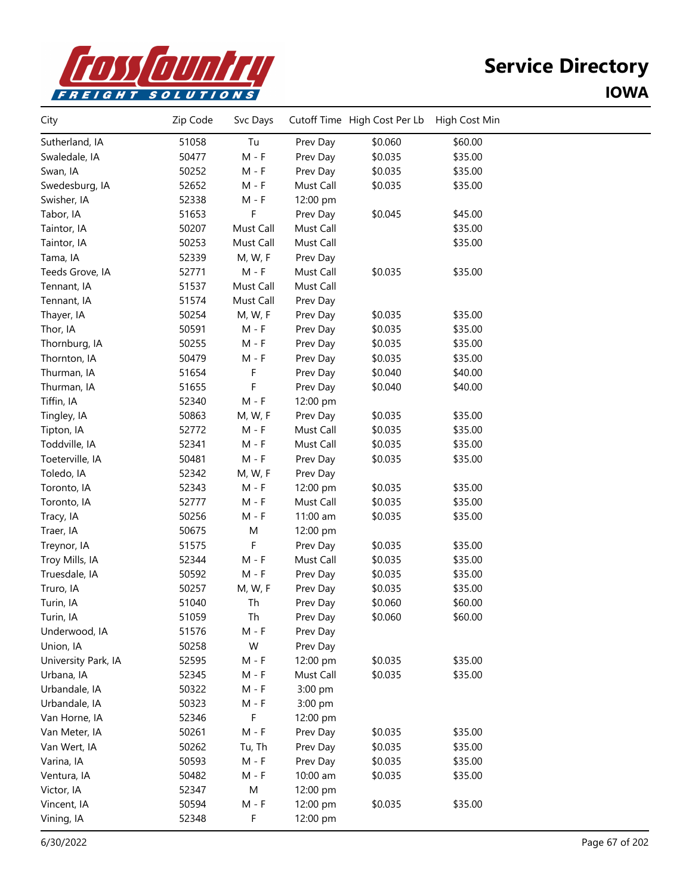

| City                | Zip Code | Svc Days                    |           | Cutoff Time High Cost Per Lb | High Cost Min |  |
|---------------------|----------|-----------------------------|-----------|------------------------------|---------------|--|
| Sutherland, IA      | 51058    | Tu                          | Prev Day  | \$0.060                      | \$60.00       |  |
| Swaledale, IA       | 50477    | $M - F$                     | Prev Day  | \$0.035                      | \$35.00       |  |
| Swan, IA            | 50252    | $M - F$                     | Prev Day  | \$0.035                      | \$35.00       |  |
| Swedesburg, IA      | 52652    | $M - F$                     | Must Call | \$0.035                      | \$35.00       |  |
| Swisher, IA         | 52338    | $M - F$                     | 12:00 pm  |                              |               |  |
| Tabor, IA           | 51653    | F                           | Prev Day  | \$0.045                      | \$45.00       |  |
| Taintor, IA         | 50207    | Must Call                   | Must Call |                              | \$35.00       |  |
| Taintor, IA         | 50253    | Must Call                   | Must Call |                              | \$35.00       |  |
| Tama, IA            | 52339    | M, W, F                     | Prev Day  |                              |               |  |
| Teeds Grove, IA     | 52771    | M - F                       | Must Call | \$0.035                      | \$35.00       |  |
| Tennant, IA         | 51537    | Must Call                   | Must Call |                              |               |  |
| Tennant, IA         | 51574    | Must Call                   | Prev Day  |                              |               |  |
| Thayer, IA          | 50254    | M, W, F                     | Prev Day  | \$0.035                      | \$35.00       |  |
| Thor, IA            | 50591    | $M - F$                     | Prev Day  | \$0.035                      | \$35.00       |  |
| Thornburg, IA       | 50255    | $M - F$                     | Prev Day  | \$0.035                      | \$35.00       |  |
| Thornton, IA        | 50479    | $M - F$                     | Prev Day  | \$0.035                      | \$35.00       |  |
| Thurman, IA         | 51654    | F                           | Prev Day  | \$0.040                      | \$40.00       |  |
| Thurman, IA         | 51655    | F                           | Prev Day  | \$0.040                      | \$40.00       |  |
| Tiffin, IA          | 52340    | $M - F$                     | 12:00 pm  |                              |               |  |
| Tingley, IA         | 50863    | M, W, F                     | Prev Day  | \$0.035                      | \$35.00       |  |
| Tipton, IA          | 52772    | $M - F$                     | Must Call | \$0.035                      | \$35.00       |  |
| Toddville, IA       | 52341    | $M - F$                     | Must Call | \$0.035                      | \$35.00       |  |
| Toeterville, IA     | 50481    | $M - F$                     | Prev Day  | \$0.035                      | \$35.00       |  |
| Toledo, IA          | 52342    | M, W, F                     | Prev Day  |                              |               |  |
| Toronto, IA         | 52343    | $M - F$                     | 12:00 pm  | \$0.035                      | \$35.00       |  |
| Toronto, IA         | 52777    | $M - F$                     | Must Call | \$0.035                      | \$35.00       |  |
| Tracy, IA           | 50256    | $M - F$                     | 11:00 am  | \$0.035                      | \$35.00       |  |
| Traer, IA           | 50675    | M                           | 12:00 pm  |                              |               |  |
| Treynor, IA         | 51575    | F                           | Prev Day  | \$0.035                      | \$35.00       |  |
| Troy Mills, IA      | 52344    | $M - F$                     | Must Call | \$0.035                      | \$35.00       |  |
| Truesdale, IA       | 50592    | $M - F$                     | Prev Day  | \$0.035                      | \$35.00       |  |
| Truro, IA           | 50257    | M, W, F                     | Prev Day  | \$0.035                      | \$35.00       |  |
| Turin, IA           | 51040    | Th                          | Prev Day  | \$0.060                      | \$60.00       |  |
| Turin, IA           | 51059    | Th                          | Prev Day  | \$0.060                      | \$60.00       |  |
| Underwood, IA       | 51576    | M - F                       | Prev Day  |                              |               |  |
| Union, IA           | 50258    | W                           | Prev Day  |                              |               |  |
| University Park, IA | 52595    | M - F                       | 12:00 pm  | \$0.035                      | \$35.00       |  |
| Urbana, IA          | 52345    | $M - F$                     | Must Call | \$0.035                      | \$35.00       |  |
| Urbandale, IA       | 50322    | $M - F$                     | 3:00 pm   |                              |               |  |
| Urbandale, IA       | 50323    | $\mathsf{M}$ - $\mathsf{F}$ | 3:00 pm   |                              |               |  |
| Van Horne, IA       | 52346    | F                           | 12:00 pm  |                              |               |  |
| Van Meter, IA       | 50261    | $M - F$                     | Prev Day  | \$0.035                      | \$35.00       |  |
| Van Wert, IA        | 50262    | Tu, Th                      | Prev Day  | \$0.035                      | \$35.00       |  |
| Varina, IA          | 50593    | $M - F$                     | Prev Day  | \$0.035                      | \$35.00       |  |
| Ventura, IA         | 50482    | $M - F$                     | 10:00 am  | \$0.035                      | \$35.00       |  |
| Victor, IA          | 52347    | ${\sf M}$                   | 12:00 pm  |                              |               |  |
| Vincent, IA         | 50594    | $M - F$                     | 12:00 pm  | \$0.035                      | \$35.00       |  |
| Vining, IA          | 52348    | F                           | 12:00 pm  |                              |               |  |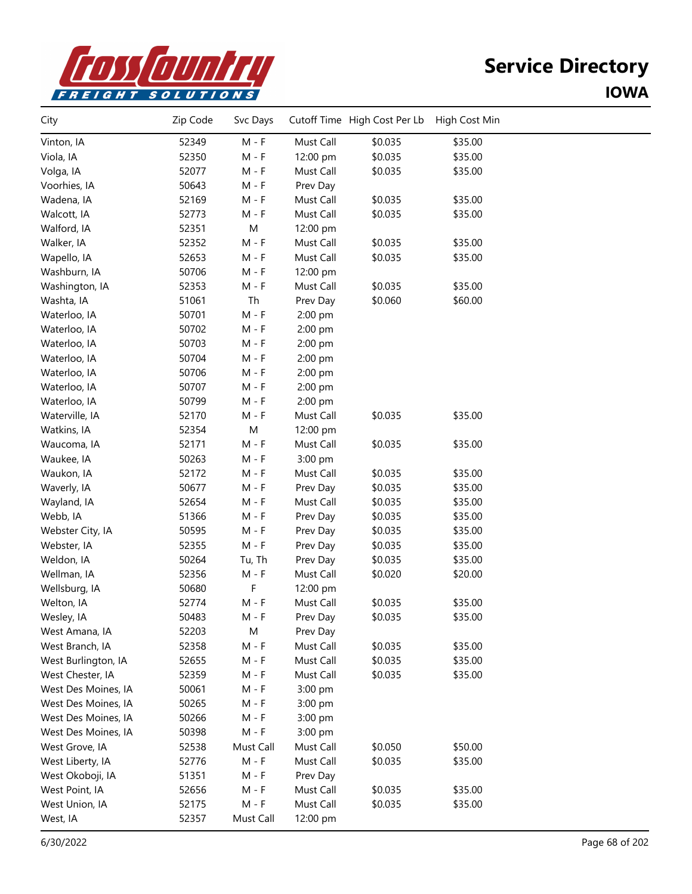

| City                | Zip Code | Svc Days  |           | Cutoff Time High Cost Per Lb | High Cost Min |  |
|---------------------|----------|-----------|-----------|------------------------------|---------------|--|
| Vinton, IA          | 52349    | $M - F$   | Must Call | \$0.035                      | \$35.00       |  |
| Viola, IA           | 52350    | $M - F$   | 12:00 pm  | \$0.035                      | \$35.00       |  |
| Volga, IA           | 52077    | $M - F$   | Must Call | \$0.035                      | \$35.00       |  |
| Voorhies, IA        | 50643    | $M - F$   | Prev Day  |                              |               |  |
| Wadena, IA          | 52169    | $M - F$   | Must Call | \$0.035                      | \$35.00       |  |
| Walcott, IA         | 52773    | $M - F$   | Must Call | \$0.035                      | \$35.00       |  |
| Walford, IA         | 52351    | ${\sf M}$ | 12:00 pm  |                              |               |  |
| Walker, IA          | 52352    | $M - F$   | Must Call | \$0.035                      | \$35.00       |  |
| Wapello, IA         | 52653    | $M - F$   | Must Call | \$0.035                      | \$35.00       |  |
| Washburn, IA        | 50706    | $M - F$   | 12:00 pm  |                              |               |  |
| Washington, IA      | 52353    | $M - F$   | Must Call | \$0.035                      | \$35.00       |  |
| Washta, IA          | 51061    | Th        | Prev Day  | \$0.060                      | \$60.00       |  |
| Waterloo, IA        | 50701    | $M - F$   | 2:00 pm   |                              |               |  |
| Waterloo, IA        | 50702    | $M - F$   | 2:00 pm   |                              |               |  |
| Waterloo, IA        | 50703    | $M - F$   | 2:00 pm   |                              |               |  |
| Waterloo, IA        | 50704    | $M - F$   | 2:00 pm   |                              |               |  |
| Waterloo, IA        | 50706    | M - F     | 2:00 pm   |                              |               |  |
| Waterloo, IA        | 50707    | $M - F$   | 2:00 pm   |                              |               |  |
| Waterloo, IA        | 50799    | $M - F$   | 2:00 pm   |                              |               |  |
| Waterville, IA      | 52170    | $M - F$   | Must Call | \$0.035                      | \$35.00       |  |
| Watkins, IA         | 52354    | M         | 12:00 pm  |                              |               |  |
| Waucoma, IA         | 52171    | $M - F$   | Must Call | \$0.035                      | \$35.00       |  |
| Waukee, IA          | 50263    | $M - F$   | 3:00 pm   |                              |               |  |
| Waukon, IA          | 52172    | $M - F$   | Must Call | \$0.035                      | \$35.00       |  |
| Waverly, IA         | 50677    | M - F     | Prev Day  | \$0.035                      | \$35.00       |  |
| Wayland, IA         | 52654    | $M - F$   | Must Call | \$0.035                      | \$35.00       |  |
| Webb, IA            | 51366    | $M - F$   | Prev Day  | \$0.035                      | \$35.00       |  |
| Webster City, IA    | 50595    | $M - F$   | Prev Day  | \$0.035                      | \$35.00       |  |
| Webster, IA         | 52355    | $M - F$   | Prev Day  | \$0.035                      | \$35.00       |  |
| Weldon, IA          | 50264    | Tu, Th    | Prev Day  | \$0.035                      | \$35.00       |  |
| Wellman, IA         | 52356    | $M - F$   | Must Call | \$0.020                      | \$20.00       |  |
| Wellsburg, IA       | 50680    | F         | 12:00 pm  |                              |               |  |
| Welton, IA          | 52774    | $M - F$   | Must Call | \$0.035                      | \$35.00       |  |
| Wesley, IA          | 50483    | M - F     | Prev Day  | \$0.035                      | \$35.00       |  |
| West Amana, IA      | 52203    | M         | Prev Day  |                              |               |  |
| West Branch, IA     | 52358    | $M - F$   | Must Call | \$0.035                      | \$35.00       |  |
| West Burlington, IA | 52655    | M - F     | Must Call | \$0.035                      | \$35.00       |  |
| West Chester, IA    | 52359    | $M - F$   | Must Call | \$0.035                      | \$35.00       |  |
| West Des Moines, IA | 50061    | $M - F$   | 3:00 pm   |                              |               |  |
| West Des Moines, IA | 50265    | $M - F$   | 3:00 pm   |                              |               |  |
| West Des Moines, IA | 50266    | M - F     | 3:00 pm   |                              |               |  |
| West Des Moines, IA | 50398    | M - F     | 3:00 pm   |                              |               |  |
| West Grove, IA      | 52538    | Must Call | Must Call | \$0.050                      | \$50.00       |  |
| West Liberty, IA    | 52776    | $M - F$   | Must Call | \$0.035                      | \$35.00       |  |
| West Okoboji, IA    | 51351    | $M - F$   | Prev Day  |                              |               |  |
| West Point, IA      | 52656    | $M - F$   | Must Call | \$0.035                      | \$35.00       |  |
| West Union, IA      | 52175    | $M - F$   | Must Call | \$0.035                      | \$35.00       |  |
| West, IA            | 52357    | Must Call | 12:00 pm  |                              |               |  |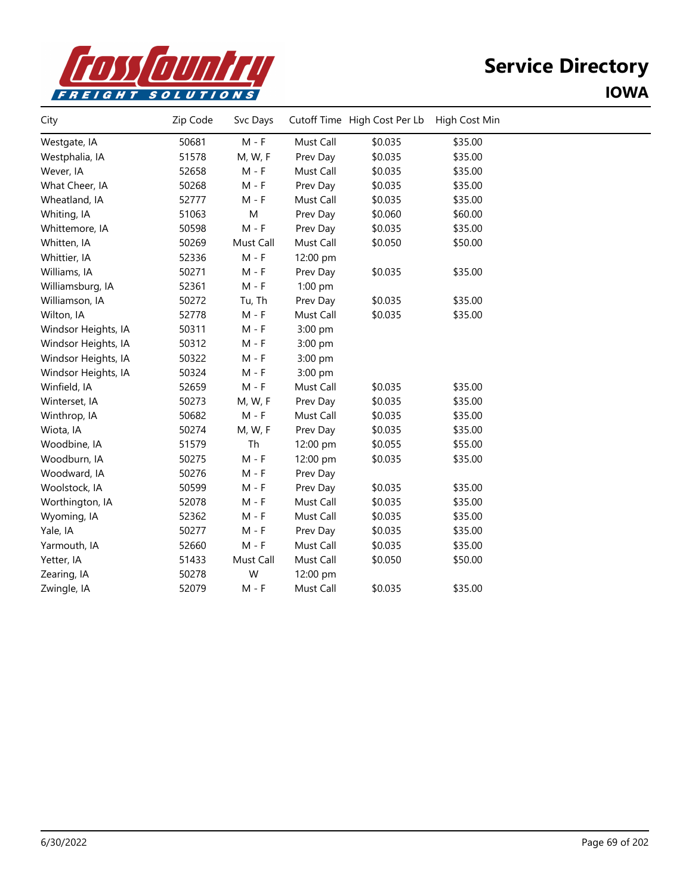

| City                | Zip Code | Svc Days  |           | Cutoff Time High Cost Per Lb | High Cost Min |  |
|---------------------|----------|-----------|-----------|------------------------------|---------------|--|
| Westgate, IA        | 50681    | $M - F$   | Must Call | \$0.035                      | \$35.00       |  |
| Westphalia, IA      | 51578    | M, W, F   | Prev Day  | \$0.035                      | \$35.00       |  |
| Wever, IA           | 52658    | M - F     | Must Call | \$0.035                      | \$35.00       |  |
| What Cheer, IA      | 50268    | $M - F$   | Prev Day  | \$0.035                      | \$35.00       |  |
| Wheatland, IA       | 52777    | $M - F$   | Must Call | \$0.035                      | \$35.00       |  |
| Whiting, IA         | 51063    | M         | Prev Day  | \$0.060                      | \$60.00       |  |
| Whittemore, IA      | 50598    | $M - F$   | Prev Day  | \$0.035                      | \$35.00       |  |
| Whitten, IA         | 50269    | Must Call | Must Call | \$0.050                      | \$50.00       |  |
| Whittier, IA        | 52336    | $M - F$   | 12:00 pm  |                              |               |  |
| Williams, IA        | 50271    | M - F     | Prev Day  | \$0.035                      | \$35.00       |  |
| Williamsburg, IA    | 52361    | $M - F$   | 1:00 pm   |                              |               |  |
| Williamson, IA      | 50272    | Tu, Th    | Prev Day  | \$0.035                      | \$35.00       |  |
| Wilton, IA          | 52778    | $M - F$   | Must Call | \$0.035                      | \$35.00       |  |
| Windsor Heights, IA | 50311    | $M - F$   | 3:00 pm   |                              |               |  |
| Windsor Heights, IA | 50312    | M - F     | 3:00 pm   |                              |               |  |
| Windsor Heights, IA | 50322    | $M - F$   | 3:00 pm   |                              |               |  |
| Windsor Heights, IA | 50324    | $M - F$   | 3:00 pm   |                              |               |  |
| Winfield, IA        | 52659    | $M - F$   | Must Call | \$0.035                      | \$35.00       |  |
| Winterset, IA       | 50273    | M, W, F   | Prev Day  | \$0.035                      | \$35.00       |  |
| Winthrop, IA        | 50682    | $M - F$   | Must Call | \$0.035                      | \$35.00       |  |
| Wiota, IA           | 50274    | M, W, F   | Prev Day  | \$0.035                      | \$35.00       |  |
| Woodbine, IA        | 51579    | Th        | 12:00 pm  | \$0.055                      | \$55.00       |  |
| Woodburn, IA        | 50275    | $M - F$   | 12:00 pm  | \$0.035                      | \$35.00       |  |
| Woodward, IA        | 50276    | M - F     | Prev Day  |                              |               |  |
| Woolstock, IA       | 50599    | M - F     | Prev Day  | \$0.035                      | \$35.00       |  |
| Worthington, IA     | 52078    | $M - F$   | Must Call | \$0.035                      | \$35.00       |  |
| Wyoming, IA         | 52362    | $M - F$   | Must Call | \$0.035                      | \$35.00       |  |
| Yale, IA            | 50277    | M - F     | Prev Day  | \$0.035                      | \$35.00       |  |
| Yarmouth, IA        | 52660    | $M - F$   | Must Call | \$0.035                      | \$35.00       |  |
| Yetter, IA          | 51433    | Must Call | Must Call | \$0.050                      | \$50.00       |  |
| Zearing, IA         | 50278    | W         | 12:00 pm  |                              |               |  |
| Zwingle, IA         | 52079    | $M - F$   | Must Call | \$0.035                      | \$35.00       |  |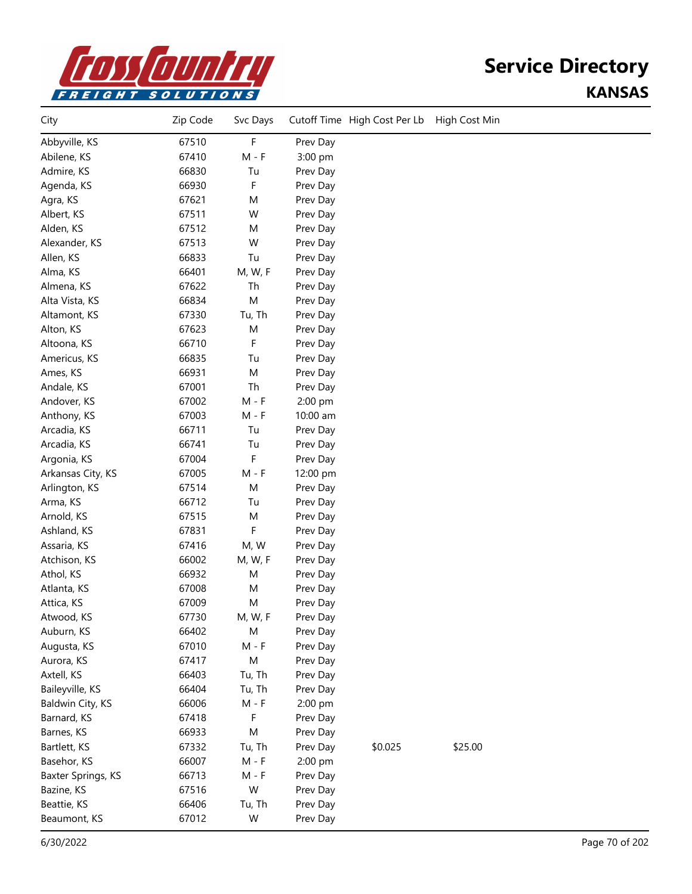

## **Service Directory KANSAS**

| City               | Zip Code | Svc Days  |          | Cutoff Time High Cost Per Lb | High Cost Min |  |
|--------------------|----------|-----------|----------|------------------------------|---------------|--|
| Abbyville, KS      | 67510    | F         | Prev Day |                              |               |  |
| Abilene, KS        | 67410    | $M - F$   | 3:00 pm  |                              |               |  |
| Admire, KS         | 66830    | Tu        | Prev Day |                              |               |  |
| Agenda, KS         | 66930    | F         | Prev Day |                              |               |  |
| Agra, KS           | 67621    | M         | Prev Day |                              |               |  |
| Albert, KS         | 67511    | W         | Prev Day |                              |               |  |
| Alden, KS          | 67512    | M         | Prev Day |                              |               |  |
| Alexander, KS      | 67513    | W         | Prev Day |                              |               |  |
| Allen, KS          | 66833    | Tu        | Prev Day |                              |               |  |
| Alma, KS           | 66401    | M, W, F   | Prev Day |                              |               |  |
| Almena, KS         | 67622    | Th        | Prev Day |                              |               |  |
| Alta Vista, KS     | 66834    | M         | Prev Day |                              |               |  |
| Altamont, KS       | 67330    | Tu, Th    | Prev Day |                              |               |  |
| Alton, KS          | 67623    | M         | Prev Day |                              |               |  |
| Altoona, KS        | 66710    | F         | Prev Day |                              |               |  |
| Americus, KS       | 66835    | Tu        | Prev Day |                              |               |  |
| Ames, KS           | 66931    | M         | Prev Day |                              |               |  |
| Andale, KS         | 67001    | Th        | Prev Day |                              |               |  |
| Andover, KS        | 67002    | $M - F$   | 2:00 pm  |                              |               |  |
| Anthony, KS        | 67003    | $M - F$   | 10:00 am |                              |               |  |
| Arcadia, KS        | 66711    | Tu        | Prev Day |                              |               |  |
| Arcadia, KS        | 66741    | Tu        | Prev Day |                              |               |  |
| Argonia, KS        | 67004    | F         | Prev Day |                              |               |  |
| Arkansas City, KS  | 67005    | $M - F$   | 12:00 pm |                              |               |  |
| Arlington, KS      | 67514    | M         | Prev Day |                              |               |  |
| Arma, KS           | 66712    | Tu        | Prev Day |                              |               |  |
| Arnold, KS         | 67515    | M         | Prev Day |                              |               |  |
| Ashland, KS        | 67831    | F         | Prev Day |                              |               |  |
| Assaria, KS        | 67416    | M, W      | Prev Day |                              |               |  |
| Atchison, KS       | 66002    | M, W, F   | Prev Day |                              |               |  |
| Athol, KS          | 66932    | M         | Prev Day |                              |               |  |
| Atlanta, KS        | 67008    | M         | Prev Day |                              |               |  |
| Attica, KS         | 67009    | M         | Prev Day |                              |               |  |
| Atwood, KS         | 67730    | M, W, F   | Prev Day |                              |               |  |
| Auburn, KS         | 66402    | M         | Prev Day |                              |               |  |
| Augusta, KS        | 67010    | $M - F$   | Prev Day |                              |               |  |
| Aurora, KS         | 67417    | M         | Prev Day |                              |               |  |
| Axtell, KS         | 66403    | Tu, Th    | Prev Day |                              |               |  |
| Baileyville, KS    | 66404    | Tu, Th    | Prev Day |                              |               |  |
| Baldwin City, KS   | 66006    | $M - F$   | 2:00 pm  |                              |               |  |
| Barnard, KS        | 67418    | F         | Prev Day |                              |               |  |
| Barnes, KS         | 66933    | ${\sf M}$ | Prev Day |                              |               |  |
| Bartlett, KS       | 67332    | Tu, Th    | Prev Day | \$0.025                      | \$25.00       |  |
| Basehor, KS        | 66007    | $M - F$   | 2:00 pm  |                              |               |  |
| Baxter Springs, KS | 66713    | $M - F$   | Prev Day |                              |               |  |
| Bazine, KS         | 67516    | W         | Prev Day |                              |               |  |
| Beattie, KS        | 66406    | Tu, Th    | Prev Day |                              |               |  |
| Beaumont, KS       | 67012    | W         | Prev Day |                              |               |  |
|                    |          |           |          |                              |               |  |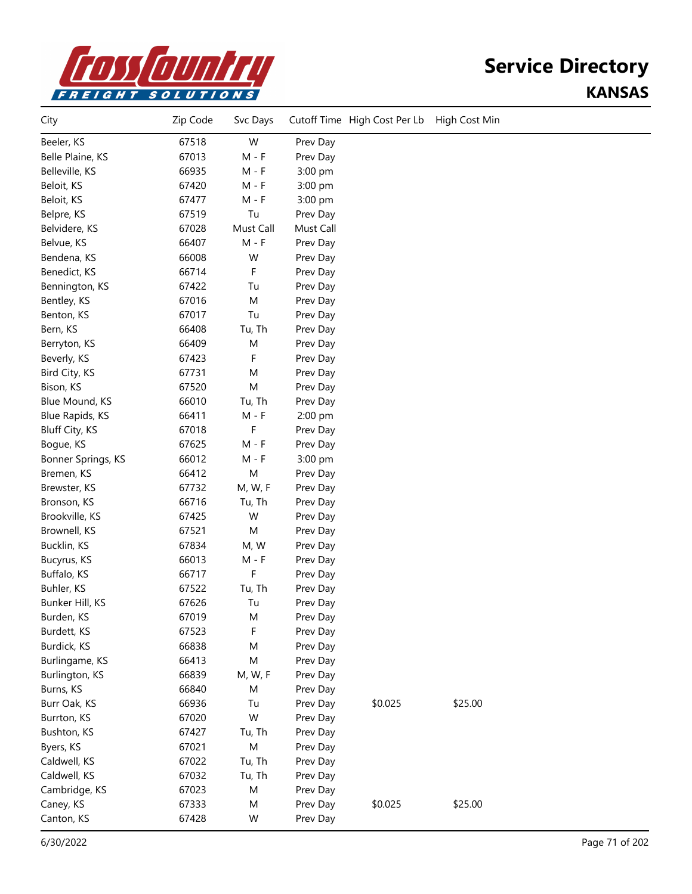

## **Service Directory KANSAS**

| City               | Zip Code | Svc Days  |           | Cutoff Time High Cost Per Lb | High Cost Min |  |
|--------------------|----------|-----------|-----------|------------------------------|---------------|--|
| Beeler, KS         | 67518    | W         | Prev Day  |                              |               |  |
| Belle Plaine, KS   | 67013    | $M - F$   | Prev Day  |                              |               |  |
| Belleville, KS     | 66935    | $M - F$   | 3:00 pm   |                              |               |  |
| Beloit, KS         | 67420    | $M - F$   | 3:00 pm   |                              |               |  |
| Beloit, KS         | 67477    | $M - F$   | 3:00 pm   |                              |               |  |
| Belpre, KS         | 67519    | Tu        | Prev Day  |                              |               |  |
| Belvidere, KS      | 67028    | Must Call | Must Call |                              |               |  |
| Belvue, KS         | 66407    | $M - F$   | Prev Day  |                              |               |  |
| Bendena, KS        | 66008    | W         | Prev Day  |                              |               |  |
| Benedict, KS       | 66714    | F.        | Prev Day  |                              |               |  |
| Bennington, KS     | 67422    | Tu        | Prev Day  |                              |               |  |
| Bentley, KS        | 67016    | M         | Prev Day  |                              |               |  |
| Benton, KS         | 67017    | Tu        | Prev Day  |                              |               |  |
| Bern, KS           | 66408    | Tu, Th    | Prev Day  |                              |               |  |
| Berryton, KS       | 66409    | M         | Prev Day  |                              |               |  |
| Beverly, KS        | 67423    | F         | Prev Day  |                              |               |  |
| Bird City, KS      | 67731    | M         | Prev Day  |                              |               |  |
| Bison, KS          | 67520    | M         | Prev Day  |                              |               |  |
| Blue Mound, KS     | 66010    | Tu, Th    | Prev Day  |                              |               |  |
| Blue Rapids, KS    | 66411    | $M - F$   | 2:00 pm   |                              |               |  |
| Bluff City, KS     | 67018    | F         | Prev Day  |                              |               |  |
| Bogue, KS          | 67625    | $M - F$   | Prev Day  |                              |               |  |
| Bonner Springs, KS | 66012    | $M - F$   | 3:00 pm   |                              |               |  |
| Bremen, KS         | 66412    | M         | Prev Day  |                              |               |  |
| Brewster, KS       | 67732    | M, W, F   | Prev Day  |                              |               |  |
| Bronson, KS        | 66716    | Tu, Th    | Prev Day  |                              |               |  |
| Brookville, KS     | 67425    | W         | Prev Day  |                              |               |  |
| Brownell, KS       | 67521    | M         | Prev Day  |                              |               |  |
| Bucklin, KS        | 67834    | M, W      | Prev Day  |                              |               |  |
| Bucyrus, KS        | 66013    | $M - F$   | Prev Day  |                              |               |  |
| Buffalo, KS        | 66717    | F         | Prev Day  |                              |               |  |
| Buhler, KS         | 67522    | Tu, Th    | Prev Day  |                              |               |  |
| Bunker Hill, KS    | 67626    | Tu        | Prev Day  |                              |               |  |
| Burden, KS         | 67019    | M         | Prev Day  |                              |               |  |
| Burdett, KS        | 67523    | F         | Prev Day  |                              |               |  |
| Burdick, KS        | 66838    | M         | Prev Day  |                              |               |  |
| Burlingame, KS     | 66413    | M         | Prev Day  |                              |               |  |
| Burlington, KS     | 66839    | M, W, F   | Prev Day  |                              |               |  |
| Burns, KS          | 66840    | M         | Prev Day  |                              |               |  |
| Burr Oak, KS       | 66936    | Tu        | Prev Day  | \$0.025                      | \$25.00       |  |
| Burrton, KS        | 67020    | W         | Prev Day  |                              |               |  |
| Bushton, KS        | 67427    | Tu, Th    | Prev Day  |                              |               |  |
| Byers, KS          | 67021    | M         | Prev Day  |                              |               |  |
| Caldwell, KS       | 67022    | Tu, Th    | Prev Day  |                              |               |  |
| Caldwell, KS       | 67032    | Tu, Th    | Prev Day  |                              |               |  |
| Cambridge, KS      | 67023    | M         | Prev Day  |                              |               |  |
| Caney, KS          | 67333    | M         | Prev Day  | \$0.025                      | \$25.00       |  |
| Canton, KS         | 67428    | W         | Prev Day  |                              |               |  |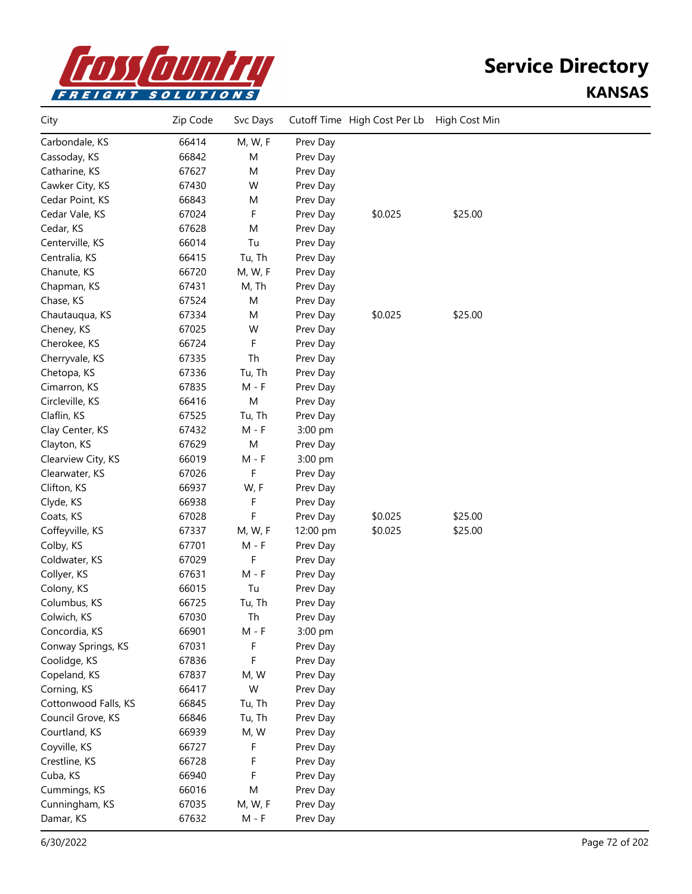

### **Service Directory KANSAS**

| City                 | Zip Code | Svc Days  |          | Cutoff Time High Cost Per Lb | High Cost Min |  |
|----------------------|----------|-----------|----------|------------------------------|---------------|--|
| Carbondale, KS       | 66414    | M, W, F   | Prev Day |                              |               |  |
| Cassoday, KS         | 66842    | M         | Prev Day |                              |               |  |
| Catharine, KS        | 67627    | M         | Prev Day |                              |               |  |
| Cawker City, KS      | 67430    | W         | Prev Day |                              |               |  |
| Cedar Point, KS      | 66843    | M         | Prev Day |                              |               |  |
| Cedar Vale, KS       | 67024    | F         | Prev Day | \$0.025                      | \$25.00       |  |
| Cedar, KS            | 67628    | M         | Prev Day |                              |               |  |
| Centerville, KS      | 66014    | Tu        | Prev Day |                              |               |  |
| Centralia, KS        | 66415    | Tu, Th    | Prev Day |                              |               |  |
| Chanute, KS          | 66720    | M, W, F   | Prev Day |                              |               |  |
| Chapman, KS          | 67431    | M, Th     | Prev Day |                              |               |  |
| Chase, KS            | 67524    | M         | Prev Day |                              |               |  |
| Chautauqua, KS       | 67334    | M         | Prev Day | \$0.025                      | \$25.00       |  |
| Cheney, KS           | 67025    | W         | Prev Day |                              |               |  |
| Cherokee, KS         | 66724    | F         | Prev Day |                              |               |  |
| Cherryvale, KS       | 67335    | Th        | Prev Day |                              |               |  |
| Chetopa, KS          | 67336    | Tu, Th    | Prev Day |                              |               |  |
| Cimarron, KS         | 67835    | $M - F$   | Prev Day |                              |               |  |
| Circleville, KS      | 66416    | M         | Prev Day |                              |               |  |
| Claflin, KS          | 67525    | Tu, Th    | Prev Day |                              |               |  |
| Clay Center, KS      | 67432    | $M - F$   | 3:00 pm  |                              |               |  |
| Clayton, KS          | 67629    | M         | Prev Day |                              |               |  |
| Clearview City, KS   | 66019    | M - F     | 3:00 pm  |                              |               |  |
| Clearwater, KS       | 67026    | F         | Prev Day |                              |               |  |
| Clifton, KS          | 66937    | W, F      | Prev Day |                              |               |  |
| Clyde, KS            | 66938    | F         | Prev Day |                              |               |  |
| Coats, KS            | 67028    | F         | Prev Day | \$0.025                      | \$25.00       |  |
| Coffeyville, KS      | 67337    | M, W, F   | 12:00 pm | \$0.025                      | \$25.00       |  |
| Colby, KS            | 67701    | M - F     | Prev Day |                              |               |  |
| Coldwater, KS        | 67029    | F         | Prev Day |                              |               |  |
| Collyer, KS          | 67631    | $M - F$   | Prev Day |                              |               |  |
| Colony, KS           | 66015    | Tu        | Prev Day |                              |               |  |
| Columbus, KS         | 66725    | Tu, Th    | Prev Day |                              |               |  |
| Colwich, KS          | 67030    | Th        | Prev Day |                              |               |  |
| Concordia, KS        | 66901    | $M - F$   | 3:00 pm  |                              |               |  |
| Conway Springs, KS   | 67031    | F         | Prev Day |                              |               |  |
| Coolidge, KS         | 67836    | F         | Prev Day |                              |               |  |
| Copeland, KS         | 67837    | M, W      | Prev Day |                              |               |  |
| Corning, KS          | 66417    | W         | Prev Day |                              |               |  |
| Cottonwood Falls, KS | 66845    | Tu, Th    | Prev Day |                              |               |  |
| Council Grove, KS    | 66846    | Tu, Th    | Prev Day |                              |               |  |
| Courtland, KS        | 66939    | M, W      | Prev Day |                              |               |  |
| Coyville, KS         | 66727    | F         | Prev Day |                              |               |  |
| Crestline, KS        | 66728    | F         | Prev Day |                              |               |  |
| Cuba, KS             | 66940    | F         | Prev Day |                              |               |  |
| Cummings, KS         | 66016    | ${\sf M}$ | Prev Day |                              |               |  |
| Cunningham, KS       | 67035    | M, W, F   | Prev Day |                              |               |  |
| Damar, KS            | 67632    | $M - F$   | Prev Day |                              |               |  |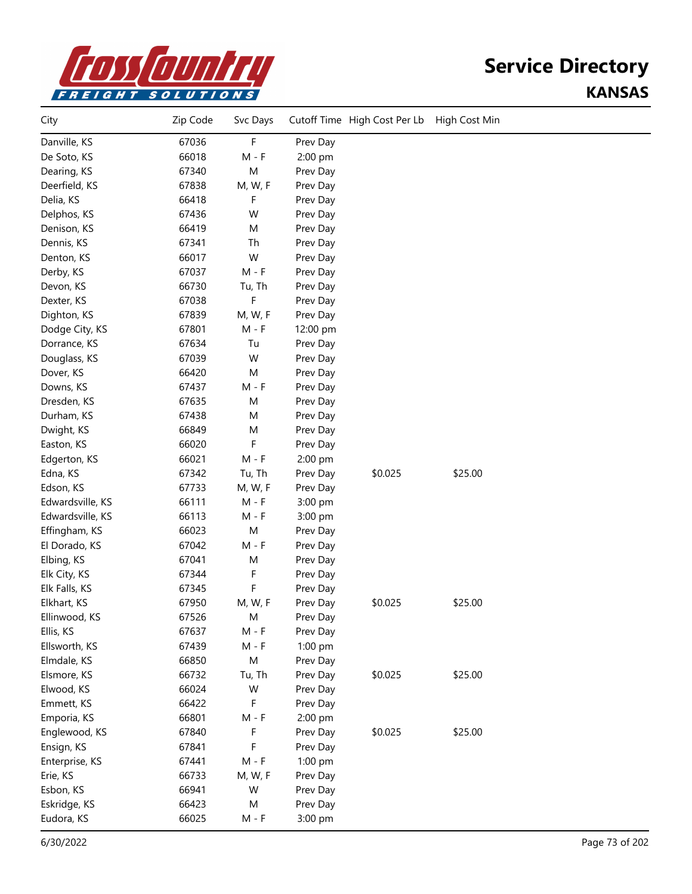

| City             | Zip Code | Svc Days  |          | Cutoff Time High Cost Per Lb | High Cost Min |  |
|------------------|----------|-----------|----------|------------------------------|---------------|--|
| Danville, KS     | 67036    | F         | Prev Day |                              |               |  |
| De Soto, KS      | 66018    | $M - F$   | 2:00 pm  |                              |               |  |
| Dearing, KS      | 67340    | M         | Prev Day |                              |               |  |
| Deerfield, KS    | 67838    | M, W, F   | Prev Day |                              |               |  |
| Delia, KS        | 66418    | F         | Prev Day |                              |               |  |
| Delphos, KS      | 67436    | W         | Prev Day |                              |               |  |
| Denison, KS      | 66419    | M         | Prev Day |                              |               |  |
| Dennis, KS       | 67341    | Th        | Prev Day |                              |               |  |
| Denton, KS       | 66017    | W         | Prev Day |                              |               |  |
| Derby, KS        | 67037    | $M - F$   | Prev Day |                              |               |  |
| Devon, KS        | 66730    | Tu, Th    | Prev Day |                              |               |  |
| Dexter, KS       | 67038    | F         | Prev Day |                              |               |  |
| Dighton, KS      | 67839    | M, W, F   | Prev Day |                              |               |  |
| Dodge City, KS   | 67801    | $M - F$   | 12:00 pm |                              |               |  |
| Dorrance, KS     | 67634    | Tu        | Prev Day |                              |               |  |
| Douglass, KS     | 67039    | W         | Prev Day |                              |               |  |
| Dover, KS        | 66420    | M         | Prev Day |                              |               |  |
| Downs, KS        | 67437    | $M - F$   | Prev Day |                              |               |  |
| Dresden, KS      | 67635    | M         | Prev Day |                              |               |  |
| Durham, KS       | 67438    | M         | Prev Day |                              |               |  |
| Dwight, KS       | 66849    | M         | Prev Day |                              |               |  |
| Easton, KS       | 66020    | F         | Prev Day |                              |               |  |
| Edgerton, KS     | 66021    | $M - F$   | 2:00 pm  |                              |               |  |
| Edna, KS         | 67342    | Tu, Th    | Prev Day | \$0.025                      | \$25.00       |  |
| Edson, KS        | 67733    | M, W, F   | Prev Day |                              |               |  |
| Edwardsville, KS | 66111    | $M - F$   | 3:00 pm  |                              |               |  |
| Edwardsville, KS | 66113    | $M - F$   | 3:00 pm  |                              |               |  |
| Effingham, KS    | 66023    | M         | Prev Day |                              |               |  |
| El Dorado, KS    | 67042    | $M - F$   | Prev Day |                              |               |  |
| Elbing, KS       | 67041    | M         | Prev Day |                              |               |  |
| Elk City, KS     | 67344    | F         | Prev Day |                              |               |  |
| Elk Falls, KS    | 67345    | F         | Prev Day |                              |               |  |
| Elkhart, KS      | 67950    | M, W, F   | Prev Day | \$0.025                      | \$25.00       |  |
| Ellinwood, KS    | 67526    | M         | Prev Day |                              |               |  |
| Ellis, KS        | 67637    | $M - F$   | Prev Day |                              |               |  |
| Ellsworth, KS    | 67439    | $M - F$   | 1:00 pm  |                              |               |  |
| Elmdale, KS      | 66850    | ${\sf M}$ | Prev Day |                              |               |  |
| Elsmore, KS      | 66732    | Tu, Th    | Prev Day | \$0.025                      | \$25.00       |  |
| Elwood, KS       | 66024    | W         | Prev Day |                              |               |  |
| Emmett, KS       | 66422    | F         | Prev Day |                              |               |  |
| Emporia, KS      | 66801    | $M - F$   | 2:00 pm  |                              |               |  |
| Englewood, KS    | 67840    | F         | Prev Day | \$0.025                      | \$25.00       |  |
| Ensign, KS       | 67841    | F         | Prev Day |                              |               |  |
| Enterprise, KS   | 67441    | $M - F$   | 1:00 pm  |                              |               |  |
| Erie, KS         | 66733    | M, W, F   | Prev Day |                              |               |  |
| Esbon, KS        | 66941    | W         | Prev Day |                              |               |  |
| Eskridge, KS     | 66423    | M         | Prev Day |                              |               |  |
| Eudora, KS       | 66025    | $M - F$   | 3:00 pm  |                              |               |  |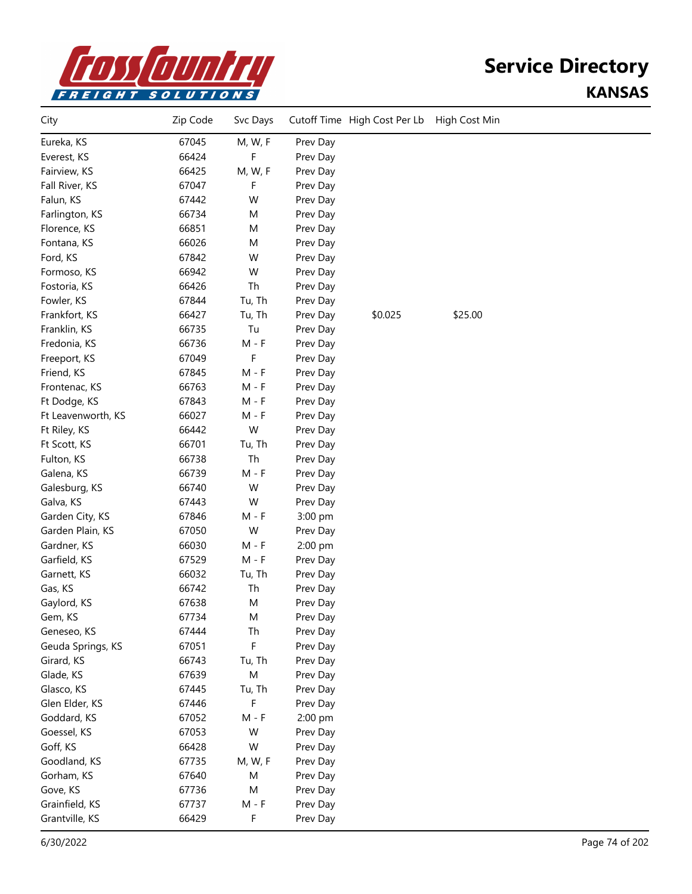

| City               | Zip Code | Svc Days |          | Cutoff Time High Cost Per Lb | High Cost Min |  |
|--------------------|----------|----------|----------|------------------------------|---------------|--|
| Eureka, KS         | 67045    | M, W, F  | Prev Day |                              |               |  |
| Everest, KS        | 66424    | F        | Prev Day |                              |               |  |
| Fairview, KS       | 66425    | M, W, F  | Prev Day |                              |               |  |
| Fall River, KS     | 67047    | F        | Prev Day |                              |               |  |
| Falun, KS          | 67442    | W        | Prev Day |                              |               |  |
| Farlington, KS     | 66734    | M        | Prev Day |                              |               |  |
| Florence, KS       | 66851    | M        | Prev Day |                              |               |  |
| Fontana, KS        | 66026    | M        | Prev Day |                              |               |  |
| Ford, KS           | 67842    | W        | Prev Day |                              |               |  |
| Formoso, KS        | 66942    | W        | Prev Day |                              |               |  |
| Fostoria, KS       | 66426    | Th       | Prev Day |                              |               |  |
| Fowler, KS         | 67844    | Tu, Th   | Prev Day |                              |               |  |
| Frankfort, KS      | 66427    | Tu, Th   | Prev Day | \$0.025                      | \$25.00       |  |
| Franklin, KS       | 66735    | Tu       | Prev Day |                              |               |  |
| Fredonia, KS       | 66736    | $M - F$  | Prev Day |                              |               |  |
| Freeport, KS       | 67049    | F        | Prev Day |                              |               |  |
| Friend, KS         | 67845    | $M - F$  | Prev Day |                              |               |  |
| Frontenac, KS      | 66763    | $M - F$  | Prev Day |                              |               |  |
| Ft Dodge, KS       | 67843    | $M - F$  | Prev Day |                              |               |  |
| Ft Leavenworth, KS | 66027    | $M - F$  | Prev Day |                              |               |  |
| Ft Riley, KS       | 66442    | W        | Prev Day |                              |               |  |
| Ft Scott, KS       | 66701    | Tu, Th   | Prev Day |                              |               |  |
| Fulton, KS         | 66738    | Th       | Prev Day |                              |               |  |
| Galena, KS         | 66739    | $M - F$  | Prev Day |                              |               |  |
| Galesburg, KS      | 66740    | W        | Prev Day |                              |               |  |
| Galva, KS          | 67443    | W        | Prev Day |                              |               |  |
| Garden City, KS    | 67846    | $M - F$  | 3:00 pm  |                              |               |  |
| Garden Plain, KS   | 67050    | W        | Prev Day |                              |               |  |
| Gardner, KS        | 66030    | M - F    | 2:00 pm  |                              |               |  |
| Garfield, KS       | 67529    | $M - F$  | Prev Day |                              |               |  |
| Garnett, KS        | 66032    | Tu, Th   | Prev Day |                              |               |  |
| Gas, KS            | 66742    | Th       | Prev Day |                              |               |  |
| Gaylord, KS        | 67638    | M        | Prev Day |                              |               |  |
| Gem, KS            | 67734    | M        | Prev Day |                              |               |  |
| Geneseo, KS        | 67444    | Th       | Prev Day |                              |               |  |
| Geuda Springs, KS  | 67051    | F        | Prev Day |                              |               |  |
| Girard, KS         | 66743    | Tu, Th   | Prev Day |                              |               |  |
| Glade, KS          | 67639    | M        | Prev Day |                              |               |  |
| Glasco, KS         | 67445    | Tu, Th   | Prev Day |                              |               |  |
| Glen Elder, KS     | 67446    | F        | Prev Day |                              |               |  |
| Goddard, KS        | 67052    | $M - F$  | 2:00 pm  |                              |               |  |
| Goessel, KS        | 67053    | W        | Prev Day |                              |               |  |
| Goff, KS           | 66428    | W        | Prev Day |                              |               |  |
| Goodland, KS       | 67735    | M, W, F  | Prev Day |                              |               |  |
| Gorham, KS         | 67640    | M        | Prev Day |                              |               |  |
| Gove, KS           | 67736    | M        | Prev Day |                              |               |  |
| Grainfield, KS     | 67737    | $M - F$  | Prev Day |                              |               |  |
| Grantville, KS     | 66429    | F        | Prev Day |                              |               |  |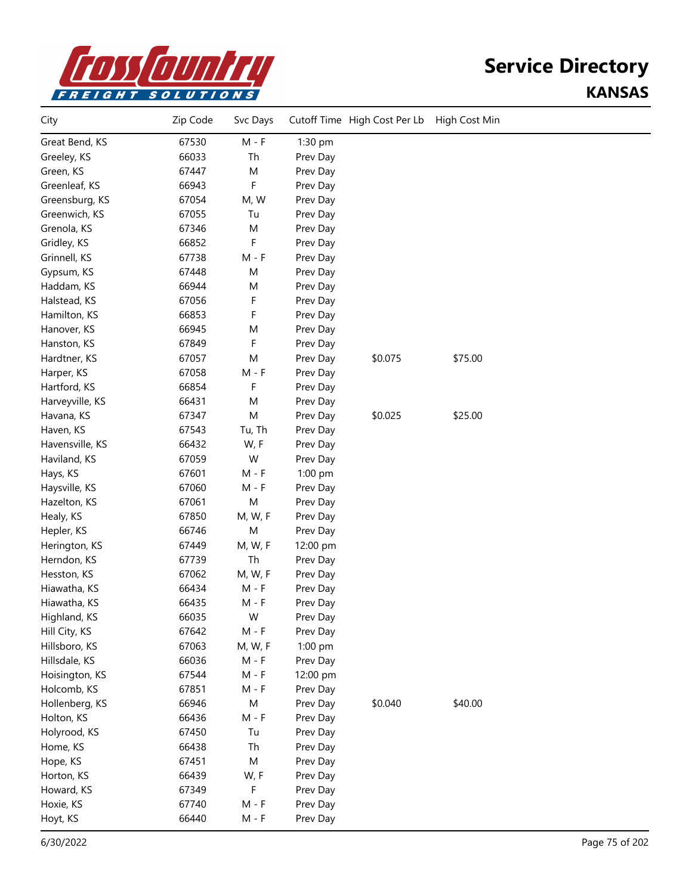

| City            | Zip Code | Svc Days  |          | Cutoff Time High Cost Per Lb | High Cost Min |  |
|-----------------|----------|-----------|----------|------------------------------|---------------|--|
| Great Bend, KS  | 67530    | $M - F$   | 1:30 pm  |                              |               |  |
| Greeley, KS     | 66033    | Th        | Prev Day |                              |               |  |
| Green, KS       | 67447    | M         | Prev Day |                              |               |  |
| Greenleaf, KS   | 66943    | F         | Prev Day |                              |               |  |
| Greensburg, KS  | 67054    | M, W      | Prev Day |                              |               |  |
| Greenwich, KS   | 67055    | Tu        | Prev Day |                              |               |  |
| Grenola, KS     | 67346    | M         | Prev Day |                              |               |  |
| Gridley, KS     | 66852    | F         | Prev Day |                              |               |  |
| Grinnell, KS    | 67738    | $M - F$   | Prev Day |                              |               |  |
| Gypsum, KS      | 67448    | M         | Prev Day |                              |               |  |
| Haddam, KS      | 66944    | M         | Prev Day |                              |               |  |
| Halstead, KS    | 67056    | F         | Prev Day |                              |               |  |
| Hamilton, KS    | 66853    | F         | Prev Day |                              |               |  |
| Hanover, KS     | 66945    | M         | Prev Day |                              |               |  |
| Hanston, KS     | 67849    | F         | Prev Day |                              |               |  |
| Hardtner, KS    | 67057    | M         | Prev Day | \$0.075                      | \$75.00       |  |
| Harper, KS      | 67058    | $M - F$   | Prev Day |                              |               |  |
| Hartford, KS    | 66854    | F         | Prev Day |                              |               |  |
| Harveyville, KS | 66431    | M         | Prev Day |                              |               |  |
| Havana, KS      | 67347    | M         | Prev Day | \$0.025                      | \$25.00       |  |
| Haven, KS       | 67543    | Tu, Th    | Prev Day |                              |               |  |
| Havensville, KS | 66432    | W, F      | Prev Day |                              |               |  |
| Haviland, KS    | 67059    | W         | Prev Day |                              |               |  |
| Hays, KS        | 67601    | $M - F$   | 1:00 pm  |                              |               |  |
| Haysville, KS   | 67060    | $M - F$   | Prev Day |                              |               |  |
| Hazelton, KS    | 67061    | M         | Prev Day |                              |               |  |
| Healy, KS       | 67850    | M, W, F   | Prev Day |                              |               |  |
| Hepler, KS      | 66746    | M         | Prev Day |                              |               |  |
| Herington, KS   | 67449    | M, W, F   | 12:00 pm |                              |               |  |
| Herndon, KS     | 67739    | Th        | Prev Day |                              |               |  |
| Hesston, KS     | 67062    | M, W, F   | Prev Day |                              |               |  |
| Hiawatha, KS    | 66434    | $M - F$   | Prev Day |                              |               |  |
| Hiawatha, KS    | 66435    | $M - F$   | Prev Day |                              |               |  |
| Highland, KS    | 66035    | W         | Prev Day |                              |               |  |
| Hill City, KS   | 67642    | $M - F$   | Prev Day |                              |               |  |
| Hillsboro, KS   | 67063    | M, W, F   | 1:00 pm  |                              |               |  |
| Hillsdale, KS   | 66036    | M - F     | Prev Day |                              |               |  |
| Hoisington, KS  | 67544    | $M - F$   | 12:00 pm |                              |               |  |
| Holcomb, KS     | 67851    | $M - F$   | Prev Day |                              |               |  |
| Hollenberg, KS  | 66946    | ${\sf M}$ | Prev Day | \$0.040                      | \$40.00       |  |
| Holton, KS      | 66436    | $M - F$   | Prev Day |                              |               |  |
| Holyrood, KS    | 67450    | Tu        | Prev Day |                              |               |  |
| Home, KS        | 66438    | Th        | Prev Day |                              |               |  |
| Hope, KS        | 67451    | M         | Prev Day |                              |               |  |
| Horton, KS      | 66439    | W, F      | Prev Day |                              |               |  |
| Howard, KS      | 67349    | F         | Prev Day |                              |               |  |
| Hoxie, KS       | 67740    | $M - F$   | Prev Day |                              |               |  |
| Hoyt, KS        | 66440    | $M - F$   | Prev Day |                              |               |  |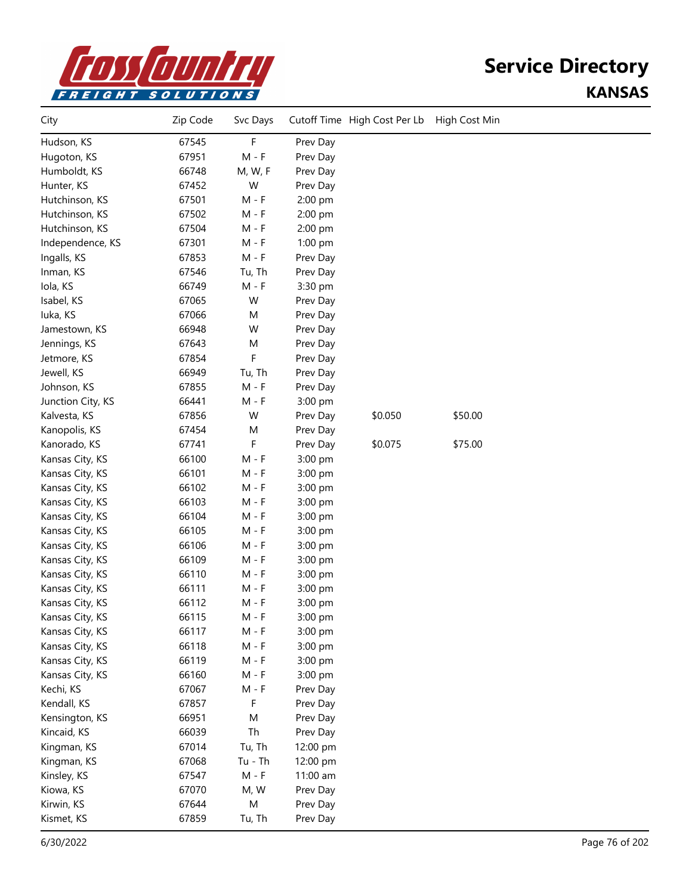

| City              | Zip Code | Svc Days  |          | Cutoff Time High Cost Per Lb | High Cost Min |  |
|-------------------|----------|-----------|----------|------------------------------|---------------|--|
| Hudson, KS        | 67545    | F         | Prev Day |                              |               |  |
| Hugoton, KS       | 67951    | $M - F$   | Prev Day |                              |               |  |
| Humboldt, KS      | 66748    | M, W, F   | Prev Day |                              |               |  |
| Hunter, KS        | 67452    | W         | Prev Day |                              |               |  |
| Hutchinson, KS    | 67501    | $M - F$   | 2:00 pm  |                              |               |  |
| Hutchinson, KS    | 67502    | $M - F$   | 2:00 pm  |                              |               |  |
| Hutchinson, KS    | 67504    | $M - F$   | 2:00 pm  |                              |               |  |
| Independence, KS  | 67301    | $M - F$   | 1:00 pm  |                              |               |  |
| Ingalls, KS       | 67853    | $M - F$   | Prev Day |                              |               |  |
| Inman, KS         | 67546    | Tu, Th    | Prev Day |                              |               |  |
| Iola, KS          | 66749    | $M - F$   | 3:30 pm  |                              |               |  |
| Isabel, KS        | 67065    | W         | Prev Day |                              |               |  |
| luka, KS          | 67066    | M         | Prev Day |                              |               |  |
| Jamestown, KS     | 66948    | W         | Prev Day |                              |               |  |
| Jennings, KS      | 67643    | M         | Prev Day |                              |               |  |
| Jetmore, KS       | 67854    | F         | Prev Day |                              |               |  |
| Jewell, KS        | 66949    | Tu, Th    | Prev Day |                              |               |  |
| Johnson, KS       | 67855    | $M - F$   | Prev Day |                              |               |  |
| Junction City, KS | 66441    | $M - F$   | 3:00 pm  |                              |               |  |
| Kalvesta, KS      | 67856    | W         | Prev Day | \$0.050                      | \$50.00       |  |
| Kanopolis, KS     | 67454    | M         | Prev Day |                              |               |  |
| Kanorado, KS      | 67741    | F         | Prev Day | \$0.075                      | \$75.00       |  |
| Kansas City, KS   | 66100    | $M - F$   | 3:00 pm  |                              |               |  |
| Kansas City, KS   | 66101    | $M - F$   | 3:00 pm  |                              |               |  |
| Kansas City, KS   | 66102    | $M - F$   | 3:00 pm  |                              |               |  |
| Kansas City, KS   | 66103    | $M - F$   | 3:00 pm  |                              |               |  |
| Kansas City, KS   | 66104    | $M - F$   | 3:00 pm  |                              |               |  |
| Kansas City, KS   | 66105    | $M - F$   | 3:00 pm  |                              |               |  |
| Kansas City, KS   | 66106    | $M - F$   | 3:00 pm  |                              |               |  |
| Kansas City, KS   | 66109    | $M - F$   | 3:00 pm  |                              |               |  |
| Kansas City, KS   | 66110    | $M - F$   | 3:00 pm  |                              |               |  |
| Kansas City, KS   | 66111    | $M - F$   | 3:00 pm  |                              |               |  |
| Kansas City, KS   | 66112    | $M - F$   | 3:00 pm  |                              |               |  |
| Kansas City, KS   | 66115    | $M - F$   | 3:00 pm  |                              |               |  |
| Kansas City, KS   | 66117    | $M - F$   | 3:00 pm  |                              |               |  |
| Kansas City, KS   | 66118    | $M - F$   | 3:00 pm  |                              |               |  |
| Kansas City, KS   | 66119    | $M - F$   | 3:00 pm  |                              |               |  |
| Kansas City, KS   | 66160    | $M - F$   | 3:00 pm  |                              |               |  |
| Kechi, KS         | 67067    | $M - F$   | Prev Day |                              |               |  |
| Kendall, KS       | 67857    | F         | Prev Day |                              |               |  |
| Kensington, KS    | 66951    | M         | Prev Day |                              |               |  |
| Kincaid, KS       | 66039    | Th        | Prev Day |                              |               |  |
| Kingman, KS       | 67014    | Tu, Th    | 12:00 pm |                              |               |  |
| Kingman, KS       | 67068    | $Tu - Th$ | 12:00 pm |                              |               |  |
| Kinsley, KS       | 67547    | $M - F$   | 11:00 am |                              |               |  |
| Kiowa, KS         | 67070    | M, W      | Prev Day |                              |               |  |
| Kirwin, KS        | 67644    | M         | Prev Day |                              |               |  |
| Kismet, KS        | 67859    | Tu, Th    | Prev Day |                              |               |  |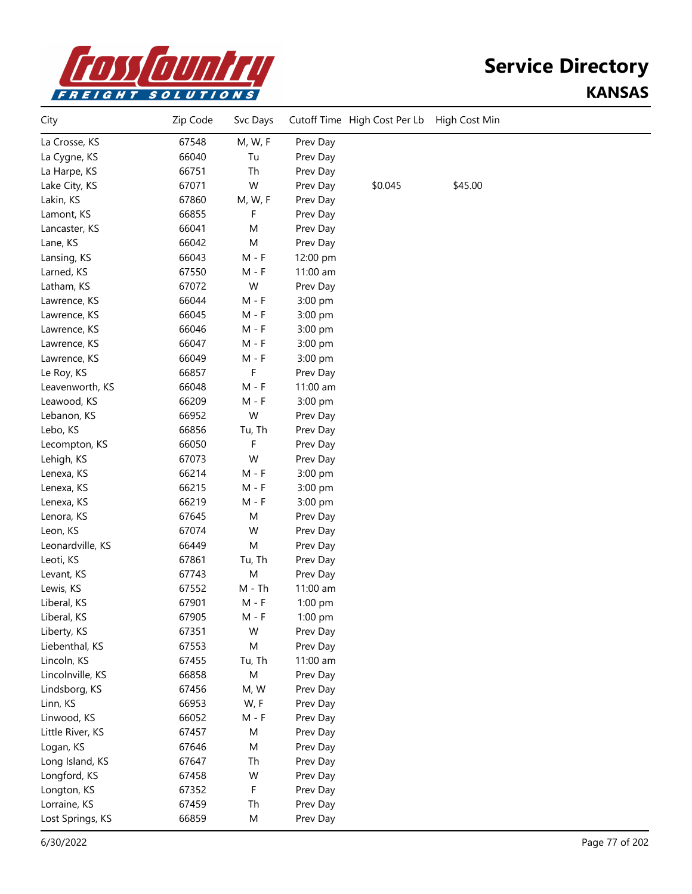

| City             | Zip Code | Svc Days  |          | Cutoff Time High Cost Per Lb | High Cost Min |  |
|------------------|----------|-----------|----------|------------------------------|---------------|--|
| La Crosse, KS    | 67548    | M, W, F   | Prev Day |                              |               |  |
| La Cygne, KS     | 66040    | Tu        | Prev Day |                              |               |  |
| La Harpe, KS     | 66751    | Th        | Prev Day |                              |               |  |
| Lake City, KS    | 67071    | W         | Prev Day | \$0.045                      | \$45.00       |  |
| Lakin, KS        | 67860    | M, W, F   | Prev Day |                              |               |  |
| Lamont, KS       | 66855    | F         | Prev Day |                              |               |  |
| Lancaster, KS    | 66041    | M         | Prev Day |                              |               |  |
| Lane, KS         | 66042    | M         | Prev Day |                              |               |  |
| Lansing, KS      | 66043    | $M - F$   | 12:00 pm |                              |               |  |
| Larned, KS       | 67550    | $M - F$   | 11:00 am |                              |               |  |
| Latham, KS       | 67072    | W         | Prev Day |                              |               |  |
| Lawrence, KS     | 66044    | M - F     | 3:00 pm  |                              |               |  |
| Lawrence, KS     | 66045    | $M - F$   | 3:00 pm  |                              |               |  |
| Lawrence, KS     | 66046    | $M - F$   | 3:00 pm  |                              |               |  |
| Lawrence, KS     | 66047    | $M - F$   | 3:00 pm  |                              |               |  |
| Lawrence, KS     | 66049    | $M - F$   | 3:00 pm  |                              |               |  |
| Le Roy, KS       | 66857    | F         | Prev Day |                              |               |  |
| Leavenworth, KS  | 66048    | $M - F$   | 11:00 am |                              |               |  |
| Leawood, KS      | 66209    | M - F     | 3:00 pm  |                              |               |  |
| Lebanon, KS      | 66952    | W         | Prev Day |                              |               |  |
| Lebo, KS         | 66856    | Tu, Th    | Prev Day |                              |               |  |
| Lecompton, KS    | 66050    | F         | Prev Day |                              |               |  |
| Lehigh, KS       | 67073    | W         | Prev Day |                              |               |  |
| Lenexa, KS       | 66214    | $M - F$   | 3:00 pm  |                              |               |  |
| Lenexa, KS       | 66215    | $M - F$   | 3:00 pm  |                              |               |  |
| Lenexa, KS       | 66219    | $M - F$   | 3:00 pm  |                              |               |  |
| Lenora, KS       | 67645    | M         | Prev Day |                              |               |  |
| Leon, KS         | 67074    | W         | Prev Day |                              |               |  |
| Leonardville, KS | 66449    | M         | Prev Day |                              |               |  |
| Leoti, KS        | 67861    | Tu, Th    | Prev Day |                              |               |  |
| Levant, KS       | 67743    | M         | Prev Day |                              |               |  |
| Lewis, KS        | 67552    | $M - Th$  | 11:00 am |                              |               |  |
| Liberal, KS      | 67901    | $M - F$   | 1:00 pm  |                              |               |  |
| Liberal, KS      | 67905    | $M - F$   | 1:00 pm  |                              |               |  |
| Liberty, KS      | 67351    | W         | Prev Day |                              |               |  |
| Liebenthal, KS   | 67553    | M         | Prev Day |                              |               |  |
| Lincoln, KS      | 67455    | Tu, Th    | 11:00 am |                              |               |  |
| Lincolnville, KS | 66858    | ${\sf M}$ | Prev Day |                              |               |  |
| Lindsborg, KS    | 67456    | M, W      | Prev Day |                              |               |  |
| Linn, KS         | 66953    | W, F      | Prev Day |                              |               |  |
| Linwood, KS      | 66052    | $M - F$   | Prev Day |                              |               |  |
| Little River, KS | 67457    | M         | Prev Day |                              |               |  |
| Logan, KS        | 67646    | M         | Prev Day |                              |               |  |
| Long Island, KS  | 67647    | Th        | Prev Day |                              |               |  |
| Longford, KS     | 67458    | W         | Prev Day |                              |               |  |
| Longton, KS      | 67352    | F         | Prev Day |                              |               |  |
| Lorraine, KS     | 67459    | Th        | Prev Day |                              |               |  |
| Lost Springs, KS | 66859    | M         | Prev Day |                              |               |  |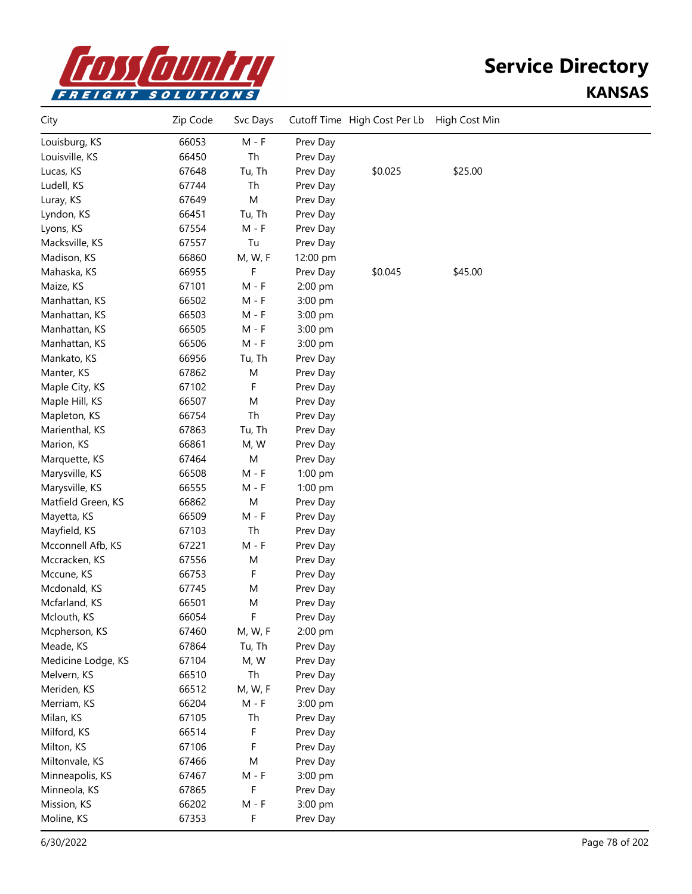

| City               | Zip Code | Svc Days |          | Cutoff Time High Cost Per Lb | High Cost Min |  |
|--------------------|----------|----------|----------|------------------------------|---------------|--|
| Louisburg, KS      | 66053    | $M - F$  | Prev Day |                              |               |  |
| Louisville, KS     | 66450    | Th       | Prev Day |                              |               |  |
| Lucas, KS          | 67648    | Tu, Th   | Prev Day | \$0.025                      | \$25.00       |  |
| Ludell, KS         | 67744    | Th       | Prev Day |                              |               |  |
| Luray, KS          | 67649    | M        | Prev Day |                              |               |  |
| Lyndon, KS         | 66451    | Tu, Th   | Prev Day |                              |               |  |
| Lyons, KS          | 67554    | $M - F$  | Prev Day |                              |               |  |
| Macksville, KS     | 67557    | Tu       | Prev Day |                              |               |  |
| Madison, KS        | 66860    | M, W, F  | 12:00 pm |                              |               |  |
| Mahaska, KS        | 66955    | F        | Prev Day | \$0.045                      | \$45.00       |  |
| Maize, KS          | 67101    | $M - F$  | 2:00 pm  |                              |               |  |
| Manhattan, KS      | 66502    | M - F    | 3:00 pm  |                              |               |  |
| Manhattan, KS      | 66503    | M - F    | 3:00 pm  |                              |               |  |
| Manhattan, KS      | 66505    | M - F    | 3:00 pm  |                              |               |  |
| Manhattan, KS      | 66506    | M - F    | 3:00 pm  |                              |               |  |
| Mankato, KS        | 66956    | Tu, Th   | Prev Day |                              |               |  |
| Manter, KS         | 67862    | M        | Prev Day |                              |               |  |
| Maple City, KS     | 67102    | F        | Prev Day |                              |               |  |
| Maple Hill, KS     | 66507    | M        | Prev Day |                              |               |  |
| Mapleton, KS       | 66754    | Th       | Prev Day |                              |               |  |
| Marienthal, KS     | 67863    | Tu, Th   | Prev Day |                              |               |  |
| Marion, KS         | 66861    | M, W     | Prev Day |                              |               |  |
| Marquette, KS      | 67464    | M        | Prev Day |                              |               |  |
| Marysville, KS     | 66508    | $M - F$  | 1:00 pm  |                              |               |  |
| Marysville, KS     | 66555    | $M - F$  | 1:00 pm  |                              |               |  |
| Matfield Green, KS | 66862    | M        | Prev Day |                              |               |  |
| Mayetta, KS        | 66509    | $M - F$  | Prev Day |                              |               |  |
| Mayfield, KS       | 67103    | Th       | Prev Day |                              |               |  |
| Mcconnell Afb, KS  | 67221    | $M - F$  | Prev Day |                              |               |  |
| Mccracken, KS      | 67556    | M        | Prev Day |                              |               |  |
| Mccune, KS         | 66753    | F        | Prev Day |                              |               |  |
| Mcdonald, KS       | 67745    | M        | Prev Day |                              |               |  |
| Mcfarland, KS      | 66501    | M        | Prev Day |                              |               |  |
| Mclouth, KS        | 66054    | F        | Prev Day |                              |               |  |
| Mcpherson, KS      | 67460    | M, W, F  | 2:00 pm  |                              |               |  |
| Meade, KS          | 67864    | Tu, Th   | Prev Day |                              |               |  |
| Medicine Lodge, KS | 67104    | M, W     | Prev Day |                              |               |  |
| Melvern, KS        | 66510    | Th       | Prev Day |                              |               |  |
| Meriden, KS        | 66512    | M, W, F  | Prev Day |                              |               |  |
| Merriam, KS        | 66204    | $M - F$  | 3:00 pm  |                              |               |  |
| Milan, KS          | 67105    | Th       | Prev Day |                              |               |  |
| Milford, KS        | 66514    | F        | Prev Day |                              |               |  |
| Milton, KS         | 67106    | F        | Prev Day |                              |               |  |
| Miltonvale, KS     | 67466    | M        | Prev Day |                              |               |  |
| Minneapolis, KS    | 67467    | $M - F$  | 3:00 pm  |                              |               |  |
| Minneola, KS       | 67865    | F        | Prev Day |                              |               |  |
| Mission, KS        | 66202    | $M - F$  | 3:00 pm  |                              |               |  |
| Moline, KS         | 67353    | F        | Prev Day |                              |               |  |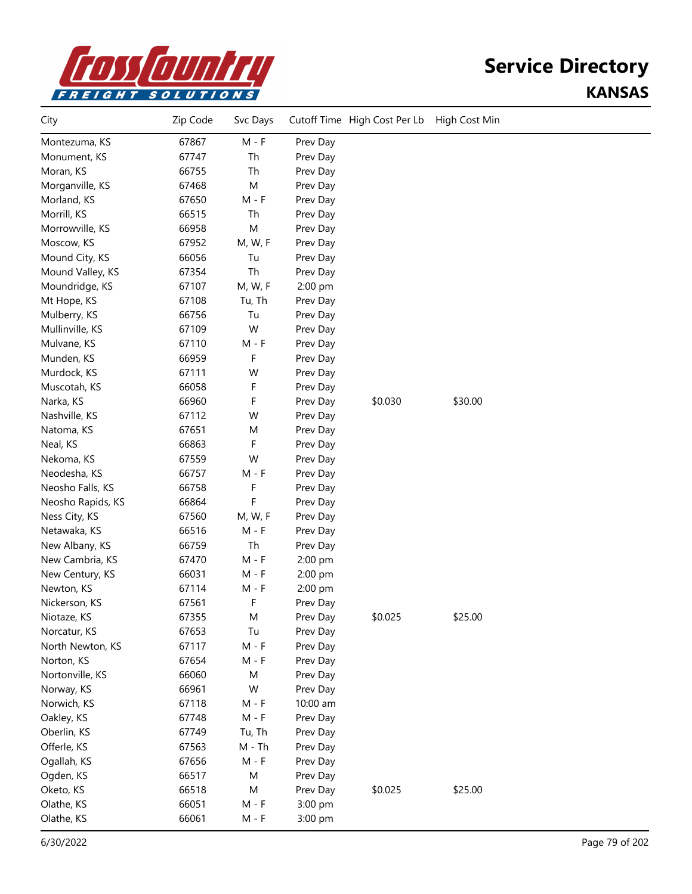

| City              | Zip Code | Svc Days |          | Cutoff Time High Cost Per Lb | High Cost Min |  |
|-------------------|----------|----------|----------|------------------------------|---------------|--|
| Montezuma, KS     | 67867    | $M - F$  | Prev Day |                              |               |  |
| Monument, KS      | 67747    | Th       | Prev Day |                              |               |  |
| Moran, KS         | 66755    | Th       | Prev Day |                              |               |  |
| Morganville, KS   | 67468    | M        | Prev Day |                              |               |  |
| Morland, KS       | 67650    | $M - F$  | Prev Day |                              |               |  |
| Morrill, KS       | 66515    | Th       | Prev Day |                              |               |  |
| Morrowville, KS   | 66958    | M        | Prev Day |                              |               |  |
| Moscow, KS        | 67952    | M, W, F  | Prev Day |                              |               |  |
| Mound City, KS    | 66056    | Tu       | Prev Day |                              |               |  |
| Mound Valley, KS  | 67354    | Th       | Prev Day |                              |               |  |
| Moundridge, KS    | 67107    | M, W, F  | 2:00 pm  |                              |               |  |
| Mt Hope, KS       | 67108    | Tu, Th   | Prev Day |                              |               |  |
| Mulberry, KS      | 66756    | Tu       | Prev Day |                              |               |  |
| Mullinville, KS   | 67109    | W        | Prev Day |                              |               |  |
| Mulvane, KS       | 67110    | $M - F$  | Prev Day |                              |               |  |
| Munden, KS        | 66959    | F        | Prev Day |                              |               |  |
| Murdock, KS       | 67111    | W        | Prev Day |                              |               |  |
| Muscotah, KS      | 66058    | F        | Prev Day |                              |               |  |
| Narka, KS         | 66960    | F        | Prev Day | \$0.030                      | \$30.00       |  |
| Nashville, KS     | 67112    | W        | Prev Day |                              |               |  |
| Natoma, KS        | 67651    | M        | Prev Day |                              |               |  |
| Neal, KS          | 66863    | F        | Prev Day |                              |               |  |
| Nekoma, KS        | 67559    | W        | Prev Day |                              |               |  |
| Neodesha, KS      | 66757    | $M - F$  | Prev Day |                              |               |  |
| Neosho Falls, KS  | 66758    | F        | Prev Day |                              |               |  |
| Neosho Rapids, KS | 66864    | F        | Prev Day |                              |               |  |
| Ness City, KS     | 67560    | M, W, F  | Prev Day |                              |               |  |
| Netawaka, KS      | 66516    | M - F    | Prev Day |                              |               |  |
| New Albany, KS    | 66759    | Th       | Prev Day |                              |               |  |
| New Cambria, KS   | 67470    | $M - F$  | 2:00 pm  |                              |               |  |
| New Century, KS   | 66031    | $M - F$  | 2:00 pm  |                              |               |  |
| Newton, KS        | 67114    | $M - F$  | 2:00 pm  |                              |               |  |
| Nickerson, KS     | 67561    | F        | Prev Day |                              |               |  |
| Niotaze, KS       | 67355    | M        | Prev Day | \$0.025                      | \$25.00       |  |
| Norcatur, KS      | 67653    | Tu       | Prev Day |                              |               |  |
| North Newton, KS  | 67117    | $M - F$  | Prev Day |                              |               |  |
| Norton, KS        | 67654    | $M - F$  | Prev Day |                              |               |  |
| Nortonville, KS   | 66060    | M        | Prev Day |                              |               |  |
| Norway, KS        | 66961    | W        | Prev Day |                              |               |  |
| Norwich, KS       | 67118    | $M - F$  | 10:00 am |                              |               |  |
| Oakley, KS        | 67748    | $M - F$  | Prev Day |                              |               |  |
| Oberlin, KS       | 67749    | Tu, Th   | Prev Day |                              |               |  |
| Offerle, KS       | 67563    | $M - Th$ | Prev Day |                              |               |  |
| Ogallah, KS       | 67656    | $M - F$  | Prev Day |                              |               |  |
| Ogden, KS         | 66517    | M        | Prev Day |                              |               |  |
| Oketo, KS         | 66518    | M        | Prev Day | \$0.025                      | \$25.00       |  |
| Olathe, KS        | 66051    | $M - F$  | 3:00 pm  |                              |               |  |
| Olathe, KS        | 66061    | $M - F$  | 3:00 pm  |                              |               |  |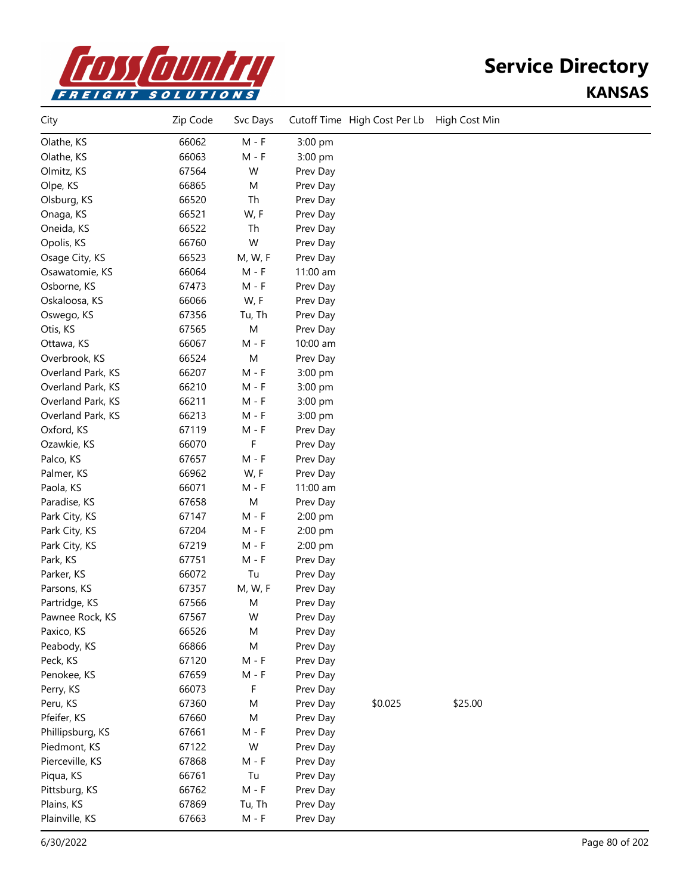

| City              | Zip Code | Svc Days |          | Cutoff Time High Cost Per Lb | High Cost Min |  |
|-------------------|----------|----------|----------|------------------------------|---------------|--|
| Olathe, KS        | 66062    | $M - F$  | 3:00 pm  |                              |               |  |
| Olathe, KS        | 66063    | $M - F$  | 3:00 pm  |                              |               |  |
| Olmitz, KS        | 67564    | W        | Prev Day |                              |               |  |
| Olpe, KS          | 66865    | M        | Prev Day |                              |               |  |
| Olsburg, KS       | 66520    | Th       | Prev Day |                              |               |  |
| Onaga, KS         | 66521    | W, F     | Prev Day |                              |               |  |
| Oneida, KS        | 66522    | Th       | Prev Day |                              |               |  |
| Opolis, KS        | 66760    | W        | Prev Day |                              |               |  |
| Osage City, KS    | 66523    | M, W, F  | Prev Day |                              |               |  |
| Osawatomie, KS    | 66064    | $M - F$  | 11:00 am |                              |               |  |
| Osborne, KS       | 67473    | $M - F$  | Prev Day |                              |               |  |
| Oskaloosa, KS     | 66066    | W, F     | Prev Day |                              |               |  |
| Oswego, KS        | 67356    | Tu, Th   | Prev Day |                              |               |  |
| Otis, KS          | 67565    | M        | Prev Day |                              |               |  |
| Ottawa, KS        | 66067    | $M - F$  | 10:00 am |                              |               |  |
| Overbrook, KS     | 66524    | M        | Prev Day |                              |               |  |
| Overland Park, KS | 66207    | $M - F$  | 3:00 pm  |                              |               |  |
| Overland Park, KS | 66210    | $M - F$  | 3:00 pm  |                              |               |  |
| Overland Park, KS | 66211    | $M - F$  | 3:00 pm  |                              |               |  |
| Overland Park, KS | 66213    | $M - F$  | 3:00 pm  |                              |               |  |
| Oxford, KS        | 67119    | $M - F$  | Prev Day |                              |               |  |
| Ozawkie, KS       | 66070    | F        | Prev Day |                              |               |  |
| Palco, KS         | 67657    | $M - F$  | Prev Day |                              |               |  |
| Palmer, KS        | 66962    | W, F     | Prev Day |                              |               |  |
| Paola, KS         | 66071    | $M - F$  | 11:00 am |                              |               |  |
| Paradise, KS      | 67658    | M        | Prev Day |                              |               |  |
| Park City, KS     | 67147    | $M - F$  | 2:00 pm  |                              |               |  |
| Park City, KS     | 67204    | $M - F$  | 2:00 pm  |                              |               |  |
| Park City, KS     | 67219    | $M - F$  | 2:00 pm  |                              |               |  |
| Park, KS          | 67751    | $M - F$  | Prev Day |                              |               |  |
| Parker, KS        | 66072    | Tu       | Prev Day |                              |               |  |
| Parsons, KS       | 67357    | M, W, F  | Prev Day |                              |               |  |
| Partridge, KS     | 67566    | M        | Prev Day |                              |               |  |
| Pawnee Rock, KS   | 67567    | W        | Prev Day |                              |               |  |
| Paxico, KS        | 66526    | M        | Prev Day |                              |               |  |
| Peabody, KS       | 66866    | M        | Prev Day |                              |               |  |
| Peck, KS          | 67120    | $M - F$  | Prev Day |                              |               |  |
| Penokee, KS       | 67659    | $M - F$  | Prev Day |                              |               |  |
| Perry, KS         | 66073    | F        | Prev Day |                              |               |  |
| Peru, KS          | 67360    | M        | Prev Day | \$0.025                      | \$25.00       |  |
| Pfeifer, KS       | 67660    | M        | Prev Day |                              |               |  |
| Phillipsburg, KS  | 67661    | $M - F$  | Prev Day |                              |               |  |
| Piedmont, KS      | 67122    | W        | Prev Day |                              |               |  |
| Pierceville, KS   | 67868    | $M - F$  | Prev Day |                              |               |  |
| Piqua, KS         | 66761    | Tu       | Prev Day |                              |               |  |
| Pittsburg, KS     | 66762    | $M - F$  | Prev Day |                              |               |  |
| Plains, KS        | 67869    | Tu, Th   | Prev Day |                              |               |  |
| Plainville, KS    | 67663    | $M - F$  | Prev Day |                              |               |  |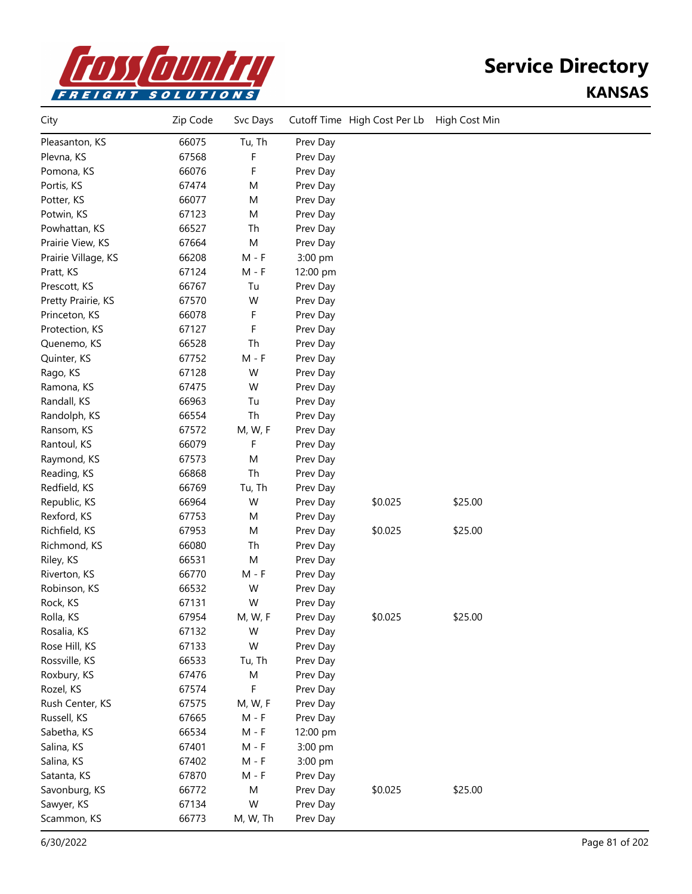

| City                | Zip Code | Svc Days |          | Cutoff Time High Cost Per Lb | High Cost Min |  |
|---------------------|----------|----------|----------|------------------------------|---------------|--|
| Pleasanton, KS      | 66075    | Tu, Th   | Prev Day |                              |               |  |
| Plevna, KS          | 67568    | F        | Prev Day |                              |               |  |
| Pomona, KS          | 66076    | F        | Prev Day |                              |               |  |
| Portis, KS          | 67474    | M        | Prev Day |                              |               |  |
| Potter, KS          | 66077    | M        | Prev Day |                              |               |  |
| Potwin, KS          | 67123    | M        | Prev Day |                              |               |  |
| Powhattan, KS       | 66527    | Th       | Prev Day |                              |               |  |
| Prairie View, KS    | 67664    | M        | Prev Day |                              |               |  |
| Prairie Village, KS | 66208    | $M - F$  | 3:00 pm  |                              |               |  |
| Pratt, KS           | 67124    | $M - F$  | 12:00 pm |                              |               |  |
| Prescott, KS        | 66767    | Tu       | Prev Day |                              |               |  |
| Pretty Prairie, KS  | 67570    | W        | Prev Day |                              |               |  |
| Princeton, KS       | 66078    | F        | Prev Day |                              |               |  |
| Protection, KS      | 67127    | F        | Prev Day |                              |               |  |
| Quenemo, KS         | 66528    | Th       | Prev Day |                              |               |  |
| Quinter, KS         | 67752    | $M - F$  | Prev Day |                              |               |  |
| Rago, KS            | 67128    | W        | Prev Day |                              |               |  |
| Ramona, KS          | 67475    | W        | Prev Day |                              |               |  |
| Randall, KS         | 66963    | Tu       | Prev Day |                              |               |  |
| Randolph, KS        | 66554    | Th       | Prev Day |                              |               |  |
| Ransom, KS          | 67572    | M, W, F  | Prev Day |                              |               |  |
| Rantoul, KS         | 66079    | F        | Prev Day |                              |               |  |
| Raymond, KS         | 67573    | M        | Prev Day |                              |               |  |
| Reading, KS         | 66868    | Th       | Prev Day |                              |               |  |
| Redfield, KS        | 66769    | Tu, Th   | Prev Day |                              |               |  |
| Republic, KS        | 66964    | W        | Prev Day | \$0.025                      | \$25.00       |  |
| Rexford, KS         | 67753    | M        | Prev Day |                              |               |  |
| Richfield, KS       | 67953    | M        | Prev Day | \$0.025                      | \$25.00       |  |
| Richmond, KS        | 66080    | Th       | Prev Day |                              |               |  |
| Riley, KS           | 66531    | M        | Prev Day |                              |               |  |
| Riverton, KS        | 66770    | $M - F$  | Prev Day |                              |               |  |
| Robinson, KS        | 66532    | W        | Prev Day |                              |               |  |
| Rock, KS            | 67131    | W        | Prev Day |                              |               |  |
| Rolla, KS           | 67954    | M, W, F  | Prev Day | \$0.025                      | \$25.00       |  |
| Rosalia, KS         | 67132    | W        | Prev Day |                              |               |  |
| Rose Hill, KS       | 67133    | W        | Prev Day |                              |               |  |
| Rossville, KS       | 66533    | Tu, Th   | Prev Day |                              |               |  |
| Roxbury, KS         | 67476    | M        | Prev Day |                              |               |  |
| Rozel, KS           | 67574    | F        | Prev Day |                              |               |  |
| Rush Center, KS     | 67575    | M, W, F  | Prev Day |                              |               |  |
| Russell, KS         | 67665    | $M - F$  | Prev Day |                              |               |  |
| Sabetha, KS         | 66534    | $M - F$  | 12:00 pm |                              |               |  |
| Salina, KS          | 67401    | $M - F$  | 3:00 pm  |                              |               |  |
| Salina, KS          | 67402    | $M - F$  | 3:00 pm  |                              |               |  |
| Satanta, KS         | 67870    | $M - F$  | Prev Day |                              |               |  |
| Savonburg, KS       | 66772    | M        | Prev Day | \$0.025                      | \$25.00       |  |
| Sawyer, KS          | 67134    | W        | Prev Day |                              |               |  |
| Scammon, KS         | 66773    | M, W, Th | Prev Day |                              |               |  |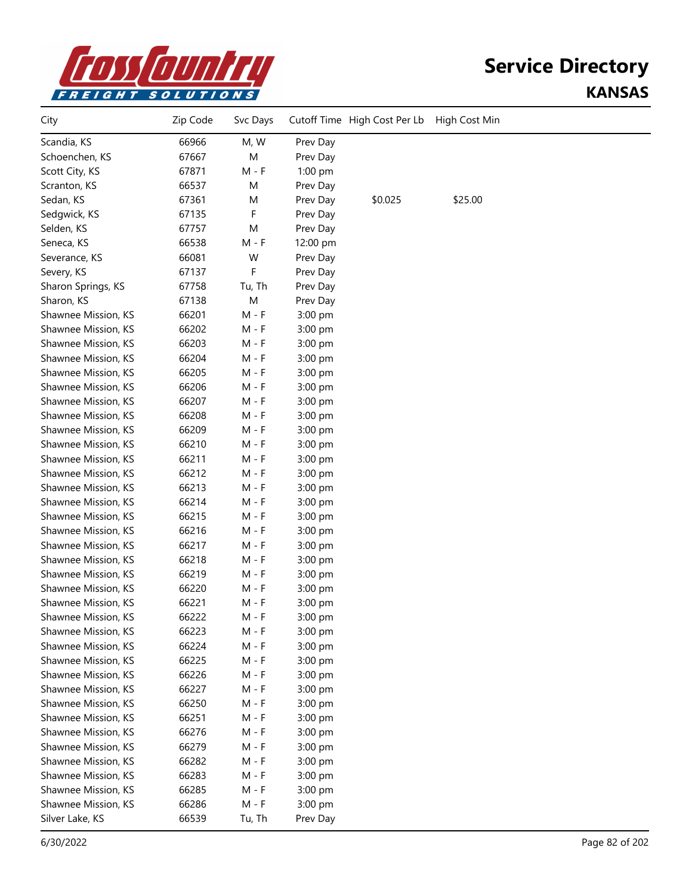

| City                | Zip Code | Svc Days |           | Cutoff Time High Cost Per Lb | High Cost Min |  |
|---------------------|----------|----------|-----------|------------------------------|---------------|--|
| Scandia, KS         | 66966    | M, W     | Prev Day  |                              |               |  |
| Schoenchen, KS      | 67667    | M        | Prev Day  |                              |               |  |
| Scott City, KS      | 67871    | M - F    | $1:00$ pm |                              |               |  |
| Scranton, KS        | 66537    | M        | Prev Day  |                              |               |  |
| Sedan, KS           | 67361    | M        | Prev Day  | \$0.025                      | \$25.00       |  |
| Sedgwick, KS        | 67135    | F        | Prev Day  |                              |               |  |
| Selden, KS          | 67757    | M        | Prev Day  |                              |               |  |
| Seneca, KS          | 66538    | $M - F$  | 12:00 pm  |                              |               |  |
| Severance, KS       | 66081    | W        | Prev Day  |                              |               |  |
| Severy, KS          | 67137    | F        | Prev Day  |                              |               |  |
| Sharon Springs, KS  | 67758    | Tu, Th   | Prev Day  |                              |               |  |
| Sharon, KS          | 67138    | M        | Prev Day  |                              |               |  |
| Shawnee Mission, KS | 66201    | M - F    | 3:00 pm   |                              |               |  |
| Shawnee Mission, KS | 66202    | M - F    | 3:00 pm   |                              |               |  |
| Shawnee Mission, KS | 66203    | M - F    | 3:00 pm   |                              |               |  |
| Shawnee Mission, KS | 66204    | M - F    | 3:00 pm   |                              |               |  |
| Shawnee Mission, KS | 66205    | M - F    | 3:00 pm   |                              |               |  |
| Shawnee Mission, KS | 66206    | M - F    | 3:00 pm   |                              |               |  |
| Shawnee Mission, KS | 66207    | M - F    | 3:00 pm   |                              |               |  |
| Shawnee Mission, KS | 66208    | M - F    | 3:00 pm   |                              |               |  |
| Shawnee Mission, KS | 66209    | M - F    | 3:00 pm   |                              |               |  |
| Shawnee Mission, KS | 66210    | M - F    | 3:00 pm   |                              |               |  |
| Shawnee Mission, KS | 66211    | M - F    | 3:00 pm   |                              |               |  |
| Shawnee Mission, KS | 66212    | M - F    | 3:00 pm   |                              |               |  |
| Shawnee Mission, KS | 66213    | M - F    | 3:00 pm   |                              |               |  |
| Shawnee Mission, KS | 66214    | M - F    | 3:00 pm   |                              |               |  |
| Shawnee Mission, KS | 66215    | M - F    | 3:00 pm   |                              |               |  |
| Shawnee Mission, KS | 66216    | M - F    | 3:00 pm   |                              |               |  |
| Shawnee Mission, KS | 66217    | M - F    | 3:00 pm   |                              |               |  |
| Shawnee Mission, KS | 66218    | M - F    | 3:00 pm   |                              |               |  |
| Shawnee Mission, KS | 66219    | M - F    | 3:00 pm   |                              |               |  |
| Shawnee Mission, KS | 66220    | M - F    | 3:00 pm   |                              |               |  |
| Shawnee Mission, KS | 66221    | M - F    | 3:00 pm   |                              |               |  |
| Shawnee Mission, KS | 66222    | $M - F$  | 3:00 pm   |                              |               |  |
| Shawnee Mission, KS | 66223    | M - F    | 3:00 pm   |                              |               |  |
| Shawnee Mission, KS | 66224    | $M - F$  | 3:00 pm   |                              |               |  |
| Shawnee Mission, KS | 66225    | M - F    | 3:00 pm   |                              |               |  |
| Shawnee Mission, KS | 66226    | M - F    | 3:00 pm   |                              |               |  |
| Shawnee Mission, KS | 66227    | M - F    | 3:00 pm   |                              |               |  |
| Shawnee Mission, KS | 66250    | M - F    | 3:00 pm   |                              |               |  |
| Shawnee Mission, KS | 66251    | M - F    | 3:00 pm   |                              |               |  |
| Shawnee Mission, KS | 66276    | $M - F$  | 3:00 pm   |                              |               |  |
| Shawnee Mission, KS | 66279    | M - F    | 3:00 pm   |                              |               |  |
| Shawnee Mission, KS | 66282    | M - F    | 3:00 pm   |                              |               |  |
| Shawnee Mission, KS | 66283    | M - F    | 3:00 pm   |                              |               |  |
| Shawnee Mission, KS | 66285    | M - F    | 3:00 pm   |                              |               |  |
| Shawnee Mission, KS | 66286    | $M - F$  | 3:00 pm   |                              |               |  |
| Silver Lake, KS     | 66539    | Tu, Th   | Prev Day  |                              |               |  |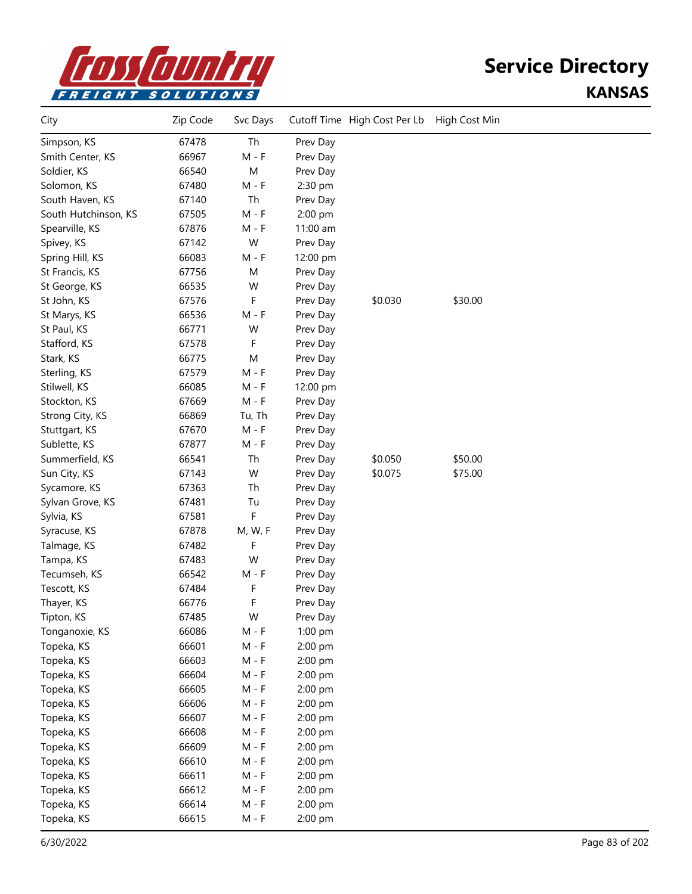

| City                 | Zip Code | Svc Days |          | Cutoff Time High Cost Per Lb | High Cost Min |  |
|----------------------|----------|----------|----------|------------------------------|---------------|--|
| Simpson, KS          | 67478    | Th       | Prev Day |                              |               |  |
| Smith Center, KS     | 66967    | $M - F$  | Prev Day |                              |               |  |
| Soldier, KS          | 66540    | M        | Prev Day |                              |               |  |
| Solomon, KS          | 67480    | $M - F$  | 2:30 pm  |                              |               |  |
| South Haven, KS      | 67140    | Th       | Prev Day |                              |               |  |
| South Hutchinson, KS | 67505    | $M - F$  | 2:00 pm  |                              |               |  |
| Spearville, KS       | 67876    | $M - F$  | 11:00 am |                              |               |  |
| Spivey, KS           | 67142    | W        | Prev Day |                              |               |  |
| Spring Hill, KS      | 66083    | $M - F$  | 12:00 pm |                              |               |  |
| St Francis, KS       | 67756    | M        | Prev Day |                              |               |  |
| St George, KS        | 66535    | W        | Prev Day |                              |               |  |
| St John, KS          | 67576    | F        | Prev Day | \$0.030                      | \$30.00       |  |
| St Marys, KS         | 66536    | $M - F$  | Prev Day |                              |               |  |
| St Paul, KS          | 66771    | W        | Prev Day |                              |               |  |
| Stafford, KS         | 67578    | F        | Prev Day |                              |               |  |
| Stark, KS            | 66775    | M        | Prev Day |                              |               |  |
| Sterling, KS         | 67579    | $M - F$  | Prev Day |                              |               |  |
| Stilwell, KS         | 66085    | $M - F$  | 12:00 pm |                              |               |  |
| Stockton, KS         | 67669    | $M - F$  | Prev Day |                              |               |  |
| Strong City, KS      | 66869    | Tu, Th   | Prev Day |                              |               |  |
| Stuttgart, KS        | 67670    | $M - F$  | Prev Day |                              |               |  |
| Sublette, KS         | 67877    | $M - F$  | Prev Day |                              |               |  |
| Summerfield, KS      | 66541    | Th       | Prev Day | \$0.050                      | \$50.00       |  |
| Sun City, KS         | 67143    | W        | Prev Day | \$0.075                      | \$75.00       |  |
| Sycamore, KS         | 67363    | Th       | Prev Day |                              |               |  |
| Sylvan Grove, KS     | 67481    | Tu       | Prev Day |                              |               |  |
| Sylvia, KS           | 67581    | F        | Prev Day |                              |               |  |
| Syracuse, KS         | 67878    | M, W, F  | Prev Day |                              |               |  |
| Talmage, KS          | 67482    | F        | Prev Day |                              |               |  |
| Tampa, KS            | 67483    | W        | Prev Day |                              |               |  |
| Tecumseh, KS         | 66542    | M - F    | Prev Day |                              |               |  |
| Tescott, KS          | 67484    | F        | Prev Day |                              |               |  |
| Thayer, KS           | 66776    | F        | Prev Day |                              |               |  |
| Tipton, KS           | 67485    | W        | Prev Day |                              |               |  |
| Tonganoxie, KS       | 66086    | $M - F$  | 1:00 pm  |                              |               |  |
| Topeka, KS           | 66601    | $M - F$  | 2:00 pm  |                              |               |  |
| Topeka, KS           | 66603    | $M - F$  | 2:00 pm  |                              |               |  |
| Topeka, KS           | 66604    | $M - F$  | 2:00 pm  |                              |               |  |
| Topeka, KS           | 66605    | $M - F$  | 2:00 pm  |                              |               |  |
| Topeka, KS           | 66606    | $M - F$  | 2:00 pm  |                              |               |  |
| Topeka, KS           | 66607    | $M - F$  | 2:00 pm  |                              |               |  |
| Topeka, KS           | 66608    | $M - F$  | 2:00 pm  |                              |               |  |
| Topeka, KS           | 66609    | $M - F$  | 2:00 pm  |                              |               |  |
| Topeka, KS           | 66610    | $M - F$  | 2:00 pm  |                              |               |  |
| Topeka, KS           | 66611    | $M - F$  | 2:00 pm  |                              |               |  |
| Topeka, KS           | 66612    | $M - F$  | 2:00 pm  |                              |               |  |
| Topeka, KS           | 66614    | $M - F$  | 2:00 pm  |                              |               |  |
| Topeka, KS           | 66615    | $M - F$  | 2:00 pm  |                              |               |  |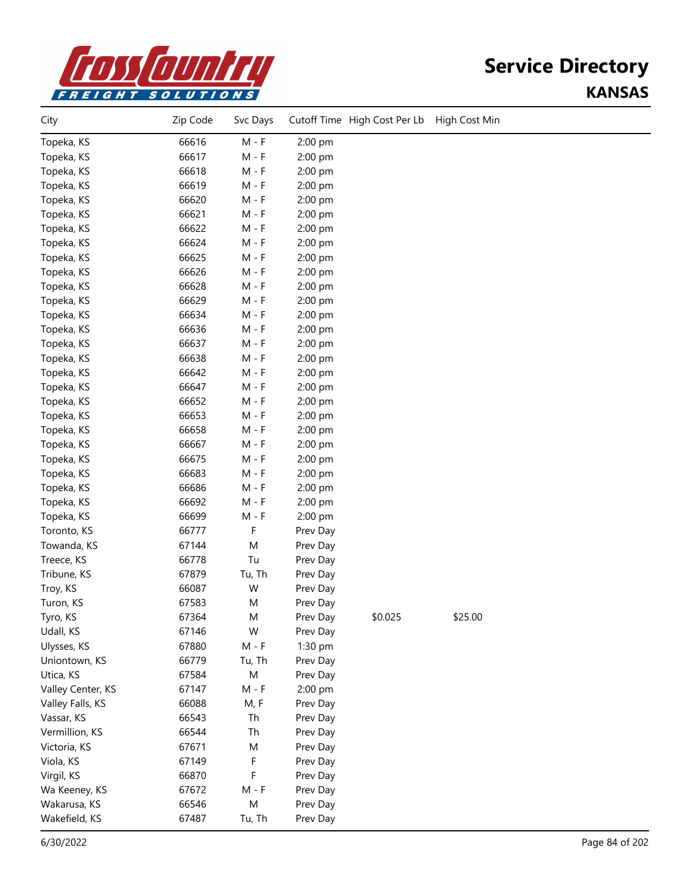

| City              | Zip Code | Svc Days  |          | Cutoff Time High Cost Per Lb | High Cost Min |  |
|-------------------|----------|-----------|----------|------------------------------|---------------|--|
| Topeka, KS        | 66616    | $M - F$   | 2:00 pm  |                              |               |  |
| Topeka, KS        | 66617    | $M - F$   | 2:00 pm  |                              |               |  |
| Topeka, KS        | 66618    | $M - F$   | 2:00 pm  |                              |               |  |
| Topeka, KS        | 66619    | $M - F$   | 2:00 pm  |                              |               |  |
| Topeka, KS        | 66620    | $M - F$   | 2:00 pm  |                              |               |  |
| Topeka, KS        | 66621    | $M - F$   | 2:00 pm  |                              |               |  |
| Topeka, KS        | 66622    | $M - F$   | 2:00 pm  |                              |               |  |
| Topeka, KS        | 66624    | $M - F$   | 2:00 pm  |                              |               |  |
| Topeka, KS        | 66625    | $M - F$   | 2:00 pm  |                              |               |  |
| Topeka, KS        | 66626    | $M - F$   | 2:00 pm  |                              |               |  |
| Topeka, KS        | 66628    | $M - F$   | 2:00 pm  |                              |               |  |
| Topeka, KS        | 66629    | $M - F$   | 2:00 pm  |                              |               |  |
| Topeka, KS        | 66634    | $M - F$   | 2:00 pm  |                              |               |  |
| Topeka, KS        | 66636    | $M - F$   | 2:00 pm  |                              |               |  |
| Topeka, KS        | 66637    | $M - F$   | 2:00 pm  |                              |               |  |
| Topeka, KS        | 66638    | $M - F$   | 2:00 pm  |                              |               |  |
| Topeka, KS        | 66642    | $M - F$   | 2:00 pm  |                              |               |  |
| Topeka, KS        | 66647    | $M - F$   | 2:00 pm  |                              |               |  |
| Topeka, KS        | 66652    | $M - F$   | 2:00 pm  |                              |               |  |
| Topeka, KS        | 66653    | $M - F$   | 2:00 pm  |                              |               |  |
| Topeka, KS        | 66658    | $M - F$   | 2:00 pm  |                              |               |  |
| Topeka, KS        | 66667    | $M - F$   | 2:00 pm  |                              |               |  |
| Topeka, KS        | 66675    | $M - F$   | 2:00 pm  |                              |               |  |
| Topeka, KS        | 66683    | $M - F$   | 2:00 pm  |                              |               |  |
| Topeka, KS        | 66686    | $M - F$   | 2:00 pm  |                              |               |  |
| Topeka, KS        | 66692    | $M - F$   | 2:00 pm  |                              |               |  |
| Topeka, KS        | 66699    | $M - F$   | 2:00 pm  |                              |               |  |
| Toronto, KS       | 66777    | F         | Prev Day |                              |               |  |
| Towanda, KS       | 67144    | M         | Prev Day |                              |               |  |
| Treece, KS        | 66778    | Tu        | Prev Day |                              |               |  |
| Tribune, KS       | 67879    | Tu, Th    | Prev Day |                              |               |  |
| Troy, KS          | 66087    | W         | Prev Day |                              |               |  |
| Turon, KS         | 67583    | M         | Prev Day |                              |               |  |
| Tyro, KS          | 67364    | M         | Prev Day | \$0.025                      | \$25.00       |  |
| Udall, KS         | 67146    | W         | Prev Day |                              |               |  |
| Ulysses, KS       | 67880    | $M - F$   | 1:30 pm  |                              |               |  |
| Uniontown, KS     | 66779    | Tu, Th    | Prev Day |                              |               |  |
| Utica, KS         | 67584    | ${\sf M}$ | Prev Day |                              |               |  |
| Valley Center, KS | 67147    | $M - F$   | 2:00 pm  |                              |               |  |
| Valley Falls, KS  | 66088    | M, F      | Prev Day |                              |               |  |
| Vassar, KS        | 66543    | Th        | Prev Day |                              |               |  |
| Vermillion, KS    | 66544    | Th        | Prev Day |                              |               |  |
| Victoria, KS      | 67671    | M         | Prev Day |                              |               |  |
| Viola, KS         | 67149    | F         | Prev Day |                              |               |  |
| Virgil, KS        | 66870    | F         | Prev Day |                              |               |  |
| Wa Keeney, KS     | 67672    | $M - F$   | Prev Day |                              |               |  |
| Wakarusa, KS      | 66546    | ${\sf M}$ | Prev Day |                              |               |  |
| Wakefield, KS     | 67487    | Tu, Th    | Prev Day |                              |               |  |
|                   |          |           |          |                              |               |  |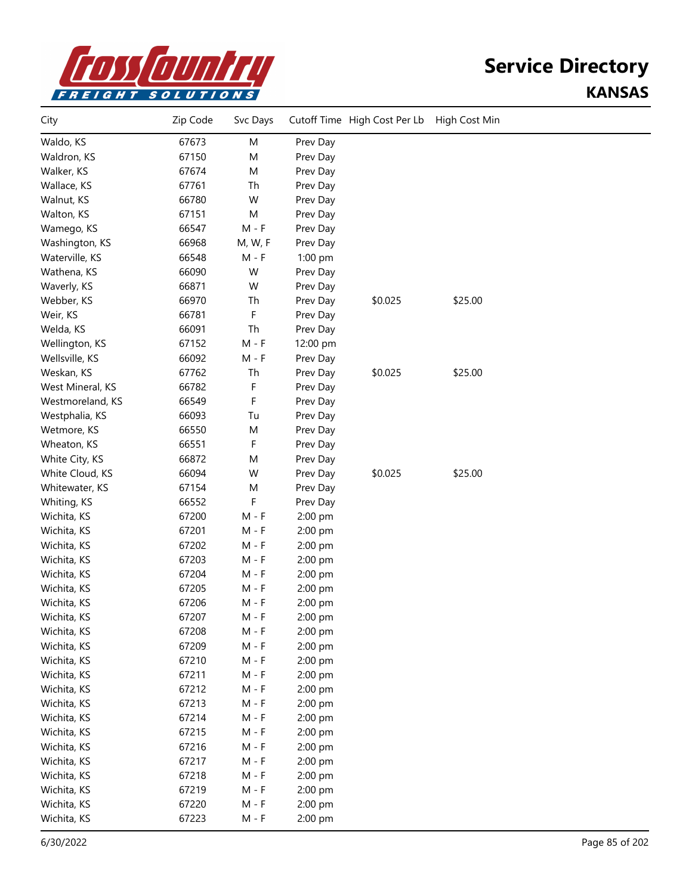

| City             | Zip Code | Svc Days |          | Cutoff Time High Cost Per Lb | High Cost Min |  |
|------------------|----------|----------|----------|------------------------------|---------------|--|
| Waldo, KS        | 67673    | M        | Prev Day |                              |               |  |
| Waldron, KS      | 67150    | M        | Prev Day |                              |               |  |
| Walker, KS       | 67674    | M        | Prev Day |                              |               |  |
| Wallace, KS      | 67761    | Th       | Prev Day |                              |               |  |
| Walnut, KS       | 66780    | W        | Prev Day |                              |               |  |
| Walton, KS       | 67151    | M        | Prev Day |                              |               |  |
| Wamego, KS       | 66547    | $M - F$  | Prev Day |                              |               |  |
| Washington, KS   | 66968    | M, W, F  | Prev Day |                              |               |  |
| Waterville, KS   | 66548    | $M - F$  | 1:00 pm  |                              |               |  |
| Wathena, KS      | 66090    | W        | Prev Day |                              |               |  |
| Waverly, KS      | 66871    | W        | Prev Day |                              |               |  |
| Webber, KS       | 66970    | Th       | Prev Day | \$0.025                      | \$25.00       |  |
| Weir, KS         | 66781    | F        | Prev Day |                              |               |  |
| Welda, KS        | 66091    | Th       | Prev Day |                              |               |  |
| Wellington, KS   | 67152    | $M - F$  | 12:00 pm |                              |               |  |
| Wellsville, KS   | 66092    | $M - F$  | Prev Day |                              |               |  |
| Weskan, KS       | 67762    | Th       | Prev Day | \$0.025                      | \$25.00       |  |
| West Mineral, KS | 66782    | F        | Prev Day |                              |               |  |
| Westmoreland, KS | 66549    | F        | Prev Day |                              |               |  |
| Westphalia, KS   | 66093    | Tu       | Prev Day |                              |               |  |
| Wetmore, KS      | 66550    | M        | Prev Day |                              |               |  |
| Wheaton, KS      | 66551    | F        | Prev Day |                              |               |  |
| White City, KS   | 66872    | M        | Prev Day |                              |               |  |
| White Cloud, KS  | 66094    | W        | Prev Day | \$0.025                      | \$25.00       |  |
| Whitewater, KS   | 67154    | M        | Prev Day |                              |               |  |
| Whiting, KS      | 66552    | F        | Prev Day |                              |               |  |
| Wichita, KS      | 67200    | $M - F$  | 2:00 pm  |                              |               |  |
| Wichita, KS      | 67201    | $M - F$  | 2:00 pm  |                              |               |  |
| Wichita, KS      | 67202    | M - F    | 2:00 pm  |                              |               |  |
| Wichita, KS      | 67203    | M - F    | 2:00 pm  |                              |               |  |
| Wichita, KS      | 67204    | M - F    | 2:00 pm  |                              |               |  |
| Wichita, KS      | 67205    | M - F    | 2:00 pm  |                              |               |  |
| Wichita, KS      | 67206    | M - F    | 2:00 pm  |                              |               |  |
| Wichita, KS      | 67207    | M - F    | 2:00 pm  |                              |               |  |
| Wichita, KS      | 67208    | $M - F$  | 2:00 pm  |                              |               |  |
| Wichita, KS      | 67209    | $M - F$  | 2:00 pm  |                              |               |  |
| Wichita, KS      | 67210    | $M - F$  | 2:00 pm  |                              |               |  |
| Wichita, KS      | 67211    | $M - F$  | 2:00 pm  |                              |               |  |
| Wichita, KS      | 67212    | $M - F$  | 2:00 pm  |                              |               |  |
| Wichita, KS      | 67213    | $M - F$  | 2:00 pm  |                              |               |  |
| Wichita, KS      | 67214    | $M - F$  | 2:00 pm  |                              |               |  |
| Wichita, KS      | 67215    | $M - F$  | 2:00 pm  |                              |               |  |
| Wichita, KS      | 67216    | $M - F$  | 2:00 pm  |                              |               |  |
| Wichita, KS      | 67217    | $M - F$  | 2:00 pm  |                              |               |  |
| Wichita, KS      | 67218    | $M - F$  | 2:00 pm  |                              |               |  |
| Wichita, KS      | 67219    | $M - F$  | 2:00 pm  |                              |               |  |
| Wichita, KS      | 67220    | $M - F$  | 2:00 pm  |                              |               |  |
| Wichita, KS      | 67223    | $M - F$  | 2:00 pm  |                              |               |  |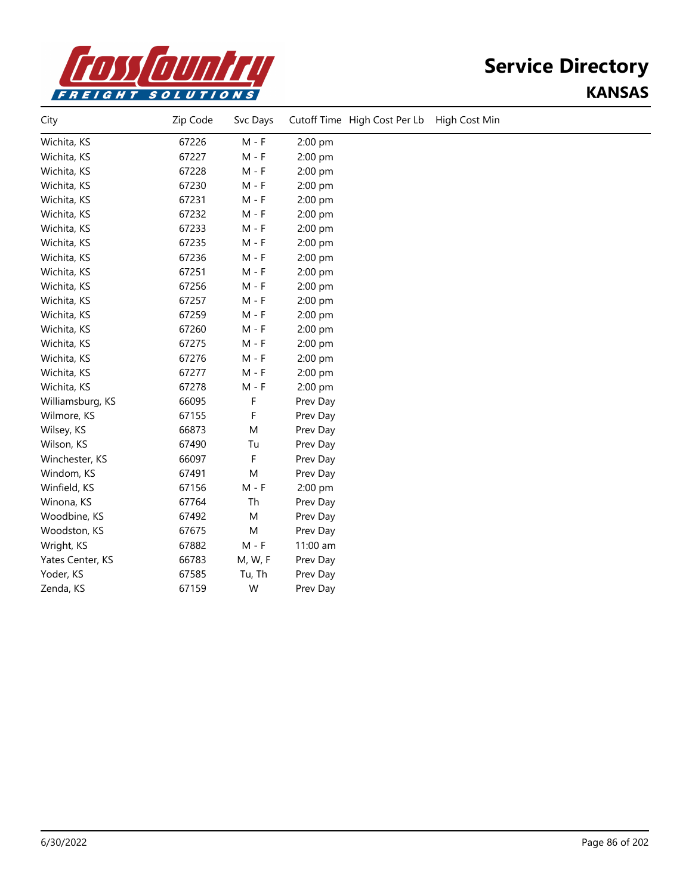

| City             | Zip Code | Svc Days | Cutoff Time High Cost Per Lb | High Cost Min |
|------------------|----------|----------|------------------------------|---------------|
| Wichita, KS      | 67226    | $M - F$  | 2:00 pm                      |               |
| Wichita, KS      | 67227    | $M - F$  | 2:00 pm                      |               |
| Wichita, KS      | 67228    | $M - F$  | 2:00 pm                      |               |
| Wichita, KS      | 67230    | $M - F$  | 2:00 pm                      |               |
| Wichita, KS      | 67231    | $M - F$  | 2:00 pm                      |               |
| Wichita, KS      | 67232    | $M - F$  | 2:00 pm                      |               |
| Wichita, KS      | 67233    | $M - F$  | 2:00 pm                      |               |
| Wichita, KS      | 67235    | $M - F$  | 2:00 pm                      |               |
| Wichita, KS      | 67236    | $M - F$  | 2:00 pm                      |               |
| Wichita, KS      | 67251    | $M - F$  | 2:00 pm                      |               |
| Wichita, KS      | 67256    | $M - F$  | 2:00 pm                      |               |
| Wichita, KS      | 67257    | $M - F$  | 2:00 pm                      |               |
| Wichita, KS      | 67259    | $M - F$  | 2:00 pm                      |               |
| Wichita, KS      | 67260    | $M - F$  | 2:00 pm                      |               |
| Wichita, KS      | 67275    | $M - F$  | 2:00 pm                      |               |
| Wichita, KS      | 67276    | $M - F$  | 2:00 pm                      |               |
| Wichita, KS      | 67277    | $M - F$  | 2:00 pm                      |               |
| Wichita, KS      | 67278    | $M - F$  | 2:00 pm                      |               |
| Williamsburg, KS | 66095    | F        | Prev Day                     |               |
| Wilmore, KS      | 67155    | F        | Prev Day                     |               |
| Wilsey, KS       | 66873    | M        | Prev Day                     |               |
| Wilson, KS       | 67490    | Tu       | Prev Day                     |               |
| Winchester, KS   | 66097    | F        | Prev Day                     |               |
| Windom, KS       | 67491    | M        | Prev Day                     |               |
| Winfield, KS     | 67156    | $M - F$  | 2:00 pm                      |               |
| Winona, KS       | 67764    | Th       | Prev Day                     |               |
| Woodbine, KS     | 67492    | M        | Prev Day                     |               |
| Woodston, KS     | 67675    | M        | Prev Day                     |               |
| Wright, KS       | 67882    | $M - F$  | 11:00 am                     |               |
| Yates Center, KS | 66783    | M, W, F  | Prev Day                     |               |
| Yoder, KS        | 67585    | Tu, Th   | Prev Day                     |               |
| Zenda, KS        | 67159    | W        | Prev Day                     |               |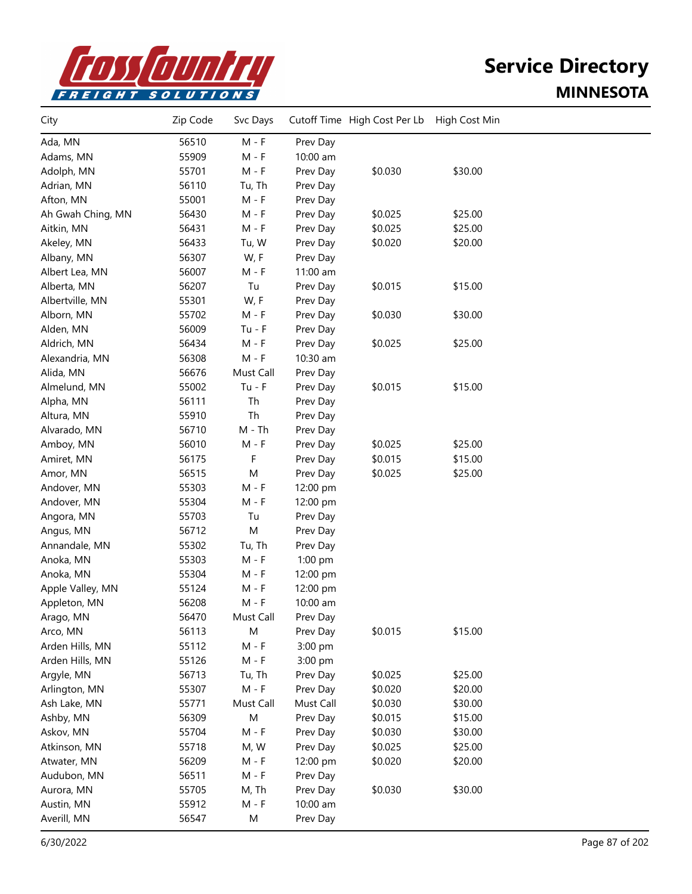

| City              | Zip Code | Svc Days  |           | Cutoff Time High Cost Per Lb | High Cost Min |  |
|-------------------|----------|-----------|-----------|------------------------------|---------------|--|
| Ada, MN           | 56510    | $M - F$   | Prev Day  |                              |               |  |
| Adams, MN         | 55909    | $M - F$   | 10:00 am  |                              |               |  |
| Adolph, MN        | 55701    | $M - F$   | Prev Day  | \$0.030                      | \$30.00       |  |
| Adrian, MN        | 56110    | Tu, Th    | Prev Day  |                              |               |  |
| Afton, MN         | 55001    | $M - F$   | Prev Day  |                              |               |  |
| Ah Gwah Ching, MN | 56430    | $M - F$   | Prev Day  | \$0.025                      | \$25.00       |  |
| Aitkin, MN        | 56431    | $M - F$   | Prev Day  | \$0.025                      | \$25.00       |  |
| Akeley, MN        | 56433    | Tu, W     | Prev Day  | \$0.020                      | \$20.00       |  |
| Albany, MN        | 56307    | W, F      | Prev Day  |                              |               |  |
| Albert Lea, MN    | 56007    | $M - F$   | 11:00 am  |                              |               |  |
| Alberta, MN       | 56207    | Tu        | Prev Day  | \$0.015                      | \$15.00       |  |
| Albertville, MN   | 55301    | W, F      | Prev Day  |                              |               |  |
| Alborn, MN        | 55702    | $M - F$   | Prev Day  | \$0.030                      | \$30.00       |  |
| Alden, MN         | 56009    | $Tu - F$  | Prev Day  |                              |               |  |
| Aldrich, MN       | 56434    | $M - F$   | Prev Day  | \$0.025                      | \$25.00       |  |
| Alexandria, MN    | 56308    | $M - F$   | 10:30 am  |                              |               |  |
| Alida, MN         | 56676    | Must Call | Prev Day  |                              |               |  |
| Almelund, MN      | 55002    | $Tu - F$  | Prev Day  | \$0.015                      | \$15.00       |  |
| Alpha, MN         | 56111    | Th        | Prev Day  |                              |               |  |
| Altura, MN        | 55910    | Th        | Prev Day  |                              |               |  |
| Alvarado, MN      | 56710    | $M - Th$  | Prev Day  |                              |               |  |
| Amboy, MN         | 56010    | $M - F$   | Prev Day  | \$0.025                      | \$25.00       |  |
| Amiret, MN        | 56175    | F         | Prev Day  | \$0.015                      | \$15.00       |  |
| Amor, MN          | 56515    | M         | Prev Day  | \$0.025                      | \$25.00       |  |
| Andover, MN       | 55303    | $M - F$   | 12:00 pm  |                              |               |  |
| Andover, MN       | 55304    | $M - F$   | 12:00 pm  |                              |               |  |
| Angora, MN        | 55703    | Tu        | Prev Day  |                              |               |  |
| Angus, MN         | 56712    | M         | Prev Day  |                              |               |  |
| Annandale, MN     | 55302    | Tu, Th    | Prev Day  |                              |               |  |
| Anoka, MN         | 55303    | $M - F$   | 1:00 pm   |                              |               |  |
| Anoka, MN         | 55304    | $M - F$   | 12:00 pm  |                              |               |  |
| Apple Valley, MN  | 55124    | $M - F$   | 12:00 pm  |                              |               |  |
| Appleton, MN      | 56208    | $M - F$   | 10:00 am  |                              |               |  |
| Arago, MN         | 56470    | Must Call | Prev Day  |                              |               |  |
| Arco, MN          | 56113    | M         | Prev Day  | \$0.015                      | \$15.00       |  |
| Arden Hills, MN   | 55112    | $M - F$   | 3:00 pm   |                              |               |  |
| Arden Hills, MN   | 55126    | $M - F$   | 3:00 pm   |                              |               |  |
| Argyle, MN        | 56713    | Tu, Th    | Prev Day  | \$0.025                      | \$25.00       |  |
| Arlington, MN     | 55307    | $M - F$   | Prev Day  | \$0.020                      | \$20.00       |  |
| Ash Lake, MN      | 55771    | Must Call | Must Call | \$0.030                      | \$30.00       |  |
| Ashby, MN         | 56309    | M         | Prev Day  | \$0.015                      | \$15.00       |  |
| Askov, MN         | 55704    | $M - F$   | Prev Day  | \$0.030                      | \$30.00       |  |
| Atkinson, MN      | 55718    | M, W      | Prev Day  | \$0.025                      | \$25.00       |  |
| Atwater, MN       | 56209    | $M - F$   | 12:00 pm  | \$0.020                      | \$20.00       |  |
| Audubon, MN       | 56511    | $M - F$   | Prev Day  |                              |               |  |
| Aurora, MN        | 55705    | M, Th     | Prev Day  | \$0.030                      | \$30.00       |  |
| Austin, MN        | 55912    | $M - F$   | 10:00 am  |                              |               |  |
| Averill, MN       | 56547    | M         | Prev Day  |                              |               |  |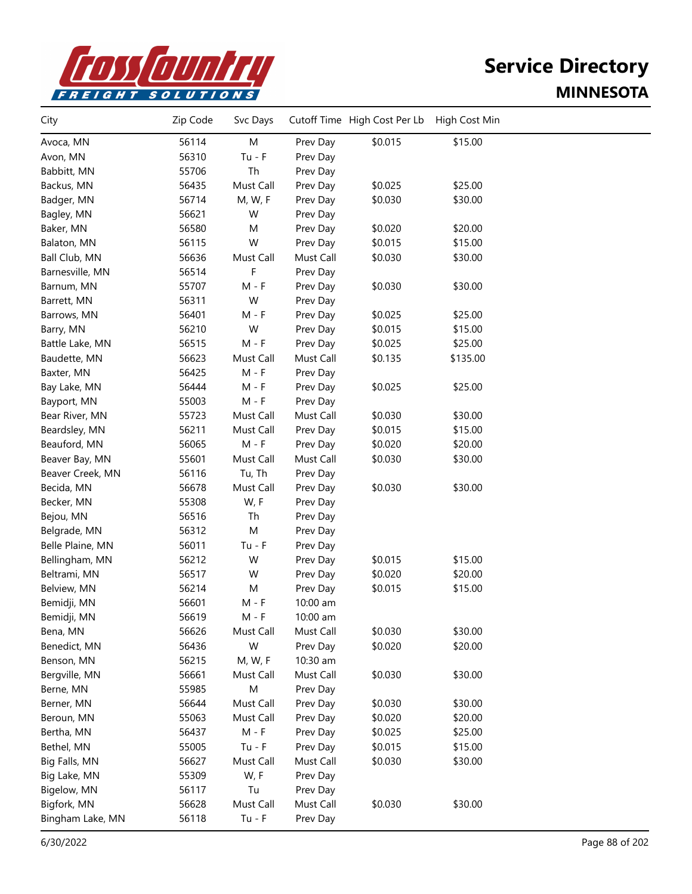

| City             | Zip Code | Svc Days  |           | Cutoff Time High Cost Per Lb | High Cost Min |  |
|------------------|----------|-----------|-----------|------------------------------|---------------|--|
| Avoca, MN        | 56114    | M         | Prev Day  | \$0.015                      | \$15.00       |  |
| Avon, MN         | 56310    | $Tu - F$  | Prev Day  |                              |               |  |
| Babbitt, MN      | 55706    | Th        | Prev Day  |                              |               |  |
| Backus, MN       | 56435    | Must Call | Prev Day  | \$0.025                      | \$25.00       |  |
| Badger, MN       | 56714    | M, W, F   | Prev Day  | \$0.030                      | \$30.00       |  |
| Bagley, MN       | 56621    | W         | Prev Day  |                              |               |  |
| Baker, MN        | 56580    | M         | Prev Day  | \$0.020                      | \$20.00       |  |
| Balaton, MN      | 56115    | W         | Prev Day  | \$0.015                      | \$15.00       |  |
| Ball Club, MN    | 56636    | Must Call | Must Call | \$0.030                      | \$30.00       |  |
| Barnesville, MN  | 56514    | F         | Prev Day  |                              |               |  |
| Barnum, MN       | 55707    | $M - F$   | Prev Day  | \$0.030                      | \$30.00       |  |
| Barrett, MN      | 56311    | W         | Prev Day  |                              |               |  |
| Barrows, MN      | 56401    | $M - F$   | Prev Day  | \$0.025                      | \$25.00       |  |
| Barry, MN        | 56210    | W         | Prev Day  | \$0.015                      | \$15.00       |  |
| Battle Lake, MN  | 56515    | $M - F$   | Prev Day  | \$0.025                      | \$25.00       |  |
| Baudette, MN     | 56623    | Must Call | Must Call | \$0.135                      | \$135.00      |  |
| Baxter, MN       | 56425    | $M - F$   | Prev Day  |                              |               |  |
| Bay Lake, MN     | 56444    | $M - F$   | Prev Day  | \$0.025                      | \$25.00       |  |
| Bayport, MN      | 55003    | $M - F$   | Prev Day  |                              |               |  |
| Bear River, MN   | 55723    | Must Call | Must Call | \$0.030                      | \$30.00       |  |
| Beardsley, MN    | 56211    | Must Call | Prev Day  | \$0.015                      | \$15.00       |  |
| Beauford, MN     | 56065    | $M - F$   | Prev Day  | \$0.020                      | \$20.00       |  |
| Beaver Bay, MN   | 55601    | Must Call | Must Call | \$0.030                      | \$30.00       |  |
| Beaver Creek, MN | 56116    | Tu, Th    | Prev Day  |                              |               |  |
| Becida, MN       | 56678    | Must Call | Prev Day  | \$0.030                      | \$30.00       |  |
| Becker, MN       | 55308    | W, F      | Prev Day  |                              |               |  |
| Bejou, MN        | 56516    | Th        | Prev Day  |                              |               |  |
| Belgrade, MN     | 56312    | M         | Prev Day  |                              |               |  |
| Belle Plaine, MN | 56011    | $Tu - F$  | Prev Day  |                              |               |  |
| Bellingham, MN   | 56212    | W         | Prev Day  | \$0.015                      | \$15.00       |  |
| Beltrami, MN     | 56517    | W         | Prev Day  | \$0.020                      | \$20.00       |  |
| Belview, MN      | 56214    | M         | Prev Day  | \$0.015                      | \$15.00       |  |
| Bemidji, MN      | 56601    | $M - F$   | 10:00 am  |                              |               |  |
| Bemidji, MN      | 56619    | M - F     | 10:00 am  |                              |               |  |
| Bena, MN         | 56626    | Must Call | Must Call | \$0.030                      | \$30.00       |  |
| Benedict, MN     | 56436    | W         | Prev Day  | \$0.020                      | \$20.00       |  |
| Benson, MN       | 56215    | M, W, F   | 10:30 am  |                              |               |  |
| Bergville, MN    | 56661    | Must Call | Must Call | \$0.030                      | \$30.00       |  |
| Berne, MN        | 55985    | M         | Prev Day  |                              |               |  |
| Berner, MN       | 56644    | Must Call | Prev Day  | \$0.030                      | \$30.00       |  |
| Beroun, MN       | 55063    | Must Call | Prev Day  | \$0.020                      | \$20.00       |  |
| Bertha, MN       | 56437    | $M - F$   | Prev Day  | \$0.025                      | \$25.00       |  |
| Bethel, MN       | 55005    | $Tu - F$  | Prev Day  | \$0.015                      | \$15.00       |  |
| Big Falls, MN    | 56627    | Must Call | Must Call | \$0.030                      | \$30.00       |  |
| Big Lake, MN     | 55309    | W, F      | Prev Day  |                              |               |  |
| Bigelow, MN      | 56117    | Tu        | Prev Day  |                              |               |  |
| Bigfork, MN      | 56628    | Must Call | Must Call | \$0.030                      | \$30.00       |  |
| Bingham Lake, MN | 56118    | $Tu - F$  | Prev Day  |                              |               |  |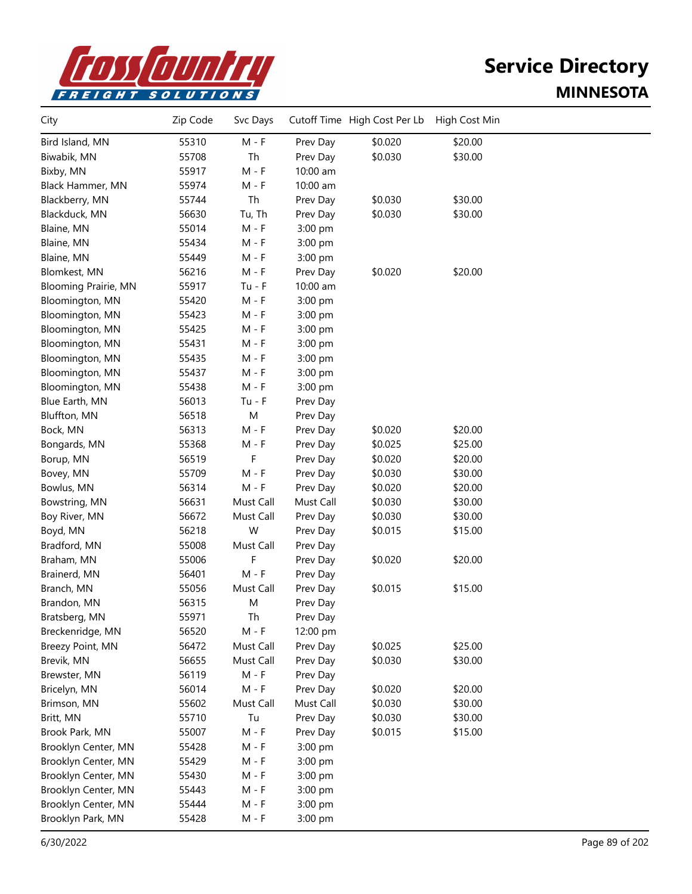

| City                        | Zip Code | Svc Days                    |           | Cutoff Time High Cost Per Lb | High Cost Min |  |
|-----------------------------|----------|-----------------------------|-----------|------------------------------|---------------|--|
| Bird Island, MN             | 55310    | $M - F$                     | Prev Day  | \$0.020                      | \$20.00       |  |
| Biwabik, MN                 | 55708    | Th                          | Prev Day  | \$0.030                      | \$30.00       |  |
| Bixby, MN                   | 55917    | $M - F$                     | 10:00 am  |                              |               |  |
| Black Hammer, MN            | 55974    | $M - F$                     | 10:00 am  |                              |               |  |
| Blackberry, MN              | 55744    | Th                          | Prev Day  | \$0.030                      | \$30.00       |  |
| Blackduck, MN               | 56630    | Tu, Th                      | Prev Day  | \$0.030                      | \$30.00       |  |
| Blaine, MN                  | 55014    | $M - F$                     | 3:00 pm   |                              |               |  |
| Blaine, MN                  | 55434    | $M - F$                     | 3:00 pm   |                              |               |  |
| Blaine, MN                  | 55449    | $M - F$                     | 3:00 pm   |                              |               |  |
| Blomkest, MN                | 56216    | $M - F$                     | Prev Day  | \$0.020                      | \$20.00       |  |
| <b>Blooming Prairie, MN</b> | 55917    | $Tu - F$                    | 10:00 am  |                              |               |  |
| Bloomington, MN             | 55420    | $M - F$                     | 3:00 pm   |                              |               |  |
| Bloomington, MN             | 55423    | $M - F$                     | 3:00 pm   |                              |               |  |
| Bloomington, MN             | 55425    | M - F                       | 3:00 pm   |                              |               |  |
| Bloomington, MN             | 55431    | $M - F$                     | 3:00 pm   |                              |               |  |
| Bloomington, MN             | 55435    | M - F                       | 3:00 pm   |                              |               |  |
| Bloomington, MN             | 55437    | M - F                       | 3:00 pm   |                              |               |  |
| Bloomington, MN             | 55438    | $M - F$                     | 3:00 pm   |                              |               |  |
| Blue Earth, MN              | 56013    | $Tu - F$                    | Prev Day  |                              |               |  |
| Bluffton, MN                | 56518    | M                           | Prev Day  |                              |               |  |
| Bock, MN                    | 56313    | $M - F$                     | Prev Day  | \$0.020                      | \$20.00       |  |
| Bongards, MN                | 55368    | M - F                       | Prev Day  | \$0.025                      | \$25.00       |  |
| Borup, MN                   | 56519    | F                           | Prev Day  | \$0.020                      | \$20.00       |  |
| Bovey, MN                   | 55709    | M - F                       | Prev Day  | \$0.030                      | \$30.00       |  |
| Bowlus, MN                  | 56314    | M - F                       | Prev Day  | \$0.020                      | \$20.00       |  |
| Bowstring, MN               | 56631    | Must Call                   | Must Call | \$0.030                      | \$30.00       |  |
| Boy River, MN               | 56672    | Must Call                   | Prev Day  | \$0.030                      | \$30.00       |  |
| Boyd, MN                    | 56218    | W                           | Prev Day  | \$0.015                      | \$15.00       |  |
| Bradford, MN                | 55008    | Must Call                   | Prev Day  |                              |               |  |
| Braham, MN                  | 55006    | F                           | Prev Day  | \$0.020                      | \$20.00       |  |
| Brainerd, MN                | 56401    | $M - F$                     | Prev Day  |                              |               |  |
| Branch, MN                  | 55056    | Must Call                   | Prev Day  | \$0.015                      | \$15.00       |  |
| Brandon, MN                 | 56315    | M                           | Prev Day  |                              |               |  |
| Bratsberg, MN               | 55971    | Th                          | Prev Day  |                              |               |  |
| Breckenridge, MN            | 56520    | M - F                       | 12:00 pm  |                              |               |  |
| Breezy Point, MN            | 56472    | Must Call                   | Prev Day  | \$0.025                      | \$25.00       |  |
| Brevik, MN                  | 56655    | Must Call                   | Prev Day  | \$0.030                      | \$30.00       |  |
| Brewster, MN                | 56119    | $M - F$                     | Prev Day  |                              |               |  |
| Bricelyn, MN                | 56014    | $M - F$                     | Prev Day  | \$0.020                      | \$20.00       |  |
| Brimson, MN                 | 55602    | Must Call                   | Must Call | \$0.030                      | \$30.00       |  |
| Britt, MN                   | 55710    | Tu                          | Prev Day  | \$0.030                      | \$30.00       |  |
| Brook Park, MN              | 55007    | $\mathsf{M}$ - $\mathsf{F}$ | Prev Day  | \$0.015                      | \$15.00       |  |
| Brooklyn Center, MN         | 55428    | $M - F$                     | 3:00 pm   |                              |               |  |
| Brooklyn Center, MN         | 55429    | $M - F$                     | 3:00 pm   |                              |               |  |
| Brooklyn Center, MN         | 55430    | $M - F$                     | 3:00 pm   |                              |               |  |
| Brooklyn Center, MN         | 55443    | $M - F$                     | 3:00 pm   |                              |               |  |
| Brooklyn Center, MN         | 55444    | $M - F$                     | 3:00 pm   |                              |               |  |
| Brooklyn Park, MN           | 55428    | $M - F$                     | 3:00 pm   |                              |               |  |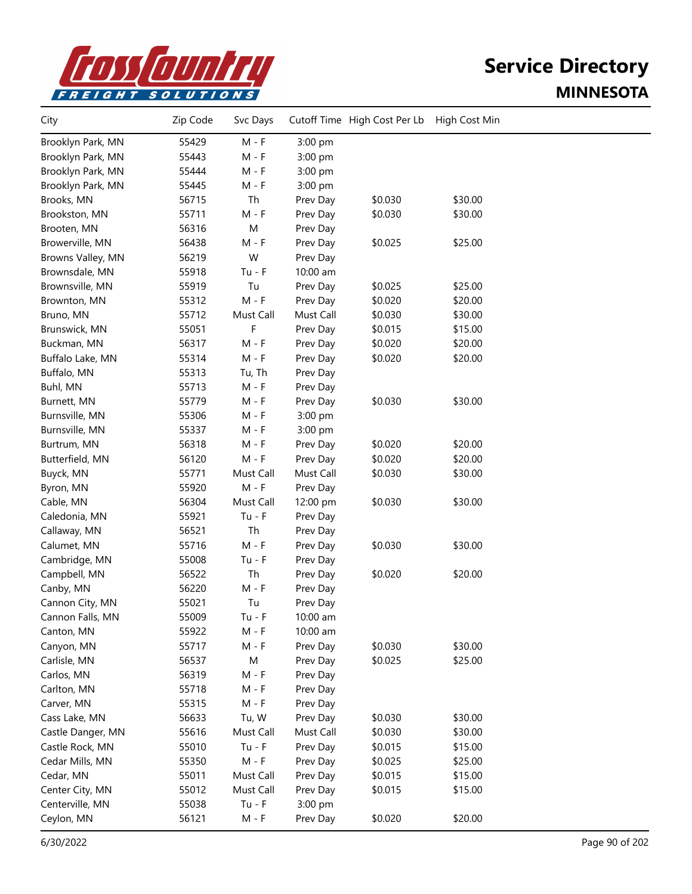

| City              | Zip Code | Svc Days  |           | Cutoff Time High Cost Per Lb | High Cost Min |  |
|-------------------|----------|-----------|-----------|------------------------------|---------------|--|
| Brooklyn Park, MN | 55429    | $M - F$   | 3:00 pm   |                              |               |  |
| Brooklyn Park, MN | 55443    | $M - F$   | 3:00 pm   |                              |               |  |
| Brooklyn Park, MN | 55444    | $M - F$   | 3:00 pm   |                              |               |  |
| Brooklyn Park, MN | 55445    | $M - F$   | 3:00 pm   |                              |               |  |
| Brooks, MN        | 56715    | Th        | Prev Day  | \$0.030                      | \$30.00       |  |
| Brookston, MN     | 55711    | $M - F$   | Prev Day  | \$0.030                      | \$30.00       |  |
| Brooten, MN       | 56316    | ${\sf M}$ | Prev Day  |                              |               |  |
| Browerville, MN   | 56438    | $M - F$   | Prev Day  | \$0.025                      | \$25.00       |  |
| Browns Valley, MN | 56219    | W         | Prev Day  |                              |               |  |
| Brownsdale, MN    | 55918    | $Tu - F$  | 10:00 am  |                              |               |  |
| Brownsville, MN   | 55919    | Tu        | Prev Day  | \$0.025                      | \$25.00       |  |
| Brownton, MN      | 55312    | $M - F$   | Prev Day  | \$0.020                      | \$20.00       |  |
| Bruno, MN         | 55712    | Must Call | Must Call | \$0.030                      | \$30.00       |  |
| Brunswick, MN     | 55051    | F         | Prev Day  | \$0.015                      | \$15.00       |  |
| Buckman, MN       | 56317    | $M - F$   | Prev Day  | \$0.020                      | \$20.00       |  |
| Buffalo Lake, MN  | 55314    | $M - F$   | Prev Day  | \$0.020                      | \$20.00       |  |
| Buffalo, MN       | 55313    | Tu, Th    | Prev Day  |                              |               |  |
| Buhl, MN          | 55713    | $M - F$   | Prev Day  |                              |               |  |
| Burnett, MN       | 55779    | $M - F$   | Prev Day  | \$0.030                      | \$30.00       |  |
| Burnsville, MN    | 55306    | $M - F$   | 3:00 pm   |                              |               |  |
| Burnsville, MN    | 55337    | $M - F$   | 3:00 pm   |                              |               |  |
| Burtrum, MN       | 56318    | $M - F$   | Prev Day  | \$0.020                      | \$20.00       |  |
| Butterfield, MN   | 56120    | $M - F$   | Prev Day  | \$0.020                      | \$20.00       |  |
| Buyck, MN         | 55771    | Must Call | Must Call | \$0.030                      | \$30.00       |  |
| Byron, MN         | 55920    | M - F     | Prev Day  |                              |               |  |
| Cable, MN         | 56304    | Must Call | 12:00 pm  | \$0.030                      | \$30.00       |  |
| Caledonia, MN     | 55921    | $Tu - F$  | Prev Day  |                              |               |  |
| Callaway, MN      | 56521    | Th        | Prev Day  |                              |               |  |
| Calumet, MN       | 55716    | $M - F$   | Prev Day  | \$0.030                      | \$30.00       |  |
| Cambridge, MN     | 55008    | $Tu - F$  | Prev Day  |                              |               |  |
| Campbell, MN      | 56522    | Th        | Prev Day  | \$0.020                      | \$20.00       |  |
| Canby, MN         | 56220    | $M - F$   | Prev Day  |                              |               |  |
| Cannon City, MN   | 55021    | Tu        | Prev Day  |                              |               |  |
| Cannon Falls, MN  | 55009    | Tu - F    | 10:00 am  |                              |               |  |
| Canton, MN        | 55922    | $M - F$   | 10:00 am  |                              |               |  |
| Canyon, MN        | 55717    | $M - F$   | Prev Day  | \$0.030                      | \$30.00       |  |
| Carlisle, MN      | 56537    | M         | Prev Day  | \$0.025                      | \$25.00       |  |
| Carlos, MN        | 56319    | $M - F$   | Prev Day  |                              |               |  |
| Carlton, MN       | 55718    | $M - F$   | Prev Day  |                              |               |  |
| Carver, MN        | 55315    | $M - F$   | Prev Day  |                              |               |  |
| Cass Lake, MN     | 56633    | Tu, W     | Prev Day  | \$0.030                      | \$30.00       |  |
| Castle Danger, MN | 55616    | Must Call | Must Call | \$0.030                      | \$30.00       |  |
| Castle Rock, MN   | 55010    | $Tu - F$  | Prev Day  | \$0.015                      | \$15.00       |  |
| Cedar Mills, MN   | 55350    | $M - F$   | Prev Day  | \$0.025                      | \$25.00       |  |
| Cedar, MN         | 55011    | Must Call | Prev Day  | \$0.015                      | \$15.00       |  |
| Center City, MN   | 55012    | Must Call | Prev Day  | \$0.015                      | \$15.00       |  |
| Centerville, MN   | 55038    | $Tu - F$  | 3:00 pm   |                              |               |  |
| Ceylon, MN        | 56121    | $M - F$   | Prev Day  | \$0.020                      | \$20.00       |  |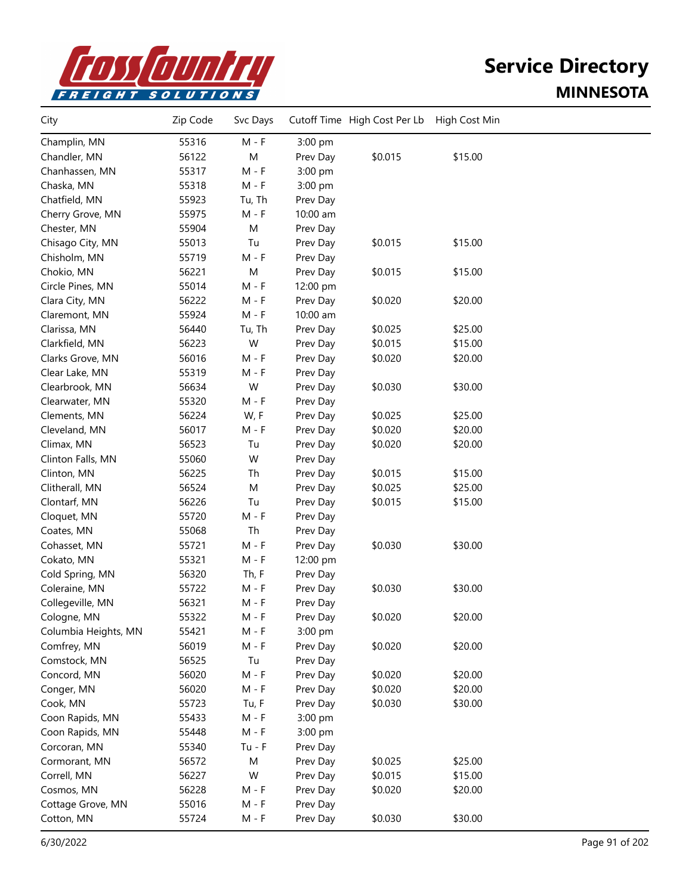

| City                 | Zip Code | Svc Days |          | Cutoff Time High Cost Per Lb | High Cost Min |  |
|----------------------|----------|----------|----------|------------------------------|---------------|--|
| Champlin, MN         | 55316    | $M - F$  | 3:00 pm  |                              |               |  |
| Chandler, MN         | 56122    | M        | Prev Day | \$0.015                      | \$15.00       |  |
| Chanhassen, MN       | 55317    | $M - F$  | 3:00 pm  |                              |               |  |
| Chaska, MN           | 55318    | $M - F$  | 3:00 pm  |                              |               |  |
| Chatfield, MN        | 55923    | Tu, Th   | Prev Day |                              |               |  |
| Cherry Grove, MN     | 55975    | $M - F$  | 10:00 am |                              |               |  |
| Chester, MN          | 55904    | M        | Prev Day |                              |               |  |
| Chisago City, MN     | 55013    | Tu       | Prev Day | \$0.015                      | \$15.00       |  |
| Chisholm, MN         | 55719    | $M - F$  | Prev Day |                              |               |  |
| Chokio, MN           | 56221    | M        | Prev Day | \$0.015                      | \$15.00       |  |
| Circle Pines, MN     | 55014    | $M - F$  | 12:00 pm |                              |               |  |
| Clara City, MN       | 56222    | M - F    | Prev Day | \$0.020                      | \$20.00       |  |
| Claremont, MN        | 55924    | $M - F$  | 10:00 am |                              |               |  |
| Clarissa, MN         | 56440    | Tu, Th   | Prev Day | \$0.025                      | \$25.00       |  |
| Clarkfield, MN       | 56223    | W        | Prev Day | \$0.015                      | \$15.00       |  |
| Clarks Grove, MN     | 56016    | $M - F$  | Prev Day | \$0.020                      | \$20.00       |  |
| Clear Lake, MN       | 55319    | $M - F$  | Prev Day |                              |               |  |
| Clearbrook, MN       | 56634    | W        | Prev Day | \$0.030                      | \$30.00       |  |
| Clearwater, MN       | 55320    | $M - F$  | Prev Day |                              |               |  |
| Clements, MN         | 56224    | W, F     | Prev Day | \$0.025                      | \$25.00       |  |
| Cleveland, MN        | 56017    | $M - F$  | Prev Day | \$0.020                      | \$20.00       |  |
| Climax, MN           | 56523    | Tu       | Prev Day | \$0.020                      | \$20.00       |  |
| Clinton Falls, MN    | 55060    | W        | Prev Day |                              |               |  |
| Clinton, MN          | 56225    | Th       | Prev Day | \$0.015                      | \$15.00       |  |
| Clitherall, MN       | 56524    | M        | Prev Day | \$0.025                      | \$25.00       |  |
| Clontarf, MN         | 56226    | Tu       | Prev Day | \$0.015                      | \$15.00       |  |
| Cloquet, MN          | 55720    | $M - F$  | Prev Day |                              |               |  |
| Coates, MN           | 55068    | Th       | Prev Day |                              |               |  |
| Cohasset, MN         | 55721    | M - F    | Prev Day | \$0.030                      | \$30.00       |  |
| Cokato, MN           | 55321    | $M - F$  | 12:00 pm |                              |               |  |
| Cold Spring, MN      | 56320    | Th, F    | Prev Day |                              |               |  |
| Coleraine, MN        | 55722    | $M - F$  | Prev Day | \$0.030                      | \$30.00       |  |
| Collegeville, MN     | 56321    | $M - F$  | Prev Day |                              |               |  |
| Cologne, MN          | 55322    | M - F    | Prev Day | \$0.020                      | \$20.00       |  |
| Columbia Heights, MN | 55421    | $M - F$  | 3:00 pm  |                              |               |  |
| Comfrey, MN          | 56019    | $M - F$  | Prev Day | \$0.020                      | \$20.00       |  |
| Comstock, MN         | 56525    | Tu       | Prev Day |                              |               |  |
| Concord, MN          | 56020    | $M - F$  | Prev Day | \$0.020                      | \$20.00       |  |
| Conger, MN           | 56020    | $M - F$  | Prev Day | \$0.020                      | \$20.00       |  |
| Cook, MN             | 55723    | Tu, F    | Prev Day | \$0.030                      | \$30.00       |  |
| Coon Rapids, MN      | 55433    | $M - F$  | 3:00 pm  |                              |               |  |
| Coon Rapids, MN      | 55448    | $M - F$  | 3:00 pm  |                              |               |  |
| Corcoran, MN         | 55340    | $Tu - F$ | Prev Day |                              |               |  |
| Cormorant, MN        | 56572    | M        | Prev Day | \$0.025                      | \$25.00       |  |
| Correll, MN          | 56227    | W        | Prev Day | \$0.015                      | \$15.00       |  |
| Cosmos, MN           | 56228    | M - F    | Prev Day | \$0.020                      | \$20.00       |  |
| Cottage Grove, MN    | 55016    | $M - F$  | Prev Day |                              |               |  |
| Cotton, MN           | 55724    | $M - F$  | Prev Day | \$0.030                      | \$30.00       |  |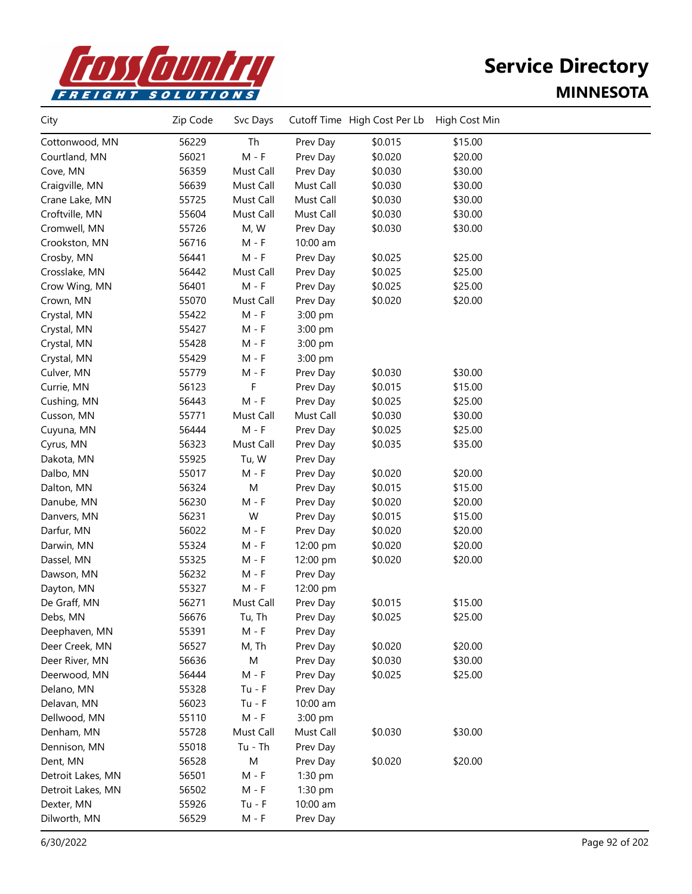

| City              | Zip Code | Svc Days  |           | Cutoff Time High Cost Per Lb | High Cost Min |  |
|-------------------|----------|-----------|-----------|------------------------------|---------------|--|
| Cottonwood, MN    | 56229    | Th        | Prev Day  | \$0.015                      | \$15.00       |  |
| Courtland, MN     | 56021    | $M - F$   | Prev Day  | \$0.020                      | \$20.00       |  |
| Cove, MN          | 56359    | Must Call | Prev Day  | \$0.030                      | \$30.00       |  |
| Craigville, MN    | 56639    | Must Call | Must Call | \$0.030                      | \$30.00       |  |
| Crane Lake, MN    | 55725    | Must Call | Must Call | \$0.030                      | \$30.00       |  |
| Croftville, MN    | 55604    | Must Call | Must Call | \$0.030                      | \$30.00       |  |
| Cromwell, MN      | 55726    | M, W      | Prev Day  | \$0.030                      | \$30.00       |  |
| Crookston, MN     | 56716    | M - F     | 10:00 am  |                              |               |  |
| Crosby, MN        | 56441    | $M - F$   | Prev Day  | \$0.025                      | \$25.00       |  |
| Crosslake, MN     | 56442    | Must Call | Prev Day  | \$0.025                      | \$25.00       |  |
| Crow Wing, MN     | 56401    | $M - F$   | Prev Day  | \$0.025                      | \$25.00       |  |
| Crown, MN         | 55070    | Must Call | Prev Day  | \$0.020                      | \$20.00       |  |
| Crystal, MN       | 55422    | $M - F$   | 3:00 pm   |                              |               |  |
| Crystal, MN       | 55427    | $M - F$   | 3:00 pm   |                              |               |  |
| Crystal, MN       | 55428    | $M - F$   | 3:00 pm   |                              |               |  |
| Crystal, MN       | 55429    | $M - F$   | 3:00 pm   |                              |               |  |
| Culver, MN        | 55779    | M - F     | Prev Day  | \$0.030                      | \$30.00       |  |
| Currie, MN        | 56123    | F         | Prev Day  | \$0.015                      | \$15.00       |  |
| Cushing, MN       | 56443    | $M - F$   | Prev Day  | \$0.025                      | \$25.00       |  |
| Cusson, MN        | 55771    | Must Call | Must Call | \$0.030                      | \$30.00       |  |
| Cuyuna, MN        | 56444    | $M - F$   | Prev Day  | \$0.025                      | \$25.00       |  |
| Cyrus, MN         | 56323    | Must Call | Prev Day  | \$0.035                      | \$35.00       |  |
| Dakota, MN        | 55925    | Tu, W     | Prev Day  |                              |               |  |
| Dalbo, MN         | 55017    | $M - F$   | Prev Day  | \$0.020                      | \$20.00       |  |
| Dalton, MN        | 56324    | M         | Prev Day  | \$0.015                      | \$15.00       |  |
| Danube, MN        | 56230    | $M - F$   | Prev Day  | \$0.020                      | \$20.00       |  |
| Danvers, MN       | 56231    | W         | Prev Day  | \$0.015                      | \$15.00       |  |
| Darfur, MN        | 56022    | M - F     | Prev Day  | \$0.020                      | \$20.00       |  |
| Darwin, MN        | 55324    | M - F     | 12:00 pm  | \$0.020                      | \$20.00       |  |
| Dassel, MN        | 55325    | $M - F$   | 12:00 pm  | \$0.020                      | \$20.00       |  |
| Dawson, MN        | 56232    | $M - F$   | Prev Day  |                              |               |  |
| Dayton, MN        | 55327    | $M - F$   | 12:00 pm  |                              |               |  |
| De Graff, MN      | 56271    | Must Call | Prev Day  | \$0.015                      | \$15.00       |  |
| Debs, MN          | 56676    | Tu, Th    | Prev Day  | \$0.025                      | \$25.00       |  |
| Deephaven, MN     | 55391    | M - F     | Prev Day  |                              |               |  |
| Deer Creek, MN    | 56527    | M, Th     | Prev Day  | \$0.020                      | \$20.00       |  |
| Deer River, MN    | 56636    | M         | Prev Day  | \$0.030                      | \$30.00       |  |
| Deerwood, MN      | 56444    | $M - F$   | Prev Day  | \$0.025                      | \$25.00       |  |
| Delano, MN        | 55328    | $Tu - F$  | Prev Day  |                              |               |  |
| Delavan, MN       | 56023    | $Tu - F$  | 10:00 am  |                              |               |  |
| Dellwood, MN      | 55110    | $M - F$   | 3:00 pm   |                              |               |  |
| Denham, MN        | 55728    | Must Call | Must Call | \$0.030                      | \$30.00       |  |
| Dennison, MN      | 55018    | $Tu - Th$ | Prev Day  |                              |               |  |
| Dent, MN          | 56528    | M         | Prev Day  | \$0.020                      | \$20.00       |  |
| Detroit Lakes, MN | 56501    | $M - F$   | 1:30 pm   |                              |               |  |
| Detroit Lakes, MN | 56502    | $M - F$   | 1:30 pm   |                              |               |  |
| Dexter, MN        | 55926    | $Tu - F$  | 10:00 am  |                              |               |  |
| Dilworth, MN      | 56529    | $M - F$   | Prev Day  |                              |               |  |
|                   |          |           |           |                              |               |  |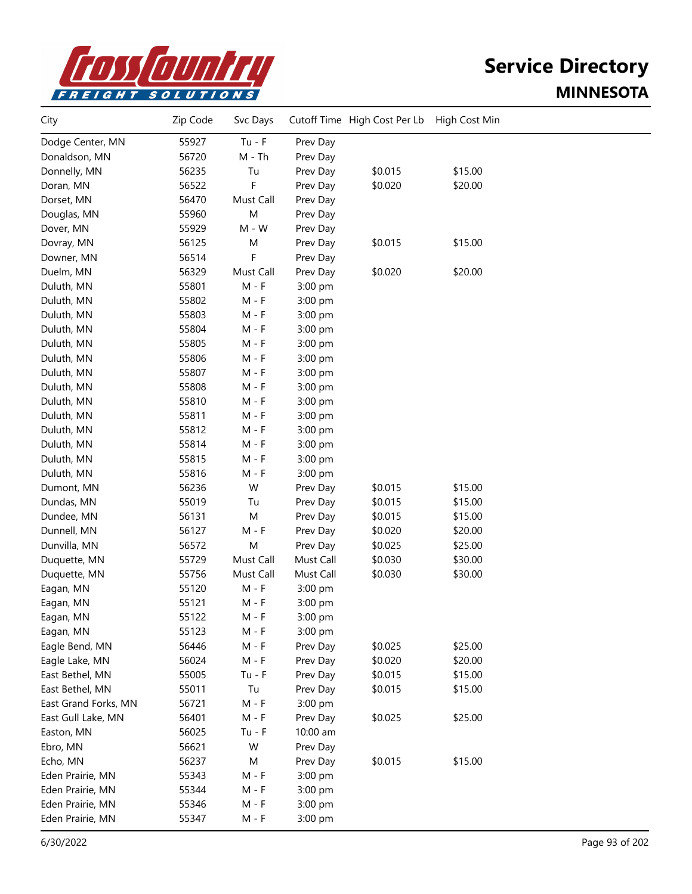

| City                 | Zip Code | Svc Days  |           | Cutoff Time High Cost Per Lb | High Cost Min |  |
|----------------------|----------|-----------|-----------|------------------------------|---------------|--|
| Dodge Center, MN     | 55927    | $Tu - F$  | Prev Day  |                              |               |  |
| Donaldson, MN        | 56720    | $M - Th$  | Prev Day  |                              |               |  |
| Donnelly, MN         | 56235    | Tu        | Prev Day  | \$0.015                      | \$15.00       |  |
| Doran, MN            | 56522    | F         | Prev Day  | \$0.020                      | \$20.00       |  |
| Dorset, MN           | 56470    | Must Call | Prev Day  |                              |               |  |
| Douglas, MN          | 55960    | M         | Prev Day  |                              |               |  |
| Dover, MN            | 55929    | $M - W$   | Prev Day  |                              |               |  |
| Dovray, MN           | 56125    | M         | Prev Day  | \$0.015                      | \$15.00       |  |
| Downer, MN           | 56514    | F         | Prev Day  |                              |               |  |
| Duelm, MN            | 56329    | Must Call | Prev Day  | \$0.020                      | \$20.00       |  |
| Duluth, MN           | 55801    | $M - F$   | 3:00 pm   |                              |               |  |
| Duluth, MN           | 55802    | $M - F$   | 3:00 pm   |                              |               |  |
| Duluth, MN           | 55803    | $M - F$   | 3:00 pm   |                              |               |  |
| Duluth, MN           | 55804    | $M - F$   | 3:00 pm   |                              |               |  |
| Duluth, MN           | 55805    | $M - F$   | 3:00 pm   |                              |               |  |
| Duluth, MN           | 55806    | $M - F$   | 3:00 pm   |                              |               |  |
| Duluth, MN           | 55807    | M - F     | 3:00 pm   |                              |               |  |
| Duluth, MN           | 55808    | M - F     | 3:00 pm   |                              |               |  |
| Duluth, MN           | 55810    | $M - F$   | 3:00 pm   |                              |               |  |
| Duluth, MN           | 55811    | $M - F$   | 3:00 pm   |                              |               |  |
| Duluth, MN           | 55812    | $M - F$   | 3:00 pm   |                              |               |  |
| Duluth, MN           | 55814    | $M - F$   | 3:00 pm   |                              |               |  |
| Duluth, MN           | 55815    | $M - F$   | 3:00 pm   |                              |               |  |
| Duluth, MN           | 55816    | M - F     | 3:00 pm   |                              |               |  |
| Dumont, MN           | 56236    | W         | Prev Day  | \$0.015                      | \$15.00       |  |
| Dundas, MN           | 55019    | Tu        | Prev Day  | \$0.015                      | \$15.00       |  |
| Dundee, MN           | 56131    | M         | Prev Day  | \$0.015                      | \$15.00       |  |
| Dunnell, MN          | 56127    | $M - F$   | Prev Day  | \$0.020                      | \$20.00       |  |
| Dunvilla, MN         | 56572    | M         | Prev Day  | \$0.025                      | \$25.00       |  |
| Duquette, MN         | 55729    | Must Call | Must Call | \$0.030                      | \$30.00       |  |
| Duquette, MN         | 55756    | Must Call | Must Call | \$0.030                      | \$30.00       |  |
| Eagan, MN            | 55120    | $M - F$   | 3:00 pm   |                              |               |  |
| Eagan, MN            | 55121    | M - F     | 3:00 pm   |                              |               |  |
| Eagan, MN            | 55122    | M - F     | 3:00 pm   |                              |               |  |
| Eagan, MN            | 55123    | M - F     | 3:00 pm   |                              |               |  |
| Eagle Bend, MN       | 56446    | $M - F$   | Prev Day  | \$0.025                      | \$25.00       |  |
| Eagle Lake, MN       | 56024    | $M - F$   | Prev Day  | \$0.020                      | \$20.00       |  |
| East Bethel, MN      | 55005    | $Tu - F$  | Prev Day  | \$0.015                      | \$15.00       |  |
| East Bethel, MN      | 55011    | Tu        | Prev Day  | \$0.015                      | \$15.00       |  |
| East Grand Forks, MN | 56721    | $M - F$   | 3:00 pm   |                              |               |  |
| East Gull Lake, MN   | 56401    | M - F     | Prev Day  | \$0.025                      | \$25.00       |  |
| Easton, MN           | 56025    | $Tu - F$  | 10:00 am  |                              |               |  |
| Ebro, MN             | 56621    | W         | Prev Day  |                              |               |  |
| Echo, MN             | 56237    | M         | Prev Day  | \$0.015                      | \$15.00       |  |
| Eden Prairie, MN     | 55343    | $M - F$   | 3:00 pm   |                              |               |  |
| Eden Prairie, MN     | 55344    | $M - F$   | 3:00 pm   |                              |               |  |
| Eden Prairie, MN     | 55346    | $M - F$   | 3:00 pm   |                              |               |  |
| Eden Prairie, MN     | 55347    | $M - F$   | 3:00 pm   |                              |               |  |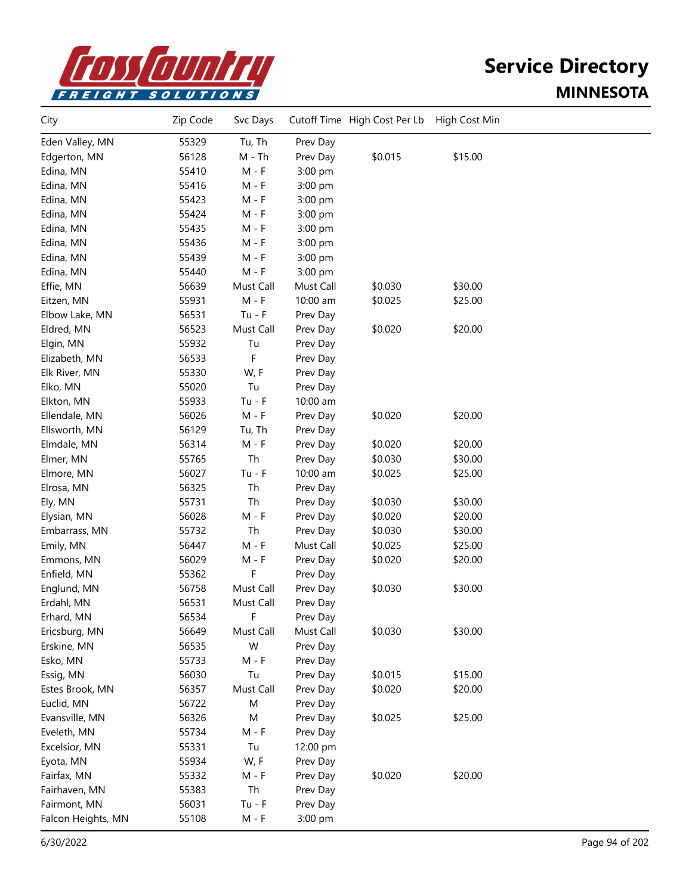

| City               | Zip Code | Svc Days  |           | Cutoff Time High Cost Per Lb | High Cost Min |  |
|--------------------|----------|-----------|-----------|------------------------------|---------------|--|
| Eden Valley, MN    | 55329    | Tu, Th    | Prev Day  |                              |               |  |
| Edgerton, MN       | 56128    | $M - Th$  | Prev Day  | \$0.015                      | \$15.00       |  |
| Edina, MN          | 55410    | $M - F$   | 3:00 pm   |                              |               |  |
| Edina, MN          | 55416    | $M - F$   | 3:00 pm   |                              |               |  |
| Edina, MN          | 55423    | $M - F$   | 3:00 pm   |                              |               |  |
| Edina, MN          | 55424    | $M - F$   | 3:00 pm   |                              |               |  |
| Edina, MN          | 55435    | M - F     | 3:00 pm   |                              |               |  |
| Edina, MN          | 55436    | M - F     | 3:00 pm   |                              |               |  |
| Edina, MN          | 55439    | $M - F$   | 3:00 pm   |                              |               |  |
| Edina, MN          | 55440    | $M - F$   | 3:00 pm   |                              |               |  |
| Effie, MN          | 56639    | Must Call | Must Call | \$0.030                      | \$30.00       |  |
| Eitzen, MN         | 55931    | $M - F$   | 10:00 am  | \$0.025                      | \$25.00       |  |
| Elbow Lake, MN     | 56531    | $Tu - F$  | Prev Day  |                              |               |  |
| Eldred, MN         | 56523    | Must Call | Prev Day  | \$0.020                      | \$20.00       |  |
| Elgin, MN          | 55932    | Tu        | Prev Day  |                              |               |  |
| Elizabeth, MN      | 56533    | F         | Prev Day  |                              |               |  |
| Elk River, MN      | 55330    | W, F      | Prev Day  |                              |               |  |
| Elko, MN           | 55020    | Tu        | Prev Day  |                              |               |  |
| Elkton, MN         | 55933    | $Tu - F$  | 10:00 am  |                              |               |  |
| Ellendale, MN      | 56026    | $M - F$   | Prev Day  | \$0.020                      | \$20.00       |  |
| Ellsworth, MN      | 56129    | Tu, Th    | Prev Day  |                              |               |  |
| Elmdale, MN        | 56314    | $M - F$   | Prev Day  | \$0.020                      | \$20.00       |  |
| Elmer, MN          | 55765    | Th        | Prev Day  | \$0.030                      | \$30.00       |  |
| Elmore, MN         | 56027    | $Tu - F$  | 10:00 am  | \$0.025                      | \$25.00       |  |
| Elrosa, MN         | 56325    | Th        | Prev Day  |                              |               |  |
| Ely, MN            | 55731    | Th        | Prev Day  | \$0.030                      | \$30.00       |  |
| Elysian, MN        | 56028    | $M - F$   | Prev Day  | \$0.020                      | \$20.00       |  |
| Embarrass, MN      | 55732    | Th        | Prev Day  | \$0.030                      | \$30.00       |  |
| Emily, MN          | 56447    | $M - F$   | Must Call | \$0.025                      | \$25.00       |  |
| Emmons, MN         | 56029    | $M - F$   | Prev Day  | \$0.020                      | \$20.00       |  |
| Enfield, MN        | 55362    | F         | Prev Day  |                              |               |  |
| Englund, MN        | 56758    | Must Call | Prev Day  | \$0.030                      | \$30.00       |  |
| Erdahl, MN         | 56531    | Must Call | Prev Day  |                              |               |  |
| Erhard, MN         | 56534    | F         | Prev Day  |                              |               |  |
| Ericsburg, MN      | 56649    | Must Call | Must Call | \$0.030                      | \$30.00       |  |
| Erskine, MN        | 56535    | W         | Prev Day  |                              |               |  |
| Esko, MN           | 55733    | $M - F$   | Prev Day  |                              |               |  |
| Essig, MN          | 56030    | Tu        | Prev Day  | \$0.015                      | \$15.00       |  |
| Estes Brook, MN    | 56357    | Must Call | Prev Day  | \$0.020                      | \$20.00       |  |
| Euclid, MN         | 56722    | M         | Prev Day  |                              |               |  |
| Evansville, MN     | 56326    | M         | Prev Day  | \$0.025                      | \$25.00       |  |
| Eveleth, MN        | 55734    | $M - F$   | Prev Day  |                              |               |  |
| Excelsior, MN      | 55331    | Tu        | 12:00 pm  |                              |               |  |
| Eyota, MN          | 55934    | W, F      | Prev Day  |                              |               |  |
| Fairfax, MN        | 55332    | $M - F$   | Prev Day  | \$0.020                      | \$20.00       |  |
| Fairhaven, MN      | 55383    | Th        | Prev Day  |                              |               |  |
| Fairmont, MN       | 56031    | $Tu - F$  | Prev Day  |                              |               |  |
| Falcon Heights, MN | 55108    | M - F     | 3:00 pm   |                              |               |  |
|                    |          |           |           |                              |               |  |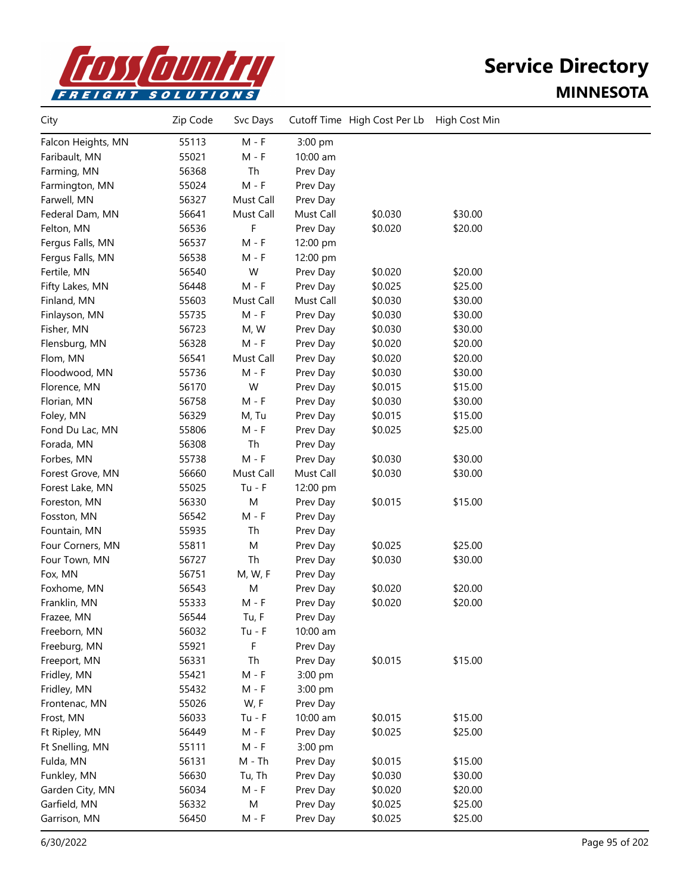

| 55113<br>$M - F$<br>3:00 pm<br>Falcon Heights, MN<br>55021<br>Faribault, MN<br>$M - F$<br>10:00 am<br>Th<br>56368<br>Farming, MN<br>Prev Day<br>55024<br>$M - F$<br>Farmington, MN<br>Prev Day<br>Farwell, MN<br>56327<br>Must Call<br>Prev Day<br>56641<br>Must Call<br>\$0.030<br>\$30.00<br>Federal Dam, MN<br>Must Call<br>56536<br>\$0.020<br>\$20.00<br>Felton, MN<br>F<br>Prev Day<br>56537<br>$M - F$<br>Fergus Falls, MN<br>12:00 pm<br>56538<br>Fergus Falls, MN<br>M - F<br>12:00 pm<br>W<br>Fertile, MN<br>56540<br>Prev Day<br>\$0.020<br>\$20.00<br>$M - F$<br>Prev Day<br>\$0.025<br>\$25.00<br>Fifty Lakes, MN<br>56448<br>Finland, MN<br>55603<br>Must Call<br>\$0.030<br>\$30.00<br>Must Call<br>$M - F$<br>\$0.030<br>\$30.00<br>Finlayson, MN<br>55735<br>Prev Day<br>56723<br>M, W<br>\$0.030<br>\$30.00<br>Fisher, MN<br>Prev Day<br>56328<br>$M - F$<br>\$0.020<br>\$20.00<br>Flensburg, MN<br>Prev Day<br>56541<br>Must Call<br>\$0.020<br>Flom, MN<br>Prev Day<br>\$20.00<br>55736<br>$M - F$<br>\$0.030<br>\$30.00<br>Floodwood, MN<br>Prev Day<br>W<br>56170<br>Prev Day<br>\$0.015<br>\$15.00<br>Florence, MN<br>$M - F$<br>Prev Day<br>\$0.030<br>\$30.00<br>Florian, MN<br>56758<br>56329<br>\$0.015<br>\$15.00<br>Foley, MN<br>M, Tu<br>Prev Day<br>55806<br>$M - F$<br>\$0.025<br>\$25.00<br>Fond Du Lac, MN<br>Prev Day<br>Th<br>56308<br>Forada, MN<br>Prev Day<br>55738<br>$M - F$<br>\$0.030<br>\$30.00<br>Forbes, MN<br>Prev Day<br>56660<br>Must Call<br>\$0.030<br>\$30.00<br>Forest Grove, MN<br>Must Call<br>55025<br>$Tu - F$<br>Forest Lake, MN<br>12:00 pm<br>M<br>56330<br>\$0.015<br>\$15.00<br>Foreston, MN<br>Prev Day<br>$M - F$<br>56542<br>Fosston, MN<br>Prev Day<br>55935<br>Th<br>Fountain, MN<br>Prev Day<br>\$25.00<br>M<br>\$0.025<br>Four Corners, MN<br>55811<br>Prev Day<br>56727<br>Th<br>Four Town, MN<br>Prev Day<br>\$0.030<br>\$30.00<br>56751<br>Fox, MN<br>M, W, F<br>Prev Day<br>56543<br>M<br>\$0.020<br>\$20.00<br>Foxhome, MN<br>Prev Day<br>55333<br>$M - F$<br>\$0.020<br>\$20.00<br>Franklin, MN<br>Prev Day<br>56544<br>Tu, F<br>Frazee, MN<br>Prev Day<br>Freeborn, MN<br>56032<br>$Tu - F$<br>10:00 am<br>F<br>55921<br>Freeburg, MN<br>Prev Day<br>\$15.00<br>Th<br>\$0.015<br>Freeport, MN<br>56331<br>Prev Day<br>Fridley, MN<br>55421<br>$M - F$<br>3:00 pm<br>Fridley, MN<br>55432<br>$M - F$<br>3:00 pm<br>55026<br>W, F<br>Frontenac, MN<br>Prev Day<br>\$15.00<br>56033<br>$Tu - F$<br>10:00 am<br>\$0.015<br>Frost, MN<br>56449<br>$M - F$<br>Prev Day<br>\$0.025<br>\$25.00<br>Ft Ripley, MN<br>55111<br>$M - F$<br>3:00 pm<br>Ft Snelling, MN<br>Fulda, MN<br>56131<br>\$0.015<br>\$15.00<br>M - Th<br>Prev Day<br>56630<br>Tu, Th<br>\$0.030<br>\$30.00<br>Funkley, MN<br>Prev Day<br>$M - F$<br>56034<br>\$0.020<br>Garden City, MN<br>Prev Day<br>\$20.00<br>${\sf M}$<br>Garfield, MN<br>56332<br>\$0.025<br>\$25.00<br>Prev Day<br>Garrison, MN<br>56450<br>Prev Day<br>\$0.025<br>\$25.00<br>M - F | City | Zip Code | Svc Days | Cutoff Time High Cost Per Lb | High Cost Min |  |
|--------------------------------------------------------------------------------------------------------------------------------------------------------------------------------------------------------------------------------------------------------------------------------------------------------------------------------------------------------------------------------------------------------------------------------------------------------------------------------------------------------------------------------------------------------------------------------------------------------------------------------------------------------------------------------------------------------------------------------------------------------------------------------------------------------------------------------------------------------------------------------------------------------------------------------------------------------------------------------------------------------------------------------------------------------------------------------------------------------------------------------------------------------------------------------------------------------------------------------------------------------------------------------------------------------------------------------------------------------------------------------------------------------------------------------------------------------------------------------------------------------------------------------------------------------------------------------------------------------------------------------------------------------------------------------------------------------------------------------------------------------------------------------------------------------------------------------------------------------------------------------------------------------------------------------------------------------------------------------------------------------------------------------------------------------------------------------------------------------------------------------------------------------------------------------------------------------------------------------------------------------------------------------------------------------------------------------------------------------------------------------------------------------------------------------------------------------------------------------------------------------------------------------------------------------------------------------------------------------------------------------------------------------------------------------------------------------------------------------------------------------------------------------------------------------------------------------------------------------------------------------------------------------------------------------------------------------------------------------------------------|------|----------|----------|------------------------------|---------------|--|
|                                                                                                                                                                                                                                                                                                                                                                                                                                                                                                                                                                                                                                                                                                                                                                                                                                                                                                                                                                                                                                                                                                                                                                                                                                                                                                                                                                                                                                                                                                                                                                                                                                                                                                                                                                                                                                                                                                                                                                                                                                                                                                                                                                                                                                                                                                                                                                                                                                                                                                                                                                                                                                                                                                                                                                                                                                                                                                                                                                                                  |      |          |          |                              |               |  |
|                                                                                                                                                                                                                                                                                                                                                                                                                                                                                                                                                                                                                                                                                                                                                                                                                                                                                                                                                                                                                                                                                                                                                                                                                                                                                                                                                                                                                                                                                                                                                                                                                                                                                                                                                                                                                                                                                                                                                                                                                                                                                                                                                                                                                                                                                                                                                                                                                                                                                                                                                                                                                                                                                                                                                                                                                                                                                                                                                                                                  |      |          |          |                              |               |  |
|                                                                                                                                                                                                                                                                                                                                                                                                                                                                                                                                                                                                                                                                                                                                                                                                                                                                                                                                                                                                                                                                                                                                                                                                                                                                                                                                                                                                                                                                                                                                                                                                                                                                                                                                                                                                                                                                                                                                                                                                                                                                                                                                                                                                                                                                                                                                                                                                                                                                                                                                                                                                                                                                                                                                                                                                                                                                                                                                                                                                  |      |          |          |                              |               |  |
|                                                                                                                                                                                                                                                                                                                                                                                                                                                                                                                                                                                                                                                                                                                                                                                                                                                                                                                                                                                                                                                                                                                                                                                                                                                                                                                                                                                                                                                                                                                                                                                                                                                                                                                                                                                                                                                                                                                                                                                                                                                                                                                                                                                                                                                                                                                                                                                                                                                                                                                                                                                                                                                                                                                                                                                                                                                                                                                                                                                                  |      |          |          |                              |               |  |
|                                                                                                                                                                                                                                                                                                                                                                                                                                                                                                                                                                                                                                                                                                                                                                                                                                                                                                                                                                                                                                                                                                                                                                                                                                                                                                                                                                                                                                                                                                                                                                                                                                                                                                                                                                                                                                                                                                                                                                                                                                                                                                                                                                                                                                                                                                                                                                                                                                                                                                                                                                                                                                                                                                                                                                                                                                                                                                                                                                                                  |      |          |          |                              |               |  |
|                                                                                                                                                                                                                                                                                                                                                                                                                                                                                                                                                                                                                                                                                                                                                                                                                                                                                                                                                                                                                                                                                                                                                                                                                                                                                                                                                                                                                                                                                                                                                                                                                                                                                                                                                                                                                                                                                                                                                                                                                                                                                                                                                                                                                                                                                                                                                                                                                                                                                                                                                                                                                                                                                                                                                                                                                                                                                                                                                                                                  |      |          |          |                              |               |  |
|                                                                                                                                                                                                                                                                                                                                                                                                                                                                                                                                                                                                                                                                                                                                                                                                                                                                                                                                                                                                                                                                                                                                                                                                                                                                                                                                                                                                                                                                                                                                                                                                                                                                                                                                                                                                                                                                                                                                                                                                                                                                                                                                                                                                                                                                                                                                                                                                                                                                                                                                                                                                                                                                                                                                                                                                                                                                                                                                                                                                  |      |          |          |                              |               |  |
|                                                                                                                                                                                                                                                                                                                                                                                                                                                                                                                                                                                                                                                                                                                                                                                                                                                                                                                                                                                                                                                                                                                                                                                                                                                                                                                                                                                                                                                                                                                                                                                                                                                                                                                                                                                                                                                                                                                                                                                                                                                                                                                                                                                                                                                                                                                                                                                                                                                                                                                                                                                                                                                                                                                                                                                                                                                                                                                                                                                                  |      |          |          |                              |               |  |
|                                                                                                                                                                                                                                                                                                                                                                                                                                                                                                                                                                                                                                                                                                                                                                                                                                                                                                                                                                                                                                                                                                                                                                                                                                                                                                                                                                                                                                                                                                                                                                                                                                                                                                                                                                                                                                                                                                                                                                                                                                                                                                                                                                                                                                                                                                                                                                                                                                                                                                                                                                                                                                                                                                                                                                                                                                                                                                                                                                                                  |      |          |          |                              |               |  |
|                                                                                                                                                                                                                                                                                                                                                                                                                                                                                                                                                                                                                                                                                                                                                                                                                                                                                                                                                                                                                                                                                                                                                                                                                                                                                                                                                                                                                                                                                                                                                                                                                                                                                                                                                                                                                                                                                                                                                                                                                                                                                                                                                                                                                                                                                                                                                                                                                                                                                                                                                                                                                                                                                                                                                                                                                                                                                                                                                                                                  |      |          |          |                              |               |  |
|                                                                                                                                                                                                                                                                                                                                                                                                                                                                                                                                                                                                                                                                                                                                                                                                                                                                                                                                                                                                                                                                                                                                                                                                                                                                                                                                                                                                                                                                                                                                                                                                                                                                                                                                                                                                                                                                                                                                                                                                                                                                                                                                                                                                                                                                                                                                                                                                                                                                                                                                                                                                                                                                                                                                                                                                                                                                                                                                                                                                  |      |          |          |                              |               |  |
|                                                                                                                                                                                                                                                                                                                                                                                                                                                                                                                                                                                                                                                                                                                                                                                                                                                                                                                                                                                                                                                                                                                                                                                                                                                                                                                                                                                                                                                                                                                                                                                                                                                                                                                                                                                                                                                                                                                                                                                                                                                                                                                                                                                                                                                                                                                                                                                                                                                                                                                                                                                                                                                                                                                                                                                                                                                                                                                                                                                                  |      |          |          |                              |               |  |
|                                                                                                                                                                                                                                                                                                                                                                                                                                                                                                                                                                                                                                                                                                                                                                                                                                                                                                                                                                                                                                                                                                                                                                                                                                                                                                                                                                                                                                                                                                                                                                                                                                                                                                                                                                                                                                                                                                                                                                                                                                                                                                                                                                                                                                                                                                                                                                                                                                                                                                                                                                                                                                                                                                                                                                                                                                                                                                                                                                                                  |      |          |          |                              |               |  |
|                                                                                                                                                                                                                                                                                                                                                                                                                                                                                                                                                                                                                                                                                                                                                                                                                                                                                                                                                                                                                                                                                                                                                                                                                                                                                                                                                                                                                                                                                                                                                                                                                                                                                                                                                                                                                                                                                                                                                                                                                                                                                                                                                                                                                                                                                                                                                                                                                                                                                                                                                                                                                                                                                                                                                                                                                                                                                                                                                                                                  |      |          |          |                              |               |  |
|                                                                                                                                                                                                                                                                                                                                                                                                                                                                                                                                                                                                                                                                                                                                                                                                                                                                                                                                                                                                                                                                                                                                                                                                                                                                                                                                                                                                                                                                                                                                                                                                                                                                                                                                                                                                                                                                                                                                                                                                                                                                                                                                                                                                                                                                                                                                                                                                                                                                                                                                                                                                                                                                                                                                                                                                                                                                                                                                                                                                  |      |          |          |                              |               |  |
|                                                                                                                                                                                                                                                                                                                                                                                                                                                                                                                                                                                                                                                                                                                                                                                                                                                                                                                                                                                                                                                                                                                                                                                                                                                                                                                                                                                                                                                                                                                                                                                                                                                                                                                                                                                                                                                                                                                                                                                                                                                                                                                                                                                                                                                                                                                                                                                                                                                                                                                                                                                                                                                                                                                                                                                                                                                                                                                                                                                                  |      |          |          |                              |               |  |
|                                                                                                                                                                                                                                                                                                                                                                                                                                                                                                                                                                                                                                                                                                                                                                                                                                                                                                                                                                                                                                                                                                                                                                                                                                                                                                                                                                                                                                                                                                                                                                                                                                                                                                                                                                                                                                                                                                                                                                                                                                                                                                                                                                                                                                                                                                                                                                                                                                                                                                                                                                                                                                                                                                                                                                                                                                                                                                                                                                                                  |      |          |          |                              |               |  |
|                                                                                                                                                                                                                                                                                                                                                                                                                                                                                                                                                                                                                                                                                                                                                                                                                                                                                                                                                                                                                                                                                                                                                                                                                                                                                                                                                                                                                                                                                                                                                                                                                                                                                                                                                                                                                                                                                                                                                                                                                                                                                                                                                                                                                                                                                                                                                                                                                                                                                                                                                                                                                                                                                                                                                                                                                                                                                                                                                                                                  |      |          |          |                              |               |  |
|                                                                                                                                                                                                                                                                                                                                                                                                                                                                                                                                                                                                                                                                                                                                                                                                                                                                                                                                                                                                                                                                                                                                                                                                                                                                                                                                                                                                                                                                                                                                                                                                                                                                                                                                                                                                                                                                                                                                                                                                                                                                                                                                                                                                                                                                                                                                                                                                                                                                                                                                                                                                                                                                                                                                                                                                                                                                                                                                                                                                  |      |          |          |                              |               |  |
|                                                                                                                                                                                                                                                                                                                                                                                                                                                                                                                                                                                                                                                                                                                                                                                                                                                                                                                                                                                                                                                                                                                                                                                                                                                                                                                                                                                                                                                                                                                                                                                                                                                                                                                                                                                                                                                                                                                                                                                                                                                                                                                                                                                                                                                                                                                                                                                                                                                                                                                                                                                                                                                                                                                                                                                                                                                                                                                                                                                                  |      |          |          |                              |               |  |
|                                                                                                                                                                                                                                                                                                                                                                                                                                                                                                                                                                                                                                                                                                                                                                                                                                                                                                                                                                                                                                                                                                                                                                                                                                                                                                                                                                                                                                                                                                                                                                                                                                                                                                                                                                                                                                                                                                                                                                                                                                                                                                                                                                                                                                                                                                                                                                                                                                                                                                                                                                                                                                                                                                                                                                                                                                                                                                                                                                                                  |      |          |          |                              |               |  |
|                                                                                                                                                                                                                                                                                                                                                                                                                                                                                                                                                                                                                                                                                                                                                                                                                                                                                                                                                                                                                                                                                                                                                                                                                                                                                                                                                                                                                                                                                                                                                                                                                                                                                                                                                                                                                                                                                                                                                                                                                                                                                                                                                                                                                                                                                                                                                                                                                                                                                                                                                                                                                                                                                                                                                                                                                                                                                                                                                                                                  |      |          |          |                              |               |  |
|                                                                                                                                                                                                                                                                                                                                                                                                                                                                                                                                                                                                                                                                                                                                                                                                                                                                                                                                                                                                                                                                                                                                                                                                                                                                                                                                                                                                                                                                                                                                                                                                                                                                                                                                                                                                                                                                                                                                                                                                                                                                                                                                                                                                                                                                                                                                                                                                                                                                                                                                                                                                                                                                                                                                                                                                                                                                                                                                                                                                  |      |          |          |                              |               |  |
|                                                                                                                                                                                                                                                                                                                                                                                                                                                                                                                                                                                                                                                                                                                                                                                                                                                                                                                                                                                                                                                                                                                                                                                                                                                                                                                                                                                                                                                                                                                                                                                                                                                                                                                                                                                                                                                                                                                                                                                                                                                                                                                                                                                                                                                                                                                                                                                                                                                                                                                                                                                                                                                                                                                                                                                                                                                                                                                                                                                                  |      |          |          |                              |               |  |
|                                                                                                                                                                                                                                                                                                                                                                                                                                                                                                                                                                                                                                                                                                                                                                                                                                                                                                                                                                                                                                                                                                                                                                                                                                                                                                                                                                                                                                                                                                                                                                                                                                                                                                                                                                                                                                                                                                                                                                                                                                                                                                                                                                                                                                                                                                                                                                                                                                                                                                                                                                                                                                                                                                                                                                                                                                                                                                                                                                                                  |      |          |          |                              |               |  |
|                                                                                                                                                                                                                                                                                                                                                                                                                                                                                                                                                                                                                                                                                                                                                                                                                                                                                                                                                                                                                                                                                                                                                                                                                                                                                                                                                                                                                                                                                                                                                                                                                                                                                                                                                                                                                                                                                                                                                                                                                                                                                                                                                                                                                                                                                                                                                                                                                                                                                                                                                                                                                                                                                                                                                                                                                                                                                                                                                                                                  |      |          |          |                              |               |  |
|                                                                                                                                                                                                                                                                                                                                                                                                                                                                                                                                                                                                                                                                                                                                                                                                                                                                                                                                                                                                                                                                                                                                                                                                                                                                                                                                                                                                                                                                                                                                                                                                                                                                                                                                                                                                                                                                                                                                                                                                                                                                                                                                                                                                                                                                                                                                                                                                                                                                                                                                                                                                                                                                                                                                                                                                                                                                                                                                                                                                  |      |          |          |                              |               |  |
|                                                                                                                                                                                                                                                                                                                                                                                                                                                                                                                                                                                                                                                                                                                                                                                                                                                                                                                                                                                                                                                                                                                                                                                                                                                                                                                                                                                                                                                                                                                                                                                                                                                                                                                                                                                                                                                                                                                                                                                                                                                                                                                                                                                                                                                                                                                                                                                                                                                                                                                                                                                                                                                                                                                                                                                                                                                                                                                                                                                                  |      |          |          |                              |               |  |
|                                                                                                                                                                                                                                                                                                                                                                                                                                                                                                                                                                                                                                                                                                                                                                                                                                                                                                                                                                                                                                                                                                                                                                                                                                                                                                                                                                                                                                                                                                                                                                                                                                                                                                                                                                                                                                                                                                                                                                                                                                                                                                                                                                                                                                                                                                                                                                                                                                                                                                                                                                                                                                                                                                                                                                                                                                                                                                                                                                                                  |      |          |          |                              |               |  |
|                                                                                                                                                                                                                                                                                                                                                                                                                                                                                                                                                                                                                                                                                                                                                                                                                                                                                                                                                                                                                                                                                                                                                                                                                                                                                                                                                                                                                                                                                                                                                                                                                                                                                                                                                                                                                                                                                                                                                                                                                                                                                                                                                                                                                                                                                                                                                                                                                                                                                                                                                                                                                                                                                                                                                                                                                                                                                                                                                                                                  |      |          |          |                              |               |  |
|                                                                                                                                                                                                                                                                                                                                                                                                                                                                                                                                                                                                                                                                                                                                                                                                                                                                                                                                                                                                                                                                                                                                                                                                                                                                                                                                                                                                                                                                                                                                                                                                                                                                                                                                                                                                                                                                                                                                                                                                                                                                                                                                                                                                                                                                                                                                                                                                                                                                                                                                                                                                                                                                                                                                                                                                                                                                                                                                                                                                  |      |          |          |                              |               |  |
|                                                                                                                                                                                                                                                                                                                                                                                                                                                                                                                                                                                                                                                                                                                                                                                                                                                                                                                                                                                                                                                                                                                                                                                                                                                                                                                                                                                                                                                                                                                                                                                                                                                                                                                                                                                                                                                                                                                                                                                                                                                                                                                                                                                                                                                                                                                                                                                                                                                                                                                                                                                                                                                                                                                                                                                                                                                                                                                                                                                                  |      |          |          |                              |               |  |
|                                                                                                                                                                                                                                                                                                                                                                                                                                                                                                                                                                                                                                                                                                                                                                                                                                                                                                                                                                                                                                                                                                                                                                                                                                                                                                                                                                                                                                                                                                                                                                                                                                                                                                                                                                                                                                                                                                                                                                                                                                                                                                                                                                                                                                                                                                                                                                                                                                                                                                                                                                                                                                                                                                                                                                                                                                                                                                                                                                                                  |      |          |          |                              |               |  |
|                                                                                                                                                                                                                                                                                                                                                                                                                                                                                                                                                                                                                                                                                                                                                                                                                                                                                                                                                                                                                                                                                                                                                                                                                                                                                                                                                                                                                                                                                                                                                                                                                                                                                                                                                                                                                                                                                                                                                                                                                                                                                                                                                                                                                                                                                                                                                                                                                                                                                                                                                                                                                                                                                                                                                                                                                                                                                                                                                                                                  |      |          |          |                              |               |  |
|                                                                                                                                                                                                                                                                                                                                                                                                                                                                                                                                                                                                                                                                                                                                                                                                                                                                                                                                                                                                                                                                                                                                                                                                                                                                                                                                                                                                                                                                                                                                                                                                                                                                                                                                                                                                                                                                                                                                                                                                                                                                                                                                                                                                                                                                                                                                                                                                                                                                                                                                                                                                                                                                                                                                                                                                                                                                                                                                                                                                  |      |          |          |                              |               |  |
|                                                                                                                                                                                                                                                                                                                                                                                                                                                                                                                                                                                                                                                                                                                                                                                                                                                                                                                                                                                                                                                                                                                                                                                                                                                                                                                                                                                                                                                                                                                                                                                                                                                                                                                                                                                                                                                                                                                                                                                                                                                                                                                                                                                                                                                                                                                                                                                                                                                                                                                                                                                                                                                                                                                                                                                                                                                                                                                                                                                                  |      |          |          |                              |               |  |
|                                                                                                                                                                                                                                                                                                                                                                                                                                                                                                                                                                                                                                                                                                                                                                                                                                                                                                                                                                                                                                                                                                                                                                                                                                                                                                                                                                                                                                                                                                                                                                                                                                                                                                                                                                                                                                                                                                                                                                                                                                                                                                                                                                                                                                                                                                                                                                                                                                                                                                                                                                                                                                                                                                                                                                                                                                                                                                                                                                                                  |      |          |          |                              |               |  |
|                                                                                                                                                                                                                                                                                                                                                                                                                                                                                                                                                                                                                                                                                                                                                                                                                                                                                                                                                                                                                                                                                                                                                                                                                                                                                                                                                                                                                                                                                                                                                                                                                                                                                                                                                                                                                                                                                                                                                                                                                                                                                                                                                                                                                                                                                                                                                                                                                                                                                                                                                                                                                                                                                                                                                                                                                                                                                                                                                                                                  |      |          |          |                              |               |  |
|                                                                                                                                                                                                                                                                                                                                                                                                                                                                                                                                                                                                                                                                                                                                                                                                                                                                                                                                                                                                                                                                                                                                                                                                                                                                                                                                                                                                                                                                                                                                                                                                                                                                                                                                                                                                                                                                                                                                                                                                                                                                                                                                                                                                                                                                                                                                                                                                                                                                                                                                                                                                                                                                                                                                                                                                                                                                                                                                                                                                  |      |          |          |                              |               |  |
|                                                                                                                                                                                                                                                                                                                                                                                                                                                                                                                                                                                                                                                                                                                                                                                                                                                                                                                                                                                                                                                                                                                                                                                                                                                                                                                                                                                                                                                                                                                                                                                                                                                                                                                                                                                                                                                                                                                                                                                                                                                                                                                                                                                                                                                                                                                                                                                                                                                                                                                                                                                                                                                                                                                                                                                                                                                                                                                                                                                                  |      |          |          |                              |               |  |
|                                                                                                                                                                                                                                                                                                                                                                                                                                                                                                                                                                                                                                                                                                                                                                                                                                                                                                                                                                                                                                                                                                                                                                                                                                                                                                                                                                                                                                                                                                                                                                                                                                                                                                                                                                                                                                                                                                                                                                                                                                                                                                                                                                                                                                                                                                                                                                                                                                                                                                                                                                                                                                                                                                                                                                                                                                                                                                                                                                                                  |      |          |          |                              |               |  |
|                                                                                                                                                                                                                                                                                                                                                                                                                                                                                                                                                                                                                                                                                                                                                                                                                                                                                                                                                                                                                                                                                                                                                                                                                                                                                                                                                                                                                                                                                                                                                                                                                                                                                                                                                                                                                                                                                                                                                                                                                                                                                                                                                                                                                                                                                                                                                                                                                                                                                                                                                                                                                                                                                                                                                                                                                                                                                                                                                                                                  |      |          |          |                              |               |  |
|                                                                                                                                                                                                                                                                                                                                                                                                                                                                                                                                                                                                                                                                                                                                                                                                                                                                                                                                                                                                                                                                                                                                                                                                                                                                                                                                                                                                                                                                                                                                                                                                                                                                                                                                                                                                                                                                                                                                                                                                                                                                                                                                                                                                                                                                                                                                                                                                                                                                                                                                                                                                                                                                                                                                                                                                                                                                                                                                                                                                  |      |          |          |                              |               |  |
|                                                                                                                                                                                                                                                                                                                                                                                                                                                                                                                                                                                                                                                                                                                                                                                                                                                                                                                                                                                                                                                                                                                                                                                                                                                                                                                                                                                                                                                                                                                                                                                                                                                                                                                                                                                                                                                                                                                                                                                                                                                                                                                                                                                                                                                                                                                                                                                                                                                                                                                                                                                                                                                                                                                                                                                                                                                                                                                                                                                                  |      |          |          |                              |               |  |
|                                                                                                                                                                                                                                                                                                                                                                                                                                                                                                                                                                                                                                                                                                                                                                                                                                                                                                                                                                                                                                                                                                                                                                                                                                                                                                                                                                                                                                                                                                                                                                                                                                                                                                                                                                                                                                                                                                                                                                                                                                                                                                                                                                                                                                                                                                                                                                                                                                                                                                                                                                                                                                                                                                                                                                                                                                                                                                                                                                                                  |      |          |          |                              |               |  |
|                                                                                                                                                                                                                                                                                                                                                                                                                                                                                                                                                                                                                                                                                                                                                                                                                                                                                                                                                                                                                                                                                                                                                                                                                                                                                                                                                                                                                                                                                                                                                                                                                                                                                                                                                                                                                                                                                                                                                                                                                                                                                                                                                                                                                                                                                                                                                                                                                                                                                                                                                                                                                                                                                                                                                                                                                                                                                                                                                                                                  |      |          |          |                              |               |  |
|                                                                                                                                                                                                                                                                                                                                                                                                                                                                                                                                                                                                                                                                                                                                                                                                                                                                                                                                                                                                                                                                                                                                                                                                                                                                                                                                                                                                                                                                                                                                                                                                                                                                                                                                                                                                                                                                                                                                                                                                                                                                                                                                                                                                                                                                                                                                                                                                                                                                                                                                                                                                                                                                                                                                                                                                                                                                                                                                                                                                  |      |          |          |                              |               |  |
|                                                                                                                                                                                                                                                                                                                                                                                                                                                                                                                                                                                                                                                                                                                                                                                                                                                                                                                                                                                                                                                                                                                                                                                                                                                                                                                                                                                                                                                                                                                                                                                                                                                                                                                                                                                                                                                                                                                                                                                                                                                                                                                                                                                                                                                                                                                                                                                                                                                                                                                                                                                                                                                                                                                                                                                                                                                                                                                                                                                                  |      |          |          |                              |               |  |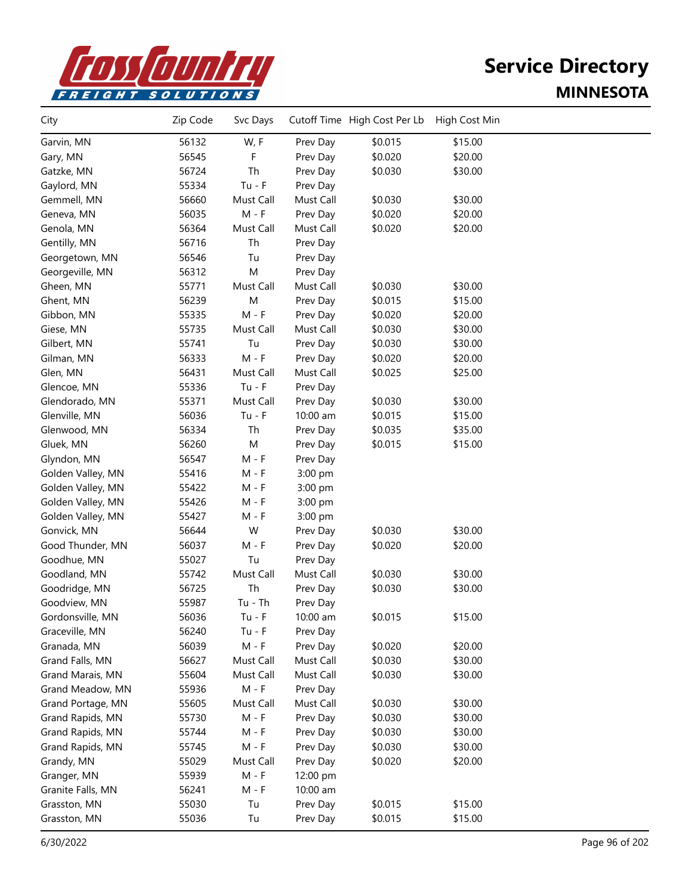

| City              | Zip Code | Svc Days  |           | Cutoff Time High Cost Per Lb | High Cost Min |  |
|-------------------|----------|-----------|-----------|------------------------------|---------------|--|
| Garvin, MN        | 56132    | W, F      | Prev Day  | \$0.015                      | \$15.00       |  |
| Gary, MN          | 56545    | F         | Prev Day  | \$0.020                      | \$20.00       |  |
| Gatzke, MN        | 56724    | Th        | Prev Day  | \$0.030                      | \$30.00       |  |
| Gaylord, MN       | 55334    | $Tu - F$  | Prev Day  |                              |               |  |
| Gemmell, MN       | 56660    | Must Call | Must Call | \$0.030                      | \$30.00       |  |
| Geneva, MN        | 56035    | $M - F$   | Prev Day  | \$0.020                      | \$20.00       |  |
| Genola, MN        | 56364    | Must Call | Must Call | \$0.020                      | \$20.00       |  |
| Gentilly, MN      | 56716    | Th        | Prev Day  |                              |               |  |
| Georgetown, MN    | 56546    | Tu        | Prev Day  |                              |               |  |
| Georgeville, MN   | 56312    | M         | Prev Day  |                              |               |  |
| Gheen, MN         | 55771    | Must Call | Must Call | \$0.030                      | \$30.00       |  |
| Ghent, MN         | 56239    | M         | Prev Day  | \$0.015                      | \$15.00       |  |
| Gibbon, MN        | 55335    | $M - F$   | Prev Day  | \$0.020                      | \$20.00       |  |
| Giese, MN         | 55735    | Must Call | Must Call | \$0.030                      | \$30.00       |  |
| Gilbert, MN       | 55741    | Tu        | Prev Day  | \$0.030                      | \$30.00       |  |
| Gilman, MN        | 56333    | $M - F$   | Prev Day  | \$0.020                      | \$20.00       |  |
| Glen, MN          | 56431    | Must Call | Must Call | \$0.025                      | \$25.00       |  |
| Glencoe, MN       | 55336    | $Tu - F$  | Prev Day  |                              |               |  |
| Glendorado, MN    | 55371    | Must Call | Prev Day  | \$0.030                      | \$30.00       |  |
| Glenville, MN     | 56036    | $Tu - F$  | 10:00 am  | \$0.015                      | \$15.00       |  |
| Glenwood, MN      | 56334    | Th        | Prev Day  | \$0.035                      | \$35.00       |  |
| Gluek, MN         | 56260    | M         | Prev Day  | \$0.015                      | \$15.00       |  |
| Glyndon, MN       | 56547    | $M - F$   | Prev Day  |                              |               |  |
| Golden Valley, MN | 55416    | M - F     | 3:00 pm   |                              |               |  |
| Golden Valley, MN | 55422    | M - F     | 3:00 pm   |                              |               |  |
| Golden Valley, MN | 55426    | M - F     | 3:00 pm   |                              |               |  |
| Golden Valley, MN | 55427    | $M - F$   | 3:00 pm   |                              |               |  |
| Gonvick, MN       | 56644    | W         | Prev Day  | \$0.030                      | \$30.00       |  |
| Good Thunder, MN  | 56037    | $M - F$   | Prev Day  | \$0.020                      | \$20.00       |  |
| Goodhue, MN       | 55027    | Tu        | Prev Day  |                              |               |  |
| Goodland, MN      | 55742    | Must Call | Must Call | \$0.030                      | \$30.00       |  |
| Goodridge, MN     | 56725    | Th        | Prev Day  | \$0.030                      | \$30.00       |  |
| Goodview, MN      | 55987    | $Tu - Th$ | Prev Day  |                              |               |  |
| Gordonsville, MN  | 56036    | $Tu - F$  | 10:00 am  | \$0.015                      | \$15.00       |  |
| Graceville, MN    | 56240    | $Tu - F$  | Prev Day  |                              |               |  |
| Granada, MN       | 56039    | $M - F$   | Prev Day  | \$0.020                      | \$20.00       |  |
| Grand Falls, MN   | 56627    | Must Call | Must Call | \$0.030                      | \$30.00       |  |
| Grand Marais, MN  | 55604    | Must Call | Must Call | \$0.030                      | \$30.00       |  |
| Grand Meadow, MN  | 55936    | $M - F$   | Prev Day  |                              |               |  |
| Grand Portage, MN | 55605    | Must Call | Must Call | \$0.030                      | \$30.00       |  |
| Grand Rapids, MN  | 55730    | $M - F$   | Prev Day  | \$0.030                      | \$30.00       |  |
| Grand Rapids, MN  | 55744    | $M - F$   | Prev Day  | \$0.030                      | \$30.00       |  |
| Grand Rapids, MN  | 55745    | $M - F$   | Prev Day  | \$0.030                      | \$30.00       |  |
| Grandy, MN        | 55029    | Must Call | Prev Day  | \$0.020                      | \$20.00       |  |
| Granger, MN       | 55939    | $M - F$   | 12:00 pm  |                              |               |  |
| Granite Falls, MN | 56241    | $M - F$   | 10:00 am  |                              |               |  |
| Grasston, MN      | 55030    | Tu        | Prev Day  | \$0.015                      | \$15.00       |  |
| Grasston, MN      | 55036    | Tu        | Prev Day  | \$0.015                      | \$15.00       |  |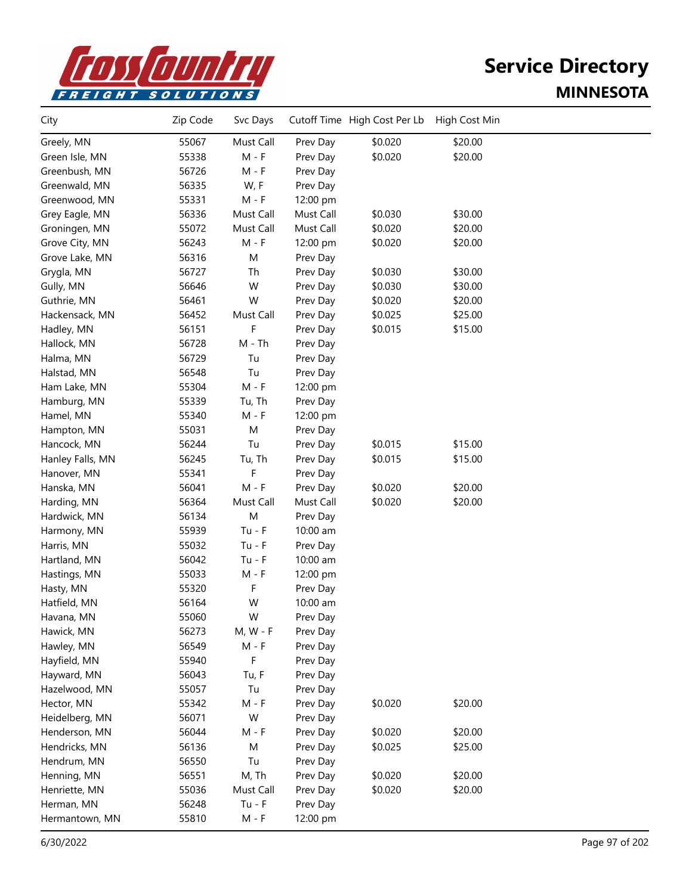

| City             | Zip Code | Svc Days   |           | Cutoff Time High Cost Per Lb | High Cost Min |  |
|------------------|----------|------------|-----------|------------------------------|---------------|--|
| Greely, MN       | 55067    | Must Call  | Prev Day  | \$0.020                      | \$20.00       |  |
| Green Isle, MN   | 55338    | $M - F$    | Prev Day  | \$0.020                      | \$20.00       |  |
| Greenbush, MN    | 56726    | $M - F$    | Prev Day  |                              |               |  |
| Greenwald, MN    | 56335    | W, F       | Prev Day  |                              |               |  |
| Greenwood, MN    | 55331    | $M - F$    | 12:00 pm  |                              |               |  |
| Grey Eagle, MN   | 56336    | Must Call  | Must Call | \$0.030                      | \$30.00       |  |
| Groningen, MN    | 55072    | Must Call  | Must Call | \$0.020                      | \$20.00       |  |
| Grove City, MN   | 56243    | $M - F$    | 12:00 pm  | \$0.020                      | \$20.00       |  |
| Grove Lake, MN   | 56316    | M          | Prev Day  |                              |               |  |
| Grygla, MN       | 56727    | Th         | Prev Day  | \$0.030                      | \$30.00       |  |
| Gully, MN        | 56646    | W          | Prev Day  | \$0.030                      | \$30.00       |  |
| Guthrie, MN      | 56461    | W          | Prev Day  | \$0.020                      | \$20.00       |  |
| Hackensack, MN   | 56452    | Must Call  | Prev Day  | \$0.025                      | \$25.00       |  |
| Hadley, MN       | 56151    | F          | Prev Day  | \$0.015                      | \$15.00       |  |
| Hallock, MN      | 56728    | $M - Th$   | Prev Day  |                              |               |  |
| Halma, MN        | 56729    | Tu         | Prev Day  |                              |               |  |
| Halstad, MN      | 56548    | Tu         | Prev Day  |                              |               |  |
| Ham Lake, MN     | 55304    | $M - F$    | 12:00 pm  |                              |               |  |
| Hamburg, MN      | 55339    | Tu, Th     | Prev Day  |                              |               |  |
| Hamel, MN        | 55340    | $M - F$    | 12:00 pm  |                              |               |  |
| Hampton, MN      | 55031    | M          | Prev Day  |                              |               |  |
| Hancock, MN      | 56244    | Tu         | Prev Day  | \$0.015                      | \$15.00       |  |
| Hanley Falls, MN | 56245    | Tu, Th     | Prev Day  | \$0.015                      | \$15.00       |  |
| Hanover, MN      | 55341    | F          | Prev Day  |                              |               |  |
| Hanska, MN       | 56041    | $M - F$    | Prev Day  | \$0.020                      | \$20.00       |  |
| Harding, MN      | 56364    | Must Call  | Must Call | \$0.020                      | \$20.00       |  |
| Hardwick, MN     | 56134    | M          | Prev Day  |                              |               |  |
| Harmony, MN      | 55939    | $Tu - F$   | 10:00 am  |                              |               |  |
| Harris, MN       | 55032    | $Tu - F$   | Prev Day  |                              |               |  |
| Hartland, MN     | 56042    | $Tu - F$   | 10:00 am  |                              |               |  |
| Hastings, MN     | 55033    | $M - F$    | 12:00 pm  |                              |               |  |
| Hasty, MN        | 55320    | F          | Prev Day  |                              |               |  |
| Hatfield, MN     | 56164    | W          | 10:00 am  |                              |               |  |
| Havana, MN       | 55060    | W          | Prev Day  |                              |               |  |
| Hawick, MN       | 56273    | $M, W - F$ | Prev Day  |                              |               |  |
| Hawley, MN       | 56549    | $M - F$    | Prev Day  |                              |               |  |
| Hayfield, MN     | 55940    | F          | Prev Day  |                              |               |  |
| Hayward, MN      | 56043    | Tu, F      | Prev Day  |                              |               |  |
| Hazelwood, MN    | 55057    | Tu         | Prev Day  |                              |               |  |
| Hector, MN       | 55342    | $M - F$    | Prev Day  | \$0.020                      | \$20.00       |  |
| Heidelberg, MN   | 56071    | W          | Prev Day  |                              |               |  |
| Henderson, MN    | 56044    | M - F      | Prev Day  | \$0.020                      | \$20.00       |  |
| Hendricks, MN    | 56136    | M          | Prev Day  | \$0.025                      | \$25.00       |  |
| Hendrum, MN      | 56550    | Tu         | Prev Day  |                              |               |  |
| Henning, MN      | 56551    | M, Th      | Prev Day  | \$0.020                      | \$20.00       |  |
| Henriette, MN    | 55036    | Must Call  | Prev Day  | \$0.020                      | \$20.00       |  |
| Herman, MN       | 56248    | $Tu - F$   | Prev Day  |                              |               |  |
| Hermantown, MN   | 55810    | $M - F$    | 12:00 pm  |                              |               |  |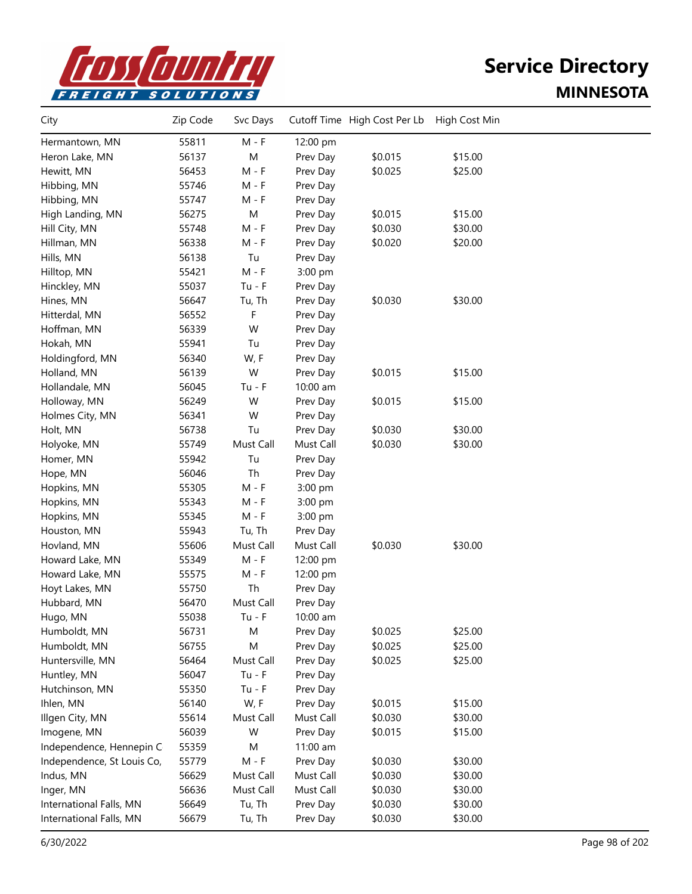

| City                       | Zip Code | Svc Days  |           | Cutoff Time High Cost Per Lb | High Cost Min |  |
|----------------------------|----------|-----------|-----------|------------------------------|---------------|--|
| Hermantown, MN             | 55811    | $M - F$   | 12:00 pm  |                              |               |  |
| Heron Lake, MN             | 56137    | M         | Prev Day  | \$0.015                      | \$15.00       |  |
| Hewitt, MN                 | 56453    | $M - F$   | Prev Day  | \$0.025                      | \$25.00       |  |
| Hibbing, MN                | 55746    | $M - F$   | Prev Day  |                              |               |  |
| Hibbing, MN                | 55747    | $M - F$   | Prev Day  |                              |               |  |
| High Landing, MN           | 56275    | M         | Prev Day  | \$0.015                      | \$15.00       |  |
| Hill City, MN              | 55748    | $M - F$   | Prev Day  | \$0.030                      | \$30.00       |  |
| Hillman, MN                | 56338    | M - F     | Prev Day  | \$0.020                      | \$20.00       |  |
| Hills, MN                  | 56138    | Tu        | Prev Day  |                              |               |  |
| Hilltop, MN                | 55421    | $M - F$   | 3:00 pm   |                              |               |  |
| Hinckley, MN               | 55037    | $Tu - F$  | Prev Day  |                              |               |  |
| Hines, MN                  | 56647    | Tu, Th    | Prev Day  | \$0.030                      | \$30.00       |  |
| Hitterdal, MN              | 56552    | F         | Prev Day  |                              |               |  |
| Hoffman, MN                | 56339    | W         | Prev Day  |                              |               |  |
| Hokah, MN                  | 55941    | Tu        | Prev Day  |                              |               |  |
| Holdingford, MN            | 56340    | W, F      | Prev Day  |                              |               |  |
| Holland, MN                | 56139    | W         | Prev Day  | \$0.015                      | \$15.00       |  |
| Hollandale, MN             | 56045    | $Tu - F$  | 10:00 am  |                              |               |  |
| Holloway, MN               | 56249    | W         | Prev Day  | \$0.015                      | \$15.00       |  |
| Holmes City, MN            | 56341    | W         | Prev Day  |                              |               |  |
| Holt, MN                   | 56738    | Tu        | Prev Day  | \$0.030                      | \$30.00       |  |
| Holyoke, MN                | 55749    | Must Call | Must Call | \$0.030                      | \$30.00       |  |
| Homer, MN                  | 55942    | Tu        | Prev Day  |                              |               |  |
| Hope, MN                   | 56046    | Th        | Prev Day  |                              |               |  |
| Hopkins, MN                | 55305    | $M - F$   | 3:00 pm   |                              |               |  |
| Hopkins, MN                | 55343    | M - F     | 3:00 pm   |                              |               |  |
| Hopkins, MN                | 55345    | $M - F$   | 3:00 pm   |                              |               |  |
| Houston, MN                | 55943    | Tu, Th    | Prev Day  |                              |               |  |
| Hovland, MN                | 55606    | Must Call | Must Call | \$0.030                      | \$30.00       |  |
| Howard Lake, MN            | 55349    | $M - F$   | 12:00 pm  |                              |               |  |
| Howard Lake, MN            | 55575    | M - F     | 12:00 pm  |                              |               |  |
| Hoyt Lakes, MN             | 55750    | Th        | Prev Day  |                              |               |  |
| Hubbard, MN                | 56470    | Must Call | Prev Day  |                              |               |  |
| Hugo, MN                   | 55038    | $Tu - F$  | 10:00 am  |                              |               |  |
| Humboldt, MN               | 56731    | M         | Prev Day  | \$0.025                      | \$25.00       |  |
| Humboldt, MN               | 56755    | M         | Prev Day  | \$0.025                      | \$25.00       |  |
| Huntersville, MN           | 56464    | Must Call | Prev Day  | \$0.025                      | \$25.00       |  |
| Huntley, MN                | 56047    | $Tu - F$  | Prev Day  |                              |               |  |
| Hutchinson, MN             | 55350    | $Tu - F$  | Prev Day  |                              |               |  |
| Ihlen, MN                  | 56140    | W, F      | Prev Day  | \$0.015                      | \$15.00       |  |
| Illgen City, MN            | 55614    | Must Call | Must Call | \$0.030                      | \$30.00       |  |
| Imogene, MN                | 56039    | W         | Prev Day  | \$0.015                      | \$15.00       |  |
| Independence, Hennepin C   | 55359    | M         | 11:00 am  |                              |               |  |
| Independence, St Louis Co, | 55779    | $M - F$   | Prev Day  | \$0.030                      | \$30.00       |  |
| Indus, MN                  | 56629    | Must Call | Must Call | \$0.030                      | \$30.00       |  |
| Inger, MN                  | 56636    | Must Call | Must Call | \$0.030                      | \$30.00       |  |
| International Falls, MN    | 56649    | Tu, Th    | Prev Day  | \$0.030                      | \$30.00       |  |
| International Falls, MN    | 56679    | Tu, Th    | Prev Day  | \$0.030                      | \$30.00       |  |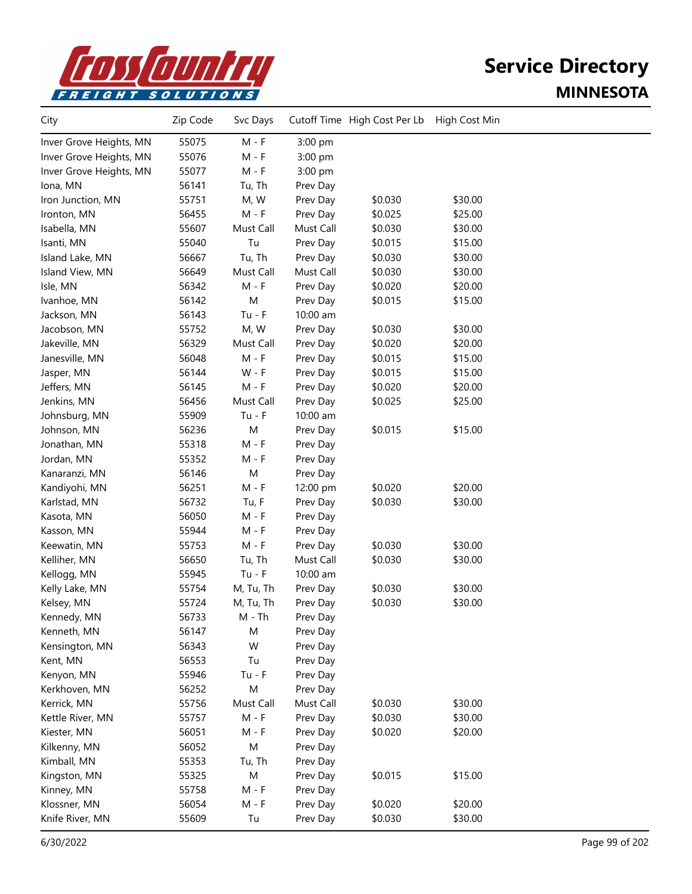

| City                    | Zip Code | Svc Days  |           | Cutoff Time High Cost Per Lb | High Cost Min |  |
|-------------------------|----------|-----------|-----------|------------------------------|---------------|--|
| Inver Grove Heights, MN | 55075    | $M - F$   | 3:00 pm   |                              |               |  |
| Inver Grove Heights, MN | 55076    | $M - F$   | 3:00 pm   |                              |               |  |
| Inver Grove Heights, MN | 55077    | $M - F$   | 3:00 pm   |                              |               |  |
| Iona, MN                | 56141    | Tu, Th    | Prev Day  |                              |               |  |
| Iron Junction, MN       | 55751    | M, W      | Prev Day  | \$0.030                      | \$30.00       |  |
| Ironton, MN             | 56455    | $M - F$   | Prev Day  | \$0.025                      | \$25.00       |  |
| Isabella, MN            | 55607    | Must Call | Must Call | \$0.030                      | \$30.00       |  |
| Isanti, MN              | 55040    | Tu        | Prev Day  | \$0.015                      | \$15.00       |  |
| Island Lake, MN         | 56667    | Tu, Th    | Prev Day  | \$0.030                      | \$30.00       |  |
| Island View, MN         | 56649    | Must Call | Must Call | \$0.030                      | \$30.00       |  |
| Isle, MN                | 56342    | $M - F$   | Prev Day  | \$0.020                      | \$20.00       |  |
| Ivanhoe, MN             | 56142    | ${\sf M}$ | Prev Day  | \$0.015                      | \$15.00       |  |
| Jackson, MN             | 56143    | $Tu - F$  | 10:00 am  |                              |               |  |
| Jacobson, MN            | 55752    | M, W      | Prev Day  | \$0.030                      | \$30.00       |  |
| Jakeville, MN           | 56329    | Must Call | Prev Day  | \$0.020                      | \$20.00       |  |
| Janesville, MN          | 56048    | $M - F$   | Prev Day  | \$0.015                      | \$15.00       |  |
| Jasper, MN              | 56144    | W - F     | Prev Day  | \$0.015                      | \$15.00       |  |
| Jeffers, MN             | 56145    | $M - F$   | Prev Day  | \$0.020                      | \$20.00       |  |
| Jenkins, MN             | 56456    | Must Call | Prev Day  | \$0.025                      | \$25.00       |  |
| Johnsburg, MN           | 55909    | $Tu - F$  | 10:00 am  |                              |               |  |
| Johnson, MN             | 56236    | M         | Prev Day  | \$0.015                      | \$15.00       |  |
| Jonathan, MN            | 55318    | $M - F$   | Prev Day  |                              |               |  |
| Jordan, MN              | 55352    | $M - F$   | Prev Day  |                              |               |  |
| Kanaranzi, MN           | 56146    | M         | Prev Day  |                              |               |  |
| Kandiyohi, MN           | 56251    | $M - F$   | 12:00 pm  | \$0.020                      | \$20.00       |  |
| Karlstad, MN            | 56732    | Tu, F     | Prev Day  | \$0.030                      | \$30.00       |  |
| Kasota, MN              | 56050    | $M - F$   | Prev Day  |                              |               |  |
| Kasson, MN              | 55944    | $M - F$   | Prev Day  |                              |               |  |
| Keewatin, MN            | 55753    | $M - F$   | Prev Day  | \$0.030                      | \$30.00       |  |
| Kelliher, MN            | 56650    | Tu, Th    | Must Call | \$0.030                      | \$30.00       |  |
| Kellogg, MN             | 55945    | $Tu - F$  | 10:00 am  |                              |               |  |
| Kelly Lake, MN          | 55754    | M, Tu, Th | Prev Day  | \$0.030                      | \$30.00       |  |
| Kelsey, MN              | 55724    | M, Tu, Th | Prev Day  | \$0.030                      | \$30.00       |  |
| Kennedy, MN             | 56733    | M - Th    | Prev Day  |                              |               |  |
| Kenneth, MN             | 56147    | M         | Prev Day  |                              |               |  |
| Kensington, MN          | 56343    | W         | Prev Day  |                              |               |  |
| Kent, MN                | 56553    | Tu        | Prev Day  |                              |               |  |
| Kenyon, MN              | 55946    | $Tu - F$  | Prev Day  |                              |               |  |
| Kerkhoven, MN           | 56252    | M         | Prev Day  |                              |               |  |
| Kerrick, MN             | 55756    | Must Call | Must Call | \$0.030                      | \$30.00       |  |
| Kettle River, MN        | 55757    | $M - F$   | Prev Day  | \$0.030                      | \$30.00       |  |
| Kiester, MN             | 56051    | M - F     | Prev Day  | \$0.020                      | \$20.00       |  |
| Kilkenny, MN            | 56052    | M         | Prev Day  |                              |               |  |
| Kimball, MN             | 55353    | Tu, Th    | Prev Day  |                              |               |  |
| Kingston, MN            | 55325    | M         | Prev Day  | \$0.015                      | \$15.00       |  |
| Kinney, MN              | 55758    | $M - F$   | Prev Day  |                              |               |  |
| Klossner, MN            | 56054    | M - F     | Prev Day  | \$0.020                      | \$20.00       |  |
| Knife River, MN         | 55609    | Tu        | Prev Day  | \$0.030                      | \$30.00       |  |
|                         |          |           |           |                              |               |  |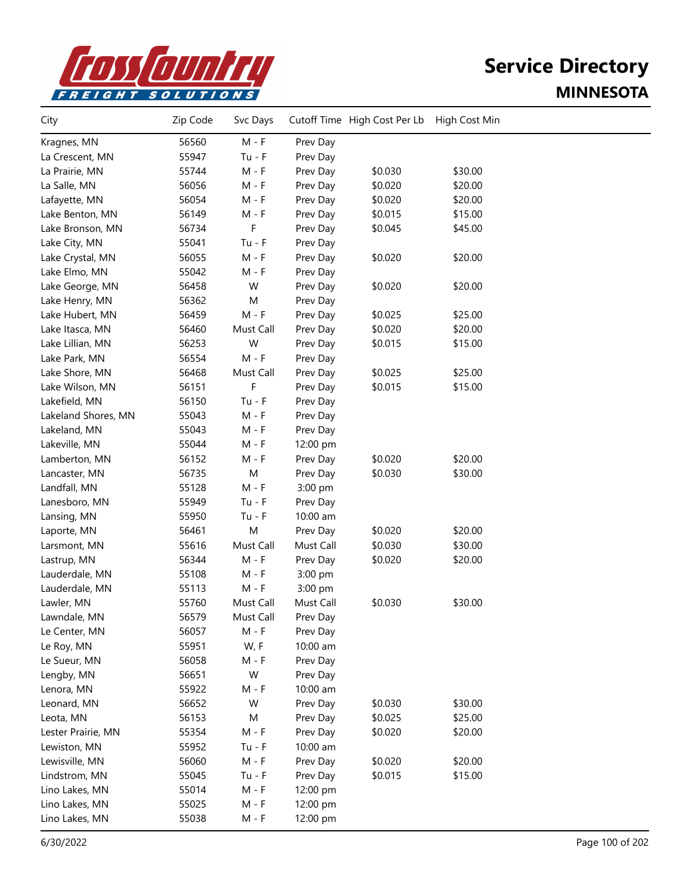

| City                | Zip Code | Svc Days  |           | Cutoff Time High Cost Per Lb | High Cost Min |  |
|---------------------|----------|-----------|-----------|------------------------------|---------------|--|
| Kragnes, MN         | 56560    | $M - F$   | Prev Day  |                              |               |  |
| La Crescent, MN     | 55947    | $Tu - F$  | Prev Day  |                              |               |  |
| La Prairie, MN      | 55744    | $M - F$   | Prev Day  | \$0.030                      | \$30.00       |  |
| La Salle, MN        | 56056    | $M - F$   | Prev Day  | \$0.020                      | \$20.00       |  |
| Lafayette, MN       | 56054    | $M - F$   | Prev Day  | \$0.020                      | \$20.00       |  |
| Lake Benton, MN     | 56149    | M - F     | Prev Day  | \$0.015                      | \$15.00       |  |
| Lake Bronson, MN    | 56734    | F         | Prev Day  | \$0.045                      | \$45.00       |  |
| Lake City, MN       | 55041    | $Tu - F$  | Prev Day  |                              |               |  |
| Lake Crystal, MN    | 56055    | $M - F$   | Prev Day  | \$0.020                      | \$20.00       |  |
| Lake Elmo, MN       | 55042    | M - F     | Prev Day  |                              |               |  |
| Lake George, MN     | 56458    | W         | Prev Day  | \$0.020                      | \$20.00       |  |
| Lake Henry, MN      | 56362    | M         | Prev Day  |                              |               |  |
| Lake Hubert, MN     | 56459    | $M - F$   | Prev Day  | \$0.025                      | \$25.00       |  |
| Lake Itasca, MN     | 56460    | Must Call | Prev Day  | \$0.020                      | \$20.00       |  |
| Lake Lillian, MN    | 56253    | W         | Prev Day  | \$0.015                      | \$15.00       |  |
| Lake Park, MN       | 56554    | $M - F$   | Prev Day  |                              |               |  |
| Lake Shore, MN      | 56468    | Must Call | Prev Day  | \$0.025                      | \$25.00       |  |
| Lake Wilson, MN     | 56151    | F         | Prev Day  | \$0.015                      | \$15.00       |  |
| Lakefield, MN       | 56150    | $Tu - F$  | Prev Day  |                              |               |  |
| Lakeland Shores, MN | 55043    | $M - F$   | Prev Day  |                              |               |  |
| Lakeland, MN        | 55043    | $M - F$   | Prev Day  |                              |               |  |
| Lakeville, MN       | 55044    | $M - F$   | 12:00 pm  |                              |               |  |
| Lamberton, MN       | 56152    | $M - F$   | Prev Day  | \$0.020                      | \$20.00       |  |
| Lancaster, MN       | 56735    | ${\sf M}$ | Prev Day  | \$0.030                      | \$30.00       |  |
| Landfall, MN        | 55128    | $M - F$   | 3:00 pm   |                              |               |  |
| Lanesboro, MN       | 55949    | $Tu - F$  | Prev Day  |                              |               |  |
| Lansing, MN         | 55950    | $Tu - F$  | 10:00 am  |                              |               |  |
| Laporte, MN         | 56461    | ${\sf M}$ | Prev Day  | \$0.020                      | \$20.00       |  |
| Larsmont, MN        | 55616    | Must Call | Must Call | \$0.030                      | \$30.00       |  |
| Lastrup, MN         | 56344    | $M - F$   | Prev Day  | \$0.020                      | \$20.00       |  |
| Lauderdale, MN      | 55108    | $M - F$   | 3:00 pm   |                              |               |  |
| Lauderdale, MN      | 55113    | M - F     | 3:00 pm   |                              |               |  |
| Lawler, MN          | 55760    | Must Call | Must Call | \$0.030                      | \$30.00       |  |
| Lawndale, MN        | 56579    | Must Call | Prev Day  |                              |               |  |
| Le Center, MN       | 56057    | $M - F$   | Prev Day  |                              |               |  |
| Le Roy, MN          | 55951    | W, F      | 10:00 am  |                              |               |  |
| Le Sueur, MN        | 56058    | $M - F$   | Prev Day  |                              |               |  |
| Lengby, MN          | 56651    | W         | Prev Day  |                              |               |  |
| Lenora, MN          | 55922    | $M - F$   | 10:00 am  |                              |               |  |
| Leonard, MN         | 56652    | W         | Prev Day  | \$0.030                      | \$30.00       |  |
| Leota, MN           | 56153    | M         | Prev Day  | \$0.025                      | \$25.00       |  |
| Lester Prairie, MN  | 55354    | $M - F$   | Prev Day  | \$0.020                      | \$20.00       |  |
| Lewiston, MN        | 55952    | $Tu - F$  | 10:00 am  |                              |               |  |
| Lewisville, MN      | 56060    | $M - F$   | Prev Day  | \$0.020                      | \$20.00       |  |
| Lindstrom, MN       | 55045    | $Tu - F$  | Prev Day  | \$0.015                      | \$15.00       |  |
| Lino Lakes, MN      | 55014    | $M - F$   | 12:00 pm  |                              |               |  |
| Lino Lakes, MN      | 55025    | $M - F$   | 12:00 pm  |                              |               |  |
| Lino Lakes, MN      | 55038    | M - F     | 12:00 pm  |                              |               |  |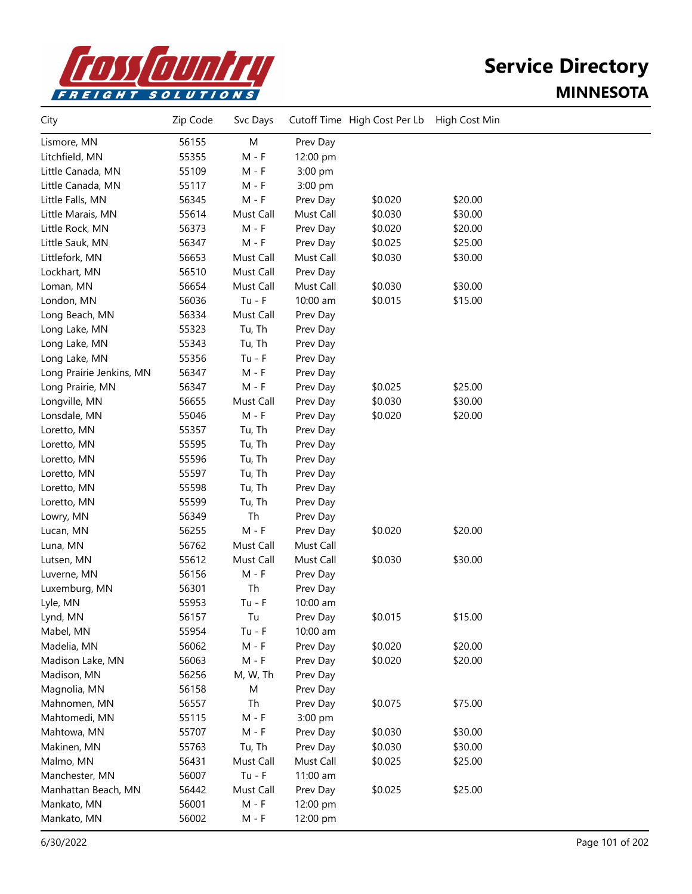

| City                     | Zip Code | Svc Days  |           | Cutoff Time High Cost Per Lb | High Cost Min |  |
|--------------------------|----------|-----------|-----------|------------------------------|---------------|--|
| Lismore, MN              | 56155    | M         | Prev Day  |                              |               |  |
| Litchfield, MN           | 55355    | $M - F$   | 12:00 pm  |                              |               |  |
| Little Canada, MN        | 55109    | $M - F$   | 3:00 pm   |                              |               |  |
| Little Canada, MN        | 55117    | $M - F$   | 3:00 pm   |                              |               |  |
| Little Falls, MN         | 56345    | $M - F$   | Prev Day  | \$0.020                      | \$20.00       |  |
| Little Marais, MN        | 55614    | Must Call | Must Call | \$0.030                      | \$30.00       |  |
| Little Rock, MN          | 56373    | $M - F$   | Prev Day  | \$0.020                      | \$20.00       |  |
| Little Sauk, MN          | 56347    | $M - F$   | Prev Day  | \$0.025                      | \$25.00       |  |
| Littlefork, MN           | 56653    | Must Call | Must Call | \$0.030                      | \$30.00       |  |
| Lockhart, MN             | 56510    | Must Call | Prev Day  |                              |               |  |
| Loman, MN                | 56654    | Must Call | Must Call | \$0.030                      | \$30.00       |  |
| London, MN               | 56036    | $Tu - F$  | 10:00 am  | \$0.015                      | \$15.00       |  |
| Long Beach, MN           | 56334    | Must Call | Prev Day  |                              |               |  |
| Long Lake, MN            | 55323    | Tu, Th    | Prev Day  |                              |               |  |
| Long Lake, MN            | 55343    | Tu, Th    | Prev Day  |                              |               |  |
| Long Lake, MN            | 55356    | $Tu - F$  | Prev Day  |                              |               |  |
| Long Prairie Jenkins, MN | 56347    | M - F     | Prev Day  |                              |               |  |
| Long Prairie, MN         | 56347    | $M - F$   | Prev Day  | \$0.025                      | \$25.00       |  |
| Longville, MN            | 56655    | Must Call | Prev Day  | \$0.030                      | \$30.00       |  |
| Lonsdale, MN             | 55046    | $M - F$   | Prev Day  | \$0.020                      | \$20.00       |  |
| Loretto, MN              | 55357    | Tu, Th    | Prev Day  |                              |               |  |
| Loretto, MN              | 55595    | Tu, Th    | Prev Day  |                              |               |  |
| Loretto, MN              | 55596    | Tu, Th    | Prev Day  |                              |               |  |
| Loretto, MN              | 55597    | Tu, Th    | Prev Day  |                              |               |  |
| Loretto, MN              | 55598    | Tu, Th    | Prev Day  |                              |               |  |
| Loretto, MN              | 55599    | Tu, Th    | Prev Day  |                              |               |  |
| Lowry, MN                | 56349    | Th        | Prev Day  |                              |               |  |
| Lucan, MN                | 56255    | $M - F$   | Prev Day  | \$0.020                      | \$20.00       |  |
| Luna, MN                 | 56762    | Must Call | Must Call |                              |               |  |
| Lutsen, MN               | 55612    | Must Call | Must Call | \$0.030                      | \$30.00       |  |
| Luverne, MN              | 56156    | $M - F$   | Prev Day  |                              |               |  |
| Luxemburg, MN            | 56301    | Th        | Prev Day  |                              |               |  |
| Lyle, MN                 | 55953    | $Tu - F$  | 10:00 am  |                              |               |  |
| Lynd, MN                 | 56157    | Tu        | Prev Day  | \$0.015                      | \$15.00       |  |
| Mabel, MN                | 55954    | $Tu - F$  | 10:00 am  |                              |               |  |
| Madelia, MN              | 56062    | $M - F$   | Prev Day  | \$0.020                      | \$20.00       |  |
| Madison Lake, MN         | 56063    | $M - F$   | Prev Day  | \$0.020                      | \$20.00       |  |
| Madison, MN              | 56256    | M, W, Th  | Prev Day  |                              |               |  |
| Magnolia, MN             | 56158    | M         | Prev Day  |                              |               |  |
| Mahnomen, MN             | 56557    | Th        | Prev Day  | \$0.075                      | \$75.00       |  |
| Mahtomedi, MN            | 55115    | $M - F$   | 3:00 pm   |                              |               |  |
| Mahtowa, MN              | 55707    | $M - F$   | Prev Day  | \$0.030                      | \$30.00       |  |
| Makinen, MN              | 55763    | Tu, Th    | Prev Day  | \$0.030                      | \$30.00       |  |
| Malmo, MN                | 56431    | Must Call | Must Call | \$0.025                      | \$25.00       |  |
| Manchester, MN           | 56007    | $Tu - F$  | 11:00 am  |                              |               |  |
| Manhattan Beach, MN      | 56442    | Must Call | Prev Day  | \$0.025                      | \$25.00       |  |
| Mankato, MN              | 56001    | $M - F$   | 12:00 pm  |                              |               |  |
| Mankato, MN              | 56002    | $M - F$   | 12:00 pm  |                              |               |  |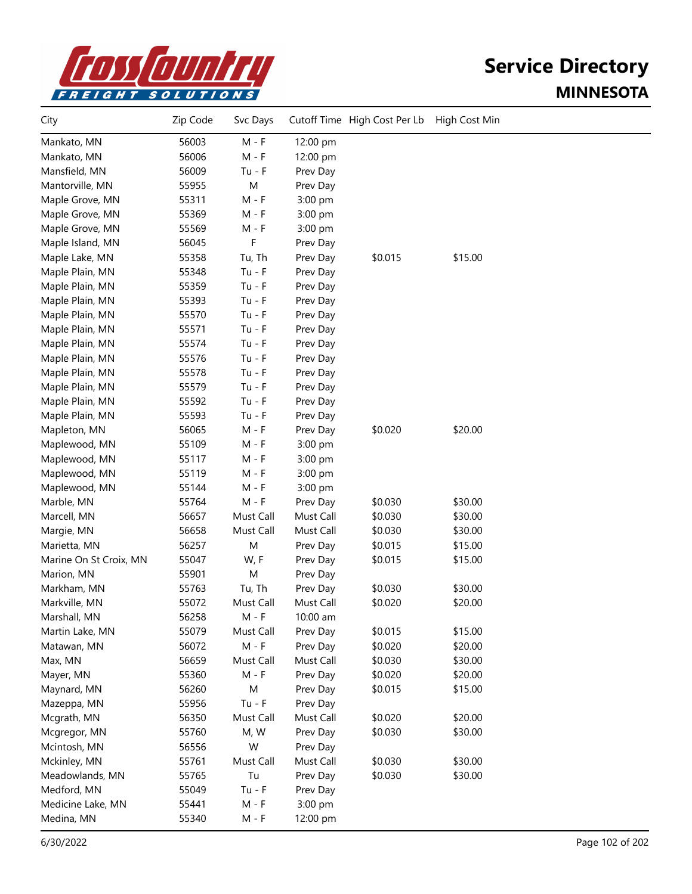

| City                   | Zip Code | Svc Days  |           | Cutoff Time High Cost Per Lb | High Cost Min |  |
|------------------------|----------|-----------|-----------|------------------------------|---------------|--|
| Mankato, MN            | 56003    | $M - F$   | 12:00 pm  |                              |               |  |
| Mankato, MN            | 56006    | $M - F$   | 12:00 pm  |                              |               |  |
| Mansfield, MN          | 56009    | $Tu - F$  | Prev Day  |                              |               |  |
| Mantorville, MN        | 55955    | M         | Prev Day  |                              |               |  |
| Maple Grove, MN        | 55311    | $M - F$   | 3:00 pm   |                              |               |  |
| Maple Grove, MN        | 55369    | $M - F$   | 3:00 pm   |                              |               |  |
| Maple Grove, MN        | 55569    | M - F     | 3:00 pm   |                              |               |  |
| Maple Island, MN       | 56045    | F         | Prev Day  |                              |               |  |
| Maple Lake, MN         | 55358    | Tu, Th    | Prev Day  | \$0.015                      | \$15.00       |  |
| Maple Plain, MN        | 55348    | $Tu - F$  | Prev Day  |                              |               |  |
| Maple Plain, MN        | 55359    | $Tu - F$  | Prev Day  |                              |               |  |
| Maple Plain, MN        | 55393    | $Tu - F$  | Prev Day  |                              |               |  |
| Maple Plain, MN        | 55570    | $Tu - F$  | Prev Day  |                              |               |  |
| Maple Plain, MN        | 55571    | $Tu - F$  | Prev Day  |                              |               |  |
| Maple Plain, MN        | 55574    | $Tu - F$  | Prev Day  |                              |               |  |
| Maple Plain, MN        | 55576    | $Tu - F$  | Prev Day  |                              |               |  |
| Maple Plain, MN        | 55578    | $Tu - F$  | Prev Day  |                              |               |  |
| Maple Plain, MN        | 55579    | $Tu - F$  | Prev Day  |                              |               |  |
| Maple Plain, MN        | 55592    | $Tu - F$  | Prev Day  |                              |               |  |
| Maple Plain, MN        | 55593    | $Tu - F$  | Prev Day  |                              |               |  |
| Mapleton, MN           | 56065    | $M - F$   | Prev Day  | \$0.020                      | \$20.00       |  |
| Maplewood, MN          | 55109    | $M - F$   | 3:00 pm   |                              |               |  |
| Maplewood, MN          | 55117    | $M - F$   | 3:00 pm   |                              |               |  |
| Maplewood, MN          | 55119    | $M - F$   | 3:00 pm   |                              |               |  |
| Maplewood, MN          | 55144    | $M - F$   | 3:00 pm   |                              |               |  |
| Marble, MN             | 55764    | $M - F$   | Prev Day  | \$0.030                      | \$30.00       |  |
| Marcell, MN            | 56657    | Must Call | Must Call | \$0.030                      | \$30.00       |  |
| Margie, MN             | 56658    | Must Call | Must Call | \$0.030                      | \$30.00       |  |
| Marietta, MN           | 56257    | M         | Prev Day  | \$0.015                      | \$15.00       |  |
| Marine On St Croix, MN | 55047    | W, F      | Prev Day  | \$0.015                      | \$15.00       |  |
| Marion, MN             | 55901    | M         | Prev Day  |                              |               |  |
| Markham, MN            | 55763    | Tu, Th    | Prev Day  | \$0.030                      | \$30.00       |  |
| Markville, MN          | 55072    | Must Call | Must Call | \$0.020                      | \$20.00       |  |
| Marshall, MN           | 56258    | $M - F$   | 10:00 am  |                              |               |  |
| Martin Lake, MN        | 55079    | Must Call | Prev Day  | \$0.015                      | \$15.00       |  |
| Matawan, MN            | 56072    | $M - F$   | Prev Day  | \$0.020                      | \$20.00       |  |
| Max, MN                | 56659    | Must Call | Must Call | \$0.030                      | \$30.00       |  |
| Mayer, MN              | 55360    | $M - F$   | Prev Day  | \$0.020                      | \$20.00       |  |
| Maynard, MN            | 56260    | M         | Prev Day  | \$0.015                      | \$15.00       |  |
| Mazeppa, MN            | 55956    | $Tu - F$  | Prev Day  |                              |               |  |
| Mcgrath, MN            | 56350    | Must Call | Must Call | \$0.020                      | \$20.00       |  |
| Mcgregor, MN           | 55760    | M, W      | Prev Day  | \$0.030                      | \$30.00       |  |
| Mcintosh, MN           | 56556    | W         | Prev Day  |                              |               |  |
| Mckinley, MN           | 55761    | Must Call | Must Call | \$0.030                      | \$30.00       |  |
| Meadowlands, MN        | 55765    | Tu        | Prev Day  | \$0.030                      | \$30.00       |  |
| Medford, MN            | 55049    | $Tu - F$  | Prev Day  |                              |               |  |
| Medicine Lake, MN      | 55441    | $M - F$   | 3:00 pm   |                              |               |  |
| Medina, MN             | 55340    | $M - F$   | 12:00 pm  |                              |               |  |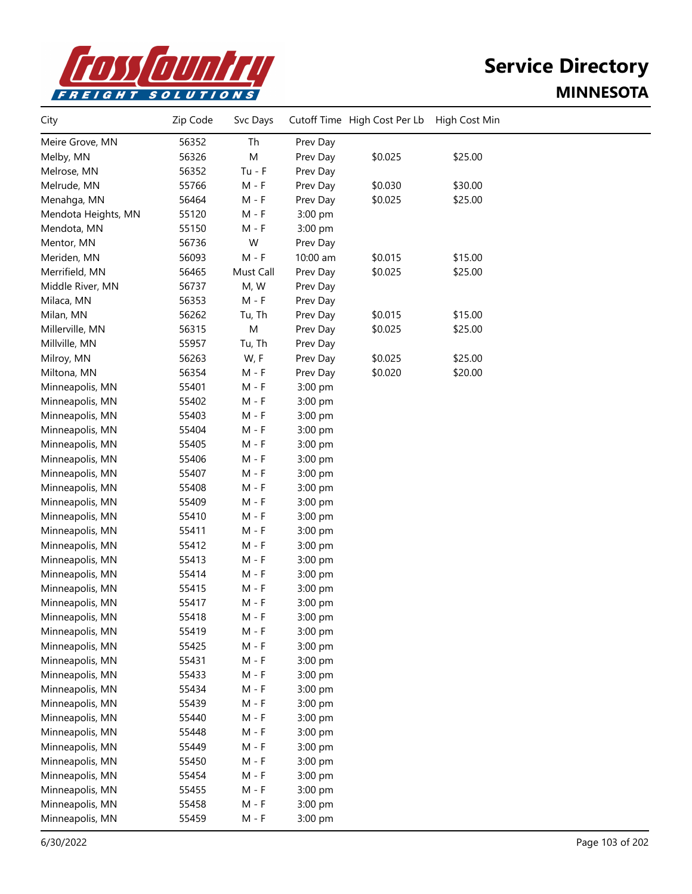

| City                | Zip Code | Svc Days  |          | Cutoff Time High Cost Per Lb | High Cost Min |  |
|---------------------|----------|-----------|----------|------------------------------|---------------|--|
| Meire Grove, MN     | 56352    | Th        | Prev Day |                              |               |  |
| Melby, MN           | 56326    | M         | Prev Day | \$0.025                      | \$25.00       |  |
| Melrose, MN         | 56352    | $Tu - F$  | Prev Day |                              |               |  |
| Melrude, MN         | 55766    | $M - F$   | Prev Day | \$0.030                      | \$30.00       |  |
| Menahga, MN         | 56464    | $M - F$   | Prev Day | \$0.025                      | \$25.00       |  |
| Mendota Heights, MN | 55120    | $M - F$   | 3:00 pm  |                              |               |  |
| Mendota, MN         | 55150    | $M - F$   | 3:00 pm  |                              |               |  |
| Mentor, MN          | 56736    | W         | Prev Day |                              |               |  |
| Meriden, MN         | 56093    | $M - F$   | 10:00 am | \$0.015                      | \$15.00       |  |
| Merrifield, MN      | 56465    | Must Call | Prev Day | \$0.025                      | \$25.00       |  |
| Middle River, MN    | 56737    | M, W      | Prev Day |                              |               |  |
| Milaca, MN          | 56353    | $M - F$   | Prev Day |                              |               |  |
| Milan, MN           | 56262    | Tu, Th    | Prev Day | \$0.015                      | \$15.00       |  |
| Millerville, MN     | 56315    | M         | Prev Day | \$0.025                      | \$25.00       |  |
| Millville, MN       | 55957    | Tu, Th    | Prev Day |                              |               |  |
| Milroy, MN          | 56263    | W, F      | Prev Day | \$0.025                      | \$25.00       |  |
| Miltona, MN         | 56354    | M - F     | Prev Day | \$0.020                      | \$20.00       |  |
| Minneapolis, MN     | 55401    | M - F     | 3:00 pm  |                              |               |  |
| Minneapolis, MN     | 55402    | $M - F$   | 3:00 pm  |                              |               |  |
| Minneapolis, MN     | 55403    | $M - F$   | 3:00 pm  |                              |               |  |
| Minneapolis, MN     | 55404    | $M - F$   | 3:00 pm  |                              |               |  |
| Minneapolis, MN     | 55405    | $M - F$   | 3:00 pm  |                              |               |  |
| Minneapolis, MN     | 55406    | $M - F$   | 3:00 pm  |                              |               |  |
| Minneapolis, MN     | 55407    | $M - F$   | 3:00 pm  |                              |               |  |
| Minneapolis, MN     | 55408    | M - F     | 3:00 pm  |                              |               |  |
| Minneapolis, MN     | 55409    | M - F     | 3:00 pm  |                              |               |  |
| Minneapolis, MN     | 55410    | M - F     | 3:00 pm  |                              |               |  |
| Minneapolis, MN     | 55411    | M - F     | 3:00 pm  |                              |               |  |
| Minneapolis, MN     | 55412    | M - F     | 3:00 pm  |                              |               |  |
| Minneapolis, MN     | 55413    | M - F     | 3:00 pm  |                              |               |  |
| Minneapolis, MN     | 55414    | M - F     | 3:00 pm  |                              |               |  |
| Minneapolis, MN     | 55415    | M - F     | 3:00 pm  |                              |               |  |
| Minneapolis, MN     | 55417    | $M - F$   | 3:00 pm  |                              |               |  |
| Minneapolis, MN     | 55418    | M - F     | 3:00 pm  |                              |               |  |
| Minneapolis, MN     | 55419    | M - F     | 3:00 pm  |                              |               |  |
| Minneapolis, MN     | 55425    | $M - F$   | 3:00 pm  |                              |               |  |
| Minneapolis, MN     | 55431    | M - F     | 3:00 pm  |                              |               |  |
| Minneapolis, MN     | 55433    | M - F     | 3:00 pm  |                              |               |  |
| Minneapolis, MN     | 55434    | M - F     | 3:00 pm  |                              |               |  |
| Minneapolis, MN     | 55439    | M - F     | 3:00 pm  |                              |               |  |
| Minneapolis, MN     | 55440    | M - F     | 3:00 pm  |                              |               |  |
| Minneapolis, MN     | 55448    | M - F     | 3:00 pm  |                              |               |  |
| Minneapolis, MN     | 55449    | M - F     | 3:00 pm  |                              |               |  |
| Minneapolis, MN     | 55450    | M - F     | 3:00 pm  |                              |               |  |
| Minneapolis, MN     | 55454    | M - F     | 3:00 pm  |                              |               |  |
| Minneapolis, MN     | 55455    | M - F     | 3:00 pm  |                              |               |  |
| Minneapolis, MN     | 55458    | $M - F$   | 3:00 pm  |                              |               |  |
| Minneapolis, MN     | 55459    | M - F     | 3:00 pm  |                              |               |  |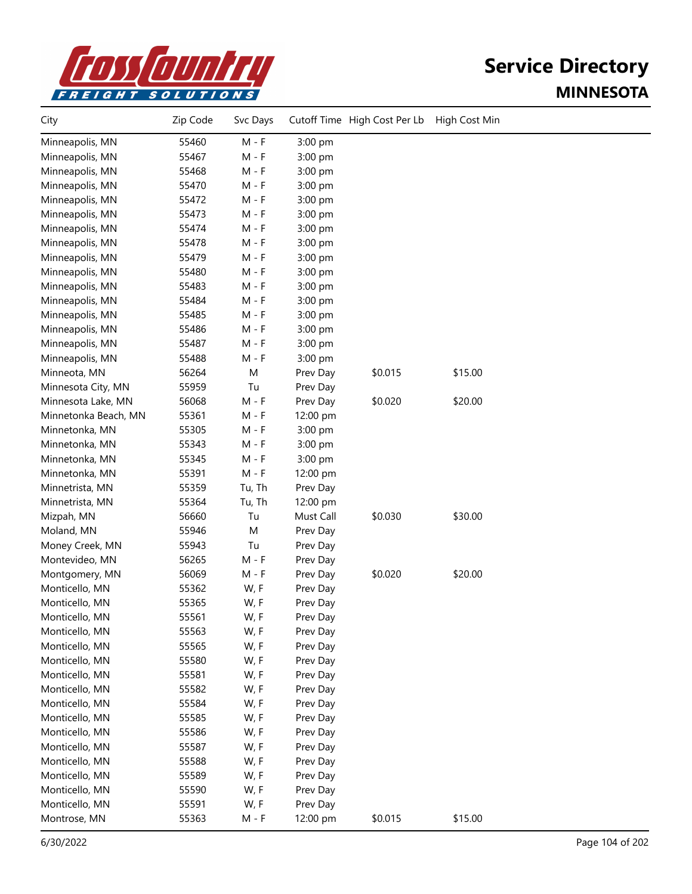

| City                 | Zip Code | Svc Days |           | Cutoff Time High Cost Per Lb | High Cost Min |  |
|----------------------|----------|----------|-----------|------------------------------|---------------|--|
| Minneapolis, MN      | 55460    | $M - F$  | 3:00 pm   |                              |               |  |
| Minneapolis, MN      | 55467    | M - F    | 3:00 pm   |                              |               |  |
| Minneapolis, MN      | 55468    | M - F    | 3:00 pm   |                              |               |  |
| Minneapolis, MN      | 55470    | M - F    | 3:00 pm   |                              |               |  |
| Minneapolis, MN      | 55472    | M - F    | 3:00 pm   |                              |               |  |
| Minneapolis, MN      | 55473    | M - F    | 3:00 pm   |                              |               |  |
| Minneapolis, MN      | 55474    | M - F    | 3:00 pm   |                              |               |  |
| Minneapolis, MN      | 55478    | $M - F$  | 3:00 pm   |                              |               |  |
| Minneapolis, MN      | 55479    | M - F    | 3:00 pm   |                              |               |  |
| Minneapolis, MN      | 55480    | M - F    | 3:00 pm   |                              |               |  |
| Minneapolis, MN      | 55483    | M - F    | 3:00 pm   |                              |               |  |
| Minneapolis, MN      | 55484    | M - F    | 3:00 pm   |                              |               |  |
| Minneapolis, MN      | 55485    | M - F    | 3:00 pm   |                              |               |  |
| Minneapolis, MN      | 55486    | M - F    | 3:00 pm   |                              |               |  |
| Minneapolis, MN      | 55487    | M - F    | 3:00 pm   |                              |               |  |
| Minneapolis, MN      | 55488    | $M - F$  | 3:00 pm   |                              |               |  |
| Minneota, MN         | 56264    | M        | Prev Day  | \$0.015                      | \$15.00       |  |
| Minnesota City, MN   | 55959    | Tu       | Prev Day  |                              |               |  |
| Minnesota Lake, MN   | 56068    | M - F    | Prev Day  | \$0.020                      | \$20.00       |  |
| Minnetonka Beach, MN | 55361    | M - F    | 12:00 pm  |                              |               |  |
| Minnetonka, MN       | 55305    | M - F    | 3:00 pm   |                              |               |  |
| Minnetonka, MN       | 55343    | M - F    | 3:00 pm   |                              |               |  |
| Minnetonka, MN       | 55345    | M - F    | 3:00 pm   |                              |               |  |
| Minnetonka, MN       | 55391    | M - F    | 12:00 pm  |                              |               |  |
| Minnetrista, MN      | 55359    | Tu, Th   | Prev Day  |                              |               |  |
| Minnetrista, MN      | 55364    | Tu, Th   | 12:00 pm  |                              |               |  |
| Mizpah, MN           | 56660    | Tu       | Must Call | \$0.030                      | \$30.00       |  |
| Moland, MN           | 55946    | M        | Prev Day  |                              |               |  |
| Money Creek, MN      | 55943    | Tu       | Prev Day  |                              |               |  |
| Montevideo, MN       | 56265    | M - F    | Prev Day  |                              |               |  |
| Montgomery, MN       | 56069    | $M - F$  | Prev Day  | \$0.020                      | \$20.00       |  |
| Monticello, MN       | 55362    | W, F     | Prev Day  |                              |               |  |
| Monticello, MN       | 55365    | W, F     | Prev Day  |                              |               |  |
| Monticello, MN       | 55561    | W, F     | Prev Day  |                              |               |  |
| Monticello, MN       | 55563    | W, F     | Prev Day  |                              |               |  |
| Monticello, MN       | 55565    | W, F     | Prev Day  |                              |               |  |
| Monticello, MN       | 55580    | W, F     | Prev Day  |                              |               |  |
| Monticello, MN       | 55581    | W, F     | Prev Day  |                              |               |  |
| Monticello, MN       | 55582    | W, F     | Prev Day  |                              |               |  |
| Monticello, MN       | 55584    | W, F     | Prev Day  |                              |               |  |
| Monticello, MN       | 55585    | W, F     | Prev Day  |                              |               |  |
| Monticello, MN       | 55586    | W, F     | Prev Day  |                              |               |  |
| Monticello, MN       | 55587    | W, F     | Prev Day  |                              |               |  |
| Monticello, MN       | 55588    | W, F     | Prev Day  |                              |               |  |
| Monticello, MN       | 55589    | W, F     | Prev Day  |                              |               |  |
| Monticello, MN       | 55590    | W, F     | Prev Day  |                              |               |  |
| Monticello, MN       | 55591    | W, F     | Prev Day  |                              |               |  |
| Montrose, MN         | 55363    | M - F    | 12:00 pm  | \$0.015                      | \$15.00       |  |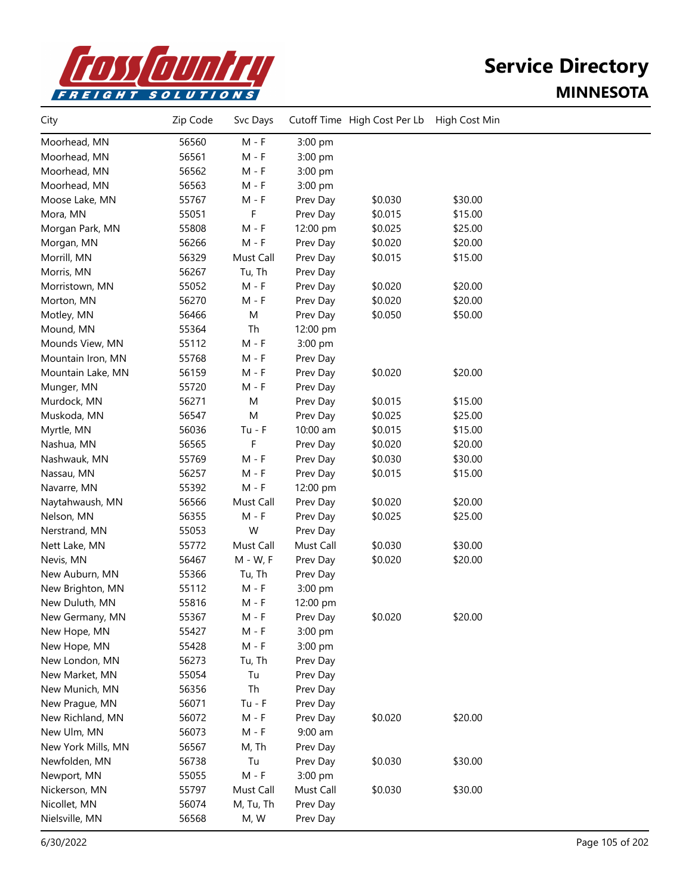

| City               | Zip Code | Svc Days  |           | Cutoff Time High Cost Per Lb | High Cost Min |  |
|--------------------|----------|-----------|-----------|------------------------------|---------------|--|
| Moorhead, MN       | 56560    | $M - F$   | 3:00 pm   |                              |               |  |
| Moorhead, MN       | 56561    | M - F     | 3:00 pm   |                              |               |  |
| Moorhead, MN       | 56562    | $M - F$   | 3:00 pm   |                              |               |  |
| Moorhead, MN       | 56563    | $M - F$   | 3:00 pm   |                              |               |  |
| Moose Lake, MN     | 55767    | $M - F$   | Prev Day  | \$0.030                      | \$30.00       |  |
| Mora, MN           | 55051    | F         | Prev Day  | \$0.015                      | \$15.00       |  |
| Morgan Park, MN    | 55808    | M - F     | 12:00 pm  | \$0.025                      | \$25.00       |  |
| Morgan, MN         | 56266    | $M - F$   | Prev Day  | \$0.020                      | \$20.00       |  |
| Morrill, MN        | 56329    | Must Call | Prev Day  | \$0.015                      | \$15.00       |  |
| Morris, MN         | 56267    | Tu, Th    | Prev Day  |                              |               |  |
| Morristown, MN     | 55052    | $M - F$   | Prev Day  | \$0.020                      | \$20.00       |  |
| Morton, MN         | 56270    | $M - F$   | Prev Day  | \$0.020                      | \$20.00       |  |
| Motley, MN         | 56466    | M         | Prev Day  | \$0.050                      | \$50.00       |  |
| Mound, MN          | 55364    | Th        | 12:00 pm  |                              |               |  |
| Mounds View, MN    | 55112    | $M - F$   | 3:00 pm   |                              |               |  |
| Mountain Iron, MN  | 55768    | $M - F$   | Prev Day  |                              |               |  |
| Mountain Lake, MN  | 56159    | $M - F$   | Prev Day  | \$0.020                      | \$20.00       |  |
| Munger, MN         | 55720    | $M - F$   | Prev Day  |                              |               |  |
| Murdock, MN        | 56271    | M         | Prev Day  | \$0.015                      | \$15.00       |  |
| Muskoda, MN        | 56547    | M         | Prev Day  | \$0.025                      | \$25.00       |  |
| Myrtle, MN         | 56036    | $Tu - F$  | 10:00 am  | \$0.015                      | \$15.00       |  |
| Nashua, MN         | 56565    | F         | Prev Day  | \$0.020                      | \$20.00       |  |
| Nashwauk, MN       | 55769    | $M - F$   | Prev Day  | \$0.030                      | \$30.00       |  |
| Nassau, MN         | 56257    | $M - F$   | Prev Day  | \$0.015                      | \$15.00       |  |
| Navarre, MN        | 55392    | $M - F$   | 12:00 pm  |                              |               |  |
| Naytahwaush, MN    | 56566    | Must Call | Prev Day  | \$0.020                      | \$20.00       |  |
| Nelson, MN         | 56355    | $M - F$   | Prev Day  | \$0.025                      | \$25.00       |  |
| Nerstrand, MN      | 55053    | W         | Prev Day  |                              |               |  |
| Nett Lake, MN      | 55772    | Must Call | Must Call | \$0.030                      | \$30.00       |  |
| Nevis, MN          | 56467    | M - W, F  | Prev Day  | \$0.020                      | \$20.00       |  |
| New Auburn, MN     | 55366    | Tu, Th    | Prev Day  |                              |               |  |
| New Brighton, MN   | 55112    | $M - F$   | 3:00 pm   |                              |               |  |
| New Duluth, MN     | 55816    | M - F     | 12:00 pm  |                              |               |  |
| New Germany, MN    | 55367    | M - F     | Prev Day  | \$0.020                      | \$20.00       |  |
| New Hope, MN       | 55427    | $M - F$   | 3:00 pm   |                              |               |  |
| New Hope, MN       | 55428    | $M - F$   | 3:00 pm   |                              |               |  |
| New London, MN     | 56273    | Tu, Th    | Prev Day  |                              |               |  |
| New Market, MN     | 55054    | Tu        | Prev Day  |                              |               |  |
| New Munich, MN     | 56356    | Th        | Prev Day  |                              |               |  |
| New Prague, MN     | 56071    | $Tu - F$  | Prev Day  |                              |               |  |
| New Richland, MN   | 56072    | $M - F$   | Prev Day  | \$0.020                      | \$20.00       |  |
| New Ulm, MN        | 56073    | $M - F$   | $9:00$ am |                              |               |  |
| New York Mills, MN | 56567    | M, Th     | Prev Day  |                              |               |  |
| Newfolden, MN      | 56738    | Tu        | Prev Day  | \$0.030                      | \$30.00       |  |
| Newport, MN        | 55055    | $M - F$   | 3:00 pm   |                              |               |  |
| Nickerson, MN      | 55797    | Must Call | Must Call | \$0.030                      | \$30.00       |  |
| Nicollet, MN       | 56074    | M, Tu, Th | Prev Day  |                              |               |  |
| Nielsville, MN     | 56568    | M, W      | Prev Day  |                              |               |  |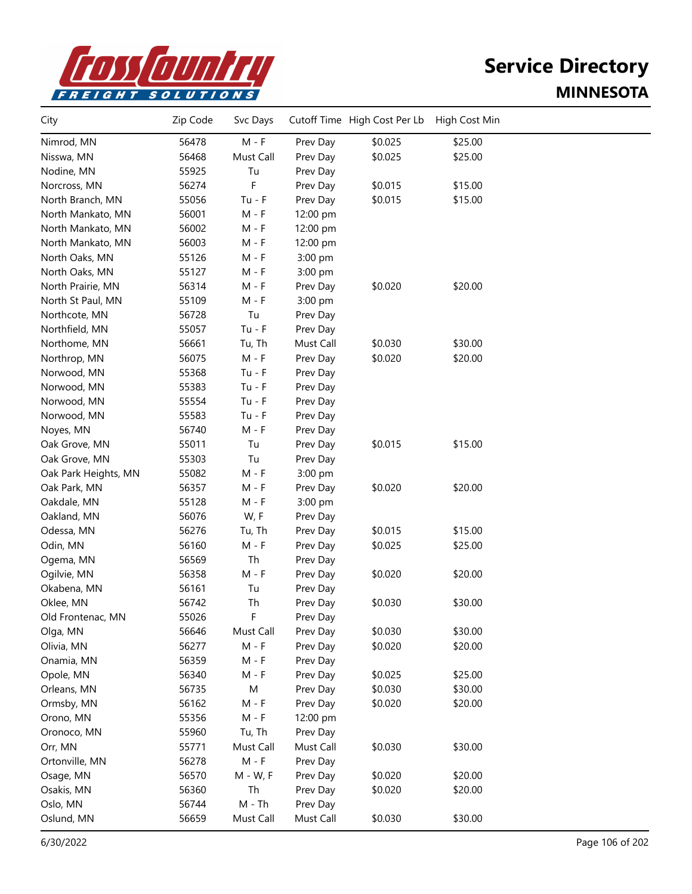

| City                 | Zip Code | Svc Days  |           | Cutoff Time High Cost Per Lb | High Cost Min |  |
|----------------------|----------|-----------|-----------|------------------------------|---------------|--|
| Nimrod, MN           | 56478    | $M - F$   | Prev Day  | \$0.025                      | \$25.00       |  |
| Nisswa, MN           | 56468    | Must Call | Prev Day  | \$0.025                      | \$25.00       |  |
| Nodine, MN           | 55925    | Tu        | Prev Day  |                              |               |  |
| Norcross, MN         | 56274    | F         | Prev Day  | \$0.015                      | \$15.00       |  |
| North Branch, MN     | 55056    | $Tu - F$  | Prev Day  | \$0.015                      | \$15.00       |  |
| North Mankato, MN    | 56001    | $M - F$   | 12:00 pm  |                              |               |  |
| North Mankato, MN    | 56002    | $M - F$   | 12:00 pm  |                              |               |  |
| North Mankato, MN    | 56003    | $M - F$   | 12:00 pm  |                              |               |  |
| North Oaks, MN       | 55126    | M - F     | 3:00 pm   |                              |               |  |
| North Oaks, MN       | 55127    | M - F     | 3:00 pm   |                              |               |  |
| North Prairie, MN    | 56314    | $M - F$   | Prev Day  | \$0.020                      | \$20.00       |  |
| North St Paul, MN    | 55109    | $M - F$   | 3:00 pm   |                              |               |  |
| Northcote, MN        | 56728    | Tu        | Prev Day  |                              |               |  |
| Northfield, MN       | 55057    | $Tu - F$  | Prev Day  |                              |               |  |
| Northome, MN         | 56661    | Tu, Th    | Must Call | \$0.030                      | \$30.00       |  |
| Northrop, MN         | 56075    | $M - F$   | Prev Day  | \$0.020                      | \$20.00       |  |
| Norwood, MN          | 55368    | $Tu - F$  | Prev Day  |                              |               |  |
| Norwood, MN          | 55383    | $Tu - F$  | Prev Day  |                              |               |  |
| Norwood, MN          | 55554    | $Tu - F$  | Prev Day  |                              |               |  |
| Norwood, MN          | 55583    | $Tu - F$  | Prev Day  |                              |               |  |
| Noyes, MN            | 56740    | $M - F$   | Prev Day  |                              |               |  |
| Oak Grove, MN        | 55011    | Tu        | Prev Day  | \$0.015                      | \$15.00       |  |
| Oak Grove, MN        | 55303    | Tu        | Prev Day  |                              |               |  |
| Oak Park Heights, MN | 55082    | $M - F$   | 3:00 pm   |                              |               |  |
| Oak Park, MN         | 56357    | M - F     | Prev Day  | \$0.020                      | \$20.00       |  |
| Oakdale, MN          | 55128    | $M - F$   | 3:00 pm   |                              |               |  |
| Oakland, MN          | 56076    | W, F      | Prev Day  |                              |               |  |
| Odessa, MN           | 56276    | Tu, Th    | Prev Day  | \$0.015                      | \$15.00       |  |
| Odin, MN             | 56160    | $M - F$   | Prev Day  | \$0.025                      | \$25.00       |  |
| Ogema, MN            | 56569    | Th        | Prev Day  |                              |               |  |
| Ogilvie, MN          | 56358    | $M - F$   | Prev Day  | \$0.020                      | \$20.00       |  |
| Okabena, MN          | 56161    | Tu        | Prev Day  |                              |               |  |
| Oklee, MN            | 56742    | Th        | Prev Day  | \$0.030                      | \$30.00       |  |
| Old Frontenac, MN    | 55026    | F         | Prev Day  |                              |               |  |
| Olga, MN             | 56646    | Must Call | Prev Day  | \$0.030                      | \$30.00       |  |
| Olivia, MN           | 56277    | $M - F$   | Prev Day  | \$0.020                      | \$20.00       |  |
| Onamia, MN           | 56359    | $M - F$   | Prev Day  |                              |               |  |
| Opole, MN            | 56340    | $M - F$   | Prev Day  | \$0.025                      | \$25.00       |  |
| Orleans, MN          | 56735    | M         | Prev Day  | \$0.030                      | \$30.00       |  |
| Ormsby, MN           | 56162    | $M - F$   | Prev Day  | \$0.020                      | \$20.00       |  |
| Orono, MN            | 55356    | $M - F$   | 12:00 pm  |                              |               |  |
| Oronoco, MN          | 55960    | Tu, Th    | Prev Day  |                              |               |  |
| Orr, MN              | 55771    | Must Call | Must Call | \$0.030                      | \$30.00       |  |
| Ortonville, MN       | 56278    | $M - F$   | Prev Day  |                              |               |  |
| Osage, MN            | 56570    | M - W, F  | Prev Day  | \$0.020                      | \$20.00       |  |
| Osakis, MN           | 56360    | Th        | Prev Day  | \$0.020                      | \$20.00       |  |
| Oslo, MN             | 56744    | $M - Th$  | Prev Day  |                              |               |  |
| Oslund, MN           | 56659    | Must Call | Must Call | \$0.030                      | \$30.00       |  |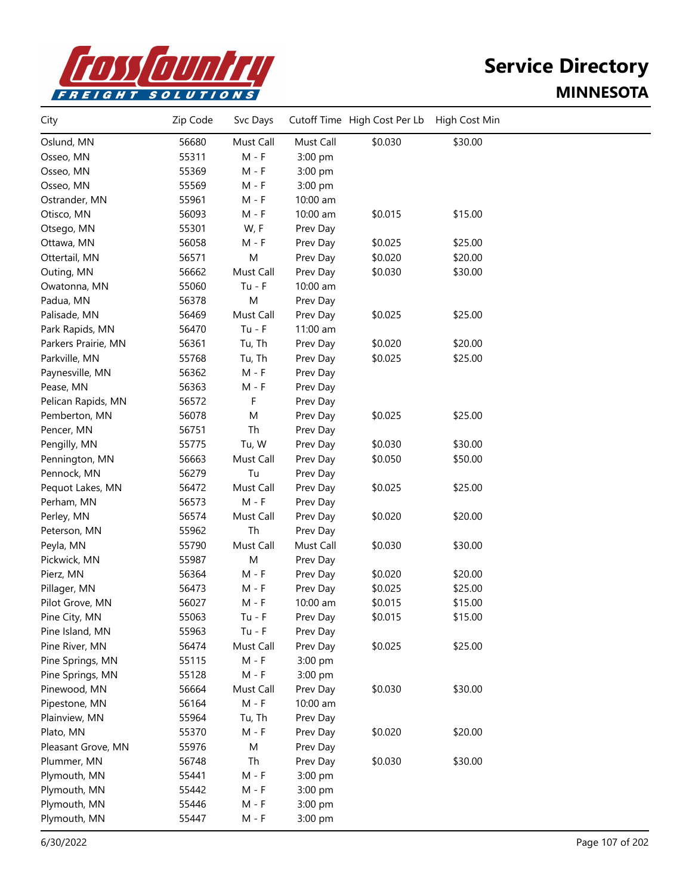

| City                | Zip Code | Svc Days  |           | Cutoff Time High Cost Per Lb | High Cost Min |  |
|---------------------|----------|-----------|-----------|------------------------------|---------------|--|
| Oslund, MN          | 56680    | Must Call | Must Call | \$0.030                      | \$30.00       |  |
| Osseo, MN           | 55311    | $M - F$   | 3:00 pm   |                              |               |  |
| Osseo, MN           | 55369    | $M - F$   | 3:00 pm   |                              |               |  |
| Osseo, MN           | 55569    | $M - F$   | 3:00 pm   |                              |               |  |
| Ostrander, MN       | 55961    | $M - F$   | 10:00 am  |                              |               |  |
| Otisco, MN          | 56093    | $M - F$   | 10:00 am  | \$0.015                      | \$15.00       |  |
| Otsego, MN          | 55301    | W, F      | Prev Day  |                              |               |  |
| Ottawa, MN          | 56058    | M - F     | Prev Day  | \$0.025                      | \$25.00       |  |
| Ottertail, MN       | 56571    | M         | Prev Day  | \$0.020                      | \$20.00       |  |
| Outing, MN          | 56662    | Must Call | Prev Day  | \$0.030                      | \$30.00       |  |
| Owatonna, MN        | 55060    | $Tu - F$  | 10:00 am  |                              |               |  |
| Padua, MN           | 56378    | M         | Prev Day  |                              |               |  |
| Palisade, MN        | 56469    | Must Call | Prev Day  | \$0.025                      | \$25.00       |  |
| Park Rapids, MN     | 56470    | $Tu - F$  | 11:00 am  |                              |               |  |
| Parkers Prairie, MN | 56361    | Tu, Th    | Prev Day  | \$0.020                      | \$20.00       |  |
| Parkville, MN       | 55768    | Tu, Th    | Prev Day  | \$0.025                      | \$25.00       |  |
| Paynesville, MN     | 56362    | $M - F$   | Prev Day  |                              |               |  |
| Pease, MN           | 56363    | M - F     | Prev Day  |                              |               |  |
| Pelican Rapids, MN  | 56572    | F         | Prev Day  |                              |               |  |
| Pemberton, MN       | 56078    | M         | Prev Day  | \$0.025                      | \$25.00       |  |
| Pencer, MN          | 56751    | Th        | Prev Day  |                              |               |  |
| Pengilly, MN        | 55775    | Tu, W     | Prev Day  | \$0.030                      | \$30.00       |  |
| Pennington, MN      | 56663    | Must Call | Prev Day  | \$0.050                      | \$50.00       |  |
| Pennock, MN         | 56279    | Tu        | Prev Day  |                              |               |  |
| Pequot Lakes, MN    | 56472    | Must Call | Prev Day  | \$0.025                      | \$25.00       |  |
| Perham, MN          | 56573    | $M - F$   | Prev Day  |                              |               |  |
| Perley, MN          | 56574    | Must Call | Prev Day  | \$0.020                      | \$20.00       |  |
| Peterson, MN        | 55962    | Th        | Prev Day  |                              |               |  |
| Peyla, MN           | 55790    | Must Call | Must Call | \$0.030                      | \$30.00       |  |
| Pickwick, MN        | 55987    | M         | Prev Day  |                              |               |  |
| Pierz, MN           | 56364    | M - F     | Prev Day  | \$0.020                      | \$20.00       |  |
| Pillager, MN        | 56473    | M - F     | Prev Day  | \$0.025                      | \$25.00       |  |
| Pilot Grove, MN     | 56027    | M - F     | 10:00 am  | \$0.015                      | \$15.00       |  |
| Pine City, MN       | 55063    | Tu - F    | Prev Day  | \$0.015                      | \$15.00       |  |
| Pine Island, MN     | 55963    | $Tu - F$  | Prev Day  |                              |               |  |
| Pine River, MN      | 56474    | Must Call | Prev Day  | \$0.025                      | \$25.00       |  |
| Pine Springs, MN    | 55115    | $M - F$   | 3:00 pm   |                              |               |  |
| Pine Springs, MN    | 55128    | $M - F$   | 3:00 pm   |                              |               |  |
| Pinewood, MN        | 56664    | Must Call | Prev Day  | \$0.030                      | \$30.00       |  |
| Pipestone, MN       | 56164    | $M - F$   | 10:00 am  |                              |               |  |
| Plainview, MN       | 55964    | Tu, Th    | Prev Day  |                              |               |  |
| Plato, MN           | 55370    | $M - F$   | Prev Day  | \$0.020                      | \$20.00       |  |
| Pleasant Grove, MN  | 55976    | M         | Prev Day  |                              |               |  |
| Plummer, MN         | 56748    | Th        | Prev Day  | \$0.030                      | \$30.00       |  |
| Plymouth, MN        | 55441    | $M - F$   | 3:00 pm   |                              |               |  |
| Plymouth, MN        | 55442    | $M - F$   | 3:00 pm   |                              |               |  |
| Plymouth, MN        | 55446    | $M - F$   | 3:00 pm   |                              |               |  |
| Plymouth, MN        | 55447    | $M - F$   | 3:00 pm   |                              |               |  |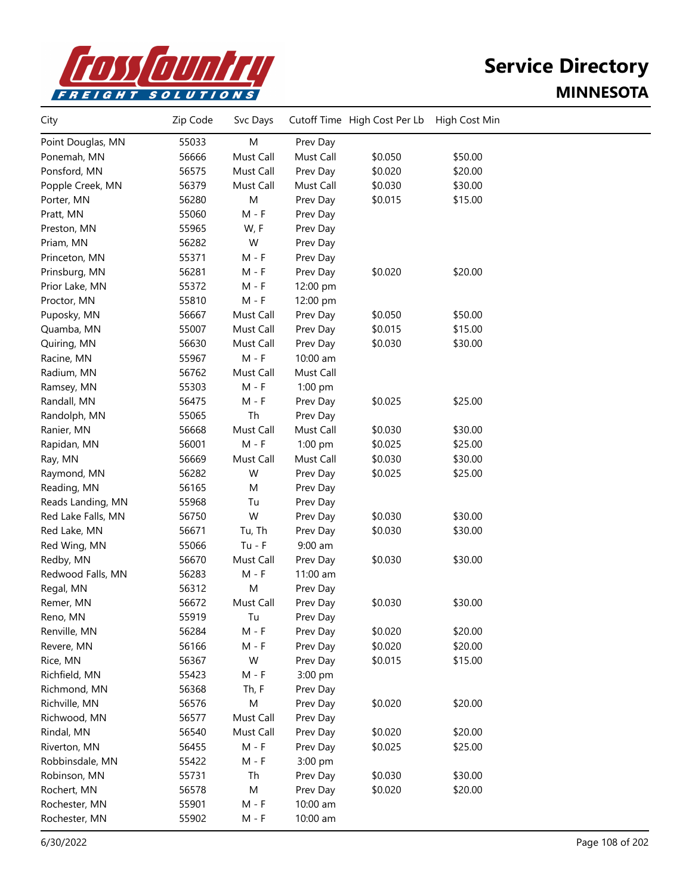

| 55033<br>M<br>Point Douglas, MN<br>Prev Day<br>56666<br>Must Call<br>Must Call<br>\$0.050<br>\$50.00<br>Ponemah, MN<br>Ponsford, MN<br>56575<br>Must Call<br>\$0.020<br>\$20.00<br>Prev Day<br>56379<br>Must Call<br>Must Call<br>\$0.030<br>\$30.00<br>Popple Creek, MN<br>M<br>56280<br>\$0.015<br>\$15.00<br>Porter, MN<br>Prev Day<br>55060<br>$M - F$<br>Pratt, MN<br>Prev Day<br>55965<br>W, F<br>Preston, MN<br>Prev Day<br>56282<br>W<br>Priam, MN<br>Prev Day<br>55371<br>Princeton, MN<br>M - F<br>Prev Day<br>56281<br>\$0.020<br>\$20.00<br>Prinsburg, MN<br>M - F<br>Prev Day<br>55372<br>Prior Lake, MN<br>M - F<br>12:00 pm<br>55810<br>$M - F$<br>Proctor, MN<br>12:00 pm<br>\$0.050<br>\$50.00<br>Puposky, MN<br>56667<br>Must Call<br>Prev Day<br>55007<br>Must Call<br>\$0.015<br>\$15.00<br>Quamba, MN<br>Prev Day<br>Quiring, MN<br>56630<br>Must Call<br>\$0.030<br>\$30.00<br>Prev Day<br>55967<br>$M - F$<br>Racine, MN<br>10:00 am<br>56762<br>Must Call<br>Radium, MN<br>Must Call<br>55303<br>$M - F$<br>Ramsey, MN<br>1:00 pm<br>Randall, MN<br>56475<br>$M - F$<br>\$0.025<br>\$25.00<br>Prev Day<br>Th<br>55065<br>Randolph, MN<br>Prev Day<br>56668<br>Must Call<br>Must Call<br>\$0.030<br>\$30.00<br>Ranier, MN<br>$M - F$<br>56001<br>1:00 pm<br>\$0.025<br>\$25.00<br>Rapidan, MN<br>Must Call<br>\$0.030<br>\$30.00<br>Ray, MN<br>56669<br>Must Call<br>56282<br>W<br>\$0.025<br>Raymond, MN<br>Prev Day<br>\$25.00<br>56165<br>Reading, MN<br>Μ<br>Prev Day<br>55968<br>Reads Landing, MN<br>Tu<br>Prev Day<br>W<br>56750<br>Prev Day<br>\$0.030<br>\$30.00<br>Red Lake Falls, MN<br>56671<br>\$0.030<br>\$30.00<br>Red Lake, MN<br>Tu, Th<br>Prev Day<br>55066<br>$Tu - F$<br>$9:00$ am<br>Red Wing, MN<br>Redby, MN<br>Must Call<br>\$30.00<br>56670<br>\$0.030<br>Prev Day<br>56283<br>$M - F$<br>Redwood Falls, MN<br>11:00 am<br>56312<br>Regal, MN<br>M<br>Prev Day<br>56672<br>Must Call<br>\$0.030<br>\$30.00<br>Remer, MN<br>Prev Day<br>55919<br>Reno, MN<br>Tu<br>Prev Day<br>$M - F$<br>\$0.020<br>\$20.00<br>Renville, MN<br>56284<br>Prev Day<br>56166<br>$M - F$<br>Prev Day<br>\$0.020<br>\$20.00<br>Revere, MN<br>56367<br>W<br>\$0.015<br>\$15.00<br>Rice, MN<br>Prev Day<br>Richfield, MN<br>55423<br>$M - F$<br>3:00 pm<br>Richmond, MN<br>56368<br>Th, F<br>Prev Day<br>Richville, MN<br>56576<br>М<br>\$0.020<br>\$20.00<br>Prev Day<br>56577<br>Must Call<br>Richwood, MN<br>Prev Day<br>56540<br>Prev Day<br>\$0.020<br>\$20.00<br>Rindal, MN<br>Must Call<br>Riverton, MN<br>56455<br>$M - F$<br>Prev Day<br>\$0.025<br>\$25.00<br>55422<br>$M - F$<br>Robbinsdale, MN<br>3:00 pm<br>55731<br>Th<br>\$0.030<br>\$30.00<br>Robinson, MN<br>Prev Day<br>56578<br>M<br>\$0.020<br>Rochert, MN<br>Prev Day<br>\$20.00<br>55901<br>10:00 am<br>Rochester, MN<br>M - F<br>Rochester, MN<br>55902<br>$M - F$<br>10:00 am | City | Zip Code | Svc Days | Cutoff Time High Cost Per Lb | High Cost Min |  |
|---------------------------------------------------------------------------------------------------------------------------------------------------------------------------------------------------------------------------------------------------------------------------------------------------------------------------------------------------------------------------------------------------------------------------------------------------------------------------------------------------------------------------------------------------------------------------------------------------------------------------------------------------------------------------------------------------------------------------------------------------------------------------------------------------------------------------------------------------------------------------------------------------------------------------------------------------------------------------------------------------------------------------------------------------------------------------------------------------------------------------------------------------------------------------------------------------------------------------------------------------------------------------------------------------------------------------------------------------------------------------------------------------------------------------------------------------------------------------------------------------------------------------------------------------------------------------------------------------------------------------------------------------------------------------------------------------------------------------------------------------------------------------------------------------------------------------------------------------------------------------------------------------------------------------------------------------------------------------------------------------------------------------------------------------------------------------------------------------------------------------------------------------------------------------------------------------------------------------------------------------------------------------------------------------------------------------------------------------------------------------------------------------------------------------------------------------------------------------------------------------------------------------------------------------------------------------------------------------------------------------------------------------------------------------------------------------------------------------------------------------------------------------------------------------------------------------------------------------------------------------------|------|----------|----------|------------------------------|---------------|--|
|                                                                                                                                                                                                                                                                                                                                                                                                                                                                                                                                                                                                                                                                                                                                                                                                                                                                                                                                                                                                                                                                                                                                                                                                                                                                                                                                                                                                                                                                                                                                                                                                                                                                                                                                                                                                                                                                                                                                                                                                                                                                                                                                                                                                                                                                                                                                                                                                                                                                                                                                                                                                                                                                                                                                                                                                                                                                                 |      |          |          |                              |               |  |
|                                                                                                                                                                                                                                                                                                                                                                                                                                                                                                                                                                                                                                                                                                                                                                                                                                                                                                                                                                                                                                                                                                                                                                                                                                                                                                                                                                                                                                                                                                                                                                                                                                                                                                                                                                                                                                                                                                                                                                                                                                                                                                                                                                                                                                                                                                                                                                                                                                                                                                                                                                                                                                                                                                                                                                                                                                                                                 |      |          |          |                              |               |  |
|                                                                                                                                                                                                                                                                                                                                                                                                                                                                                                                                                                                                                                                                                                                                                                                                                                                                                                                                                                                                                                                                                                                                                                                                                                                                                                                                                                                                                                                                                                                                                                                                                                                                                                                                                                                                                                                                                                                                                                                                                                                                                                                                                                                                                                                                                                                                                                                                                                                                                                                                                                                                                                                                                                                                                                                                                                                                                 |      |          |          |                              |               |  |
|                                                                                                                                                                                                                                                                                                                                                                                                                                                                                                                                                                                                                                                                                                                                                                                                                                                                                                                                                                                                                                                                                                                                                                                                                                                                                                                                                                                                                                                                                                                                                                                                                                                                                                                                                                                                                                                                                                                                                                                                                                                                                                                                                                                                                                                                                                                                                                                                                                                                                                                                                                                                                                                                                                                                                                                                                                                                                 |      |          |          |                              |               |  |
|                                                                                                                                                                                                                                                                                                                                                                                                                                                                                                                                                                                                                                                                                                                                                                                                                                                                                                                                                                                                                                                                                                                                                                                                                                                                                                                                                                                                                                                                                                                                                                                                                                                                                                                                                                                                                                                                                                                                                                                                                                                                                                                                                                                                                                                                                                                                                                                                                                                                                                                                                                                                                                                                                                                                                                                                                                                                                 |      |          |          |                              |               |  |
|                                                                                                                                                                                                                                                                                                                                                                                                                                                                                                                                                                                                                                                                                                                                                                                                                                                                                                                                                                                                                                                                                                                                                                                                                                                                                                                                                                                                                                                                                                                                                                                                                                                                                                                                                                                                                                                                                                                                                                                                                                                                                                                                                                                                                                                                                                                                                                                                                                                                                                                                                                                                                                                                                                                                                                                                                                                                                 |      |          |          |                              |               |  |
|                                                                                                                                                                                                                                                                                                                                                                                                                                                                                                                                                                                                                                                                                                                                                                                                                                                                                                                                                                                                                                                                                                                                                                                                                                                                                                                                                                                                                                                                                                                                                                                                                                                                                                                                                                                                                                                                                                                                                                                                                                                                                                                                                                                                                                                                                                                                                                                                                                                                                                                                                                                                                                                                                                                                                                                                                                                                                 |      |          |          |                              |               |  |
|                                                                                                                                                                                                                                                                                                                                                                                                                                                                                                                                                                                                                                                                                                                                                                                                                                                                                                                                                                                                                                                                                                                                                                                                                                                                                                                                                                                                                                                                                                                                                                                                                                                                                                                                                                                                                                                                                                                                                                                                                                                                                                                                                                                                                                                                                                                                                                                                                                                                                                                                                                                                                                                                                                                                                                                                                                                                                 |      |          |          |                              |               |  |
|                                                                                                                                                                                                                                                                                                                                                                                                                                                                                                                                                                                                                                                                                                                                                                                                                                                                                                                                                                                                                                                                                                                                                                                                                                                                                                                                                                                                                                                                                                                                                                                                                                                                                                                                                                                                                                                                                                                                                                                                                                                                                                                                                                                                                                                                                                                                                                                                                                                                                                                                                                                                                                                                                                                                                                                                                                                                                 |      |          |          |                              |               |  |
|                                                                                                                                                                                                                                                                                                                                                                                                                                                                                                                                                                                                                                                                                                                                                                                                                                                                                                                                                                                                                                                                                                                                                                                                                                                                                                                                                                                                                                                                                                                                                                                                                                                                                                                                                                                                                                                                                                                                                                                                                                                                                                                                                                                                                                                                                                                                                                                                                                                                                                                                                                                                                                                                                                                                                                                                                                                                                 |      |          |          |                              |               |  |
|                                                                                                                                                                                                                                                                                                                                                                                                                                                                                                                                                                                                                                                                                                                                                                                                                                                                                                                                                                                                                                                                                                                                                                                                                                                                                                                                                                                                                                                                                                                                                                                                                                                                                                                                                                                                                                                                                                                                                                                                                                                                                                                                                                                                                                                                                                                                                                                                                                                                                                                                                                                                                                                                                                                                                                                                                                                                                 |      |          |          |                              |               |  |
|                                                                                                                                                                                                                                                                                                                                                                                                                                                                                                                                                                                                                                                                                                                                                                                                                                                                                                                                                                                                                                                                                                                                                                                                                                                                                                                                                                                                                                                                                                                                                                                                                                                                                                                                                                                                                                                                                                                                                                                                                                                                                                                                                                                                                                                                                                                                                                                                                                                                                                                                                                                                                                                                                                                                                                                                                                                                                 |      |          |          |                              |               |  |
|                                                                                                                                                                                                                                                                                                                                                                                                                                                                                                                                                                                                                                                                                                                                                                                                                                                                                                                                                                                                                                                                                                                                                                                                                                                                                                                                                                                                                                                                                                                                                                                                                                                                                                                                                                                                                                                                                                                                                                                                                                                                                                                                                                                                                                                                                                                                                                                                                                                                                                                                                                                                                                                                                                                                                                                                                                                                                 |      |          |          |                              |               |  |
|                                                                                                                                                                                                                                                                                                                                                                                                                                                                                                                                                                                                                                                                                                                                                                                                                                                                                                                                                                                                                                                                                                                                                                                                                                                                                                                                                                                                                                                                                                                                                                                                                                                                                                                                                                                                                                                                                                                                                                                                                                                                                                                                                                                                                                                                                                                                                                                                                                                                                                                                                                                                                                                                                                                                                                                                                                                                                 |      |          |          |                              |               |  |
|                                                                                                                                                                                                                                                                                                                                                                                                                                                                                                                                                                                                                                                                                                                                                                                                                                                                                                                                                                                                                                                                                                                                                                                                                                                                                                                                                                                                                                                                                                                                                                                                                                                                                                                                                                                                                                                                                                                                                                                                                                                                                                                                                                                                                                                                                                                                                                                                                                                                                                                                                                                                                                                                                                                                                                                                                                                                                 |      |          |          |                              |               |  |
|                                                                                                                                                                                                                                                                                                                                                                                                                                                                                                                                                                                                                                                                                                                                                                                                                                                                                                                                                                                                                                                                                                                                                                                                                                                                                                                                                                                                                                                                                                                                                                                                                                                                                                                                                                                                                                                                                                                                                                                                                                                                                                                                                                                                                                                                                                                                                                                                                                                                                                                                                                                                                                                                                                                                                                                                                                                                                 |      |          |          |                              |               |  |
|                                                                                                                                                                                                                                                                                                                                                                                                                                                                                                                                                                                                                                                                                                                                                                                                                                                                                                                                                                                                                                                                                                                                                                                                                                                                                                                                                                                                                                                                                                                                                                                                                                                                                                                                                                                                                                                                                                                                                                                                                                                                                                                                                                                                                                                                                                                                                                                                                                                                                                                                                                                                                                                                                                                                                                                                                                                                                 |      |          |          |                              |               |  |
|                                                                                                                                                                                                                                                                                                                                                                                                                                                                                                                                                                                                                                                                                                                                                                                                                                                                                                                                                                                                                                                                                                                                                                                                                                                                                                                                                                                                                                                                                                                                                                                                                                                                                                                                                                                                                                                                                                                                                                                                                                                                                                                                                                                                                                                                                                                                                                                                                                                                                                                                                                                                                                                                                                                                                                                                                                                                                 |      |          |          |                              |               |  |
|                                                                                                                                                                                                                                                                                                                                                                                                                                                                                                                                                                                                                                                                                                                                                                                                                                                                                                                                                                                                                                                                                                                                                                                                                                                                                                                                                                                                                                                                                                                                                                                                                                                                                                                                                                                                                                                                                                                                                                                                                                                                                                                                                                                                                                                                                                                                                                                                                                                                                                                                                                                                                                                                                                                                                                                                                                                                                 |      |          |          |                              |               |  |
|                                                                                                                                                                                                                                                                                                                                                                                                                                                                                                                                                                                                                                                                                                                                                                                                                                                                                                                                                                                                                                                                                                                                                                                                                                                                                                                                                                                                                                                                                                                                                                                                                                                                                                                                                                                                                                                                                                                                                                                                                                                                                                                                                                                                                                                                                                                                                                                                                                                                                                                                                                                                                                                                                                                                                                                                                                                                                 |      |          |          |                              |               |  |
|                                                                                                                                                                                                                                                                                                                                                                                                                                                                                                                                                                                                                                                                                                                                                                                                                                                                                                                                                                                                                                                                                                                                                                                                                                                                                                                                                                                                                                                                                                                                                                                                                                                                                                                                                                                                                                                                                                                                                                                                                                                                                                                                                                                                                                                                                                                                                                                                                                                                                                                                                                                                                                                                                                                                                                                                                                                                                 |      |          |          |                              |               |  |
|                                                                                                                                                                                                                                                                                                                                                                                                                                                                                                                                                                                                                                                                                                                                                                                                                                                                                                                                                                                                                                                                                                                                                                                                                                                                                                                                                                                                                                                                                                                                                                                                                                                                                                                                                                                                                                                                                                                                                                                                                                                                                                                                                                                                                                                                                                                                                                                                                                                                                                                                                                                                                                                                                                                                                                                                                                                                                 |      |          |          |                              |               |  |
|                                                                                                                                                                                                                                                                                                                                                                                                                                                                                                                                                                                                                                                                                                                                                                                                                                                                                                                                                                                                                                                                                                                                                                                                                                                                                                                                                                                                                                                                                                                                                                                                                                                                                                                                                                                                                                                                                                                                                                                                                                                                                                                                                                                                                                                                                                                                                                                                                                                                                                                                                                                                                                                                                                                                                                                                                                                                                 |      |          |          |                              |               |  |
|                                                                                                                                                                                                                                                                                                                                                                                                                                                                                                                                                                                                                                                                                                                                                                                                                                                                                                                                                                                                                                                                                                                                                                                                                                                                                                                                                                                                                                                                                                                                                                                                                                                                                                                                                                                                                                                                                                                                                                                                                                                                                                                                                                                                                                                                                                                                                                                                                                                                                                                                                                                                                                                                                                                                                                                                                                                                                 |      |          |          |                              |               |  |
|                                                                                                                                                                                                                                                                                                                                                                                                                                                                                                                                                                                                                                                                                                                                                                                                                                                                                                                                                                                                                                                                                                                                                                                                                                                                                                                                                                                                                                                                                                                                                                                                                                                                                                                                                                                                                                                                                                                                                                                                                                                                                                                                                                                                                                                                                                                                                                                                                                                                                                                                                                                                                                                                                                                                                                                                                                                                                 |      |          |          |                              |               |  |
|                                                                                                                                                                                                                                                                                                                                                                                                                                                                                                                                                                                                                                                                                                                                                                                                                                                                                                                                                                                                                                                                                                                                                                                                                                                                                                                                                                                                                                                                                                                                                                                                                                                                                                                                                                                                                                                                                                                                                                                                                                                                                                                                                                                                                                                                                                                                                                                                                                                                                                                                                                                                                                                                                                                                                                                                                                                                                 |      |          |          |                              |               |  |
|                                                                                                                                                                                                                                                                                                                                                                                                                                                                                                                                                                                                                                                                                                                                                                                                                                                                                                                                                                                                                                                                                                                                                                                                                                                                                                                                                                                                                                                                                                                                                                                                                                                                                                                                                                                                                                                                                                                                                                                                                                                                                                                                                                                                                                                                                                                                                                                                                                                                                                                                                                                                                                                                                                                                                                                                                                                                                 |      |          |          |                              |               |  |
|                                                                                                                                                                                                                                                                                                                                                                                                                                                                                                                                                                                                                                                                                                                                                                                                                                                                                                                                                                                                                                                                                                                                                                                                                                                                                                                                                                                                                                                                                                                                                                                                                                                                                                                                                                                                                                                                                                                                                                                                                                                                                                                                                                                                                                                                                                                                                                                                                                                                                                                                                                                                                                                                                                                                                                                                                                                                                 |      |          |          |                              |               |  |
|                                                                                                                                                                                                                                                                                                                                                                                                                                                                                                                                                                                                                                                                                                                                                                                                                                                                                                                                                                                                                                                                                                                                                                                                                                                                                                                                                                                                                                                                                                                                                                                                                                                                                                                                                                                                                                                                                                                                                                                                                                                                                                                                                                                                                                                                                                                                                                                                                                                                                                                                                                                                                                                                                                                                                                                                                                                                                 |      |          |          |                              |               |  |
|                                                                                                                                                                                                                                                                                                                                                                                                                                                                                                                                                                                                                                                                                                                                                                                                                                                                                                                                                                                                                                                                                                                                                                                                                                                                                                                                                                                                                                                                                                                                                                                                                                                                                                                                                                                                                                                                                                                                                                                                                                                                                                                                                                                                                                                                                                                                                                                                                                                                                                                                                                                                                                                                                                                                                                                                                                                                                 |      |          |          |                              |               |  |
|                                                                                                                                                                                                                                                                                                                                                                                                                                                                                                                                                                                                                                                                                                                                                                                                                                                                                                                                                                                                                                                                                                                                                                                                                                                                                                                                                                                                                                                                                                                                                                                                                                                                                                                                                                                                                                                                                                                                                                                                                                                                                                                                                                                                                                                                                                                                                                                                                                                                                                                                                                                                                                                                                                                                                                                                                                                                                 |      |          |          |                              |               |  |
|                                                                                                                                                                                                                                                                                                                                                                                                                                                                                                                                                                                                                                                                                                                                                                                                                                                                                                                                                                                                                                                                                                                                                                                                                                                                                                                                                                                                                                                                                                                                                                                                                                                                                                                                                                                                                                                                                                                                                                                                                                                                                                                                                                                                                                                                                                                                                                                                                                                                                                                                                                                                                                                                                                                                                                                                                                                                                 |      |          |          |                              |               |  |
|                                                                                                                                                                                                                                                                                                                                                                                                                                                                                                                                                                                                                                                                                                                                                                                                                                                                                                                                                                                                                                                                                                                                                                                                                                                                                                                                                                                                                                                                                                                                                                                                                                                                                                                                                                                                                                                                                                                                                                                                                                                                                                                                                                                                                                                                                                                                                                                                                                                                                                                                                                                                                                                                                                                                                                                                                                                                                 |      |          |          |                              |               |  |
|                                                                                                                                                                                                                                                                                                                                                                                                                                                                                                                                                                                                                                                                                                                                                                                                                                                                                                                                                                                                                                                                                                                                                                                                                                                                                                                                                                                                                                                                                                                                                                                                                                                                                                                                                                                                                                                                                                                                                                                                                                                                                                                                                                                                                                                                                                                                                                                                                                                                                                                                                                                                                                                                                                                                                                                                                                                                                 |      |          |          |                              |               |  |
|                                                                                                                                                                                                                                                                                                                                                                                                                                                                                                                                                                                                                                                                                                                                                                                                                                                                                                                                                                                                                                                                                                                                                                                                                                                                                                                                                                                                                                                                                                                                                                                                                                                                                                                                                                                                                                                                                                                                                                                                                                                                                                                                                                                                                                                                                                                                                                                                                                                                                                                                                                                                                                                                                                                                                                                                                                                                                 |      |          |          |                              |               |  |
|                                                                                                                                                                                                                                                                                                                                                                                                                                                                                                                                                                                                                                                                                                                                                                                                                                                                                                                                                                                                                                                                                                                                                                                                                                                                                                                                                                                                                                                                                                                                                                                                                                                                                                                                                                                                                                                                                                                                                                                                                                                                                                                                                                                                                                                                                                                                                                                                                                                                                                                                                                                                                                                                                                                                                                                                                                                                                 |      |          |          |                              |               |  |
|                                                                                                                                                                                                                                                                                                                                                                                                                                                                                                                                                                                                                                                                                                                                                                                                                                                                                                                                                                                                                                                                                                                                                                                                                                                                                                                                                                                                                                                                                                                                                                                                                                                                                                                                                                                                                                                                                                                                                                                                                                                                                                                                                                                                                                                                                                                                                                                                                                                                                                                                                                                                                                                                                                                                                                                                                                                                                 |      |          |          |                              |               |  |
|                                                                                                                                                                                                                                                                                                                                                                                                                                                                                                                                                                                                                                                                                                                                                                                                                                                                                                                                                                                                                                                                                                                                                                                                                                                                                                                                                                                                                                                                                                                                                                                                                                                                                                                                                                                                                                                                                                                                                                                                                                                                                                                                                                                                                                                                                                                                                                                                                                                                                                                                                                                                                                                                                                                                                                                                                                                                                 |      |          |          |                              |               |  |
|                                                                                                                                                                                                                                                                                                                                                                                                                                                                                                                                                                                                                                                                                                                                                                                                                                                                                                                                                                                                                                                                                                                                                                                                                                                                                                                                                                                                                                                                                                                                                                                                                                                                                                                                                                                                                                                                                                                                                                                                                                                                                                                                                                                                                                                                                                                                                                                                                                                                                                                                                                                                                                                                                                                                                                                                                                                                                 |      |          |          |                              |               |  |
|                                                                                                                                                                                                                                                                                                                                                                                                                                                                                                                                                                                                                                                                                                                                                                                                                                                                                                                                                                                                                                                                                                                                                                                                                                                                                                                                                                                                                                                                                                                                                                                                                                                                                                                                                                                                                                                                                                                                                                                                                                                                                                                                                                                                                                                                                                                                                                                                                                                                                                                                                                                                                                                                                                                                                                                                                                                                                 |      |          |          |                              |               |  |
|                                                                                                                                                                                                                                                                                                                                                                                                                                                                                                                                                                                                                                                                                                                                                                                                                                                                                                                                                                                                                                                                                                                                                                                                                                                                                                                                                                                                                                                                                                                                                                                                                                                                                                                                                                                                                                                                                                                                                                                                                                                                                                                                                                                                                                                                                                                                                                                                                                                                                                                                                                                                                                                                                                                                                                                                                                                                                 |      |          |          |                              |               |  |
|                                                                                                                                                                                                                                                                                                                                                                                                                                                                                                                                                                                                                                                                                                                                                                                                                                                                                                                                                                                                                                                                                                                                                                                                                                                                                                                                                                                                                                                                                                                                                                                                                                                                                                                                                                                                                                                                                                                                                                                                                                                                                                                                                                                                                                                                                                                                                                                                                                                                                                                                                                                                                                                                                                                                                                                                                                                                                 |      |          |          |                              |               |  |
|                                                                                                                                                                                                                                                                                                                                                                                                                                                                                                                                                                                                                                                                                                                                                                                                                                                                                                                                                                                                                                                                                                                                                                                                                                                                                                                                                                                                                                                                                                                                                                                                                                                                                                                                                                                                                                                                                                                                                                                                                                                                                                                                                                                                                                                                                                                                                                                                                                                                                                                                                                                                                                                                                                                                                                                                                                                                                 |      |          |          |                              |               |  |
|                                                                                                                                                                                                                                                                                                                                                                                                                                                                                                                                                                                                                                                                                                                                                                                                                                                                                                                                                                                                                                                                                                                                                                                                                                                                                                                                                                                                                                                                                                                                                                                                                                                                                                                                                                                                                                                                                                                                                                                                                                                                                                                                                                                                                                                                                                                                                                                                                                                                                                                                                                                                                                                                                                                                                                                                                                                                                 |      |          |          |                              |               |  |
|                                                                                                                                                                                                                                                                                                                                                                                                                                                                                                                                                                                                                                                                                                                                                                                                                                                                                                                                                                                                                                                                                                                                                                                                                                                                                                                                                                                                                                                                                                                                                                                                                                                                                                                                                                                                                                                                                                                                                                                                                                                                                                                                                                                                                                                                                                                                                                                                                                                                                                                                                                                                                                                                                                                                                                                                                                                                                 |      |          |          |                              |               |  |
|                                                                                                                                                                                                                                                                                                                                                                                                                                                                                                                                                                                                                                                                                                                                                                                                                                                                                                                                                                                                                                                                                                                                                                                                                                                                                                                                                                                                                                                                                                                                                                                                                                                                                                                                                                                                                                                                                                                                                                                                                                                                                                                                                                                                                                                                                                                                                                                                                                                                                                                                                                                                                                                                                                                                                                                                                                                                                 |      |          |          |                              |               |  |
|                                                                                                                                                                                                                                                                                                                                                                                                                                                                                                                                                                                                                                                                                                                                                                                                                                                                                                                                                                                                                                                                                                                                                                                                                                                                                                                                                                                                                                                                                                                                                                                                                                                                                                                                                                                                                                                                                                                                                                                                                                                                                                                                                                                                                                                                                                                                                                                                                                                                                                                                                                                                                                                                                                                                                                                                                                                                                 |      |          |          |                              |               |  |
|                                                                                                                                                                                                                                                                                                                                                                                                                                                                                                                                                                                                                                                                                                                                                                                                                                                                                                                                                                                                                                                                                                                                                                                                                                                                                                                                                                                                                                                                                                                                                                                                                                                                                                                                                                                                                                                                                                                                                                                                                                                                                                                                                                                                                                                                                                                                                                                                                                                                                                                                                                                                                                                                                                                                                                                                                                                                                 |      |          |          |                              |               |  |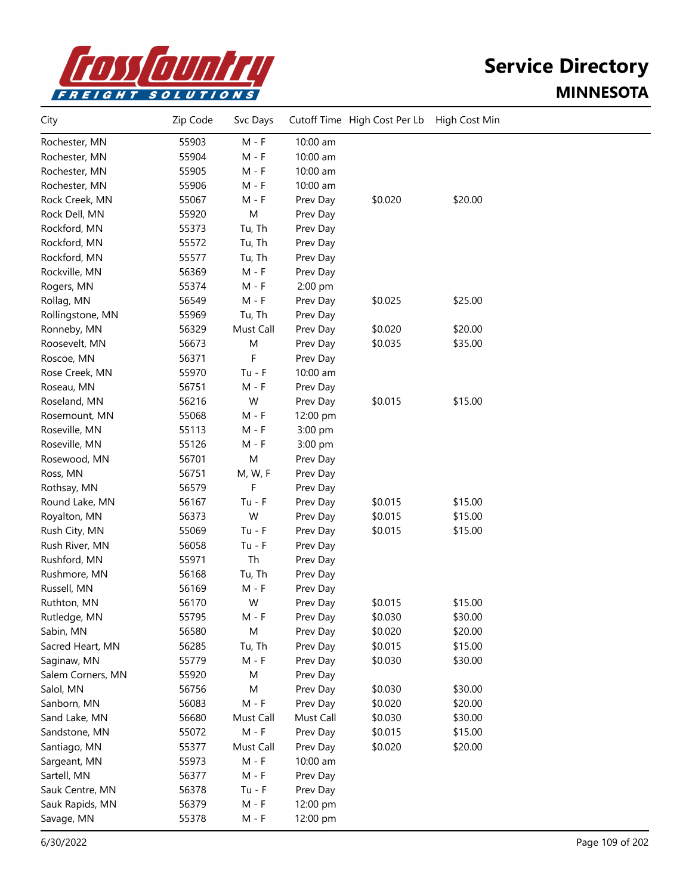

| City              | Zip Code | Svc Days  |           | Cutoff Time High Cost Per Lb | High Cost Min |  |
|-------------------|----------|-----------|-----------|------------------------------|---------------|--|
| Rochester, MN     | 55903    | $M - F$   | 10:00 am  |                              |               |  |
| Rochester, MN     | 55904    | M - F     | 10:00 am  |                              |               |  |
| Rochester, MN     | 55905    | $M - F$   | 10:00 am  |                              |               |  |
| Rochester, MN     | 55906    | $M - F$   | 10:00 am  |                              |               |  |
| Rock Creek, MN    | 55067    | M - F     | Prev Day  | \$0.020                      | \$20.00       |  |
| Rock Dell, MN     | 55920    | M         | Prev Day  |                              |               |  |
| Rockford, MN      | 55373    | Tu, Th    | Prev Day  |                              |               |  |
| Rockford, MN      | 55572    | Tu, Th    | Prev Day  |                              |               |  |
| Rockford, MN      | 55577    | Tu, Th    | Prev Day  |                              |               |  |
| Rockville, MN     | 56369    | M - F     | Prev Day  |                              |               |  |
| Rogers, MN        | 55374    | M - F     | 2:00 pm   |                              |               |  |
| Rollag, MN        | 56549    | $M - F$   | Prev Day  | \$0.025                      | \$25.00       |  |
| Rollingstone, MN  | 55969    | Tu, Th    | Prev Day  |                              |               |  |
| Ronneby, MN       | 56329    | Must Call | Prev Day  | \$0.020                      | \$20.00       |  |
| Roosevelt, MN     | 56673    | M         | Prev Day  | \$0.035                      | \$35.00       |  |
| Roscoe, MN        | 56371    | F         | Prev Day  |                              |               |  |
| Rose Creek, MN    | 55970    | $Tu - F$  | 10:00 am  |                              |               |  |
| Roseau, MN        | 56751    | M - F     | Prev Day  |                              |               |  |
| Roseland, MN      | 56216    | W         | Prev Day  | \$0.015                      | \$15.00       |  |
| Rosemount, MN     | 55068    | $M - F$   | 12:00 pm  |                              |               |  |
| Roseville, MN     | 55113    | $M - F$   | 3:00 pm   |                              |               |  |
| Roseville, MN     | 55126    | M - F     | 3:00 pm   |                              |               |  |
| Rosewood, MN      | 56701    | M         | Prev Day  |                              |               |  |
| Ross, MN          | 56751    | M, W, F   | Prev Day  |                              |               |  |
| Rothsay, MN       | 56579    | F         | Prev Day  |                              |               |  |
| Round Lake, MN    | 56167    | $Tu - F$  | Prev Day  | \$0.015                      | \$15.00       |  |
| Royalton, MN      | 56373    | W         | Prev Day  | \$0.015                      | \$15.00       |  |
| Rush City, MN     | 55069    | $Tu - F$  | Prev Day  | \$0.015                      | \$15.00       |  |
| Rush River, MN    | 56058    | $Tu - F$  | Prev Day  |                              |               |  |
| Rushford, MN      | 55971    | Th        | Prev Day  |                              |               |  |
| Rushmore, MN      | 56168    | Tu, Th    | Prev Day  |                              |               |  |
| Russell, MN       | 56169    | M - F     | Prev Day  |                              |               |  |
| Ruthton, MN       | 56170    | W         | Prev Day  | \$0.015                      | \$15.00       |  |
| Rutledge, MN      | 55795    | M - F     | Prev Day  | \$0.030                      | \$30.00       |  |
| Sabin, MN         | 56580    | M         | Prev Day  | \$0.020                      | \$20.00       |  |
| Sacred Heart, MN  | 56285    | Tu, Th    | Prev Day  | \$0.015                      | \$15.00       |  |
| Saginaw, MN       | 55779    | $M - F$   | Prev Day  | \$0.030                      | \$30.00       |  |
| Salem Corners, MN | 55920    | M         | Prev Day  |                              |               |  |
| Salol, MN         | 56756    | M         | Prev Day  | \$0.030                      | \$30.00       |  |
| Sanborn, MN       | 56083    | $M - F$   | Prev Day  | \$0.020                      | \$20.00       |  |
| Sand Lake, MN     | 56680    | Must Call | Must Call | \$0.030                      | \$30.00       |  |
| Sandstone, MN     | 55072    | $M - F$   | Prev Day  | \$0.015                      | \$15.00       |  |
| Santiago, MN      | 55377    | Must Call | Prev Day  | \$0.020                      | \$20.00       |  |
| Sargeant, MN      | 55973    | $M - F$   | 10:00 am  |                              |               |  |
| Sartell, MN       | 56377    | $M - F$   | Prev Day  |                              |               |  |
| Sauk Centre, MN   | 56378    | $Tu - F$  | Prev Day  |                              |               |  |
| Sauk Rapids, MN   | 56379    | $M - F$   | 12:00 pm  |                              |               |  |
| Savage, MN        | 55378    | M - F     | 12:00 pm  |                              |               |  |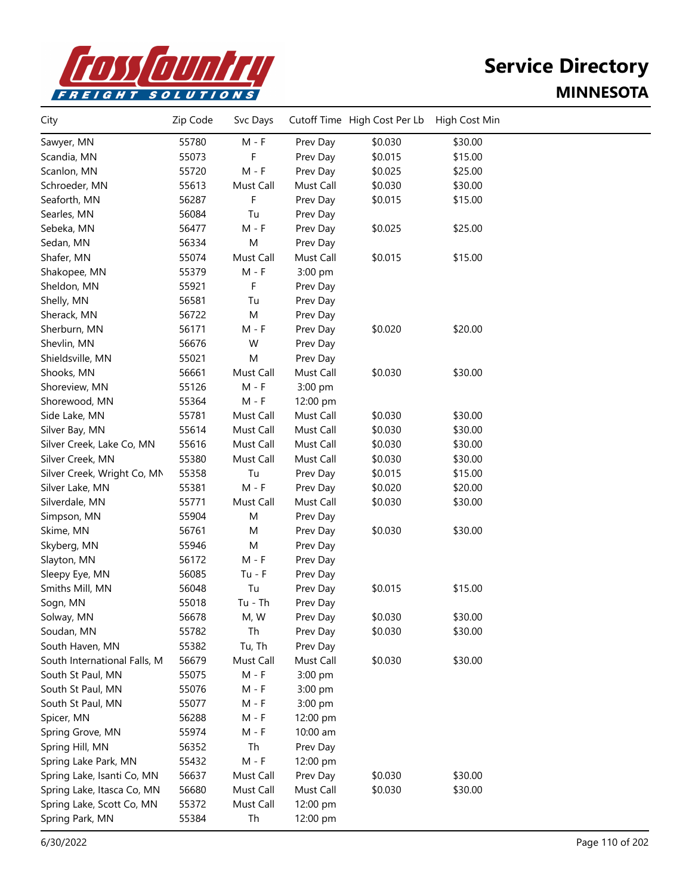

| City                         | Zip Code | Svc Days  |           | Cutoff Time High Cost Per Lb | High Cost Min |  |
|------------------------------|----------|-----------|-----------|------------------------------|---------------|--|
| Sawyer, MN                   | 55780    | $M - F$   | Prev Day  | \$0.030                      | \$30.00       |  |
| Scandia, MN                  | 55073    | F         | Prev Day  | \$0.015                      | \$15.00       |  |
| Scanlon, MN                  | 55720    | $M - F$   | Prev Day  | \$0.025                      | \$25.00       |  |
| Schroeder, MN                | 55613    | Must Call | Must Call | \$0.030                      | \$30.00       |  |
| Seaforth, MN                 | 56287    | F         | Prev Day  | \$0.015                      | \$15.00       |  |
| Searles, MN                  | 56084    | Tu        | Prev Day  |                              |               |  |
| Sebeka, MN                   | 56477    | $M - F$   | Prev Day  | \$0.025                      | \$25.00       |  |
| Sedan, MN                    | 56334    | M         | Prev Day  |                              |               |  |
| Shafer, MN                   | 55074    | Must Call | Must Call | \$0.015                      | \$15.00       |  |
| Shakopee, MN                 | 55379    | $M - F$   | 3:00 pm   |                              |               |  |
| Sheldon, MN                  | 55921    | F         | Prev Day  |                              |               |  |
| Shelly, MN                   | 56581    | Tu        | Prev Day  |                              |               |  |
| Sherack, MN                  | 56722    | M         | Prev Day  |                              |               |  |
| Sherburn, MN                 | 56171    | $M - F$   | Prev Day  | \$0.020                      | \$20.00       |  |
| Shevlin, MN                  | 56676    | W         | Prev Day  |                              |               |  |
| Shieldsville, MN             | 55021    | M         | Prev Day  |                              |               |  |
| Shooks, MN                   | 56661    | Must Call | Must Call | \$0.030                      | \$30.00       |  |
| Shoreview, MN                | 55126    | $M - F$   | 3:00 pm   |                              |               |  |
| Shorewood, MN                | 55364    | M - F     | 12:00 pm  |                              |               |  |
| Side Lake, MN                | 55781    | Must Call | Must Call | \$0.030                      | \$30.00       |  |
| Silver Bay, MN               | 55614    | Must Call | Must Call | \$0.030                      | \$30.00       |  |
| Silver Creek, Lake Co, MN    | 55616    | Must Call | Must Call | \$0.030                      | \$30.00       |  |
| Silver Creek, MN             | 55380    | Must Call | Must Call | \$0.030                      | \$30.00       |  |
| Silver Creek, Wright Co, MN  | 55358    | Tu        | Prev Day  | \$0.015                      | \$15.00       |  |
| Silver Lake, MN              | 55381    | $M - F$   | Prev Day  | \$0.020                      | \$20.00       |  |
| Silverdale, MN               | 55771    | Must Call | Must Call | \$0.030                      | \$30.00       |  |
| Simpson, MN                  | 55904    | M         | Prev Day  |                              |               |  |
| Skime, MN                    | 56761    | M         | Prev Day  | \$0.030                      | \$30.00       |  |
| Skyberg, MN                  | 55946    | M         | Prev Day  |                              |               |  |
| Slayton, MN                  | 56172    | $M - F$   | Prev Day  |                              |               |  |
| Sleepy Eye, MN               | 56085    | $Tu - F$  | Prev Day  |                              |               |  |
| Smiths Mill, MN              | 56048    | Tu        | Prev Day  | \$0.015                      | \$15.00       |  |
| Sogn, MN                     | 55018    | $Tu - Th$ | Prev Day  |                              |               |  |
| Solway, MN                   | 56678    | M, W      | Prev Day  | \$0.030                      | \$30.00       |  |
| Soudan, MN                   | 55782    | Th        | Prev Day  | \$0.030                      | \$30.00       |  |
| South Haven, MN              | 55382    | Tu, Th    | Prev Day  |                              |               |  |
| South International Falls, M | 56679    | Must Call | Must Call | \$0.030                      | \$30.00       |  |
| South St Paul, MN            | 55075    | $M - F$   | 3:00 pm   |                              |               |  |
| South St Paul, MN            | 55076    | $M - F$   | 3:00 pm   |                              |               |  |
| South St Paul, MN            | 55077    | M - F     | 3:00 pm   |                              |               |  |
| Spicer, MN                   | 56288    | M - F     | 12:00 pm  |                              |               |  |
| Spring Grove, MN             | 55974    | M - F     | 10:00 am  |                              |               |  |
| Spring Hill, MN              | 56352    | Th        | Prev Day  |                              |               |  |
| Spring Lake Park, MN         | 55432    | $M - F$   | 12:00 pm  |                              |               |  |
| Spring Lake, Isanti Co, MN   | 56637    | Must Call | Prev Day  | \$0.030                      | \$30.00       |  |
| Spring Lake, Itasca Co, MN   | 56680    | Must Call | Must Call | \$0.030                      | \$30.00       |  |
| Spring Lake, Scott Co, MN    | 55372    | Must Call | 12:00 pm  |                              |               |  |
| Spring Park, MN              | 55384    | Th        | 12:00 pm  |                              |               |  |
|                              |          |           |           |                              |               |  |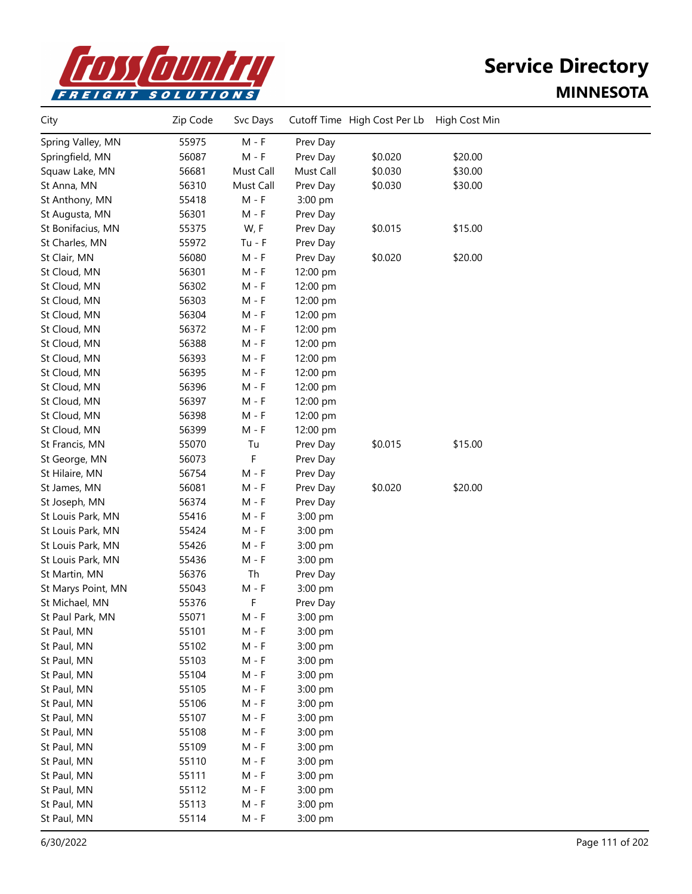

| City               | Zip Code | Svc Days  |           | Cutoff Time High Cost Per Lb | High Cost Min |  |
|--------------------|----------|-----------|-----------|------------------------------|---------------|--|
| Spring Valley, MN  | 55975    | $M - F$   | Prev Day  |                              |               |  |
| Springfield, MN    | 56087    | $M - F$   | Prev Day  | \$0.020                      | \$20.00       |  |
| Squaw Lake, MN     | 56681    | Must Call | Must Call | \$0.030                      | \$30.00       |  |
| St Anna, MN        | 56310    | Must Call | Prev Day  | \$0.030                      | \$30.00       |  |
| St Anthony, MN     | 55418    | $M - F$   | 3:00 pm   |                              |               |  |
| St Augusta, MN     | 56301    | M - F     | Prev Day  |                              |               |  |
| St Bonifacius, MN  | 55375    | W, F      | Prev Day  | \$0.015                      | \$15.00       |  |
| St Charles, MN     | 55972    | $Tu - F$  | Prev Day  |                              |               |  |
| St Clair, MN       | 56080    | $M - F$   | Prev Day  | \$0.020                      | \$20.00       |  |
| St Cloud, MN       | 56301    | $M - F$   | 12:00 pm  |                              |               |  |
| St Cloud, MN       | 56302    | M - F     | 12:00 pm  |                              |               |  |
| St Cloud, MN       | 56303    | M - F     | 12:00 pm  |                              |               |  |
| St Cloud, MN       | 56304    | M - F     | 12:00 pm  |                              |               |  |
| St Cloud, MN       | 56372    | $M - F$   | 12:00 pm  |                              |               |  |
| St Cloud, MN       | 56388    | $M - F$   | 12:00 pm  |                              |               |  |
| St Cloud, MN       | 56393    | $M - F$   | 12:00 pm  |                              |               |  |
| St Cloud, MN       | 56395    | $M - F$   | 12:00 pm  |                              |               |  |
| St Cloud, MN       | 56396    | M - F     | 12:00 pm  |                              |               |  |
| St Cloud, MN       | 56397    | M - F     | 12:00 pm  |                              |               |  |
| St Cloud, MN       | 56398    | $M - F$   | 12:00 pm  |                              |               |  |
| St Cloud, MN       | 56399    | M - F     | 12:00 pm  |                              |               |  |
| St Francis, MN     | 55070    | Tu        | Prev Day  | \$0.015                      | \$15.00       |  |
| St George, MN      | 56073    | F         | Prev Day  |                              |               |  |
| St Hilaire, MN     | 56754    | $M - F$   | Prev Day  |                              |               |  |
| St James, MN       | 56081    | M - F     | Prev Day  | \$0.020                      | \$20.00       |  |
| St Joseph, MN      | 56374    | M - F     | Prev Day  |                              |               |  |
| St Louis Park, MN  | 55416    | M - F     | 3:00 pm   |                              |               |  |
| St Louis Park, MN  | 55424    | M - F     | 3:00 pm   |                              |               |  |
| St Louis Park, MN  | 55426    | M - F     | 3:00 pm   |                              |               |  |
| St Louis Park, MN  | 55436    | $M - F$   | 3:00 pm   |                              |               |  |
| St Martin, MN      | 56376    | Th        | Prev Day  |                              |               |  |
| St Marys Point, MN | 55043    | $M - F$   | 3:00 pm   |                              |               |  |
| St Michael, MN     | 55376    | F         | Prev Day  |                              |               |  |
| St Paul Park, MN   | 55071    | M - F     | 3:00 pm   |                              |               |  |
| St Paul, MN        | 55101    | $M - F$   | 3:00 pm   |                              |               |  |
| St Paul, MN        | 55102    | $M - F$   | 3:00 pm   |                              |               |  |
| St Paul, MN        | 55103    | $M - F$   | 3:00 pm   |                              |               |  |
| St Paul, MN        | 55104    | $M - F$   | 3:00 pm   |                              |               |  |
| St Paul, MN        | 55105    | $M - F$   | 3:00 pm   |                              |               |  |
| St Paul, MN        | 55106    | $M - F$   | 3:00 pm   |                              |               |  |
| St Paul, MN        | 55107    | $M - F$   | 3:00 pm   |                              |               |  |
| St Paul, MN        | 55108    | M - F     | 3:00 pm   |                              |               |  |
| St Paul, MN        | 55109    | $M - F$   | 3:00 pm   |                              |               |  |
| St Paul, MN        | 55110    | $M - F$   | 3:00 pm   |                              |               |  |
| St Paul, MN        | 55111    | $M - F$   | 3:00 pm   |                              |               |  |
| St Paul, MN        | 55112    | $M - F$   | 3:00 pm   |                              |               |  |
| St Paul, MN        | 55113    | $M - F$   | 3:00 pm   |                              |               |  |
| St Paul, MN        | 55114    | $M - F$   | 3:00 pm   |                              |               |  |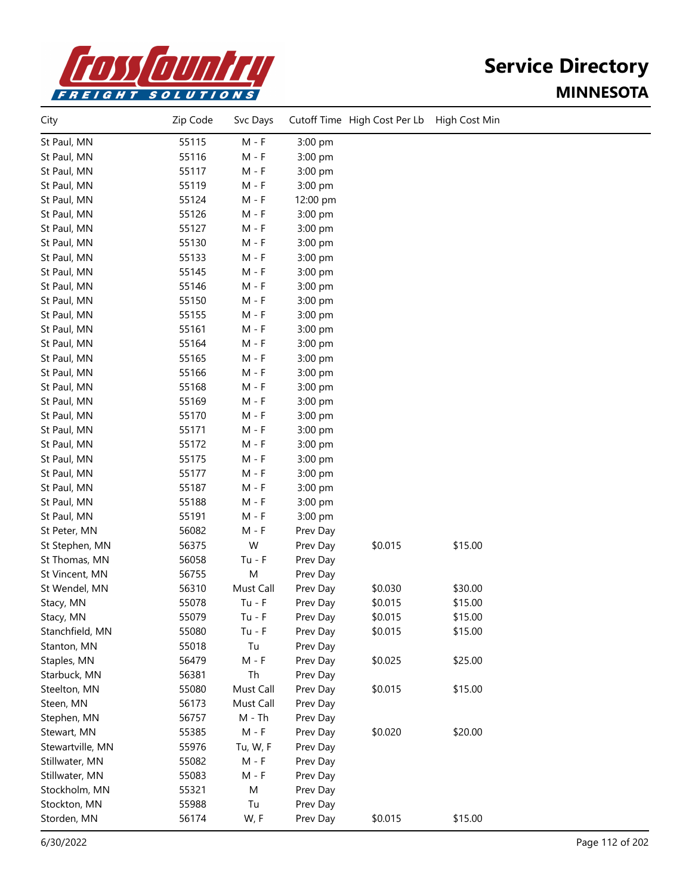

| City             | Zip Code | Svc Days  |          | Cutoff Time High Cost Per Lb | High Cost Min |  |
|------------------|----------|-----------|----------|------------------------------|---------------|--|
| St Paul, MN      | 55115    | $M - F$   | 3:00 pm  |                              |               |  |
| St Paul, MN      | 55116    | M - F     | 3:00 pm  |                              |               |  |
| St Paul, MN      | 55117    | $M - F$   | 3:00 pm  |                              |               |  |
| St Paul, MN      | 55119    | $M - F$   | 3:00 pm  |                              |               |  |
| St Paul, MN      | 55124    | M - F     | 12:00 pm |                              |               |  |
| St Paul, MN      | 55126    | M - F     | 3:00 pm  |                              |               |  |
| St Paul, MN      | 55127    | M - F     | 3:00 pm  |                              |               |  |
| St Paul, MN      | 55130    | M - F     | 3:00 pm  |                              |               |  |
| St Paul, MN      | 55133    | M - F     | 3:00 pm  |                              |               |  |
| St Paul, MN      | 55145    | M - F     | 3:00 pm  |                              |               |  |
| St Paul, MN      | 55146    | M - F     | 3:00 pm  |                              |               |  |
| St Paul, MN      | 55150    | $M - F$   | 3:00 pm  |                              |               |  |
| St Paul, MN      | 55155    | M - F     | 3:00 pm  |                              |               |  |
| St Paul, MN      | 55161    | $M - F$   | 3:00 pm  |                              |               |  |
| St Paul, MN      | 55164    | $M - F$   | 3:00 pm  |                              |               |  |
| St Paul, MN      | 55165    | M - F     | 3:00 pm  |                              |               |  |
| St Paul, MN      | 55166    | M - F     | 3:00 pm  |                              |               |  |
| St Paul, MN      | 55168    | M - F     | 3:00 pm  |                              |               |  |
| St Paul, MN      | 55169    | $M - F$   | 3:00 pm  |                              |               |  |
| St Paul, MN      | 55170    | $M - F$   | 3:00 pm  |                              |               |  |
| St Paul, MN      | 55171    | $M - F$   | 3:00 pm  |                              |               |  |
| St Paul, MN      | 55172    | $M - F$   | 3:00 pm  |                              |               |  |
| St Paul, MN      | 55175    | $M - F$   | 3:00 pm  |                              |               |  |
| St Paul, MN      | 55177    | M - F     | 3:00 pm  |                              |               |  |
| St Paul, MN      | 55187    | M - F     | 3:00 pm  |                              |               |  |
| St Paul, MN      | 55188    | M - F     | 3:00 pm  |                              |               |  |
| St Paul, MN      | 55191    | M - F     | 3:00 pm  |                              |               |  |
| St Peter, MN     | 56082    | $M - F$   | Prev Day |                              |               |  |
| St Stephen, MN   | 56375    | W         | Prev Day | \$0.015                      | \$15.00       |  |
| St Thomas, MN    | 56058    | $Tu - F$  | Prev Day |                              |               |  |
| St Vincent, MN   | 56755    | M         | Prev Day |                              |               |  |
| St Wendel, MN    | 56310    | Must Call | Prev Day | \$0.030                      | \$30.00       |  |
| Stacy, MN        | 55078    | $Tu - F$  | Prev Day | \$0.015                      | \$15.00       |  |
| Stacy, MN        | 55079    | $Tu - F$  | Prev Day | \$0.015                      | \$15.00       |  |
| Stanchfield, MN  | 55080    | $Tu - F$  | Prev Day | \$0.015                      | \$15.00       |  |
| Stanton, MN      | 55018    | Tu        | Prev Day |                              |               |  |
| Staples, MN      | 56479    | $M - F$   | Prev Day | \$0.025                      | \$25.00       |  |
| Starbuck, MN     | 56381    | Th        | Prev Day |                              |               |  |
| Steelton, MN     | 55080    | Must Call | Prev Day | \$0.015                      | \$15.00       |  |
| Steen, MN        | 56173    | Must Call | Prev Day |                              |               |  |
| Stephen, MN      | 56757    | M - Th    | Prev Day |                              |               |  |
| Stewart, MN      | 55385    | $M - F$   | Prev Day | \$0.020                      | \$20.00       |  |
| Stewartville, MN | 55976    | Tu, W, F  | Prev Day |                              |               |  |
| Stillwater, MN   | 55082    | $M - F$   | Prev Day |                              |               |  |
| Stillwater, MN   | 55083    | $M - F$   | Prev Day |                              |               |  |
| Stockholm, MN    | 55321    | M         | Prev Day |                              |               |  |
| Stockton, MN     | 55988    | Tu        | Prev Day |                              |               |  |
| Storden, MN      | 56174    | W, F      | Prev Day | \$0.015                      | \$15.00       |  |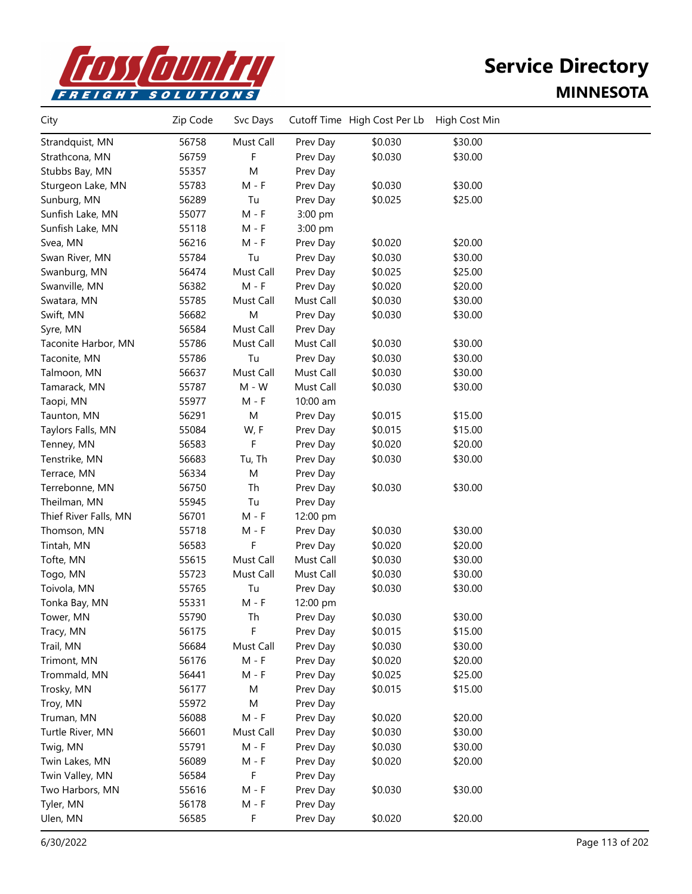

| City                  | Zip Code | Svc Days  |           | Cutoff Time High Cost Per Lb | High Cost Min |  |
|-----------------------|----------|-----------|-----------|------------------------------|---------------|--|
| Strandquist, MN       | 56758    | Must Call | Prev Day  | \$0.030                      | \$30.00       |  |
| Strathcona, MN        | 56759    | F         | Prev Day  | \$0.030                      | \$30.00       |  |
| Stubbs Bay, MN        | 55357    | M         | Prev Day  |                              |               |  |
| Sturgeon Lake, MN     | 55783    | $M - F$   | Prev Day  | \$0.030                      | \$30.00       |  |
| Sunburg, MN           | 56289    | Tu        | Prev Day  | \$0.025                      | \$25.00       |  |
| Sunfish Lake, MN      | 55077    | $M - F$   | 3:00 pm   |                              |               |  |
| Sunfish Lake, MN      | 55118    | $M - F$   | 3:00 pm   |                              |               |  |
| Svea, MN              | 56216    | M - F     | Prev Day  | \$0.020                      | \$20.00       |  |
| Swan River, MN        | 55784    | Tu        | Prev Day  | \$0.030                      | \$30.00       |  |
| Swanburg, MN          | 56474    | Must Call | Prev Day  | \$0.025                      | \$25.00       |  |
| Swanville, MN         | 56382    | $M - F$   | Prev Day  | \$0.020                      | \$20.00       |  |
| Swatara, MN           | 55785    | Must Call | Must Call | \$0.030                      | \$30.00       |  |
| Swift, MN             | 56682    | M         | Prev Day  | \$0.030                      | \$30.00       |  |
| Syre, MN              | 56584    | Must Call | Prev Day  |                              |               |  |
| Taconite Harbor, MN   | 55786    | Must Call | Must Call | \$0.030                      | \$30.00       |  |
| Taconite, MN          | 55786    | Tu        | Prev Day  | \$0.030                      | \$30.00       |  |
| Talmoon, MN           | 56637    | Must Call | Must Call | \$0.030                      | \$30.00       |  |
| Tamarack, MN          | 55787    | $M - W$   | Must Call | \$0.030                      | \$30.00       |  |
| Taopi, MN             | 55977    | $M - F$   | 10:00 am  |                              |               |  |
| Taunton, MN           | 56291    | M         | Prev Day  | \$0.015                      | \$15.00       |  |
| Taylors Falls, MN     | 55084    | W, F      | Prev Day  | \$0.015                      | \$15.00       |  |
| Tenney, MN            | 56583    | F         | Prev Day  | \$0.020                      | \$20.00       |  |
| Tenstrike, MN         | 56683    | Tu, Th    | Prev Day  | \$0.030                      | \$30.00       |  |
| Terrace, MN           | 56334    | M         | Prev Day  |                              |               |  |
| Terrebonne, MN        | 56750    | Th        | Prev Day  | \$0.030                      | \$30.00       |  |
| Theilman, MN          | 55945    | Tu        | Prev Day  |                              |               |  |
| Thief River Falls, MN | 56701    | $M - F$   | 12:00 pm  |                              |               |  |
| Thomson, MN           | 55718    | M - F     | Prev Day  | \$0.030                      | \$30.00       |  |
| Tintah, MN            | 56583    | F         | Prev Day  | \$0.020                      | \$20.00       |  |
| Tofte, MN             | 55615    | Must Call | Must Call | \$0.030                      | \$30.00       |  |
| Togo, MN              | 55723    | Must Call | Must Call | \$0.030                      | \$30.00       |  |
| Toivola, MN           | 55765    | Tu        | Prev Day  | \$0.030                      | \$30.00       |  |
| Tonka Bay, MN         | 55331    | M - F     | 12:00 pm  |                              |               |  |
| Tower, MN             | 55790    | Th        | Prev Day  | \$0.030                      | \$30.00       |  |
| Tracy, MN             | 56175    | F         | Prev Day  | \$0.015                      | \$15.00       |  |
| Trail, MN             | 56684    | Must Call | Prev Day  | \$0.030                      | \$30.00       |  |
| Trimont, MN           | 56176    | $M - F$   | Prev Day  | \$0.020                      | \$20.00       |  |
| Trommald, MN          | 56441    | $M - F$   | Prev Day  | \$0.025                      | \$25.00       |  |
| Trosky, MN            | 56177    | M         | Prev Day  | \$0.015                      | \$15.00       |  |
| Troy, MN              | 55972    | M         | Prev Day  |                              |               |  |
| Truman, MN            | 56088    | $M - F$   | Prev Day  | \$0.020                      | \$20.00       |  |
| Turtle River, MN      | 56601    | Must Call | Prev Day  | \$0.030                      | \$30.00       |  |
| Twig, MN              | 55791    | $M - F$   | Prev Day  | \$0.030                      | \$30.00       |  |
| Twin Lakes, MN        | 56089    | $M - F$   | Prev Day  | \$0.020                      | \$20.00       |  |
| Twin Valley, MN       | 56584    | F         | Prev Day  |                              |               |  |
| Two Harbors, MN       | 55616    | $M - F$   | Prev Day  | \$0.030                      | \$30.00       |  |
| Tyler, MN             | 56178    | $M - F$   | Prev Day  |                              |               |  |
| Ulen, MN              | 56585    | F         | Prev Day  | \$0.020                      | \$20.00       |  |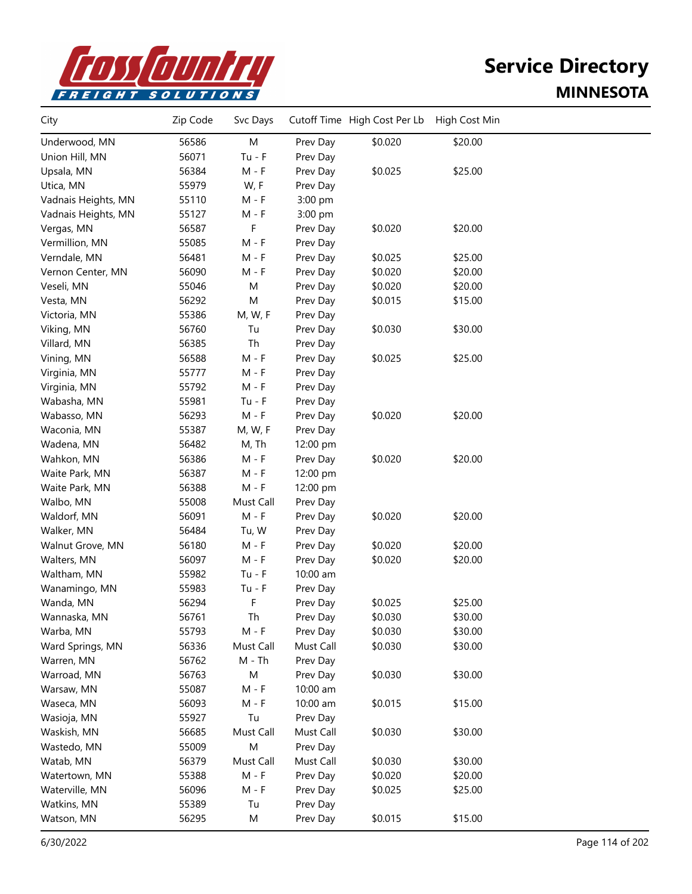

| City                | Zip Code | Svc Days  |           | Cutoff Time High Cost Per Lb | High Cost Min |  |
|---------------------|----------|-----------|-----------|------------------------------|---------------|--|
| Underwood, MN       | 56586    | M         | Prev Day  | \$0.020                      | \$20.00       |  |
| Union Hill, MN      | 56071    | $Tu - F$  | Prev Day  |                              |               |  |
| Upsala, MN          | 56384    | $M - F$   | Prev Day  | \$0.025                      | \$25.00       |  |
| Utica, MN           | 55979    | W, F      | Prev Day  |                              |               |  |
| Vadnais Heights, MN | 55110    | $M - F$   | 3:00 pm   |                              |               |  |
| Vadnais Heights, MN | 55127    | $M - F$   | 3:00 pm   |                              |               |  |
| Vergas, MN          | 56587    | F         | Prev Day  | \$0.020                      | \$20.00       |  |
| Vermillion, MN      | 55085    | $M - F$   | Prev Day  |                              |               |  |
| Verndale, MN        | 56481    | M - F     | Prev Day  | \$0.025                      | \$25.00       |  |
| Vernon Center, MN   | 56090    | M - F     | Prev Day  | \$0.020                      | \$20.00       |  |
| Veseli, MN          | 55046    | M         | Prev Day  | \$0.020                      | \$20.00       |  |
| Vesta, MN           | 56292    | M         | Prev Day  | \$0.015                      | \$15.00       |  |
| Victoria, MN        | 55386    | M, W, F   | Prev Day  |                              |               |  |
| Viking, MN          | 56760    | Tu        | Prev Day  | \$0.030                      | \$30.00       |  |
| Villard, MN         | 56385    | Th        | Prev Day  |                              |               |  |
| Vining, MN          | 56588    | $M - F$   | Prev Day  | \$0.025                      | \$25.00       |  |
| Virginia, MN        | 55777    | M - F     | Prev Day  |                              |               |  |
| Virginia, MN        | 55792    | $M - F$   | Prev Day  |                              |               |  |
| Wabasha, MN         | 55981    | $Tu - F$  | Prev Day  |                              |               |  |
| Wabasso, MN         | 56293    | $M - F$   | Prev Day  | \$0.020                      | \$20.00       |  |
| Waconia, MN         | 55387    | M, W, F   | Prev Day  |                              |               |  |
| Wadena, MN          | 56482    | M, Th     | 12:00 pm  |                              |               |  |
| Wahkon, MN          | 56386    | $M - F$   | Prev Day  | \$0.020                      | \$20.00       |  |
| Waite Park, MN      | 56387    | $M - F$   | 12:00 pm  |                              |               |  |
| Waite Park, MN      | 56388    | M - F     | 12:00 pm  |                              |               |  |
| Walbo, MN           | 55008    | Must Call | Prev Day  |                              |               |  |
| Waldorf, MN         | 56091    | $M - F$   | Prev Day  | \$0.020                      | \$20.00       |  |
| Walker, MN          | 56484    | Tu, W     | Prev Day  |                              |               |  |
| Walnut Grove, MN    | 56180    | $M - F$   | Prev Day  | \$0.020                      | \$20.00       |  |
| Walters, MN         | 56097    | $M - F$   | Prev Day  | \$0.020                      | \$20.00       |  |
| Waltham, MN         | 55982    | $Tu - F$  | 10:00 am  |                              |               |  |
| Wanamingo, MN       | 55983    | $Tu - F$  | Prev Day  |                              |               |  |
| Wanda, MN           | 56294    | F         | Prev Day  | \$0.025                      | \$25.00       |  |
| Wannaska, MN        | 56761    | Th        | Prev Day  | \$0.030                      | \$30.00       |  |
| Warba, MN           | 55793    | M - F     | Prev Day  | \$0.030                      | \$30.00       |  |
| Ward Springs, MN    | 56336    | Must Call | Must Call | \$0.030                      | \$30.00       |  |
| Warren, MN          | 56762    | $M - Th$  | Prev Day  |                              |               |  |
| Warroad, MN         | 56763    | ${\sf M}$ | Prev Day  | \$0.030                      | \$30.00       |  |
| Warsaw, MN          | 55087    | $M - F$   | 10:00 am  |                              |               |  |
| Waseca, MN          | 56093    | $M - F$   | 10:00 am  | \$0.015                      | \$15.00       |  |
| Wasioja, MN         | 55927    | Tu        | Prev Day  |                              |               |  |
| Waskish, MN         | 56685    | Must Call | Must Call | \$0.030                      | \$30.00       |  |
| Wastedo, MN         | 55009    | M         | Prev Day  |                              |               |  |
| Watab, MN           | 56379    | Must Call | Must Call | \$0.030                      | \$30.00       |  |
| Watertown, MN       | 55388    | $M - F$   | Prev Day  | \$0.020                      | \$20.00       |  |
| Waterville, MN      | 56096    | $M - F$   | Prev Day  | \$0.025                      | \$25.00       |  |
| Watkins, MN         | 55389    | Tu        | Prev Day  |                              |               |  |
| Watson, MN          | 56295    | M         | Prev Day  | \$0.015                      | \$15.00       |  |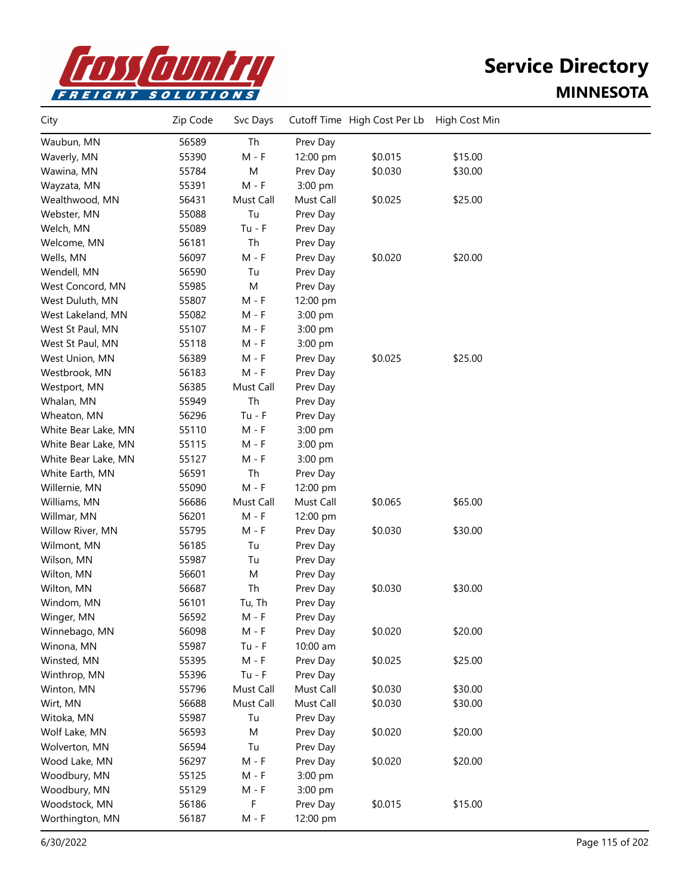

| City                | Zip Code | Svc Days  |           | Cutoff Time High Cost Per Lb | High Cost Min |  |
|---------------------|----------|-----------|-----------|------------------------------|---------------|--|
| Waubun, MN          | 56589    | Th        | Prev Day  |                              |               |  |
| Waverly, MN         | 55390    | $M - F$   | 12:00 pm  | \$0.015                      | \$15.00       |  |
| Wawina, MN          | 55784    | M         | Prev Day  | \$0.030                      | \$30.00       |  |
| Wayzata, MN         | 55391    | $M - F$   | 3:00 pm   |                              |               |  |
| Wealthwood, MN      | 56431    | Must Call | Must Call | \$0.025                      | \$25.00       |  |
| Webster, MN         | 55088    | Tu        | Prev Day  |                              |               |  |
| Welch, MN           | 55089    | $Tu - F$  | Prev Day  |                              |               |  |
| Welcome, MN         | 56181    | Th        | Prev Day  |                              |               |  |
| Wells, MN           | 56097    | $M - F$   | Prev Day  | \$0.020                      | \$20.00       |  |
| Wendell, MN         | 56590    | Tu        | Prev Day  |                              |               |  |
| West Concord, MN    | 55985    | M         | Prev Day  |                              |               |  |
| West Duluth, MN     | 55807    | $M - F$   | 12:00 pm  |                              |               |  |
| West Lakeland, MN   | 55082    | M - F     | 3:00 pm   |                              |               |  |
| West St Paul, MN    | 55107    | $M - F$   | 3:00 pm   |                              |               |  |
| West St Paul, MN    | 55118    | $M - F$   | 3:00 pm   |                              |               |  |
| West Union, MN      | 56389    | M - F     | Prev Day  | \$0.025                      | \$25.00       |  |
| Westbrook, MN       | 56183    | M - F     | Prev Day  |                              |               |  |
| Westport, MN        | 56385    | Must Call | Prev Day  |                              |               |  |
| Whalan, MN          | 55949    | Th        | Prev Day  |                              |               |  |
| Wheaton, MN         | 56296    | $Tu - F$  | Prev Day  |                              |               |  |
| White Bear Lake, MN | 55110    | $M - F$   | 3:00 pm   |                              |               |  |
| White Bear Lake, MN | 55115    | M - F     | 3:00 pm   |                              |               |  |
| White Bear Lake, MN | 55127    | $M - F$   | 3:00 pm   |                              |               |  |
| White Earth, MN     | 56591    | Th        | Prev Day  |                              |               |  |
| Willernie, MN       | 55090    | $M - F$   | 12:00 pm  |                              |               |  |
| Williams, MN        | 56686    | Must Call | Must Call | \$0.065                      | \$65.00       |  |
| Willmar, MN         | 56201    | $M - F$   | 12:00 pm  |                              |               |  |
| Willow River, MN    | 55795    | $M - F$   | Prev Day  | \$0.030                      | \$30.00       |  |
| Wilmont, MN         | 56185    | Tu        | Prev Day  |                              |               |  |
| Wilson, MN          | 55987    | Tu        | Prev Day  |                              |               |  |
| Wilton, MN          | 56601    | M         | Prev Day  |                              |               |  |
| Wilton, MN          | 56687    | Th        | Prev Day  | \$0.030                      | \$30.00       |  |
| Windom, MN          | 56101    | Tu, Th    | Prev Day  |                              |               |  |
| Winger, MN          | 56592    | M - F     | Prev Day  |                              |               |  |
| Winnebago, MN       | 56098    | M - F     | Prev Day  | \$0.020                      | \$20.00       |  |
| Winona, MN          | 55987    | $Tu - F$  | 10:00 am  |                              |               |  |
| Winsted, MN         | 55395    | $M - F$   | Prev Day  | \$0.025                      | \$25.00       |  |
| Winthrop, MN        | 55396    | $Tu - F$  | Prev Day  |                              |               |  |
| Winton, MN          | 55796    | Must Call | Must Call | \$0.030                      | \$30.00       |  |
| Wirt, MN            | 56688    | Must Call | Must Call | \$0.030                      | \$30.00       |  |
| Witoka, MN          | 55987    | Tu        | Prev Day  |                              |               |  |
| Wolf Lake, MN       | 56593    | M         | Prev Day  | \$0.020                      | \$20.00       |  |
| Wolverton, MN       | 56594    | Tu        | Prev Day  |                              |               |  |
| Wood Lake, MN       | 56297    | $M - F$   | Prev Day  | \$0.020                      | \$20.00       |  |
| Woodbury, MN        | 55125    | $M - F$   | 3:00 pm   |                              |               |  |
| Woodbury, MN        | 55129    | $M - F$   | 3:00 pm   |                              |               |  |
| Woodstock, MN       | 56186    | F         | Prev Day  | \$0.015                      | \$15.00       |  |
| Worthington, MN     | 56187    | $M - F$   | 12:00 pm  |                              |               |  |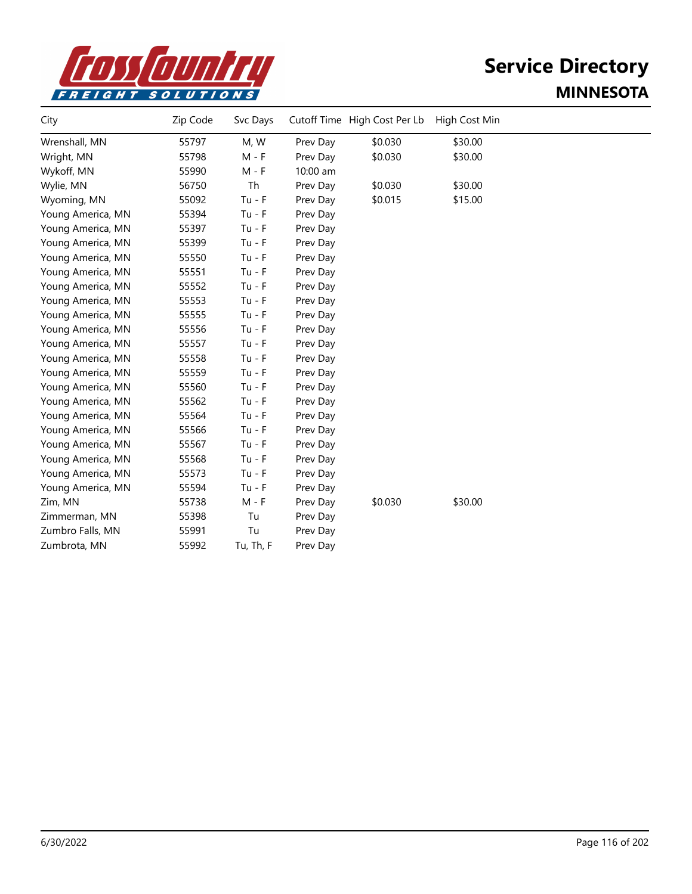

| City              | Zip Code | Svc Days  |          | Cutoff Time High Cost Per Lb | High Cost Min |  |
|-------------------|----------|-----------|----------|------------------------------|---------------|--|
| Wrenshall, MN     | 55797    | M, W      | Prev Day | \$0.030                      | \$30.00       |  |
| Wright, MN        | 55798    | $M - F$   | Prev Day | \$0.030                      | \$30.00       |  |
| Wykoff, MN        | 55990    | M - F     | 10:00 am |                              |               |  |
| Wylie, MN         | 56750    | Th        | Prev Day | \$0.030                      | \$30.00       |  |
| Wyoming, MN       | 55092    | $Tu - F$  | Prev Day | \$0.015                      | \$15.00       |  |
| Young America, MN | 55394    | $Tu - F$  | Prev Day |                              |               |  |
| Young America, MN | 55397    | $Tu - F$  | Prev Day |                              |               |  |
| Young America, MN | 55399    | $Tu - F$  | Prev Day |                              |               |  |
| Young America, MN | 55550    | $Tu - F$  | Prev Day |                              |               |  |
| Young America, MN | 55551    | $Tu - F$  | Prev Day |                              |               |  |
| Young America, MN | 55552    | $Tu - F$  | Prev Day |                              |               |  |
| Young America, MN | 55553    | $Tu - F$  | Prev Day |                              |               |  |
| Young America, MN | 55555    | $Tu - F$  | Prev Day |                              |               |  |
| Young America, MN | 55556    | $Tu - F$  | Prev Day |                              |               |  |
| Young America, MN | 55557    | $Tu - F$  | Prev Day |                              |               |  |
| Young America, MN | 55558    | $Tu - F$  | Prev Day |                              |               |  |
| Young America, MN | 55559    | $Tu - F$  | Prev Day |                              |               |  |
| Young America, MN | 55560    | $Tu - F$  | Prev Day |                              |               |  |
| Young America, MN | 55562    | $Tu - F$  | Prev Day |                              |               |  |
| Young America, MN | 55564    | $Tu - F$  | Prev Day |                              |               |  |
| Young America, MN | 55566    | $Tu - F$  | Prev Day |                              |               |  |
| Young America, MN | 55567    | $Tu - F$  | Prev Day |                              |               |  |
| Young America, MN | 55568    | $Tu - F$  | Prev Day |                              |               |  |
| Young America, MN | 55573    | $Tu - F$  | Prev Day |                              |               |  |
| Young America, MN | 55594    | $Tu - F$  | Prev Day |                              |               |  |
| Zim, MN           | 55738    | $M - F$   | Prev Day | \$0.030                      | \$30.00       |  |
| Zimmerman, MN     | 55398    | Tu        | Prev Day |                              |               |  |
| Zumbro Falls, MN  | 55991    | Tu        | Prev Day |                              |               |  |
| Zumbrota, MN      | 55992    | Tu, Th, F | Prev Day |                              |               |  |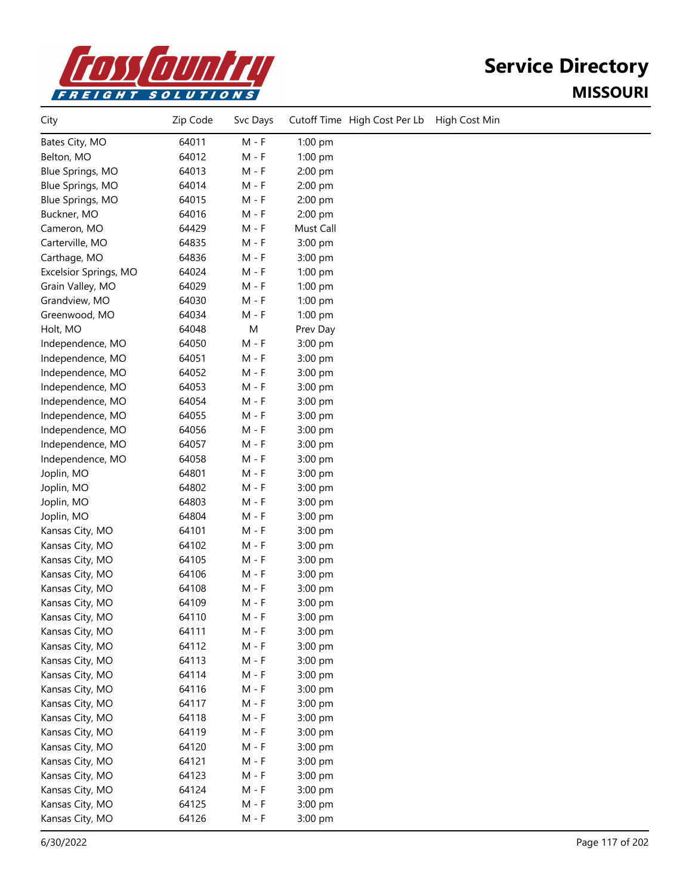

## **Service Directory MISSOURI**

| City                  | Zip Code | Svc Days |           | Cutoff Time High Cost Per Lb | High Cost Min |
|-----------------------|----------|----------|-----------|------------------------------|---------------|
| Bates City, MO        | 64011    | $M - F$  | 1:00 pm   |                              |               |
| Belton, MO            | 64012    | $M - F$  | 1:00 pm   |                              |               |
| Blue Springs, MO      | 64013    | $M - F$  | 2:00 pm   |                              |               |
| Blue Springs, MO      | 64014    | M - F    | 2:00 pm   |                              |               |
| Blue Springs, MO      | 64015    | $M - F$  | 2:00 pm   |                              |               |
| Buckner, MO           | 64016    | M - F    | 2:00 pm   |                              |               |
| Cameron, MO           | 64429    | M - F    | Must Call |                              |               |
| Carterville, MO       | 64835    | M - F    | 3:00 pm   |                              |               |
| Carthage, MO          | 64836    | M - F    | 3:00 pm   |                              |               |
| Excelsior Springs, MO | 64024    | $M - F$  | $1:00$ pm |                              |               |
| Grain Valley, MO      | 64029    | $M - F$  | $1:00$ pm |                              |               |
| Grandview, MO         | 64030    | $M - F$  | $1:00$ pm |                              |               |
| Greenwood, MO         | 64034    | $M - F$  | 1:00 pm   |                              |               |
| Holt, MO              | 64048    | M        | Prev Day  |                              |               |
| Independence, MO      | 64050    | M - F    | 3:00 pm   |                              |               |
| Independence, MO      | 64051    | M - F    | 3:00 pm   |                              |               |
| Independence, MO      | 64052    | M - F    | 3:00 pm   |                              |               |
| Independence, MO      | 64053    | $M - F$  | 3:00 pm   |                              |               |
| Independence, MO      | 64054    | $M - F$  | 3:00 pm   |                              |               |
| Independence, MO      | 64055    | $M - F$  | 3:00 pm   |                              |               |
| Independence, MO      | 64056    | $M - F$  | 3:00 pm   |                              |               |
| Independence, MO      | 64057    | $M - F$  | 3:00 pm   |                              |               |
| Independence, MO      | 64058    | M - F    | 3:00 pm   |                              |               |
| Joplin, MO            | 64801    | M - F    | 3:00 pm   |                              |               |
| Joplin, MO            | 64802    | M - F    | 3:00 pm   |                              |               |
| Joplin, MO            | 64803    | $M - F$  | 3:00 pm   |                              |               |
| Joplin, MO            | 64804    | $M - F$  | 3:00 pm   |                              |               |
| Kansas City, MO       | 64101    | M - F    | 3:00 pm   |                              |               |
| Kansas City, MO       | 64102    | $M - F$  | 3:00 pm   |                              |               |
| Kansas City, MO       | 64105    | $M - F$  | 3:00 pm   |                              |               |
| Kansas City, MO       | 64106    | M - F    | 3:00 pm   |                              |               |
| Kansas City, MO       | 64108    | M - F    | 3:00 pm   |                              |               |
| Kansas City, MO       | 64109    | M - F    | 3:00 pm   |                              |               |
| Kansas City, MO       | 64110    | $M - F$  | 3:00 pm   |                              |               |
| Kansas City, MO       | 64111    | $M - F$  | 3:00 pm   |                              |               |
| Kansas City, MO       | 64112    | $M - F$  | 3:00 pm   |                              |               |
| Kansas City, MO       | 64113    | $M - F$  | 3:00 pm   |                              |               |
| Kansas City, MO       | 64114    | $M - F$  | 3:00 pm   |                              |               |
| Kansas City, MO       | 64116    | M - F    | 3:00 pm   |                              |               |
| Kansas City, MO       | 64117    | M - F    | 3:00 pm   |                              |               |
| Kansas City, MO       | 64118    | $M - F$  | 3:00 pm   |                              |               |
| Kansas City, MO       | 64119    | M - F    | 3:00 pm   |                              |               |
| Kansas City, MO       | 64120    | M - F    | 3:00 pm   |                              |               |
| Kansas City, MO       | 64121    | M - F    | 3:00 pm   |                              |               |
| Kansas City, MO       | 64123    | $M - F$  | 3:00 pm   |                              |               |
| Kansas City, MO       | 64124    | $M - F$  | 3:00 pm   |                              |               |
| Kansas City, MO       | 64125    | M - F    | 3:00 pm   |                              |               |
| Kansas City, MO       | 64126    | $M - F$  | 3:00 pm   |                              |               |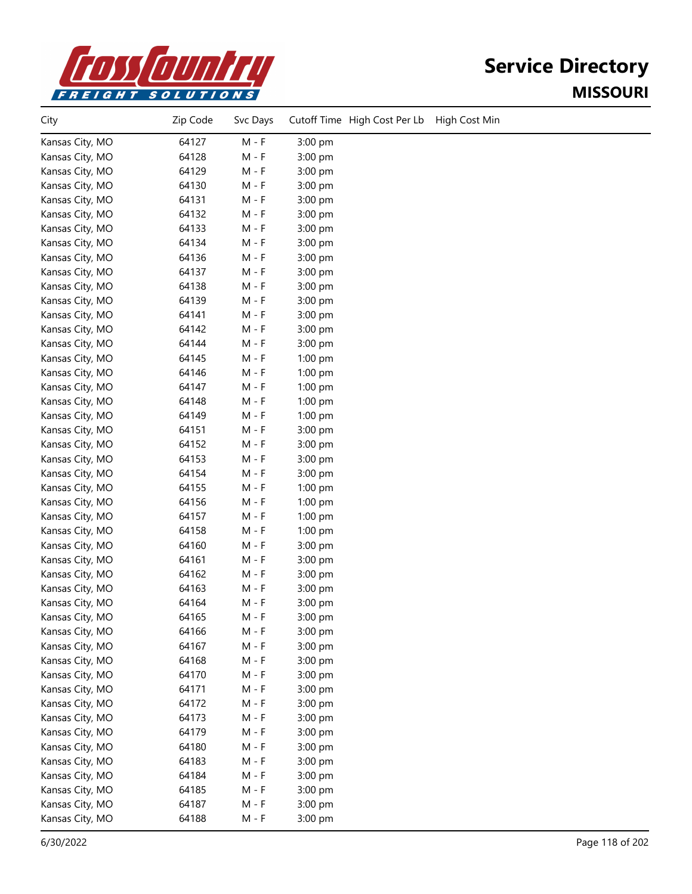

## **Service Directory MISSOURI**

| City            | Zip Code | Svc Days | Cutoff Time High Cost Per Lb<br>High Cost Min |
|-----------------|----------|----------|-----------------------------------------------|
| Kansas City, MO | 64127    | $M - F$  | 3:00 pm                                       |
| Kansas City, MO | 64128    | $M - F$  | 3:00 pm                                       |
| Kansas City, MO | 64129    | $M - F$  | 3:00 pm                                       |
| Kansas City, MO | 64130    | $M - F$  | 3:00 pm                                       |
| Kansas City, MO | 64131    | M - F    | 3:00 pm                                       |
| Kansas City, MO | 64132    | M - F    | 3:00 pm                                       |
| Kansas City, MO | 64133    | M - F    | 3:00 pm                                       |
| Kansas City, MO | 64134    | M - F    | 3:00 pm                                       |
| Kansas City, MO | 64136    | M - F    | 3:00 pm                                       |
| Kansas City, MO | 64137    | $M - F$  | 3:00 pm                                       |
| Kansas City, MO | 64138    | M - F    | 3:00 pm                                       |
| Kansas City, MO | 64139    | $M - F$  | 3:00 pm                                       |
| Kansas City, MO | 64141    | M - F    | 3:00 pm                                       |
| Kansas City, MO | 64142    | M - F    | 3:00 pm                                       |
| Kansas City, MO | 64144    | M - F    | 3:00 pm                                       |
| Kansas City, MO | 64145    | $M - F$  | 1:00 pm                                       |
| Kansas City, MO | 64146    | M - F    | 1:00 pm                                       |
| Kansas City, MO | 64147    | $M - F$  | 1:00 pm                                       |
| Kansas City, MO | 64148    | $M - F$  | 1:00 pm                                       |
| Kansas City, MO | 64149    | $M - F$  | 1:00 pm                                       |
| Kansas City, MO | 64151    | M - F    | 3:00 pm                                       |
| Kansas City, MO | 64152    | M - F    | 3:00 pm                                       |
| Kansas City, MO | 64153    | M - F    | 3:00 pm                                       |
| Kansas City, MO | 64154    | M - F    | 3:00 pm                                       |
| Kansas City, MO | 64155    | M - F    | $1:00$ pm                                     |
| Kansas City, MO | 64156    | $M - F$  | 1:00 pm                                       |
| Kansas City, MO | 64157    | $M - F$  | 1:00 pm                                       |
| Kansas City, MO | 64158    | $M - F$  | 1:00 pm                                       |
| Kansas City, MO | 64160    | M - F    | 3:00 pm                                       |
| Kansas City, MO | 64161    | M - F    | 3:00 pm                                       |
| Kansas City, MO | 64162    | M - F    | 3:00 pm                                       |
| Kansas City, MO | 64163    | M - F    | 3:00 pm                                       |
| Kansas City, MO | 64164    | $M - F$  | 3:00 pm                                       |
| Kansas City, MO | 64165    | $M - F$  | 3:00 pm                                       |
| Kansas City, MO | 64166    | $M - F$  | 3:00 pm                                       |
| Kansas City, MO | 64167    | $M - F$  | 3:00 pm                                       |
| Kansas City, MO | 64168    | $M - F$  | 3:00 pm                                       |
| Kansas City, MO | 64170    | $M - F$  | 3:00 pm                                       |
| Kansas City, MO | 64171    | M - F    | 3:00 pm                                       |
| Kansas City, MO | 64172    | $M - F$  | 3:00 pm                                       |
| Kansas City, MO | 64173    | $M - F$  | 3:00 pm                                       |
| Kansas City, MO | 64179    | $M - F$  | 3:00 pm                                       |
| Kansas City, MO | 64180    | $M - F$  | 3:00 pm                                       |
| Kansas City, MO | 64183    | $M - F$  | 3:00 pm                                       |
| Kansas City, MO | 64184    | $M - F$  | 3:00 pm                                       |
| Kansas City, MO | 64185    | $M - F$  | 3:00 pm                                       |
| Kansas City, MO | 64187    | $M - F$  | 3:00 pm                                       |
| Kansas City, MO | 64188    | $M - F$  | 3:00 pm                                       |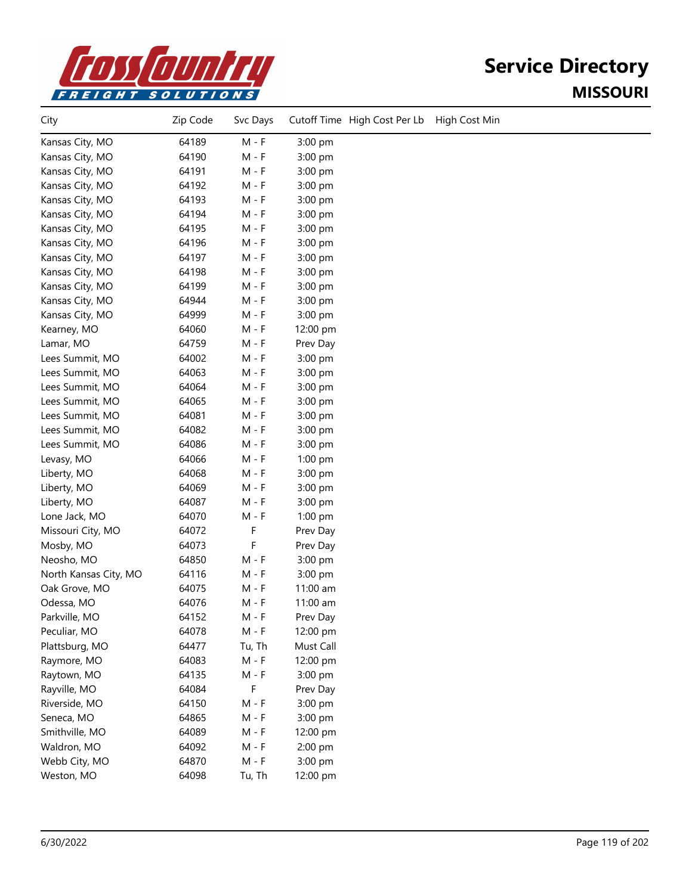

# **Service Directory MISSOURI**

| City                  | Zip Code | Svc Days |           | Cutoff Time High Cost Per Lb | High Cost Min |
|-----------------------|----------|----------|-----------|------------------------------|---------------|
| Kansas City, MO       | 64189    | $M - F$  | 3:00 pm   |                              |               |
| Kansas City, MO       | 64190    | $M - F$  | 3:00 pm   |                              |               |
| Kansas City, MO       | 64191    | $M - F$  | 3:00 pm   |                              |               |
| Kansas City, MO       | 64192    | M - F    | 3:00 pm   |                              |               |
| Kansas City, MO       | 64193    | M - F    | 3:00 pm   |                              |               |
| Kansas City, MO       | 64194    | M - F    | 3:00 pm   |                              |               |
| Kansas City, MO       | 64195    | M - F    | 3:00 pm   |                              |               |
| Kansas City, MO       | 64196    | $M - F$  | 3:00 pm   |                              |               |
| Kansas City, MO       | 64197    | $M - F$  | 3:00 pm   |                              |               |
| Kansas City, MO       | 64198    | $M - F$  | 3:00 pm   |                              |               |
| Kansas City, MO       | 64199    | $M - F$  | 3:00 pm   |                              |               |
| Kansas City, MO       | 64944    | M - F    | 3:00 pm   |                              |               |
| Kansas City, MO       | 64999    | M - F    | 3:00 pm   |                              |               |
| Kearney, MO           | 64060    | M - F    | 12:00 pm  |                              |               |
| Lamar, MO             | 64759    | $M - F$  | Prev Day  |                              |               |
| Lees Summit, MO       | 64002    | $M - F$  | 3:00 pm   |                              |               |
| Lees Summit, MO       | 64063    | $M - F$  | 3:00 pm   |                              |               |
| Lees Summit, MO       | 64064    | $M - F$  | 3:00 pm   |                              |               |
| Lees Summit, MO       | 64065    | $M - F$  | 3:00 pm   |                              |               |
| Lees Summit, MO       | 64081    | M - F    | 3:00 pm   |                              |               |
| Lees Summit, MO       | 64082    | M - F    | 3:00 pm   |                              |               |
| Lees Summit, MO       | 64086    | M - F    | 3:00 pm   |                              |               |
| Levasy, MO            | 64066    | M - F    | $1:00$ pm |                              |               |
| Liberty, MO           | 64068    | M - F    | 3:00 pm   |                              |               |
| Liberty, MO           | 64069    | M - F    | 3:00 pm   |                              |               |
| Liberty, MO           | 64087    | $M - F$  | 3:00 pm   |                              |               |
| Lone Jack, MO         | 64070    | $M - F$  | 1:00 pm   |                              |               |
| Missouri City, MO     | 64072    | F        | Prev Day  |                              |               |
| Mosby, MO             | 64073    | F        | Prev Day  |                              |               |
| Neosho, MO            | 64850    | $M - F$  | 3:00 pm   |                              |               |
| North Kansas City, MO | 64116    | M - F    | 3:00 pm   |                              |               |
| Oak Grove, MO         | 64075    | $M - F$  | 11:00 am  |                              |               |
| Odessa, MO            | 64076    | M - F    | 11:00 am  |                              |               |
| Parkville, MO         | 64152    | $M - F$  | Prev Day  |                              |               |
| Peculiar, MO          | 64078    | $M - F$  | 12:00 pm  |                              |               |
| Plattsburg, MO        | 64477    | Tu, Th   | Must Call |                              |               |
| Raymore, MO           | 64083    | $M - F$  | 12:00 pm  |                              |               |
| Raytown, MO           | 64135    | M - F    | 3:00 pm   |                              |               |
| Rayville, MO          | 64084    | F        | Prev Day  |                              |               |
| Riverside, MO         | 64150    | $M - F$  | 3:00 pm   |                              |               |
| Seneca, MO            | 64865    | M - F    | 3:00 pm   |                              |               |
| Smithville, MO        | 64089    | $M - F$  | 12:00 pm  |                              |               |
| Waldron, MO           | 64092    | $M - F$  | 2:00 pm   |                              |               |
| Webb City, MO         | 64870    | $M - F$  | 3:00 pm   |                              |               |
| Weston, MO            | 64098    | Tu, Th   | 12:00 pm  |                              |               |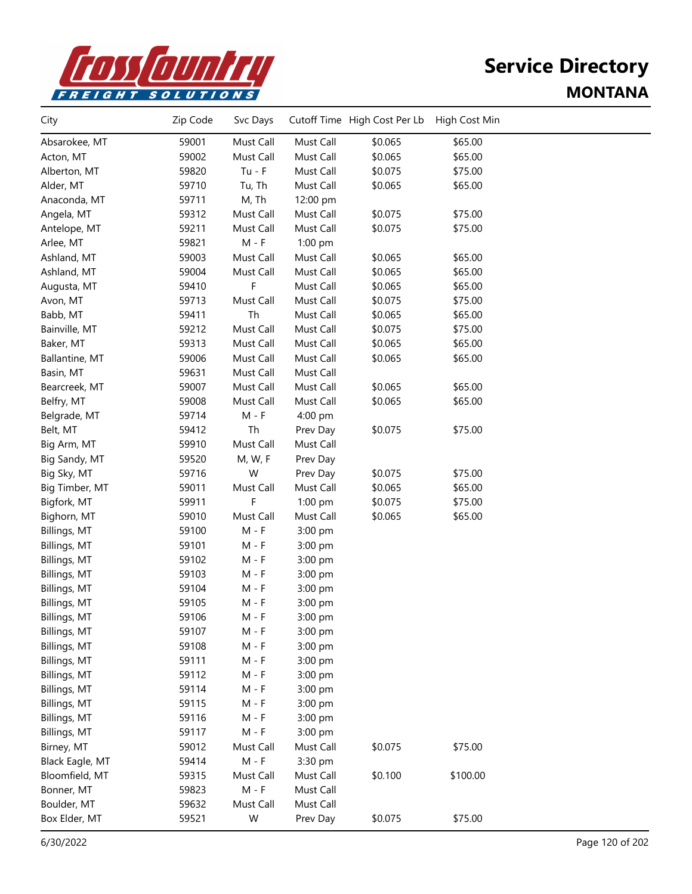

| City            | Zip Code | Svc Days  |           | Cutoff Time High Cost Per Lb | High Cost Min |  |
|-----------------|----------|-----------|-----------|------------------------------|---------------|--|
| Absarokee, MT   | 59001    | Must Call | Must Call | \$0.065                      | \$65.00       |  |
| Acton, MT       | 59002    | Must Call | Must Call | \$0.065                      | \$65.00       |  |
| Alberton, MT    | 59820    | $Tu - F$  | Must Call | \$0.075                      | \$75.00       |  |
| Alder, MT       | 59710    | Tu, Th    | Must Call | \$0.065                      | \$65.00       |  |
| Anaconda, MT    | 59711    | M, Th     | 12:00 pm  |                              |               |  |
| Angela, MT      | 59312    | Must Call | Must Call | \$0.075                      | \$75.00       |  |
| Antelope, MT    | 59211    | Must Call | Must Call | \$0.075                      | \$75.00       |  |
| Arlee, MT       | 59821    | $M - F$   | 1:00 pm   |                              |               |  |
| Ashland, MT     | 59003    | Must Call | Must Call | \$0.065                      | \$65.00       |  |
| Ashland, MT     | 59004    | Must Call | Must Call | \$0.065                      | \$65.00       |  |
| Augusta, MT     | 59410    | F         | Must Call | \$0.065                      | \$65.00       |  |
| Avon, MT        | 59713    | Must Call | Must Call | \$0.075                      | \$75.00       |  |
| Babb, MT        | 59411    | Th        | Must Call | \$0.065                      | \$65.00       |  |
| Bainville, MT   | 59212    | Must Call | Must Call | \$0.075                      | \$75.00       |  |
| Baker, MT       | 59313    | Must Call | Must Call | \$0.065                      | \$65.00       |  |
| Ballantine, MT  | 59006    | Must Call | Must Call | \$0.065                      | \$65.00       |  |
| Basin, MT       | 59631    | Must Call | Must Call |                              |               |  |
| Bearcreek, MT   | 59007    | Must Call | Must Call | \$0.065                      | \$65.00       |  |
| Belfry, MT      | 59008    | Must Call | Must Call | \$0.065                      | \$65.00       |  |
| Belgrade, MT    | 59714    | $M - F$   | 4:00 pm   |                              |               |  |
| Belt, MT        | 59412    | Th        | Prev Day  | \$0.075                      | \$75.00       |  |
| Big Arm, MT     | 59910    | Must Call | Must Call |                              |               |  |
| Big Sandy, MT   | 59520    | M, W, F   | Prev Day  |                              |               |  |
| Big Sky, MT     | 59716    | W         | Prev Day  | \$0.075                      | \$75.00       |  |
| Big Timber, MT  | 59011    | Must Call | Must Call | \$0.065                      | \$65.00       |  |
| Bigfork, MT     | 59911    | F         | $1:00$ pm | \$0.075                      | \$75.00       |  |
| Bighorn, MT     | 59010    | Must Call | Must Call | \$0.065                      | \$65.00       |  |
| Billings, MT    | 59100    | $M - F$   | 3:00 pm   |                              |               |  |
| Billings, MT    | 59101    | $M - F$   | 3:00 pm   |                              |               |  |
| Billings, MT    | 59102    | $M - F$   | 3:00 pm   |                              |               |  |
| Billings, MT    | 59103    | $M - F$   | 3:00 pm   |                              |               |  |
| Billings, MT    | 59104    | $M - F$   | 3:00 pm   |                              |               |  |
| Billings, MT    | 59105    | $M - F$   | 3:00 pm   |                              |               |  |
| Billings, MT    | 59106    | M - F     | 3:00 pm   |                              |               |  |
| Billings, MT    | 59107    | M - F     | 3:00 pm   |                              |               |  |
| Billings, MT    | 59108    | $M - F$   | 3:00 pm   |                              |               |  |
| Billings, MT    | 59111    | $M - F$   | 3:00 pm   |                              |               |  |
| Billings, MT    | 59112    | $M - F$   | 3:00 pm   |                              |               |  |
| Billings, MT    | 59114    | $M - F$   | 3:00 pm   |                              |               |  |
| Billings, MT    | 59115    | $M - F$   | 3:00 pm   |                              |               |  |
| Billings, MT    | 59116    | M - F     | 3:00 pm   |                              |               |  |
| Billings, MT    | 59117    | M - F     | 3:00 pm   |                              |               |  |
| Birney, MT      | 59012    | Must Call | Must Call | \$0.075                      | \$75.00       |  |
| Black Eagle, MT | 59414    | $M - F$   | 3:30 pm   |                              |               |  |
| Bloomfield, MT  | 59315    | Must Call | Must Call | \$0.100                      | \$100.00      |  |
| Bonner, MT      | 59823    | $M - F$   | Must Call |                              |               |  |
| Boulder, MT     | 59632    | Must Call | Must Call |                              |               |  |
| Box Elder, MT   | 59521    | W         | Prev Day  | \$0.075                      | \$75.00       |  |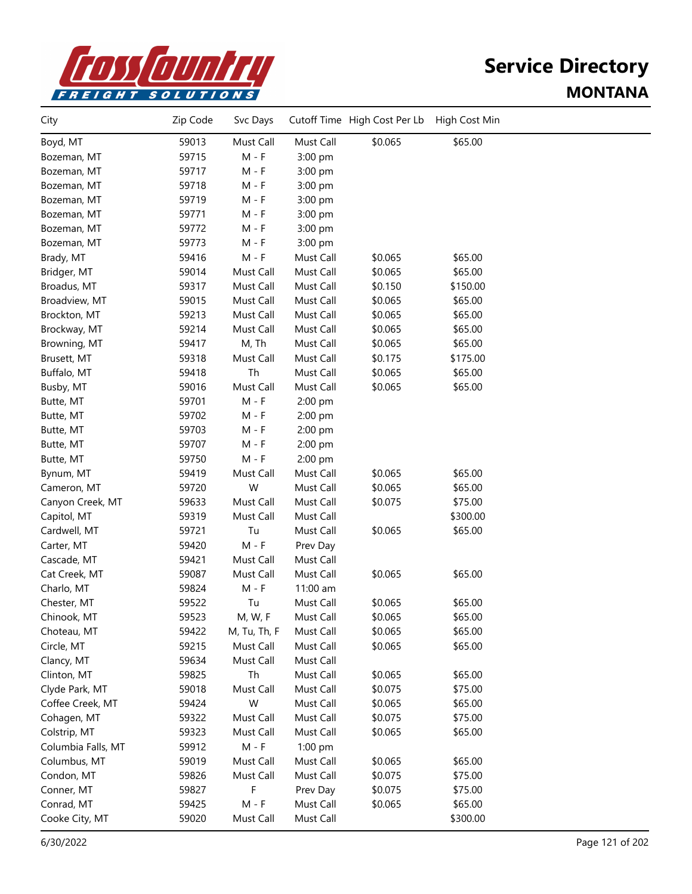

| City               | Zip Code | Svc Days     |           | Cutoff Time High Cost Per Lb | High Cost Min |  |
|--------------------|----------|--------------|-----------|------------------------------|---------------|--|
| Boyd, MT           | 59013    | Must Call    | Must Call | \$0.065                      | \$65.00       |  |
| Bozeman, MT        | 59715    | $M - F$      | 3:00 pm   |                              |               |  |
| Bozeman, MT        | 59717    | $M - F$      | 3:00 pm   |                              |               |  |
| Bozeman, MT        | 59718    | $M - F$      | 3:00 pm   |                              |               |  |
| Bozeman, MT        | 59719    | $M - F$      | 3:00 pm   |                              |               |  |
| Bozeman, MT        | 59771    | $M - F$      | 3:00 pm   |                              |               |  |
| Bozeman, MT        | 59772    | M - F        | 3:00 pm   |                              |               |  |
| Bozeman, MT        | 59773    | $M - F$      | 3:00 pm   |                              |               |  |
| Brady, MT          | 59416    | $M - F$      | Must Call | \$0.065                      | \$65.00       |  |
| Bridger, MT        | 59014    | Must Call    | Must Call | \$0.065                      | \$65.00       |  |
| Broadus, MT        | 59317    | Must Call    | Must Call | \$0.150                      | \$150.00      |  |
| Broadview, MT      | 59015    | Must Call    | Must Call | \$0.065                      | \$65.00       |  |
| Brockton, MT       | 59213    | Must Call    | Must Call | \$0.065                      | \$65.00       |  |
| Brockway, MT       | 59214    | Must Call    | Must Call | \$0.065                      | \$65.00       |  |
| Browning, MT       | 59417    | M, Th        | Must Call | \$0.065                      | \$65.00       |  |
| Brusett, MT        | 59318    | Must Call    | Must Call | \$0.175                      | \$175.00      |  |
| Buffalo, MT        | 59418    | Th           | Must Call | \$0.065                      | \$65.00       |  |
| Busby, MT          | 59016    | Must Call    | Must Call | \$0.065                      | \$65.00       |  |
| Butte, MT          | 59701    | $M - F$      | 2:00 pm   |                              |               |  |
| Butte, MT          | 59702    | $M - F$      | 2:00 pm   |                              |               |  |
| Butte, MT          | 59703    | $M - F$      | 2:00 pm   |                              |               |  |
| Butte, MT          | 59707    | $M - F$      | 2:00 pm   |                              |               |  |
| Butte, MT          | 59750    | $M - F$      | 2:00 pm   |                              |               |  |
| Bynum, MT          | 59419    | Must Call    | Must Call | \$0.065                      | \$65.00       |  |
| Cameron, MT        | 59720    | W            | Must Call | \$0.065                      | \$65.00       |  |
| Canyon Creek, MT   | 59633    | Must Call    | Must Call | \$0.075                      | \$75.00       |  |
| Capitol, MT        | 59319    | Must Call    | Must Call |                              | \$300.00      |  |
| Cardwell, MT       | 59721    | Tu           | Must Call | \$0.065                      | \$65.00       |  |
| Carter, MT         | 59420    | $M - F$      | Prev Day  |                              |               |  |
| Cascade, MT        | 59421    | Must Call    | Must Call |                              |               |  |
| Cat Creek, MT      | 59087    | Must Call    | Must Call | \$0.065                      | \$65.00       |  |
| Charlo, MT         | 59824    | $M - F$      | 11:00 am  |                              |               |  |
| Chester, MT        | 59522    | Tu           | Must Call | \$0.065                      | \$65.00       |  |
| Chinook, MT        | 59523    | M, W, F      | Must Call | \$0.065                      | \$65.00       |  |
| Choteau, MT        | 59422    | M, Tu, Th, F | Must Call | \$0.065                      | \$65.00       |  |
| Circle, MT         | 59215    | Must Call    | Must Call | \$0.065                      | \$65.00       |  |
| Clancy, MT         | 59634    | Must Call    | Must Call |                              |               |  |
| Clinton, MT        | 59825    | Th           | Must Call | \$0.065                      | \$65.00       |  |
| Clyde Park, MT     | 59018    | Must Call    | Must Call | \$0.075                      | \$75.00       |  |
| Coffee Creek, MT   | 59424    | W            | Must Call | \$0.065                      | \$65.00       |  |
| Cohagen, MT        | 59322    | Must Call    | Must Call | \$0.075                      | \$75.00       |  |
| Colstrip, MT       | 59323    | Must Call    | Must Call | \$0.065                      | \$65.00       |  |
| Columbia Falls, MT | 59912    | $M - F$      | 1:00 pm   |                              |               |  |
| Columbus, MT       | 59019    | Must Call    | Must Call | \$0.065                      | \$65.00       |  |
| Condon, MT         | 59826    | Must Call    | Must Call | \$0.075                      | \$75.00       |  |
| Conner, MT         | 59827    | F            | Prev Day  | \$0.075                      | \$75.00       |  |
| Conrad, MT         | 59425    | $M - F$      | Must Call | \$0.065                      | \$65.00       |  |
| Cooke City, MT     | 59020    | Must Call    | Must Call |                              | \$300.00      |  |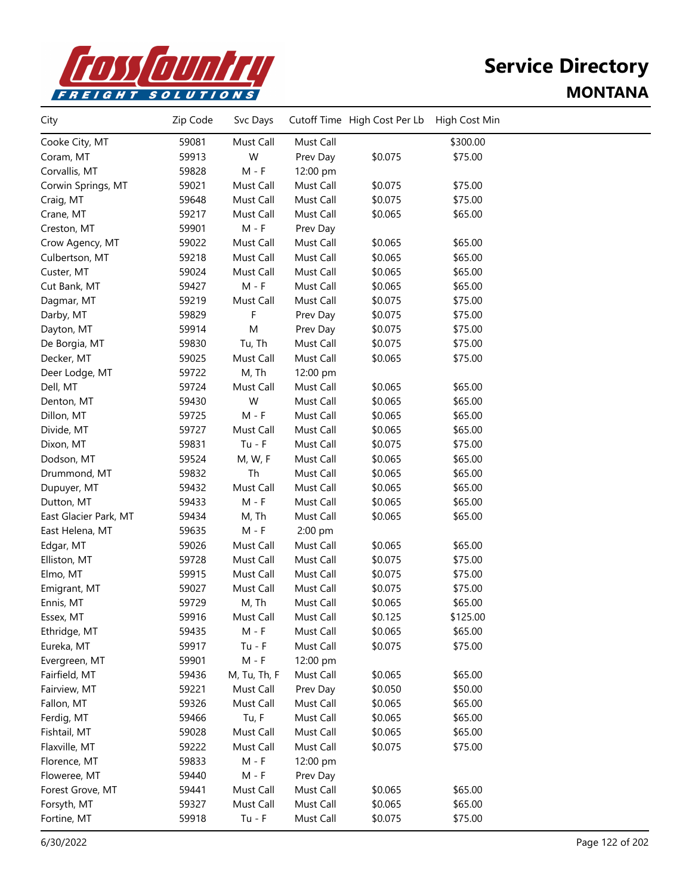

| City                  | Zip Code | Svc Days     |           | Cutoff Time High Cost Per Lb | High Cost Min |  |
|-----------------------|----------|--------------|-----------|------------------------------|---------------|--|
| Cooke City, MT        | 59081    | Must Call    | Must Call |                              | \$300.00      |  |
| Coram, MT             | 59913    | W            | Prev Day  | \$0.075                      | \$75.00       |  |
| Corvallis, MT         | 59828    | $M - F$      | 12:00 pm  |                              |               |  |
| Corwin Springs, MT    | 59021    | Must Call    | Must Call | \$0.075                      | \$75.00       |  |
| Craig, MT             | 59648    | Must Call    | Must Call | \$0.075                      | \$75.00       |  |
| Crane, MT             | 59217    | Must Call    | Must Call | \$0.065                      | \$65.00       |  |
| Creston, MT           | 59901    | $M - F$      | Prev Day  |                              |               |  |
| Crow Agency, MT       | 59022    | Must Call    | Must Call | \$0.065                      | \$65.00       |  |
| Culbertson, MT        | 59218    | Must Call    | Must Call | \$0.065                      | \$65.00       |  |
| Custer, MT            | 59024    | Must Call    | Must Call | \$0.065                      | \$65.00       |  |
| Cut Bank, MT          | 59427    | $M - F$      | Must Call | \$0.065                      | \$65.00       |  |
| Dagmar, MT            | 59219    | Must Call    | Must Call | \$0.075                      | \$75.00       |  |
| Darby, MT             | 59829    | F            | Prev Day  | \$0.075                      | \$75.00       |  |
| Dayton, MT            | 59914    | M            | Prev Day  | \$0.075                      | \$75.00       |  |
| De Borgia, MT         | 59830    | Tu, Th       | Must Call | \$0.075                      | \$75.00       |  |
| Decker, MT            | 59025    | Must Call    | Must Call | \$0.065                      | \$75.00       |  |
| Deer Lodge, MT        | 59722    | M, Th        | 12:00 pm  |                              |               |  |
| Dell, MT              | 59724    | Must Call    | Must Call | \$0.065                      | \$65.00       |  |
| Denton, MT            | 59430    | W            | Must Call | \$0.065                      | \$65.00       |  |
| Dillon, MT            | 59725    | $M - F$      | Must Call | \$0.065                      | \$65.00       |  |
| Divide, MT            | 59727    | Must Call    | Must Call | \$0.065                      | \$65.00       |  |
| Dixon, MT             | 59831    | $Tu - F$     | Must Call | \$0.075                      | \$75.00       |  |
| Dodson, MT            | 59524    | M, W, F      | Must Call | \$0.065                      | \$65.00       |  |
| Drummond, MT          | 59832    | Th           | Must Call | \$0.065                      | \$65.00       |  |
| Dupuyer, MT           | 59432    | Must Call    | Must Call | \$0.065                      | \$65.00       |  |
| Dutton, MT            | 59433    | $M - F$      | Must Call | \$0.065                      | \$65.00       |  |
| East Glacier Park, MT | 59434    | M, Th        | Must Call | \$0.065                      | \$65.00       |  |
| East Helena, MT       | 59635    | $M - F$      | 2:00 pm   |                              |               |  |
| Edgar, MT             | 59026    | Must Call    | Must Call | \$0.065                      | \$65.00       |  |
| Elliston, MT          | 59728    | Must Call    | Must Call | \$0.075                      | \$75.00       |  |
| Elmo, MT              | 59915    | Must Call    | Must Call | \$0.075                      | \$75.00       |  |
| Emigrant, MT          | 59027    | Must Call    | Must Call | \$0.075                      | \$75.00       |  |
| Ennis, MT             | 59729    | M, Th        | Must Call | \$0.065                      | \$65.00       |  |
| Essex, MT             | 59916    | Must Call    | Must Call | \$0.125                      | \$125.00      |  |
| Ethridge, MT          | 59435    | M - F        | Must Call | \$0.065                      | \$65.00       |  |
| Eureka, MT            | 59917    | $Tu - F$     | Must Call | \$0.075                      | \$75.00       |  |
| Evergreen, MT         | 59901    | $M - F$      | 12:00 pm  |                              |               |  |
| Fairfield, MT         | 59436    | M, Tu, Th, F | Must Call | \$0.065                      | \$65.00       |  |
| Fairview, MT          | 59221    | Must Call    | Prev Day  | \$0.050                      | \$50.00       |  |
| Fallon, MT            | 59326    | Must Call    | Must Call | \$0.065                      | \$65.00       |  |
| Ferdig, MT            | 59466    | Tu, F        | Must Call | \$0.065                      | \$65.00       |  |
| Fishtail, MT          | 59028    | Must Call    | Must Call | \$0.065                      | \$65.00       |  |
| Flaxville, MT         | 59222    | Must Call    | Must Call | \$0.075                      | \$75.00       |  |
| Florence, MT          | 59833    | $M - F$      | 12:00 pm  |                              |               |  |
| Floweree, MT          | 59440    | $M - F$      | Prev Day  |                              |               |  |
| Forest Grove, MT      | 59441    | Must Call    | Must Call | \$0.065                      | \$65.00       |  |
| Forsyth, MT           | 59327    | Must Call    | Must Call | \$0.065                      | \$65.00       |  |
| Fortine, MT           | 59918    | $Tu - F$     | Must Call | \$0.075                      | \$75.00       |  |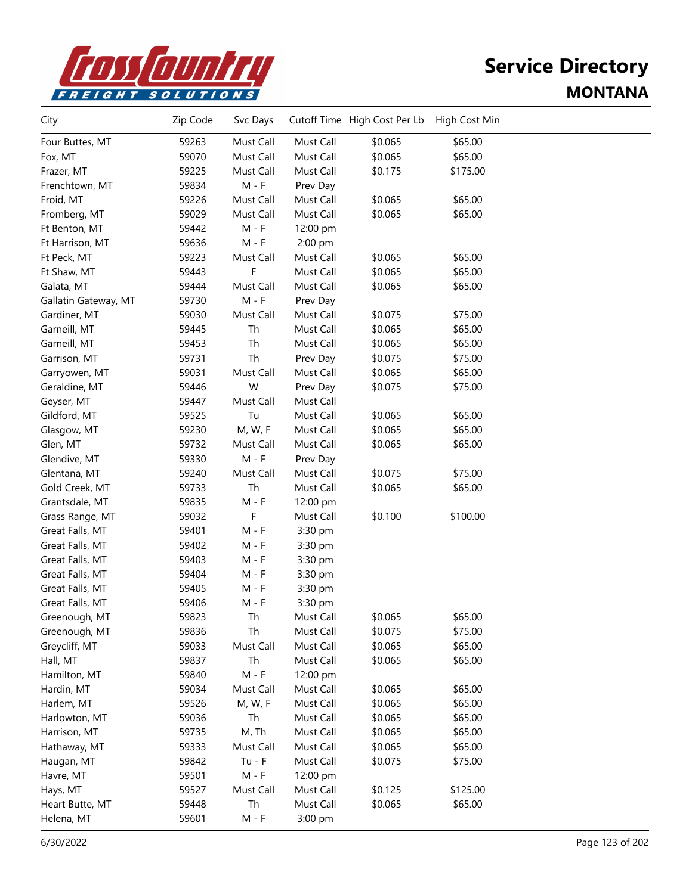

| City                 | Zip Code | Svc Days  |           | Cutoff Time High Cost Per Lb | High Cost Min |  |
|----------------------|----------|-----------|-----------|------------------------------|---------------|--|
| Four Buttes, MT      | 59263    | Must Call | Must Call | \$0.065                      | \$65.00       |  |
| Fox, MT              | 59070    | Must Call | Must Call | \$0.065                      | \$65.00       |  |
| Frazer, MT           | 59225    | Must Call | Must Call | \$0.175                      | \$175.00      |  |
| Frenchtown, MT       | 59834    | $M - F$   | Prev Day  |                              |               |  |
| Froid, MT            | 59226    | Must Call | Must Call | \$0.065                      | \$65.00       |  |
| Fromberg, MT         | 59029    | Must Call | Must Call | \$0.065                      | \$65.00       |  |
| Ft Benton, MT        | 59442    | $M - F$   | 12:00 pm  |                              |               |  |
| Ft Harrison, MT      | 59636    | $M - F$   | 2:00 pm   |                              |               |  |
| Ft Peck, MT          | 59223    | Must Call | Must Call | \$0.065                      | \$65.00       |  |
| Ft Shaw, MT          | 59443    | F         | Must Call | \$0.065                      | \$65.00       |  |
| Galata, MT           | 59444    | Must Call | Must Call | \$0.065                      | \$65.00       |  |
| Gallatin Gateway, MT | 59730    | $M - F$   | Prev Day  |                              |               |  |
| Gardiner, MT         | 59030    | Must Call | Must Call | \$0.075                      | \$75.00       |  |
| Garneill, MT         | 59445    | Th        | Must Call | \$0.065                      | \$65.00       |  |
| Garneill, MT         | 59453    | Th        | Must Call | \$0.065                      | \$65.00       |  |
| Garrison, MT         | 59731    | Th        | Prev Day  | \$0.075                      | \$75.00       |  |
| Garryowen, MT        | 59031    | Must Call | Must Call | \$0.065                      | \$65.00       |  |
| Geraldine, MT        | 59446    | W         | Prev Day  | \$0.075                      | \$75.00       |  |
| Geyser, MT           | 59447    | Must Call | Must Call |                              |               |  |
| Gildford, MT         | 59525    | Tu        | Must Call | \$0.065                      | \$65.00       |  |
| Glasgow, MT          | 59230    | M, W, F   | Must Call | \$0.065                      | \$65.00       |  |
| Glen, MT             | 59732    | Must Call | Must Call | \$0.065                      | \$65.00       |  |
| Glendive, MT         | 59330    | $M - F$   | Prev Day  |                              |               |  |
| Glentana, MT         | 59240    | Must Call | Must Call | \$0.075                      | \$75.00       |  |
| Gold Creek, MT       | 59733    | Th        | Must Call | \$0.065                      | \$65.00       |  |
| Grantsdale, MT       | 59835    | M - F     | 12:00 pm  |                              |               |  |
| Grass Range, MT      | 59032    | F         | Must Call | \$0.100                      | \$100.00      |  |
| Great Falls, MT      | 59401    | $M - F$   | 3:30 pm   |                              |               |  |
| Great Falls, MT      | 59402    | M - F     | 3:30 pm   |                              |               |  |
| Great Falls, MT      | 59403    | $M - F$   | 3:30 pm   |                              |               |  |
| Great Falls, MT      | 59404    | $M - F$   | 3:30 pm   |                              |               |  |
| Great Falls, MT      | 59405    | $M - F$   | 3:30 pm   |                              |               |  |
| Great Falls, MT      | 59406    | M - F     | 3:30 pm   |                              |               |  |
| Greenough, MT        | 59823    | Th        | Must Call | \$0.065                      | \$65.00       |  |
| Greenough, MT        | 59836    | Th        | Must Call | \$0.075                      | \$75.00       |  |
| Greycliff, MT        | 59033    | Must Call | Must Call | \$0.065                      | \$65.00       |  |
| Hall, MT             | 59837    | Th        | Must Call | \$0.065                      | \$65.00       |  |
| Hamilton, MT         | 59840    | $M - F$   | 12:00 pm  |                              |               |  |
| Hardin, MT           | 59034    | Must Call | Must Call | \$0.065                      | \$65.00       |  |
| Harlem, MT           | 59526    | M, W, F   | Must Call | \$0.065                      | \$65.00       |  |
| Harlowton, MT        | 59036    | Th        | Must Call | \$0.065                      | \$65.00       |  |
| Harrison, MT         | 59735    | M, Th     | Must Call | \$0.065                      | \$65.00       |  |
| Hathaway, MT         | 59333    | Must Call | Must Call | \$0.065                      | \$65.00       |  |
| Haugan, MT           | 59842    | $Tu - F$  | Must Call | \$0.075                      | \$75.00       |  |
| Havre, MT            | 59501    | $M - F$   | 12:00 pm  |                              |               |  |
| Hays, MT             | 59527    | Must Call | Must Call | \$0.125                      | \$125.00      |  |
| Heart Butte, MT      | 59448    | Th        | Must Call | \$0.065                      | \$65.00       |  |
| Helena, MT           | 59601    | M - F     | 3:00 pm   |                              |               |  |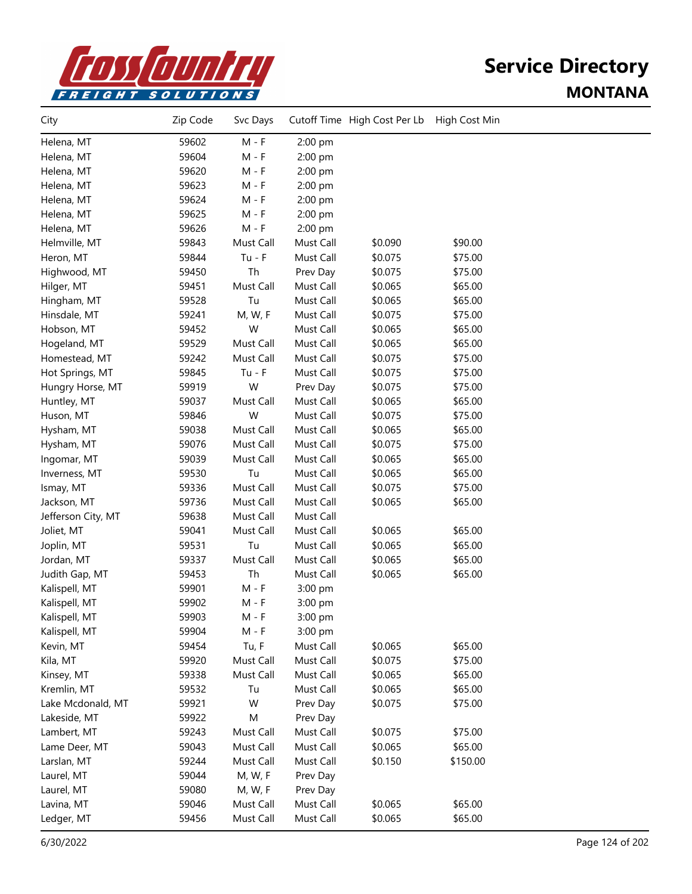

| City               | Zip Code | Svc Days  |           | Cutoff Time High Cost Per Lb | High Cost Min |  |
|--------------------|----------|-----------|-----------|------------------------------|---------------|--|
| Helena, MT         | 59602    | $M - F$   | 2:00 pm   |                              |               |  |
| Helena, MT         | 59604    | $M - F$   | 2:00 pm   |                              |               |  |
| Helena, MT         | 59620    | $M - F$   | 2:00 pm   |                              |               |  |
| Helena, MT         | 59623    | $M - F$   | 2:00 pm   |                              |               |  |
| Helena, MT         | 59624    | $M - F$   | 2:00 pm   |                              |               |  |
| Helena, MT         | 59625    | $M - F$   | 2:00 pm   |                              |               |  |
| Helena, MT         | 59626    | $M - F$   | 2:00 pm   |                              |               |  |
| Helmville, MT      | 59843    | Must Call | Must Call | \$0.090                      | \$90.00       |  |
| Heron, MT          | 59844    | $Tu - F$  | Must Call | \$0.075                      | \$75.00       |  |
| Highwood, MT       | 59450    | Th        | Prev Day  | \$0.075                      | \$75.00       |  |
| Hilger, MT         | 59451    | Must Call | Must Call | \$0.065                      | \$65.00       |  |
| Hingham, MT        | 59528    | Tu        | Must Call | \$0.065                      | \$65.00       |  |
| Hinsdale, MT       | 59241    | M, W, F   | Must Call | \$0.075                      | \$75.00       |  |
| Hobson, MT         | 59452    | W         | Must Call | \$0.065                      | \$65.00       |  |
| Hogeland, MT       | 59529    | Must Call | Must Call | \$0.065                      | \$65.00       |  |
| Homestead, MT      | 59242    | Must Call | Must Call | \$0.075                      | \$75.00       |  |
| Hot Springs, MT    | 59845    | $Tu - F$  | Must Call | \$0.075                      | \$75.00       |  |
| Hungry Horse, MT   | 59919    | W         | Prev Day  | \$0.075                      | \$75.00       |  |
| Huntley, MT        | 59037    | Must Call | Must Call | \$0.065                      | \$65.00       |  |
| Huson, MT          | 59846    | W         | Must Call | \$0.075                      | \$75.00       |  |
| Hysham, MT         | 59038    | Must Call | Must Call | \$0.065                      | \$65.00       |  |
| Hysham, MT         | 59076    | Must Call | Must Call | \$0.075                      | \$75.00       |  |
| Ingomar, MT        | 59039    | Must Call | Must Call | \$0.065                      | \$65.00       |  |
| Inverness, MT      | 59530    | Tu        | Must Call | \$0.065                      | \$65.00       |  |
| Ismay, MT          | 59336    | Must Call | Must Call | \$0.075                      | \$75.00       |  |
| Jackson, MT        | 59736    | Must Call | Must Call | \$0.065                      | \$65.00       |  |
| Jefferson City, MT | 59638    | Must Call | Must Call |                              |               |  |
| Joliet, MT         | 59041    | Must Call | Must Call | \$0.065                      | \$65.00       |  |
| Joplin, MT         | 59531    | Tu        | Must Call | \$0.065                      | \$65.00       |  |
| Jordan, MT         | 59337    | Must Call | Must Call | \$0.065                      | \$65.00       |  |
| Judith Gap, MT     | 59453    | Th        | Must Call | \$0.065                      | \$65.00       |  |
| Kalispell, MT      | 59901    | $M - F$   | 3:00 pm   |                              |               |  |
| Kalispell, MT      | 59902    | $M - F$   | 3:00 pm   |                              |               |  |
| Kalispell, MT      | 59903    | M - F     | 3:00 pm   |                              |               |  |
| Kalispell, MT      | 59904    | M - F     | 3:00 pm   |                              |               |  |
| Kevin, MT          | 59454    | Tu, F     | Must Call | \$0.065                      | \$65.00       |  |
| Kila, MT           | 59920    | Must Call | Must Call | \$0.075                      | \$75.00       |  |
| Kinsey, MT         | 59338    | Must Call | Must Call | \$0.065                      | \$65.00       |  |
| Kremlin, MT        | 59532    | Tu        | Must Call | \$0.065                      | \$65.00       |  |
| Lake Mcdonald, MT  | 59921    | W         | Prev Day  | \$0.075                      | \$75.00       |  |
| Lakeside, MT       | 59922    | M         | Prev Day  |                              |               |  |
| Lambert, MT        | 59243    | Must Call | Must Call | \$0.075                      | \$75.00       |  |
| Lame Deer, MT      | 59043    | Must Call | Must Call | \$0.065                      | \$65.00       |  |
| Larslan, MT        | 59244    | Must Call | Must Call | \$0.150                      | \$150.00      |  |
| Laurel, MT         | 59044    | M, W, F   | Prev Day  |                              |               |  |
| Laurel, MT         | 59080    | M, W, F   | Prev Day  |                              |               |  |
| Lavina, MT         | 59046    | Must Call | Must Call | \$0.065                      | \$65.00       |  |
| Ledger, MT         | 59456    | Must Call | Must Call | \$0.065                      | \$65.00       |  |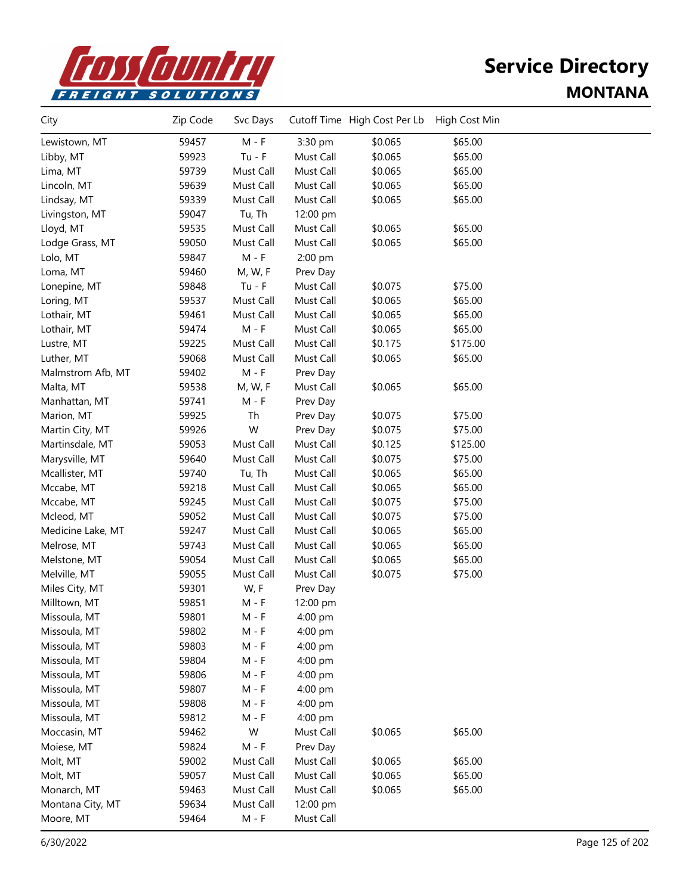

| City              | Zip Code | Svc Days  |           | Cutoff Time High Cost Per Lb | High Cost Min |  |
|-------------------|----------|-----------|-----------|------------------------------|---------------|--|
| Lewistown, MT     | 59457    | $M - F$   | 3:30 pm   | \$0.065                      | \$65.00       |  |
| Libby, MT         | 59923    | $Tu - F$  | Must Call | \$0.065                      | \$65.00       |  |
| Lima, MT          | 59739    | Must Call | Must Call | \$0.065                      | \$65.00       |  |
| Lincoln, MT       | 59639    | Must Call | Must Call | \$0.065                      | \$65.00       |  |
| Lindsay, MT       | 59339    | Must Call | Must Call | \$0.065                      | \$65.00       |  |
| Livingston, MT    | 59047    | Tu, Th    | 12:00 pm  |                              |               |  |
| Lloyd, MT         | 59535    | Must Call | Must Call | \$0.065                      | \$65.00       |  |
| Lodge Grass, MT   | 59050    | Must Call | Must Call | \$0.065                      | \$65.00       |  |
| Lolo, MT          | 59847    | $M - F$   | 2:00 pm   |                              |               |  |
| Loma, MT          | 59460    | M, W, F   | Prev Day  |                              |               |  |
| Lonepine, MT      | 59848    | $Tu - F$  | Must Call | \$0.075                      | \$75.00       |  |
| Loring, MT        | 59537    | Must Call | Must Call | \$0.065                      | \$65.00       |  |
| Lothair, MT       | 59461    | Must Call | Must Call | \$0.065                      | \$65.00       |  |
| Lothair, MT       | 59474    | $M - F$   | Must Call | \$0.065                      | \$65.00       |  |
| Lustre, MT        | 59225    | Must Call | Must Call | \$0.175                      | \$175.00      |  |
| Luther, MT        | 59068    | Must Call | Must Call | \$0.065                      | \$65.00       |  |
| Malmstrom Afb, MT | 59402    | $M - F$   | Prev Day  |                              |               |  |
| Malta, MT         | 59538    | M, W, F   | Must Call | \$0.065                      | \$65.00       |  |
| Manhattan, MT     | 59741    | $M - F$   | Prev Day  |                              |               |  |
| Marion, MT        | 59925    | Th        | Prev Day  | \$0.075                      | \$75.00       |  |
| Martin City, MT   | 59926    | W         | Prev Day  | \$0.075                      | \$75.00       |  |
| Martinsdale, MT   | 59053    | Must Call | Must Call | \$0.125                      | \$125.00      |  |
| Marysville, MT    | 59640    | Must Call | Must Call | \$0.075                      | \$75.00       |  |
| Mcallister, MT    | 59740    | Tu, Th    | Must Call | \$0.065                      | \$65.00       |  |
| Mccabe, MT        | 59218    | Must Call | Must Call | \$0.065                      | \$65.00       |  |
| Mccabe, MT        | 59245    | Must Call | Must Call | \$0.075                      | \$75.00       |  |
| Mcleod, MT        | 59052    | Must Call | Must Call | \$0.075                      | \$75.00       |  |
| Medicine Lake, MT | 59247    | Must Call | Must Call | \$0.065                      | \$65.00       |  |
| Melrose, MT       | 59743    | Must Call | Must Call | \$0.065                      | \$65.00       |  |
| Melstone, MT      | 59054    | Must Call | Must Call | \$0.065                      | \$65.00       |  |
| Melville, MT      | 59055    | Must Call | Must Call | \$0.075                      | \$75.00       |  |
| Miles City, MT    | 59301    | W, F      | Prev Day  |                              |               |  |
| Milltown, MT      | 59851    | M - F     | 12:00 pm  |                              |               |  |
| Missoula, MT      | 59801    | M - F     | $4:00$ pm |                              |               |  |
| Missoula, MT      | 59802    | M - F     | 4:00 pm   |                              |               |  |
| Missoula, MT      | 59803    | $M - F$   | 4:00 pm   |                              |               |  |
| Missoula, MT      | 59804    | $M - F$   | 4:00 pm   |                              |               |  |
| Missoula, MT      | 59806    | M - F     | 4:00 pm   |                              |               |  |
| Missoula, MT      | 59807    | $M - F$   | 4:00 pm   |                              |               |  |
| Missoula, MT      | 59808    | $M - F$   | 4:00 pm   |                              |               |  |
| Missoula, MT      | 59812    | M - F     | 4:00 pm   |                              |               |  |
| Moccasin, MT      | 59462    | W         | Must Call | \$0.065                      | \$65.00       |  |
| Moiese, MT        | 59824    | $M - F$   | Prev Day  |                              |               |  |
| Molt, MT          | 59002    | Must Call | Must Call | \$0.065                      | \$65.00       |  |
| Molt, MT          | 59057    | Must Call | Must Call | \$0.065                      | \$65.00       |  |
| Monarch, MT       | 59463    | Must Call | Must Call | \$0.065                      | \$65.00       |  |
| Montana City, MT  | 59634    | Must Call | 12:00 pm  |                              |               |  |
| Moore, MT         | 59464    | $M - F$   | Must Call |                              |               |  |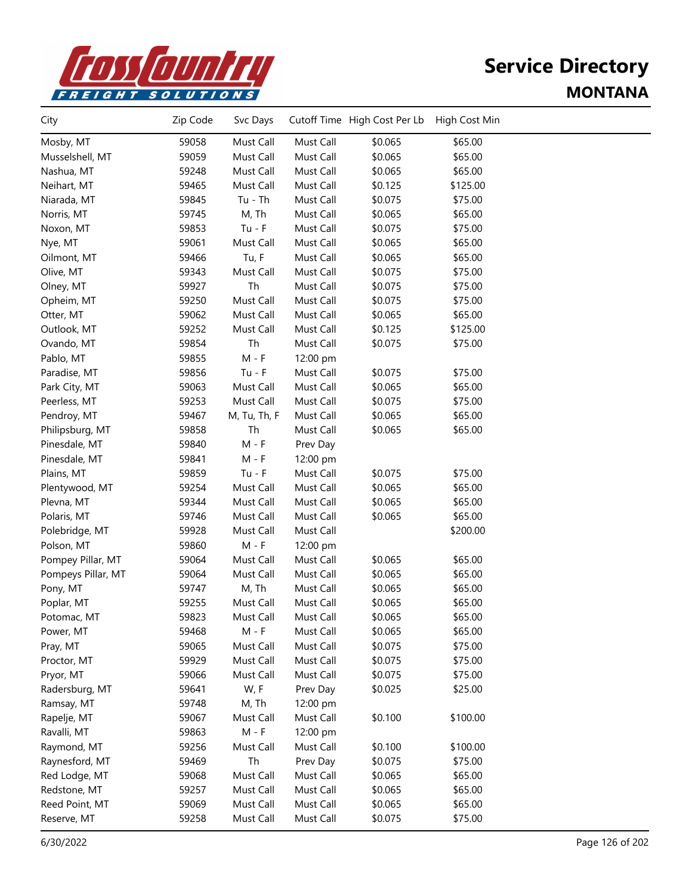

| City               | Zip Code | Svc Days     |           | Cutoff Time High Cost Per Lb | High Cost Min |  |
|--------------------|----------|--------------|-----------|------------------------------|---------------|--|
| Mosby, MT          | 59058    | Must Call    | Must Call | \$0.065                      | \$65.00       |  |
| Musselshell, MT    | 59059    | Must Call    | Must Call | \$0.065                      | \$65.00       |  |
| Nashua, MT         | 59248    | Must Call    | Must Call | \$0.065                      | \$65.00       |  |
| Neihart, MT        | 59465    | Must Call    | Must Call | \$0.125                      | \$125.00      |  |
| Niarada, MT        | 59845    | $Tu - Th$    | Must Call | \$0.075                      | \$75.00       |  |
| Norris, MT         | 59745    | M, Th        | Must Call | \$0.065                      | \$65.00       |  |
| Noxon, MT          | 59853    | $Tu - F$     | Must Call | \$0.075                      | \$75.00       |  |
| Nye, MT            | 59061    | Must Call    | Must Call | \$0.065                      | \$65.00       |  |
| Oilmont, MT        | 59466    | Tu, F        | Must Call | \$0.065                      | \$65.00       |  |
| Olive, MT          | 59343    | Must Call    | Must Call | \$0.075                      | \$75.00       |  |
| Olney, MT          | 59927    | Th           | Must Call | \$0.075                      | \$75.00       |  |
| Opheim, MT         | 59250    | Must Call    | Must Call | \$0.075                      | \$75.00       |  |
| Otter, MT          | 59062    | Must Call    | Must Call | \$0.065                      | \$65.00       |  |
| Outlook, MT        | 59252    | Must Call    | Must Call | \$0.125                      | \$125.00      |  |
| Ovando, MT         | 59854    | Th           | Must Call | \$0.075                      | \$75.00       |  |
| Pablo, MT          | 59855    | $M - F$      | 12:00 pm  |                              |               |  |
| Paradise, MT       | 59856    | $Tu - F$     | Must Call | \$0.075                      | \$75.00       |  |
| Park City, MT      | 59063    | Must Call    | Must Call | \$0.065                      | \$65.00       |  |
| Peerless, MT       | 59253    | Must Call    | Must Call | \$0.075                      | \$75.00       |  |
| Pendroy, MT        | 59467    | M, Tu, Th, F | Must Call | \$0.065                      | \$65.00       |  |
| Philipsburg, MT    | 59858    | Th           | Must Call | \$0.065                      | \$65.00       |  |
| Pinesdale, MT      | 59840    | $M - F$      | Prev Day  |                              |               |  |
| Pinesdale, MT      | 59841    | $M - F$      | 12:00 pm  |                              |               |  |
| Plains, MT         | 59859    | $Tu - F$     | Must Call | \$0.075                      | \$75.00       |  |
| Plentywood, MT     | 59254    | Must Call    | Must Call | \$0.065                      | \$65.00       |  |
| Plevna, MT         | 59344    | Must Call    | Must Call | \$0.065                      | \$65.00       |  |
| Polaris, MT        | 59746    | Must Call    | Must Call | \$0.065                      | \$65.00       |  |
| Polebridge, MT     | 59928    | Must Call    | Must Call |                              | \$200.00      |  |
| Polson, MT         | 59860    | $M - F$      | 12:00 pm  |                              |               |  |
| Pompey Pillar, MT  | 59064    | Must Call    | Must Call | \$0.065                      | \$65.00       |  |
| Pompeys Pillar, MT | 59064    | Must Call    | Must Call | \$0.065                      | \$65.00       |  |
| Pony, MT           | 59747    | M, Th        | Must Call | \$0.065                      | \$65.00       |  |
| Poplar, MT         | 59255    | Must Call    | Must Call | \$0.065                      | \$65.00       |  |
| Potomac, MT        | 59823    | Must Call    | Must Call | \$0.065                      | \$65.00       |  |
| Power, MT          | 59468    | M - F        | Must Call | \$0.065                      | \$65.00       |  |
| Pray, MT           | 59065    | Must Call    | Must Call | \$0.075                      | \$75.00       |  |
| Proctor, MT        | 59929    | Must Call    | Must Call | \$0.075                      | \$75.00       |  |
| Pryor, MT          | 59066    | Must Call    | Must Call | \$0.075                      | \$75.00       |  |
| Radersburg, MT     | 59641    | W, F         | Prev Day  | \$0.025                      | \$25.00       |  |
| Ramsay, MT         | 59748    | M, Th        | 12:00 pm  |                              |               |  |
| Rapelje, MT        | 59067    | Must Call    | Must Call | \$0.100                      | \$100.00      |  |
| Ravalli, MT        | 59863    | $M - F$      | 12:00 pm  |                              |               |  |
| Raymond, MT        | 59256    | Must Call    | Must Call | \$0.100                      | \$100.00      |  |
| Raynesford, MT     | 59469    | Th           | Prev Day  | \$0.075                      | \$75.00       |  |
| Red Lodge, MT      | 59068    | Must Call    | Must Call | \$0.065                      | \$65.00       |  |
| Redstone, MT       | 59257    | Must Call    | Must Call | \$0.065                      | \$65.00       |  |
| Reed Point, MT     | 59069    | Must Call    | Must Call | \$0.065                      | \$65.00       |  |
| Reserve, MT        | 59258    | Must Call    | Must Call | \$0.075                      | \$75.00       |  |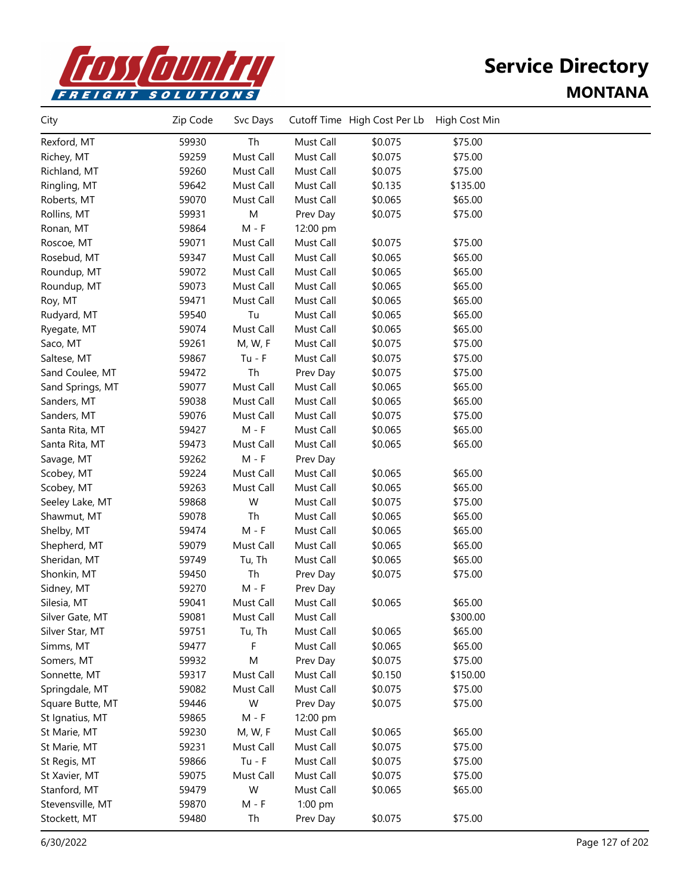

| City             | Zip Code | Svc Days  |           | Cutoff Time High Cost Per Lb | High Cost Min |  |
|------------------|----------|-----------|-----------|------------------------------|---------------|--|
| Rexford, MT      | 59930    | Th        | Must Call | \$0.075                      | \$75.00       |  |
| Richey, MT       | 59259    | Must Call | Must Call | \$0.075                      | \$75.00       |  |
| Richland, MT     | 59260    | Must Call | Must Call | \$0.075                      | \$75.00       |  |
| Ringling, MT     | 59642    | Must Call | Must Call | \$0.135                      | \$135.00      |  |
| Roberts, MT      | 59070    | Must Call | Must Call | \$0.065                      | \$65.00       |  |
| Rollins, MT      | 59931    | ${\sf M}$ | Prev Day  | \$0.075                      | \$75.00       |  |
| Ronan, MT        | 59864    | $M - F$   | 12:00 pm  |                              |               |  |
| Roscoe, MT       | 59071    | Must Call | Must Call | \$0.075                      | \$75.00       |  |
| Rosebud, MT      | 59347    | Must Call | Must Call | \$0.065                      | \$65.00       |  |
| Roundup, MT      | 59072    | Must Call | Must Call | \$0.065                      | \$65.00       |  |
| Roundup, MT      | 59073    | Must Call | Must Call | \$0.065                      | \$65.00       |  |
| Roy, MT          | 59471    | Must Call | Must Call | \$0.065                      | \$65.00       |  |
| Rudyard, MT      | 59540    | Tu        | Must Call | \$0.065                      | \$65.00       |  |
| Ryegate, MT      | 59074    | Must Call | Must Call | \$0.065                      | \$65.00       |  |
| Saco, MT         | 59261    | M, W, F   | Must Call | \$0.075                      | \$75.00       |  |
| Saltese, MT      | 59867    | $Tu - F$  | Must Call | \$0.075                      | \$75.00       |  |
| Sand Coulee, MT  | 59472    | Th        | Prev Day  | \$0.075                      | \$75.00       |  |
| Sand Springs, MT | 59077    | Must Call | Must Call | \$0.065                      | \$65.00       |  |
| Sanders, MT      | 59038    | Must Call | Must Call | \$0.065                      | \$65.00       |  |
| Sanders, MT      | 59076    | Must Call | Must Call | \$0.075                      | \$75.00       |  |
| Santa Rita, MT   | 59427    | $M - F$   | Must Call | \$0.065                      | \$65.00       |  |
| Santa Rita, MT   | 59473    | Must Call | Must Call | \$0.065                      | \$65.00       |  |
| Savage, MT       | 59262    | $M - F$   | Prev Day  |                              |               |  |
| Scobey, MT       | 59224    | Must Call | Must Call | \$0.065                      | \$65.00       |  |
| Scobey, MT       | 59263    | Must Call | Must Call | \$0.065                      | \$65.00       |  |
| Seeley Lake, MT  | 59868    | W         | Must Call | \$0.075                      | \$75.00       |  |
| Shawmut, MT      | 59078    | Th        | Must Call | \$0.065                      | \$65.00       |  |
| Shelby, MT       | 59474    | $M - F$   | Must Call | \$0.065                      | \$65.00       |  |
| Shepherd, MT     | 59079    | Must Call | Must Call | \$0.065                      | \$65.00       |  |
| Sheridan, MT     | 59749    | Tu, Th    | Must Call | \$0.065                      | \$65.00       |  |
| Shonkin, MT      | 59450    | Th        | Prev Day  | \$0.075                      | \$75.00       |  |
| Sidney, MT       | 59270    | $M - F$   | Prev Day  |                              |               |  |
| Silesia, MT      | 59041    | Must Call | Must Call | \$0.065                      | \$65.00       |  |
| Silver Gate, MT  | 59081    | Must Call | Must Call |                              | \$300.00      |  |
| Silver Star, MT  | 59751    | Tu, Th    | Must Call | \$0.065                      | \$65.00       |  |
| Simms, MT        | 59477    | F         | Must Call | \$0.065                      | \$65.00       |  |
| Somers, MT       | 59932    | M         | Prev Day  | \$0.075                      | \$75.00       |  |
| Sonnette, MT     | 59317    | Must Call | Must Call | \$0.150                      | \$150.00      |  |
| Springdale, MT   | 59082    | Must Call | Must Call | \$0.075                      | \$75.00       |  |
| Square Butte, MT | 59446    | W         | Prev Day  | \$0.075                      | \$75.00       |  |
| St Ignatius, MT  | 59865    | $M - F$   | 12:00 pm  |                              |               |  |
| St Marie, MT     | 59230    | M, W, F   | Must Call | \$0.065                      | \$65.00       |  |
| St Marie, MT     | 59231    | Must Call | Must Call | \$0.075                      | \$75.00       |  |
| St Regis, MT     | 59866    | $Tu - F$  | Must Call | \$0.075                      | \$75.00       |  |
| St Xavier, MT    | 59075    | Must Call | Must Call | \$0.075                      | \$75.00       |  |
| Stanford, MT     | 59479    | W         | Must Call | \$0.065                      | \$65.00       |  |
| Stevensville, MT | 59870    | $M - F$   | 1:00 pm   |                              |               |  |
| Stockett, MT     | 59480    | Th        | Prev Day  | \$0.075                      | \$75.00       |  |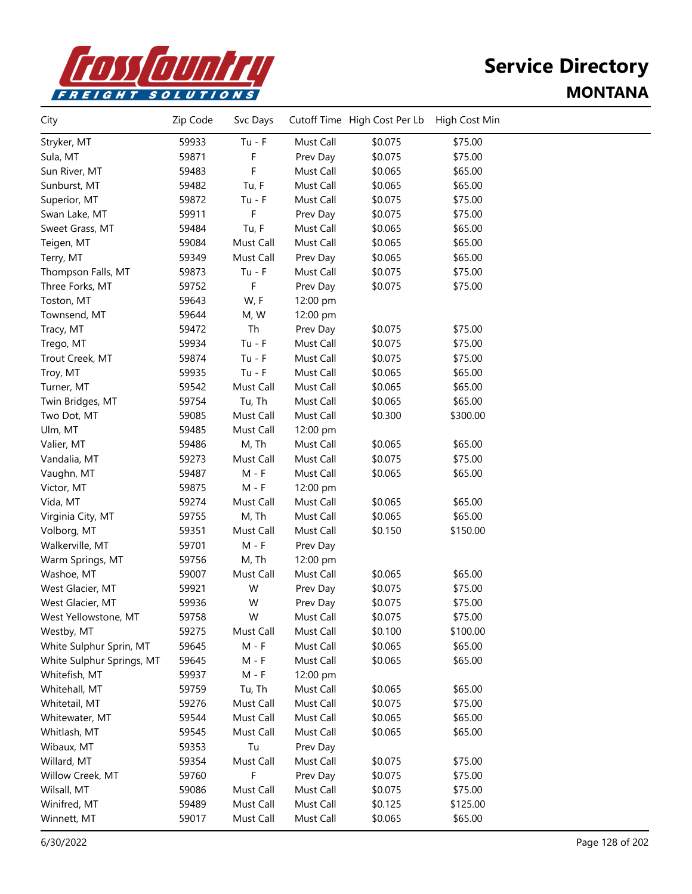

| City                      | Zip Code | Svc Days  |           | Cutoff Time High Cost Per Lb | High Cost Min |  |
|---------------------------|----------|-----------|-----------|------------------------------|---------------|--|
| Stryker, MT               | 59933    | $Tu - F$  | Must Call | \$0.075                      | \$75.00       |  |
| Sula, MT                  | 59871    | F         | Prev Day  | \$0.075                      | \$75.00       |  |
| Sun River, MT             | 59483    | F         | Must Call | \$0.065                      | \$65.00       |  |
| Sunburst, MT              | 59482    | Tu, F     | Must Call | \$0.065                      | \$65.00       |  |
| Superior, MT              | 59872    | $Tu - F$  | Must Call | \$0.075                      | \$75.00       |  |
| Swan Lake, MT             | 59911    | F         | Prev Day  | \$0.075                      | \$75.00       |  |
| Sweet Grass, MT           | 59484    | Tu, F     | Must Call | \$0.065                      | \$65.00       |  |
| Teigen, MT                | 59084    | Must Call | Must Call | \$0.065                      | \$65.00       |  |
| Terry, MT                 | 59349    | Must Call | Prev Day  | \$0.065                      | \$65.00       |  |
| Thompson Falls, MT        | 59873    | $Tu - F$  | Must Call | \$0.075                      | \$75.00       |  |
| Three Forks, MT           | 59752    | F         | Prev Day  | \$0.075                      | \$75.00       |  |
| Toston, MT                | 59643    | W, F      | 12:00 pm  |                              |               |  |
| Townsend, MT              | 59644    | M, W      | 12:00 pm  |                              |               |  |
| Tracy, MT                 | 59472    | Th        | Prev Day  | \$0.075                      | \$75.00       |  |
| Trego, MT                 | 59934    | $Tu - F$  | Must Call | \$0.075                      | \$75.00       |  |
| Trout Creek, MT           | 59874    | $Tu - F$  | Must Call | \$0.075                      | \$75.00       |  |
| Troy, MT                  | 59935    | $Tu - F$  | Must Call | \$0.065                      | \$65.00       |  |
| Turner, MT                | 59542    | Must Call | Must Call | \$0.065                      | \$65.00       |  |
| Twin Bridges, MT          | 59754    | Tu, Th    | Must Call | \$0.065                      | \$65.00       |  |
| Two Dot, MT               | 59085    | Must Call | Must Call | \$0.300                      | \$300.00      |  |
| Ulm, MT                   | 59485    | Must Call | 12:00 pm  |                              |               |  |
| Valier, MT                | 59486    | M, Th     | Must Call | \$0.065                      | \$65.00       |  |
| Vandalia, MT              | 59273    | Must Call | Must Call | \$0.075                      | \$75.00       |  |
| Vaughn, MT                | 59487    | $M - F$   | Must Call | \$0.065                      | \$65.00       |  |
| Victor, MT                | 59875    | $M - F$   | 12:00 pm  |                              |               |  |
| Vida, MT                  | 59274    | Must Call | Must Call | \$0.065                      | \$65.00       |  |
| Virginia City, MT         | 59755    | M, Th     | Must Call | \$0.065                      | \$65.00       |  |
| Volborg, MT               | 59351    | Must Call | Must Call | \$0.150                      | \$150.00      |  |
| Walkerville, MT           | 59701    | $M - F$   | Prev Day  |                              |               |  |
| Warm Springs, MT          | 59756    | M, Th     | 12:00 pm  |                              |               |  |
| Washoe, MT                | 59007    | Must Call | Must Call | \$0.065                      | \$65.00       |  |
| West Glacier, MT          | 59921    | W         | Prev Day  | \$0.075                      | \$75.00       |  |
| West Glacier, MT          | 59936    | W         | Prev Day  | \$0.075                      | \$75.00       |  |
| West Yellowstone, MT      | 59758    | W         | Must Call | \$0.075                      | \$75.00       |  |
| Westby, MT                | 59275    | Must Call | Must Call | \$0.100                      | \$100.00      |  |
| White Sulphur Sprin, MT   | 59645    | $M - F$   | Must Call | \$0.065                      | \$65.00       |  |
| White Sulphur Springs, MT | 59645    | M - F     | Must Call | \$0.065                      | \$65.00       |  |
| Whitefish, MT             | 59937    | $M - F$   | 12:00 pm  |                              |               |  |
| Whitehall, MT             | 59759    | Tu, Th    | Must Call | \$0.065                      | \$65.00       |  |
| Whitetail, MT             | 59276    | Must Call | Must Call | \$0.075                      | \$75.00       |  |
| Whitewater, MT            | 59544    | Must Call | Must Call | \$0.065                      | \$65.00       |  |
| Whitlash, MT              | 59545    | Must Call | Must Call | \$0.065                      | \$65.00       |  |
| Wibaux, MT                | 59353    | Tu        | Prev Day  |                              |               |  |
| Willard, MT               | 59354    | Must Call | Must Call | \$0.075                      | \$75.00       |  |
| Willow Creek, MT          | 59760    | F         | Prev Day  | \$0.075                      | \$75.00       |  |
| Wilsall, MT               | 59086    | Must Call | Must Call | \$0.075                      | \$75.00       |  |
| Winifred, MT              | 59489    | Must Call | Must Call | \$0.125                      | \$125.00      |  |
| Winnett, MT               | 59017    | Must Call | Must Call | \$0.065                      | \$65.00       |  |
|                           |          |           |           |                              |               |  |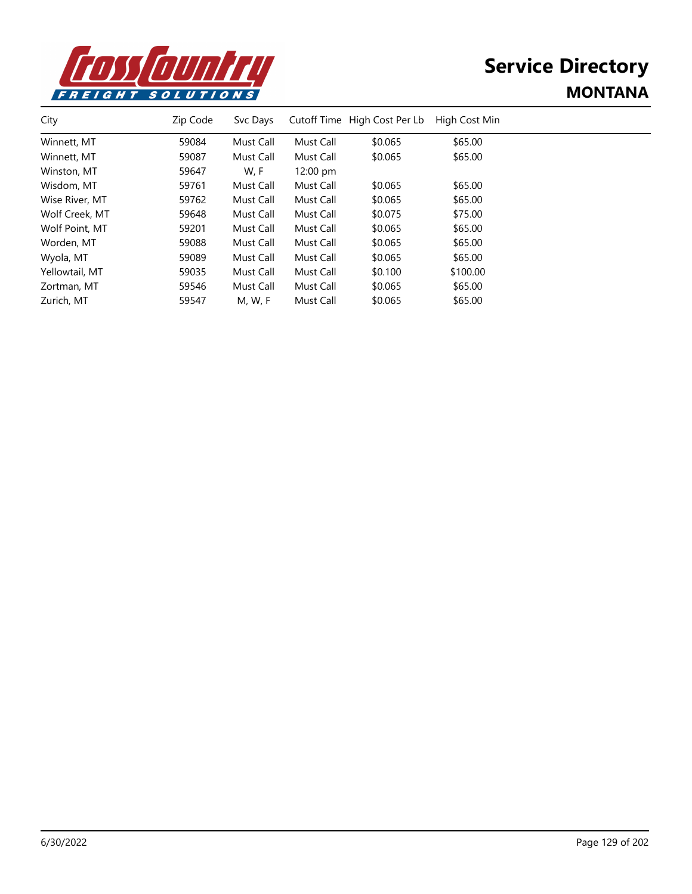

| City           | Zip Code | Svc Days  |                    | Cutoff Time High Cost Per Lb | High Cost Min |  |
|----------------|----------|-----------|--------------------|------------------------------|---------------|--|
| Winnett, MT    | 59084    | Must Call | Must Call          | \$0.065                      | \$65.00       |  |
| Winnett, MT    | 59087    | Must Call | Must Call          | \$0.065                      | \$65.00       |  |
| Winston, MT    | 59647    | W, F      | $12:00 \text{ pm}$ |                              |               |  |
| Wisdom, MT     | 59761    | Must Call | Must Call          | \$0.065                      | \$65.00       |  |
| Wise River, MT | 59762    | Must Call | Must Call          | \$0.065                      | \$65.00       |  |
| Wolf Creek, MT | 59648    | Must Call | Must Call          | \$0.075                      | \$75.00       |  |
| Wolf Point, MT | 59201    | Must Call | Must Call          | \$0.065                      | \$65.00       |  |
| Worden, MT     | 59088    | Must Call | Must Call          | \$0.065                      | \$65.00       |  |
| Wyola, MT      | 59089    | Must Call | Must Call          | \$0.065                      | \$65.00       |  |
| Yellowtail, MT | 59035    | Must Call | Must Call          | \$0.100                      | \$100.00      |  |
| Zortman, MT    | 59546    | Must Call | Must Call          | \$0.065                      | \$65.00       |  |
| Zurich, MT     | 59547    | M, W, F   | Must Call          | \$0.065                      | \$65.00       |  |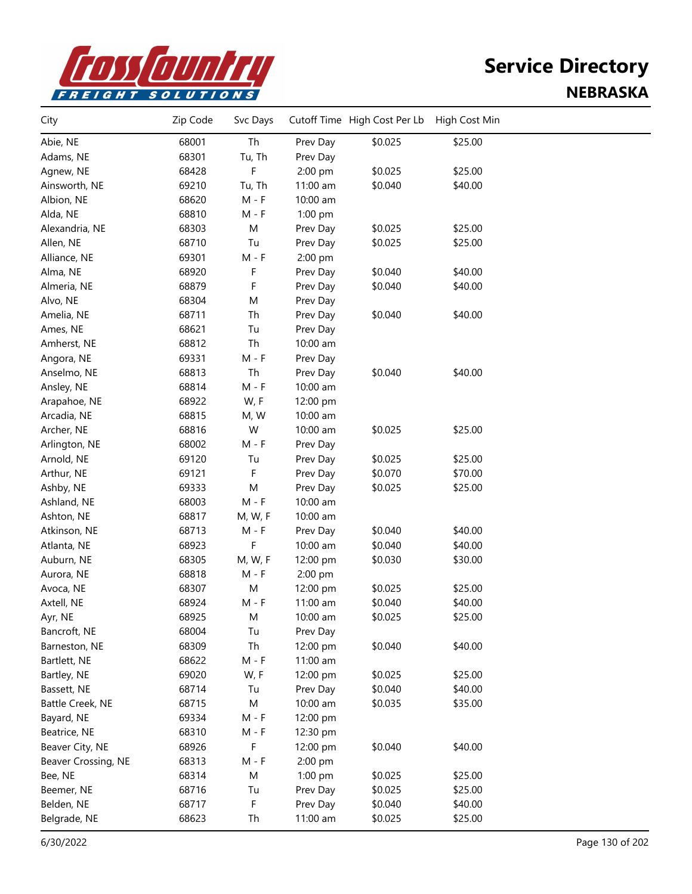

| City                | Zip Code | Svc Days |          | Cutoff Time High Cost Per Lb | High Cost Min |  |
|---------------------|----------|----------|----------|------------------------------|---------------|--|
| Abie, NE            | 68001    | Th       | Prev Day | \$0.025                      | \$25.00       |  |
| Adams, NE           | 68301    | Tu, Th   | Prev Day |                              |               |  |
| Agnew, NE           | 68428    | F        | 2:00 pm  | \$0.025                      | \$25.00       |  |
| Ainsworth, NE       | 69210    | Tu, Th   | 11:00 am | \$0.040                      | \$40.00       |  |
| Albion, NE          | 68620    | $M - F$  | 10:00 am |                              |               |  |
| Alda, NE            | 68810    | $M - F$  | 1:00 pm  |                              |               |  |
| Alexandria, NE      | 68303    | M        | Prev Day | \$0.025                      | \$25.00       |  |
| Allen, NE           | 68710    | Tu       | Prev Day | \$0.025                      | \$25.00       |  |
| Alliance, NE        | 69301    | $M - F$  | 2:00 pm  |                              |               |  |
| Alma, NE            | 68920    | F        | Prev Day | \$0.040                      | \$40.00       |  |
| Almeria, NE         | 68879    | F        | Prev Day | \$0.040                      | \$40.00       |  |
| Alvo, NE            | 68304    | M        | Prev Day |                              |               |  |
| Amelia, NE          | 68711    | Th       | Prev Day | \$0.040                      | \$40.00       |  |
| Ames, NE            | 68621    | Tu       | Prev Day |                              |               |  |
| Amherst, NE         | 68812    | Th       | 10:00 am |                              |               |  |
| Angora, NE          | 69331    | $M - F$  | Prev Day |                              |               |  |
| Anselmo, NE         | 68813    | Th       | Prev Day | \$0.040                      | \$40.00       |  |
| Ansley, NE          | 68814    | $M - F$  | 10:00 am |                              |               |  |
| Arapahoe, NE        | 68922    | W, F     | 12:00 pm |                              |               |  |
| Arcadia, NE         | 68815    | M, W     | 10:00 am |                              |               |  |
| Archer, NE          | 68816    | W        | 10:00 am | \$0.025                      | \$25.00       |  |
| Arlington, NE       | 68002    | $M - F$  | Prev Day |                              |               |  |
| Arnold, NE          | 69120    | Tu       | Prev Day | \$0.025                      | \$25.00       |  |
| Arthur, NE          | 69121    | F        | Prev Day | \$0.070                      | \$70.00       |  |
| Ashby, NE           | 69333    | M        | Prev Day | \$0.025                      | \$25.00       |  |
| Ashland, NE         | 68003    | $M - F$  | 10:00 am |                              |               |  |
| Ashton, NE          | 68817    | M, W, F  | 10:00 am |                              |               |  |
| Atkinson, NE        | 68713    | $M - F$  | Prev Day | \$0.040                      | \$40.00       |  |
| Atlanta, NE         | 68923    | F        | 10:00 am | \$0.040                      | \$40.00       |  |
| Auburn, NE          | 68305    | M, W, F  | 12:00 pm | \$0.030                      | \$30.00       |  |
| Aurora, NE          | 68818    | $M - F$  | 2:00 pm  |                              |               |  |
| Avoca, NE           | 68307    | M        | 12:00 pm | \$0.025                      | \$25.00       |  |
| Axtell, NE          | 68924    | $M - F$  | 11:00 am | \$0.040                      | \$40.00       |  |
| Ayr, NE             | 68925    | Μ        | 10:00 am | \$0.025                      | \$25.00       |  |
| Bancroft, NE        | 68004    | Tu       | Prev Day |                              |               |  |
| Barneston, NE       | 68309    | Th       | 12:00 pm | \$0.040                      | \$40.00       |  |
| Bartlett, NE        | 68622    | $M - F$  | 11:00 am |                              |               |  |
| Bartley, NE         | 69020    | W, F     | 12:00 pm | \$0.025                      | \$25.00       |  |
| Bassett, NE         | 68714    | Tu       | Prev Day | \$0.040                      | \$40.00       |  |
| Battle Creek, NE    | 68715    | М        | 10:00 am | \$0.035                      | \$35.00       |  |
| Bayard, NE          | 69334    | $M - F$  | 12:00 pm |                              |               |  |
| Beatrice, NE        | 68310    | $M - F$  | 12:30 pm |                              |               |  |
| Beaver City, NE     | 68926    | F        | 12:00 pm | \$0.040                      | \$40.00       |  |
| Beaver Crossing, NE | 68313    | $M - F$  | 2:00 pm  |                              |               |  |
| Bee, NE             | 68314    | M        | 1:00 pm  | \$0.025                      | \$25.00       |  |
| Beemer, NE          | 68716    | Tu       | Prev Day | \$0.025                      | \$25.00       |  |
| Belden, NE          | 68717    | F        | Prev Day | \$0.040                      | \$40.00       |  |
| Belgrade, NE        | 68623    | Th       | 11:00 am | \$0.025                      | \$25.00       |  |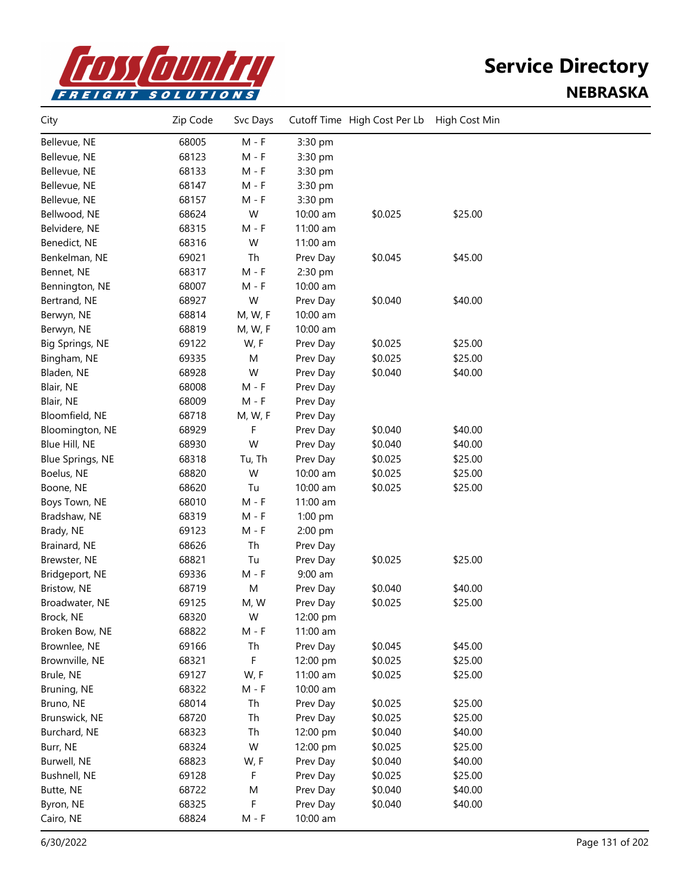

| City                    | Zip Code | Svc Days |          | Cutoff Time High Cost Per Lb | High Cost Min |  |
|-------------------------|----------|----------|----------|------------------------------|---------------|--|
| Bellevue, NE            | 68005    | $M - F$  | 3:30 pm  |                              |               |  |
| Bellevue, NE            | 68123    | M - F    | 3:30 pm  |                              |               |  |
| Bellevue, NE            | 68133    | $M - F$  | 3:30 pm  |                              |               |  |
| Bellevue, NE            | 68147    | $M - F$  | 3:30 pm  |                              |               |  |
| Bellevue, NE            | 68157    | $M - F$  | 3:30 pm  |                              |               |  |
| Bellwood, NE            | 68624    | W        | 10:00 am | \$0.025                      | \$25.00       |  |
| Belvidere, NE           | 68315    | $M - F$  | 11:00 am |                              |               |  |
| Benedict, NE            | 68316    | W        | 11:00 am |                              |               |  |
| Benkelman, NE           | 69021    | Th       | Prev Day | \$0.045                      | \$45.00       |  |
| Bennet, NE              | 68317    | $M - F$  | 2:30 pm  |                              |               |  |
| Bennington, NE          | 68007    | M - F    | 10:00 am |                              |               |  |
| Bertrand, NE            | 68927    | W        | Prev Day | \$0.040                      | \$40.00       |  |
| Berwyn, NE              | 68814    | M, W, F  | 10:00 am |                              |               |  |
| Berwyn, NE              | 68819    | M, W, F  | 10:00 am |                              |               |  |
| Big Springs, NE         | 69122    | W, F     | Prev Day | \$0.025                      | \$25.00       |  |
| Bingham, NE             | 69335    | M        | Prev Day | \$0.025                      | \$25.00       |  |
| Bladen, NE              | 68928    | W        | Prev Day | \$0.040                      | \$40.00       |  |
| Blair, NE               | 68008    | $M - F$  | Prev Day |                              |               |  |
| Blair, NE               | 68009    | $M - F$  | Prev Day |                              |               |  |
| Bloomfield, NE          | 68718    | M, W, F  | Prev Day |                              |               |  |
| Bloomington, NE         | 68929    | F        | Prev Day | \$0.040                      | \$40.00       |  |
| Blue Hill, NE           | 68930    | W        | Prev Day | \$0.040                      | \$40.00       |  |
| <b>Blue Springs, NE</b> | 68318    | Tu, Th   | Prev Day | \$0.025                      | \$25.00       |  |
| Boelus, NE              | 68820    | W        | 10:00 am | \$0.025                      | \$25.00       |  |
| Boone, NE               | 68620    | Tu       | 10:00 am | \$0.025                      | \$25.00       |  |
| Boys Town, NE           | 68010    | $M - F$  | 11:00 am |                              |               |  |
| Bradshaw, NE            | 68319    | $M - F$  | 1:00 pm  |                              |               |  |
| Brady, NE               | 69123    | M - F    | 2:00 pm  |                              |               |  |
| Brainard, NE            | 68626    | Th       | Prev Day |                              |               |  |
| Brewster, NE            | 68821    | Tu       | Prev Day | \$0.025                      | \$25.00       |  |
| Bridgeport, NE          | 69336    | $M - F$  | 9:00 am  |                              |               |  |
| Bristow, NE             | 68719    | M        | Prev Day | \$0.040                      | \$40.00       |  |
| Broadwater, NE          | 69125    | M, W     | Prev Day | \$0.025                      | \$25.00       |  |
| Brock, NE               | 68320    | W        | 12:00 pm |                              |               |  |
| Broken Bow, NE          | 68822    | M - F    | 11:00 am |                              |               |  |
| Brownlee, NE            | 69166    | Th       | Prev Day | \$0.045                      | \$45.00       |  |
| Brownville, NE          | 68321    | F        | 12:00 pm | \$0.025                      | \$25.00       |  |
| Brule, NE               | 69127    | W, F     | 11:00 am | \$0.025                      | \$25.00       |  |
| Bruning, NE             | 68322    | $M - F$  | 10:00 am |                              |               |  |
| Bruno, NE               | 68014    | Th       | Prev Day | \$0.025                      | \$25.00       |  |
| Brunswick, NE           | 68720    | Th       | Prev Day | \$0.025                      | \$25.00       |  |
| Burchard, NE            | 68323    | Th       | 12:00 pm | \$0.040                      | \$40.00       |  |
| Burr, NE                | 68324    | W        | 12:00 pm | \$0.025                      | \$25.00       |  |
| Burwell, NE             | 68823    | W, F     | Prev Day | \$0.040                      | \$40.00       |  |
| Bushnell, NE            | 69128    | F        | Prev Day | \$0.025                      | \$25.00       |  |
| Butte, NE               | 68722    | M        | Prev Day | \$0.040                      | \$40.00       |  |
| Byron, NE               | 68325    | F        | Prev Day | \$0.040                      | \$40.00       |  |
| Cairo, NE               | 68824    | $M - F$  | 10:00 am |                              |               |  |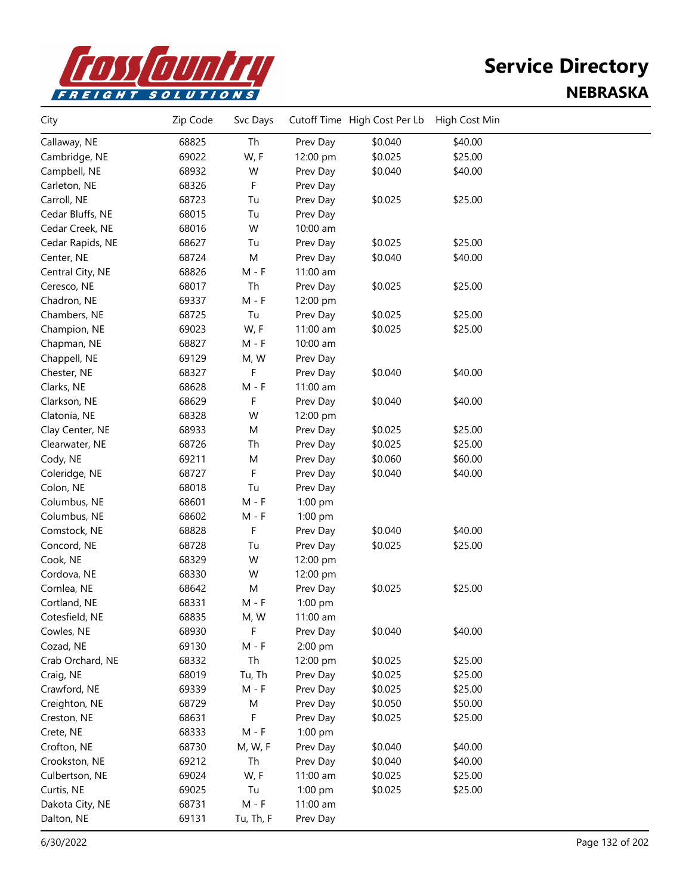

| City             | Zip Code | Svc Days  |            | Cutoff Time High Cost Per Lb | High Cost Min |  |
|------------------|----------|-----------|------------|------------------------------|---------------|--|
| Callaway, NE     | 68825    | Th        | Prev Day   | \$0.040                      | \$40.00       |  |
| Cambridge, NE    | 69022    | W, F      | 12:00 pm   | \$0.025                      | \$25.00       |  |
| Campbell, NE     | 68932    | W         | Prev Day   | \$0.040                      | \$40.00       |  |
| Carleton, NE     | 68326    | F         | Prev Day   |                              |               |  |
| Carroll, NE      | 68723    | Tu        | Prev Day   | \$0.025                      | \$25.00       |  |
| Cedar Bluffs, NE | 68015    | Tu        | Prev Day   |                              |               |  |
| Cedar Creek, NE  | 68016    | W         | 10:00 am   |                              |               |  |
| Cedar Rapids, NE | 68627    | Tu        | Prev Day   | \$0.025                      | \$25.00       |  |
| Center, NE       | 68724    | M         | Prev Day   | \$0.040                      | \$40.00       |  |
| Central City, NE | 68826    | $M - F$   | 11:00 am   |                              |               |  |
| Ceresco, NE      | 68017    | Th        | Prev Day   | \$0.025                      | \$25.00       |  |
| Chadron, NE      | 69337    | $M - F$   | 12:00 pm   |                              |               |  |
| Chambers, NE     | 68725    | Tu        | Prev Day   | \$0.025                      | \$25.00       |  |
| Champion, NE     | 69023    | W, F      | 11:00 am   | \$0.025                      | \$25.00       |  |
| Chapman, NE      | 68827    | $M - F$   | 10:00 am   |                              |               |  |
| Chappell, NE     | 69129    | M, W      | Prev Day   |                              |               |  |
| Chester, NE      | 68327    | F         | Prev Day   | \$0.040                      | \$40.00       |  |
| Clarks, NE       | 68628    | $M - F$   | 11:00 am   |                              |               |  |
| Clarkson, NE     | 68629    | F         | Prev Day   | \$0.040                      | \$40.00       |  |
| Clatonia, NE     | 68328    | W         | 12:00 pm   |                              |               |  |
| Clay Center, NE  | 68933    | M         | Prev Day   | \$0.025                      | \$25.00       |  |
| Clearwater, NE   | 68726    | Th        | Prev Day   | \$0.025                      | \$25.00       |  |
| Cody, NE         | 69211    | M         | Prev Day   | \$0.060                      | \$60.00       |  |
| Coleridge, NE    | 68727    | F         | Prev Day   | \$0.040                      | \$40.00       |  |
| Colon, NE        | 68018    | Tu        | Prev Day   |                              |               |  |
| Columbus, NE     | 68601    | $M - F$   | 1:00 pm    |                              |               |  |
| Columbus, NE     | 68602    | M - F     | 1:00 pm    |                              |               |  |
| Comstock, NE     | 68828    | F         | Prev Day   | \$0.040                      | \$40.00       |  |
| Concord, NE      | 68728    | Tu        | Prev Day   | \$0.025                      | \$25.00       |  |
| Cook, NE         | 68329    | W         | 12:00 pm   |                              |               |  |
| Cordova, NE      | 68330    | W         | 12:00 pm   |                              |               |  |
| Cornlea, NE      | 68642    | M         | Prev Day   | \$0.025                      | \$25.00       |  |
| Cortland, NE     | 68331    | M - F     | 1:00 pm    |                              |               |  |
| Cotesfield, NE   | 68835    | M, W      | $11:00$ am |                              |               |  |
| Cowles, NE       | 68930    | F         | Prev Day   | \$0.040                      | \$40.00       |  |
| Cozad, NE        | 69130    | $M - F$   | 2:00 pm    |                              |               |  |
| Crab Orchard, NE | 68332    | Th        | 12:00 pm   | \$0.025                      | \$25.00       |  |
| Craig, NE        | 68019    | Tu, Th    | Prev Day   | \$0.025                      | \$25.00       |  |
| Crawford, NE     | 69339    | $M - F$   | Prev Day   | \$0.025                      | \$25.00       |  |
| Creighton, NE    | 68729    | M         | Prev Day   | \$0.050                      | \$50.00       |  |
| Creston, NE      | 68631    | F         | Prev Day   | \$0.025                      | \$25.00       |  |
| Crete, NE        | 68333    | $M - F$   | 1:00 pm    |                              |               |  |
| Crofton, NE      | 68730    | M, W, F   | Prev Day   | \$0.040                      | \$40.00       |  |
| Crookston, NE    | 69212    | Th        | Prev Day   | \$0.040                      | \$40.00       |  |
| Culbertson, NE   | 69024    | W, F      | 11:00 am   | \$0.025                      | \$25.00       |  |
| Curtis, NE       | 69025    | Tu        | $1:00$ pm  | \$0.025                      | \$25.00       |  |
| Dakota City, NE  | 68731    | $M - F$   | 11:00 am   |                              |               |  |
| Dalton, NE       | 69131    | Tu, Th, F | Prev Day   |                              |               |  |
|                  |          |           |            |                              |               |  |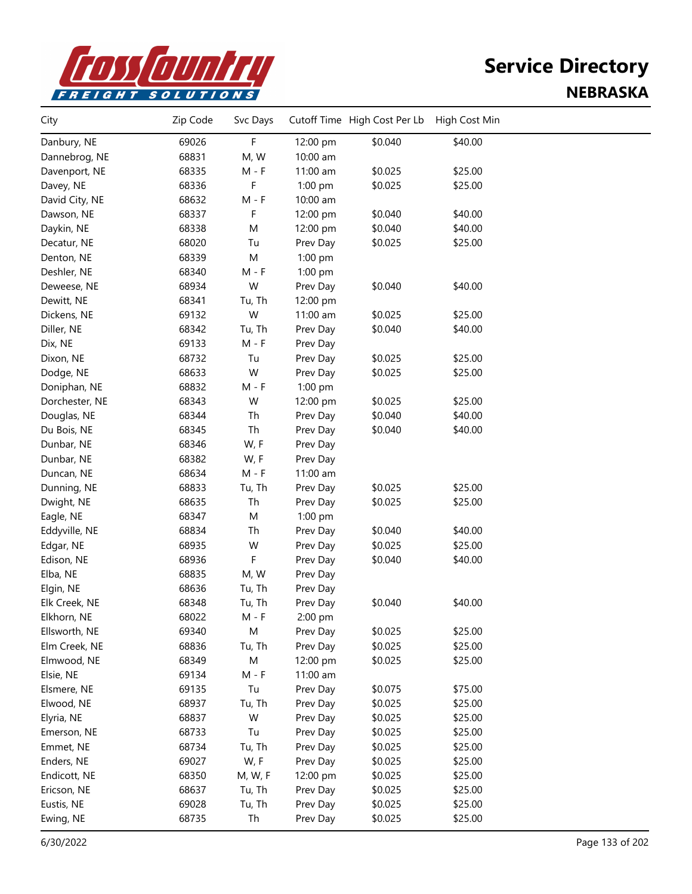

| City           | Zip Code | Svc Days  |          | Cutoff Time High Cost Per Lb | High Cost Min |  |
|----------------|----------|-----------|----------|------------------------------|---------------|--|
| Danbury, NE    | 69026    | F         | 12:00 pm | \$0.040                      | \$40.00       |  |
| Dannebrog, NE  | 68831    | M, W      | 10:00 am |                              |               |  |
| Davenport, NE  | 68335    | $M - F$   | 11:00 am | \$0.025                      | \$25.00       |  |
| Davey, NE      | 68336    | F         | 1:00 pm  | \$0.025                      | \$25.00       |  |
| David City, NE | 68632    | $M - F$   | 10:00 am |                              |               |  |
| Dawson, NE     | 68337    | F         | 12:00 pm | \$0.040                      | \$40.00       |  |
| Daykin, NE     | 68338    | M         | 12:00 pm | \$0.040                      | \$40.00       |  |
| Decatur, NE    | 68020    | Tu        | Prev Day | \$0.025                      | \$25.00       |  |
| Denton, NE     | 68339    | M         | 1:00 pm  |                              |               |  |
| Deshler, NE    | 68340    | M - F     | 1:00 pm  |                              |               |  |
| Deweese, NE    | 68934    | W         | Prev Day | \$0.040                      | \$40.00       |  |
| Dewitt, NE     | 68341    | Tu, Th    | 12:00 pm |                              |               |  |
| Dickens, NE    | 69132    | W         | 11:00 am | \$0.025                      | \$25.00       |  |
| Diller, NE     | 68342    | Tu, Th    | Prev Day | \$0.040                      | \$40.00       |  |
| Dix, NE        | 69133    | $M - F$   | Prev Day |                              |               |  |
| Dixon, NE      | 68732    | Tu        | Prev Day | \$0.025                      | \$25.00       |  |
| Dodge, NE      | 68633    | W         | Prev Day | \$0.025                      | \$25.00       |  |
| Doniphan, NE   | 68832    | $M - F$   | 1:00 pm  |                              |               |  |
| Dorchester, NE | 68343    | W         | 12:00 pm | \$0.025                      | \$25.00       |  |
| Douglas, NE    | 68344    | Th        | Prev Day | \$0.040                      | \$40.00       |  |
| Du Bois, NE    | 68345    | Th        | Prev Day | \$0.040                      | \$40.00       |  |
| Dunbar, NE     | 68346    | W, F      | Prev Day |                              |               |  |
| Dunbar, NE     | 68382    | W, F      | Prev Day |                              |               |  |
| Duncan, NE     | 68634    | $M - F$   | 11:00 am |                              |               |  |
| Dunning, NE    | 68833    | Tu, Th    | Prev Day | \$0.025                      | \$25.00       |  |
| Dwight, NE     | 68635    | Th        | Prev Day | \$0.025                      | \$25.00       |  |
| Eagle, NE      | 68347    | M         | 1:00 pm  |                              |               |  |
| Eddyville, NE  | 68834    | Th        | Prev Day | \$0.040                      | \$40.00       |  |
| Edgar, NE      | 68935    | W         | Prev Day | \$0.025                      | \$25.00       |  |
| Edison, NE     | 68936    | F         | Prev Day | \$0.040                      | \$40.00       |  |
| Elba, NE       | 68835    | M, W      | Prev Day |                              |               |  |
| Elgin, NE      | 68636    | Tu, Th    | Prev Day |                              |               |  |
| Elk Creek, NE  | 68348    | Tu, Th    | Prev Day | \$0.040                      | \$40.00       |  |
| Elkhorn, NE    | 68022    | M - F     | 2:00 pm  |                              |               |  |
| Ellsworth, NE  | 69340    | M         | Prev Day | \$0.025                      | \$25.00       |  |
| Elm Creek, NE  | 68836    | Tu, Th    | Prev Day | \$0.025                      | \$25.00       |  |
| Elmwood, NE    | 68349    | ${\sf M}$ | 12:00 pm | \$0.025                      | \$25.00       |  |
| Elsie, NE      | 69134    | $M - F$   | 11:00 am |                              |               |  |
| Elsmere, NE    | 69135    | Tu        | Prev Day | \$0.075                      | \$75.00       |  |
| Elwood, NE     | 68937    | Tu, Th    | Prev Day | \$0.025                      | \$25.00       |  |
| Elyria, NE     | 68837    | W         | Prev Day | \$0.025                      | \$25.00       |  |
| Emerson, NE    | 68733    | Tu        | Prev Day | \$0.025                      | \$25.00       |  |
| Emmet, NE      | 68734    | Tu, Th    | Prev Day | \$0.025                      | \$25.00       |  |
| Enders, NE     | 69027    | W, F      | Prev Day | \$0.025                      | \$25.00       |  |
| Endicott, NE   | 68350    | M, W, F   | 12:00 pm | \$0.025                      | \$25.00       |  |
| Ericson, NE    | 68637    | Tu, Th    | Prev Day | \$0.025                      | \$25.00       |  |
| Eustis, NE     | 69028    | Tu, Th    | Prev Day | \$0.025                      | \$25.00       |  |
| Ewing, NE      | 68735    | Th        | Prev Day | \$0.025                      | \$25.00       |  |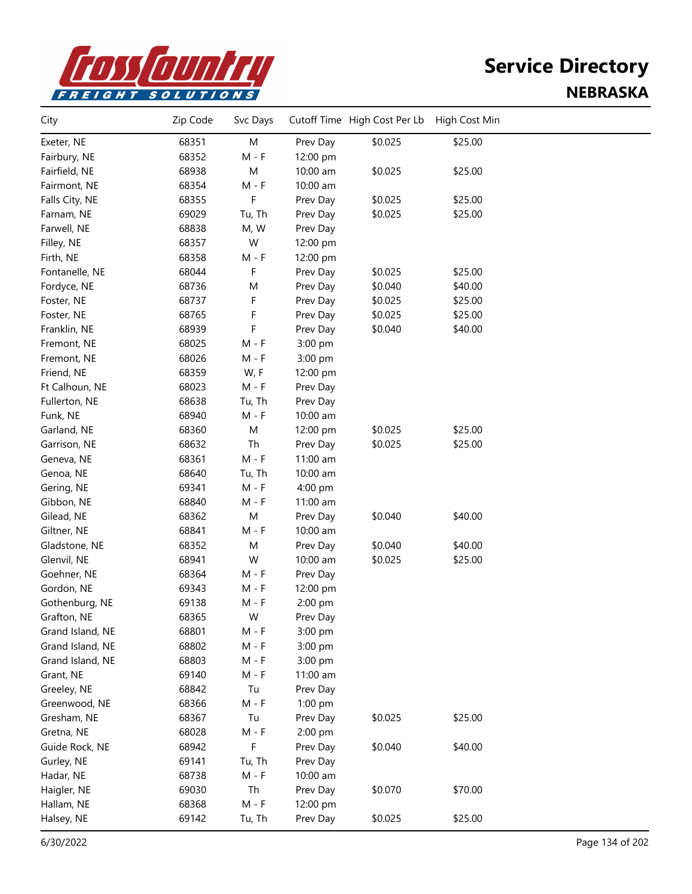

| 68351<br>M<br>\$0.025<br>\$25.00<br>Exeter, NE<br>Prev Day<br>68352<br>$M - F$<br>Fairbury, NE<br>12:00 pm<br>\$0.025<br>68938<br>M<br>10:00 am<br>\$25.00<br>Fairfield, NE<br>68354<br>$M - F$<br>10:00 am<br>Fairmont, NE<br>F<br>Falls City, NE<br>68355<br>\$0.025<br>\$25.00<br>Prev Day<br>69029<br>\$0.025<br>\$25.00<br>Farnam, NE<br>Tu, Th<br>Prev Day<br>Farwell, NE<br>68838<br>M, W<br>Prev Day<br>68357<br>W<br>Filley, NE<br>12:00 pm<br>68358<br>Firth, NE<br>M - F<br>12:00 pm<br>F<br>68044<br>\$0.025<br>\$25.00<br>Fontanelle, NE<br>Prev Day<br>\$0.040<br>\$40.00<br>Fordyce, NE<br>68736<br>M<br>Prev Day<br>F<br>\$0.025<br>\$25.00<br>Foster, NE<br>68737<br>Prev Day<br>F<br>\$0.025<br>\$25.00<br>Foster, NE<br>68765<br>Prev Day<br>F<br>68939<br>\$0.040<br>\$40.00<br>Franklin, NE<br>Prev Day<br>68025<br>$M - F$<br>Fremont, NE<br>3:00 pm<br>68026<br>Fremont, NE<br>M - F<br>3:00 pm<br>Friend, NE<br>68359<br>W, F<br>12:00 pm<br>68023<br>$M - F$<br>Ft Calhoun, NE<br>Prev Day<br>68638<br>Fullerton, NE<br>Tu, Th<br>Prev Day<br>Funk, NE<br>68940<br>$M - F$<br>10:00 am<br>${\sf M}$<br>68360<br>\$0.025<br>\$25.00<br>Garland, NE<br>12:00 pm<br>68632<br>Th<br>\$0.025<br>\$25.00<br>Garrison, NE<br>Prev Day<br>68361<br>$M - F$<br>11:00 am<br>Geneva, NE<br>68640<br>Genoa, NE<br>Tu, Th<br>10:00 am<br>69341<br>$M - F$<br>Gering, NE<br>4:00 pm<br>68840<br>$M - F$<br>Gibbon, NE<br>$11:00$ am<br>${\sf M}$<br>\$0.040<br>\$40.00<br>68362<br>Gilead, NE<br>Prev Day<br>68841<br>$M - F$<br>10:00 am<br>Giltner, NE<br>\$40.00<br>68352<br>M<br>\$0.040<br>Gladstone, NE<br>Prev Day<br>W<br>Glenvil, NE<br>68941<br>\$0.025<br>\$25.00<br>10:00 am<br>Goehner, NE<br>68364<br>$M - F$<br>Prev Day<br>Gordon, NE<br>69343<br>M - F<br>12:00 pm<br>69138<br>Gothenburg, NE<br>M - F<br>2:00 pm<br>Grafton, NE<br>68365<br>W<br>Prev Day<br>68801<br>$M - F$<br>Grand Island, NE<br>3:00 pm<br>Grand Island, NE<br>68802<br>$M - F$<br>3:00 pm<br>Grand Island, NE<br>68803<br>$M - F$<br>3:00 pm<br>69140<br>$M - F$<br>Grant, NE<br>11:00 am<br>68842<br>Greeley, NE<br>Tu<br>Prev Day<br>68366<br>$M - F$<br>Greenwood, NE<br>1:00 pm<br>68367<br>Tu<br>\$0.025<br>\$25.00<br>Gresham, NE<br>Prev Day<br>68028<br>$M - F$<br>Gretna, NE<br>2:00 pm<br>F<br>68942<br>\$0.040<br>\$40.00<br>Guide Rock, NE<br>Prev Day<br>69141<br>Gurley, NE<br>Tu, Th<br>Prev Day<br>68738<br>$M - F$<br>10:00 am<br>Hadar, NE<br>Th<br>69030<br>\$0.070<br>\$70.00<br>Haigler, NE<br>Prev Day<br>Hallam, NE<br>68368<br>$M - F$<br>12:00 pm<br>69142<br>Tu, Th<br>Prev Day<br>\$0.025<br>\$25.00<br>Halsey, NE | City | Zip Code | Svc Days | Cutoff Time High Cost Per Lb | High Cost Min |  |
|--------------------------------------------------------------------------------------------------------------------------------------------------------------------------------------------------------------------------------------------------------------------------------------------------------------------------------------------------------------------------------------------------------------------------------------------------------------------------------------------------------------------------------------------------------------------------------------------------------------------------------------------------------------------------------------------------------------------------------------------------------------------------------------------------------------------------------------------------------------------------------------------------------------------------------------------------------------------------------------------------------------------------------------------------------------------------------------------------------------------------------------------------------------------------------------------------------------------------------------------------------------------------------------------------------------------------------------------------------------------------------------------------------------------------------------------------------------------------------------------------------------------------------------------------------------------------------------------------------------------------------------------------------------------------------------------------------------------------------------------------------------------------------------------------------------------------------------------------------------------------------------------------------------------------------------------------------------------------------------------------------------------------------------------------------------------------------------------------------------------------------------------------------------------------------------------------------------------------------------------------------------------------------------------------------------------------------------------------------------------------------------------------------------------------------------------------------------------------------------------------------------------------------------------------------------------------------------------------------------------------------------------------|------|----------|----------|------------------------------|---------------|--|
|                                                                                                                                                                                                                                                                                                                                                                                                                                                                                                                                                                                                                                                                                                                                                                                                                                                                                                                                                                                                                                                                                                                                                                                                                                                                                                                                                                                                                                                                                                                                                                                                                                                                                                                                                                                                                                                                                                                                                                                                                                                                                                                                                                                                                                                                                                                                                                                                                                                                                                                                                                                                                                                  |      |          |          |                              |               |  |
|                                                                                                                                                                                                                                                                                                                                                                                                                                                                                                                                                                                                                                                                                                                                                                                                                                                                                                                                                                                                                                                                                                                                                                                                                                                                                                                                                                                                                                                                                                                                                                                                                                                                                                                                                                                                                                                                                                                                                                                                                                                                                                                                                                                                                                                                                                                                                                                                                                                                                                                                                                                                                                                  |      |          |          |                              |               |  |
|                                                                                                                                                                                                                                                                                                                                                                                                                                                                                                                                                                                                                                                                                                                                                                                                                                                                                                                                                                                                                                                                                                                                                                                                                                                                                                                                                                                                                                                                                                                                                                                                                                                                                                                                                                                                                                                                                                                                                                                                                                                                                                                                                                                                                                                                                                                                                                                                                                                                                                                                                                                                                                                  |      |          |          |                              |               |  |
|                                                                                                                                                                                                                                                                                                                                                                                                                                                                                                                                                                                                                                                                                                                                                                                                                                                                                                                                                                                                                                                                                                                                                                                                                                                                                                                                                                                                                                                                                                                                                                                                                                                                                                                                                                                                                                                                                                                                                                                                                                                                                                                                                                                                                                                                                                                                                                                                                                                                                                                                                                                                                                                  |      |          |          |                              |               |  |
|                                                                                                                                                                                                                                                                                                                                                                                                                                                                                                                                                                                                                                                                                                                                                                                                                                                                                                                                                                                                                                                                                                                                                                                                                                                                                                                                                                                                                                                                                                                                                                                                                                                                                                                                                                                                                                                                                                                                                                                                                                                                                                                                                                                                                                                                                                                                                                                                                                                                                                                                                                                                                                                  |      |          |          |                              |               |  |
|                                                                                                                                                                                                                                                                                                                                                                                                                                                                                                                                                                                                                                                                                                                                                                                                                                                                                                                                                                                                                                                                                                                                                                                                                                                                                                                                                                                                                                                                                                                                                                                                                                                                                                                                                                                                                                                                                                                                                                                                                                                                                                                                                                                                                                                                                                                                                                                                                                                                                                                                                                                                                                                  |      |          |          |                              |               |  |
|                                                                                                                                                                                                                                                                                                                                                                                                                                                                                                                                                                                                                                                                                                                                                                                                                                                                                                                                                                                                                                                                                                                                                                                                                                                                                                                                                                                                                                                                                                                                                                                                                                                                                                                                                                                                                                                                                                                                                                                                                                                                                                                                                                                                                                                                                                                                                                                                                                                                                                                                                                                                                                                  |      |          |          |                              |               |  |
|                                                                                                                                                                                                                                                                                                                                                                                                                                                                                                                                                                                                                                                                                                                                                                                                                                                                                                                                                                                                                                                                                                                                                                                                                                                                                                                                                                                                                                                                                                                                                                                                                                                                                                                                                                                                                                                                                                                                                                                                                                                                                                                                                                                                                                                                                                                                                                                                                                                                                                                                                                                                                                                  |      |          |          |                              |               |  |
|                                                                                                                                                                                                                                                                                                                                                                                                                                                                                                                                                                                                                                                                                                                                                                                                                                                                                                                                                                                                                                                                                                                                                                                                                                                                                                                                                                                                                                                                                                                                                                                                                                                                                                                                                                                                                                                                                                                                                                                                                                                                                                                                                                                                                                                                                                                                                                                                                                                                                                                                                                                                                                                  |      |          |          |                              |               |  |
|                                                                                                                                                                                                                                                                                                                                                                                                                                                                                                                                                                                                                                                                                                                                                                                                                                                                                                                                                                                                                                                                                                                                                                                                                                                                                                                                                                                                                                                                                                                                                                                                                                                                                                                                                                                                                                                                                                                                                                                                                                                                                                                                                                                                                                                                                                                                                                                                                                                                                                                                                                                                                                                  |      |          |          |                              |               |  |
|                                                                                                                                                                                                                                                                                                                                                                                                                                                                                                                                                                                                                                                                                                                                                                                                                                                                                                                                                                                                                                                                                                                                                                                                                                                                                                                                                                                                                                                                                                                                                                                                                                                                                                                                                                                                                                                                                                                                                                                                                                                                                                                                                                                                                                                                                                                                                                                                                                                                                                                                                                                                                                                  |      |          |          |                              |               |  |
|                                                                                                                                                                                                                                                                                                                                                                                                                                                                                                                                                                                                                                                                                                                                                                                                                                                                                                                                                                                                                                                                                                                                                                                                                                                                                                                                                                                                                                                                                                                                                                                                                                                                                                                                                                                                                                                                                                                                                                                                                                                                                                                                                                                                                                                                                                                                                                                                                                                                                                                                                                                                                                                  |      |          |          |                              |               |  |
|                                                                                                                                                                                                                                                                                                                                                                                                                                                                                                                                                                                                                                                                                                                                                                                                                                                                                                                                                                                                                                                                                                                                                                                                                                                                                                                                                                                                                                                                                                                                                                                                                                                                                                                                                                                                                                                                                                                                                                                                                                                                                                                                                                                                                                                                                                                                                                                                                                                                                                                                                                                                                                                  |      |          |          |                              |               |  |
|                                                                                                                                                                                                                                                                                                                                                                                                                                                                                                                                                                                                                                                                                                                                                                                                                                                                                                                                                                                                                                                                                                                                                                                                                                                                                                                                                                                                                                                                                                                                                                                                                                                                                                                                                                                                                                                                                                                                                                                                                                                                                                                                                                                                                                                                                                                                                                                                                                                                                                                                                                                                                                                  |      |          |          |                              |               |  |
|                                                                                                                                                                                                                                                                                                                                                                                                                                                                                                                                                                                                                                                                                                                                                                                                                                                                                                                                                                                                                                                                                                                                                                                                                                                                                                                                                                                                                                                                                                                                                                                                                                                                                                                                                                                                                                                                                                                                                                                                                                                                                                                                                                                                                                                                                                                                                                                                                                                                                                                                                                                                                                                  |      |          |          |                              |               |  |
|                                                                                                                                                                                                                                                                                                                                                                                                                                                                                                                                                                                                                                                                                                                                                                                                                                                                                                                                                                                                                                                                                                                                                                                                                                                                                                                                                                                                                                                                                                                                                                                                                                                                                                                                                                                                                                                                                                                                                                                                                                                                                                                                                                                                                                                                                                                                                                                                                                                                                                                                                                                                                                                  |      |          |          |                              |               |  |
|                                                                                                                                                                                                                                                                                                                                                                                                                                                                                                                                                                                                                                                                                                                                                                                                                                                                                                                                                                                                                                                                                                                                                                                                                                                                                                                                                                                                                                                                                                                                                                                                                                                                                                                                                                                                                                                                                                                                                                                                                                                                                                                                                                                                                                                                                                                                                                                                                                                                                                                                                                                                                                                  |      |          |          |                              |               |  |
|                                                                                                                                                                                                                                                                                                                                                                                                                                                                                                                                                                                                                                                                                                                                                                                                                                                                                                                                                                                                                                                                                                                                                                                                                                                                                                                                                                                                                                                                                                                                                                                                                                                                                                                                                                                                                                                                                                                                                                                                                                                                                                                                                                                                                                                                                                                                                                                                                                                                                                                                                                                                                                                  |      |          |          |                              |               |  |
|                                                                                                                                                                                                                                                                                                                                                                                                                                                                                                                                                                                                                                                                                                                                                                                                                                                                                                                                                                                                                                                                                                                                                                                                                                                                                                                                                                                                                                                                                                                                                                                                                                                                                                                                                                                                                                                                                                                                                                                                                                                                                                                                                                                                                                                                                                                                                                                                                                                                                                                                                                                                                                                  |      |          |          |                              |               |  |
|                                                                                                                                                                                                                                                                                                                                                                                                                                                                                                                                                                                                                                                                                                                                                                                                                                                                                                                                                                                                                                                                                                                                                                                                                                                                                                                                                                                                                                                                                                                                                                                                                                                                                                                                                                                                                                                                                                                                                                                                                                                                                                                                                                                                                                                                                                                                                                                                                                                                                                                                                                                                                                                  |      |          |          |                              |               |  |
|                                                                                                                                                                                                                                                                                                                                                                                                                                                                                                                                                                                                                                                                                                                                                                                                                                                                                                                                                                                                                                                                                                                                                                                                                                                                                                                                                                                                                                                                                                                                                                                                                                                                                                                                                                                                                                                                                                                                                                                                                                                                                                                                                                                                                                                                                                                                                                                                                                                                                                                                                                                                                                                  |      |          |          |                              |               |  |
|                                                                                                                                                                                                                                                                                                                                                                                                                                                                                                                                                                                                                                                                                                                                                                                                                                                                                                                                                                                                                                                                                                                                                                                                                                                                                                                                                                                                                                                                                                                                                                                                                                                                                                                                                                                                                                                                                                                                                                                                                                                                                                                                                                                                                                                                                                                                                                                                                                                                                                                                                                                                                                                  |      |          |          |                              |               |  |
|                                                                                                                                                                                                                                                                                                                                                                                                                                                                                                                                                                                                                                                                                                                                                                                                                                                                                                                                                                                                                                                                                                                                                                                                                                                                                                                                                                                                                                                                                                                                                                                                                                                                                                                                                                                                                                                                                                                                                                                                                                                                                                                                                                                                                                                                                                                                                                                                                                                                                                                                                                                                                                                  |      |          |          |                              |               |  |
|                                                                                                                                                                                                                                                                                                                                                                                                                                                                                                                                                                                                                                                                                                                                                                                                                                                                                                                                                                                                                                                                                                                                                                                                                                                                                                                                                                                                                                                                                                                                                                                                                                                                                                                                                                                                                                                                                                                                                                                                                                                                                                                                                                                                                                                                                                                                                                                                                                                                                                                                                                                                                                                  |      |          |          |                              |               |  |
|                                                                                                                                                                                                                                                                                                                                                                                                                                                                                                                                                                                                                                                                                                                                                                                                                                                                                                                                                                                                                                                                                                                                                                                                                                                                                                                                                                                                                                                                                                                                                                                                                                                                                                                                                                                                                                                                                                                                                                                                                                                                                                                                                                                                                                                                                                                                                                                                                                                                                                                                                                                                                                                  |      |          |          |                              |               |  |
|                                                                                                                                                                                                                                                                                                                                                                                                                                                                                                                                                                                                                                                                                                                                                                                                                                                                                                                                                                                                                                                                                                                                                                                                                                                                                                                                                                                                                                                                                                                                                                                                                                                                                                                                                                                                                                                                                                                                                                                                                                                                                                                                                                                                                                                                                                                                                                                                                                                                                                                                                                                                                                                  |      |          |          |                              |               |  |
|                                                                                                                                                                                                                                                                                                                                                                                                                                                                                                                                                                                                                                                                                                                                                                                                                                                                                                                                                                                                                                                                                                                                                                                                                                                                                                                                                                                                                                                                                                                                                                                                                                                                                                                                                                                                                                                                                                                                                                                                                                                                                                                                                                                                                                                                                                                                                                                                                                                                                                                                                                                                                                                  |      |          |          |                              |               |  |
|                                                                                                                                                                                                                                                                                                                                                                                                                                                                                                                                                                                                                                                                                                                                                                                                                                                                                                                                                                                                                                                                                                                                                                                                                                                                                                                                                                                                                                                                                                                                                                                                                                                                                                                                                                                                                                                                                                                                                                                                                                                                                                                                                                                                                                                                                                                                                                                                                                                                                                                                                                                                                                                  |      |          |          |                              |               |  |
|                                                                                                                                                                                                                                                                                                                                                                                                                                                                                                                                                                                                                                                                                                                                                                                                                                                                                                                                                                                                                                                                                                                                                                                                                                                                                                                                                                                                                                                                                                                                                                                                                                                                                                                                                                                                                                                                                                                                                                                                                                                                                                                                                                                                                                                                                                                                                                                                                                                                                                                                                                                                                                                  |      |          |          |                              |               |  |
|                                                                                                                                                                                                                                                                                                                                                                                                                                                                                                                                                                                                                                                                                                                                                                                                                                                                                                                                                                                                                                                                                                                                                                                                                                                                                                                                                                                                                                                                                                                                                                                                                                                                                                                                                                                                                                                                                                                                                                                                                                                                                                                                                                                                                                                                                                                                                                                                                                                                                                                                                                                                                                                  |      |          |          |                              |               |  |
|                                                                                                                                                                                                                                                                                                                                                                                                                                                                                                                                                                                                                                                                                                                                                                                                                                                                                                                                                                                                                                                                                                                                                                                                                                                                                                                                                                                                                                                                                                                                                                                                                                                                                                                                                                                                                                                                                                                                                                                                                                                                                                                                                                                                                                                                                                                                                                                                                                                                                                                                                                                                                                                  |      |          |          |                              |               |  |
|                                                                                                                                                                                                                                                                                                                                                                                                                                                                                                                                                                                                                                                                                                                                                                                                                                                                                                                                                                                                                                                                                                                                                                                                                                                                                                                                                                                                                                                                                                                                                                                                                                                                                                                                                                                                                                                                                                                                                                                                                                                                                                                                                                                                                                                                                                                                                                                                                                                                                                                                                                                                                                                  |      |          |          |                              |               |  |
|                                                                                                                                                                                                                                                                                                                                                                                                                                                                                                                                                                                                                                                                                                                                                                                                                                                                                                                                                                                                                                                                                                                                                                                                                                                                                                                                                                                                                                                                                                                                                                                                                                                                                                                                                                                                                                                                                                                                                                                                                                                                                                                                                                                                                                                                                                                                                                                                                                                                                                                                                                                                                                                  |      |          |          |                              |               |  |
|                                                                                                                                                                                                                                                                                                                                                                                                                                                                                                                                                                                                                                                                                                                                                                                                                                                                                                                                                                                                                                                                                                                                                                                                                                                                                                                                                                                                                                                                                                                                                                                                                                                                                                                                                                                                                                                                                                                                                                                                                                                                                                                                                                                                                                                                                                                                                                                                                                                                                                                                                                                                                                                  |      |          |          |                              |               |  |
|                                                                                                                                                                                                                                                                                                                                                                                                                                                                                                                                                                                                                                                                                                                                                                                                                                                                                                                                                                                                                                                                                                                                                                                                                                                                                                                                                                                                                                                                                                                                                                                                                                                                                                                                                                                                                                                                                                                                                                                                                                                                                                                                                                                                                                                                                                                                                                                                                                                                                                                                                                                                                                                  |      |          |          |                              |               |  |
|                                                                                                                                                                                                                                                                                                                                                                                                                                                                                                                                                                                                                                                                                                                                                                                                                                                                                                                                                                                                                                                                                                                                                                                                                                                                                                                                                                                                                                                                                                                                                                                                                                                                                                                                                                                                                                                                                                                                                                                                                                                                                                                                                                                                                                                                                                                                                                                                                                                                                                                                                                                                                                                  |      |          |          |                              |               |  |
|                                                                                                                                                                                                                                                                                                                                                                                                                                                                                                                                                                                                                                                                                                                                                                                                                                                                                                                                                                                                                                                                                                                                                                                                                                                                                                                                                                                                                                                                                                                                                                                                                                                                                                                                                                                                                                                                                                                                                                                                                                                                                                                                                                                                                                                                                                                                                                                                                                                                                                                                                                                                                                                  |      |          |          |                              |               |  |
|                                                                                                                                                                                                                                                                                                                                                                                                                                                                                                                                                                                                                                                                                                                                                                                                                                                                                                                                                                                                                                                                                                                                                                                                                                                                                                                                                                                                                                                                                                                                                                                                                                                                                                                                                                                                                                                                                                                                                                                                                                                                                                                                                                                                                                                                                                                                                                                                                                                                                                                                                                                                                                                  |      |          |          |                              |               |  |
|                                                                                                                                                                                                                                                                                                                                                                                                                                                                                                                                                                                                                                                                                                                                                                                                                                                                                                                                                                                                                                                                                                                                                                                                                                                                                                                                                                                                                                                                                                                                                                                                                                                                                                                                                                                                                                                                                                                                                                                                                                                                                                                                                                                                                                                                                                                                                                                                                                                                                                                                                                                                                                                  |      |          |          |                              |               |  |
|                                                                                                                                                                                                                                                                                                                                                                                                                                                                                                                                                                                                                                                                                                                                                                                                                                                                                                                                                                                                                                                                                                                                                                                                                                                                                                                                                                                                                                                                                                                                                                                                                                                                                                                                                                                                                                                                                                                                                                                                                                                                                                                                                                                                                                                                                                                                                                                                                                                                                                                                                                                                                                                  |      |          |          |                              |               |  |
|                                                                                                                                                                                                                                                                                                                                                                                                                                                                                                                                                                                                                                                                                                                                                                                                                                                                                                                                                                                                                                                                                                                                                                                                                                                                                                                                                                                                                                                                                                                                                                                                                                                                                                                                                                                                                                                                                                                                                                                                                                                                                                                                                                                                                                                                                                                                                                                                                                                                                                                                                                                                                                                  |      |          |          |                              |               |  |
|                                                                                                                                                                                                                                                                                                                                                                                                                                                                                                                                                                                                                                                                                                                                                                                                                                                                                                                                                                                                                                                                                                                                                                                                                                                                                                                                                                                                                                                                                                                                                                                                                                                                                                                                                                                                                                                                                                                                                                                                                                                                                                                                                                                                                                                                                                                                                                                                                                                                                                                                                                                                                                                  |      |          |          |                              |               |  |
|                                                                                                                                                                                                                                                                                                                                                                                                                                                                                                                                                                                                                                                                                                                                                                                                                                                                                                                                                                                                                                                                                                                                                                                                                                                                                                                                                                                                                                                                                                                                                                                                                                                                                                                                                                                                                                                                                                                                                                                                                                                                                                                                                                                                                                                                                                                                                                                                                                                                                                                                                                                                                                                  |      |          |          |                              |               |  |
|                                                                                                                                                                                                                                                                                                                                                                                                                                                                                                                                                                                                                                                                                                                                                                                                                                                                                                                                                                                                                                                                                                                                                                                                                                                                                                                                                                                                                                                                                                                                                                                                                                                                                                                                                                                                                                                                                                                                                                                                                                                                                                                                                                                                                                                                                                                                                                                                                                                                                                                                                                                                                                                  |      |          |          |                              |               |  |
|                                                                                                                                                                                                                                                                                                                                                                                                                                                                                                                                                                                                                                                                                                                                                                                                                                                                                                                                                                                                                                                                                                                                                                                                                                                                                                                                                                                                                                                                                                                                                                                                                                                                                                                                                                                                                                                                                                                                                                                                                                                                                                                                                                                                                                                                                                                                                                                                                                                                                                                                                                                                                                                  |      |          |          |                              |               |  |
|                                                                                                                                                                                                                                                                                                                                                                                                                                                                                                                                                                                                                                                                                                                                                                                                                                                                                                                                                                                                                                                                                                                                                                                                                                                                                                                                                                                                                                                                                                                                                                                                                                                                                                                                                                                                                                                                                                                                                                                                                                                                                                                                                                                                                                                                                                                                                                                                                                                                                                                                                                                                                                                  |      |          |          |                              |               |  |
|                                                                                                                                                                                                                                                                                                                                                                                                                                                                                                                                                                                                                                                                                                                                                                                                                                                                                                                                                                                                                                                                                                                                                                                                                                                                                                                                                                                                                                                                                                                                                                                                                                                                                                                                                                                                                                                                                                                                                                                                                                                                                                                                                                                                                                                                                                                                                                                                                                                                                                                                                                                                                                                  |      |          |          |                              |               |  |
|                                                                                                                                                                                                                                                                                                                                                                                                                                                                                                                                                                                                                                                                                                                                                                                                                                                                                                                                                                                                                                                                                                                                                                                                                                                                                                                                                                                                                                                                                                                                                                                                                                                                                                                                                                                                                                                                                                                                                                                                                                                                                                                                                                                                                                                                                                                                                                                                                                                                                                                                                                                                                                                  |      |          |          |                              |               |  |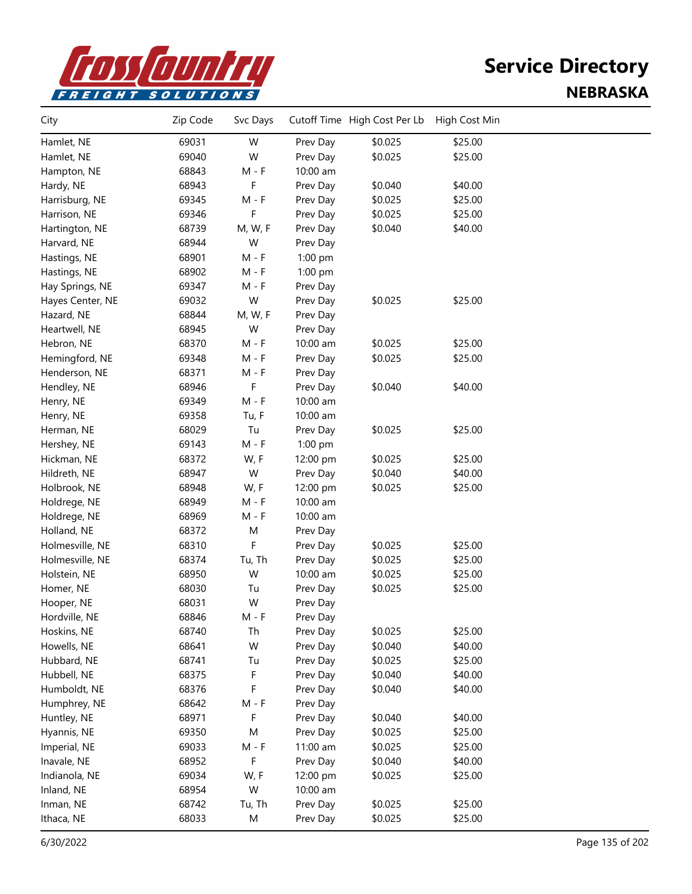

| City             | Zip Code | Svc Days |          | Cutoff Time High Cost Per Lb | High Cost Min |  |
|------------------|----------|----------|----------|------------------------------|---------------|--|
| Hamlet, NE       | 69031    | W        | Prev Day | \$0.025                      | \$25.00       |  |
| Hamlet, NE       | 69040    | W        | Prev Day | \$0.025                      | \$25.00       |  |
| Hampton, NE      | 68843    | $M - F$  | 10:00 am |                              |               |  |
| Hardy, NE        | 68943    | F        | Prev Day | \$0.040                      | \$40.00       |  |
| Harrisburg, NE   | 69345    | $M - F$  | Prev Day | \$0.025                      | \$25.00       |  |
| Harrison, NE     | 69346    | F        | Prev Day | \$0.025                      | \$25.00       |  |
| Hartington, NE   | 68739    | M, W, F  | Prev Day | \$0.040                      | \$40.00       |  |
| Harvard, NE      | 68944    | W        | Prev Day |                              |               |  |
| Hastings, NE     | 68901    | M - F    | 1:00 pm  |                              |               |  |
| Hastings, NE     | 68902    | M - F    | 1:00 pm  |                              |               |  |
| Hay Springs, NE  | 69347    | M - F    | Prev Day |                              |               |  |
| Hayes Center, NE | 69032    | W        | Prev Day | \$0.025                      | \$25.00       |  |
| Hazard, NE       | 68844    | M, W, F  | Prev Day |                              |               |  |
| Heartwell, NE    | 68945    | W        | Prev Day |                              |               |  |
| Hebron, NE       | 68370    | M - F    | 10:00 am | \$0.025                      | \$25.00       |  |
| Hemingford, NE   | 69348    | $M - F$  | Prev Day | \$0.025                      | \$25.00       |  |
| Henderson, NE    | 68371    | M - F    | Prev Day |                              |               |  |
| Hendley, NE      | 68946    | F        | Prev Day | \$0.040                      | \$40.00       |  |
| Henry, NE        | 69349    | $M - F$  | 10:00 am |                              |               |  |
| Henry, NE        | 69358    | Tu, F    | 10:00 am |                              |               |  |
| Herman, NE       | 68029    | Tu       | Prev Day | \$0.025                      | \$25.00       |  |
| Hershey, NE      | 69143    | $M - F$  | 1:00 pm  |                              |               |  |
| Hickman, NE      | 68372    | W, F     | 12:00 pm | \$0.025                      | \$25.00       |  |
| Hildreth, NE     | 68947    | W        | Prev Day | \$0.040                      | \$40.00       |  |
| Holbrook, NE     | 68948    | W, F     | 12:00 pm | \$0.025                      | \$25.00       |  |
| Holdrege, NE     | 68949    | M - F    | 10:00 am |                              |               |  |
| Holdrege, NE     | 68969    | $M - F$  | 10:00 am |                              |               |  |
| Holland, NE      | 68372    | M        | Prev Day |                              |               |  |
| Holmesville, NE  | 68310    | F        | Prev Day | \$0.025                      | \$25.00       |  |
| Holmesville, NE  | 68374    | Tu, Th   | Prev Day | \$0.025                      | \$25.00       |  |
| Holstein, NE     | 68950    | W        | 10:00 am | \$0.025                      | \$25.00       |  |
| Homer, NE        | 68030    | Tu       | Prev Day | \$0.025                      | \$25.00       |  |
| Hooper, NE       | 68031    | W        | Prev Day |                              |               |  |
| Hordville, NE    | 68846    | M - F    | Prev Day |                              |               |  |
| Hoskins, NE      | 68740    | Th       | Prev Day | \$0.025                      | \$25.00       |  |
| Howells, NE      | 68641    | W        | Prev Day | \$0.040                      | \$40.00       |  |
| Hubbard, NE      | 68741    | Tu       | Prev Day | \$0.025                      | \$25.00       |  |
| Hubbell, NE      | 68375    | F        | Prev Day | \$0.040                      | \$40.00       |  |
| Humboldt, NE     | 68376    | F        | Prev Day | \$0.040                      | \$40.00       |  |
| Humphrey, NE     | 68642    | $M - F$  | Prev Day |                              |               |  |
| Huntley, NE      | 68971    | F        | Prev Day | \$0.040                      | \$40.00       |  |
| Hyannis, NE      | 69350    | M        | Prev Day | \$0.025                      | \$25.00       |  |
| Imperial, NE     | 69033    | $M - F$  | 11:00 am | \$0.025                      | \$25.00       |  |
| Inavale, NE      | 68952    | F        | Prev Day | \$0.040                      | \$40.00       |  |
| Indianola, NE    | 69034    | W, F     | 12:00 pm | \$0.025                      | \$25.00       |  |
| Inland, NE       | 68954    | W        | 10:00 am |                              |               |  |
| Inman, NE        | 68742    | Tu, Th   | Prev Day | \$0.025                      | \$25.00       |  |
| Ithaca, NE       | 68033    | M        | Prev Day | \$0.025                      | \$25.00       |  |
|                  |          |          |          |                              |               |  |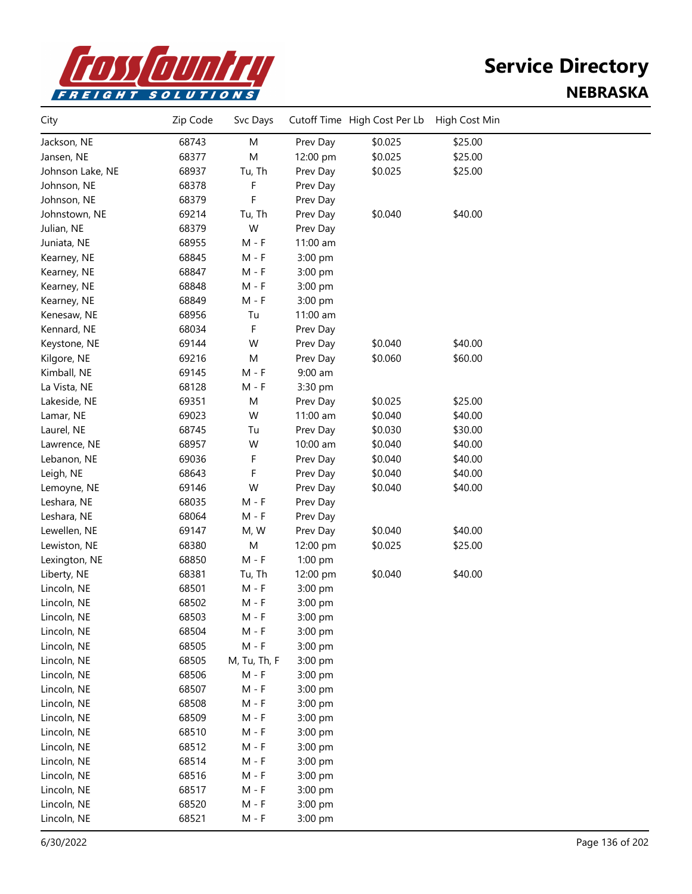

| City             | Zip Code | Svc Days     |           | Cutoff Time High Cost Per Lb | High Cost Min |  |
|------------------|----------|--------------|-----------|------------------------------|---------------|--|
| Jackson, NE      | 68743    | M            | Prev Day  | \$0.025                      | \$25.00       |  |
| Jansen, NE       | 68377    | M            | 12:00 pm  | \$0.025                      | \$25.00       |  |
| Johnson Lake, NE | 68937    | Tu, Th       | Prev Day  | \$0.025                      | \$25.00       |  |
| Johnson, NE      | 68378    | F            | Prev Day  |                              |               |  |
| Johnson, NE      | 68379    | F            | Prev Day  |                              |               |  |
| Johnstown, NE    | 69214    | Tu, Th       | Prev Day  | \$0.040                      | \$40.00       |  |
| Julian, NE       | 68379    | W            | Prev Day  |                              |               |  |
| Juniata, NE      | 68955    | $M - F$      | 11:00 am  |                              |               |  |
| Kearney, NE      | 68845    | $M - F$      | 3:00 pm   |                              |               |  |
| Kearney, NE      | 68847    | $M - F$      | 3:00 pm   |                              |               |  |
| Kearney, NE      | 68848    | M - F        | 3:00 pm   |                              |               |  |
| Kearney, NE      | 68849    | $M - F$      | 3:00 pm   |                              |               |  |
| Kenesaw, NE      | 68956    | Tu           | 11:00 am  |                              |               |  |
| Kennard, NE      | 68034    | F            | Prev Day  |                              |               |  |
| Keystone, NE     | 69144    | W            | Prev Day  | \$0.040                      | \$40.00       |  |
| Kilgore, NE      | 69216    | M            | Prev Day  | \$0.060                      | \$60.00       |  |
| Kimball, NE      | 69145    | $M - F$      | $9:00$ am |                              |               |  |
| La Vista, NE     | 68128    | $M - F$      | 3:30 pm   |                              |               |  |
| Lakeside, NE     | 69351    | M            | Prev Day  | \$0.025                      | \$25.00       |  |
| Lamar, NE        | 69023    | W            | 11:00 am  | \$0.040                      | \$40.00       |  |
| Laurel, NE       | 68745    | Tu           | Prev Day  | \$0.030                      | \$30.00       |  |
| Lawrence, NE     | 68957    | W            | 10:00 am  | \$0.040                      | \$40.00       |  |
| Lebanon, NE      | 69036    | F            | Prev Day  | \$0.040                      | \$40.00       |  |
| Leigh, NE        | 68643    | F            | Prev Day  | \$0.040                      | \$40.00       |  |
| Lemoyne, NE      | 69146    | W            | Prev Day  | \$0.040                      | \$40.00       |  |
| Leshara, NE      | 68035    | $M - F$      | Prev Day  |                              |               |  |
| Leshara, NE      | 68064    | M - F        | Prev Day  |                              |               |  |
| Lewellen, NE     | 69147    | M, W         | Prev Day  | \$0.040                      | \$40.00       |  |
| Lewiston, NE     | 68380    | M            | 12:00 pm  | \$0.025                      | \$25.00       |  |
| Lexington, NE    | 68850    | $M - F$      | 1:00 pm   |                              |               |  |
| Liberty, NE      | 68381    | Tu, Th       | 12:00 pm  | \$0.040                      | \$40.00       |  |
| Lincoln, NE      | 68501    | $M - F$      | 3:00 pm   |                              |               |  |
| Lincoln, NE      | 68502    | $M - F$      | 3:00 pm   |                              |               |  |
| Lincoln, NE      | 68503    | $M - F$      | 3:00 pm   |                              |               |  |
| Lincoln, NE      | 68504    | $M - F$      | 3:00 pm   |                              |               |  |
| Lincoln, NE      | 68505    | $M - F$      | 3:00 pm   |                              |               |  |
| Lincoln, NE      | 68505    | M, Tu, Th, F | 3:00 pm   |                              |               |  |
| Lincoln, NE      | 68506    | $M - F$      | 3:00 pm   |                              |               |  |
| Lincoln, NE      | 68507    | $M - F$      | 3:00 pm   |                              |               |  |
| Lincoln, NE      | 68508    | $M - F$      | 3:00 pm   |                              |               |  |
| Lincoln, NE      | 68509    | $M - F$      | 3:00 pm   |                              |               |  |
| Lincoln, NE      | 68510    | $M - F$      | 3:00 pm   |                              |               |  |
| Lincoln, NE      | 68512    | $M - F$      | 3:00 pm   |                              |               |  |
| Lincoln, NE      | 68514    | $M - F$      | 3:00 pm   |                              |               |  |
| Lincoln, NE      | 68516    | $M - F$      | 3:00 pm   |                              |               |  |
| Lincoln, NE      | 68517    | $M - F$      | 3:00 pm   |                              |               |  |
| Lincoln, NE      | 68520    | $M - F$      | 3:00 pm   |                              |               |  |
| Lincoln, NE      | 68521    | $M - F$      | 3:00 pm   |                              |               |  |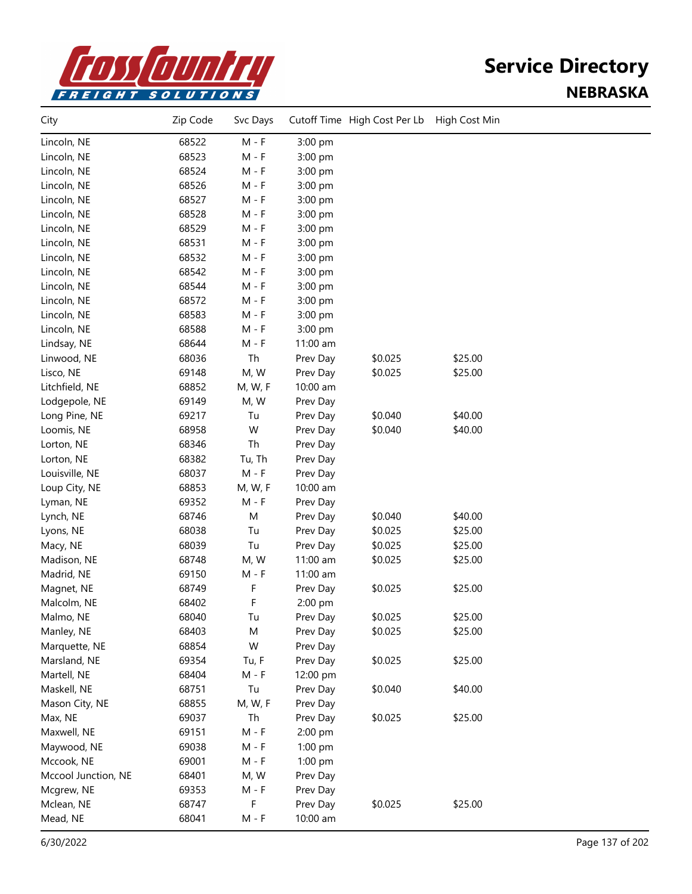

| City                | Zip Code | Svc Days |          | Cutoff Time High Cost Per Lb High Cost Min |         |  |
|---------------------|----------|----------|----------|--------------------------------------------|---------|--|
| Lincoln, NE         | 68522    | $M - F$  | 3:00 pm  |                                            |         |  |
| Lincoln, NE         | 68523    | M - F    | 3:00 pm  |                                            |         |  |
| Lincoln, NE         | 68524    | M - F    | 3:00 pm  |                                            |         |  |
| Lincoln, NE         | 68526    | $M - F$  | 3:00 pm  |                                            |         |  |
| Lincoln, NE         | 68527    | $M - F$  | 3:00 pm  |                                            |         |  |
| Lincoln, NE         | 68528    | M - F    | 3:00 pm  |                                            |         |  |
| Lincoln, NE         | 68529    | M - F    | 3:00 pm  |                                            |         |  |
| Lincoln, NE         | 68531    | $M - F$  | 3:00 pm  |                                            |         |  |
| Lincoln, NE         | 68532    | $M - F$  | 3:00 pm  |                                            |         |  |
| Lincoln, NE         | 68542    | M - F    | 3:00 pm  |                                            |         |  |
| Lincoln, NE         | 68544    | M - F    | 3:00 pm  |                                            |         |  |
| Lincoln, NE         | 68572    | $M - F$  | 3:00 pm  |                                            |         |  |
| Lincoln, NE         | 68583    | $M - F$  | 3:00 pm  |                                            |         |  |
| Lincoln, NE         | 68588    | M - F    | 3:00 pm  |                                            |         |  |
| Lindsay, NE         | 68644    | $M - F$  | 11:00 am |                                            |         |  |
| Linwood, NE         | 68036    | Th       | Prev Day | \$0.025                                    | \$25.00 |  |
| Lisco, NE           | 69148    | M, W     | Prev Day | \$0.025                                    | \$25.00 |  |
| Litchfield, NE      | 68852    | M, W, F  | 10:00 am |                                            |         |  |
| Lodgepole, NE       | 69149    | M, W     | Prev Day |                                            |         |  |
| Long Pine, NE       | 69217    | Tu       | Prev Day | \$0.040                                    | \$40.00 |  |
| Loomis, NE          | 68958    | W        | Prev Day | \$0.040                                    | \$40.00 |  |
| Lorton, NE          | 68346    | Th       | Prev Day |                                            |         |  |
| Lorton, NE          | 68382    | Tu, Th   | Prev Day |                                            |         |  |
| Louisville, NE      | 68037    | $M - F$  | Prev Day |                                            |         |  |
| Loup City, NE       | 68853    | M, W, F  | 10:00 am |                                            |         |  |
| Lyman, NE           | 69352    | M - F    | Prev Day |                                            |         |  |
| Lynch, NE           | 68746    | M        | Prev Day | \$0.040                                    | \$40.00 |  |
| Lyons, NE           | 68038    | Tu       | Prev Day | \$0.025                                    | \$25.00 |  |
| Macy, NE            | 68039    | Tu       | Prev Day | \$0.025                                    | \$25.00 |  |
| Madison, NE         | 68748    | M, W     | 11:00 am | \$0.025                                    | \$25.00 |  |
| Madrid, NE          | 69150    | $M - F$  | 11:00 am |                                            |         |  |
| Magnet, NE          | 68749    | F        | Prev Day | \$0.025                                    | \$25.00 |  |
| Malcolm, NE         | 68402    | F        | 2:00 pm  |                                            |         |  |
| Malmo, NE           | 68040    | Tu       | Prev Day | \$0.025                                    | \$25.00 |  |
| Manley, NE          | 68403    | М        | Prev Day | \$0.025                                    | \$25.00 |  |
| Marquette, NE       | 68854    | W        | Prev Day |                                            |         |  |
| Marsland, NE        | 69354    | Tu, F    | Prev Day | \$0.025                                    | \$25.00 |  |
| Martell, NE         | 68404    | $M - F$  | 12:00 pm |                                            |         |  |
| Maskell, NE         | 68751    | Tu       | Prev Day | \$0.040                                    | \$40.00 |  |
| Mason City, NE      | 68855    | M, W, F  | Prev Day |                                            |         |  |
| Max, NE             | 69037    | Th       | Prev Day | \$0.025                                    | \$25.00 |  |
| Maxwell, NE         | 69151    | $M - F$  | 2:00 pm  |                                            |         |  |
| Maywood, NE         | 69038    | M - F    | 1:00 pm  |                                            |         |  |
| Mccook, NE          | 69001    | $M - F$  | 1:00 pm  |                                            |         |  |
| Mccool Junction, NE | 68401    | M, W     | Prev Day |                                            |         |  |
| Mcgrew, NE          | 69353    | $M - F$  | Prev Day |                                            |         |  |
| Mclean, NE          | 68747    | F        | Prev Day | \$0.025                                    | \$25.00 |  |
| Mead, NE            | 68041    | $M - F$  | 10:00 am |                                            |         |  |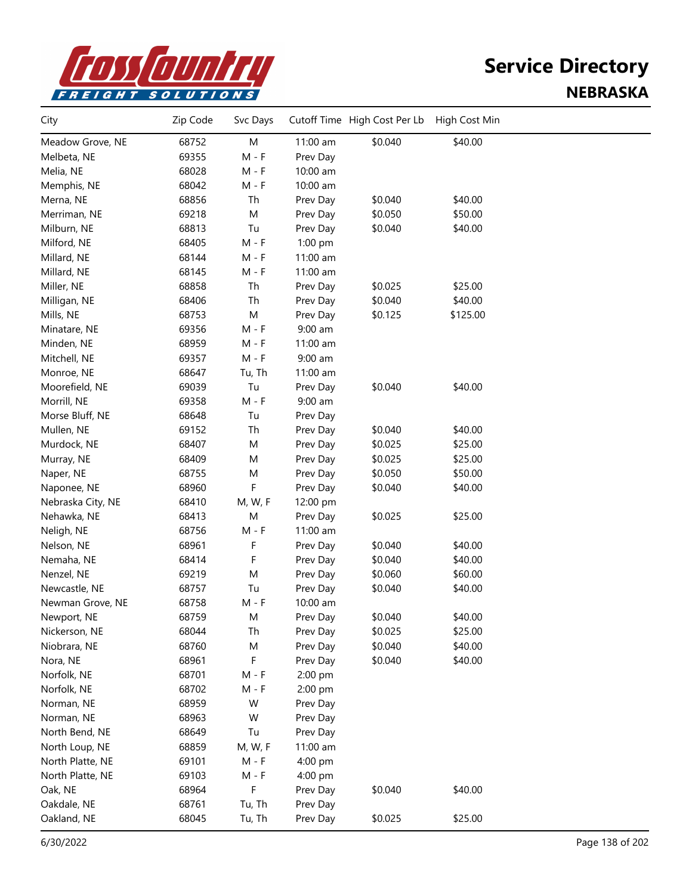

| City                         | Zip Code | Svc Days |           | Cutoff Time High Cost Per Lb | High Cost Min |  |
|------------------------------|----------|----------|-----------|------------------------------|---------------|--|
| Meadow Grove, NE             | 68752    | M        | 11:00 am  | \$0.040                      | \$40.00       |  |
| Melbeta, NE                  | 69355    | $M - F$  | Prev Day  |                              |               |  |
| Melia, NE                    | 68028    | $M - F$  | 10:00 am  |                              |               |  |
| Memphis, NE                  | 68042    | $M - F$  | 10:00 am  |                              |               |  |
| Merna, NE                    | 68856    | Th       | Prev Day  | \$0.040                      | \$40.00       |  |
| Merriman, NE                 | 69218    | M        | Prev Day  | \$0.050                      | \$50.00       |  |
| Milburn, NE                  | 68813    | Tu       | Prev Day  | \$0.040                      | \$40.00       |  |
| Milford, NE                  | 68405    | M - F    | 1:00 pm   |                              |               |  |
| Millard, NE                  | 68144    | M - F    | 11:00 am  |                              |               |  |
| Millard, NE                  | 68145    | M - F    | 11:00 am  |                              |               |  |
| Miller, NE                   | 68858    | Th       | Prev Day  | \$0.025                      | \$25.00       |  |
| Milligan, NE                 | 68406    | Th       | Prev Day  | \$0.040                      | \$40.00       |  |
| Mills, NE                    | 68753    | M        | Prev Day  | \$0.125                      | \$125.00      |  |
| Minatare, NE                 | 69356    | $M - F$  | 9:00 am   |                              |               |  |
| Minden, NE                   | 68959    | $M - F$  | 11:00 am  |                              |               |  |
| Mitchell, NE                 | 69357    | M - F    | $9:00$ am |                              |               |  |
| Monroe, NE                   | 68647    | Tu, Th   | 11:00 am  |                              |               |  |
| Moorefield, NE               | 69039    | Tu       | Prev Day  | \$0.040                      | \$40.00       |  |
| Morrill, NE                  | 69358    | $M - F$  | 9:00 am   |                              |               |  |
| Morse Bluff, NE              | 68648    | Tu       | Prev Day  |                              |               |  |
| Mullen, NE                   | 69152    | Th       | Prev Day  | \$0.040                      | \$40.00       |  |
| Murdock, NE                  | 68407    | M        | Prev Day  | \$0.025                      | \$25.00       |  |
| Murray, NE                   | 68409    | M        | Prev Day  | \$0.025                      | \$25.00       |  |
| Naper, NE                    | 68755    | M        | Prev Day  | \$0.050                      | \$50.00       |  |
| Naponee, NE                  | 68960    | F        | Prev Day  | \$0.040                      | \$40.00       |  |
| Nebraska City, NE            | 68410    | M, W, F  | 12:00 pm  |                              |               |  |
| Nehawka, NE                  | 68413    | M        | Prev Day  | \$0.025                      | \$25.00       |  |
| Neligh, NE                   | 68756    | $M - F$  | 11:00 am  |                              |               |  |
| Nelson, NE                   | 68961    | F        | Prev Day  | \$0.040                      | \$40.00       |  |
| Nemaha, NE                   | 68414    | F        | Prev Day  | \$0.040                      | \$40.00       |  |
| Nenzel, NE                   | 69219    | M        | Prev Day  | \$0.060                      | \$60.00       |  |
| Newcastle, NE                | 68757    | Tu       | Prev Day  | \$0.040                      | \$40.00       |  |
| Newman Grove, NE             | 68758    | $M - F$  | 10:00 am  |                              |               |  |
| Newport, NE                  | 68759    | M        | Prev Day  | \$0.040                      | \$40.00       |  |
| Nickerson, NE                | 68044    | Th       | Prev Day  | \$0.025                      | \$25.00       |  |
| Niobrara, NE                 | 68760    | M        | Prev Day  | \$0.040                      | \$40.00       |  |
| Nora, NE                     | 68961    | F        | Prev Day  | \$0.040                      | \$40.00       |  |
| Norfolk, NE                  | 68701    | $M - F$  | 2:00 pm   |                              |               |  |
| Norfolk, NE                  | 68702    | $M - F$  | 2:00 pm   |                              |               |  |
| Norman, NE                   | 68959    | W        |           |                              |               |  |
|                              | 68963    |          | Prev Day  |                              |               |  |
| Norman, NE<br>North Bend, NE | 68649    | W        | Prev Day  |                              |               |  |
|                              |          | Tu       | Prev Day  |                              |               |  |
| North Loup, NE               | 68859    | M, W, F  | 11:00 am  |                              |               |  |
| North Platte, NE             | 69101    | $M - F$  | 4:00 pm   |                              |               |  |
| North Platte, NE             | 69103    | $M - F$  | 4:00 pm   |                              |               |  |
| Oak, NE                      | 68964    | F        | Prev Day  | \$0.040                      | \$40.00       |  |
| Oakdale, NE                  | 68761    | Tu, Th   | Prev Day  |                              |               |  |
| Oakland, NE                  | 68045    | Tu, Th   | Prev Day  | \$0.025                      | \$25.00       |  |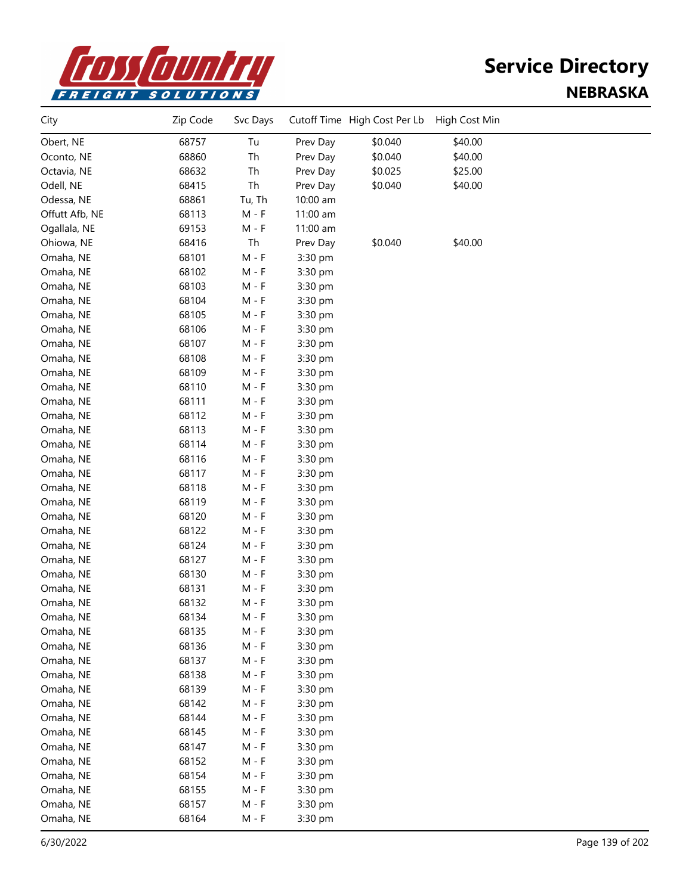

| City           | Zip Code | Svc Days                    |          | Cutoff Time High Cost Per Lb | High Cost Min |  |
|----------------|----------|-----------------------------|----------|------------------------------|---------------|--|
| Obert, NE      | 68757    | Tu                          | Prev Day | \$0.040                      | \$40.00       |  |
| Oconto, NE     | 68860    | Th                          | Prev Day | \$0.040                      | \$40.00       |  |
| Octavia, NE    | 68632    | Th                          | Prev Day | \$0.025                      | \$25.00       |  |
| Odell, NE      | 68415    | Th                          | Prev Day | \$0.040                      | \$40.00       |  |
| Odessa, NE     | 68861    | Tu, Th                      | 10:00 am |                              |               |  |
| Offutt Afb, NE | 68113    | $M - F$                     | 11:00 am |                              |               |  |
| Ogallala, NE   | 69153    | $M - F$                     | 11:00 am |                              |               |  |
| Ohiowa, NE     | 68416    | Th                          | Prev Day | \$0.040                      | \$40.00       |  |
| Omaha, NE      | 68101    | $M - F$                     | 3:30 pm  |                              |               |  |
| Omaha, NE      | 68102    | $M - F$                     | 3:30 pm  |                              |               |  |
| Omaha, NE      | 68103    | $M - F$                     | 3:30 pm  |                              |               |  |
| Omaha, NE      | 68104    | $M - F$                     | 3:30 pm  |                              |               |  |
| Omaha, NE      | 68105    | $M - F$                     | 3:30 pm  |                              |               |  |
| Omaha, NE      | 68106    | $M - F$                     | 3:30 pm  |                              |               |  |
| Omaha, NE      | 68107    | $M - F$                     | 3:30 pm  |                              |               |  |
| Omaha, NE      | 68108    | $M - F$                     | 3:30 pm  |                              |               |  |
| Omaha, NE      | 68109    | M - F                       | 3:30 pm  |                              |               |  |
| Omaha, NE      | 68110    | M - F                       | 3:30 pm  |                              |               |  |
| Omaha, NE      | 68111    | $M - F$                     | 3:30 pm  |                              |               |  |
| Omaha, NE      | 68112    | $M - F$                     | 3:30 pm  |                              |               |  |
| Omaha, NE      | 68113    | $M - F$                     | 3:30 pm  |                              |               |  |
| Omaha, NE      | 68114    | $M - F$                     | 3:30 pm  |                              |               |  |
| Omaha, NE      | 68116    | $M - F$                     | 3:30 pm  |                              |               |  |
| Omaha, NE      | 68117    | $M - F$                     | 3:30 pm  |                              |               |  |
| Omaha, NE      | 68118    | $M - F$                     | 3:30 pm  |                              |               |  |
| Omaha, NE      | 68119    | $M - F$                     | 3:30 pm  |                              |               |  |
| Omaha, NE      | 68120    | $M - F$                     | 3:30 pm  |                              |               |  |
| Omaha, NE      | 68122    | $M - F$                     | 3:30 pm  |                              |               |  |
| Omaha, NE      | 68124    | $M - F$                     | 3:30 pm  |                              |               |  |
| Omaha, NE      | 68127    | $M - F$                     | 3:30 pm  |                              |               |  |
| Omaha, NE      | 68130    | $M - F$                     | 3:30 pm  |                              |               |  |
| Omaha, NE      | 68131    | $M - F$                     | 3:30 pm  |                              |               |  |
| Omaha, NE      | 68132    | $M - F$                     | 3:30 pm  |                              |               |  |
| Omaha, NE      | 68134    | M - F                       | 3:30 pm  |                              |               |  |
| Omaha, NE      | 68135    | $\mathsf{M}$ - $\mathsf{F}$ | 3:30 pm  |                              |               |  |
| Omaha, NE      | 68136    | $M - F$                     | 3:30 pm  |                              |               |  |
| Omaha, NE      | 68137    | $M - F$                     | 3:30 pm  |                              |               |  |
| Omaha, NE      | 68138    | $M - F$                     | 3:30 pm  |                              |               |  |
| Omaha, NE      | 68139    | $M - F$                     | 3:30 pm  |                              |               |  |
| Omaha, NE      | 68142    | $M - F$                     | 3:30 pm  |                              |               |  |
| Omaha, NE      | 68144    | $M - F$                     | 3:30 pm  |                              |               |  |
| Omaha, NE      | 68145    | $M - F$                     | 3:30 pm  |                              |               |  |
| Omaha, NE      | 68147    | $M - F$                     | 3:30 pm  |                              |               |  |
| Omaha, NE      | 68152    | $M - F$                     | 3:30 pm  |                              |               |  |
| Omaha, NE      | 68154    | $M - F$                     | 3:30 pm  |                              |               |  |
| Omaha, NE      | 68155    | $M - F$                     | 3:30 pm  |                              |               |  |
| Omaha, NE      | 68157    | $M - F$                     | 3:30 pm  |                              |               |  |
| Omaha, NE      | 68164    | $M - F$                     | 3:30 pm  |                              |               |  |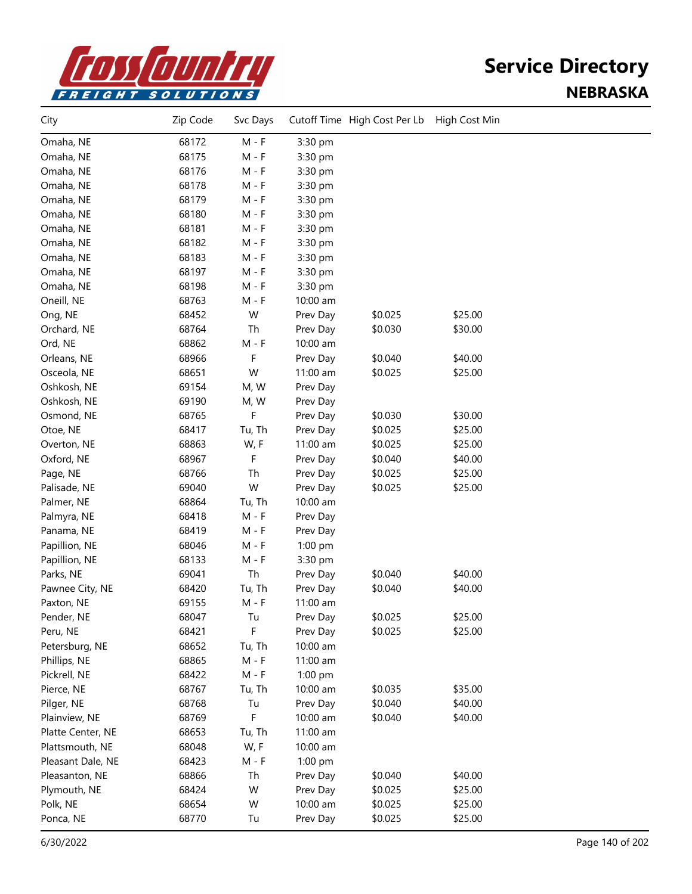

| City              | Zip Code | Svc Days |          | Cutoff Time High Cost Per Lb | High Cost Min |  |
|-------------------|----------|----------|----------|------------------------------|---------------|--|
| Omaha, NE         | 68172    | $M - F$  | 3:30 pm  |                              |               |  |
| Omaha, NE         | 68175    | $M - F$  | 3:30 pm  |                              |               |  |
| Omaha, NE         | 68176    | M - F    | 3:30 pm  |                              |               |  |
| Omaha, NE         | 68178    | $M - F$  | 3:30 pm  |                              |               |  |
| Omaha, NE         | 68179    | $M - F$  | 3:30 pm  |                              |               |  |
| Omaha, NE         | 68180    | $M - F$  | 3:30 pm  |                              |               |  |
| Omaha, NE         | 68181    | $M - F$  | 3:30 pm  |                              |               |  |
| Omaha, NE         | 68182    | $M - F$  | 3:30 pm  |                              |               |  |
| Omaha, NE         | 68183    | $M - F$  | 3:30 pm  |                              |               |  |
| Omaha, NE         | 68197    | $M - F$  | 3:30 pm  |                              |               |  |
| Omaha, NE         | 68198    | M - F    | 3:30 pm  |                              |               |  |
| Oneill, NE        | 68763    | M - F    | 10:00 am |                              |               |  |
| Ong, NE           | 68452    | W        | Prev Day | \$0.025                      | \$25.00       |  |
| Orchard, NE       | 68764    | Th       | Prev Day | \$0.030                      | \$30.00       |  |
| Ord, NE           | 68862    | $M - F$  | 10:00 am |                              |               |  |
| Orleans, NE       | 68966    | F        | Prev Day | \$0.040                      | \$40.00       |  |
| Osceola, NE       | 68651    | W        | 11:00 am | \$0.025                      | \$25.00       |  |
| Oshkosh, NE       | 69154    | M, W     | Prev Day |                              |               |  |
| Oshkosh, NE       | 69190    | M, W     | Prev Day |                              |               |  |
| Osmond, NE        | 68765    | F        | Prev Day | \$0.030                      | \$30.00       |  |
| Otoe, NE          | 68417    | Tu, Th   | Prev Day | \$0.025                      | \$25.00       |  |
| Overton, NE       | 68863    | W, F     | 11:00 am | \$0.025                      | \$25.00       |  |
| Oxford, NE        | 68967    | F        | Prev Day | \$0.040                      | \$40.00       |  |
| Page, NE          | 68766    | Th       | Prev Day | \$0.025                      | \$25.00       |  |
| Palisade, NE      | 69040    | W        | Prev Day | \$0.025                      | \$25.00       |  |
| Palmer, NE        | 68864    | Tu, Th   | 10:00 am |                              |               |  |
| Palmyra, NE       | 68418    | $M - F$  | Prev Day |                              |               |  |
| Panama, NE        | 68419    | $M - F$  | Prev Day |                              |               |  |
| Papillion, NE     | 68046    | M - F    | 1:00 pm  |                              |               |  |
| Papillion, NE     | 68133    | $M - F$  | 3:30 pm  |                              |               |  |
| Parks, NE         | 69041    | Th       | Prev Day | \$0.040                      | \$40.00       |  |
| Pawnee City, NE   | 68420    | Tu, Th   | Prev Day | \$0.040                      | \$40.00       |  |
| Paxton, NE        | 69155    | $M - F$  | 11:00 am |                              |               |  |
| Pender, NE        | 68047    | Tu       | Prev Day | \$0.025                      | \$25.00       |  |
| Peru, NE          | 68421    | F        | Prev Day | \$0.025                      | \$25.00       |  |
| Petersburg, NE    | 68652    | Tu, Th   | 10:00 am |                              |               |  |
| Phillips, NE      | 68865    | $M - F$  | 11:00 am |                              |               |  |
| Pickrell, NE      | 68422    | $M - F$  | 1:00 pm  |                              |               |  |
| Pierce, NE        | 68767    | Tu, Th   | 10:00 am | \$0.035                      | \$35.00       |  |
| Pilger, NE        | 68768    | Tu       | Prev Day | \$0.040                      | \$40.00       |  |
| Plainview, NE     | 68769    | F        | 10:00 am | \$0.040                      | \$40.00       |  |
| Platte Center, NE | 68653    | Tu, Th   | 11:00 am |                              |               |  |
| Plattsmouth, NE   | 68048    | W, F     | 10:00 am |                              |               |  |
| Pleasant Dale, NE | 68423    | $M - F$  | 1:00 pm  |                              |               |  |
| Pleasanton, NE    | 68866    | Th       | Prev Day | \$0.040                      | \$40.00       |  |
| Plymouth, NE      | 68424    | W        | Prev Day | \$0.025                      | \$25.00       |  |
| Polk, NE          | 68654    | W        | 10:00 am | \$0.025                      | \$25.00       |  |
| Ponca, NE         | 68770    | Tu       | Prev Day | \$0.025                      | \$25.00       |  |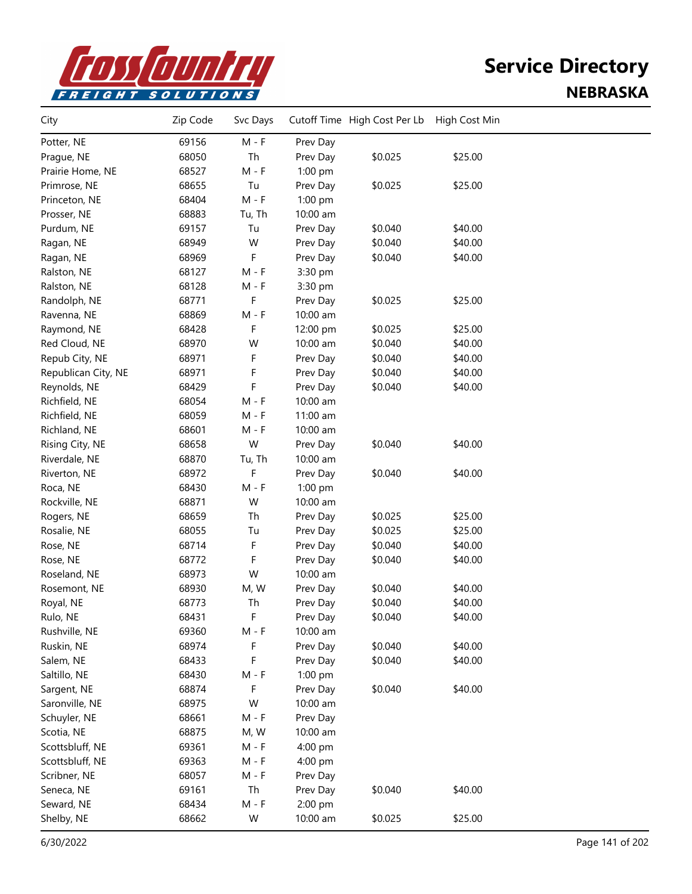

| City                | Zip Code | Svc Days |           | Cutoff Time High Cost Per Lb | High Cost Min |  |
|---------------------|----------|----------|-----------|------------------------------|---------------|--|
| Potter, NE          | 69156    | $M - F$  | Prev Day  |                              |               |  |
| Prague, NE          | 68050    | Th       | Prev Day  | \$0.025                      | \$25.00       |  |
| Prairie Home, NE    | 68527    | $M - F$  | 1:00 pm   |                              |               |  |
| Primrose, NE        | 68655    | Tu       | Prev Day  | \$0.025                      | \$25.00       |  |
| Princeton, NE       | 68404    | $M - F$  | 1:00 pm   |                              |               |  |
| Prosser, NE         | 68883    | Tu, Th   | 10:00 am  |                              |               |  |
| Purdum, NE          | 69157    | Tu       | Prev Day  | \$0.040                      | \$40.00       |  |
| Ragan, NE           | 68949    | W        | Prev Day  | \$0.040                      | \$40.00       |  |
| Ragan, NE           | 68969    | F        | Prev Day  | \$0.040                      | \$40.00       |  |
| Ralston, NE         | 68127    | $M - F$  | 3:30 pm   |                              |               |  |
| Ralston, NE         | 68128    | M - F    | 3:30 pm   |                              |               |  |
| Randolph, NE        | 68771    | F        | Prev Day  | \$0.025                      | \$25.00       |  |
| Ravenna, NE         | 68869    | M - F    | 10:00 am  |                              |               |  |
| Raymond, NE         | 68428    | F        | 12:00 pm  | \$0.025                      | \$25.00       |  |
| Red Cloud, NE       | 68970    | W        | 10:00 am  | \$0.040                      | \$40.00       |  |
| Repub City, NE      | 68971    | F        | Prev Day  | \$0.040                      | \$40.00       |  |
| Republican City, NE | 68971    | F        | Prev Day  | \$0.040                      | \$40.00       |  |
| Reynolds, NE        | 68429    | F        | Prev Day  | \$0.040                      | \$40.00       |  |
| Richfield, NE       | 68054    | $M - F$  | 10:00 am  |                              |               |  |
| Richfield, NE       | 68059    | $M - F$  | 11:00 am  |                              |               |  |
| Richland, NE        | 68601    | $M - F$  | 10:00 am  |                              |               |  |
| Rising City, NE     | 68658    | W        | Prev Day  | \$0.040                      | \$40.00       |  |
| Riverdale, NE       | 68870    | Tu, Th   | 10:00 am  |                              |               |  |
| Riverton, NE        | 68972    | F        | Prev Day  | \$0.040                      | \$40.00       |  |
| Roca, NE            | 68430    | $M - F$  | 1:00 pm   |                              |               |  |
| Rockville, NE       | 68871    | W        | 10:00 am  |                              |               |  |
| Rogers, NE          | 68659    | Th       | Prev Day  | \$0.025                      | \$25.00       |  |
| Rosalie, NE         | 68055    | Tu       | Prev Day  | \$0.025                      | \$25.00       |  |
| Rose, NE            | 68714    | F        | Prev Day  | \$0.040                      | \$40.00       |  |
| Rose, NE            | 68772    | F        | Prev Day  | \$0.040                      | \$40.00       |  |
| Roseland, NE        | 68973    | W        | 10:00 am  |                              |               |  |
| Rosemont, NE        | 68930    | M, W     | Prev Day  | \$0.040                      | \$40.00       |  |
| Royal, NE           | 68773    | Th       | Prev Day  | \$0.040                      | \$40.00       |  |
| Rulo, NE            | 68431    | F        | Prev Day  | \$0.040                      | \$40.00       |  |
| Rushville, NE       | 69360    | M - F    | 10:00 am  |                              |               |  |
| Ruskin, NE          | 68974    | F        | Prev Day  | \$0.040                      | \$40.00       |  |
| Salem, NE           | 68433    | F        | Prev Day  | \$0.040                      | \$40.00       |  |
| Saltillo, NE        | 68430    | M - F    | $1:00$ pm |                              |               |  |
| Sargent, NE         | 68874    | F        | Prev Day  | \$0.040                      | \$40.00       |  |
| Saronville, NE      | 68975    | W        | 10:00 am  |                              |               |  |
| Schuyler, NE        | 68661    | M - F    | Prev Day  |                              |               |  |
| Scotia, NE          | 68875    | M, W     | 10:00 am  |                              |               |  |
| Scottsbluff, NE     | 69361    | $M - F$  | 4:00 pm   |                              |               |  |
| Scottsbluff, NE     | 69363    | M - F    | 4:00 pm   |                              |               |  |
| Scribner, NE        | 68057    | M - F    | Prev Day  |                              |               |  |
| Seneca, NE          | 69161    | Th       | Prev Day  | \$0.040                      | \$40.00       |  |
| Seward, NE          | 68434    | $M - F$  | 2:00 pm   |                              |               |  |
| Shelby, NE          | 68662    | W        | 10:00 am  | \$0.025                      | \$25.00       |  |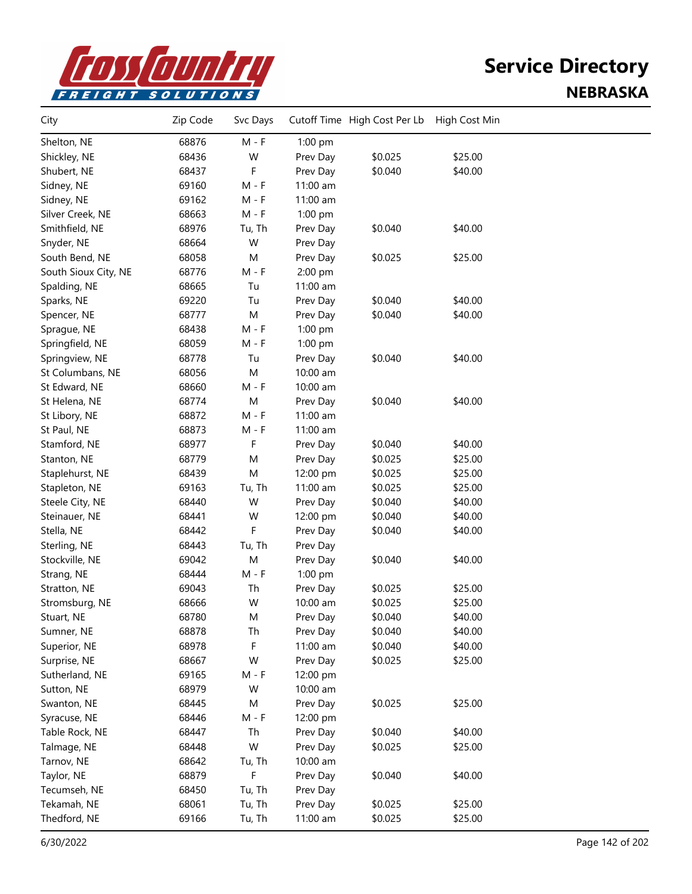

| City                 | Zip Code | Svc Days  |           | Cutoff Time High Cost Per Lb | High Cost Min |  |
|----------------------|----------|-----------|-----------|------------------------------|---------------|--|
| Shelton, NE          | 68876    | $M - F$   | 1:00 pm   |                              |               |  |
| Shickley, NE         | 68436    | W         | Prev Day  | \$0.025                      | \$25.00       |  |
| Shubert, NE          | 68437    | F         | Prev Day  | \$0.040                      | \$40.00       |  |
| Sidney, NE           | 69160    | $M - F$   | 11:00 am  |                              |               |  |
| Sidney, NE           | 69162    | $M - F$   | 11:00 am  |                              |               |  |
| Silver Creek, NE     | 68663    | $M - F$   | $1:00$ pm |                              |               |  |
| Smithfield, NE       | 68976    | Tu, Th    | Prev Day  | \$0.040                      | \$40.00       |  |
| Snyder, NE           | 68664    | W         | Prev Day  |                              |               |  |
| South Bend, NE       | 68058    | M         | Prev Day  | \$0.025                      | \$25.00       |  |
| South Sioux City, NE | 68776    | $M - F$   | 2:00 pm   |                              |               |  |
| Spalding, NE         | 68665    | Tu        | 11:00 am  |                              |               |  |
| Sparks, NE           | 69220    | Tu        | Prev Day  | \$0.040                      | \$40.00       |  |
| Spencer, NE          | 68777    | M         | Prev Day  | \$0.040                      | \$40.00       |  |
| Sprague, NE          | 68438    | $M - F$   | 1:00 pm   |                              |               |  |
| Springfield, NE      | 68059    | $M - F$   | 1:00 pm   |                              |               |  |
| Springview, NE       | 68778    | Tu        | Prev Day  | \$0.040                      | \$40.00       |  |
| St Columbans, NE     | 68056    | M         | 10:00 am  |                              |               |  |
| St Edward, NE        | 68660    | $M - F$   | 10:00 am  |                              |               |  |
| St Helena, NE        | 68774    | ${\sf M}$ | Prev Day  | \$0.040                      | \$40.00       |  |
| St Libory, NE        | 68872    | $M - F$   | 11:00 am  |                              |               |  |
| St Paul, NE          | 68873    | $M - F$   | 11:00 am  |                              |               |  |
| Stamford, NE         | 68977    | F         | Prev Day  | \$0.040                      | \$40.00       |  |
| Stanton, NE          | 68779    | M         | Prev Day  | \$0.025                      | \$25.00       |  |
| Staplehurst, NE      | 68439    | M         | 12:00 pm  | \$0.025                      | \$25.00       |  |
| Stapleton, NE        | 69163    | Tu, Th    | 11:00 am  | \$0.025                      | \$25.00       |  |
| Steele City, NE      | 68440    | W         | Prev Day  | \$0.040                      | \$40.00       |  |
| Steinauer, NE        | 68441    | W         | 12:00 pm  | \$0.040                      | \$40.00       |  |
| Stella, NE           | 68442    | F         | Prev Day  | \$0.040                      | \$40.00       |  |
| Sterling, NE         | 68443    | Tu, Th    | Prev Day  |                              |               |  |
| Stockville, NE       | 69042    | ${\sf M}$ | Prev Day  | \$0.040                      | \$40.00       |  |
| Strang, NE           | 68444    | $M - F$   | 1:00 pm   |                              |               |  |
| Stratton, NE         | 69043    | Th        | Prev Day  | \$0.025                      | \$25.00       |  |
| Stromsburg, NE       | 68666    | W         | 10:00 am  | \$0.025                      | \$25.00       |  |
| Stuart, NE           | 68780    | M         | Prev Day  | \$0.040                      | \$40.00       |  |
| Sumner, NE           | 68878    | Th        | Prev Day  | \$0.040                      | \$40.00       |  |
| Superior, NE         | 68978    | F         | 11:00 am  | \$0.040                      | \$40.00       |  |
| Surprise, NE         | 68667    | W         | Prev Day  | \$0.025                      | \$25.00       |  |
| Sutherland, NE       | 69165    | $M - F$   | 12:00 pm  |                              |               |  |
| Sutton, NE           | 68979    | W         | 10:00 am  |                              |               |  |
| Swanton, NE          | 68445    | M         | Prev Day  | \$0.025                      | \$25.00       |  |
| Syracuse, NE         | 68446    | $M - F$   | 12:00 pm  |                              |               |  |
| Table Rock, NE       | 68447    | Th        | Prev Day  | \$0.040                      | \$40.00       |  |
| Talmage, NE          | 68448    | W         | Prev Day  | \$0.025                      | \$25.00       |  |
| Tarnov, NE           | 68642    | Tu, Th    | 10:00 am  |                              |               |  |
| Taylor, NE           | 68879    | F         | Prev Day  | \$0.040                      | \$40.00       |  |
| Tecumseh, NE         | 68450    | Tu, Th    | Prev Day  |                              |               |  |
| Tekamah, NE          | 68061    | Tu, Th    | Prev Day  | \$0.025                      | \$25.00       |  |
| Thedford, NE         | 69166    | Tu, Th    | 11:00 am  | \$0.025                      | \$25.00       |  |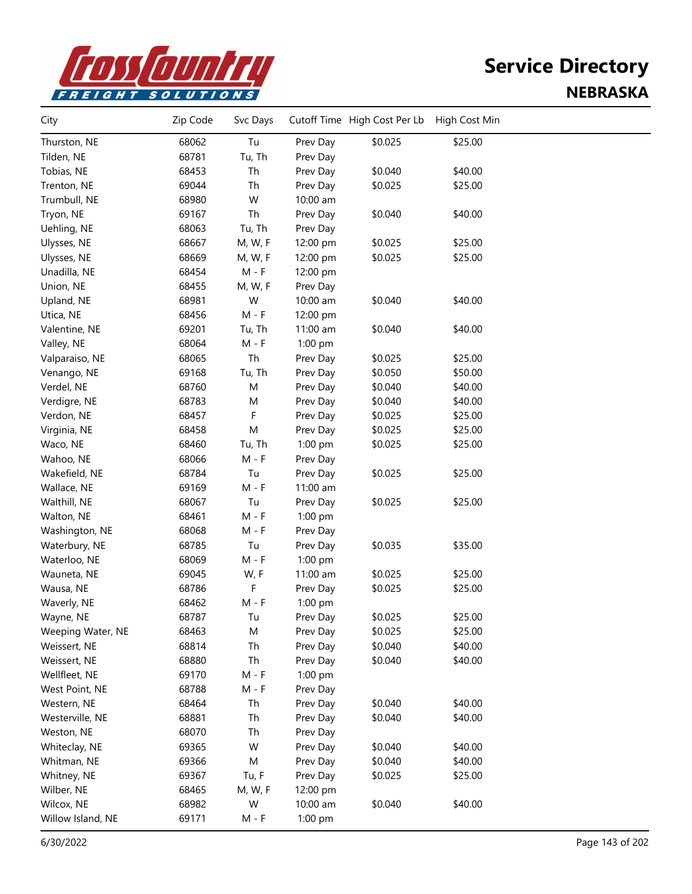

| City              | Zip Code | Svc Days                    |          | Cutoff Time High Cost Per Lb | High Cost Min |  |
|-------------------|----------|-----------------------------|----------|------------------------------|---------------|--|
| Thurston, NE      | 68062    | Tu                          | Prev Day | \$0.025                      | \$25.00       |  |
| Tilden, NE        | 68781    | Tu, Th                      | Prev Day |                              |               |  |
| Tobias, NE        | 68453    | Th                          | Prev Day | \$0.040                      | \$40.00       |  |
| Trenton, NE       | 69044    | Th                          | Prev Day | \$0.025                      | \$25.00       |  |
| Trumbull, NE      | 68980    | W                           | 10:00 am |                              |               |  |
| Tryon, NE         | 69167    | Th                          | Prev Day | \$0.040                      | \$40.00       |  |
| Uehling, NE       | 68063    | Tu, Th                      | Prev Day |                              |               |  |
| Ulysses, NE       | 68667    | M, W, F                     | 12:00 pm | \$0.025                      | \$25.00       |  |
| Ulysses, NE       | 68669    | M, W, F                     | 12:00 pm | \$0.025                      | \$25.00       |  |
| Unadilla, NE      | 68454    | $M - F$                     | 12:00 pm |                              |               |  |
| Union, NE         | 68455    | M, W, F                     | Prev Day |                              |               |  |
| Upland, NE        | 68981    | W                           | 10:00 am | \$0.040                      | \$40.00       |  |
| Utica, NE         | 68456    | $M - F$                     | 12:00 pm |                              |               |  |
| Valentine, NE     | 69201    | Tu, Th                      | 11:00 am | \$0.040                      | \$40.00       |  |
| Valley, NE        | 68064    | $M - F$                     | 1:00 pm  |                              |               |  |
| Valparaiso, NE    | 68065    | Th                          | Prev Day | \$0.025                      | \$25.00       |  |
| Venango, NE       | 69168    | Tu, Th                      | Prev Day | \$0.050                      | \$50.00       |  |
| Verdel, NE        | 68760    | M                           | Prev Day | \$0.040                      | \$40.00       |  |
| Verdigre, NE      | 68783    | M                           | Prev Day | \$0.040                      | \$40.00       |  |
| Verdon, NE        | 68457    | F                           | Prev Day | \$0.025                      | \$25.00       |  |
| Virginia, NE      | 68458    | M                           | Prev Day | \$0.025                      | \$25.00       |  |
| Waco, NE          | 68460    | Tu, Th                      | 1:00 pm  | \$0.025                      | \$25.00       |  |
| Wahoo, NE         | 68066    | $M - F$                     | Prev Day |                              |               |  |
| Wakefield, NE     | 68784    | Tu                          | Prev Day | \$0.025                      | \$25.00       |  |
| Wallace, NE       | 69169    | $M - F$                     | 11:00 am |                              |               |  |
| Walthill, NE      | 68067    | Tu                          | Prev Day | \$0.025                      | \$25.00       |  |
| Walton, NE        | 68461    | $M - F$                     | 1:00 pm  |                              |               |  |
| Washington, NE    | 68068    | $M - F$                     | Prev Day |                              |               |  |
| Waterbury, NE     | 68785    | Tu                          | Prev Day | \$0.035                      | \$35.00       |  |
| Waterloo, NE      | 68069    | $\mathsf{M}$ - $\mathsf{F}$ | 1:00 pm  |                              |               |  |
| Wauneta, NE       | 69045    | W, F                        | 11:00 am | \$0.025                      | \$25.00       |  |
| Wausa, NE         | 68786    | F                           | Prev Day | \$0.025                      | \$25.00       |  |
| Waverly, NE       | 68462    | $M - F$                     | 1:00 pm  |                              |               |  |
| Wayne, NE         | 68787    | Tu                          | Prev Day | \$0.025                      | \$25.00       |  |
| Weeping Water, NE | 68463    | М                           | Prev Day | \$0.025                      | \$25.00       |  |
| Weissert, NE      | 68814    | Th                          | Prev Day | \$0.040                      | \$40.00       |  |
| Weissert, NE      | 68880    | Th                          | Prev Day | \$0.040                      | \$40.00       |  |
| Wellfleet, NE     | 69170    | $M - F$                     | 1:00 pm  |                              |               |  |
| West Point, NE    | 68788    | $M - F$                     | Prev Day |                              |               |  |
| Western, NE       | 68464    | Th                          | Prev Day | \$0.040                      | \$40.00       |  |
| Westerville, NE   | 68881    | Th                          | Prev Day | \$0.040                      | \$40.00       |  |
| Weston, NE        | 68070    | Th                          | Prev Day |                              |               |  |
| Whiteclay, NE     | 69365    | W                           | Prev Day | \$0.040                      | \$40.00       |  |
| Whitman, NE       | 69366    | М                           | Prev Day | \$0.040                      | \$40.00       |  |
| Whitney, NE       | 69367    | Tu, F                       | Prev Day | \$0.025                      | \$25.00       |  |
| Wilber, NE        | 68465    | M, W, F                     | 12:00 pm |                              |               |  |
| Wilcox, NE        | 68982    | W                           | 10:00 am | \$0.040                      | \$40.00       |  |
| Willow Island, NE | 69171    | $M - F$                     | 1:00 pm  |                              |               |  |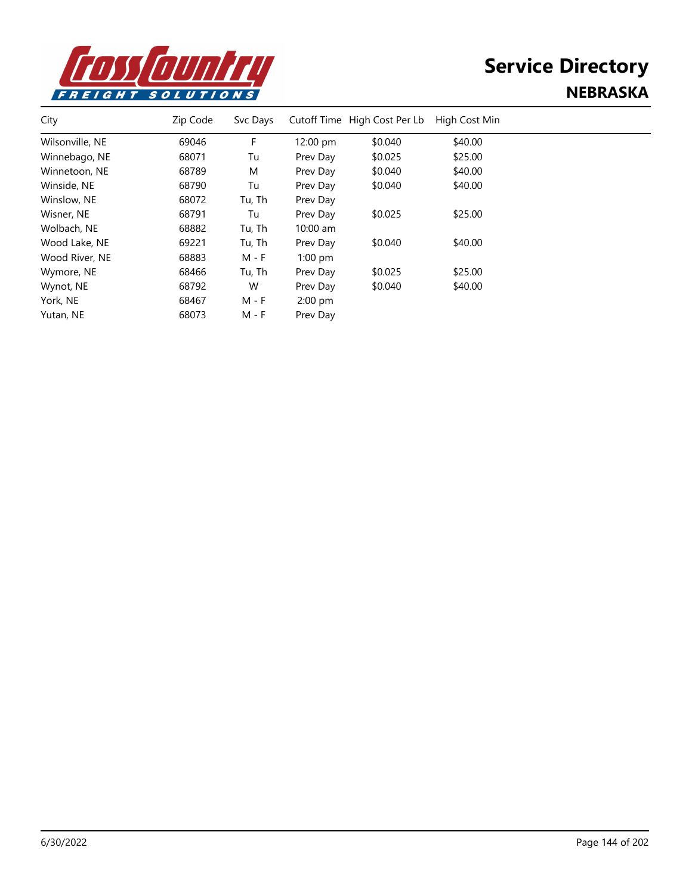

| City            | Zip Code | Svc Days |                    | Cutoff Time High Cost Per Lb | High Cost Min |  |
|-----------------|----------|----------|--------------------|------------------------------|---------------|--|
| Wilsonville, NE | 69046    | F        | $12:00 \text{ pm}$ | \$0.040                      | \$40.00       |  |
| Winnebago, NE   | 68071    | Tu       | Prev Day           | \$0.025                      | \$25.00       |  |
| Winnetoon, NE   | 68789    | M        | Prev Day           | \$0.040                      | \$40.00       |  |
| Winside, NE     | 68790    | Tu       | Prev Day           | \$0.040                      | \$40.00       |  |
| Winslow, NE     | 68072    | Tu, Th   | Prev Day           |                              |               |  |
| Wisner, NE      | 68791    | Tu       | Prev Day           | \$0.025                      | \$25.00       |  |
| Wolbach, NE     | 68882    | Tu, Th   | $10:00$ am         |                              |               |  |
| Wood Lake, NE   | 69221    | Tu, Th   | Prev Day           | \$0.040                      | \$40.00       |  |
| Wood River, NE  | 68883    | M - F    | $1:00$ pm          |                              |               |  |
| Wymore, NE      | 68466    | Tu, Th   | Prev Day           | \$0.025                      | \$25.00       |  |
| Wynot, NE       | 68792    | W        | Prev Day           | \$0.040                      | \$40.00       |  |
| York, NE        | 68467    | M - F    | $2:00$ pm          |                              |               |  |
| Yutan, NE       | 68073    | M - F    | Prev Day           |                              |               |  |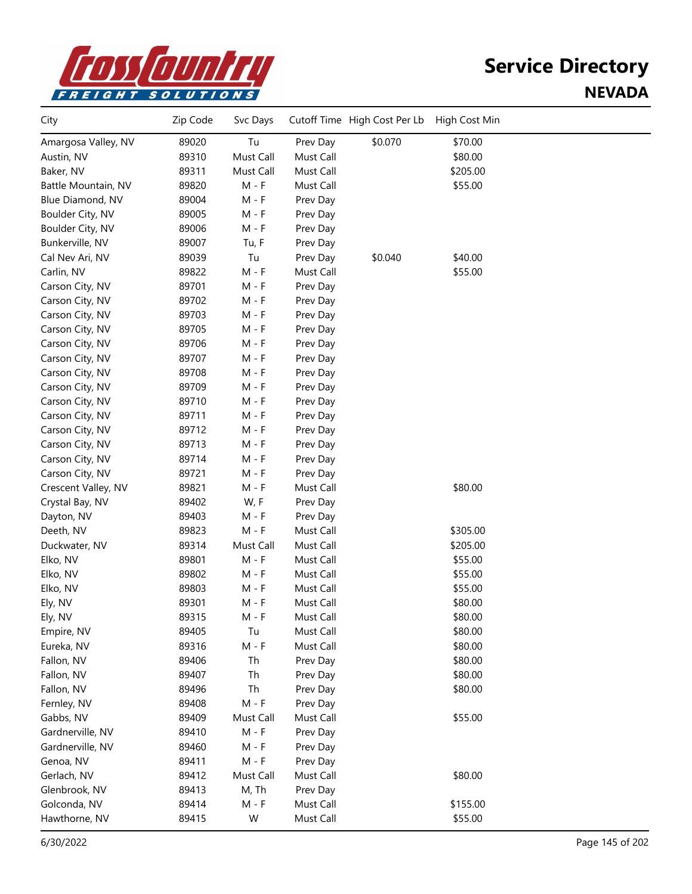

| City                | Zip Code | Svc Days  |           | Cutoff Time High Cost Per Lb | High Cost Min |  |
|---------------------|----------|-----------|-----------|------------------------------|---------------|--|
| Amargosa Valley, NV | 89020    | Tu        | Prev Day  | \$0.070                      | \$70.00       |  |
| Austin, NV          | 89310    | Must Call | Must Call |                              | \$80.00       |  |
| Baker, NV           | 89311    | Must Call | Must Call |                              | \$205.00      |  |
| Battle Mountain, NV | 89820    | $M - F$   | Must Call |                              | \$55.00       |  |
| Blue Diamond, NV    | 89004    | $M - F$   | Prev Day  |                              |               |  |
| Boulder City, NV    | 89005    | $M - F$   | Prev Day  |                              |               |  |
| Boulder City, NV    | 89006    | $M - F$   | Prev Day  |                              |               |  |
| Bunkerville, NV     | 89007    | Tu, F     | Prev Day  |                              |               |  |
| Cal Nev Ari, NV     | 89039    | Tu        | Prev Day  | \$0.040                      | \$40.00       |  |
| Carlin, NV          | 89822    | $M - F$   | Must Call |                              | \$55.00       |  |
| Carson City, NV     | 89701    | $M - F$   | Prev Day  |                              |               |  |
| Carson City, NV     | 89702    | $M - F$   | Prev Day  |                              |               |  |
| Carson City, NV     | 89703    | $M - F$   | Prev Day  |                              |               |  |
| Carson City, NV     | 89705    | $M - F$   | Prev Day  |                              |               |  |
| Carson City, NV     | 89706    | $M - F$   | Prev Day  |                              |               |  |
| Carson City, NV     | 89707    | $M - F$   | Prev Day  |                              |               |  |
| Carson City, NV     | 89708    | $M - F$   | Prev Day  |                              |               |  |
| Carson City, NV     | 89709    | $M - F$   | Prev Day  |                              |               |  |
| Carson City, NV     | 89710    | $M - F$   | Prev Day  |                              |               |  |
| Carson City, NV     | 89711    | $M - F$   | Prev Day  |                              |               |  |
| Carson City, NV     | 89712    | $M - F$   | Prev Day  |                              |               |  |
| Carson City, NV     | 89713    | $M - F$   | Prev Day  |                              |               |  |
| Carson City, NV     | 89714    | $M - F$   | Prev Day  |                              |               |  |
| Carson City, NV     | 89721    | $M - F$   | Prev Day  |                              |               |  |
| Crescent Valley, NV | 89821    | $M - F$   | Must Call |                              | \$80.00       |  |
| Crystal Bay, NV     | 89402    | W, F      | Prev Day  |                              |               |  |
| Dayton, NV          | 89403    | $M - F$   | Prev Day  |                              |               |  |
| Deeth, NV           | 89823    | $M - F$   | Must Call |                              | \$305.00      |  |
| Duckwater, NV       | 89314    | Must Call | Must Call |                              | \$205.00      |  |
| Elko, NV            | 89801    | $M - F$   | Must Call |                              | \$55.00       |  |
| Elko, NV            | 89802    | $M - F$   | Must Call |                              | \$55.00       |  |
| Elko, NV            | 89803    | $M - F$   | Must Call |                              | \$55.00       |  |
| Ely, NV             | 89301    | M - F     | Must Call |                              | \$80.00       |  |
| Ely, NV             | 89315    | M - F     | Must Call |                              | \$80.00       |  |
| Empire, NV          | 89405    | Tu        | Must Call |                              | \$80.00       |  |
| Eureka, NV          | 89316    | $M - F$   | Must Call |                              | \$80.00       |  |
| Fallon, NV          | 89406    | Th        | Prev Day  |                              | \$80.00       |  |
| Fallon, NV          | 89407    | Th        | Prev Day  |                              | \$80.00       |  |
| Fallon, NV          | 89496    | Th        | Prev Day  |                              | \$80.00       |  |
| Fernley, NV         | 89408    | $M - F$   | Prev Day  |                              |               |  |
| Gabbs, NV           | 89409    | Must Call | Must Call |                              | \$55.00       |  |
| Gardnerville, NV    | 89410    | $M - F$   | Prev Day  |                              |               |  |
| Gardnerville, NV    | 89460    | $M - F$   | Prev Day  |                              |               |  |
| Genoa, NV           | 89411    | $M - F$   | Prev Day  |                              |               |  |
| Gerlach, NV         | 89412    | Must Call | Must Call |                              | \$80.00       |  |
| Glenbrook, NV       | 89413    | M, Th     | Prev Day  |                              |               |  |
| Golconda, NV        | 89414    | $M - F$   | Must Call |                              | \$155.00      |  |
| Hawthorne, NV       | 89415    | W         | Must Call |                              | \$55.00       |  |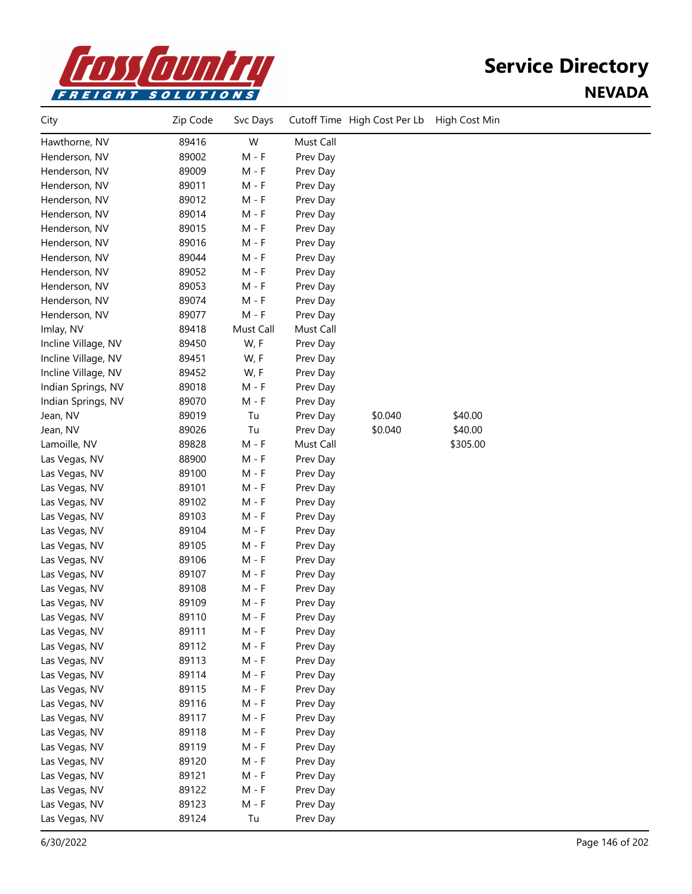

| City                | Zip Code | Svc Days  |           | Cutoff Time High Cost Per Lb | High Cost Min |  |
|---------------------|----------|-----------|-----------|------------------------------|---------------|--|
| Hawthorne, NV       | 89416    | W         | Must Call |                              |               |  |
| Henderson, NV       | 89002    | $M - F$   | Prev Day  |                              |               |  |
| Henderson, NV       | 89009    | $M - F$   | Prev Day  |                              |               |  |
| Henderson, NV       | 89011    | $M - F$   | Prev Day  |                              |               |  |
| Henderson, NV       | 89012    | M - F     | Prev Day  |                              |               |  |
| Henderson, NV       | 89014    | $M - F$   | Prev Day  |                              |               |  |
| Henderson, NV       | 89015    | $M - F$   | Prev Day  |                              |               |  |
| Henderson, NV       | 89016    | $M - F$   | Prev Day  |                              |               |  |
| Henderson, NV       | 89044    | $M - F$   | Prev Day  |                              |               |  |
| Henderson, NV       | 89052    | $M - F$   | Prev Day  |                              |               |  |
| Henderson, NV       | 89053    | $M - F$   | Prev Day  |                              |               |  |
| Henderson, NV       | 89074    | $M - F$   | Prev Day  |                              |               |  |
| Henderson, NV       | 89077    | $M - F$   | Prev Day  |                              |               |  |
| Imlay, NV           | 89418    | Must Call | Must Call |                              |               |  |
| Incline Village, NV | 89450    | W, F      | Prev Day  |                              |               |  |
| Incline Village, NV | 89451    | W, F      | Prev Day  |                              |               |  |
| Incline Village, NV | 89452    | W, F      | Prev Day  |                              |               |  |
| Indian Springs, NV  | 89018    | $M - F$   | Prev Day  |                              |               |  |
| Indian Springs, NV  | 89070    | $M - F$   | Prev Day  |                              |               |  |
| Jean, NV            | 89019    | Tu        | Prev Day  | \$0.040                      | \$40.00       |  |
| Jean, NV            | 89026    | Tu        | Prev Day  | \$0.040                      | \$40.00       |  |
| Lamoille, NV        | 89828    | $M - F$   | Must Call |                              | \$305.00      |  |
| Las Vegas, NV       | 88900    | $M - F$   | Prev Day  |                              |               |  |
| Las Vegas, NV       | 89100    | $M - F$   | Prev Day  |                              |               |  |
| Las Vegas, NV       | 89101    | $M - F$   | Prev Day  |                              |               |  |
| Las Vegas, NV       | 89102    | $M - F$   | Prev Day  |                              |               |  |
| Las Vegas, NV       | 89103    | $M - F$   | Prev Day  |                              |               |  |
| Las Vegas, NV       | 89104    | $M - F$   | Prev Day  |                              |               |  |
| Las Vegas, NV       | 89105    | M - F     | Prev Day  |                              |               |  |
| Las Vegas, NV       | 89106    | $M - F$   | Prev Day  |                              |               |  |
| Las Vegas, NV       | 89107    | M - F     | Prev Day  |                              |               |  |
| Las Vegas, NV       | 89108    | M - F     | Prev Day  |                              |               |  |
| Las Vegas, NV       | 89109    | M - F     | Prev Day  |                              |               |  |
| Las Vegas, NV       | 89110    | $M - F$   | Prev Day  |                              |               |  |
| Las Vegas, NV       | 89111    | $M - F$   | Prev Day  |                              |               |  |
| Las Vegas, NV       | 89112    | $M - F$   | Prev Day  |                              |               |  |
| Las Vegas, NV       | 89113    | $M - F$   | Prev Day  |                              |               |  |
| Las Vegas, NV       | 89114    | $M - F$   | Prev Day  |                              |               |  |
| Las Vegas, NV       | 89115    | $M - F$   | Prev Day  |                              |               |  |
| Las Vegas, NV       | 89116    | $M - F$   | Prev Day  |                              |               |  |
| Las Vegas, NV       | 89117    | $M - F$   | Prev Day  |                              |               |  |
| Las Vegas, NV       | 89118    | $M - F$   | Prev Day  |                              |               |  |
| Las Vegas, NV       | 89119    | $M - F$   | Prev Day  |                              |               |  |
| Las Vegas, NV       | 89120    | $M - F$   | Prev Day  |                              |               |  |
| Las Vegas, NV       | 89121    | $M - F$   | Prev Day  |                              |               |  |
| Las Vegas, NV       | 89122    | $M - F$   | Prev Day  |                              |               |  |
| Las Vegas, NV       | 89123    | $M - F$   | Prev Day  |                              |               |  |
| Las Vegas, NV       | 89124    | Tu        | Prev Day  |                              |               |  |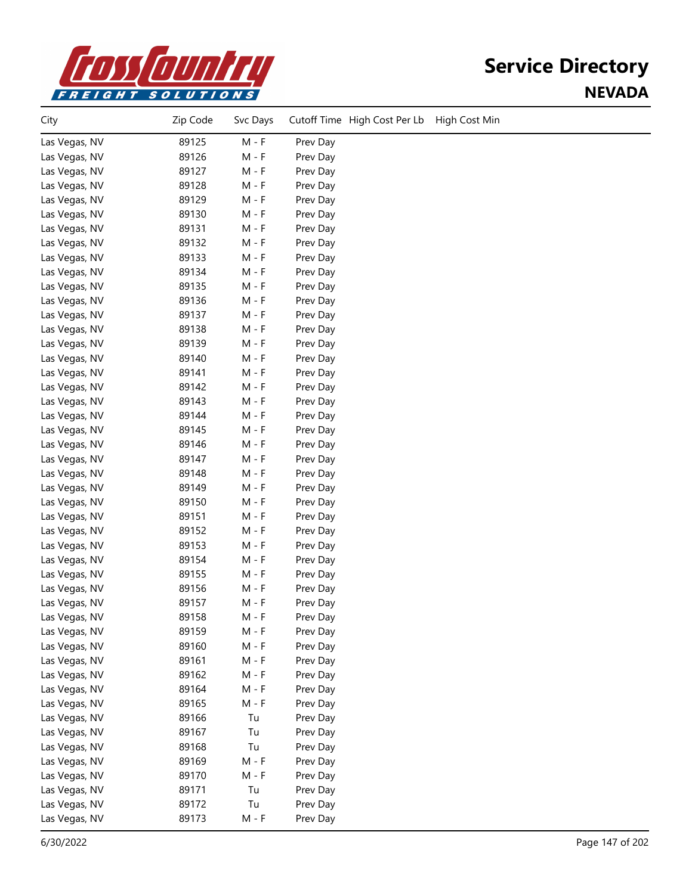

| City          | Zip Code | Svc Days | Cutoff Time High Cost Per Lb<br>High Cost Min |
|---------------|----------|----------|-----------------------------------------------|
| Las Vegas, NV | 89125    | M - F    | Prev Day                                      |
| Las Vegas, NV | 89126    | $M - F$  | Prev Day                                      |
| Las Vegas, NV | 89127    | $M - F$  | Prev Day                                      |
| Las Vegas, NV | 89128    | $M - F$  | Prev Day                                      |
| Las Vegas, NV | 89129    | $M - F$  | Prev Day                                      |
| Las Vegas, NV | 89130    | $M - F$  | Prev Day                                      |
| Las Vegas, NV | 89131    | $M - F$  | Prev Day                                      |
| Las Vegas, NV | 89132    | M - F    | Prev Day                                      |
| Las Vegas, NV | 89133    | M - F    | Prev Day                                      |
| Las Vegas, NV | 89134    | $M - F$  | Prev Day                                      |
| Las Vegas, NV | 89135    | $M - F$  | Prev Day                                      |
| Las Vegas, NV | 89136    | $M - F$  | Prev Day                                      |
| Las Vegas, NV | 89137    | $M - F$  | Prev Day                                      |
| Las Vegas, NV | 89138    | $M - F$  | Prev Day                                      |
| Las Vegas, NV | 89139    | $M - F$  | Prev Day                                      |
| Las Vegas, NV | 89140    | $M - F$  | Prev Day                                      |
| Las Vegas, NV | 89141    | $M - F$  | Prev Day                                      |
| Las Vegas, NV | 89142    | $M - F$  | Prev Day                                      |
| Las Vegas, NV | 89143    | $M - F$  | Prev Day                                      |
| Las Vegas, NV | 89144    | $M - F$  | Prev Day                                      |
| Las Vegas, NV | 89145    | $M - F$  | Prev Day                                      |
| Las Vegas, NV | 89146    | M - F    | Prev Day                                      |
| Las Vegas, NV | 89147    | M - F    | Prev Day                                      |
| Las Vegas, NV | 89148    | M - F    | Prev Day                                      |
| Las Vegas, NV | 89149    | $M - F$  | Prev Day                                      |
| Las Vegas, NV | 89150    | $M - F$  | Prev Day                                      |
| Las Vegas, NV | 89151    | $M - F$  | Prev Day                                      |
| Las Vegas, NV | 89152    | $M - F$  | Prev Day                                      |
| Las Vegas, NV | 89153    | $M - F$  | Prev Day                                      |
| Las Vegas, NV | 89154    | $M - F$  | Prev Day                                      |
| Las Vegas, NV | 89155    | $M - F$  | Prev Day                                      |
| Las Vegas, NV | 89156    | M - F    | Prev Day                                      |
| Las Vegas, NV | 89157    | M - F    | Prev Day                                      |
| Las Vegas, NV | 89158    | $M - F$  | Prev Day                                      |
| Las Vegas, NV | 89159    | M - F    | Prev Day                                      |
| Las Vegas, NV | 89160    | $M - F$  | Prev Day                                      |
| Las Vegas, NV | 89161    | M - F    | Prev Day                                      |
| Las Vegas, NV | 89162    | M - F    | Prev Day                                      |
| Las Vegas, NV | 89164    | $M - F$  | Prev Day                                      |
| Las Vegas, NV | 89165    | M - F    | Prev Day                                      |
| Las Vegas, NV | 89166    | Tu       | Prev Day                                      |
| Las Vegas, NV | 89167    | Tu       | Prev Day                                      |
| Las Vegas, NV | 89168    | Tu       | Prev Day                                      |
| Las Vegas, NV | 89169    | M - F    | Prev Day                                      |
| Las Vegas, NV | 89170    | $M - F$  | Prev Day                                      |
| Las Vegas, NV | 89171    | Tu       | Prev Day                                      |
| Las Vegas, NV | 89172    | Tu       | Prev Day                                      |
| Las Vegas, NV | 89173    | M - F    | Prev Day                                      |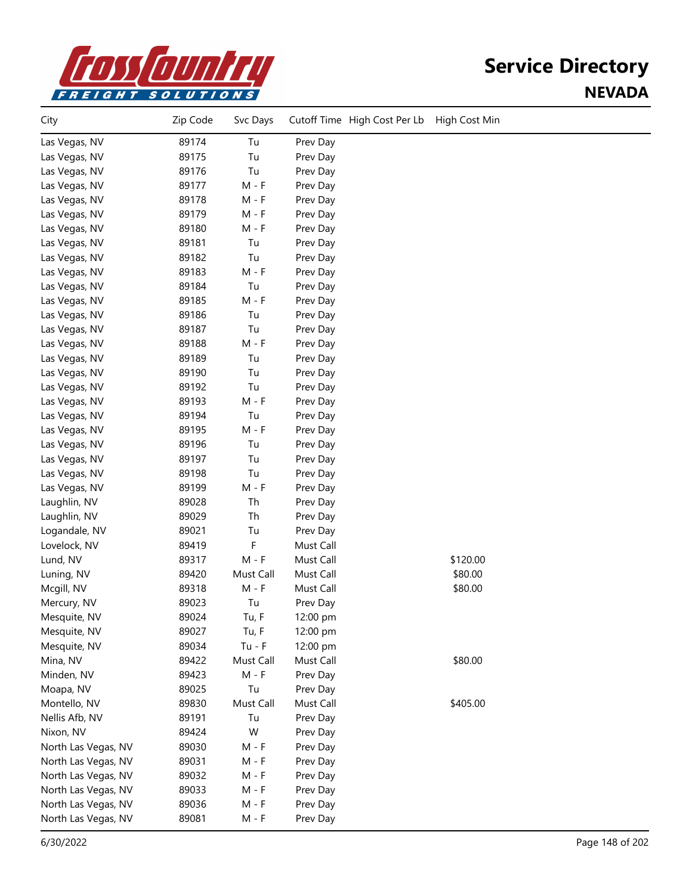

| City                | Zip Code | Svc Days  |           | Cutoff Time High Cost Per Lb | High Cost Min |  |
|---------------------|----------|-----------|-----------|------------------------------|---------------|--|
| Las Vegas, NV       | 89174    | Tu        | Prev Day  |                              |               |  |
| Las Vegas, NV       | 89175    | Tu        | Prev Day  |                              |               |  |
| Las Vegas, NV       | 89176    | Tu        | Prev Day  |                              |               |  |
| Las Vegas, NV       | 89177    | $M - F$   | Prev Day  |                              |               |  |
| Las Vegas, NV       | 89178    | $M - F$   | Prev Day  |                              |               |  |
| Las Vegas, NV       | 89179    | $M - F$   | Prev Day  |                              |               |  |
| Las Vegas, NV       | 89180    | $M - F$   | Prev Day  |                              |               |  |
| Las Vegas, NV       | 89181    | Tu        | Prev Day  |                              |               |  |
| Las Vegas, NV       | 89182    | Tu        | Prev Day  |                              |               |  |
| Las Vegas, NV       | 89183    | $M - F$   | Prev Day  |                              |               |  |
| Las Vegas, NV       | 89184    | Tu        | Prev Day  |                              |               |  |
| Las Vegas, NV       | 89185    | $M - F$   | Prev Day  |                              |               |  |
| Las Vegas, NV       | 89186    | Tu        | Prev Day  |                              |               |  |
| Las Vegas, NV       | 89187    | Tu        | Prev Day  |                              |               |  |
| Las Vegas, NV       | 89188    | $M - F$   | Prev Day  |                              |               |  |
| Las Vegas, NV       | 89189    | Tu        | Prev Day  |                              |               |  |
| Las Vegas, NV       | 89190    | Tu        | Prev Day  |                              |               |  |
| Las Vegas, NV       | 89192    | Tu        | Prev Day  |                              |               |  |
| Las Vegas, NV       | 89193    | $M - F$   | Prev Day  |                              |               |  |
| Las Vegas, NV       | 89194    | Tu        | Prev Day  |                              |               |  |
| Las Vegas, NV       | 89195    | $M - F$   | Prev Day  |                              |               |  |
| Las Vegas, NV       | 89196    | Tu        | Prev Day  |                              |               |  |
| Las Vegas, NV       | 89197    | Tu        | Prev Day  |                              |               |  |
| Las Vegas, NV       | 89198    | Tu        | Prev Day  |                              |               |  |
| Las Vegas, NV       | 89199    | $M - F$   | Prev Day  |                              |               |  |
| Laughlin, NV        | 89028    | Th        | Prev Day  |                              |               |  |
| Laughlin, NV        | 89029    | Th        | Prev Day  |                              |               |  |
| Logandale, NV       | 89021    | Tu        | Prev Day  |                              |               |  |
| Lovelock, NV        | 89419    | F         | Must Call |                              |               |  |
| Lund, NV            | 89317    | $M - F$   | Must Call |                              | \$120.00      |  |
| Luning, NV          | 89420    | Must Call | Must Call |                              | \$80.00       |  |
| Mcgill, NV          | 89318    | $M - F$   | Must Call |                              | \$80.00       |  |
| Mercury, NV         | 89023    | Tu        | Prev Day  |                              |               |  |
| Mesquite, NV        | 89024    | Tu, F     | 12:00 pm  |                              |               |  |
| Mesquite, NV        | 89027    | Tu, F     | 12:00 pm  |                              |               |  |
| Mesquite, NV        | 89034    | $Tu - F$  | 12:00 pm  |                              |               |  |
| Mina, NV            | 89422    | Must Call | Must Call |                              | \$80.00       |  |
| Minden, NV          | 89423    | $M - F$   | Prev Day  |                              |               |  |
| Moapa, NV           | 89025    | Tu        | Prev Day  |                              |               |  |
| Montello, NV        | 89830    | Must Call | Must Call |                              | \$405.00      |  |
| Nellis Afb, NV      | 89191    | Tu        | Prev Day  |                              |               |  |
| Nixon, NV           | 89424    | W         | Prev Day  |                              |               |  |
| North Las Vegas, NV | 89030    | $M - F$   | Prev Day  |                              |               |  |
| North Las Vegas, NV | 89031    | $M - F$   | Prev Day  |                              |               |  |
| North Las Vegas, NV | 89032    | $M - F$   | Prev Day  |                              |               |  |
| North Las Vegas, NV | 89033    | $M - F$   | Prev Day  |                              |               |  |
| North Las Vegas, NV | 89036    | M - F     | Prev Day  |                              |               |  |
| North Las Vegas, NV | 89081    | M - F     | Prev Day  |                              |               |  |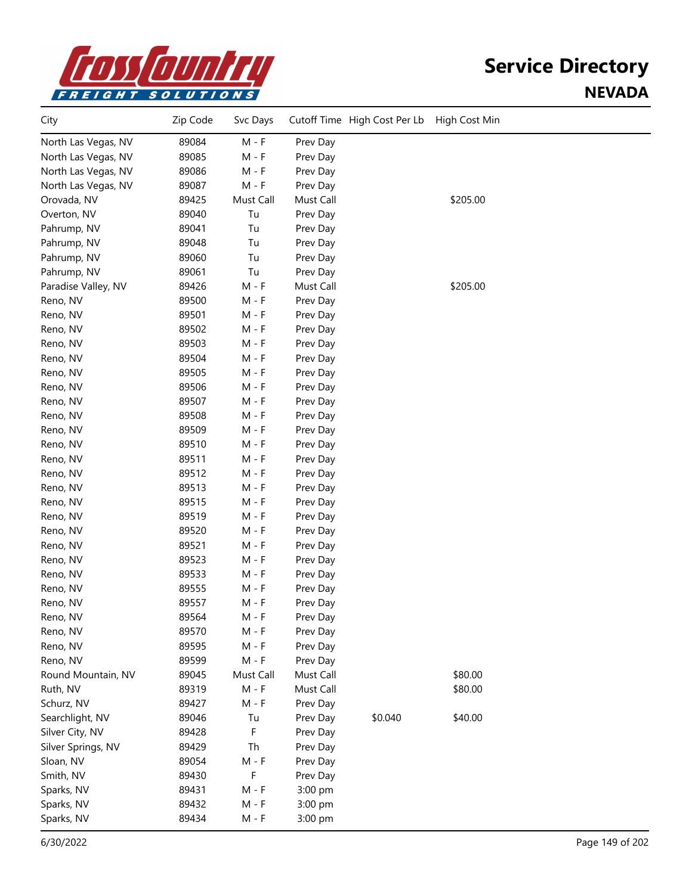

| City                | Zip Code | Svc Days  |           | Cutoff Time High Cost Per Lb | High Cost Min |  |
|---------------------|----------|-----------|-----------|------------------------------|---------------|--|
| North Las Vegas, NV | 89084    | $M - F$   | Prev Day  |                              |               |  |
| North Las Vegas, NV | 89085    | M - F     | Prev Day  |                              |               |  |
| North Las Vegas, NV | 89086    | $M - F$   | Prev Day  |                              |               |  |
| North Las Vegas, NV | 89087    | $M - F$   | Prev Day  |                              |               |  |
| Orovada, NV         | 89425    | Must Call | Must Call |                              | \$205.00      |  |
| Overton, NV         | 89040    | Tu        | Prev Day  |                              |               |  |
| Pahrump, NV         | 89041    | Tu        | Prev Day  |                              |               |  |
| Pahrump, NV         | 89048    | Tu        | Prev Day  |                              |               |  |
| Pahrump, NV         | 89060    | Tu        | Prev Day  |                              |               |  |
| Pahrump, NV         | 89061    | Tu        | Prev Day  |                              |               |  |
| Paradise Valley, NV | 89426    | $M - F$   | Must Call |                              | \$205.00      |  |
| Reno, NV            | 89500    | $M - F$   | Prev Day  |                              |               |  |
| Reno, NV            | 89501    | $M - F$   | Prev Day  |                              |               |  |
| Reno, NV            | 89502    | $M - F$   | Prev Day  |                              |               |  |
| Reno, NV            | 89503    | $M - F$   | Prev Day  |                              |               |  |
| Reno, NV            | 89504    | $M - F$   | Prev Day  |                              |               |  |
| Reno, NV            | 89505    | $M - F$   | Prev Day  |                              |               |  |
| Reno, NV            | 89506    | $M - F$   | Prev Day  |                              |               |  |
| Reno, NV            | 89507    | $M - F$   | Prev Day  |                              |               |  |
| Reno, NV            | 89508    | $M - F$   | Prev Day  |                              |               |  |
| Reno, NV            | 89509    | $M - F$   | Prev Day  |                              |               |  |
| Reno, NV            | 89510    | $M - F$   | Prev Day  |                              |               |  |
| Reno, NV            | 89511    | $M - F$   | Prev Day  |                              |               |  |
| Reno, NV            | 89512    | $M - F$   | Prev Day  |                              |               |  |
| Reno, NV            | 89513    | M - F     | Prev Day  |                              |               |  |
| Reno, NV            | 89515    | M - F     | Prev Day  |                              |               |  |
| Reno, NV            | 89519    | $M - F$   | Prev Day  |                              |               |  |
| Reno, NV            | 89520    | $M - F$   | Prev Day  |                              |               |  |
| Reno, NV            | 89521    | $M - F$   | Prev Day  |                              |               |  |
| Reno, NV            | 89523    | $M - F$   | Prev Day  |                              |               |  |
| Reno, NV            | 89533    | $M - F$   | Prev Day  |                              |               |  |
| Reno, NV            | 89555    | $M - F$   | Prev Day  |                              |               |  |
| Reno, NV            | 89557    | M - F     | Prev Day  |                              |               |  |
| Reno, NV            | 89564    | M - F     | Prev Day  |                              |               |  |
| Reno, NV            | 89570    | $M - F$   | Prev Day  |                              |               |  |
| Reno, NV            | 89595    | $M - F$   | Prev Day  |                              |               |  |
| Reno, NV            | 89599    | $M - F$   | Prev Day  |                              |               |  |
| Round Mountain, NV  | 89045    | Must Call | Must Call |                              | \$80.00       |  |
| Ruth, NV            | 89319    | $M - F$   | Must Call |                              | \$80.00       |  |
| Schurz, NV          | 89427    | $M - F$   | Prev Day  |                              |               |  |
| Searchlight, NV     | 89046    | Tu        | Prev Day  | \$0.040                      | \$40.00       |  |
| Silver City, NV     | 89428    | F         | Prev Day  |                              |               |  |
| Silver Springs, NV  | 89429    | Th        | Prev Day  |                              |               |  |
| Sloan, NV           | 89054    | $M - F$   | Prev Day  |                              |               |  |
| Smith, NV           | 89430    | F         | Prev Day  |                              |               |  |
| Sparks, NV          | 89431    | $M - F$   | 3:00 pm   |                              |               |  |
| Sparks, NV          | 89432    | $M - F$   | 3:00 pm   |                              |               |  |
| Sparks, NV          | 89434    | $M - F$   | 3:00 pm   |                              |               |  |
|                     |          |           |           |                              |               |  |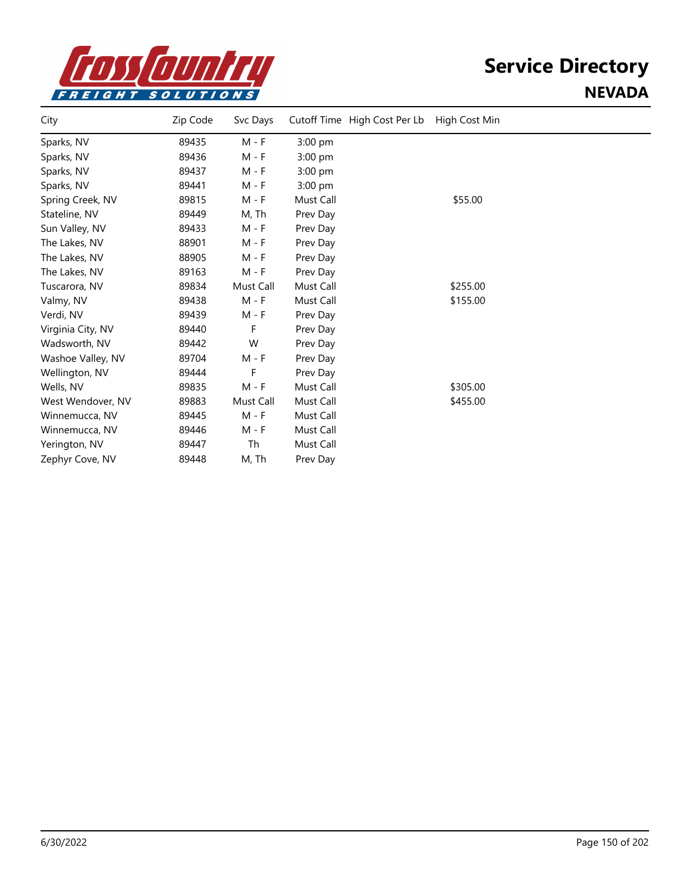

| City              | Zip Code | Svc Days  | Cutoff Time High Cost Per Lb | High Cost Min |  |
|-------------------|----------|-----------|------------------------------|---------------|--|
| Sparks, NV        | 89435    | M - F     | $3:00$ pm                    |               |  |
| Sparks, NV        | 89436    | M - F     | $3:00$ pm                    |               |  |
| Sparks, NV        | 89437    | $M - F$   | $3:00$ pm                    |               |  |
| Sparks, NV        | 89441    | $M - F$   | 3:00 pm                      |               |  |
| Spring Creek, NV  | 89815    | M - F     | Must Call                    | \$55.00       |  |
| Stateline, NV     | 89449    | M, Th     | Prev Day                     |               |  |
| Sun Valley, NV    | 89433    | M - F     | Prev Day                     |               |  |
| The Lakes, NV     | 88901    | M - F     | Prev Day                     |               |  |
| The Lakes, NV     | 88905    | M - F     | Prev Day                     |               |  |
| The Lakes, NV     | 89163    | M - F     | Prev Day                     |               |  |
| Tuscarora, NV     | 89834    | Must Call | Must Call                    | \$255.00      |  |
| Valmy, NV         | 89438    | $M - F$   | Must Call                    | \$155.00      |  |
| Verdi, NV         | 89439    | M - F     | Prev Day                     |               |  |
| Virginia City, NV | 89440    | F         | Prev Day                     |               |  |
| Wadsworth, NV     | 89442    | W         | Prev Day                     |               |  |
| Washoe Valley, NV | 89704    | M - F     | Prev Day                     |               |  |
| Wellington, NV    | 89444    | F.        | Prev Day                     |               |  |
| Wells, NV         | 89835    | $M - F$   | Must Call                    | \$305.00      |  |
| West Wendover, NV | 89883    | Must Call | Must Call                    | \$455.00      |  |
| Winnemucca, NV    | 89445    | M - F     | Must Call                    |               |  |
| Winnemucca, NV    | 89446    | M - F     | Must Call                    |               |  |
| Yerington, NV     | 89447    | Th        | Must Call                    |               |  |
| Zephyr Cove, NV   | 89448    | M, Th     | Prev Day                     |               |  |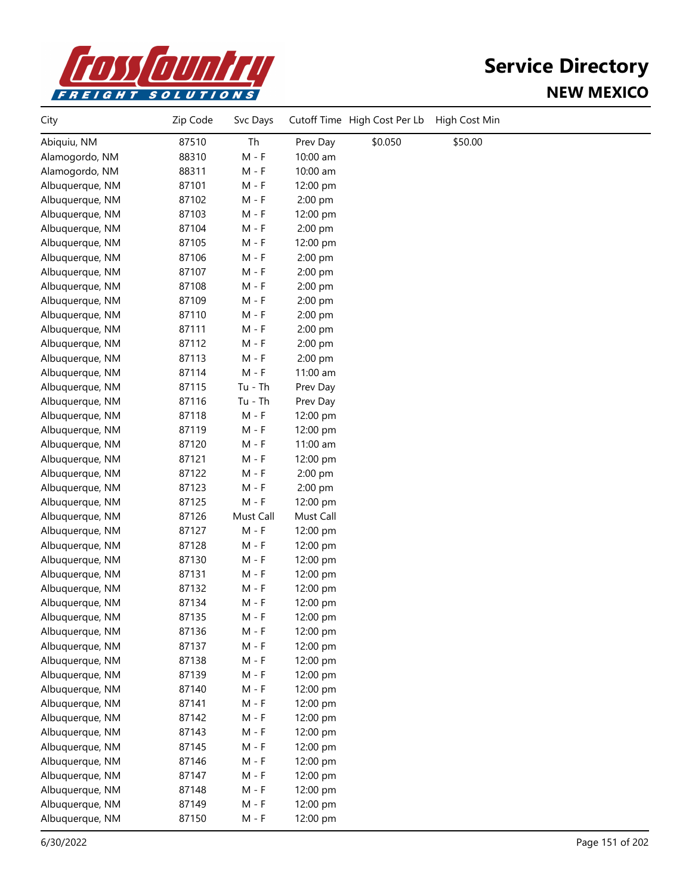

| City            | Zip Code | Svc Days  |           | Cutoff Time High Cost Per Lb | High Cost Min |  |
|-----------------|----------|-----------|-----------|------------------------------|---------------|--|
| Abiquiu, NM     | 87510    | Th        | Prev Day  | \$0.050                      | \$50.00       |  |
| Alamogordo, NM  | 88310    | $M - F$   | 10:00 am  |                              |               |  |
| Alamogordo, NM  | 88311    | $M - F$   | 10:00 am  |                              |               |  |
| Albuquerque, NM | 87101    | $M - F$   | 12:00 pm  |                              |               |  |
| Albuquerque, NM | 87102    | $M - F$   | 2:00 pm   |                              |               |  |
| Albuquerque, NM | 87103    | $M - F$   | 12:00 pm  |                              |               |  |
| Albuquerque, NM | 87104    | $M - F$   | 2:00 pm   |                              |               |  |
| Albuquerque, NM | 87105    | $M - F$   | 12:00 pm  |                              |               |  |
| Albuquerque, NM | 87106    | $M - F$   | 2:00 pm   |                              |               |  |
| Albuquerque, NM | 87107    | $M - F$   | 2:00 pm   |                              |               |  |
| Albuquerque, NM | 87108    | $M - F$   | 2:00 pm   |                              |               |  |
| Albuquerque, NM | 87109    | $M - F$   | 2:00 pm   |                              |               |  |
| Albuquerque, NM | 87110    | $M - F$   | 2:00 pm   |                              |               |  |
| Albuquerque, NM | 87111    | $M - F$   | 2:00 pm   |                              |               |  |
| Albuquerque, NM | 87112    | $M - F$   | 2:00 pm   |                              |               |  |
| Albuquerque, NM | 87113    | $M - F$   | 2:00 pm   |                              |               |  |
| Albuquerque, NM | 87114    | $M - F$   | 11:00 am  |                              |               |  |
| Albuquerque, NM | 87115    | $Tu - Th$ | Prev Day  |                              |               |  |
| Albuquerque, NM | 87116    | $Tu - Th$ | Prev Day  |                              |               |  |
| Albuquerque, NM | 87118    | $M - F$   | 12:00 pm  |                              |               |  |
| Albuquerque, NM | 87119    | $M - F$   | 12:00 pm  |                              |               |  |
| Albuquerque, NM | 87120    | $M - F$   | 11:00 am  |                              |               |  |
| Albuquerque, NM | 87121    | $M - F$   | 12:00 pm  |                              |               |  |
| Albuquerque, NM | 87122    | $M - F$   | 2:00 pm   |                              |               |  |
| Albuquerque, NM | 87123    | M - F     | 2:00 pm   |                              |               |  |
| Albuquerque, NM | 87125    | $M - F$   | 12:00 pm  |                              |               |  |
| Albuquerque, NM | 87126    | Must Call | Must Call |                              |               |  |
| Albuquerque, NM | 87127    | $M - F$   | 12:00 pm  |                              |               |  |
| Albuquerque, NM | 87128    | $M - F$   | 12:00 pm  |                              |               |  |
| Albuquerque, NM | 87130    | $M - F$   | 12:00 pm  |                              |               |  |
| Albuquerque, NM | 87131    | $M - F$   | 12:00 pm  |                              |               |  |
| Albuquerque, NM | 87132    | $M - F$   | 12:00 pm  |                              |               |  |
| Albuquerque, NM | 87134    | M - F     | 12:00 pm  |                              |               |  |
| Albuquerque, NM | 87135    | M - F     | 12:00 pm  |                              |               |  |
| Albuquerque, NM | 87136    | M - F     | 12:00 pm  |                              |               |  |
| Albuquerque, NM | 87137    | $M - F$   | 12:00 pm  |                              |               |  |
| Albuquerque, NM | 87138    | $M - F$   | 12:00 pm  |                              |               |  |
| Albuquerque, NM | 87139    | M - F     | 12:00 pm  |                              |               |  |
| Albuquerque, NM | 87140    | $M - F$   | 12:00 pm  |                              |               |  |
| Albuquerque, NM | 87141    | $M - F$   | 12:00 pm  |                              |               |  |
| Albuquerque, NM | 87142    | $M - F$   | 12:00 pm  |                              |               |  |
| Albuquerque, NM | 87143    | M - F     | 12:00 pm  |                              |               |  |
| Albuquerque, NM | 87145    | $M - F$   | 12:00 pm  |                              |               |  |
| Albuquerque, NM | 87146    | $M - F$   | 12:00 pm  |                              |               |  |
| Albuquerque, NM | 87147    | $M - F$   | 12:00 pm  |                              |               |  |
| Albuquerque, NM | 87148    | $M - F$   | 12:00 pm  |                              |               |  |
| Albuquerque, NM | 87149    | $M - F$   | 12:00 pm  |                              |               |  |
| Albuquerque, NM | 87150    | $M - F$   | 12:00 pm  |                              |               |  |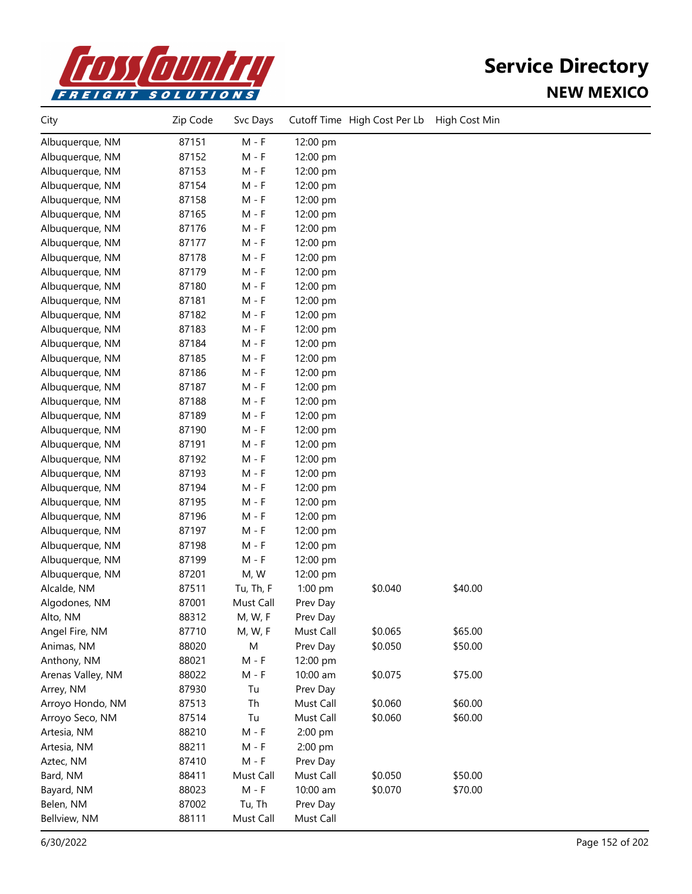

| City              | Zip Code | Svc Days  |           | Cutoff Time High Cost Per Lb | High Cost Min |  |
|-------------------|----------|-----------|-----------|------------------------------|---------------|--|
| Albuquerque, NM   | 87151    | $M - F$   | 12:00 pm  |                              |               |  |
| Albuquerque, NM   | 87152    | M - F     | 12:00 pm  |                              |               |  |
| Albuquerque, NM   | 87153    | $M - F$   | 12:00 pm  |                              |               |  |
| Albuquerque, NM   | 87154    | $M - F$   | 12:00 pm  |                              |               |  |
| Albuquerque, NM   | 87158    | $M - F$   | 12:00 pm  |                              |               |  |
| Albuquerque, NM   | 87165    | $M - F$   | 12:00 pm  |                              |               |  |
| Albuquerque, NM   | 87176    | $M - F$   | 12:00 pm  |                              |               |  |
| Albuquerque, NM   | 87177    | $M - F$   | 12:00 pm  |                              |               |  |
| Albuquerque, NM   | 87178    | $M - F$   | 12:00 pm  |                              |               |  |
| Albuquerque, NM   | 87179    | $M - F$   | 12:00 pm  |                              |               |  |
| Albuquerque, NM   | 87180    | $M - F$   | 12:00 pm  |                              |               |  |
| Albuquerque, NM   | 87181    | $M - F$   | 12:00 pm  |                              |               |  |
| Albuquerque, NM   | 87182    | $M - F$   | 12:00 pm  |                              |               |  |
| Albuquerque, NM   | 87183    | $M - F$   | 12:00 pm  |                              |               |  |
| Albuquerque, NM   | 87184    | $M - F$   | 12:00 pm  |                              |               |  |
| Albuquerque, NM   | 87185    | $M - F$   | 12:00 pm  |                              |               |  |
| Albuquerque, NM   | 87186    | $M - F$   | 12:00 pm  |                              |               |  |
| Albuquerque, NM   | 87187    | M - F     | 12:00 pm  |                              |               |  |
| Albuquerque, NM   | 87188    | $M - F$   | 12:00 pm  |                              |               |  |
| Albuquerque, NM   | 87189    | $M - F$   | 12:00 pm  |                              |               |  |
| Albuquerque, NM   | 87190    | $M - F$   | 12:00 pm  |                              |               |  |
| Albuquerque, NM   | 87191    | $M - F$   | 12:00 pm  |                              |               |  |
| Albuquerque, NM   | 87192    | $M - F$   | 12:00 pm  |                              |               |  |
| Albuquerque, NM   | 87193    | $M - F$   | 12:00 pm  |                              |               |  |
| Albuquerque, NM   | 87194    | $M - F$   | 12:00 pm  |                              |               |  |
| Albuquerque, NM   | 87195    | $M - F$   | 12:00 pm  |                              |               |  |
| Albuquerque, NM   | 87196    | $M - F$   | 12:00 pm  |                              |               |  |
| Albuquerque, NM   | 87197    | $M - F$   | 12:00 pm  |                              |               |  |
| Albuquerque, NM   | 87198    | $M - F$   | 12:00 pm  |                              |               |  |
| Albuquerque, NM   | 87199    | $M - F$   | 12:00 pm  |                              |               |  |
| Albuquerque, NM   | 87201    | M, W      | 12:00 pm  |                              |               |  |
| Alcalde, NM       | 87511    | Tu, Th, F | 1:00 pm   | \$0.040                      | \$40.00       |  |
| Algodones, NM     | 87001    | Must Call | Prev Day  |                              |               |  |
| Alto, NM          | 88312    | M, W, F   | Prev Day  |                              |               |  |
| Angel Fire, NM    | 87710    | M, W, F   | Must Call | \$0.065                      | \$65.00       |  |
| Animas, NM        | 88020    | M         | Prev Day  | \$0.050                      | \$50.00       |  |
| Anthony, NM       | 88021    | $M - F$   | 12:00 pm  |                              |               |  |
| Arenas Valley, NM | 88022    | $M - F$   | 10:00 am  | \$0.075                      | \$75.00       |  |
| Arrey, NM         | 87930    | Tu        | Prev Day  |                              |               |  |
| Arroyo Hondo, NM  | 87513    | Th        | Must Call | \$0.060                      | \$60.00       |  |
| Arroyo Seco, NM   | 87514    | Tu        | Must Call | \$0.060                      | \$60.00       |  |
| Artesia, NM       | 88210    | $M - F$   | 2:00 pm   |                              |               |  |
| Artesia, NM       | 88211    | $M - F$   | 2:00 pm   |                              |               |  |
| Aztec, NM         | 87410    | $M - F$   | Prev Day  |                              |               |  |
| Bard, NM          | 88411    | Must Call | Must Call | \$0.050                      | \$50.00       |  |
| Bayard, NM        | 88023    | $M - F$   | 10:00 am  | \$0.070                      | \$70.00       |  |
| Belen, NM         | 87002    | Tu, Th    | Prev Day  |                              |               |  |
| Bellview, NM      | 88111    | Must Call | Must Call |                              |               |  |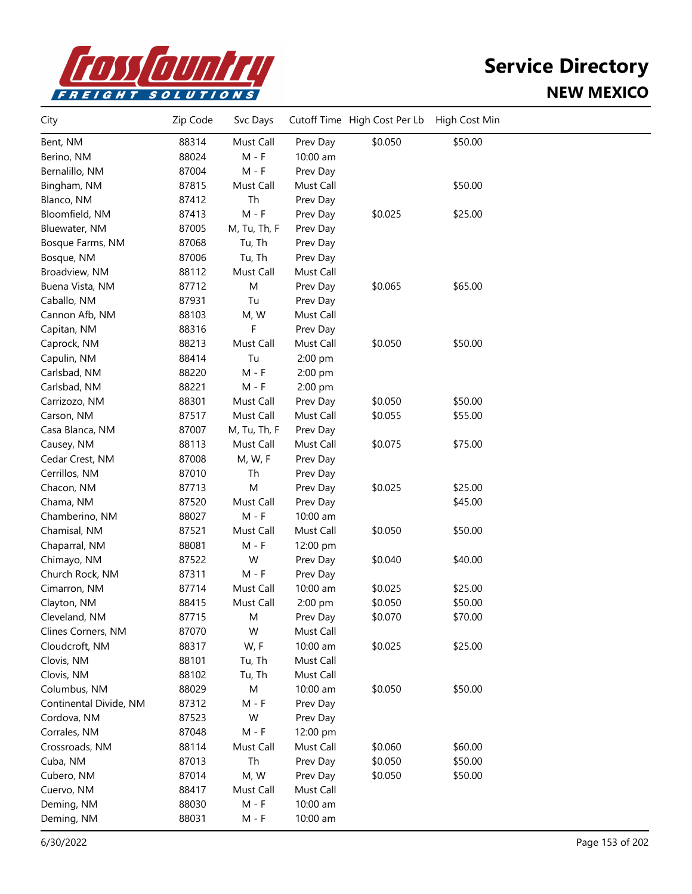

| City                   | Zip Code | Svc Days     |           | Cutoff Time High Cost Per Lb | High Cost Min |  |
|------------------------|----------|--------------|-----------|------------------------------|---------------|--|
| Bent, NM               | 88314    | Must Call    | Prev Day  | \$0.050                      | \$50.00       |  |
| Berino, NM             | 88024    | $M - F$      | 10:00 am  |                              |               |  |
| Bernalillo, NM         | 87004    | $M - F$      | Prev Day  |                              |               |  |
| Bingham, NM            | 87815    | Must Call    | Must Call |                              | \$50.00       |  |
| Blanco, NM             | 87412    | Th           | Prev Day  |                              |               |  |
| Bloomfield, NM         | 87413    | $M - F$      | Prev Day  | \$0.025                      | \$25.00       |  |
| Bluewater, NM          | 87005    | M, Tu, Th, F | Prev Day  |                              |               |  |
| Bosque Farms, NM       | 87068    | Tu, Th       | Prev Day  |                              |               |  |
| Bosque, NM             | 87006    | Tu, Th       | Prev Day  |                              |               |  |
| Broadview, NM          | 88112    | Must Call    | Must Call |                              |               |  |
| Buena Vista, NM        | 87712    | M            | Prev Day  | \$0.065                      | \$65.00       |  |
| Caballo, NM            | 87931    | Tu           | Prev Day  |                              |               |  |
| Cannon Afb, NM         | 88103    | M, W         | Must Call |                              |               |  |
| Capitan, NM            | 88316    | F            | Prev Day  |                              |               |  |
| Caprock, NM            | 88213    | Must Call    | Must Call | \$0.050                      | \$50.00       |  |
| Capulin, NM            | 88414    | Tu           | 2:00 pm   |                              |               |  |
| Carlsbad, NM           | 88220    | M - F        | 2:00 pm   |                              |               |  |
| Carlsbad, NM           | 88221    | M - F        | 2:00 pm   |                              |               |  |
| Carrizozo, NM          | 88301    | Must Call    | Prev Day  | \$0.050                      | \$50.00       |  |
| Carson, NM             | 87517    | Must Call    | Must Call | \$0.055                      | \$55.00       |  |
| Casa Blanca, NM        | 87007    | M, Tu, Th, F | Prev Day  |                              |               |  |
| Causey, NM             | 88113    | Must Call    | Must Call | \$0.075                      | \$75.00       |  |
| Cedar Crest, NM        | 87008    | M, W, F      | Prev Day  |                              |               |  |
| Cerrillos, NM          | 87010    | Th           | Prev Day  |                              |               |  |
| Chacon, NM             | 87713    | M            | Prev Day  | \$0.025                      | \$25.00       |  |
| Chama, NM              | 87520    | Must Call    | Prev Day  |                              | \$45.00       |  |
| Chamberino, NM         | 88027    | $M - F$      | 10:00 am  |                              |               |  |
| Chamisal, NM           | 87521    | Must Call    | Must Call | \$0.050                      | \$50.00       |  |
| Chaparral, NM          | 88081    | $M - F$      | 12:00 pm  |                              |               |  |
| Chimayo, NM            | 87522    | W            | Prev Day  | \$0.040                      | \$40.00       |  |
| Church Rock, NM        | 87311    | $M - F$      | Prev Day  |                              |               |  |
| Cimarron, NM           | 87714    | Must Call    | 10:00 am  | \$0.025                      | \$25.00       |  |
| Clayton, NM            | 88415    | Must Call    | 2:00 pm   | \$0.050                      | \$50.00       |  |
| Cleveland, NM          | 87715    | M            | Prev Day  | \$0.070                      | \$70.00       |  |
| Clines Corners, NM     | 87070    | W            | Must Call |                              |               |  |
| Cloudcroft, NM         | 88317    | W, F         | 10:00 am  | \$0.025                      | \$25.00       |  |
| Clovis, NM             | 88101    | Tu, Th       | Must Call |                              |               |  |
| Clovis, NM             | 88102    | Tu, Th       | Must Call |                              |               |  |
| Columbus, NM           | 88029    | M            | 10:00 am  | \$0.050                      | \$50.00       |  |
| Continental Divide, NM | 87312    | $M - F$      | Prev Day  |                              |               |  |
| Cordova, NM            | 87523    | W            | Prev Day  |                              |               |  |
| Corrales, NM           | 87048    | M - F        | 12:00 pm  |                              |               |  |
| Crossroads, NM         | 88114    | Must Call    | Must Call | \$0.060                      | \$60.00       |  |
| Cuba, NM               | 87013    | Th           | Prev Day  | \$0.050                      | \$50.00       |  |
| Cubero, NM             | 87014    | M, W         | Prev Day  | \$0.050                      | \$50.00       |  |
| Cuervo, NM             | 88417    | Must Call    | Must Call |                              |               |  |
| Deming, NM             | 88030    | $M - F$      | 10:00 am  |                              |               |  |
| Deming, NM             | 88031    | $M - F$      | 10:00 am  |                              |               |  |
|                        |          |              |           |                              |               |  |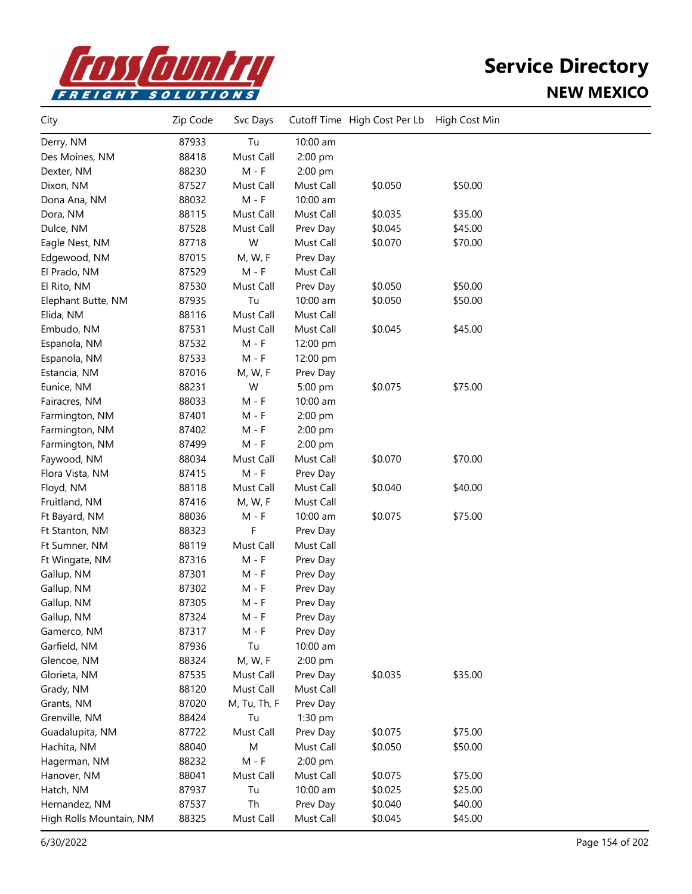

| City                    | Zip Code | Svc Days     |           | Cutoff Time High Cost Per Lb | High Cost Min |  |
|-------------------------|----------|--------------|-----------|------------------------------|---------------|--|
| Derry, NM               | 87933    | Tu           | 10:00 am  |                              |               |  |
| Des Moines, NM          | 88418    | Must Call    | 2:00 pm   |                              |               |  |
| Dexter, NM              | 88230    | $M - F$      | 2:00 pm   |                              |               |  |
| Dixon, NM               | 87527    | Must Call    | Must Call | \$0.050                      | \$50.00       |  |
| Dona Ana, NM            | 88032    | $M - F$      | 10:00 am  |                              |               |  |
| Dora, NM                | 88115    | Must Call    | Must Call | \$0.035                      | \$35.00       |  |
| Dulce, NM               | 87528    | Must Call    | Prev Day  | \$0.045                      | \$45.00       |  |
| Eagle Nest, NM          | 87718    | W            | Must Call | \$0.070                      | \$70.00       |  |
| Edgewood, NM            | 87015    | M, W, F      | Prev Day  |                              |               |  |
| El Prado, NM            | 87529    | M - F        | Must Call |                              |               |  |
| El Rito, NM             | 87530    | Must Call    | Prev Day  | \$0.050                      | \$50.00       |  |
| Elephant Butte, NM      | 87935    | Tu           | 10:00 am  | \$0.050                      | \$50.00       |  |
| Elida, NM               | 88116    | Must Call    | Must Call |                              |               |  |
| Embudo, NM              | 87531    | Must Call    | Must Call | \$0.045                      | \$45.00       |  |
| Espanola, NM            | 87532    | $M - F$      | 12:00 pm  |                              |               |  |
| Espanola, NM            | 87533    | $M - F$      | 12:00 pm  |                              |               |  |
| Estancia, NM            | 87016    | M, W, F      | Prev Day  |                              |               |  |
| Eunice, NM              | 88231    | W            | 5:00 pm   | \$0.075                      | \$75.00       |  |
| Fairacres, NM           | 88033    | $M - F$      | 10:00 am  |                              |               |  |
| Farmington, NM          | 87401    | $M - F$      | 2:00 pm   |                              |               |  |
| Farmington, NM          | 87402    | $M - F$      | 2:00 pm   |                              |               |  |
| Farmington, NM          | 87499    | $M - F$      | 2:00 pm   |                              |               |  |
| Faywood, NM             | 88034    | Must Call    | Must Call | \$0.070                      | \$70.00       |  |
| Flora Vista, NM         | 87415    | $M - F$      | Prev Day  |                              |               |  |
| Floyd, NM               | 88118    | Must Call    | Must Call | \$0.040                      | \$40.00       |  |
| Fruitland, NM           | 87416    | M, W, F      | Must Call |                              |               |  |
| Ft Bayard, NM           | 88036    | $M - F$      | 10:00 am  | \$0.075                      | \$75.00       |  |
| Ft Stanton, NM          | 88323    | F            | Prev Day  |                              |               |  |
| Ft Sumner, NM           | 88119    | Must Call    | Must Call |                              |               |  |
| Ft Wingate, NM          | 87316    | $M - F$      | Prev Day  |                              |               |  |
| Gallup, NM              | 87301    | $M - F$      | Prev Day  |                              |               |  |
| Gallup, NM              | 87302    | $M - F$      | Prev Day  |                              |               |  |
| Gallup, NM              | 87305    | M - F        | Prev Day  |                              |               |  |
| Gallup, NM              | 87324    | $M - F$      | Prev Day  |                              |               |  |
| Gamerco, NM             | 87317    | M - F        | Prev Day  |                              |               |  |
| Garfield, NM            | 87936    | Tu           | 10:00 am  |                              |               |  |
| Glencoe, NM             | 88324    | M, W, F      | 2:00 pm   |                              |               |  |
| Glorieta, NM            | 87535    | Must Call    | Prev Day  | \$0.035                      | \$35.00       |  |
| Grady, NM               | 88120    | Must Call    | Must Call |                              |               |  |
| Grants, NM              | 87020    | M, Tu, Th, F | Prev Day  |                              |               |  |
| Grenville, NM           | 88424    | Tu           | 1:30 pm   |                              |               |  |
| Guadalupita, NM         | 87722    | Must Call    | Prev Day  | \$0.075                      | \$75.00       |  |
| Hachita, NM             | 88040    | ${\sf M}$    | Must Call | \$0.050                      | \$50.00       |  |
| Hagerman, NM            | 88232    | $M - F$      | 2:00 pm   |                              |               |  |
| Hanover, NM             | 88041    | Must Call    | Must Call | \$0.075                      | \$75.00       |  |
| Hatch, NM               | 87937    | Tu           | 10:00 am  | \$0.025                      | \$25.00       |  |
| Hernandez, NM           | 87537    | Th           | Prev Day  | \$0.040                      | \$40.00       |  |
| High Rolls Mountain, NM | 88325    | Must Call    | Must Call | \$0.045                      | \$45.00       |  |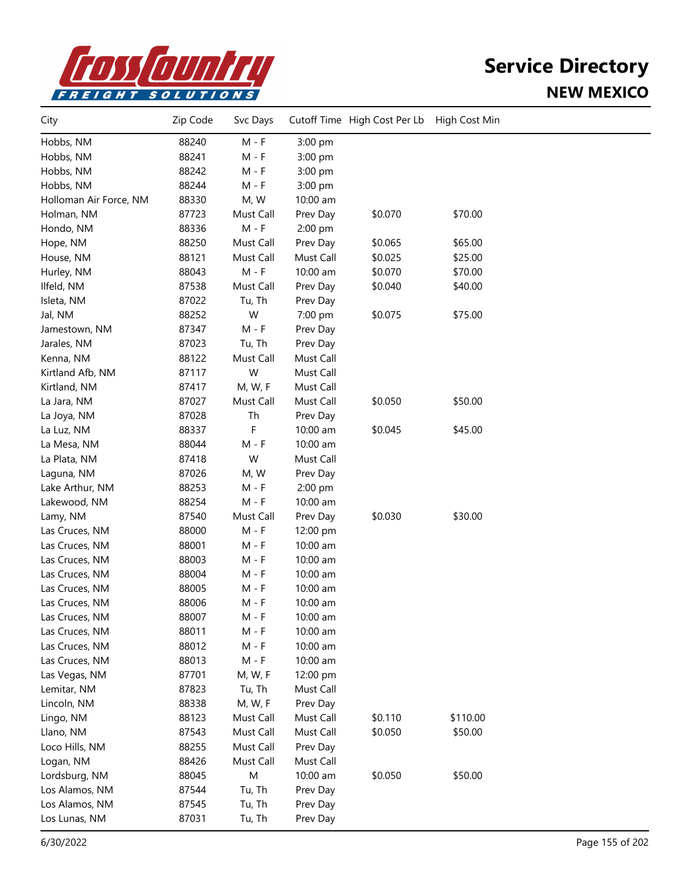

| City                   | Zip Code | Svc Days  |           | Cutoff Time High Cost Per Lb | High Cost Min |  |
|------------------------|----------|-----------|-----------|------------------------------|---------------|--|
| Hobbs, NM              | 88240    | $M - F$   | 3:00 pm   |                              |               |  |
| Hobbs, NM              | 88241    | M - F     | 3:00 pm   |                              |               |  |
| Hobbs, NM              | 88242    | M - F     | 3:00 pm   |                              |               |  |
| Hobbs, NM              | 88244    | $M - F$   | 3:00 pm   |                              |               |  |
| Holloman Air Force, NM | 88330    | M, W      | 10:00 am  |                              |               |  |
| Holman, NM             | 87723    | Must Call | Prev Day  | \$0.070                      | \$70.00       |  |
| Hondo, NM              | 88336    | $M - F$   | 2:00 pm   |                              |               |  |
| Hope, NM               | 88250    | Must Call | Prev Day  | \$0.065                      | \$65.00       |  |
| House, NM              | 88121    | Must Call | Must Call | \$0.025                      | \$25.00       |  |
| Hurley, NM             | 88043    | $M - F$   | 10:00 am  | \$0.070                      | \$70.00       |  |
| Ilfeld, NM             | 87538    | Must Call | Prev Day  | \$0.040                      | \$40.00       |  |
| Isleta, NM             | 87022    | Tu, Th    | Prev Day  |                              |               |  |
| Jal, NM                | 88252    | W         | 7:00 pm   | \$0.075                      | \$75.00       |  |
| Jamestown, NM          | 87347    | $M - F$   | Prev Day  |                              |               |  |
| Jarales, NM            | 87023    | Tu, Th    | Prev Day  |                              |               |  |
| Kenna, NM              | 88122    | Must Call | Must Call |                              |               |  |
| Kirtland Afb, NM       | 87117    | W         | Must Call |                              |               |  |
| Kirtland, NM           | 87417    | M, W, F   | Must Call |                              |               |  |
| La Jara, NM            | 87027    | Must Call | Must Call | \$0.050                      | \$50.00       |  |
| La Joya, NM            | 87028    | Th        | Prev Day  |                              |               |  |
| La Luz, NM             | 88337    | F         | 10:00 am  | \$0.045                      | \$45.00       |  |
| La Mesa, NM            | 88044    | $M - F$   | 10:00 am  |                              |               |  |
| La Plata, NM           | 87418    | W         | Must Call |                              |               |  |
| Laguna, NM             | 87026    | M, W      | Prev Day  |                              |               |  |
| Lake Arthur, NM        | 88253    | M - F     | 2:00 pm   |                              |               |  |
| Lakewood, NM           | 88254    | $M - F$   | 10:00 am  |                              |               |  |
| Lamy, NM               | 87540    | Must Call | Prev Day  | \$0.030                      | \$30.00       |  |
| Las Cruces, NM         | 88000    | $M - F$   | 12:00 pm  |                              |               |  |
| Las Cruces, NM         | 88001    | $M - F$   | 10:00 am  |                              |               |  |
| Las Cruces, NM         | 88003    | M - F     | 10:00 am  |                              |               |  |
| Las Cruces, NM         | 88004    | $M - F$   | 10:00 am  |                              |               |  |
| Las Cruces, NM         | 88005    | $M - F$   | 10:00 am  |                              |               |  |
| Las Cruces, NM         | 88006    | $M - F$   | 10:00 am  |                              |               |  |
| Las Cruces, NM         | 88007    | M - F     | 10:00 am  |                              |               |  |
| Las Cruces, NM         | 88011    | $M - F$   | 10:00 am  |                              |               |  |
| Las Cruces, NM         | 88012    | $M - F$   | 10:00 am  |                              |               |  |
| Las Cruces, NM         | 88013    | $M - F$   | 10:00 am  |                              |               |  |
| Las Vegas, NM          | 87701    | M, W, F   | 12:00 pm  |                              |               |  |
| Lemitar, NM            | 87823    | Tu, Th    | Must Call |                              |               |  |
| Lincoln, NM            | 88338    | M, W, F   | Prev Day  |                              |               |  |
| Lingo, NM              | 88123    | Must Call | Must Call | \$0.110                      | \$110.00      |  |
| Llano, NM              | 87543    | Must Call | Must Call | \$0.050                      | \$50.00       |  |
| Loco Hills, NM         | 88255    | Must Call | Prev Day  |                              |               |  |
| Logan, NM              | 88426    | Must Call | Must Call |                              |               |  |
| Lordsburg, NM          | 88045    | M         | 10:00 am  | \$0.050                      | \$50.00       |  |
| Los Alamos, NM         | 87544    | Tu, Th    | Prev Day  |                              |               |  |
| Los Alamos, NM         | 87545    | Tu, Th    | Prev Day  |                              |               |  |
| Los Lunas, NM          | 87031    | Tu, Th    | Prev Day  |                              |               |  |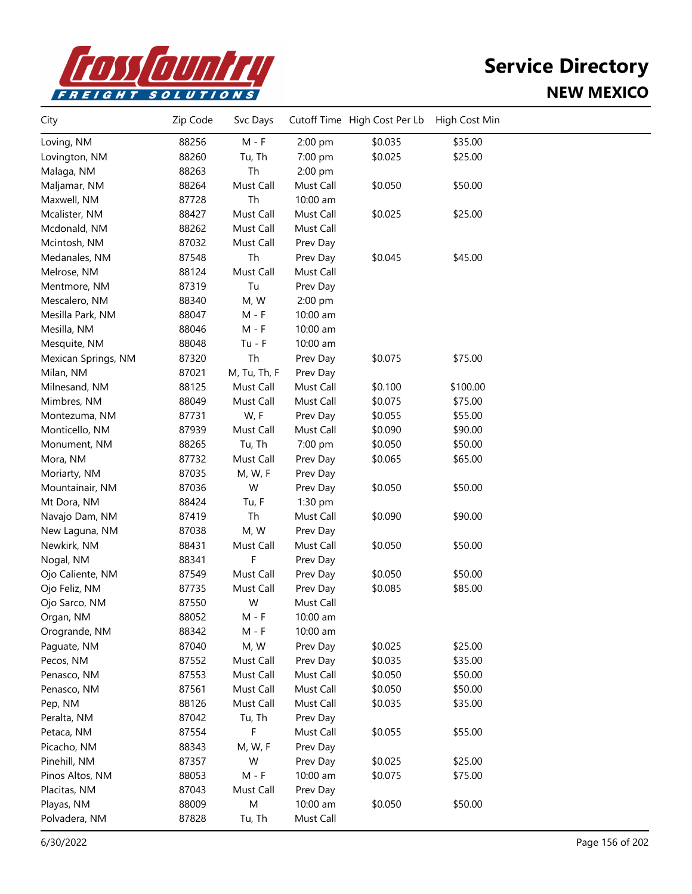

| City                | Zip Code | Svc Days     |           | Cutoff Time High Cost Per Lb | High Cost Min |  |
|---------------------|----------|--------------|-----------|------------------------------|---------------|--|
| Loving, NM          | 88256    | $M - F$      | 2:00 pm   | \$0.035                      | \$35.00       |  |
| Lovington, NM       | 88260    | Tu, Th       | 7:00 pm   | \$0.025                      | \$25.00       |  |
| Malaga, NM          | 88263    | Th           | 2:00 pm   |                              |               |  |
| Maljamar, NM        | 88264    | Must Call    | Must Call | \$0.050                      | \$50.00       |  |
| Maxwell, NM         | 87728    | Th           | 10:00 am  |                              |               |  |
| Mcalister, NM       | 88427    | Must Call    | Must Call | \$0.025                      | \$25.00       |  |
| Mcdonald, NM        | 88262    | Must Call    | Must Call |                              |               |  |
| Mcintosh, NM        | 87032    | Must Call    | Prev Day  |                              |               |  |
| Medanales, NM       | 87548    | Th           | Prev Day  | \$0.045                      | \$45.00       |  |
| Melrose, NM         | 88124    | Must Call    | Must Call |                              |               |  |
| Mentmore, NM        | 87319    | Tu           | Prev Day  |                              |               |  |
| Mescalero, NM       | 88340    | M, W         | 2:00 pm   |                              |               |  |
| Mesilla Park, NM    | 88047    | $M - F$      | 10:00 am  |                              |               |  |
| Mesilla, NM         | 88046    | $M - F$      | 10:00 am  |                              |               |  |
| Mesquite, NM        | 88048    | $Tu - F$     | 10:00 am  |                              |               |  |
| Mexican Springs, NM | 87320    | Th           | Prev Day  | \$0.075                      | \$75.00       |  |
| Milan, NM           | 87021    | M, Tu, Th, F | Prev Day  |                              |               |  |
| Milnesand, NM       | 88125    | Must Call    | Must Call | \$0.100                      | \$100.00      |  |
| Mimbres, NM         | 88049    | Must Call    | Must Call | \$0.075                      | \$75.00       |  |
| Montezuma, NM       | 87731    | W, F         | Prev Day  | \$0.055                      | \$55.00       |  |
| Monticello, NM      | 87939    | Must Call    | Must Call | \$0.090                      | \$90.00       |  |
| Monument, NM        | 88265    | Tu, Th       | 7:00 pm   | \$0.050                      | \$50.00       |  |
| Mora, NM            | 87732    | Must Call    | Prev Day  | \$0.065                      | \$65.00       |  |
| Moriarty, NM        | 87035    | M, W, F      | Prev Day  |                              |               |  |
| Mountainair, NM     | 87036    | W            | Prev Day  | \$0.050                      | \$50.00       |  |
| Mt Dora, NM         | 88424    | Tu, F        | $1:30$ pm |                              |               |  |
| Navajo Dam, NM      | 87419    | Th           | Must Call | \$0.090                      | \$90.00       |  |
| New Laguna, NM      | 87038    | M, W         | Prev Day  |                              |               |  |
| Newkirk, NM         | 88431    | Must Call    | Must Call | \$0.050                      | \$50.00       |  |
| Nogal, NM           | 88341    | F            | Prev Day  |                              |               |  |
| Ojo Caliente, NM    | 87549    | Must Call    | Prev Day  | \$0.050                      | \$50.00       |  |
| Ojo Feliz, NM       | 87735    | Must Call    | Prev Day  | \$0.085                      | \$85.00       |  |
| Ojo Sarco, NM       | 87550    | W            | Must Call |                              |               |  |
| Organ, NM           | 88052    | M - F        | 10:00 am  |                              |               |  |
| Orogrande, NM       | 88342    | M - F        | 10:00 am  |                              |               |  |
| Paguate, NM         | 87040    | M, W         | Prev Day  | \$0.025                      | \$25.00       |  |
| Pecos, NM           | 87552    | Must Call    | Prev Day  | \$0.035                      | \$35.00       |  |
| Penasco, NM         | 87553    | Must Call    | Must Call | \$0.050                      | \$50.00       |  |
| Penasco, NM         | 87561    | Must Call    | Must Call | \$0.050                      | \$50.00       |  |
| Pep, NM             | 88126    | Must Call    | Must Call | \$0.035                      | \$35.00       |  |
| Peralta, NM         | 87042    | Tu, Th       | Prev Day  |                              |               |  |
| Petaca, NM          | 87554    | F            | Must Call | \$0.055                      | \$55.00       |  |
| Picacho, NM         | 88343    | M, W, F      | Prev Day  |                              |               |  |
| Pinehill, NM        | 87357    | W            | Prev Day  | \$0.025                      | \$25.00       |  |
| Pinos Altos, NM     | 88053    | $M - F$      | 10:00 am  | \$0.075                      | \$75.00       |  |
| Placitas, NM        | 87043    | Must Call    | Prev Day  |                              |               |  |
| Playas, NM          | 88009    | M            | 10:00 am  | \$0.050                      | \$50.00       |  |
| Polvadera, NM       | 87828    | Tu, Th       | Must Call |                              |               |  |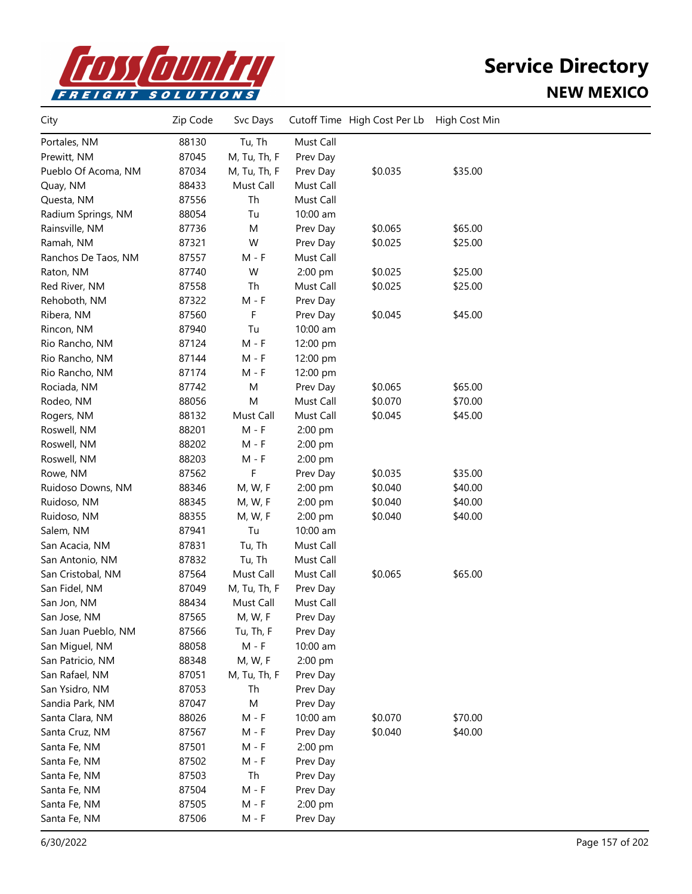

| City                | Zip Code | Svc Days     |           | Cutoff Time High Cost Per Lb | High Cost Min |  |
|---------------------|----------|--------------|-----------|------------------------------|---------------|--|
| Portales, NM        | 88130    | Tu, Th       | Must Call |                              |               |  |
| Prewitt, NM         | 87045    | M, Tu, Th, F | Prev Day  |                              |               |  |
| Pueblo Of Acoma, NM | 87034    | M, Tu, Th, F | Prev Day  | \$0.035                      | \$35.00       |  |
| Quay, NM            | 88433    | Must Call    | Must Call |                              |               |  |
| Questa, NM          | 87556    | Th           | Must Call |                              |               |  |
| Radium Springs, NM  | 88054    | Tu           | 10:00 am  |                              |               |  |
| Rainsville, NM      | 87736    | M            | Prev Day  | \$0.065                      | \$65.00       |  |
| Ramah, NM           | 87321    | W            | Prev Day  | \$0.025                      | \$25.00       |  |
| Ranchos De Taos, NM | 87557    | $M - F$      | Must Call |                              |               |  |
| Raton, NM           | 87740    | W            | 2:00 pm   | \$0.025                      | \$25.00       |  |
| Red River, NM       | 87558    | Th           | Must Call | \$0.025                      | \$25.00       |  |
| Rehoboth, NM        | 87322    | $M - F$      | Prev Day  |                              |               |  |
| Ribera, NM          | 87560    | F            | Prev Day  | \$0.045                      | \$45.00       |  |
| Rincon, NM          | 87940    | Tu           | 10:00 am  |                              |               |  |
| Rio Rancho, NM      | 87124    | $M - F$      | 12:00 pm  |                              |               |  |
| Rio Rancho, NM      | 87144    | $M - F$      | 12:00 pm  |                              |               |  |
| Rio Rancho, NM      | 87174    | $M - F$      | 12:00 pm  |                              |               |  |
| Rociada, NM         | 87742    | M            | Prev Day  | \$0.065                      | \$65.00       |  |
| Rodeo, NM           | 88056    | M            | Must Call | \$0.070                      | \$70.00       |  |
| Rogers, NM          | 88132    | Must Call    | Must Call | \$0.045                      | \$45.00       |  |
| Roswell, NM         | 88201    | $M - F$      | 2:00 pm   |                              |               |  |
| Roswell, NM         | 88202    | $M - F$      | 2:00 pm   |                              |               |  |
| Roswell, NM         | 88203    | $M - F$      | 2:00 pm   |                              |               |  |
| Rowe, NM            | 87562    | F            | Prev Day  | \$0.035                      | \$35.00       |  |
| Ruidoso Downs, NM   | 88346    | M, W, F      | 2:00 pm   | \$0.040                      | \$40.00       |  |
| Ruidoso, NM         | 88345    | M, W, F      | 2:00 pm   | \$0.040                      | \$40.00       |  |
| Ruidoso, NM         | 88355    | M, W, F      | 2:00 pm   | \$0.040                      | \$40.00       |  |
| Salem, NM           | 87941    | Tu           | 10:00 am  |                              |               |  |
| San Acacia, NM      | 87831    | Tu, Th       | Must Call |                              |               |  |
| San Antonio, NM     | 87832    | Tu, Th       | Must Call |                              |               |  |
| San Cristobal, NM   | 87564    | Must Call    | Must Call | \$0.065                      | \$65.00       |  |
| San Fidel, NM       | 87049    | M, Tu, Th, F | Prev Day  |                              |               |  |
| San Jon, NM         | 88434    | Must Call    | Must Call |                              |               |  |
| San Jose, NM        | 87565    | M, W, F      | Prev Day  |                              |               |  |
| San Juan Pueblo, NM | 87566    | Tu, Th, F    | Prev Day  |                              |               |  |
| San Miguel, NM      | 88058    | $M - F$      | 10:00 am  |                              |               |  |
| San Patricio, NM    | 88348    | M, W, F      | 2:00 pm   |                              |               |  |
| San Rafael, NM      | 87051    | M, Tu, Th, F | Prev Day  |                              |               |  |
| San Ysidro, NM      | 87053    | Th           | Prev Day  |                              |               |  |
| Sandia Park, NM     | 87047    | M            | Prev Day  |                              |               |  |
| Santa Clara, NM     | 88026    | $M - F$      | 10:00 am  | \$0.070                      | \$70.00       |  |
| Santa Cruz, NM      | 87567    | M - F        | Prev Day  | \$0.040                      | \$40.00       |  |
| Santa Fe, NM        | 87501    | M - F        | 2:00 pm   |                              |               |  |
| Santa Fe, NM        | 87502    | M - F        | Prev Day  |                              |               |  |
| Santa Fe, NM        | 87503    | Th           | Prev Day  |                              |               |  |
| Santa Fe, NM        | 87504    | $M - F$      | Prev Day  |                              |               |  |
| Santa Fe, NM        | 87505    | M - F        | 2:00 pm   |                              |               |  |
| Santa Fe, NM        | 87506    | M - F        | Prev Day  |                              |               |  |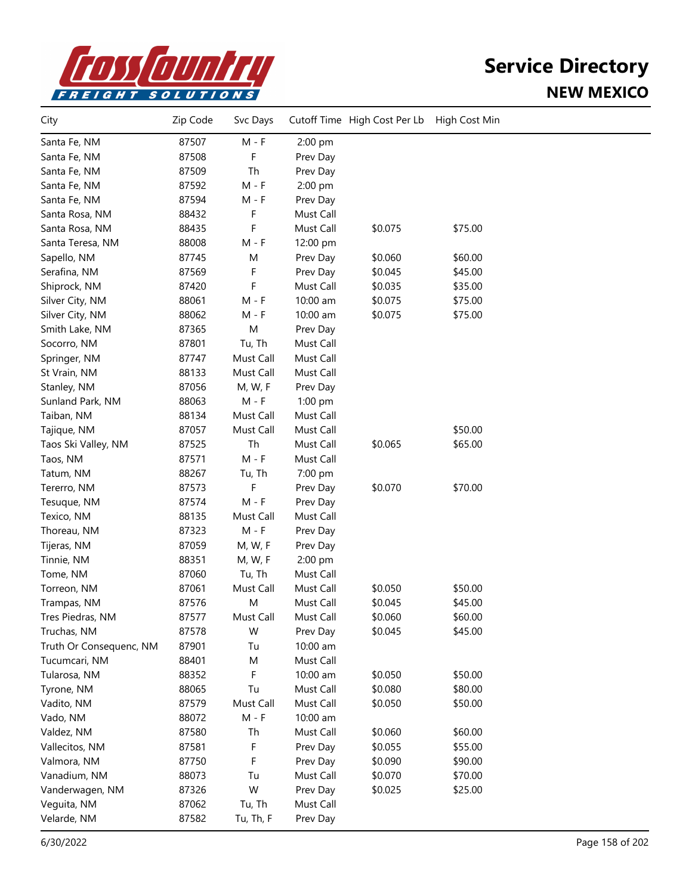

| City                    | Zip Code | Svc Days                    |           | Cutoff Time High Cost Per Lb | High Cost Min |  |
|-------------------------|----------|-----------------------------|-----------|------------------------------|---------------|--|
| Santa Fe, NM            | 87507    | $M - F$                     | 2:00 pm   |                              |               |  |
| Santa Fe, NM            | 87508    | F                           | Prev Day  |                              |               |  |
| Santa Fe, NM            | 87509    | Th                          | Prev Day  |                              |               |  |
| Santa Fe, NM            | 87592    | $M - F$                     | 2:00 pm   |                              |               |  |
| Santa Fe, NM            | 87594    | $M - F$                     | Prev Day  |                              |               |  |
| Santa Rosa, NM          | 88432    | F                           | Must Call |                              |               |  |
| Santa Rosa, NM          | 88435    | F                           | Must Call | \$0.075                      | \$75.00       |  |
| Santa Teresa, NM        | 88008    | $M - F$                     | 12:00 pm  |                              |               |  |
| Sapello, NM             | 87745    | M                           | Prev Day  | \$0.060                      | \$60.00       |  |
| Serafina, NM            | 87569    | F                           | Prev Day  | \$0.045                      | \$45.00       |  |
| Shiprock, NM            | 87420    | F                           | Must Call | \$0.035                      | \$35.00       |  |
| Silver City, NM         | 88061    | M - F                       | 10:00 am  | \$0.075                      | \$75.00       |  |
| Silver City, NM         | 88062    | $M - F$                     | 10:00 am  | \$0.075                      | \$75.00       |  |
| Smith Lake, NM          | 87365    | M                           | Prev Day  |                              |               |  |
| Socorro, NM             | 87801    | Tu, Th                      | Must Call |                              |               |  |
| Springer, NM            | 87747    | Must Call                   | Must Call |                              |               |  |
| St Vrain, NM            | 88133    | Must Call                   | Must Call |                              |               |  |
| Stanley, NM             | 87056    | M, W, F                     | Prev Day  |                              |               |  |
| Sunland Park, NM        | 88063    | $M - F$                     | 1:00 pm   |                              |               |  |
| Taiban, NM              | 88134    | Must Call                   | Must Call |                              |               |  |
| Tajique, NM             | 87057    | Must Call                   | Must Call |                              | \$50.00       |  |
| Taos Ski Valley, NM     | 87525    | Th                          | Must Call | \$0.065                      | \$65.00       |  |
| Taos, NM                | 87571    | $\mathsf{M}$ - $\mathsf{F}$ | Must Call |                              |               |  |
| Tatum, NM               | 88267    | Tu, Th                      | 7:00 pm   |                              |               |  |
| Tererro, NM             | 87573    | F                           | Prev Day  | \$0.070                      | \$70.00       |  |
| Tesuque, NM             | 87574    | $M - F$                     | Prev Day  |                              |               |  |
| Texico, NM              | 88135    | Must Call                   | Must Call |                              |               |  |
| Thoreau, NM             | 87323    | $M - F$                     | Prev Day  |                              |               |  |
| Tijeras, NM             | 87059    | M, W, F                     | Prev Day  |                              |               |  |
| Tinnie, NM              | 88351    | M, W, F                     | 2:00 pm   |                              |               |  |
| Tome, NM                | 87060    | Tu, Th                      | Must Call |                              |               |  |
| Torreon, NM             | 87061    | Must Call                   | Must Call | \$0.050                      | \$50.00       |  |
| Trampas, NM             | 87576    | M                           | Must Call | \$0.045                      | \$45.00       |  |
| Tres Piedras, NM        | 87577    | Must Call                   | Must Call | \$0.060                      | \$60.00       |  |
| Truchas, NM             | 87578    | W                           | Prev Day  | \$0.045                      | \$45.00       |  |
| Truth Or Consequenc, NM | 87901    | Tu                          | 10:00 am  |                              |               |  |
| Tucumcari, NM           | 88401    | M                           | Must Call |                              |               |  |
| Tularosa, NM            | 88352    | F                           | 10:00 am  | \$0.050                      | \$50.00       |  |
| Tyrone, NM              | 88065    | Tu                          | Must Call | \$0.080                      | \$80.00       |  |
| Vadito, NM              | 87579    | Must Call                   | Must Call | \$0.050                      | \$50.00       |  |
| Vado, NM                | 88072    | $M - F$                     | 10:00 am  |                              |               |  |
| Valdez, NM              | 87580    | Th                          | Must Call | \$0.060                      | \$60.00       |  |
| Vallecitos, NM          | 87581    | F                           | Prev Day  | \$0.055                      | \$55.00       |  |
| Valmora, NM             | 87750    | F                           | Prev Day  | \$0.090                      | \$90.00       |  |
| Vanadium, NM            | 88073    | Tu                          | Must Call | \$0.070                      | \$70.00       |  |
| Vanderwagen, NM         | 87326    | W                           | Prev Day  | \$0.025                      | \$25.00       |  |
| Veguita, NM             | 87062    | Tu, Th                      | Must Call |                              |               |  |
| Velarde, NM             | 87582    | Tu, Th, F                   | Prev Day  |                              |               |  |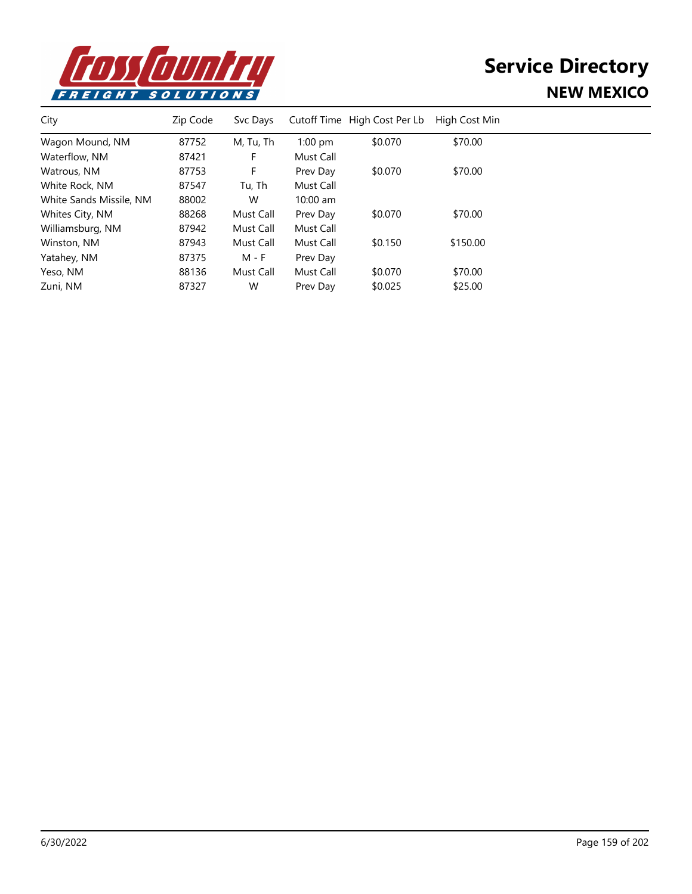

| City                    | Zip Code | Svc Days  |            | Cutoff Time High Cost Per Lb | High Cost Min |  |
|-------------------------|----------|-----------|------------|------------------------------|---------------|--|
| Wagon Mound, NM         | 87752    | M, Tu, Th | $1:00$ pm  | \$0.070                      | \$70.00       |  |
| Waterflow, NM           | 87421    | F         | Must Call  |                              |               |  |
| Watrous, NM             | 87753    | F         | Prev Day   | \$0.070                      | \$70.00       |  |
| White Rock, NM          | 87547    | Tu, Th    | Must Call  |                              |               |  |
| White Sands Missile, NM | 88002    | W         | $10:00$ am |                              |               |  |
| Whites City, NM         | 88268    | Must Call | Prev Day   | \$0.070                      | \$70.00       |  |
| Williamsburg, NM        | 87942    | Must Call | Must Call  |                              |               |  |
| Winston, NM             | 87943    | Must Call | Must Call  | \$0.150                      | \$150.00      |  |
| Yatahey, NM             | 87375    | M - F     | Prev Day   |                              |               |  |
| Yeso, NM                | 88136    | Must Call | Must Call  | \$0.070                      | \$70.00       |  |
| Zuni, NM                | 87327    | W         | Prev Day   | \$0.025                      | \$25.00       |  |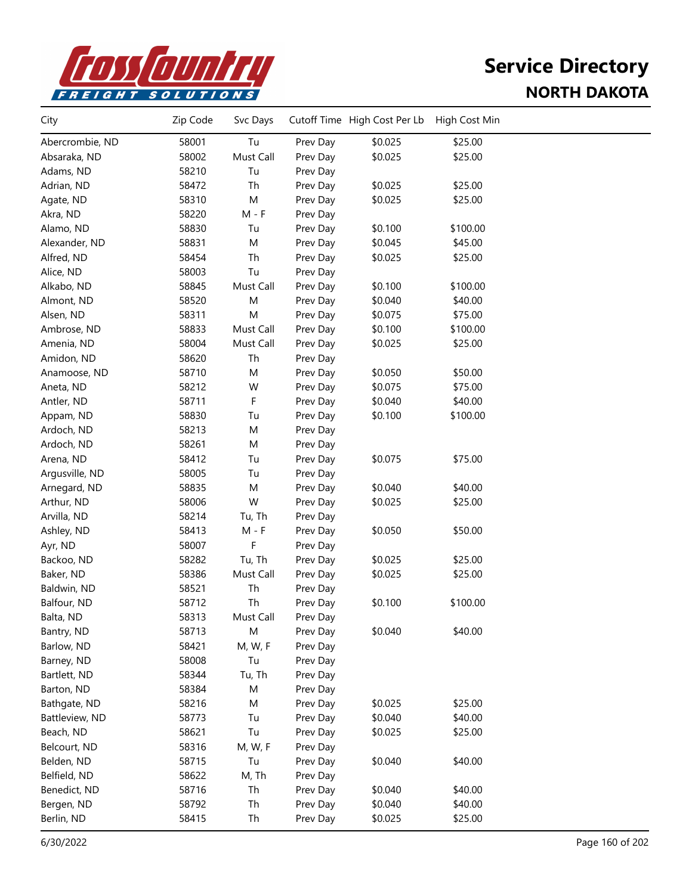

| Tu<br>Abercrombie, ND<br>58001<br>Prev Day<br>\$0.025<br>\$25.00<br>\$0.025<br>Absaraka, ND<br>58002<br>Must Call<br>Prev Day<br>\$25.00<br>Adams, ND<br>58210<br>Tu<br>Prev Day<br>58472<br>Th<br>Prev Day<br>\$0.025<br>\$25.00<br>Adrian, ND<br>M<br>58310<br>\$0.025<br>\$25.00<br>Agate, ND<br>Prev Day<br>Akra, ND<br>58220<br>$M - F$<br>Prev Day<br>58830<br>Tu<br>\$0.100<br>\$100.00<br>Alamo, ND<br>Prev Day<br>58831<br>Prev Day<br>\$0.045<br>\$45.00<br>Alexander, ND<br>M<br>58454<br>Th<br>Prev Day<br>\$0.025<br>\$25.00<br>Alfred, ND<br>58003<br>Tu<br>Prev Day<br>Alice, ND<br>\$100.00<br>58845<br>Must Call<br>\$0.100<br>Alkabo, ND<br>Prev Day<br>58520<br>M<br>\$0.040<br>\$40.00<br>Almont, ND<br>Prev Day<br>58311<br>M<br>\$0.075<br>\$75.00<br>Alsen, ND<br>Prev Day<br>58833<br>Must Call<br>\$0.100<br>\$100.00<br>Ambrose, ND<br>Prev Day<br>58004<br>Must Call<br>Amenia, ND<br>Prev Day<br>\$0.025<br>\$25.00<br>58620<br>Th<br>Amidon, ND<br>Prev Day<br>58710<br>M<br>Prev Day<br>\$0.050<br>\$50.00<br>Anamoose, ND<br>58212<br>W<br>Prev Day<br>\$0.075<br>\$75.00<br>Aneta, ND<br>F<br>58711<br>Prev Day<br>\$0.040<br>\$40.00<br>Antler, ND<br>58830<br>\$0.100<br>\$100.00<br>Tu<br>Prev Day<br>Appam, ND<br>58213<br>Ardoch, ND<br>M<br>Prev Day<br>58261<br>Ardoch, ND<br>M<br>Prev Day<br>58412<br>\$0.075<br>\$75.00<br>Arena, ND<br>Tu<br>Prev Day<br>58005<br>Argusville, ND<br>Tu<br>Prev Day<br>58835<br>M<br>Prev Day<br>\$0.040<br>\$40.00<br>Arnegard, ND<br>W<br>58006<br>\$0.025<br>\$25.00<br>Arthur, ND<br>Prev Day<br>58214<br>Arvilla, ND<br>Tu, Th<br>Prev Day<br>58413<br>$M - F$<br>\$0.050<br>\$50.00<br>Ashley, ND<br>Prev Day<br>58007<br>F<br>Ayr, ND<br>Prev Day<br>58282<br>\$0.025<br>\$25.00<br>Backoo, ND<br>Tu, Th<br>Prev Day<br>58386<br>Must Call<br>Baker, ND<br>Prev Day<br>\$0.025<br>\$25.00<br>58521<br>Th<br>Baldwin, ND<br>Prev Day<br>Th<br>Balfour, ND<br>58712<br>Prev Day<br>\$0.100<br>\$100.00<br>58313<br>Must Call<br>Balta, ND<br>Prev Day<br>\$0.040<br>\$40.00<br>58713<br>M<br>Bantry, ND<br>Prev Day<br>Barlow, ND<br>58421<br>M, W, F<br>Prev Day<br>Tu<br>Barney, ND<br>58008<br>Prev Day<br>Bartlett, ND<br>58344<br>Tu, Th<br>Prev Day<br>58384<br>M<br>Barton, ND<br>Prev Day<br>\$25.00<br>58216<br>Prev Day<br>\$0.025<br>Bathgate, ND<br>M<br>\$40.00<br>58773<br>Tu<br>Prev Day<br>\$0.040<br>Battleview, ND<br>Beach, ND<br>58621<br>Tu<br>Prev Day<br>\$0.025<br>\$25.00<br>58316<br>Belcourt, ND<br>M, W, F<br>Prev Day<br>58715<br>Tu<br>\$0.040<br>\$40.00<br>Belden, ND<br>Prev Day<br>Belfield, ND<br>58622<br>M, Th<br>Prev Day<br>58716<br>Th<br>\$0.040<br>\$40.00<br>Benedict, ND<br>Prev Day<br>\$40.00<br>58792<br>Th<br>Prev Day<br>\$0.040<br>Bergen, ND<br>Berlin, ND<br>58415<br>Th<br>Prev Day<br>\$0.025<br>\$25.00 | City | Zip Code | Svc Days | Cutoff Time High Cost Per Lb | High Cost Min |  |
|-----------------------------------------------------------------------------------------------------------------------------------------------------------------------------------------------------------------------------------------------------------------------------------------------------------------------------------------------------------------------------------------------------------------------------------------------------------------------------------------------------------------------------------------------------------------------------------------------------------------------------------------------------------------------------------------------------------------------------------------------------------------------------------------------------------------------------------------------------------------------------------------------------------------------------------------------------------------------------------------------------------------------------------------------------------------------------------------------------------------------------------------------------------------------------------------------------------------------------------------------------------------------------------------------------------------------------------------------------------------------------------------------------------------------------------------------------------------------------------------------------------------------------------------------------------------------------------------------------------------------------------------------------------------------------------------------------------------------------------------------------------------------------------------------------------------------------------------------------------------------------------------------------------------------------------------------------------------------------------------------------------------------------------------------------------------------------------------------------------------------------------------------------------------------------------------------------------------------------------------------------------------------------------------------------------------------------------------------------------------------------------------------------------------------------------------------------------------------------------------------------------------------------------------------------------------------------------------------------------------------------------------------------------------------------------------------------------------------------------------------------------------------------------------------------------------------------------------------|------|----------|----------|------------------------------|---------------|--|
|                                                                                                                                                                                                                                                                                                                                                                                                                                                                                                                                                                                                                                                                                                                                                                                                                                                                                                                                                                                                                                                                                                                                                                                                                                                                                                                                                                                                                                                                                                                                                                                                                                                                                                                                                                                                                                                                                                                                                                                                                                                                                                                                                                                                                                                                                                                                                                                                                                                                                                                                                                                                                                                                                                                                                                                                                                               |      |          |          |                              |               |  |
|                                                                                                                                                                                                                                                                                                                                                                                                                                                                                                                                                                                                                                                                                                                                                                                                                                                                                                                                                                                                                                                                                                                                                                                                                                                                                                                                                                                                                                                                                                                                                                                                                                                                                                                                                                                                                                                                                                                                                                                                                                                                                                                                                                                                                                                                                                                                                                                                                                                                                                                                                                                                                                                                                                                                                                                                                                               |      |          |          |                              |               |  |
|                                                                                                                                                                                                                                                                                                                                                                                                                                                                                                                                                                                                                                                                                                                                                                                                                                                                                                                                                                                                                                                                                                                                                                                                                                                                                                                                                                                                                                                                                                                                                                                                                                                                                                                                                                                                                                                                                                                                                                                                                                                                                                                                                                                                                                                                                                                                                                                                                                                                                                                                                                                                                                                                                                                                                                                                                                               |      |          |          |                              |               |  |
|                                                                                                                                                                                                                                                                                                                                                                                                                                                                                                                                                                                                                                                                                                                                                                                                                                                                                                                                                                                                                                                                                                                                                                                                                                                                                                                                                                                                                                                                                                                                                                                                                                                                                                                                                                                                                                                                                                                                                                                                                                                                                                                                                                                                                                                                                                                                                                                                                                                                                                                                                                                                                                                                                                                                                                                                                                               |      |          |          |                              |               |  |
|                                                                                                                                                                                                                                                                                                                                                                                                                                                                                                                                                                                                                                                                                                                                                                                                                                                                                                                                                                                                                                                                                                                                                                                                                                                                                                                                                                                                                                                                                                                                                                                                                                                                                                                                                                                                                                                                                                                                                                                                                                                                                                                                                                                                                                                                                                                                                                                                                                                                                                                                                                                                                                                                                                                                                                                                                                               |      |          |          |                              |               |  |
|                                                                                                                                                                                                                                                                                                                                                                                                                                                                                                                                                                                                                                                                                                                                                                                                                                                                                                                                                                                                                                                                                                                                                                                                                                                                                                                                                                                                                                                                                                                                                                                                                                                                                                                                                                                                                                                                                                                                                                                                                                                                                                                                                                                                                                                                                                                                                                                                                                                                                                                                                                                                                                                                                                                                                                                                                                               |      |          |          |                              |               |  |
|                                                                                                                                                                                                                                                                                                                                                                                                                                                                                                                                                                                                                                                                                                                                                                                                                                                                                                                                                                                                                                                                                                                                                                                                                                                                                                                                                                                                                                                                                                                                                                                                                                                                                                                                                                                                                                                                                                                                                                                                                                                                                                                                                                                                                                                                                                                                                                                                                                                                                                                                                                                                                                                                                                                                                                                                                                               |      |          |          |                              |               |  |
|                                                                                                                                                                                                                                                                                                                                                                                                                                                                                                                                                                                                                                                                                                                                                                                                                                                                                                                                                                                                                                                                                                                                                                                                                                                                                                                                                                                                                                                                                                                                                                                                                                                                                                                                                                                                                                                                                                                                                                                                                                                                                                                                                                                                                                                                                                                                                                                                                                                                                                                                                                                                                                                                                                                                                                                                                                               |      |          |          |                              |               |  |
|                                                                                                                                                                                                                                                                                                                                                                                                                                                                                                                                                                                                                                                                                                                                                                                                                                                                                                                                                                                                                                                                                                                                                                                                                                                                                                                                                                                                                                                                                                                                                                                                                                                                                                                                                                                                                                                                                                                                                                                                                                                                                                                                                                                                                                                                                                                                                                                                                                                                                                                                                                                                                                                                                                                                                                                                                                               |      |          |          |                              |               |  |
|                                                                                                                                                                                                                                                                                                                                                                                                                                                                                                                                                                                                                                                                                                                                                                                                                                                                                                                                                                                                                                                                                                                                                                                                                                                                                                                                                                                                                                                                                                                                                                                                                                                                                                                                                                                                                                                                                                                                                                                                                                                                                                                                                                                                                                                                                                                                                                                                                                                                                                                                                                                                                                                                                                                                                                                                                                               |      |          |          |                              |               |  |
|                                                                                                                                                                                                                                                                                                                                                                                                                                                                                                                                                                                                                                                                                                                                                                                                                                                                                                                                                                                                                                                                                                                                                                                                                                                                                                                                                                                                                                                                                                                                                                                                                                                                                                                                                                                                                                                                                                                                                                                                                                                                                                                                                                                                                                                                                                                                                                                                                                                                                                                                                                                                                                                                                                                                                                                                                                               |      |          |          |                              |               |  |
|                                                                                                                                                                                                                                                                                                                                                                                                                                                                                                                                                                                                                                                                                                                                                                                                                                                                                                                                                                                                                                                                                                                                                                                                                                                                                                                                                                                                                                                                                                                                                                                                                                                                                                                                                                                                                                                                                                                                                                                                                                                                                                                                                                                                                                                                                                                                                                                                                                                                                                                                                                                                                                                                                                                                                                                                                                               |      |          |          |                              |               |  |
|                                                                                                                                                                                                                                                                                                                                                                                                                                                                                                                                                                                                                                                                                                                                                                                                                                                                                                                                                                                                                                                                                                                                                                                                                                                                                                                                                                                                                                                                                                                                                                                                                                                                                                                                                                                                                                                                                                                                                                                                                                                                                                                                                                                                                                                                                                                                                                                                                                                                                                                                                                                                                                                                                                                                                                                                                                               |      |          |          |                              |               |  |
|                                                                                                                                                                                                                                                                                                                                                                                                                                                                                                                                                                                                                                                                                                                                                                                                                                                                                                                                                                                                                                                                                                                                                                                                                                                                                                                                                                                                                                                                                                                                                                                                                                                                                                                                                                                                                                                                                                                                                                                                                                                                                                                                                                                                                                                                                                                                                                                                                                                                                                                                                                                                                                                                                                                                                                                                                                               |      |          |          |                              |               |  |
|                                                                                                                                                                                                                                                                                                                                                                                                                                                                                                                                                                                                                                                                                                                                                                                                                                                                                                                                                                                                                                                                                                                                                                                                                                                                                                                                                                                                                                                                                                                                                                                                                                                                                                                                                                                                                                                                                                                                                                                                                                                                                                                                                                                                                                                                                                                                                                                                                                                                                                                                                                                                                                                                                                                                                                                                                                               |      |          |          |                              |               |  |
|                                                                                                                                                                                                                                                                                                                                                                                                                                                                                                                                                                                                                                                                                                                                                                                                                                                                                                                                                                                                                                                                                                                                                                                                                                                                                                                                                                                                                                                                                                                                                                                                                                                                                                                                                                                                                                                                                                                                                                                                                                                                                                                                                                                                                                                                                                                                                                                                                                                                                                                                                                                                                                                                                                                                                                                                                                               |      |          |          |                              |               |  |
|                                                                                                                                                                                                                                                                                                                                                                                                                                                                                                                                                                                                                                                                                                                                                                                                                                                                                                                                                                                                                                                                                                                                                                                                                                                                                                                                                                                                                                                                                                                                                                                                                                                                                                                                                                                                                                                                                                                                                                                                                                                                                                                                                                                                                                                                                                                                                                                                                                                                                                                                                                                                                                                                                                                                                                                                                                               |      |          |          |                              |               |  |
|                                                                                                                                                                                                                                                                                                                                                                                                                                                                                                                                                                                                                                                                                                                                                                                                                                                                                                                                                                                                                                                                                                                                                                                                                                                                                                                                                                                                                                                                                                                                                                                                                                                                                                                                                                                                                                                                                                                                                                                                                                                                                                                                                                                                                                                                                                                                                                                                                                                                                                                                                                                                                                                                                                                                                                                                                                               |      |          |          |                              |               |  |
|                                                                                                                                                                                                                                                                                                                                                                                                                                                                                                                                                                                                                                                                                                                                                                                                                                                                                                                                                                                                                                                                                                                                                                                                                                                                                                                                                                                                                                                                                                                                                                                                                                                                                                                                                                                                                                                                                                                                                                                                                                                                                                                                                                                                                                                                                                                                                                                                                                                                                                                                                                                                                                                                                                                                                                                                                                               |      |          |          |                              |               |  |
|                                                                                                                                                                                                                                                                                                                                                                                                                                                                                                                                                                                                                                                                                                                                                                                                                                                                                                                                                                                                                                                                                                                                                                                                                                                                                                                                                                                                                                                                                                                                                                                                                                                                                                                                                                                                                                                                                                                                                                                                                                                                                                                                                                                                                                                                                                                                                                                                                                                                                                                                                                                                                                                                                                                                                                                                                                               |      |          |          |                              |               |  |
|                                                                                                                                                                                                                                                                                                                                                                                                                                                                                                                                                                                                                                                                                                                                                                                                                                                                                                                                                                                                                                                                                                                                                                                                                                                                                                                                                                                                                                                                                                                                                                                                                                                                                                                                                                                                                                                                                                                                                                                                                                                                                                                                                                                                                                                                                                                                                                                                                                                                                                                                                                                                                                                                                                                                                                                                                                               |      |          |          |                              |               |  |
|                                                                                                                                                                                                                                                                                                                                                                                                                                                                                                                                                                                                                                                                                                                                                                                                                                                                                                                                                                                                                                                                                                                                                                                                                                                                                                                                                                                                                                                                                                                                                                                                                                                                                                                                                                                                                                                                                                                                                                                                                                                                                                                                                                                                                                                                                                                                                                                                                                                                                                                                                                                                                                                                                                                                                                                                                                               |      |          |          |                              |               |  |
|                                                                                                                                                                                                                                                                                                                                                                                                                                                                                                                                                                                                                                                                                                                                                                                                                                                                                                                                                                                                                                                                                                                                                                                                                                                                                                                                                                                                                                                                                                                                                                                                                                                                                                                                                                                                                                                                                                                                                                                                                                                                                                                                                                                                                                                                                                                                                                                                                                                                                                                                                                                                                                                                                                                                                                                                                                               |      |          |          |                              |               |  |
|                                                                                                                                                                                                                                                                                                                                                                                                                                                                                                                                                                                                                                                                                                                                                                                                                                                                                                                                                                                                                                                                                                                                                                                                                                                                                                                                                                                                                                                                                                                                                                                                                                                                                                                                                                                                                                                                                                                                                                                                                                                                                                                                                                                                                                                                                                                                                                                                                                                                                                                                                                                                                                                                                                                                                                                                                                               |      |          |          |                              |               |  |
|                                                                                                                                                                                                                                                                                                                                                                                                                                                                                                                                                                                                                                                                                                                                                                                                                                                                                                                                                                                                                                                                                                                                                                                                                                                                                                                                                                                                                                                                                                                                                                                                                                                                                                                                                                                                                                                                                                                                                                                                                                                                                                                                                                                                                                                                                                                                                                                                                                                                                                                                                                                                                                                                                                                                                                                                                                               |      |          |          |                              |               |  |
|                                                                                                                                                                                                                                                                                                                                                                                                                                                                                                                                                                                                                                                                                                                                                                                                                                                                                                                                                                                                                                                                                                                                                                                                                                                                                                                                                                                                                                                                                                                                                                                                                                                                                                                                                                                                                                                                                                                                                                                                                                                                                                                                                                                                                                                                                                                                                                                                                                                                                                                                                                                                                                                                                                                                                                                                                                               |      |          |          |                              |               |  |
|                                                                                                                                                                                                                                                                                                                                                                                                                                                                                                                                                                                                                                                                                                                                                                                                                                                                                                                                                                                                                                                                                                                                                                                                                                                                                                                                                                                                                                                                                                                                                                                                                                                                                                                                                                                                                                                                                                                                                                                                                                                                                                                                                                                                                                                                                                                                                                                                                                                                                                                                                                                                                                                                                                                                                                                                                                               |      |          |          |                              |               |  |
|                                                                                                                                                                                                                                                                                                                                                                                                                                                                                                                                                                                                                                                                                                                                                                                                                                                                                                                                                                                                                                                                                                                                                                                                                                                                                                                                                                                                                                                                                                                                                                                                                                                                                                                                                                                                                                                                                                                                                                                                                                                                                                                                                                                                                                                                                                                                                                                                                                                                                                                                                                                                                                                                                                                                                                                                                                               |      |          |          |                              |               |  |
|                                                                                                                                                                                                                                                                                                                                                                                                                                                                                                                                                                                                                                                                                                                                                                                                                                                                                                                                                                                                                                                                                                                                                                                                                                                                                                                                                                                                                                                                                                                                                                                                                                                                                                                                                                                                                                                                                                                                                                                                                                                                                                                                                                                                                                                                                                                                                                                                                                                                                                                                                                                                                                                                                                                                                                                                                                               |      |          |          |                              |               |  |
|                                                                                                                                                                                                                                                                                                                                                                                                                                                                                                                                                                                                                                                                                                                                                                                                                                                                                                                                                                                                                                                                                                                                                                                                                                                                                                                                                                                                                                                                                                                                                                                                                                                                                                                                                                                                                                                                                                                                                                                                                                                                                                                                                                                                                                                                                                                                                                                                                                                                                                                                                                                                                                                                                                                                                                                                                                               |      |          |          |                              |               |  |
|                                                                                                                                                                                                                                                                                                                                                                                                                                                                                                                                                                                                                                                                                                                                                                                                                                                                                                                                                                                                                                                                                                                                                                                                                                                                                                                                                                                                                                                                                                                                                                                                                                                                                                                                                                                                                                                                                                                                                                                                                                                                                                                                                                                                                                                                                                                                                                                                                                                                                                                                                                                                                                                                                                                                                                                                                                               |      |          |          |                              |               |  |
|                                                                                                                                                                                                                                                                                                                                                                                                                                                                                                                                                                                                                                                                                                                                                                                                                                                                                                                                                                                                                                                                                                                                                                                                                                                                                                                                                                                                                                                                                                                                                                                                                                                                                                                                                                                                                                                                                                                                                                                                                                                                                                                                                                                                                                                                                                                                                                                                                                                                                                                                                                                                                                                                                                                                                                                                                                               |      |          |          |                              |               |  |
|                                                                                                                                                                                                                                                                                                                                                                                                                                                                                                                                                                                                                                                                                                                                                                                                                                                                                                                                                                                                                                                                                                                                                                                                                                                                                                                                                                                                                                                                                                                                                                                                                                                                                                                                                                                                                                                                                                                                                                                                                                                                                                                                                                                                                                                                                                                                                                                                                                                                                                                                                                                                                                                                                                                                                                                                                                               |      |          |          |                              |               |  |
|                                                                                                                                                                                                                                                                                                                                                                                                                                                                                                                                                                                                                                                                                                                                                                                                                                                                                                                                                                                                                                                                                                                                                                                                                                                                                                                                                                                                                                                                                                                                                                                                                                                                                                                                                                                                                                                                                                                                                                                                                                                                                                                                                                                                                                                                                                                                                                                                                                                                                                                                                                                                                                                                                                                                                                                                                                               |      |          |          |                              |               |  |
|                                                                                                                                                                                                                                                                                                                                                                                                                                                                                                                                                                                                                                                                                                                                                                                                                                                                                                                                                                                                                                                                                                                                                                                                                                                                                                                                                                                                                                                                                                                                                                                                                                                                                                                                                                                                                                                                                                                                                                                                                                                                                                                                                                                                                                                                                                                                                                                                                                                                                                                                                                                                                                                                                                                                                                                                                                               |      |          |          |                              |               |  |
|                                                                                                                                                                                                                                                                                                                                                                                                                                                                                                                                                                                                                                                                                                                                                                                                                                                                                                                                                                                                                                                                                                                                                                                                                                                                                                                                                                                                                                                                                                                                                                                                                                                                                                                                                                                                                                                                                                                                                                                                                                                                                                                                                                                                                                                                                                                                                                                                                                                                                                                                                                                                                                                                                                                                                                                                                                               |      |          |          |                              |               |  |
|                                                                                                                                                                                                                                                                                                                                                                                                                                                                                                                                                                                                                                                                                                                                                                                                                                                                                                                                                                                                                                                                                                                                                                                                                                                                                                                                                                                                                                                                                                                                                                                                                                                                                                                                                                                                                                                                                                                                                                                                                                                                                                                                                                                                                                                                                                                                                                                                                                                                                                                                                                                                                                                                                                                                                                                                                                               |      |          |          |                              |               |  |
|                                                                                                                                                                                                                                                                                                                                                                                                                                                                                                                                                                                                                                                                                                                                                                                                                                                                                                                                                                                                                                                                                                                                                                                                                                                                                                                                                                                                                                                                                                                                                                                                                                                                                                                                                                                                                                                                                                                                                                                                                                                                                                                                                                                                                                                                                                                                                                                                                                                                                                                                                                                                                                                                                                                                                                                                                                               |      |          |          |                              |               |  |
|                                                                                                                                                                                                                                                                                                                                                                                                                                                                                                                                                                                                                                                                                                                                                                                                                                                                                                                                                                                                                                                                                                                                                                                                                                                                                                                                                                                                                                                                                                                                                                                                                                                                                                                                                                                                                                                                                                                                                                                                                                                                                                                                                                                                                                                                                                                                                                                                                                                                                                                                                                                                                                                                                                                                                                                                                                               |      |          |          |                              |               |  |
|                                                                                                                                                                                                                                                                                                                                                                                                                                                                                                                                                                                                                                                                                                                                                                                                                                                                                                                                                                                                                                                                                                                                                                                                                                                                                                                                                                                                                                                                                                                                                                                                                                                                                                                                                                                                                                                                                                                                                                                                                                                                                                                                                                                                                                                                                                                                                                                                                                                                                                                                                                                                                                                                                                                                                                                                                                               |      |          |          |                              |               |  |
|                                                                                                                                                                                                                                                                                                                                                                                                                                                                                                                                                                                                                                                                                                                                                                                                                                                                                                                                                                                                                                                                                                                                                                                                                                                                                                                                                                                                                                                                                                                                                                                                                                                                                                                                                                                                                                                                                                                                                                                                                                                                                                                                                                                                                                                                                                                                                                                                                                                                                                                                                                                                                                                                                                                                                                                                                                               |      |          |          |                              |               |  |
|                                                                                                                                                                                                                                                                                                                                                                                                                                                                                                                                                                                                                                                                                                                                                                                                                                                                                                                                                                                                                                                                                                                                                                                                                                                                                                                                                                                                                                                                                                                                                                                                                                                                                                                                                                                                                                                                                                                                                                                                                                                                                                                                                                                                                                                                                                                                                                                                                                                                                                                                                                                                                                                                                                                                                                                                                                               |      |          |          |                              |               |  |
|                                                                                                                                                                                                                                                                                                                                                                                                                                                                                                                                                                                                                                                                                                                                                                                                                                                                                                                                                                                                                                                                                                                                                                                                                                                                                                                                                                                                                                                                                                                                                                                                                                                                                                                                                                                                                                                                                                                                                                                                                                                                                                                                                                                                                                                                                                                                                                                                                                                                                                                                                                                                                                                                                                                                                                                                                                               |      |          |          |                              |               |  |
|                                                                                                                                                                                                                                                                                                                                                                                                                                                                                                                                                                                                                                                                                                                                                                                                                                                                                                                                                                                                                                                                                                                                                                                                                                                                                                                                                                                                                                                                                                                                                                                                                                                                                                                                                                                                                                                                                                                                                                                                                                                                                                                                                                                                                                                                                                                                                                                                                                                                                                                                                                                                                                                                                                                                                                                                                                               |      |          |          |                              |               |  |
|                                                                                                                                                                                                                                                                                                                                                                                                                                                                                                                                                                                                                                                                                                                                                                                                                                                                                                                                                                                                                                                                                                                                                                                                                                                                                                                                                                                                                                                                                                                                                                                                                                                                                                                                                                                                                                                                                                                                                                                                                                                                                                                                                                                                                                                                                                                                                                                                                                                                                                                                                                                                                                                                                                                                                                                                                                               |      |          |          |                              |               |  |
|                                                                                                                                                                                                                                                                                                                                                                                                                                                                                                                                                                                                                                                                                                                                                                                                                                                                                                                                                                                                                                                                                                                                                                                                                                                                                                                                                                                                                                                                                                                                                                                                                                                                                                                                                                                                                                                                                                                                                                                                                                                                                                                                                                                                                                                                                                                                                                                                                                                                                                                                                                                                                                                                                                                                                                                                                                               |      |          |          |                              |               |  |
|                                                                                                                                                                                                                                                                                                                                                                                                                                                                                                                                                                                                                                                                                                                                                                                                                                                                                                                                                                                                                                                                                                                                                                                                                                                                                                                                                                                                                                                                                                                                                                                                                                                                                                                                                                                                                                                                                                                                                                                                                                                                                                                                                                                                                                                                                                                                                                                                                                                                                                                                                                                                                                                                                                                                                                                                                                               |      |          |          |                              |               |  |
|                                                                                                                                                                                                                                                                                                                                                                                                                                                                                                                                                                                                                                                                                                                                                                                                                                                                                                                                                                                                                                                                                                                                                                                                                                                                                                                                                                                                                                                                                                                                                                                                                                                                                                                                                                                                                                                                                                                                                                                                                                                                                                                                                                                                                                                                                                                                                                                                                                                                                                                                                                                                                                                                                                                                                                                                                                               |      |          |          |                              |               |  |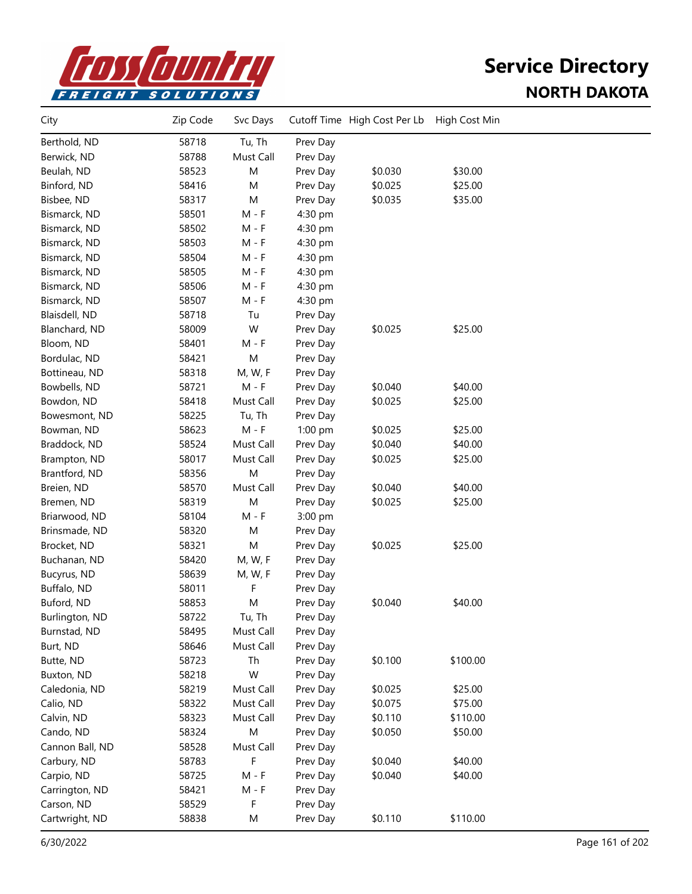

| City            | Zip Code | Svc Days  |          | Cutoff Time High Cost Per Lb | High Cost Min |  |
|-----------------|----------|-----------|----------|------------------------------|---------------|--|
| Berthold, ND    | 58718    | Tu, Th    | Prev Day |                              |               |  |
| Berwick, ND     | 58788    | Must Call | Prev Day |                              |               |  |
| Beulah, ND      | 58523    | M         | Prev Day | \$0.030                      | \$30.00       |  |
| Binford, ND     | 58416    | M         | Prev Day | \$0.025                      | \$25.00       |  |
| Bisbee, ND      | 58317    | M         | Prev Day | \$0.035                      | \$35.00       |  |
| Bismarck, ND    | 58501    | $M - F$   | 4:30 pm  |                              |               |  |
| Bismarck, ND    | 58502    | M - F     | 4:30 pm  |                              |               |  |
| Bismarck, ND    | 58503    | M - F     | 4:30 pm  |                              |               |  |
| Bismarck, ND    | 58504    | M - F     | 4:30 pm  |                              |               |  |
| Bismarck, ND    | 58505    | $M - F$   | 4:30 pm  |                              |               |  |
| Bismarck, ND    | 58506    | $M - F$   | 4:30 pm  |                              |               |  |
| Bismarck, ND    | 58507    | $M - F$   | 4:30 pm  |                              |               |  |
| Blaisdell, ND   | 58718    | Tu        | Prev Day |                              |               |  |
| Blanchard, ND   | 58009    | W         | Prev Day | \$0.025                      | \$25.00       |  |
| Bloom, ND       | 58401    | $M - F$   | Prev Day |                              |               |  |
| Bordulac, ND    | 58421    | M         | Prev Day |                              |               |  |
| Bottineau, ND   | 58318    | M, W, F   | Prev Day |                              |               |  |
| Bowbells, ND    | 58721    | $M - F$   | Prev Day | \$0.040                      | \$40.00       |  |
| Bowdon, ND      | 58418    | Must Call | Prev Day | \$0.025                      | \$25.00       |  |
| Bowesmont, ND   | 58225    | Tu, Th    | Prev Day |                              |               |  |
| Bowman, ND      | 58623    | $M - F$   | 1:00 pm  | \$0.025                      | \$25.00       |  |
| Braddock, ND    | 58524    | Must Call | Prev Day | \$0.040                      | \$40.00       |  |
| Brampton, ND    | 58017    | Must Call | Prev Day | \$0.025                      | \$25.00       |  |
| Brantford, ND   | 58356    | M         | Prev Day |                              |               |  |
| Breien, ND      | 58570    | Must Call | Prev Day | \$0.040                      | \$40.00       |  |
| Bremen, ND      | 58319    | M         | Prev Day | \$0.025                      | \$25.00       |  |
| Briarwood, ND   | 58104    | $M - F$   | 3:00 pm  |                              |               |  |
| Brinsmade, ND   | 58320    | M         | Prev Day |                              |               |  |
| Brocket, ND     | 58321    | M         | Prev Day | \$0.025                      | \$25.00       |  |
| Buchanan, ND    | 58420    | M, W, F   | Prev Day |                              |               |  |
| Bucyrus, ND     | 58639    | M, W, F   | Prev Day |                              |               |  |
| Buffalo, ND     | 58011    | F         | Prev Day |                              |               |  |
| Buford, ND      | 58853    | M         | Prev Day | \$0.040                      | \$40.00       |  |
| Burlington, ND  | 58722    | Tu, Th    | Prev Day |                              |               |  |
| Burnstad, ND    | 58495    | Must Call | Prev Day |                              |               |  |
| Burt, ND        | 58646    | Must Call | Prev Day |                              |               |  |
| Butte, ND       | 58723    | Th        | Prev Day | \$0.100                      | \$100.00      |  |
| Buxton, ND      | 58218    | W         | Prev Day |                              |               |  |
| Caledonia, ND   | 58219    | Must Call | Prev Day | \$0.025                      | \$25.00       |  |
| Calio, ND       | 58322    | Must Call | Prev Day | \$0.075                      | \$75.00       |  |
| Calvin, ND      | 58323    | Must Call | Prev Day | \$0.110                      | \$110.00      |  |
| Cando, ND       | 58324    | M         | Prev Day | \$0.050                      | \$50.00       |  |
| Cannon Ball, ND | 58528    | Must Call | Prev Day |                              |               |  |
| Carbury, ND     | 58783    | F         | Prev Day | \$0.040                      | \$40.00       |  |
| Carpio, ND      | 58725    | $M - F$   | Prev Day | \$0.040                      | \$40.00       |  |
| Carrington, ND  | 58421    | $M - F$   | Prev Day |                              |               |  |
| Carson, ND      | 58529    | F         | Prev Day |                              |               |  |
| Cartwright, ND  | 58838    | М         | Prev Day | \$0.110                      | \$110.00      |  |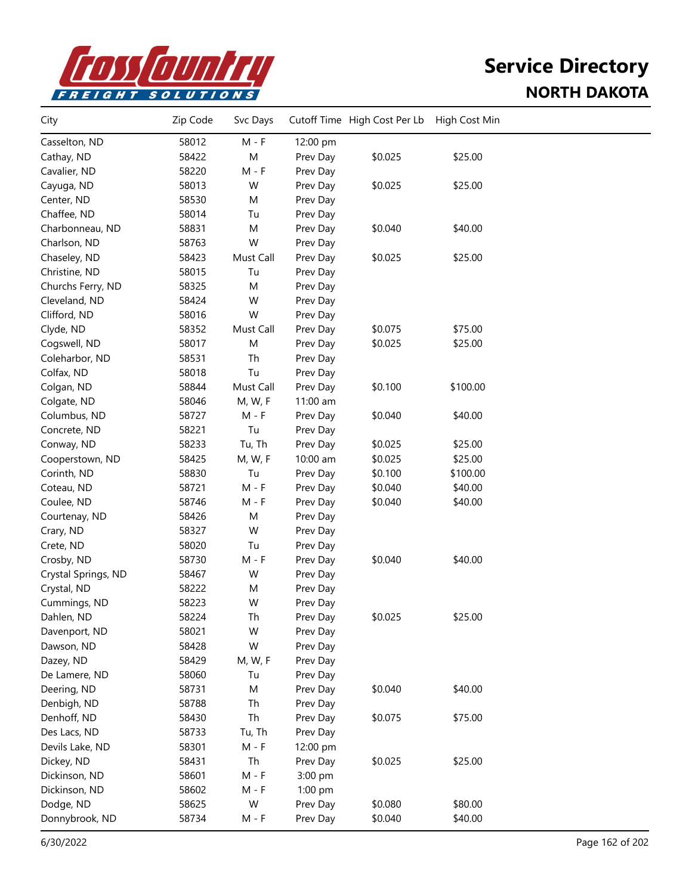

| City                | Zip Code | Svc Days  |          | Cutoff Time High Cost Per Lb | High Cost Min |  |
|---------------------|----------|-----------|----------|------------------------------|---------------|--|
| Casselton, ND       | 58012    | $M - F$   | 12:00 pm |                              |               |  |
| Cathay, ND          | 58422    | M         | Prev Day | \$0.025                      | \$25.00       |  |
| Cavalier, ND        | 58220    | $M - F$   | Prev Day |                              |               |  |
| Cayuga, ND          | 58013    | W         | Prev Day | \$0.025                      | \$25.00       |  |
| Center, ND          | 58530    | M         | Prev Day |                              |               |  |
| Chaffee, ND         | 58014    | Tu        | Prev Day |                              |               |  |
| Charbonneau, ND     | 58831    | M         | Prev Day | \$0.040                      | \$40.00       |  |
| Charlson, ND        | 58763    | W         | Prev Day |                              |               |  |
| Chaseley, ND        | 58423    | Must Call | Prev Day | \$0.025                      | \$25.00       |  |
| Christine, ND       | 58015    | Tu        | Prev Day |                              |               |  |
| Churchs Ferry, ND   | 58325    | M         | Prev Day |                              |               |  |
| Cleveland, ND       | 58424    | W         | Prev Day |                              |               |  |
| Clifford, ND        | 58016    | W         | Prev Day |                              |               |  |
| Clyde, ND           | 58352    | Must Call | Prev Day | \$0.075                      | \$75.00       |  |
| Cogswell, ND        | 58017    | M         | Prev Day | \$0.025                      | \$25.00       |  |
| Coleharbor, ND      | 58531    | Th        | Prev Day |                              |               |  |
| Colfax, ND          | 58018    | Tu        | Prev Day |                              |               |  |
| Colgan, ND          | 58844    | Must Call | Prev Day | \$0.100                      | \$100.00      |  |
| Colgate, ND         | 58046    | M, W, F   | 11:00 am |                              |               |  |
| Columbus, ND        | 58727    | $M - F$   | Prev Day | \$0.040                      | \$40.00       |  |
| Concrete, ND        | 58221    | Tu        | Prev Day |                              |               |  |
| Conway, ND          | 58233    | Tu, Th    | Prev Day | \$0.025                      | \$25.00       |  |
| Cooperstown, ND     | 58425    | M, W, F   | 10:00 am | \$0.025                      | \$25.00       |  |
| Corinth, ND         | 58830    | Tu        | Prev Day | \$0.100                      | \$100.00      |  |
| Coteau, ND          | 58721    | $M - F$   | Prev Day | \$0.040                      | \$40.00       |  |
| Coulee, ND          | 58746    | $M - F$   | Prev Day | \$0.040                      | \$40.00       |  |
| Courtenay, ND       | 58426    | M         | Prev Day |                              |               |  |
| Crary, ND           | 58327    | W         | Prev Day |                              |               |  |
| Crete, ND           | 58020    | Tu        | Prev Day |                              |               |  |
| Crosby, ND          | 58730    | $M - F$   | Prev Day | \$0.040                      | \$40.00       |  |
| Crystal Springs, ND | 58467    | W         | Prev Day |                              |               |  |
| Crystal, ND         | 58222    | M         | Prev Day |                              |               |  |
| Cummings, ND        | 58223    | W         | Prev Day |                              |               |  |
| Dahlen, ND          | 58224    | Th        | Prev Day | \$0.025                      | \$25.00       |  |
| Davenport, ND       | 58021    | W         | Prev Day |                              |               |  |
| Dawson, ND          | 58428    | W         | Prev Day |                              |               |  |
| Dazey, ND           | 58429    | M, W, F   | Prev Day |                              |               |  |
| De Lamere, ND       | 58060    | Tu        | Prev Day |                              |               |  |
| Deering, ND         | 58731    | M         | Prev Day | \$0.040                      | \$40.00       |  |
| Denbigh, ND         | 58788    | Th        | Prev Day |                              |               |  |
| Denhoff, ND         | 58430    | Th        | Prev Day | \$0.075                      | \$75.00       |  |
| Des Lacs, ND        | 58733    | Tu, Th    | Prev Day |                              |               |  |
| Devils Lake, ND     | 58301    | $M - F$   | 12:00 pm |                              |               |  |
| Dickey, ND          | 58431    | Th        | Prev Day | \$0.025                      | \$25.00       |  |
| Dickinson, ND       | 58601    | $M - F$   | 3:00 pm  |                              |               |  |
| Dickinson, ND       | 58602    | $M - F$   | 1:00 pm  |                              |               |  |
| Dodge, ND           | 58625    | W         | Prev Day | \$0.080                      | \$80.00       |  |
| Donnybrook, ND      | 58734    | $M - F$   | Prev Day | \$0.040                      | \$40.00       |  |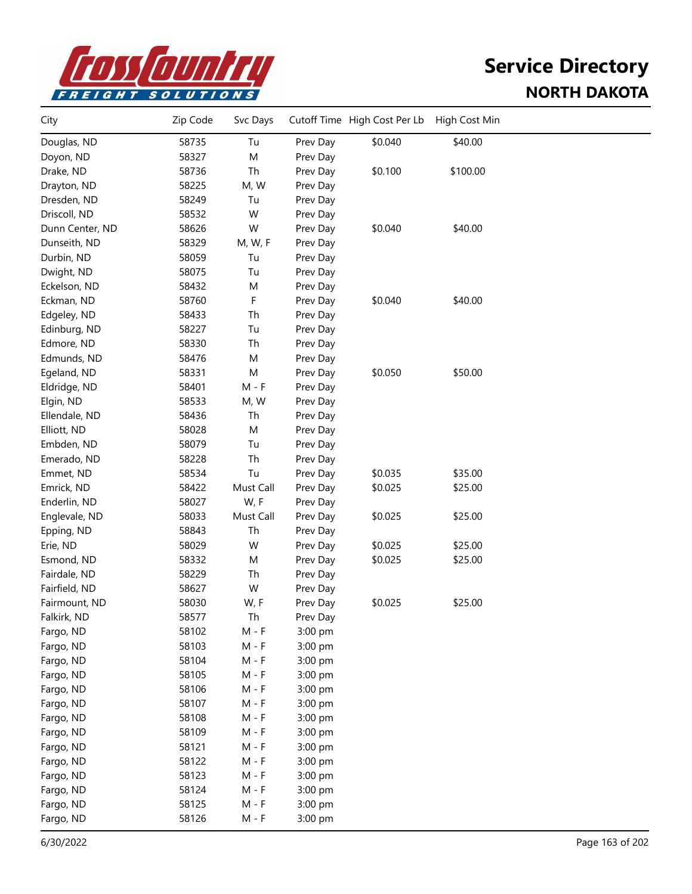

| City            | Zip Code | Svc Days  |          | Cutoff Time High Cost Per Lb | High Cost Min |  |
|-----------------|----------|-----------|----------|------------------------------|---------------|--|
| Douglas, ND     | 58735    | Tu        | Prev Day | \$0.040                      | \$40.00       |  |
| Doyon, ND       | 58327    | M         | Prev Day |                              |               |  |
| Drake, ND       | 58736    | Th        | Prev Day | \$0.100                      | \$100.00      |  |
| Drayton, ND     | 58225    | M, W      | Prev Day |                              |               |  |
| Dresden, ND     | 58249    | Tu        | Prev Day |                              |               |  |
| Driscoll, ND    | 58532    | W         | Prev Day |                              |               |  |
| Dunn Center, ND | 58626    | W         | Prev Day | \$0.040                      | \$40.00       |  |
| Dunseith, ND    | 58329    | M, W, F   | Prev Day |                              |               |  |
| Durbin, ND      | 58059    | Tu        | Prev Day |                              |               |  |
| Dwight, ND      | 58075    | Tu        | Prev Day |                              |               |  |
| Eckelson, ND    | 58432    | M         | Prev Day |                              |               |  |
| Eckman, ND      | 58760    | F         | Prev Day | \$0.040                      | \$40.00       |  |
| Edgeley, ND     | 58433    | Th        | Prev Day |                              |               |  |
| Edinburg, ND    | 58227    | Tu        | Prev Day |                              |               |  |
| Edmore, ND      | 58330    | Th        | Prev Day |                              |               |  |
| Edmunds, ND     | 58476    | M         | Prev Day |                              |               |  |
| Egeland, ND     | 58331    | М         | Prev Day | \$0.050                      | \$50.00       |  |
| Eldridge, ND    | 58401    | $M - F$   | Prev Day |                              |               |  |
| Elgin, ND       | 58533    | M, W      | Prev Day |                              |               |  |
| Ellendale, ND   | 58436    | Th        | Prev Day |                              |               |  |
| Elliott, ND     | 58028    | M         | Prev Day |                              |               |  |
| Embden, ND      | 58079    | Tu        | Prev Day |                              |               |  |
| Emerado, ND     | 58228    | Th        | Prev Day |                              |               |  |
| Emmet, ND       | 58534    | Tu        | Prev Day | \$0.035                      | \$35.00       |  |
| Emrick, ND      | 58422    | Must Call | Prev Day | \$0.025                      | \$25.00       |  |
| Enderlin, ND    | 58027    | W, F      | Prev Day |                              |               |  |
| Englevale, ND   | 58033    | Must Call | Prev Day | \$0.025                      | \$25.00       |  |
| Epping, ND      | 58843    | Th        | Prev Day |                              |               |  |
| Erie, ND        | 58029    | W         | Prev Day | \$0.025                      | \$25.00       |  |
| Esmond, ND      | 58332    | M         | Prev Day | \$0.025                      | \$25.00       |  |
| Fairdale, ND    | 58229    | Th        | Prev Day |                              |               |  |
| Fairfield, ND   | 58627    | W         | Prev Day |                              |               |  |
| Fairmount, ND   | 58030    | W, F      | Prev Day | \$0.025                      | \$25.00       |  |
| Falkirk, ND     | 58577    | Th        | Prev Day |                              |               |  |
| Fargo, ND       | 58102    | $M - F$   | 3:00 pm  |                              |               |  |
| Fargo, ND       | 58103    | $M - F$   | 3:00 pm  |                              |               |  |
| Fargo, ND       | 58104    | $M - F$   | 3:00 pm  |                              |               |  |
| Fargo, ND       | 58105    | $M - F$   | 3:00 pm  |                              |               |  |
| Fargo, ND       | 58106    | $M - F$   | 3:00 pm  |                              |               |  |
| Fargo, ND       | 58107    | $M - F$   | 3:00 pm  |                              |               |  |
| Fargo, ND       | 58108    | $M - F$   | 3:00 pm  |                              |               |  |
| Fargo, ND       | 58109    | $M - F$   | 3:00 pm  |                              |               |  |
| Fargo, ND       | 58121    | $M - F$   | 3:00 pm  |                              |               |  |
| Fargo, ND       | 58122    | $M - F$   | 3:00 pm  |                              |               |  |
| Fargo, ND       | 58123    | $M - F$   | 3:00 pm  |                              |               |  |
| Fargo, ND       | 58124    | $M - F$   | 3:00 pm  |                              |               |  |
| Fargo, ND       | 58125    | $M - F$   | 3:00 pm  |                              |               |  |
| Fargo, ND       | 58126    | $M - F$   | 3:00 pm  |                              |               |  |
|                 |          |           |          |                              |               |  |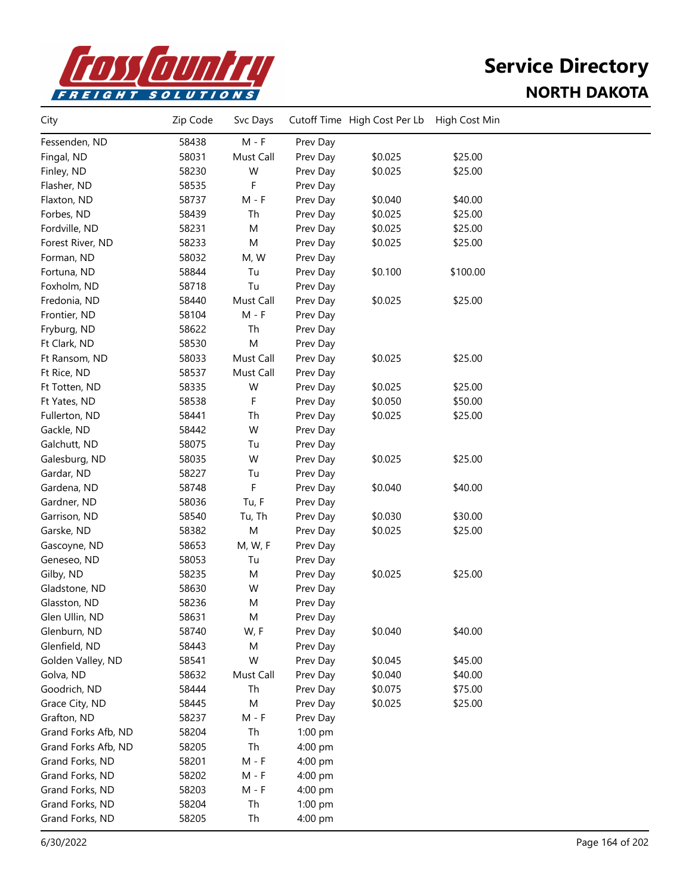

| City                | Zip Code | Svc Days  |          | Cutoff Time High Cost Per Lb | High Cost Min |  |
|---------------------|----------|-----------|----------|------------------------------|---------------|--|
| Fessenden, ND       | 58438    | $M - F$   | Prev Day |                              |               |  |
| Fingal, ND          | 58031    | Must Call | Prev Day | \$0.025                      | \$25.00       |  |
| Finley, ND          | 58230    | W         | Prev Day | \$0.025                      | \$25.00       |  |
| Flasher, ND         | 58535    | F         | Prev Day |                              |               |  |
| Flaxton, ND         | 58737    | $M - F$   | Prev Day | \$0.040                      | \$40.00       |  |
| Forbes, ND          | 58439    | Th        | Prev Day | \$0.025                      | \$25.00       |  |
| Fordville, ND       | 58231    | M         | Prev Day | \$0.025                      | \$25.00       |  |
| Forest River, ND    | 58233    | М         | Prev Day | \$0.025                      | \$25.00       |  |
| Forman, ND          | 58032    | M, W      | Prev Day |                              |               |  |
| Fortuna, ND         | 58844    | Tu        | Prev Day | \$0.100                      | \$100.00      |  |
| Foxholm, ND         | 58718    | Tu        | Prev Day |                              |               |  |
| Fredonia, ND        | 58440    | Must Call | Prev Day | \$0.025                      | \$25.00       |  |
| Frontier, ND        | 58104    | $M - F$   | Prev Day |                              |               |  |
| Fryburg, ND         | 58622    | Th        | Prev Day |                              |               |  |
| Ft Clark, ND        | 58530    | M         | Prev Day |                              |               |  |
| Ft Ransom, ND       | 58033    | Must Call | Prev Day | \$0.025                      | \$25.00       |  |
| Ft Rice, ND         | 58537    | Must Call | Prev Day |                              |               |  |
| Ft Totten, ND       | 58335    | W         | Prev Day | \$0.025                      | \$25.00       |  |
| Ft Yates, ND        | 58538    | F         | Prev Day | \$0.050                      | \$50.00       |  |
| Fullerton, ND       | 58441    | Th        | Prev Day | \$0.025                      | \$25.00       |  |
| Gackle, ND          | 58442    | W         | Prev Day |                              |               |  |
| Galchutt, ND        | 58075    | Tu        | Prev Day |                              |               |  |
| Galesburg, ND       | 58035    | W         | Prev Day | \$0.025                      | \$25.00       |  |
| Gardar, ND          | 58227    | Tu        | Prev Day |                              |               |  |
| Gardena, ND         | 58748    | F         | Prev Day | \$0.040                      | \$40.00       |  |
| Gardner, ND         | 58036    | Tu, F     | Prev Day |                              |               |  |
| Garrison, ND        | 58540    | Tu, Th    | Prev Day | \$0.030                      | \$30.00       |  |
| Garske, ND          | 58382    | M         | Prev Day | \$0.025                      | \$25.00       |  |
| Gascoyne, ND        | 58653    | M, W, F   | Prev Day |                              |               |  |
| Geneseo, ND         | 58053    | Tu        | Prev Day |                              |               |  |
| Gilby, ND           | 58235    | M         | Prev Day | \$0.025                      | \$25.00       |  |
| Gladstone, ND       | 58630    | W         | Prev Day |                              |               |  |
| Glasston, ND        | 58236    | Μ         | Prev Day |                              |               |  |
| Glen Ullin, ND      | 58631    | M         | Prev Day |                              |               |  |
| Glenburn, ND        | 58740    | W, F      | Prev Day | \$0.040                      | \$40.00       |  |
| Glenfield, ND       | 58443    | Μ         | Prev Day |                              |               |  |
| Golden Valley, ND   | 58541    | W         | Prev Day | \$0.045                      | \$45.00       |  |
| Golva, ND           | 58632    | Must Call | Prev Day | \$0.040                      | \$40.00       |  |
| Goodrich, ND        | 58444    | Th        | Prev Day | \$0.075                      | \$75.00       |  |
| Grace City, ND      | 58445    | М         | Prev Day | \$0.025                      | \$25.00       |  |
| Grafton, ND         | 58237    | $M - F$   | Prev Day |                              |               |  |
| Grand Forks Afb, ND | 58204    | Th        | 1:00 pm  |                              |               |  |
| Grand Forks Afb, ND | 58205    | Th        | 4:00 pm  |                              |               |  |
| Grand Forks, ND     | 58201    | $M - F$   | 4:00 pm  |                              |               |  |
| Grand Forks, ND     | 58202    | $M - F$   | 4:00 pm  |                              |               |  |
| Grand Forks, ND     | 58203    | $M - F$   | 4:00 pm  |                              |               |  |
| Grand Forks, ND     | 58204    | Th        | 1:00 pm  |                              |               |  |
| Grand Forks, ND     | 58205    | Th        | 4:00 pm  |                              |               |  |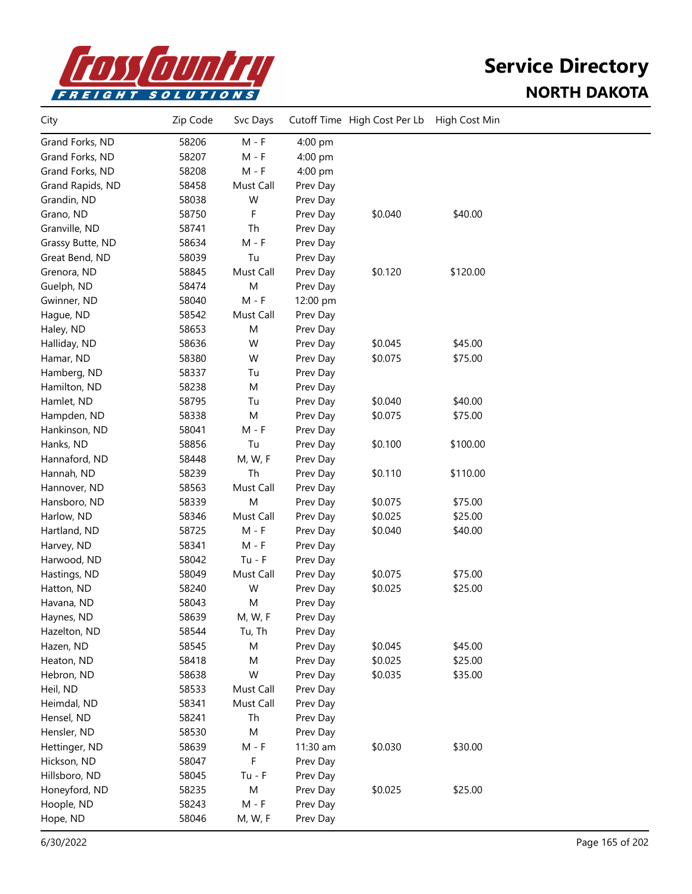

| City             | Zip Code | Svc Days  |          | Cutoff Time High Cost Per Lb | High Cost Min |  |
|------------------|----------|-----------|----------|------------------------------|---------------|--|
| Grand Forks, ND  | 58206    | $M - F$   | 4:00 pm  |                              |               |  |
| Grand Forks, ND  | 58207    | M - F     | 4:00 pm  |                              |               |  |
| Grand Forks, ND  | 58208    | $M - F$   | 4:00 pm  |                              |               |  |
| Grand Rapids, ND | 58458    | Must Call | Prev Day |                              |               |  |
| Grandin, ND      | 58038    | W         | Prev Day |                              |               |  |
| Grano, ND        | 58750    | F         | Prev Day | \$0.040                      | \$40.00       |  |
| Granville, ND    | 58741    | Th        | Prev Day |                              |               |  |
| Grassy Butte, ND | 58634    | $M - F$   | Prev Day |                              |               |  |
| Great Bend, ND   | 58039    | Tu        | Prev Day |                              |               |  |
| Grenora, ND      | 58845    | Must Call | Prev Day | \$0.120                      | \$120.00      |  |
| Guelph, ND       | 58474    | ${\sf M}$ | Prev Day |                              |               |  |
| Gwinner, ND      | 58040    | $M - F$   | 12:00 pm |                              |               |  |
| Hague, ND        | 58542    | Must Call | Prev Day |                              |               |  |
| Haley, ND        | 58653    | M         | Prev Day |                              |               |  |
| Halliday, ND     | 58636    | W         | Prev Day | \$0.045                      | \$45.00       |  |
| Hamar, ND        | 58380    | W         | Prev Day | \$0.075                      | \$75.00       |  |
| Hamberg, ND      | 58337    | Tu        | Prev Day |                              |               |  |
| Hamilton, ND     | 58238    | M         | Prev Day |                              |               |  |
| Hamlet, ND       | 58795    | Tu        | Prev Day | \$0.040                      | \$40.00       |  |
| Hampden, ND      | 58338    | ${\sf M}$ | Prev Day | \$0.075                      | \$75.00       |  |
| Hankinson, ND    | 58041    | $M - F$   | Prev Day |                              |               |  |
| Hanks, ND        | 58856    | Tu        | Prev Day | \$0.100                      | \$100.00      |  |
| Hannaford, ND    | 58448    | M, W, F   | Prev Day |                              |               |  |
| Hannah, ND       | 58239    | Th        | Prev Day | \$0.110                      | \$110.00      |  |
| Hannover, ND     | 58563    | Must Call | Prev Day |                              |               |  |
| Hansboro, ND     | 58339    | M         | Prev Day | \$0.075                      | \$75.00       |  |
| Harlow, ND       | 58346    | Must Call | Prev Day | \$0.025                      | \$25.00       |  |
| Hartland, ND     | 58725    | $M - F$   | Prev Day | \$0.040                      | \$40.00       |  |
| Harvey, ND       | 58341    | $M - F$   | Prev Day |                              |               |  |
| Harwood, ND      | 58042    | $Tu - F$  | Prev Day |                              |               |  |
| Hastings, ND     | 58049    | Must Call | Prev Day | \$0.075                      | \$75.00       |  |
| Hatton, ND       | 58240    | W         | Prev Day | \$0.025                      | \$25.00       |  |
| Havana, ND       | 58043    | M         | Prev Day |                              |               |  |
| Haynes, ND       | 58639    | M, W, F   | Prev Day |                              |               |  |
| Hazelton, ND     | 58544    | Tu, Th    | Prev Day |                              |               |  |
| Hazen, ND        | 58545    | M         | Prev Day | \$0.045                      | \$45.00       |  |
| Heaton, ND       | 58418    | M         | Prev Day | \$0.025                      | \$25.00       |  |
| Hebron, ND       | 58638    | W         | Prev Day | \$0.035                      | \$35.00       |  |
| Heil, ND         | 58533    | Must Call | Prev Day |                              |               |  |
| Heimdal, ND      | 58341    | Must Call | Prev Day |                              |               |  |
| Hensel, ND       | 58241    | Th        | Prev Day |                              |               |  |
| Hensler, ND      | 58530    | M         | Prev Day |                              |               |  |
| Hettinger, ND    | 58639    | $M - F$   | 11:30 am | \$0.030                      | \$30.00       |  |
| Hickson, ND      | 58047    | F         | Prev Day |                              |               |  |
| Hillsboro, ND    | 58045    | $Tu - F$  | Prev Day |                              |               |  |
| Honeyford, ND    | 58235    | ${\sf M}$ | Prev Day | \$0.025                      | \$25.00       |  |
| Hoople, ND       | 58243    | $M - F$   | Prev Day |                              |               |  |
| Hope, ND         | 58046    | M, W, F   | Prev Day |                              |               |  |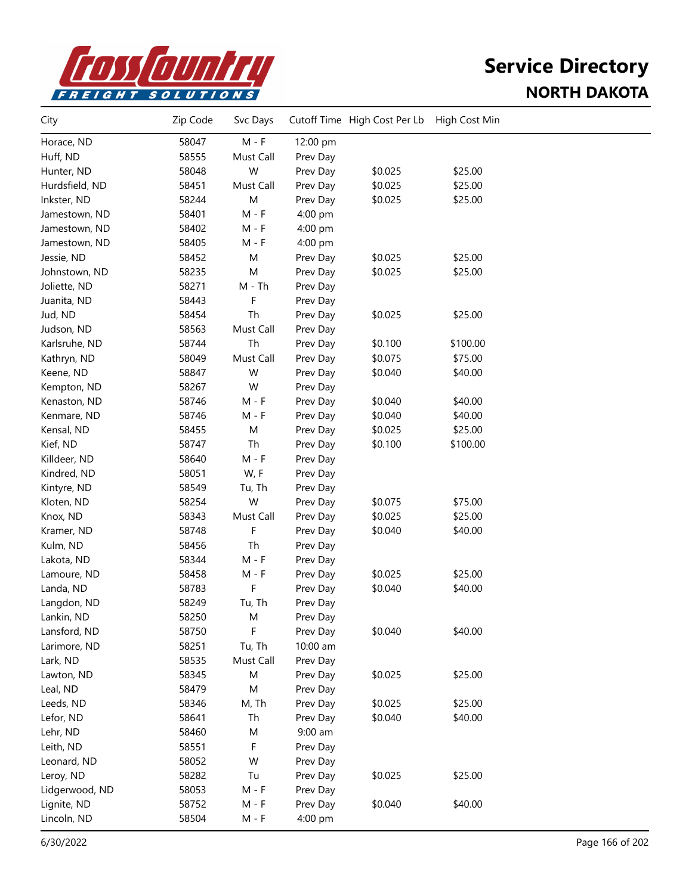

| City           | Zip Code | Svc Days  |           | Cutoff Time High Cost Per Lb | High Cost Min |  |
|----------------|----------|-----------|-----------|------------------------------|---------------|--|
| Horace, ND     | 58047    | $M - F$   | 12:00 pm  |                              |               |  |
| Huff, ND       | 58555    | Must Call | Prev Day  |                              |               |  |
| Hunter, ND     | 58048    | W         | Prev Day  | \$0.025                      | \$25.00       |  |
| Hurdsfield, ND | 58451    | Must Call | Prev Day  | \$0.025                      | \$25.00       |  |
| Inkster, ND    | 58244    | ${\sf M}$ | Prev Day  | \$0.025                      | \$25.00       |  |
| Jamestown, ND  | 58401    | $M - F$   | 4:00 pm   |                              |               |  |
| Jamestown, ND  | 58402    | $M - F$   | 4:00 pm   |                              |               |  |
| Jamestown, ND  | 58405    | $M - F$   | 4:00 pm   |                              |               |  |
| Jessie, ND     | 58452    | M         | Prev Day  | \$0.025                      | \$25.00       |  |
| Johnstown, ND  | 58235    | M         | Prev Day  | \$0.025                      | \$25.00       |  |
| Joliette, ND   | 58271    | $M - Th$  | Prev Day  |                              |               |  |
| Juanita, ND    | 58443    | F         | Prev Day  |                              |               |  |
| Jud, ND        | 58454    | Th        | Prev Day  | \$0.025                      | \$25.00       |  |
| Judson, ND     | 58563    | Must Call | Prev Day  |                              |               |  |
| Karlsruhe, ND  | 58744    | Th        | Prev Day  | \$0.100                      | \$100.00      |  |
| Kathryn, ND    | 58049    | Must Call | Prev Day  | \$0.075                      | \$75.00       |  |
| Keene, ND      | 58847    | W         | Prev Day  | \$0.040                      | \$40.00       |  |
| Kempton, ND    | 58267    | W         | Prev Day  |                              |               |  |
| Kenaston, ND   | 58746    | $M - F$   | Prev Day  | \$0.040                      | \$40.00       |  |
| Kenmare, ND    | 58746    | $M - F$   | Prev Day  | \$0.040                      | \$40.00       |  |
| Kensal, ND     | 58455    | ${\sf M}$ | Prev Day  | \$0.025                      | \$25.00       |  |
| Kief, ND       | 58747    | Th        | Prev Day  | \$0.100                      | \$100.00      |  |
| Killdeer, ND   | 58640    | $M - F$   | Prev Day  |                              |               |  |
| Kindred, ND    | 58051    | W, F      | Prev Day  |                              |               |  |
| Kintyre, ND    | 58549    | Tu, Th    | Prev Day  |                              |               |  |
| Kloten, ND     | 58254    | W         | Prev Day  | \$0.075                      | \$75.00       |  |
| Knox, ND       | 58343    | Must Call | Prev Day  | \$0.025                      | \$25.00       |  |
| Kramer, ND     | 58748    | F         | Prev Day  | \$0.040                      | \$40.00       |  |
| Kulm, ND       | 58456    | Th        | Prev Day  |                              |               |  |
| Lakota, ND     | 58344    | $M - F$   | Prev Day  |                              |               |  |
| Lamoure, ND    | 58458    | $M - F$   | Prev Day  | \$0.025                      | \$25.00       |  |
| Landa, ND      | 58783    | F         | Prev Day  | \$0.040                      | \$40.00       |  |
| Langdon, ND    | 58249    | Tu, Th    | Prev Day  |                              |               |  |
| Lankin, ND     | 58250    | M         | Prev Day  |                              |               |  |
| Lansford, ND   | 58750    | F         | Prev Day  | \$0.040                      | \$40.00       |  |
| Larimore, ND   | 58251    | Tu, Th    | 10:00 am  |                              |               |  |
| Lark, ND       | 58535    | Must Call | Prev Day  |                              |               |  |
| Lawton, ND     | 58345    | M         | Prev Day  | \$0.025                      | \$25.00       |  |
| Leal, ND       | 58479    | M         | Prev Day  |                              |               |  |
| Leeds, ND      | 58346    | M, Th     | Prev Day  | \$0.025                      | \$25.00       |  |
| Lefor, ND      | 58641    | Th        | Prev Day  | \$0.040                      | \$40.00       |  |
| Lehr, ND       | 58460    | M         | $9:00$ am |                              |               |  |
| Leith, ND      | 58551    | F         | Prev Day  |                              |               |  |
| Leonard, ND    | 58052    | W         | Prev Day  |                              |               |  |
| Leroy, ND      | 58282    | Tu        | Prev Day  | \$0.025                      | \$25.00       |  |
| Lidgerwood, ND | 58053    | $M - F$   | Prev Day  |                              |               |  |
| Lignite, ND    | 58752    | $M - F$   | Prev Day  | \$0.040                      | \$40.00       |  |
| Lincoln, ND    | 58504    | $M - F$   | 4:00 pm   |                              |               |  |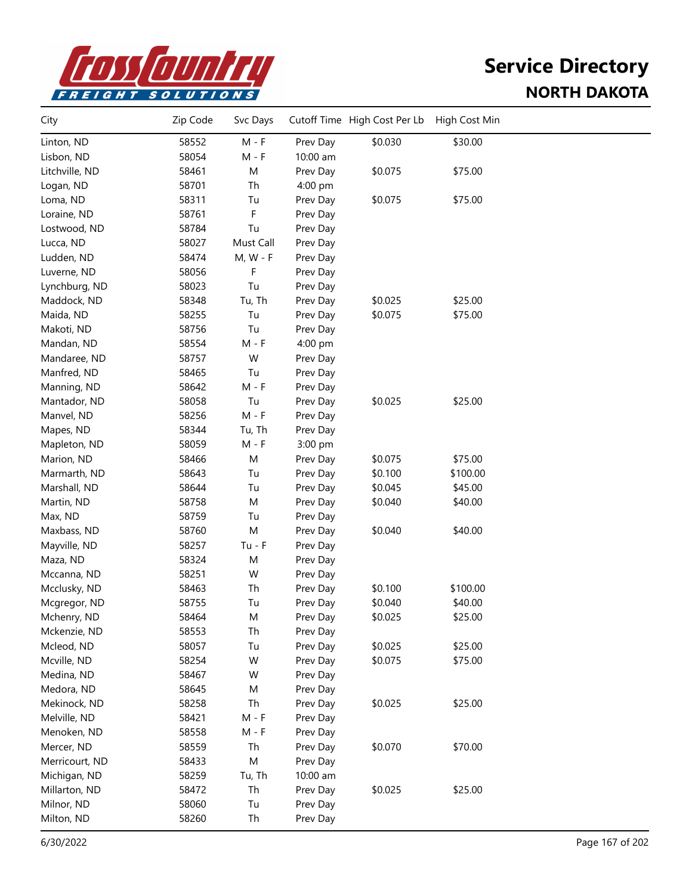

| City           | Zip Code | Svc Days   |                      | Cutoff Time High Cost Per Lb | High Cost Min |  |
|----------------|----------|------------|----------------------|------------------------------|---------------|--|
| Linton, ND     | 58552    | $M - F$    | Prev Day             | \$0.030                      | \$30.00       |  |
| Lisbon, ND     | 58054    | $M - F$    | 10:00 am             |                              |               |  |
| Litchville, ND | 58461    | M          | Prev Day             | \$0.075                      | \$75.00       |  |
| Logan, ND      | 58701    | Th         | 4:00 pm              |                              |               |  |
| Loma, ND       | 58311    | Tu         | Prev Day             | \$0.075                      | \$75.00       |  |
| Loraine, ND    | 58761    | F          | Prev Day             |                              |               |  |
| Lostwood, ND   | 58784    | Tu         | Prev Day             |                              |               |  |
| Lucca, ND      | 58027    | Must Call  | Prev Day             |                              |               |  |
| Ludden, ND     | 58474    | $M, W - F$ | Prev Day             |                              |               |  |
| Luverne, ND    | 58056    | F          | Prev Day             |                              |               |  |
| Lynchburg, ND  | 58023    | Tu         | Prev Day             |                              |               |  |
| Maddock, ND    | 58348    | Tu, Th     | Prev Day             | \$0.025                      | \$25.00       |  |
| Maida, ND      | 58255    | Tu         | Prev Day             | \$0.075                      | \$75.00       |  |
| Makoti, ND     | 58756    | Tu         | Prev Day             |                              |               |  |
| Mandan, ND     | 58554    | M - F      | 4:00 pm              |                              |               |  |
| Mandaree, ND   | 58757    | W          | Prev Day             |                              |               |  |
| Manfred, ND    | 58465    | Tu         | Prev Day             |                              |               |  |
| Manning, ND    | 58642    | $M - F$    | Prev Day             |                              |               |  |
| Mantador, ND   | 58058    | Tu         | Prev Day             | \$0.025                      | \$25.00       |  |
| Manvel, ND     | 58256    | $M - F$    | Prev Day             |                              |               |  |
| Mapes, ND      | 58344    | Tu, Th     | Prev Day             |                              |               |  |
| Mapleton, ND   | 58059    | $M - F$    | 3:00 pm              |                              |               |  |
| Marion, ND     | 58466    | M          | Prev Day             | \$0.075                      | \$75.00       |  |
| Marmarth, ND   | 58643    | Tu         | Prev Day             | \$0.100                      | \$100.00      |  |
| Marshall, ND   | 58644    | Tu         | Prev Day             | \$0.045                      | \$45.00       |  |
| Martin, ND     | 58758    | M          | Prev Day             | \$0.040                      | \$40.00       |  |
| Max, ND        | 58759    | Tu         | Prev Day             |                              |               |  |
| Maxbass, ND    | 58760    | M          | Prev Day             | \$0.040                      | \$40.00       |  |
| Mayville, ND   | 58257    | $Tu - F$   | Prev Day             |                              |               |  |
| Maza, ND       | 58324    | M          | Prev Day             |                              |               |  |
| Mccanna, ND    | 58251    | W          | Prev Day             |                              |               |  |
| Mcclusky, ND   | 58463    | Th         | Prev Day             | \$0.100                      | \$100.00      |  |
| Mcgregor, ND   | 58755    | Tu         | Prev Day             | \$0.040                      | \$40.00       |  |
| Mchenry, ND    | 58464    |            | Prev Day             | \$0.025                      | \$25.00       |  |
| Mckenzie, ND   | 58553    | M<br>Th    | Prev Day             |                              |               |  |
| Mcleod, ND     | 58057    | Tu         | Prev Day             | \$0.025                      | \$25.00       |  |
| Mcville, ND    | 58254    | W          | Prev Day             | \$0.075                      | \$75.00       |  |
| Medina, ND     | 58467    | W          |                      |                              |               |  |
| Medora, ND     | 58645    | M          | Prev Day<br>Prev Day |                              |               |  |
| Mekinock, ND   | 58258    | Th         |                      | \$0.025                      | \$25.00       |  |
| Melville, ND   | 58421    | $M - F$    | Prev Day<br>Prev Day |                              |               |  |
|                |          |            |                      |                              |               |  |
| Menoken, ND    | 58558    | $M - F$    | Prev Day             |                              |               |  |
| Mercer, ND     | 58559    | Th         | Prev Day             | \$0.070                      | \$70.00       |  |
| Merricourt, ND | 58433    | M          | Prev Day             |                              |               |  |
| Michigan, ND   | 58259    | Tu, Th     | 10:00 am             |                              |               |  |
| Millarton, ND  | 58472    | Th         | Prev Day             | \$0.025                      | \$25.00       |  |
| Milnor, ND     | 58060    | Tu         | Prev Day             |                              |               |  |
| Milton, ND     | 58260    | Th         | Prev Day             |                              |               |  |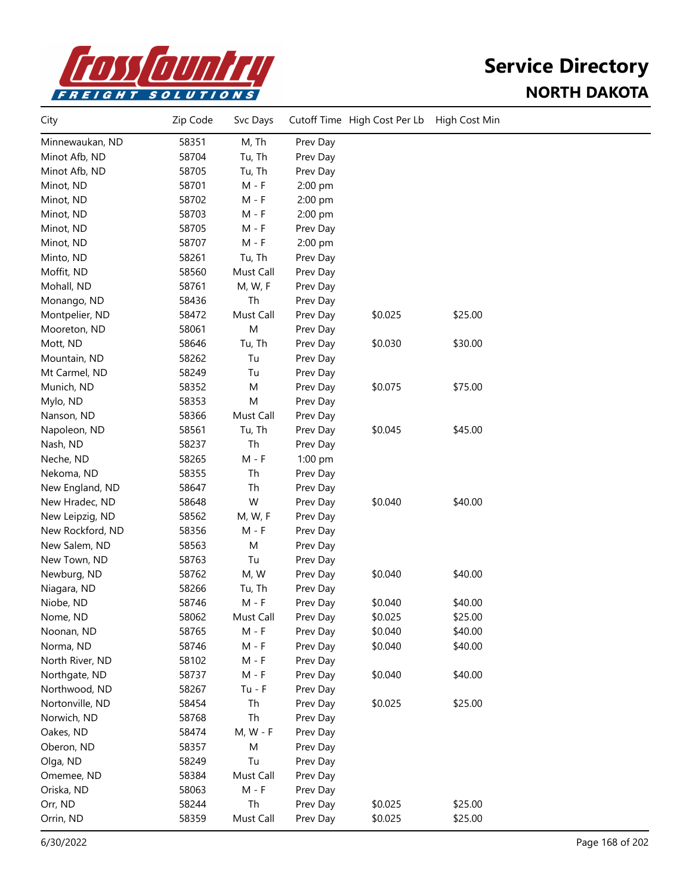

| City             | Zip Code | Svc Days  |          | Cutoff Time High Cost Per Lb | High Cost Min |  |
|------------------|----------|-----------|----------|------------------------------|---------------|--|
| Minnewaukan, ND  | 58351    | M, Th     | Prev Day |                              |               |  |
| Minot Afb, ND    | 58704    | Tu, Th    | Prev Day |                              |               |  |
| Minot Afb, ND    | 58705    | Tu, Th    | Prev Day |                              |               |  |
| Minot, ND        | 58701    | $M - F$   | 2:00 pm  |                              |               |  |
| Minot, ND        | 58702    | M - F     | 2:00 pm  |                              |               |  |
| Minot, ND        | 58703    | M - F     | 2:00 pm  |                              |               |  |
| Minot, ND        | 58705    | $M - F$   | Prev Day |                              |               |  |
| Minot, ND        | 58707    | $M - F$   | 2:00 pm  |                              |               |  |
| Minto, ND        | 58261    | Tu, Th    | Prev Day |                              |               |  |
| Moffit, ND       | 58560    | Must Call | Prev Day |                              |               |  |
| Mohall, ND       | 58761    | M, W, F   | Prev Day |                              |               |  |
| Monango, ND      | 58436    | Th        | Prev Day |                              |               |  |
| Montpelier, ND   | 58472    | Must Call | Prev Day | \$0.025                      | \$25.00       |  |
| Mooreton, ND     | 58061    | M         | Prev Day |                              |               |  |
| Mott, ND         | 58646    | Tu, Th    | Prev Day | \$0.030                      | \$30.00       |  |
| Mountain, ND     | 58262    | Tu        | Prev Day |                              |               |  |
| Mt Carmel, ND    | 58249    | Tu        | Prev Day |                              |               |  |
| Munich, ND       | 58352    | M         | Prev Day | \$0.075                      | \$75.00       |  |
| Mylo, ND         | 58353    | M         | Prev Day |                              |               |  |
| Nanson, ND       | 58366    | Must Call | Prev Day |                              |               |  |
| Napoleon, ND     | 58561    | Tu, Th    | Prev Day | \$0.045                      | \$45.00       |  |
| Nash, ND         | 58237    | Th        | Prev Day |                              |               |  |
| Neche, ND        | 58265    | $M - F$   | 1:00 pm  |                              |               |  |
| Nekoma, ND       | 58355    | Th        | Prev Day |                              |               |  |
| New England, ND  | 58647    | Th        | Prev Day |                              |               |  |
| New Hradec, ND   | 58648    | W         | Prev Day | \$0.040                      | \$40.00       |  |
| New Leipzig, ND  | 58562    | M, W, F   | Prev Day |                              |               |  |
| New Rockford, ND | 58356    | M - F     | Prev Day |                              |               |  |
| New Salem, ND    | 58563    | M         | Prev Day |                              |               |  |
| New Town, ND     | 58763    | Tu        | Prev Day |                              |               |  |
| Newburg, ND      | 58762    | M, W      | Prev Day | \$0.040                      | \$40.00       |  |
| Niagara, ND      | 58266    | Tu, Th    | Prev Day |                              |               |  |
| Niobe, ND        | 58746    | $M - F$   | Prev Day | \$0.040                      | \$40.00       |  |
| Nome, ND         | 58062    | Must Call | Prev Day | \$0.025                      | \$25.00       |  |
| Noonan, ND       | 58765    | M - F     | Prev Day | \$0.040                      | \$40.00       |  |
| Norma, ND        | 58746    | $M - F$   | Prev Day | \$0.040                      | \$40.00       |  |
| North River, ND  | 58102    | M - F     | Prev Day |                              |               |  |
| Northgate, ND    | 58737    | $M - F$   | Prev Day | \$0.040                      | \$40.00       |  |
| Northwood, ND    | 58267    | $Tu - F$  | Prev Day |                              |               |  |
| Nortonville, ND  | 58454    | Th        | Prev Day | \$0.025                      | \$25.00       |  |
| Norwich, ND      | 58768    | Th        | Prev Day |                              |               |  |
| Oakes, ND        | 58474    | M, W - F  | Prev Day |                              |               |  |
| Oberon, ND       | 58357    | M         | Prev Day |                              |               |  |
| Olga, ND         | 58249    | Tu        | Prev Day |                              |               |  |
| Omemee, ND       | 58384    | Must Call | Prev Day |                              |               |  |
| Oriska, ND       | 58063    | $M - F$   | Prev Day |                              |               |  |
| Orr, ND          | 58244    | Th        | Prev Day | \$0.025                      | \$25.00       |  |
| Orrin, ND        | 58359    | Must Call | Prev Day | \$0.025                      | \$25.00       |  |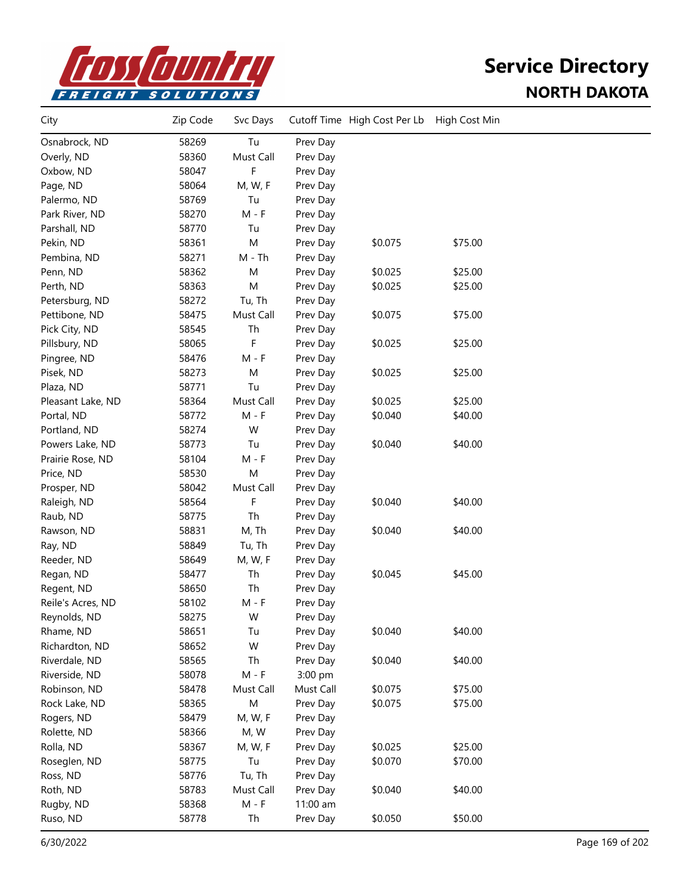

| City              | Zip Code | Svc Days  |           | Cutoff Time High Cost Per Lb | High Cost Min |  |
|-------------------|----------|-----------|-----------|------------------------------|---------------|--|
| Osnabrock, ND     | 58269    | Tu        | Prev Day  |                              |               |  |
| Overly, ND        | 58360    | Must Call | Prev Day  |                              |               |  |
| Oxbow, ND         | 58047    | F         | Prev Day  |                              |               |  |
| Page, ND          | 58064    | M, W, F   | Prev Day  |                              |               |  |
| Palermo, ND       | 58769    | Tu        | Prev Day  |                              |               |  |
| Park River, ND    | 58270    | $M - F$   | Prev Day  |                              |               |  |
| Parshall, ND      | 58770    | Tu        | Prev Day  |                              |               |  |
| Pekin, ND         | 58361    | M         | Prev Day  | \$0.075                      | \$75.00       |  |
| Pembina, ND       | 58271    | $M - Th$  | Prev Day  |                              |               |  |
| Penn, ND          | 58362    | M         | Prev Day  | \$0.025                      | \$25.00       |  |
| Perth, ND         | 58363    | M         | Prev Day  | \$0.025                      | \$25.00       |  |
| Petersburg, ND    | 58272    | Tu, Th    | Prev Day  |                              |               |  |
| Pettibone, ND     | 58475    | Must Call | Prev Day  | \$0.075                      | \$75.00       |  |
| Pick City, ND     | 58545    | Th        | Prev Day  |                              |               |  |
| Pillsbury, ND     | 58065    | F         | Prev Day  | \$0.025                      | \$25.00       |  |
| Pingree, ND       | 58476    | $M - F$   | Prev Day  |                              |               |  |
| Pisek, ND         | 58273    | M         | Prev Day  | \$0.025                      | \$25.00       |  |
| Plaza, ND         | 58771    | Tu        | Prev Day  |                              |               |  |
| Pleasant Lake, ND | 58364    | Must Call | Prev Day  | \$0.025                      | \$25.00       |  |
| Portal, ND        | 58772    | $M - F$   | Prev Day  | \$0.040                      | \$40.00       |  |
| Portland, ND      | 58274    | W         | Prev Day  |                              |               |  |
| Powers Lake, ND   | 58773    | Tu        | Prev Day  | \$0.040                      | \$40.00       |  |
| Prairie Rose, ND  | 58104    | $M - F$   | Prev Day  |                              |               |  |
| Price, ND         | 58530    | M         | Prev Day  |                              |               |  |
| Prosper, ND       | 58042    | Must Call | Prev Day  |                              |               |  |
| Raleigh, ND       | 58564    | F         | Prev Day  | \$0.040                      | \$40.00       |  |
| Raub, ND          | 58775    | Th        | Prev Day  |                              |               |  |
| Rawson, ND        | 58831    | M, Th     | Prev Day  | \$0.040                      | \$40.00       |  |
| Ray, ND           | 58849    | Tu, Th    | Prev Day  |                              |               |  |
| Reeder, ND        | 58649    | M, W, F   | Prev Day  |                              |               |  |
| Regan, ND         | 58477    | Th        | Prev Day  | \$0.045                      | \$45.00       |  |
| Regent, ND        | 58650    | Th        | Prev Day  |                              |               |  |
| Reile's Acres, ND | 58102    | M - F     | Prev Day  |                              |               |  |
| Reynolds, ND      | 58275    | W         | Prev Day  |                              |               |  |
| Rhame, ND         | 58651    | Tu        | Prev Day  | \$0.040                      | \$40.00       |  |
| Richardton, ND    | 58652    | W         | Prev Day  |                              |               |  |
| Riverdale, ND     | 58565    | Th        | Prev Day  | \$0.040                      | \$40.00       |  |
| Riverside, ND     | 58078    | $M - F$   | 3:00 pm   |                              |               |  |
| Robinson, ND      | 58478    | Must Call | Must Call | \$0.075                      | \$75.00       |  |
| Rock Lake, ND     | 58365    | M         | Prev Day  | \$0.075                      | \$75.00       |  |
| Rogers, ND        | 58479    | M, W, F   | Prev Day  |                              |               |  |
| Rolette, ND       | 58366    | M, W      | Prev Day  |                              |               |  |
| Rolla, ND         | 58367    | M, W, F   | Prev Day  | \$0.025                      | \$25.00       |  |
| Roseglen, ND      | 58775    | Tu        | Prev Day  | \$0.070                      | \$70.00       |  |
| Ross, ND          | 58776    | Tu, Th    | Prev Day  |                              |               |  |
| Roth, ND          | 58783    | Must Call | Prev Day  | \$0.040                      | \$40.00       |  |
| Rugby, ND         | 58368    | $M - F$   | 11:00 am  |                              |               |  |
| Ruso, ND          | 58778    | Th        | Prev Day  | \$0.050                      | \$50.00       |  |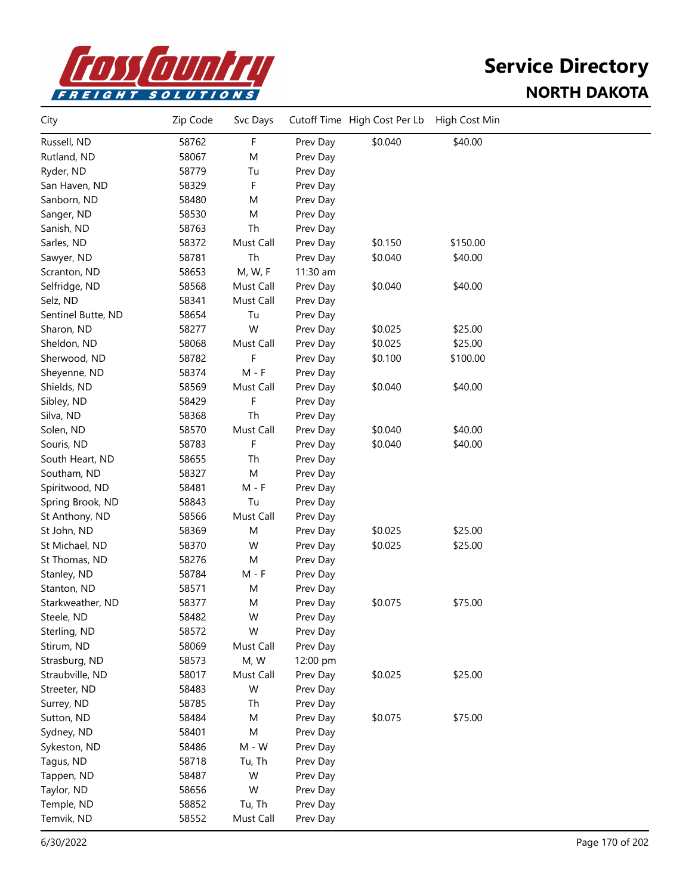

| City               | Zip Code | Svc Days  |          | Cutoff Time High Cost Per Lb | High Cost Min |  |
|--------------------|----------|-----------|----------|------------------------------|---------------|--|
| Russell, ND        | 58762    | F         | Prev Day | \$0.040                      | \$40.00       |  |
| Rutland, ND        | 58067    | M         | Prev Day |                              |               |  |
| Ryder, ND          | 58779    | Tu        | Prev Day |                              |               |  |
| San Haven, ND      | 58329    | F         | Prev Day |                              |               |  |
| Sanborn, ND        | 58480    | M         | Prev Day |                              |               |  |
| Sanger, ND         | 58530    | M         | Prev Day |                              |               |  |
| Sanish, ND         | 58763    | Th        | Prev Day |                              |               |  |
| Sarles, ND         | 58372    | Must Call | Prev Day | \$0.150                      | \$150.00      |  |
| Sawyer, ND         | 58781    | Th        | Prev Day | \$0.040                      | \$40.00       |  |
| Scranton, ND       | 58653    | M, W, F   | 11:30 am |                              |               |  |
| Selfridge, ND      | 58568    | Must Call | Prev Day | \$0.040                      | \$40.00       |  |
| Selz, ND           | 58341    | Must Call | Prev Day |                              |               |  |
| Sentinel Butte, ND | 58654    | Tu        | Prev Day |                              |               |  |
| Sharon, ND         | 58277    | W         | Prev Day | \$0.025                      | \$25.00       |  |
| Sheldon, ND        | 58068    | Must Call | Prev Day | \$0.025                      | \$25.00       |  |
| Sherwood, ND       | 58782    | F         | Prev Day | \$0.100                      | \$100.00      |  |
| Sheyenne, ND       | 58374    | $M - F$   | Prev Day |                              |               |  |
| Shields, ND        | 58569    | Must Call | Prev Day | \$0.040                      | \$40.00       |  |
| Sibley, ND         | 58429    | F         | Prev Day |                              |               |  |
| Silva, ND          | 58368    | Th        | Prev Day |                              |               |  |
| Solen, ND          | 58570    | Must Call | Prev Day | \$0.040                      | \$40.00       |  |
| Souris, ND         | 58783    | F         | Prev Day | \$0.040                      | \$40.00       |  |
| South Heart, ND    | 58655    | Th        | Prev Day |                              |               |  |
| Southam, ND        | 58327    | M         | Prev Day |                              |               |  |
| Spiritwood, ND     | 58481    | $M - F$   | Prev Day |                              |               |  |
| Spring Brook, ND   | 58843    | Tu        | Prev Day |                              |               |  |
| St Anthony, ND     | 58566    | Must Call | Prev Day |                              |               |  |
| St John, ND        | 58369    | M         | Prev Day | \$0.025                      | \$25.00       |  |
| St Michael, ND     | 58370    | W         | Prev Day | \$0.025                      | \$25.00       |  |
| St Thomas, ND      | 58276    | M         | Prev Day |                              |               |  |
| Stanley, ND        | 58784    | $M - F$   | Prev Day |                              |               |  |
| Stanton, ND        | 58571    | M         | Prev Day |                              |               |  |
| Starkweather, ND   | 58377    | M         | Prev Day | \$0.075                      | \$75.00       |  |
| Steele, ND         | 58482    | W         | Prev Day |                              |               |  |
| Sterling, ND       | 58572    | W         | Prev Day |                              |               |  |
| Stirum, ND         | 58069    | Must Call | Prev Day |                              |               |  |
| Strasburg, ND      | 58573    | M, W      | 12:00 pm |                              |               |  |
| Straubville, ND    | 58017    | Must Call | Prev Day | \$0.025                      | \$25.00       |  |
| Streeter, ND       | 58483    | W         | Prev Day |                              |               |  |
| Surrey, ND         | 58785    | Th        | Prev Day |                              |               |  |
| Sutton, ND         | 58484    | M         | Prev Day | \$0.075                      | \$75.00       |  |
| Sydney, ND         | 58401    | M         | Prev Day |                              |               |  |
| Sykeston, ND       | 58486    | $M - W$   | Prev Day |                              |               |  |
| Tagus, ND          | 58718    | Tu, Th    | Prev Day |                              |               |  |
| Tappen, ND         | 58487    | W         | Prev Day |                              |               |  |
| Taylor, ND         | 58656    | W         | Prev Day |                              |               |  |
| Temple, ND         | 58852    | Tu, Th    | Prev Day |                              |               |  |
| Temvik, ND         | 58552    | Must Call | Prev Day |                              |               |  |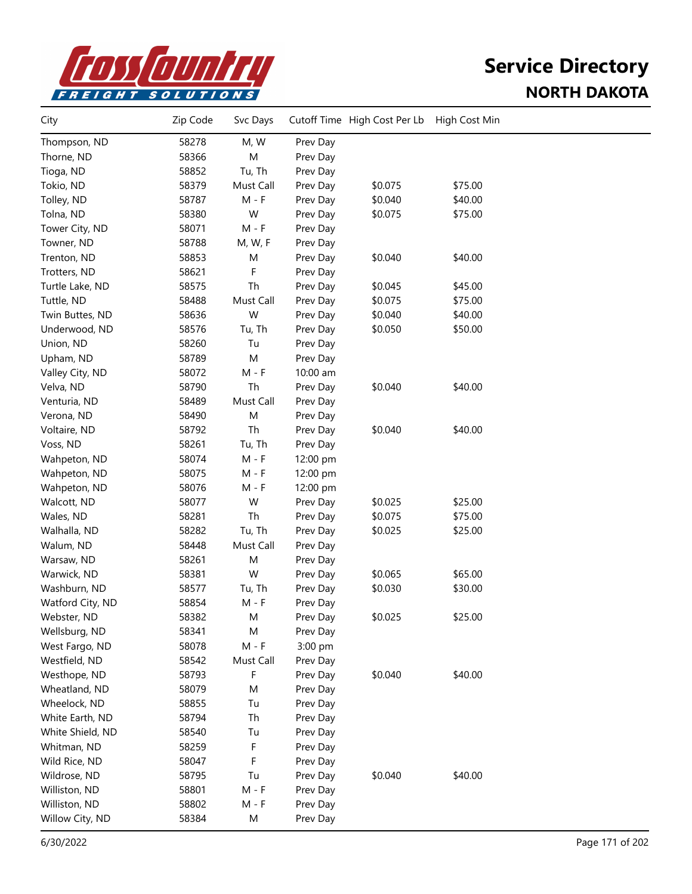

| City             | Zip Code | Svc Days  |          | Cutoff Time High Cost Per Lb | High Cost Min |  |
|------------------|----------|-----------|----------|------------------------------|---------------|--|
| Thompson, ND     | 58278    | M, W      | Prev Day |                              |               |  |
| Thorne, ND       | 58366    | M         | Prev Day |                              |               |  |
| Tioga, ND        | 58852    | Tu, Th    | Prev Day |                              |               |  |
| Tokio, ND        | 58379    | Must Call | Prev Day | \$0.075                      | \$75.00       |  |
| Tolley, ND       | 58787    | $M - F$   | Prev Day | \$0.040                      | \$40.00       |  |
| Tolna, ND        | 58380    | W         | Prev Day | \$0.075                      | \$75.00       |  |
| Tower City, ND   | 58071    | $M - F$   | Prev Day |                              |               |  |
| Towner, ND       | 58788    | M, W, F   | Prev Day |                              |               |  |
| Trenton, ND      | 58853    | M         | Prev Day | \$0.040                      | \$40.00       |  |
| Trotters, ND     | 58621    | F         | Prev Day |                              |               |  |
| Turtle Lake, ND  | 58575    | Th        | Prev Day | \$0.045                      | \$45.00       |  |
| Tuttle, ND       | 58488    | Must Call | Prev Day | \$0.075                      | \$75.00       |  |
| Twin Buttes, ND  | 58636    | W         | Prev Day | \$0.040                      | \$40.00       |  |
| Underwood, ND    | 58576    | Tu, Th    | Prev Day | \$0.050                      | \$50.00       |  |
| Union, ND        | 58260    | Tu        | Prev Day |                              |               |  |
| Upham, ND        | 58789    | M         | Prev Day |                              |               |  |
| Valley City, ND  | 58072    | $M - F$   | 10:00 am |                              |               |  |
| Velva, ND        | 58790    | Th        | Prev Day | \$0.040                      | \$40.00       |  |
| Venturia, ND     | 58489    | Must Call | Prev Day |                              |               |  |
| Verona, ND       | 58490    | M         | Prev Day |                              |               |  |
| Voltaire, ND     | 58792    | Th        | Prev Day | \$0.040                      | \$40.00       |  |
| Voss, ND         | 58261    | Tu, Th    | Prev Day |                              |               |  |
| Wahpeton, ND     | 58074    | $M - F$   | 12:00 pm |                              |               |  |
| Wahpeton, ND     | 58075    | M - F     | 12:00 pm |                              |               |  |
| Wahpeton, ND     | 58076    | M - F     | 12:00 pm |                              |               |  |
| Walcott, ND      | 58077    | W         | Prev Day | \$0.025                      | \$25.00       |  |
| Wales, ND        | 58281    | Th        | Prev Day | \$0.075                      | \$75.00       |  |
| Walhalla, ND     | 58282    | Tu, Th    | Prev Day | \$0.025                      | \$25.00       |  |
| Walum, ND        | 58448    | Must Call | Prev Day |                              |               |  |
| Warsaw, ND       | 58261    | M         | Prev Day |                              |               |  |
| Warwick, ND      | 58381    | W         | Prev Day | \$0.065                      | \$65.00       |  |
| Washburn, ND     | 58577    | Tu, Th    | Prev Day | \$0.030                      | \$30.00       |  |
| Watford City, ND | 58854    | M - F     | Prev Day |                              |               |  |
| Webster, ND      | 58382    | M         | Prev Day | \$0.025                      | \$25.00       |  |
| Wellsburg, ND    | 58341    | M         | Prev Day |                              |               |  |
| West Fargo, ND   | 58078    | $M - F$   | 3:00 pm  |                              |               |  |
| Westfield, ND    | 58542    | Must Call | Prev Day |                              |               |  |
| Westhope, ND     | 58793    | F         | Prev Day | \$0.040                      | \$40.00       |  |
| Wheatland, ND    | 58079    | M         | Prev Day |                              |               |  |
| Wheelock, ND     | 58855    | Tu        | Prev Day |                              |               |  |
| White Earth, ND  | 58794    | Th        | Prev Day |                              |               |  |
| White Shield, ND | 58540    | Tu        | Prev Day |                              |               |  |
| Whitman, ND      | 58259    | F         | Prev Day |                              |               |  |
| Wild Rice, ND    | 58047    | F         | Prev Day |                              |               |  |
| Wildrose, ND     | 58795    | Tu        | Prev Day | \$0.040                      | \$40.00       |  |
| Williston, ND    | 58801    | $M - F$   | Prev Day |                              |               |  |
| Williston, ND    | 58802    | $M - F$   | Prev Day |                              |               |  |
| Willow City, ND  | 58384    | М         | Prev Day |                              |               |  |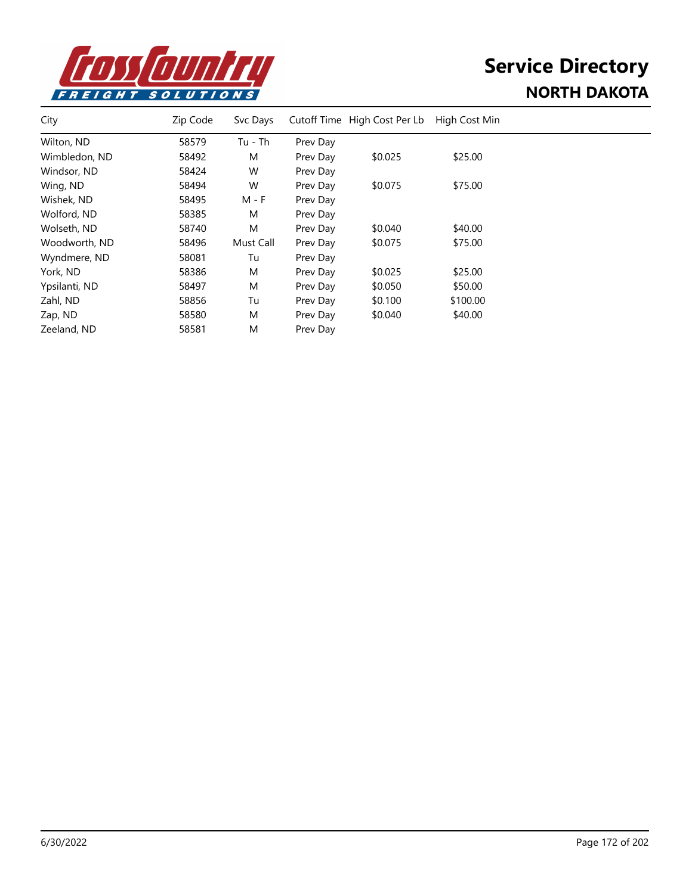

| City          | Zip Code | Svc Days  |          | Cutoff Time High Cost Per Lb | High Cost Min |  |
|---------------|----------|-----------|----------|------------------------------|---------------|--|
| Wilton, ND    | 58579    | $Tu - Th$ | Prev Day |                              |               |  |
| Wimbledon, ND | 58492    | M         | Prev Day | \$0.025                      | \$25.00       |  |
| Windsor, ND   | 58424    | W         | Prev Day |                              |               |  |
| Wing, ND      | 58494    | W         | Prev Day | \$0.075                      | \$75.00       |  |
| Wishek, ND    | 58495    | M - F     | Prev Day |                              |               |  |
| Wolford, ND   | 58385    | M         | Prev Day |                              |               |  |
| Wolseth, ND   | 58740    | M         | Prev Day | \$0.040                      | \$40.00       |  |
| Woodworth, ND | 58496    | Must Call | Prev Day | \$0.075                      | \$75.00       |  |
| Wyndmere, ND  | 58081    | Tu        | Prev Day |                              |               |  |
| York, ND      | 58386    | M         | Prev Day | \$0.025                      | \$25.00       |  |
| Ypsilanti, ND | 58497    | M         | Prev Day | \$0.050                      | \$50.00       |  |
| Zahl, ND      | 58856    | Tu        | Prev Day | \$0.100                      | \$100.00      |  |
| Zap, ND       | 58580    | M         | Prev Day | \$0.040                      | \$40.00       |  |
| Zeeland, ND   | 58581    | M         | Prev Day |                              |               |  |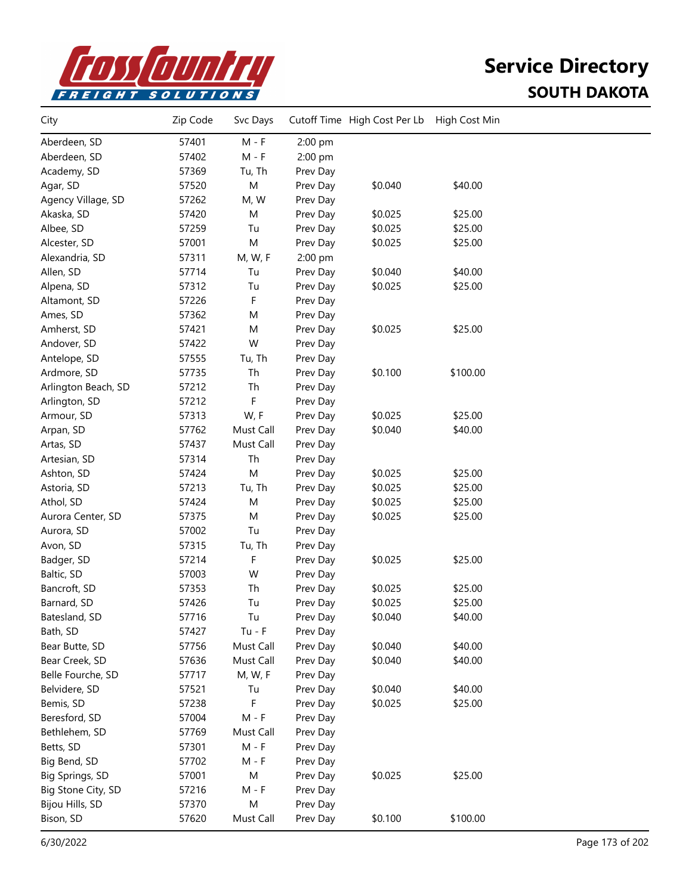

| City                | Zip Code | Svc Days  |          | Cutoff Time High Cost Per Lb | High Cost Min |  |
|---------------------|----------|-----------|----------|------------------------------|---------------|--|
| Aberdeen, SD        | 57401    | $M - F$   | 2:00 pm  |                              |               |  |
| Aberdeen, SD        | 57402    | $M - F$   | 2:00 pm  |                              |               |  |
| Academy, SD         | 57369    | Tu, Th    | Prev Day |                              |               |  |
| Agar, SD            | 57520    | ${\sf M}$ | Prev Day | \$0.040                      | \$40.00       |  |
| Agency Village, SD  | 57262    | M, W      | Prev Day |                              |               |  |
| Akaska, SD          | 57420    | M         | Prev Day | \$0.025                      | \$25.00       |  |
| Albee, SD           | 57259    | Tu        | Prev Day | \$0.025                      | \$25.00       |  |
| Alcester, SD        | 57001    | M         | Prev Day | \$0.025                      | \$25.00       |  |
| Alexandria, SD      | 57311    | M, W, F   | 2:00 pm  |                              |               |  |
| Allen, SD           | 57714    | Tu        | Prev Day | \$0.040                      | \$40.00       |  |
| Alpena, SD          | 57312    | Tu        | Prev Day | \$0.025                      | \$25.00       |  |
| Altamont, SD        | 57226    | F         | Prev Day |                              |               |  |
| Ames, SD            | 57362    | M         | Prev Day |                              |               |  |
| Amherst, SD         | 57421    | M         | Prev Day | \$0.025                      | \$25.00       |  |
| Andover, SD         | 57422    | W         | Prev Day |                              |               |  |
| Antelope, SD        | 57555    | Tu, Th    | Prev Day |                              |               |  |
| Ardmore, SD         | 57735    | Th        | Prev Day | \$0.100                      | \$100.00      |  |
| Arlington Beach, SD | 57212    | Th        | Prev Day |                              |               |  |
| Arlington, SD       | 57212    | F         | Prev Day |                              |               |  |
| Armour, SD          | 57313    | W, F      | Prev Day | \$0.025                      | \$25.00       |  |
| Arpan, SD           | 57762    | Must Call | Prev Day | \$0.040                      | \$40.00       |  |
| Artas, SD           | 57437    | Must Call | Prev Day |                              |               |  |
| Artesian, SD        | 57314    | Th        | Prev Day |                              |               |  |
| Ashton, SD          | 57424    | M         | Prev Day | \$0.025                      | \$25.00       |  |
| Astoria, SD         | 57213    | Tu, Th    | Prev Day | \$0.025                      | \$25.00       |  |
| Athol, SD           | 57424    | M         | Prev Day | \$0.025                      | \$25.00       |  |
| Aurora Center, SD   | 57375    | M         | Prev Day | \$0.025                      | \$25.00       |  |
| Aurora, SD          | 57002    | Tu        | Prev Day |                              |               |  |
| Avon, SD            | 57315    | Tu, Th    | Prev Day |                              |               |  |
| Badger, SD          | 57214    | F         | Prev Day | \$0.025                      | \$25.00       |  |
| Baltic, SD          | 57003    | W         | Prev Day |                              |               |  |
| Bancroft, SD        | 57353    | Th        | Prev Day | \$0.025                      | \$25.00       |  |
| Barnard, SD         | 57426    | Tu        | Prev Day | \$0.025                      | \$25.00       |  |
| Batesland, SD       | 57716    | Tu        | Prev Day | \$0.040                      | \$40.00       |  |
| Bath, SD            | 57427    | $Tu - F$  | Prev Day |                              |               |  |
| Bear Butte, SD      | 57756    | Must Call | Prev Day | \$0.040                      | \$40.00       |  |
| Bear Creek, SD      | 57636    | Must Call | Prev Day | \$0.040                      | \$40.00       |  |
| Belle Fourche, SD   | 57717    | M, W, F   | Prev Day |                              |               |  |
| Belvidere, SD       | 57521    | Tu        | Prev Day | \$0.040                      | \$40.00       |  |
| Bemis, SD           | 57238    | F         | Prev Day | \$0.025                      | \$25.00       |  |
| Beresford, SD       | 57004    | $M - F$   | Prev Day |                              |               |  |
| Bethlehem, SD       | 57769    | Must Call | Prev Day |                              |               |  |
| Betts, SD           | 57301    | $M - F$   | Prev Day |                              |               |  |
| Big Bend, SD        | 57702    | $M - F$   | Prev Day |                              |               |  |
| Big Springs, SD     | 57001    | ${\sf M}$ | Prev Day | \$0.025                      | \$25.00       |  |
| Big Stone City, SD  | 57216    | $M - F$   | Prev Day |                              |               |  |
| Bijou Hills, SD     | 57370    | M         | Prev Day |                              |               |  |
| Bison, SD           | 57620    | Must Call | Prev Day | \$0.100                      | \$100.00      |  |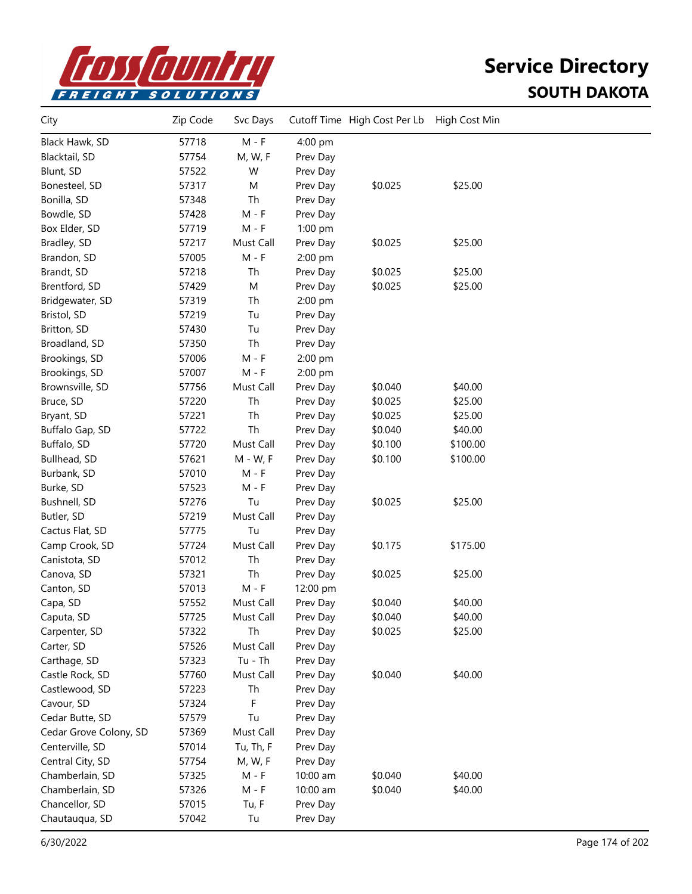

| 57718<br>$M - F$<br>Black Hawk, SD<br>4:00 pm<br>57754<br>M, W, F<br>Blacktail, SD<br>Prev Day<br>57522<br>W<br>Blunt, SD<br>Prev Day<br>\$25.00<br>57317<br>M<br>\$0.025<br>Bonesteel, SD<br>Prev Day<br>Th<br>Bonilla, SD<br>57348<br>Prev Day<br>Bowdle, SD<br>57428<br>$M - F$<br>Prev Day<br>$M - F$<br>57719<br>Box Elder, SD<br>$1:00$ pm<br>57217<br>\$0.025<br>\$25.00<br>Bradley, SD<br>Must Call<br>Prev Day<br>57005<br>$M - F$<br>Brandon, SD<br>2:00 pm<br>Brandt, SD<br>57218<br>Th<br>\$0.025<br>\$25.00<br>Prev Day<br>\$25.00<br>M<br>\$0.025<br>Brentford, SD<br>57429<br>Prev Day<br>Th<br>Bridgewater, SD<br>57319<br>2:00 pm<br>Bristol, SD<br>57219<br>Tu<br>Prev Day<br>57430<br>Britton, SD<br>Tu<br>Prev Day<br>57350<br>Th<br>Broadland, SD<br>Prev Day<br>57006<br>$M - F$<br>Brookings, SD<br>2:00 pm<br>Brookings, SD<br>57007<br>$M - F$<br>2:00 pm<br>Brownsville, SD<br>57756<br>\$0.040<br>\$40.00<br>Must Call<br>Prev Day<br>\$25.00<br>57220<br>Th<br>Prev Day<br>\$0.025<br>Bruce, SD<br>Th<br>57221<br>Prev Day<br>\$0.025<br>\$25.00<br>Bryant, SD<br>Th<br>57722<br>\$0.040<br>\$40.00<br>Buffalo Gap, SD<br>Prev Day<br>57720<br>Must Call<br>\$0.100<br>\$100.00<br>Buffalo, SD<br>Prev Day<br>57621<br>\$0.100<br>\$100.00<br>Bullhead, SD<br>$M - W$ , F<br>Prev Day<br>57010<br>Burbank, SD<br>M - F<br>Prev Day<br>57523<br>$M - F$<br>Burke, SD<br>Prev Day<br>Tu<br>\$25.00<br>57276<br>\$0.025<br>Bushnell, SD<br>Prev Day<br>57219<br>Must Call<br>Butler, SD<br>Prev Day<br>Tu<br>Cactus Flat, SD<br>57775<br>Prev Day<br>57724<br>Must Call<br>\$175.00<br>Camp Crook, SD<br>\$0.175<br>Prev Day<br>57012<br>Th<br>Canistota, SD<br>Prev Day<br>57321<br>Th<br>\$25.00<br>Canova, SD<br>Prev Day<br>\$0.025<br>57013<br>Canton, SD<br>$M - F$<br>12:00 pm<br>57552<br>\$0.040<br>\$40.00<br>Capa, SD<br>Must Call<br>Prev Day<br>57725<br>\$0.040<br>\$40.00<br>Caputa, SD<br>Must Call<br>Prev Day<br>Th<br>\$25.00<br>Carpenter, SD<br>57322<br>Prev Day<br>\$0.025<br>Carter, SD<br>57526<br>Must Call<br>Prev Day<br>$Tu - Th$<br>Carthage, SD<br>57323<br>Prev Day<br>57760<br>Must Call<br>\$0.040<br>\$40.00<br>Castle Rock, SD<br>Prev Day<br>57223<br>Castlewood, SD<br>Th<br>Prev Day<br>57324<br>Cavour, SD<br>F<br>Prev Day<br>Cedar Butte, SD<br>57579<br>Tu<br>Prev Day<br>Cedar Grove Colony, SD<br>57369<br>Must Call<br>Prev Day<br>Centerville, SD<br>57014<br>Tu, Th, F<br>Prev Day<br>Central City, SD<br>57754<br>M, W, F<br>Prev Day<br>\$40.00<br>Chamberlain, SD<br>$M - F$<br>\$0.040<br>57325<br>10:00 am<br>Chamberlain, SD<br>57326<br>$M - F$<br>10:00 am<br>\$0.040<br>\$40.00<br>Chancellor, SD<br>57015<br>Tu, F<br>Prev Day<br>Chautauqua, SD<br>57042<br>Tu<br>Prev Day | City | Zip Code | Svc Days | Cutoff Time High Cost Per Lb | High Cost Min |  |
|----------------------------------------------------------------------------------------------------------------------------------------------------------------------------------------------------------------------------------------------------------------------------------------------------------------------------------------------------------------------------------------------------------------------------------------------------------------------------------------------------------------------------------------------------------------------------------------------------------------------------------------------------------------------------------------------------------------------------------------------------------------------------------------------------------------------------------------------------------------------------------------------------------------------------------------------------------------------------------------------------------------------------------------------------------------------------------------------------------------------------------------------------------------------------------------------------------------------------------------------------------------------------------------------------------------------------------------------------------------------------------------------------------------------------------------------------------------------------------------------------------------------------------------------------------------------------------------------------------------------------------------------------------------------------------------------------------------------------------------------------------------------------------------------------------------------------------------------------------------------------------------------------------------------------------------------------------------------------------------------------------------------------------------------------------------------------------------------------------------------------------------------------------------------------------------------------------------------------------------------------------------------------------------------------------------------------------------------------------------------------------------------------------------------------------------------------------------------------------------------------------------------------------------------------------------------------------------------------------------------------------------------------------------------------------------------------------------------------------------------------------------|------|----------|----------|------------------------------|---------------|--|
|                                                                                                                                                                                                                                                                                                                                                                                                                                                                                                                                                                                                                                                                                                                                                                                                                                                                                                                                                                                                                                                                                                                                                                                                                                                                                                                                                                                                                                                                                                                                                                                                                                                                                                                                                                                                                                                                                                                                                                                                                                                                                                                                                                                                                                                                                                                                                                                                                                                                                                                                                                                                                                                                                                                                                                |      |          |          |                              |               |  |
|                                                                                                                                                                                                                                                                                                                                                                                                                                                                                                                                                                                                                                                                                                                                                                                                                                                                                                                                                                                                                                                                                                                                                                                                                                                                                                                                                                                                                                                                                                                                                                                                                                                                                                                                                                                                                                                                                                                                                                                                                                                                                                                                                                                                                                                                                                                                                                                                                                                                                                                                                                                                                                                                                                                                                                |      |          |          |                              |               |  |
|                                                                                                                                                                                                                                                                                                                                                                                                                                                                                                                                                                                                                                                                                                                                                                                                                                                                                                                                                                                                                                                                                                                                                                                                                                                                                                                                                                                                                                                                                                                                                                                                                                                                                                                                                                                                                                                                                                                                                                                                                                                                                                                                                                                                                                                                                                                                                                                                                                                                                                                                                                                                                                                                                                                                                                |      |          |          |                              |               |  |
|                                                                                                                                                                                                                                                                                                                                                                                                                                                                                                                                                                                                                                                                                                                                                                                                                                                                                                                                                                                                                                                                                                                                                                                                                                                                                                                                                                                                                                                                                                                                                                                                                                                                                                                                                                                                                                                                                                                                                                                                                                                                                                                                                                                                                                                                                                                                                                                                                                                                                                                                                                                                                                                                                                                                                                |      |          |          |                              |               |  |
|                                                                                                                                                                                                                                                                                                                                                                                                                                                                                                                                                                                                                                                                                                                                                                                                                                                                                                                                                                                                                                                                                                                                                                                                                                                                                                                                                                                                                                                                                                                                                                                                                                                                                                                                                                                                                                                                                                                                                                                                                                                                                                                                                                                                                                                                                                                                                                                                                                                                                                                                                                                                                                                                                                                                                                |      |          |          |                              |               |  |
|                                                                                                                                                                                                                                                                                                                                                                                                                                                                                                                                                                                                                                                                                                                                                                                                                                                                                                                                                                                                                                                                                                                                                                                                                                                                                                                                                                                                                                                                                                                                                                                                                                                                                                                                                                                                                                                                                                                                                                                                                                                                                                                                                                                                                                                                                                                                                                                                                                                                                                                                                                                                                                                                                                                                                                |      |          |          |                              |               |  |
|                                                                                                                                                                                                                                                                                                                                                                                                                                                                                                                                                                                                                                                                                                                                                                                                                                                                                                                                                                                                                                                                                                                                                                                                                                                                                                                                                                                                                                                                                                                                                                                                                                                                                                                                                                                                                                                                                                                                                                                                                                                                                                                                                                                                                                                                                                                                                                                                                                                                                                                                                                                                                                                                                                                                                                |      |          |          |                              |               |  |
|                                                                                                                                                                                                                                                                                                                                                                                                                                                                                                                                                                                                                                                                                                                                                                                                                                                                                                                                                                                                                                                                                                                                                                                                                                                                                                                                                                                                                                                                                                                                                                                                                                                                                                                                                                                                                                                                                                                                                                                                                                                                                                                                                                                                                                                                                                                                                                                                                                                                                                                                                                                                                                                                                                                                                                |      |          |          |                              |               |  |
|                                                                                                                                                                                                                                                                                                                                                                                                                                                                                                                                                                                                                                                                                                                                                                                                                                                                                                                                                                                                                                                                                                                                                                                                                                                                                                                                                                                                                                                                                                                                                                                                                                                                                                                                                                                                                                                                                                                                                                                                                                                                                                                                                                                                                                                                                                                                                                                                                                                                                                                                                                                                                                                                                                                                                                |      |          |          |                              |               |  |
|                                                                                                                                                                                                                                                                                                                                                                                                                                                                                                                                                                                                                                                                                                                                                                                                                                                                                                                                                                                                                                                                                                                                                                                                                                                                                                                                                                                                                                                                                                                                                                                                                                                                                                                                                                                                                                                                                                                                                                                                                                                                                                                                                                                                                                                                                                                                                                                                                                                                                                                                                                                                                                                                                                                                                                |      |          |          |                              |               |  |
|                                                                                                                                                                                                                                                                                                                                                                                                                                                                                                                                                                                                                                                                                                                                                                                                                                                                                                                                                                                                                                                                                                                                                                                                                                                                                                                                                                                                                                                                                                                                                                                                                                                                                                                                                                                                                                                                                                                                                                                                                                                                                                                                                                                                                                                                                                                                                                                                                                                                                                                                                                                                                                                                                                                                                                |      |          |          |                              |               |  |
|                                                                                                                                                                                                                                                                                                                                                                                                                                                                                                                                                                                                                                                                                                                                                                                                                                                                                                                                                                                                                                                                                                                                                                                                                                                                                                                                                                                                                                                                                                                                                                                                                                                                                                                                                                                                                                                                                                                                                                                                                                                                                                                                                                                                                                                                                                                                                                                                                                                                                                                                                                                                                                                                                                                                                                |      |          |          |                              |               |  |
|                                                                                                                                                                                                                                                                                                                                                                                                                                                                                                                                                                                                                                                                                                                                                                                                                                                                                                                                                                                                                                                                                                                                                                                                                                                                                                                                                                                                                                                                                                                                                                                                                                                                                                                                                                                                                                                                                                                                                                                                                                                                                                                                                                                                                                                                                                                                                                                                                                                                                                                                                                                                                                                                                                                                                                |      |          |          |                              |               |  |
|                                                                                                                                                                                                                                                                                                                                                                                                                                                                                                                                                                                                                                                                                                                                                                                                                                                                                                                                                                                                                                                                                                                                                                                                                                                                                                                                                                                                                                                                                                                                                                                                                                                                                                                                                                                                                                                                                                                                                                                                                                                                                                                                                                                                                                                                                                                                                                                                                                                                                                                                                                                                                                                                                                                                                                |      |          |          |                              |               |  |
|                                                                                                                                                                                                                                                                                                                                                                                                                                                                                                                                                                                                                                                                                                                                                                                                                                                                                                                                                                                                                                                                                                                                                                                                                                                                                                                                                                                                                                                                                                                                                                                                                                                                                                                                                                                                                                                                                                                                                                                                                                                                                                                                                                                                                                                                                                                                                                                                                                                                                                                                                                                                                                                                                                                                                                |      |          |          |                              |               |  |
|                                                                                                                                                                                                                                                                                                                                                                                                                                                                                                                                                                                                                                                                                                                                                                                                                                                                                                                                                                                                                                                                                                                                                                                                                                                                                                                                                                                                                                                                                                                                                                                                                                                                                                                                                                                                                                                                                                                                                                                                                                                                                                                                                                                                                                                                                                                                                                                                                                                                                                                                                                                                                                                                                                                                                                |      |          |          |                              |               |  |
|                                                                                                                                                                                                                                                                                                                                                                                                                                                                                                                                                                                                                                                                                                                                                                                                                                                                                                                                                                                                                                                                                                                                                                                                                                                                                                                                                                                                                                                                                                                                                                                                                                                                                                                                                                                                                                                                                                                                                                                                                                                                                                                                                                                                                                                                                                                                                                                                                                                                                                                                                                                                                                                                                                                                                                |      |          |          |                              |               |  |
|                                                                                                                                                                                                                                                                                                                                                                                                                                                                                                                                                                                                                                                                                                                                                                                                                                                                                                                                                                                                                                                                                                                                                                                                                                                                                                                                                                                                                                                                                                                                                                                                                                                                                                                                                                                                                                                                                                                                                                                                                                                                                                                                                                                                                                                                                                                                                                                                                                                                                                                                                                                                                                                                                                                                                                |      |          |          |                              |               |  |
|                                                                                                                                                                                                                                                                                                                                                                                                                                                                                                                                                                                                                                                                                                                                                                                                                                                                                                                                                                                                                                                                                                                                                                                                                                                                                                                                                                                                                                                                                                                                                                                                                                                                                                                                                                                                                                                                                                                                                                                                                                                                                                                                                                                                                                                                                                                                                                                                                                                                                                                                                                                                                                                                                                                                                                |      |          |          |                              |               |  |
|                                                                                                                                                                                                                                                                                                                                                                                                                                                                                                                                                                                                                                                                                                                                                                                                                                                                                                                                                                                                                                                                                                                                                                                                                                                                                                                                                                                                                                                                                                                                                                                                                                                                                                                                                                                                                                                                                                                                                                                                                                                                                                                                                                                                                                                                                                                                                                                                                                                                                                                                                                                                                                                                                                                                                                |      |          |          |                              |               |  |
|                                                                                                                                                                                                                                                                                                                                                                                                                                                                                                                                                                                                                                                                                                                                                                                                                                                                                                                                                                                                                                                                                                                                                                                                                                                                                                                                                                                                                                                                                                                                                                                                                                                                                                                                                                                                                                                                                                                                                                                                                                                                                                                                                                                                                                                                                                                                                                                                                                                                                                                                                                                                                                                                                                                                                                |      |          |          |                              |               |  |
|                                                                                                                                                                                                                                                                                                                                                                                                                                                                                                                                                                                                                                                                                                                                                                                                                                                                                                                                                                                                                                                                                                                                                                                                                                                                                                                                                                                                                                                                                                                                                                                                                                                                                                                                                                                                                                                                                                                                                                                                                                                                                                                                                                                                                                                                                                                                                                                                                                                                                                                                                                                                                                                                                                                                                                |      |          |          |                              |               |  |
|                                                                                                                                                                                                                                                                                                                                                                                                                                                                                                                                                                                                                                                                                                                                                                                                                                                                                                                                                                                                                                                                                                                                                                                                                                                                                                                                                                                                                                                                                                                                                                                                                                                                                                                                                                                                                                                                                                                                                                                                                                                                                                                                                                                                                                                                                                                                                                                                                                                                                                                                                                                                                                                                                                                                                                |      |          |          |                              |               |  |
|                                                                                                                                                                                                                                                                                                                                                                                                                                                                                                                                                                                                                                                                                                                                                                                                                                                                                                                                                                                                                                                                                                                                                                                                                                                                                                                                                                                                                                                                                                                                                                                                                                                                                                                                                                                                                                                                                                                                                                                                                                                                                                                                                                                                                                                                                                                                                                                                                                                                                                                                                                                                                                                                                                                                                                |      |          |          |                              |               |  |
|                                                                                                                                                                                                                                                                                                                                                                                                                                                                                                                                                                                                                                                                                                                                                                                                                                                                                                                                                                                                                                                                                                                                                                                                                                                                                                                                                                                                                                                                                                                                                                                                                                                                                                                                                                                                                                                                                                                                                                                                                                                                                                                                                                                                                                                                                                                                                                                                                                                                                                                                                                                                                                                                                                                                                                |      |          |          |                              |               |  |
|                                                                                                                                                                                                                                                                                                                                                                                                                                                                                                                                                                                                                                                                                                                                                                                                                                                                                                                                                                                                                                                                                                                                                                                                                                                                                                                                                                                                                                                                                                                                                                                                                                                                                                                                                                                                                                                                                                                                                                                                                                                                                                                                                                                                                                                                                                                                                                                                                                                                                                                                                                                                                                                                                                                                                                |      |          |          |                              |               |  |
|                                                                                                                                                                                                                                                                                                                                                                                                                                                                                                                                                                                                                                                                                                                                                                                                                                                                                                                                                                                                                                                                                                                                                                                                                                                                                                                                                                                                                                                                                                                                                                                                                                                                                                                                                                                                                                                                                                                                                                                                                                                                                                                                                                                                                                                                                                                                                                                                                                                                                                                                                                                                                                                                                                                                                                |      |          |          |                              |               |  |
|                                                                                                                                                                                                                                                                                                                                                                                                                                                                                                                                                                                                                                                                                                                                                                                                                                                                                                                                                                                                                                                                                                                                                                                                                                                                                                                                                                                                                                                                                                                                                                                                                                                                                                                                                                                                                                                                                                                                                                                                                                                                                                                                                                                                                                                                                                                                                                                                                                                                                                                                                                                                                                                                                                                                                                |      |          |          |                              |               |  |
|                                                                                                                                                                                                                                                                                                                                                                                                                                                                                                                                                                                                                                                                                                                                                                                                                                                                                                                                                                                                                                                                                                                                                                                                                                                                                                                                                                                                                                                                                                                                                                                                                                                                                                                                                                                                                                                                                                                                                                                                                                                                                                                                                                                                                                                                                                                                                                                                                                                                                                                                                                                                                                                                                                                                                                |      |          |          |                              |               |  |
|                                                                                                                                                                                                                                                                                                                                                                                                                                                                                                                                                                                                                                                                                                                                                                                                                                                                                                                                                                                                                                                                                                                                                                                                                                                                                                                                                                                                                                                                                                                                                                                                                                                                                                                                                                                                                                                                                                                                                                                                                                                                                                                                                                                                                                                                                                                                                                                                                                                                                                                                                                                                                                                                                                                                                                |      |          |          |                              |               |  |
|                                                                                                                                                                                                                                                                                                                                                                                                                                                                                                                                                                                                                                                                                                                                                                                                                                                                                                                                                                                                                                                                                                                                                                                                                                                                                                                                                                                                                                                                                                                                                                                                                                                                                                                                                                                                                                                                                                                                                                                                                                                                                                                                                                                                                                                                                                                                                                                                                                                                                                                                                                                                                                                                                                                                                                |      |          |          |                              |               |  |
|                                                                                                                                                                                                                                                                                                                                                                                                                                                                                                                                                                                                                                                                                                                                                                                                                                                                                                                                                                                                                                                                                                                                                                                                                                                                                                                                                                                                                                                                                                                                                                                                                                                                                                                                                                                                                                                                                                                                                                                                                                                                                                                                                                                                                                                                                                                                                                                                                                                                                                                                                                                                                                                                                                                                                                |      |          |          |                              |               |  |
|                                                                                                                                                                                                                                                                                                                                                                                                                                                                                                                                                                                                                                                                                                                                                                                                                                                                                                                                                                                                                                                                                                                                                                                                                                                                                                                                                                                                                                                                                                                                                                                                                                                                                                                                                                                                                                                                                                                                                                                                                                                                                                                                                                                                                                                                                                                                                                                                                                                                                                                                                                                                                                                                                                                                                                |      |          |          |                              |               |  |
|                                                                                                                                                                                                                                                                                                                                                                                                                                                                                                                                                                                                                                                                                                                                                                                                                                                                                                                                                                                                                                                                                                                                                                                                                                                                                                                                                                                                                                                                                                                                                                                                                                                                                                                                                                                                                                                                                                                                                                                                                                                                                                                                                                                                                                                                                                                                                                                                                                                                                                                                                                                                                                                                                                                                                                |      |          |          |                              |               |  |
|                                                                                                                                                                                                                                                                                                                                                                                                                                                                                                                                                                                                                                                                                                                                                                                                                                                                                                                                                                                                                                                                                                                                                                                                                                                                                                                                                                                                                                                                                                                                                                                                                                                                                                                                                                                                                                                                                                                                                                                                                                                                                                                                                                                                                                                                                                                                                                                                                                                                                                                                                                                                                                                                                                                                                                |      |          |          |                              |               |  |
|                                                                                                                                                                                                                                                                                                                                                                                                                                                                                                                                                                                                                                                                                                                                                                                                                                                                                                                                                                                                                                                                                                                                                                                                                                                                                                                                                                                                                                                                                                                                                                                                                                                                                                                                                                                                                                                                                                                                                                                                                                                                                                                                                                                                                                                                                                                                                                                                                                                                                                                                                                                                                                                                                                                                                                |      |          |          |                              |               |  |
|                                                                                                                                                                                                                                                                                                                                                                                                                                                                                                                                                                                                                                                                                                                                                                                                                                                                                                                                                                                                                                                                                                                                                                                                                                                                                                                                                                                                                                                                                                                                                                                                                                                                                                                                                                                                                                                                                                                                                                                                                                                                                                                                                                                                                                                                                                                                                                                                                                                                                                                                                                                                                                                                                                                                                                |      |          |          |                              |               |  |
|                                                                                                                                                                                                                                                                                                                                                                                                                                                                                                                                                                                                                                                                                                                                                                                                                                                                                                                                                                                                                                                                                                                                                                                                                                                                                                                                                                                                                                                                                                                                                                                                                                                                                                                                                                                                                                                                                                                                                                                                                                                                                                                                                                                                                                                                                                                                                                                                                                                                                                                                                                                                                                                                                                                                                                |      |          |          |                              |               |  |
|                                                                                                                                                                                                                                                                                                                                                                                                                                                                                                                                                                                                                                                                                                                                                                                                                                                                                                                                                                                                                                                                                                                                                                                                                                                                                                                                                                                                                                                                                                                                                                                                                                                                                                                                                                                                                                                                                                                                                                                                                                                                                                                                                                                                                                                                                                                                                                                                                                                                                                                                                                                                                                                                                                                                                                |      |          |          |                              |               |  |
|                                                                                                                                                                                                                                                                                                                                                                                                                                                                                                                                                                                                                                                                                                                                                                                                                                                                                                                                                                                                                                                                                                                                                                                                                                                                                                                                                                                                                                                                                                                                                                                                                                                                                                                                                                                                                                                                                                                                                                                                                                                                                                                                                                                                                                                                                                                                                                                                                                                                                                                                                                                                                                                                                                                                                                |      |          |          |                              |               |  |
|                                                                                                                                                                                                                                                                                                                                                                                                                                                                                                                                                                                                                                                                                                                                                                                                                                                                                                                                                                                                                                                                                                                                                                                                                                                                                                                                                                                                                                                                                                                                                                                                                                                                                                                                                                                                                                                                                                                                                                                                                                                                                                                                                                                                                                                                                                                                                                                                                                                                                                                                                                                                                                                                                                                                                                |      |          |          |                              |               |  |
|                                                                                                                                                                                                                                                                                                                                                                                                                                                                                                                                                                                                                                                                                                                                                                                                                                                                                                                                                                                                                                                                                                                                                                                                                                                                                                                                                                                                                                                                                                                                                                                                                                                                                                                                                                                                                                                                                                                                                                                                                                                                                                                                                                                                                                                                                                                                                                                                                                                                                                                                                                                                                                                                                                                                                                |      |          |          |                              |               |  |
|                                                                                                                                                                                                                                                                                                                                                                                                                                                                                                                                                                                                                                                                                                                                                                                                                                                                                                                                                                                                                                                                                                                                                                                                                                                                                                                                                                                                                                                                                                                                                                                                                                                                                                                                                                                                                                                                                                                                                                                                                                                                                                                                                                                                                                                                                                                                                                                                                                                                                                                                                                                                                                                                                                                                                                |      |          |          |                              |               |  |
|                                                                                                                                                                                                                                                                                                                                                                                                                                                                                                                                                                                                                                                                                                                                                                                                                                                                                                                                                                                                                                                                                                                                                                                                                                                                                                                                                                                                                                                                                                                                                                                                                                                                                                                                                                                                                                                                                                                                                                                                                                                                                                                                                                                                                                                                                                                                                                                                                                                                                                                                                                                                                                                                                                                                                                |      |          |          |                              |               |  |
|                                                                                                                                                                                                                                                                                                                                                                                                                                                                                                                                                                                                                                                                                                                                                                                                                                                                                                                                                                                                                                                                                                                                                                                                                                                                                                                                                                                                                                                                                                                                                                                                                                                                                                                                                                                                                                                                                                                                                                                                                                                                                                                                                                                                                                                                                                                                                                                                                                                                                                                                                                                                                                                                                                                                                                |      |          |          |                              |               |  |
|                                                                                                                                                                                                                                                                                                                                                                                                                                                                                                                                                                                                                                                                                                                                                                                                                                                                                                                                                                                                                                                                                                                                                                                                                                                                                                                                                                                                                                                                                                                                                                                                                                                                                                                                                                                                                                                                                                                                                                                                                                                                                                                                                                                                                                                                                                                                                                                                                                                                                                                                                                                                                                                                                                                                                                |      |          |          |                              |               |  |
|                                                                                                                                                                                                                                                                                                                                                                                                                                                                                                                                                                                                                                                                                                                                                                                                                                                                                                                                                                                                                                                                                                                                                                                                                                                                                                                                                                                                                                                                                                                                                                                                                                                                                                                                                                                                                                                                                                                                                                                                                                                                                                                                                                                                                                                                                                                                                                                                                                                                                                                                                                                                                                                                                                                                                                |      |          |          |                              |               |  |
|                                                                                                                                                                                                                                                                                                                                                                                                                                                                                                                                                                                                                                                                                                                                                                                                                                                                                                                                                                                                                                                                                                                                                                                                                                                                                                                                                                                                                                                                                                                                                                                                                                                                                                                                                                                                                                                                                                                                                                                                                                                                                                                                                                                                                                                                                                                                                                                                                                                                                                                                                                                                                                                                                                                                                                |      |          |          |                              |               |  |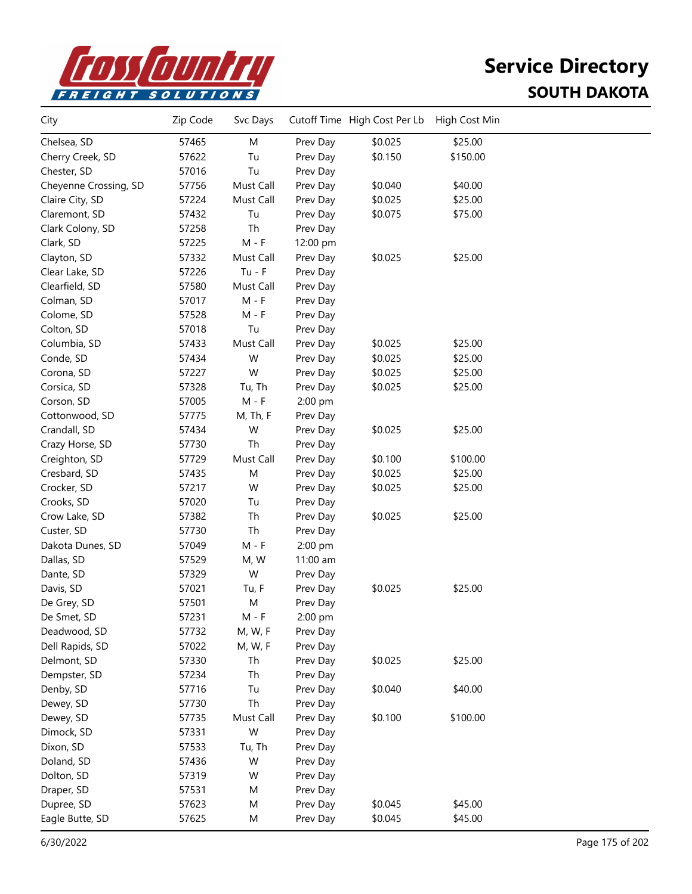

| \$0.025<br>\$25.00<br>57465<br>M<br>Prev Day<br>Chelsea, SD<br>\$150.00<br>57622<br>Tu<br>\$0.150<br>Cherry Creek, SD<br>Prev Day<br>57016<br>Tu<br>Chester, SD<br>Prev Day<br>57756<br>Must Call<br>\$0.040<br>\$40.00<br>Cheyenne Crossing, SD<br>Prev Day<br>Claire City, SD<br>57224<br>Must Call<br>\$0.025<br>\$25.00<br>Prev Day<br>57432<br>Tu<br>\$0.075<br>\$75.00<br>Claremont, SD<br>Prev Day<br>Clark Colony, SD<br>57258<br>Th<br>Prev Day<br>Clark, SD<br>57225<br>$M - F$<br>12:00 pm<br>57332<br>\$0.025<br>\$25.00<br>Clayton, SD<br>Must Call<br>Prev Day<br>57226<br>$Tu - F$<br>Clear Lake, SD<br>Prev Day<br>57580<br>Must Call<br>Clearfield, SD<br>Prev Day<br>$M - F$<br>57017<br>Colman, SD<br>Prev Day<br>57528<br>$M - F$<br>Colome, SD<br>Prev Day<br>Colton, SD<br>57018<br>Tu<br>Prev Day<br>57433<br>Must Call<br>\$0.025<br>\$25.00<br>Columbia, SD<br>Prev Day<br>57434<br>\$0.025<br>\$25.00<br>Conde, SD<br>W<br>Prev Day<br>57227<br>W<br>\$0.025<br>\$25.00<br>Corona, SD<br>Prev Day<br>57328<br>Tu, Th<br>Prev Day<br>\$0.025<br>\$25.00<br>Corsica, SD<br>Corson, SD<br>57005<br>$M - F$<br>2:00 pm<br>57775<br>M, Th, F<br>Cottonwood, SD<br>Prev Day<br>Crandall, SD<br>57434<br>W<br>\$0.025<br>\$25.00<br>Prev Day<br>Th<br>57730<br>Crazy Horse, SD<br>Prev Day<br>Creighton, SD<br>57729<br>Must Call<br>\$0.100<br>\$100.00<br>Prev Day<br>\$0.025<br>\$25.00<br>Cresbard, SD<br>57435<br>M<br>Prev Day<br>57217<br>W<br>\$0.025<br>\$25.00<br>Crocker, SD<br>Prev Day<br>Crooks, SD<br>57020<br>Tu<br>Prev Day<br>\$0.025<br>57382<br>Th<br>\$25.00<br>Crow Lake, SD<br>Prev Day<br>57730<br>Th<br>Custer, SD<br>Prev Day<br>57049<br>$M - F$<br>2:00 pm<br>Dakota Dunes, SD<br>57529<br>M, W<br>11:00 am<br>Dallas, SD<br>W<br>57329<br>Dante, SD<br>Prev Day<br>57021<br>\$0.025<br>\$25.00<br>Davis, SD<br>Tu, F<br>Prev Day<br>De Grey, SD<br>57501<br>M<br>Prev Day<br>57231<br>De Smet, SD<br>$M - F$<br>2:00 pm<br>M, W, F<br>Deadwood, SD<br>57732<br>Prev Day<br>Dell Rapids, SD<br>57022<br>M, W, F<br>Prev Day<br>\$25.00<br>Delmont, SD<br>57330<br>Th<br>\$0.025<br>Prev Day<br>Dempster, SD<br>57234<br>Th<br>Prev Day<br>Denby, SD<br>57716<br>Tu<br>\$0.040<br>\$40.00<br>Prev Day<br>57730<br>Th<br>Dewey, SD<br>Prev Day<br>\$0.100<br>\$100.00<br>57735<br>Must Call<br>Prev Day<br>Dewey, SD<br>W<br>Dimock, SD<br>57331<br>Prev Day<br>Dixon, SD<br>57533<br>Prev Day<br>Tu, Th<br>57436<br>W<br>Doland, SD<br>Prev Day<br>57319<br>W<br>Dolton, SD<br>Prev Day<br>Draper, SD<br>57531<br>M<br>Prev Day<br>Dupree, SD<br>57623<br>\$0.045<br>\$45.00<br>М<br>Prev Day<br>Eagle Butte, SD<br>57625<br>Prev Day<br>\$0.045<br>\$45.00<br>М | City | Zip Code | Svc Days | Cutoff Time High Cost Per Lb | High Cost Min |  |
|----------------------------------------------------------------------------------------------------------------------------------------------------------------------------------------------------------------------------------------------------------------------------------------------------------------------------------------------------------------------------------------------------------------------------------------------------------------------------------------------------------------------------------------------------------------------------------------------------------------------------------------------------------------------------------------------------------------------------------------------------------------------------------------------------------------------------------------------------------------------------------------------------------------------------------------------------------------------------------------------------------------------------------------------------------------------------------------------------------------------------------------------------------------------------------------------------------------------------------------------------------------------------------------------------------------------------------------------------------------------------------------------------------------------------------------------------------------------------------------------------------------------------------------------------------------------------------------------------------------------------------------------------------------------------------------------------------------------------------------------------------------------------------------------------------------------------------------------------------------------------------------------------------------------------------------------------------------------------------------------------------------------------------------------------------------------------------------------------------------------------------------------------------------------------------------------------------------------------------------------------------------------------------------------------------------------------------------------------------------------------------------------------------------------------------------------------------------------------------------------------------------------------------------------------------------------------------------------------------------------------------------------------------------------------------------------------------------|------|----------|----------|------------------------------|---------------|--|
|                                                                                                                                                                                                                                                                                                                                                                                                                                                                                                                                                                                                                                                                                                                                                                                                                                                                                                                                                                                                                                                                                                                                                                                                                                                                                                                                                                                                                                                                                                                                                                                                                                                                                                                                                                                                                                                                                                                                                                                                                                                                                                                                                                                                                                                                                                                                                                                                                                                                                                                                                                                                                                                                                                                |      |          |          |                              |               |  |
|                                                                                                                                                                                                                                                                                                                                                                                                                                                                                                                                                                                                                                                                                                                                                                                                                                                                                                                                                                                                                                                                                                                                                                                                                                                                                                                                                                                                                                                                                                                                                                                                                                                                                                                                                                                                                                                                                                                                                                                                                                                                                                                                                                                                                                                                                                                                                                                                                                                                                                                                                                                                                                                                                                                |      |          |          |                              |               |  |
|                                                                                                                                                                                                                                                                                                                                                                                                                                                                                                                                                                                                                                                                                                                                                                                                                                                                                                                                                                                                                                                                                                                                                                                                                                                                                                                                                                                                                                                                                                                                                                                                                                                                                                                                                                                                                                                                                                                                                                                                                                                                                                                                                                                                                                                                                                                                                                                                                                                                                                                                                                                                                                                                                                                |      |          |          |                              |               |  |
|                                                                                                                                                                                                                                                                                                                                                                                                                                                                                                                                                                                                                                                                                                                                                                                                                                                                                                                                                                                                                                                                                                                                                                                                                                                                                                                                                                                                                                                                                                                                                                                                                                                                                                                                                                                                                                                                                                                                                                                                                                                                                                                                                                                                                                                                                                                                                                                                                                                                                                                                                                                                                                                                                                                |      |          |          |                              |               |  |
|                                                                                                                                                                                                                                                                                                                                                                                                                                                                                                                                                                                                                                                                                                                                                                                                                                                                                                                                                                                                                                                                                                                                                                                                                                                                                                                                                                                                                                                                                                                                                                                                                                                                                                                                                                                                                                                                                                                                                                                                                                                                                                                                                                                                                                                                                                                                                                                                                                                                                                                                                                                                                                                                                                                |      |          |          |                              |               |  |
|                                                                                                                                                                                                                                                                                                                                                                                                                                                                                                                                                                                                                                                                                                                                                                                                                                                                                                                                                                                                                                                                                                                                                                                                                                                                                                                                                                                                                                                                                                                                                                                                                                                                                                                                                                                                                                                                                                                                                                                                                                                                                                                                                                                                                                                                                                                                                                                                                                                                                                                                                                                                                                                                                                                |      |          |          |                              |               |  |
|                                                                                                                                                                                                                                                                                                                                                                                                                                                                                                                                                                                                                                                                                                                                                                                                                                                                                                                                                                                                                                                                                                                                                                                                                                                                                                                                                                                                                                                                                                                                                                                                                                                                                                                                                                                                                                                                                                                                                                                                                                                                                                                                                                                                                                                                                                                                                                                                                                                                                                                                                                                                                                                                                                                |      |          |          |                              |               |  |
|                                                                                                                                                                                                                                                                                                                                                                                                                                                                                                                                                                                                                                                                                                                                                                                                                                                                                                                                                                                                                                                                                                                                                                                                                                                                                                                                                                                                                                                                                                                                                                                                                                                                                                                                                                                                                                                                                                                                                                                                                                                                                                                                                                                                                                                                                                                                                                                                                                                                                                                                                                                                                                                                                                                |      |          |          |                              |               |  |
|                                                                                                                                                                                                                                                                                                                                                                                                                                                                                                                                                                                                                                                                                                                                                                                                                                                                                                                                                                                                                                                                                                                                                                                                                                                                                                                                                                                                                                                                                                                                                                                                                                                                                                                                                                                                                                                                                                                                                                                                                                                                                                                                                                                                                                                                                                                                                                                                                                                                                                                                                                                                                                                                                                                |      |          |          |                              |               |  |
|                                                                                                                                                                                                                                                                                                                                                                                                                                                                                                                                                                                                                                                                                                                                                                                                                                                                                                                                                                                                                                                                                                                                                                                                                                                                                                                                                                                                                                                                                                                                                                                                                                                                                                                                                                                                                                                                                                                                                                                                                                                                                                                                                                                                                                                                                                                                                                                                                                                                                                                                                                                                                                                                                                                |      |          |          |                              |               |  |
|                                                                                                                                                                                                                                                                                                                                                                                                                                                                                                                                                                                                                                                                                                                                                                                                                                                                                                                                                                                                                                                                                                                                                                                                                                                                                                                                                                                                                                                                                                                                                                                                                                                                                                                                                                                                                                                                                                                                                                                                                                                                                                                                                                                                                                                                                                                                                                                                                                                                                                                                                                                                                                                                                                                |      |          |          |                              |               |  |
|                                                                                                                                                                                                                                                                                                                                                                                                                                                                                                                                                                                                                                                                                                                                                                                                                                                                                                                                                                                                                                                                                                                                                                                                                                                                                                                                                                                                                                                                                                                                                                                                                                                                                                                                                                                                                                                                                                                                                                                                                                                                                                                                                                                                                                                                                                                                                                                                                                                                                                                                                                                                                                                                                                                |      |          |          |                              |               |  |
|                                                                                                                                                                                                                                                                                                                                                                                                                                                                                                                                                                                                                                                                                                                                                                                                                                                                                                                                                                                                                                                                                                                                                                                                                                                                                                                                                                                                                                                                                                                                                                                                                                                                                                                                                                                                                                                                                                                                                                                                                                                                                                                                                                                                                                                                                                                                                                                                                                                                                                                                                                                                                                                                                                                |      |          |          |                              |               |  |
|                                                                                                                                                                                                                                                                                                                                                                                                                                                                                                                                                                                                                                                                                                                                                                                                                                                                                                                                                                                                                                                                                                                                                                                                                                                                                                                                                                                                                                                                                                                                                                                                                                                                                                                                                                                                                                                                                                                                                                                                                                                                                                                                                                                                                                                                                                                                                                                                                                                                                                                                                                                                                                                                                                                |      |          |          |                              |               |  |
|                                                                                                                                                                                                                                                                                                                                                                                                                                                                                                                                                                                                                                                                                                                                                                                                                                                                                                                                                                                                                                                                                                                                                                                                                                                                                                                                                                                                                                                                                                                                                                                                                                                                                                                                                                                                                                                                                                                                                                                                                                                                                                                                                                                                                                                                                                                                                                                                                                                                                                                                                                                                                                                                                                                |      |          |          |                              |               |  |
|                                                                                                                                                                                                                                                                                                                                                                                                                                                                                                                                                                                                                                                                                                                                                                                                                                                                                                                                                                                                                                                                                                                                                                                                                                                                                                                                                                                                                                                                                                                                                                                                                                                                                                                                                                                                                                                                                                                                                                                                                                                                                                                                                                                                                                                                                                                                                                                                                                                                                                                                                                                                                                                                                                                |      |          |          |                              |               |  |
|                                                                                                                                                                                                                                                                                                                                                                                                                                                                                                                                                                                                                                                                                                                                                                                                                                                                                                                                                                                                                                                                                                                                                                                                                                                                                                                                                                                                                                                                                                                                                                                                                                                                                                                                                                                                                                                                                                                                                                                                                                                                                                                                                                                                                                                                                                                                                                                                                                                                                                                                                                                                                                                                                                                |      |          |          |                              |               |  |
|                                                                                                                                                                                                                                                                                                                                                                                                                                                                                                                                                                                                                                                                                                                                                                                                                                                                                                                                                                                                                                                                                                                                                                                                                                                                                                                                                                                                                                                                                                                                                                                                                                                                                                                                                                                                                                                                                                                                                                                                                                                                                                                                                                                                                                                                                                                                                                                                                                                                                                                                                                                                                                                                                                                |      |          |          |                              |               |  |
|                                                                                                                                                                                                                                                                                                                                                                                                                                                                                                                                                                                                                                                                                                                                                                                                                                                                                                                                                                                                                                                                                                                                                                                                                                                                                                                                                                                                                                                                                                                                                                                                                                                                                                                                                                                                                                                                                                                                                                                                                                                                                                                                                                                                                                                                                                                                                                                                                                                                                                                                                                                                                                                                                                                |      |          |          |                              |               |  |
|                                                                                                                                                                                                                                                                                                                                                                                                                                                                                                                                                                                                                                                                                                                                                                                                                                                                                                                                                                                                                                                                                                                                                                                                                                                                                                                                                                                                                                                                                                                                                                                                                                                                                                                                                                                                                                                                                                                                                                                                                                                                                                                                                                                                                                                                                                                                                                                                                                                                                                                                                                                                                                                                                                                |      |          |          |                              |               |  |
|                                                                                                                                                                                                                                                                                                                                                                                                                                                                                                                                                                                                                                                                                                                                                                                                                                                                                                                                                                                                                                                                                                                                                                                                                                                                                                                                                                                                                                                                                                                                                                                                                                                                                                                                                                                                                                                                                                                                                                                                                                                                                                                                                                                                                                                                                                                                                                                                                                                                                                                                                                                                                                                                                                                |      |          |          |                              |               |  |
|                                                                                                                                                                                                                                                                                                                                                                                                                                                                                                                                                                                                                                                                                                                                                                                                                                                                                                                                                                                                                                                                                                                                                                                                                                                                                                                                                                                                                                                                                                                                                                                                                                                                                                                                                                                                                                                                                                                                                                                                                                                                                                                                                                                                                                                                                                                                                                                                                                                                                                                                                                                                                                                                                                                |      |          |          |                              |               |  |
|                                                                                                                                                                                                                                                                                                                                                                                                                                                                                                                                                                                                                                                                                                                                                                                                                                                                                                                                                                                                                                                                                                                                                                                                                                                                                                                                                                                                                                                                                                                                                                                                                                                                                                                                                                                                                                                                                                                                                                                                                                                                                                                                                                                                                                                                                                                                                                                                                                                                                                                                                                                                                                                                                                                |      |          |          |                              |               |  |
|                                                                                                                                                                                                                                                                                                                                                                                                                                                                                                                                                                                                                                                                                                                                                                                                                                                                                                                                                                                                                                                                                                                                                                                                                                                                                                                                                                                                                                                                                                                                                                                                                                                                                                                                                                                                                                                                                                                                                                                                                                                                                                                                                                                                                                                                                                                                                                                                                                                                                                                                                                                                                                                                                                                |      |          |          |                              |               |  |
|                                                                                                                                                                                                                                                                                                                                                                                                                                                                                                                                                                                                                                                                                                                                                                                                                                                                                                                                                                                                                                                                                                                                                                                                                                                                                                                                                                                                                                                                                                                                                                                                                                                                                                                                                                                                                                                                                                                                                                                                                                                                                                                                                                                                                                                                                                                                                                                                                                                                                                                                                                                                                                                                                                                |      |          |          |                              |               |  |
|                                                                                                                                                                                                                                                                                                                                                                                                                                                                                                                                                                                                                                                                                                                                                                                                                                                                                                                                                                                                                                                                                                                                                                                                                                                                                                                                                                                                                                                                                                                                                                                                                                                                                                                                                                                                                                                                                                                                                                                                                                                                                                                                                                                                                                                                                                                                                                                                                                                                                                                                                                                                                                                                                                                |      |          |          |                              |               |  |
|                                                                                                                                                                                                                                                                                                                                                                                                                                                                                                                                                                                                                                                                                                                                                                                                                                                                                                                                                                                                                                                                                                                                                                                                                                                                                                                                                                                                                                                                                                                                                                                                                                                                                                                                                                                                                                                                                                                                                                                                                                                                                                                                                                                                                                                                                                                                                                                                                                                                                                                                                                                                                                                                                                                |      |          |          |                              |               |  |
|                                                                                                                                                                                                                                                                                                                                                                                                                                                                                                                                                                                                                                                                                                                                                                                                                                                                                                                                                                                                                                                                                                                                                                                                                                                                                                                                                                                                                                                                                                                                                                                                                                                                                                                                                                                                                                                                                                                                                                                                                                                                                                                                                                                                                                                                                                                                                                                                                                                                                                                                                                                                                                                                                                                |      |          |          |                              |               |  |
|                                                                                                                                                                                                                                                                                                                                                                                                                                                                                                                                                                                                                                                                                                                                                                                                                                                                                                                                                                                                                                                                                                                                                                                                                                                                                                                                                                                                                                                                                                                                                                                                                                                                                                                                                                                                                                                                                                                                                                                                                                                                                                                                                                                                                                                                                                                                                                                                                                                                                                                                                                                                                                                                                                                |      |          |          |                              |               |  |
|                                                                                                                                                                                                                                                                                                                                                                                                                                                                                                                                                                                                                                                                                                                                                                                                                                                                                                                                                                                                                                                                                                                                                                                                                                                                                                                                                                                                                                                                                                                                                                                                                                                                                                                                                                                                                                                                                                                                                                                                                                                                                                                                                                                                                                                                                                                                                                                                                                                                                                                                                                                                                                                                                                                |      |          |          |                              |               |  |
|                                                                                                                                                                                                                                                                                                                                                                                                                                                                                                                                                                                                                                                                                                                                                                                                                                                                                                                                                                                                                                                                                                                                                                                                                                                                                                                                                                                                                                                                                                                                                                                                                                                                                                                                                                                                                                                                                                                                                                                                                                                                                                                                                                                                                                                                                                                                                                                                                                                                                                                                                                                                                                                                                                                |      |          |          |                              |               |  |
|                                                                                                                                                                                                                                                                                                                                                                                                                                                                                                                                                                                                                                                                                                                                                                                                                                                                                                                                                                                                                                                                                                                                                                                                                                                                                                                                                                                                                                                                                                                                                                                                                                                                                                                                                                                                                                                                                                                                                                                                                                                                                                                                                                                                                                                                                                                                                                                                                                                                                                                                                                                                                                                                                                                |      |          |          |                              |               |  |
|                                                                                                                                                                                                                                                                                                                                                                                                                                                                                                                                                                                                                                                                                                                                                                                                                                                                                                                                                                                                                                                                                                                                                                                                                                                                                                                                                                                                                                                                                                                                                                                                                                                                                                                                                                                                                                                                                                                                                                                                                                                                                                                                                                                                                                                                                                                                                                                                                                                                                                                                                                                                                                                                                                                |      |          |          |                              |               |  |
|                                                                                                                                                                                                                                                                                                                                                                                                                                                                                                                                                                                                                                                                                                                                                                                                                                                                                                                                                                                                                                                                                                                                                                                                                                                                                                                                                                                                                                                                                                                                                                                                                                                                                                                                                                                                                                                                                                                                                                                                                                                                                                                                                                                                                                                                                                                                                                                                                                                                                                                                                                                                                                                                                                                |      |          |          |                              |               |  |
|                                                                                                                                                                                                                                                                                                                                                                                                                                                                                                                                                                                                                                                                                                                                                                                                                                                                                                                                                                                                                                                                                                                                                                                                                                                                                                                                                                                                                                                                                                                                                                                                                                                                                                                                                                                                                                                                                                                                                                                                                                                                                                                                                                                                                                                                                                                                                                                                                                                                                                                                                                                                                                                                                                                |      |          |          |                              |               |  |
|                                                                                                                                                                                                                                                                                                                                                                                                                                                                                                                                                                                                                                                                                                                                                                                                                                                                                                                                                                                                                                                                                                                                                                                                                                                                                                                                                                                                                                                                                                                                                                                                                                                                                                                                                                                                                                                                                                                                                                                                                                                                                                                                                                                                                                                                                                                                                                                                                                                                                                                                                                                                                                                                                                                |      |          |          |                              |               |  |
|                                                                                                                                                                                                                                                                                                                                                                                                                                                                                                                                                                                                                                                                                                                                                                                                                                                                                                                                                                                                                                                                                                                                                                                                                                                                                                                                                                                                                                                                                                                                                                                                                                                                                                                                                                                                                                                                                                                                                                                                                                                                                                                                                                                                                                                                                                                                                                                                                                                                                                                                                                                                                                                                                                                |      |          |          |                              |               |  |
|                                                                                                                                                                                                                                                                                                                                                                                                                                                                                                                                                                                                                                                                                                                                                                                                                                                                                                                                                                                                                                                                                                                                                                                                                                                                                                                                                                                                                                                                                                                                                                                                                                                                                                                                                                                                                                                                                                                                                                                                                                                                                                                                                                                                                                                                                                                                                                                                                                                                                                                                                                                                                                                                                                                |      |          |          |                              |               |  |
|                                                                                                                                                                                                                                                                                                                                                                                                                                                                                                                                                                                                                                                                                                                                                                                                                                                                                                                                                                                                                                                                                                                                                                                                                                                                                                                                                                                                                                                                                                                                                                                                                                                                                                                                                                                                                                                                                                                                                                                                                                                                                                                                                                                                                                                                                                                                                                                                                                                                                                                                                                                                                                                                                                                |      |          |          |                              |               |  |
|                                                                                                                                                                                                                                                                                                                                                                                                                                                                                                                                                                                                                                                                                                                                                                                                                                                                                                                                                                                                                                                                                                                                                                                                                                                                                                                                                                                                                                                                                                                                                                                                                                                                                                                                                                                                                                                                                                                                                                                                                                                                                                                                                                                                                                                                                                                                                                                                                                                                                                                                                                                                                                                                                                                |      |          |          |                              |               |  |
|                                                                                                                                                                                                                                                                                                                                                                                                                                                                                                                                                                                                                                                                                                                                                                                                                                                                                                                                                                                                                                                                                                                                                                                                                                                                                                                                                                                                                                                                                                                                                                                                                                                                                                                                                                                                                                                                                                                                                                                                                                                                                                                                                                                                                                                                                                                                                                                                                                                                                                                                                                                                                                                                                                                |      |          |          |                              |               |  |
|                                                                                                                                                                                                                                                                                                                                                                                                                                                                                                                                                                                                                                                                                                                                                                                                                                                                                                                                                                                                                                                                                                                                                                                                                                                                                                                                                                                                                                                                                                                                                                                                                                                                                                                                                                                                                                                                                                                                                                                                                                                                                                                                                                                                                                                                                                                                                                                                                                                                                                                                                                                                                                                                                                                |      |          |          |                              |               |  |
|                                                                                                                                                                                                                                                                                                                                                                                                                                                                                                                                                                                                                                                                                                                                                                                                                                                                                                                                                                                                                                                                                                                                                                                                                                                                                                                                                                                                                                                                                                                                                                                                                                                                                                                                                                                                                                                                                                                                                                                                                                                                                                                                                                                                                                                                                                                                                                                                                                                                                                                                                                                                                                                                                                                |      |          |          |                              |               |  |
|                                                                                                                                                                                                                                                                                                                                                                                                                                                                                                                                                                                                                                                                                                                                                                                                                                                                                                                                                                                                                                                                                                                                                                                                                                                                                                                                                                                                                                                                                                                                                                                                                                                                                                                                                                                                                                                                                                                                                                                                                                                                                                                                                                                                                                                                                                                                                                                                                                                                                                                                                                                                                                                                                                                |      |          |          |                              |               |  |
|                                                                                                                                                                                                                                                                                                                                                                                                                                                                                                                                                                                                                                                                                                                                                                                                                                                                                                                                                                                                                                                                                                                                                                                                                                                                                                                                                                                                                                                                                                                                                                                                                                                                                                                                                                                                                                                                                                                                                                                                                                                                                                                                                                                                                                                                                                                                                                                                                                                                                                                                                                                                                                                                                                                |      |          |          |                              |               |  |
|                                                                                                                                                                                                                                                                                                                                                                                                                                                                                                                                                                                                                                                                                                                                                                                                                                                                                                                                                                                                                                                                                                                                                                                                                                                                                                                                                                                                                                                                                                                                                                                                                                                                                                                                                                                                                                                                                                                                                                                                                                                                                                                                                                                                                                                                                                                                                                                                                                                                                                                                                                                                                                                                                                                |      |          |          |                              |               |  |
|                                                                                                                                                                                                                                                                                                                                                                                                                                                                                                                                                                                                                                                                                                                                                                                                                                                                                                                                                                                                                                                                                                                                                                                                                                                                                                                                                                                                                                                                                                                                                                                                                                                                                                                                                                                                                                                                                                                                                                                                                                                                                                                                                                                                                                                                                                                                                                                                                                                                                                                                                                                                                                                                                                                |      |          |          |                              |               |  |
|                                                                                                                                                                                                                                                                                                                                                                                                                                                                                                                                                                                                                                                                                                                                                                                                                                                                                                                                                                                                                                                                                                                                                                                                                                                                                                                                                                                                                                                                                                                                                                                                                                                                                                                                                                                                                                                                                                                                                                                                                                                                                                                                                                                                                                                                                                                                                                                                                                                                                                                                                                                                                                                                                                                |      |          |          |                              |               |  |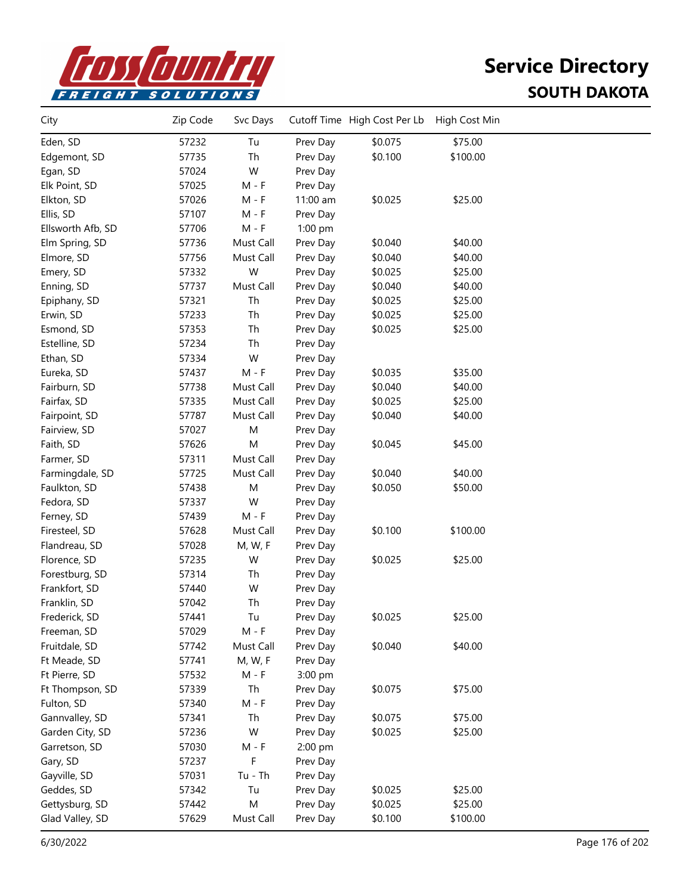

| City              | Zip Code | Svc Days  |          | Cutoff Time High Cost Per Lb | High Cost Min |  |
|-------------------|----------|-----------|----------|------------------------------|---------------|--|
| Eden, SD          | 57232    | Tu        | Prev Day | \$0.075                      | \$75.00       |  |
| Edgemont, SD      | 57735    | Th        | Prev Day | \$0.100                      | \$100.00      |  |
| Egan, SD          | 57024    | W         | Prev Day |                              |               |  |
| Elk Point, SD     | 57025    | $M - F$   | Prev Day |                              |               |  |
| Elkton, SD        | 57026    | M - F     | 11:00 am | \$0.025                      | \$25.00       |  |
| Ellis, SD         | 57107    | $M - F$   | Prev Day |                              |               |  |
| Ellsworth Afb, SD | 57706    | $M - F$   | 1:00 pm  |                              |               |  |
| Elm Spring, SD    | 57736    | Must Call | Prev Day | \$0.040                      | \$40.00       |  |
| Elmore, SD        | 57756    | Must Call | Prev Day | \$0.040                      | \$40.00       |  |
| Emery, SD         | 57332    | W         | Prev Day | \$0.025                      | \$25.00       |  |
| Enning, SD        | 57737    | Must Call | Prev Day | \$0.040                      | \$40.00       |  |
| Epiphany, SD      | 57321    | Th        | Prev Day | \$0.025                      | \$25.00       |  |
| Erwin, SD         | 57233    | Th        | Prev Day | \$0.025                      | \$25.00       |  |
| Esmond, SD        | 57353    | Th        | Prev Day | \$0.025                      | \$25.00       |  |
| Estelline, SD     | 57234    | Th        | Prev Day |                              |               |  |
| Ethan, SD         | 57334    | W         | Prev Day |                              |               |  |
| Eureka, SD        | 57437    | M - F     | Prev Day | \$0.035                      | \$35.00       |  |
| Fairburn, SD      | 57738    | Must Call | Prev Day | \$0.040                      | \$40.00       |  |
| Fairfax, SD       | 57335    | Must Call | Prev Day | \$0.025                      | \$25.00       |  |
| Fairpoint, SD     | 57787    | Must Call | Prev Day | \$0.040                      | \$40.00       |  |
| Fairview, SD      | 57027    | M         | Prev Day |                              |               |  |
| Faith, SD         | 57626    | M         | Prev Day | \$0.045                      | \$45.00       |  |
| Farmer, SD        | 57311    | Must Call | Prev Day |                              |               |  |
| Farmingdale, SD   | 57725    | Must Call | Prev Day | \$0.040                      | \$40.00       |  |
| Faulkton, SD      | 57438    | M         | Prev Day | \$0.050                      | \$50.00       |  |
| Fedora, SD        | 57337    | W         | Prev Day |                              |               |  |
| Ferney, SD        | 57439    | $M - F$   | Prev Day |                              |               |  |
| Firesteel, SD     | 57628    | Must Call | Prev Day | \$0.100                      | \$100.00      |  |
| Flandreau, SD     | 57028    | M, W, F   | Prev Day |                              |               |  |
| Florence, SD      | 57235    | W         | Prev Day | \$0.025                      | \$25.00       |  |
| Forestburg, SD    | 57314    | Th        | Prev Day |                              |               |  |
| Frankfort, SD     | 57440    | W         | Prev Day |                              |               |  |
| Franklin, SD      | 57042    | Th        | Prev Day |                              |               |  |
| Frederick, SD     | 57441    | Tu        | Prev Day | \$0.025                      | \$25.00       |  |
| Freeman, SD       | 57029    | M - F     | Prev Day |                              |               |  |
| Fruitdale, SD     | 57742    | Must Call | Prev Day | \$0.040                      | \$40.00       |  |
| Ft Meade, SD      | 57741    | M, W, F   | Prev Day |                              |               |  |
| Ft Pierre, SD     | 57532    | $M - F$   | 3:00 pm  |                              |               |  |
| Ft Thompson, SD   | 57339    | Th        | Prev Day | \$0.075                      | \$75.00       |  |
| Fulton, SD        | 57340    | $M - F$   | Prev Day |                              |               |  |
| Gannvalley, SD    | 57341    | Th        | Prev Day | \$0.075                      | \$75.00       |  |
| Garden City, SD   | 57236    | W         | Prev Day | \$0.025                      | \$25.00       |  |
| Garretson, SD     | 57030    | $M - F$   | 2:00 pm  |                              |               |  |
| Gary, SD          | 57237    | F         | Prev Day |                              |               |  |
| Gayville, SD      | 57031    | $Tu - Th$ | Prev Day |                              |               |  |
| Geddes, SD        | 57342    | Tu        | Prev Day | \$0.025                      | \$25.00       |  |
| Gettysburg, SD    | 57442    | M         | Prev Day | \$0.025                      | \$25.00       |  |
| Glad Valley, SD   | 57629    | Must Call | Prev Day | \$0.100                      | \$100.00      |  |
|                   |          |           |          |                              |               |  |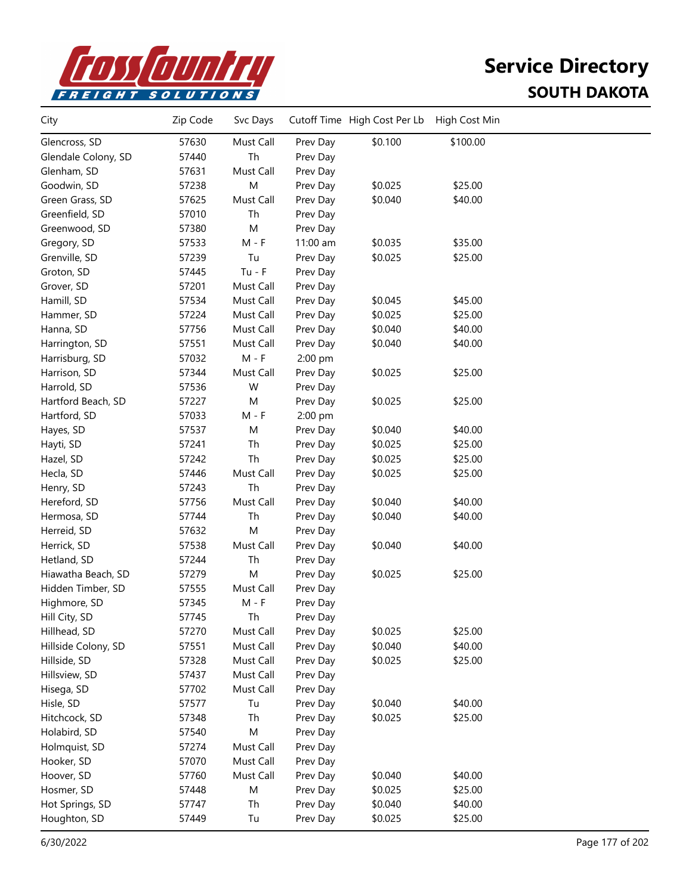

| City                | Zip Code | Svc Days  |          | Cutoff Time High Cost Per Lb | High Cost Min |  |
|---------------------|----------|-----------|----------|------------------------------|---------------|--|
| Glencross, SD       | 57630    | Must Call | Prev Day | \$0.100                      | \$100.00      |  |
| Glendale Colony, SD | 57440    | Th        | Prev Day |                              |               |  |
| Glenham, SD         | 57631    | Must Call | Prev Day |                              |               |  |
| Goodwin, SD         | 57238    | ${\sf M}$ | Prev Day | \$0.025                      | \$25.00       |  |
| Green Grass, SD     | 57625    | Must Call | Prev Day | \$0.040                      | \$40.00       |  |
| Greenfield, SD      | 57010    | Th        | Prev Day |                              |               |  |
| Greenwood, SD       | 57380    | M         | Prev Day |                              |               |  |
| Gregory, SD         | 57533    | $M - F$   | 11:00 am | \$0.035                      | \$35.00       |  |
| Grenville, SD       | 57239    | Tu        | Prev Day | \$0.025                      | \$25.00       |  |
| Groton, SD          | 57445    | $Tu - F$  | Prev Day |                              |               |  |
| Grover, SD          | 57201    | Must Call | Prev Day |                              |               |  |
| Hamill, SD          | 57534    | Must Call | Prev Day | \$0.045                      | \$45.00       |  |
| Hammer, SD          | 57224    | Must Call | Prev Day | \$0.025                      | \$25.00       |  |
| Hanna, SD           | 57756    | Must Call | Prev Day | \$0.040                      | \$40.00       |  |
| Harrington, SD      | 57551    | Must Call | Prev Day | \$0.040                      | \$40.00       |  |
| Harrisburg, SD      | 57032    | $M - F$   | 2:00 pm  |                              |               |  |
| Harrison, SD        | 57344    | Must Call | Prev Day | \$0.025                      | \$25.00       |  |
| Harrold, SD         | 57536    | W         | Prev Day |                              |               |  |
| Hartford Beach, SD  | 57227    | M         | Prev Day | \$0.025                      | \$25.00       |  |
| Hartford, SD        | 57033    | $M - F$   | 2:00 pm  |                              |               |  |
| Hayes, SD           | 57537    | ${\sf M}$ | Prev Day | \$0.040                      | \$40.00       |  |
| Hayti, SD           | 57241    | Th        | Prev Day | \$0.025                      | \$25.00       |  |
| Hazel, SD           | 57242    | Th        | Prev Day | \$0.025                      | \$25.00       |  |
| Hecla, SD           | 57446    | Must Call | Prev Day | \$0.025                      | \$25.00       |  |
| Henry, SD           | 57243    | Th        | Prev Day |                              |               |  |
| Hereford, SD        | 57756    | Must Call | Prev Day | \$0.040                      | \$40.00       |  |
| Hermosa, SD         | 57744    | Th        | Prev Day | \$0.040                      | \$40.00       |  |
| Herreid, SD         | 57632    | M         | Prev Day |                              |               |  |
| Herrick, SD         | 57538    | Must Call | Prev Day | \$0.040                      | \$40.00       |  |
| Hetland, SD         | 57244    | Th        | Prev Day |                              |               |  |
| Hiawatha Beach, SD  | 57279    | M         | Prev Day | \$0.025                      | \$25.00       |  |
| Hidden Timber, SD   | 57555    | Must Call | Prev Day |                              |               |  |
| Highmore, SD        | 57345    | $M - F$   | Prev Day |                              |               |  |
| Hill City, SD       | 57745    | Th        | Prev Day |                              |               |  |
| Hillhead, SD        | 57270    | Must Call | Prev Day | \$0.025                      | \$25.00       |  |
| Hillside Colony, SD | 57551    | Must Call | Prev Day | \$0.040                      | \$40.00       |  |
| Hillside, SD        | 57328    | Must Call | Prev Day | \$0.025                      | \$25.00       |  |
| Hillsview, SD       | 57437    | Must Call | Prev Day |                              |               |  |
| Hisega, SD          | 57702    | Must Call | Prev Day |                              |               |  |
| Hisle, SD           | 57577    | Tu        | Prev Day | \$0.040                      | \$40.00       |  |
| Hitchcock, SD       | 57348    | Th        | Prev Day | \$0.025                      | \$25.00       |  |
| Holabird, SD        | 57540    | ${\sf M}$ | Prev Day |                              |               |  |
| Holmquist, SD       | 57274    | Must Call | Prev Day |                              |               |  |
| Hooker, SD          | 57070    | Must Call | Prev Day |                              |               |  |
| Hoover, SD          | 57760    | Must Call | Prev Day | \$0.040                      | \$40.00       |  |
| Hosmer, SD          | 57448    | M         | Prev Day | \$0.025                      | \$25.00       |  |
| Hot Springs, SD     | 57747    | Th        | Prev Day | \$0.040                      | \$40.00       |  |
| Houghton, SD        | 57449    | Tu        | Prev Day | \$0.025                      | \$25.00       |  |
|                     |          |           |          |                              |               |  |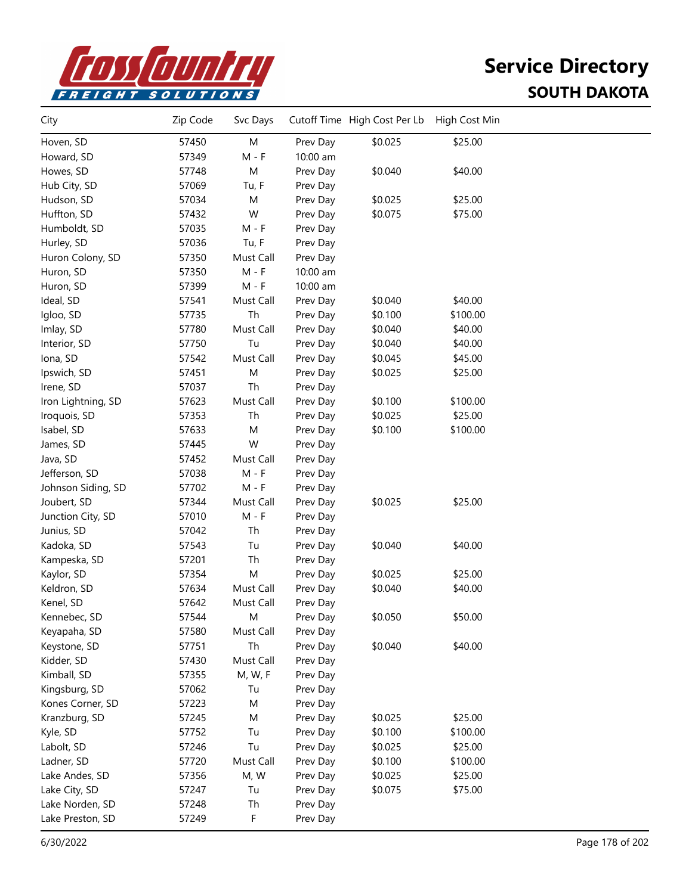

| City               | Zip Code | Svc Days  |          | Cutoff Time High Cost Per Lb | High Cost Min |  |
|--------------------|----------|-----------|----------|------------------------------|---------------|--|
| Hoven, SD          | 57450    | M         | Prev Day | \$0.025                      | \$25.00       |  |
| Howard, SD         | 57349    | $M - F$   | 10:00 am |                              |               |  |
| Howes, SD          | 57748    | M         | Prev Day | \$0.040                      | \$40.00       |  |
| Hub City, SD       | 57069    | Tu, F     | Prev Day |                              |               |  |
| Hudson, SD         | 57034    | M         | Prev Day | \$0.025                      | \$25.00       |  |
| Huffton, SD        | 57432    | W         | Prev Day | \$0.075                      | \$75.00       |  |
| Humboldt, SD       | 57035    | $M - F$   | Prev Day |                              |               |  |
| Hurley, SD         | 57036    | Tu, F     | Prev Day |                              |               |  |
| Huron Colony, SD   | 57350    | Must Call | Prev Day |                              |               |  |
| Huron, SD          | 57350    | $M - F$   | 10:00 am |                              |               |  |
| Huron, SD          | 57399    | $M - F$   | 10:00 am |                              |               |  |
| Ideal, SD          | 57541    | Must Call | Prev Day | \$0.040                      | \$40.00       |  |
| Igloo, SD          | 57735    | Th        | Prev Day | \$0.100                      | \$100.00      |  |
| Imlay, SD          | 57780    | Must Call | Prev Day | \$0.040                      | \$40.00       |  |
| Interior, SD       | 57750    | Tu        | Prev Day | \$0.040                      | \$40.00       |  |
| Iona, SD           | 57542    | Must Call | Prev Day | \$0.045                      | \$45.00       |  |
| Ipswich, SD        | 57451    | M         | Prev Day | \$0.025                      | \$25.00       |  |
| Irene, SD          | 57037    | Th        | Prev Day |                              |               |  |
| Iron Lightning, SD | 57623    | Must Call | Prev Day | \$0.100                      | \$100.00      |  |
| Iroquois, SD       | 57353    | Th        | Prev Day | \$0.025                      | \$25.00       |  |
| Isabel, SD         | 57633    | M         | Prev Day | \$0.100                      | \$100.00      |  |
| James, SD          | 57445    | W         | Prev Day |                              |               |  |
| Java, SD           | 57452    | Must Call | Prev Day |                              |               |  |
| Jefferson, SD      | 57038    | $M - F$   | Prev Day |                              |               |  |
| Johnson Siding, SD | 57702    | M - F     | Prev Day |                              |               |  |
| Joubert, SD        | 57344    | Must Call | Prev Day | \$0.025                      | \$25.00       |  |
| Junction City, SD  | 57010    | $M - F$   | Prev Day |                              |               |  |
| Junius, SD         | 57042    | Th        | Prev Day |                              |               |  |
| Kadoka, SD         | 57543    | Tu        | Prev Day | \$0.040                      | \$40.00       |  |
| Kampeska, SD       | 57201    | Th        | Prev Day |                              |               |  |
| Kaylor, SD         | 57354    | M         | Prev Day | \$0.025                      | \$25.00       |  |
| Keldron, SD        | 57634    | Must Call | Prev Day | \$0.040                      | \$40.00       |  |
| Kenel, SD          | 57642    | Must Call | Prev Day |                              |               |  |
| Kennebec, SD       | 57544    | М         | Prev Day | \$0.050                      | \$50.00       |  |
| Keyapaha, SD       | 57580    | Must Call | Prev Day |                              |               |  |
| Keystone, SD       | 57751    | Th        | Prev Day | \$0.040                      | \$40.00       |  |
| Kidder, SD         | 57430    | Must Call | Prev Day |                              |               |  |
| Kimball, SD        | 57355    | M, W, F   | Prev Day |                              |               |  |
| Kingsburg, SD      | 57062    | Tu        | Prev Day |                              |               |  |
| Kones Corner, SD   | 57223    | M         | Prev Day |                              |               |  |
| Kranzburg, SD      | 57245    | M         | Prev Day | \$0.025                      | \$25.00       |  |
| Kyle, SD           | 57752    | Tu        | Prev Day | \$0.100                      | \$100.00      |  |
| Labolt, SD         | 57246    | Tu        | Prev Day | \$0.025                      | \$25.00       |  |
| Ladner, SD         | 57720    | Must Call | Prev Day | \$0.100                      | \$100.00      |  |
| Lake Andes, SD     | 57356    | M, W      | Prev Day | \$0.025                      | \$25.00       |  |
| Lake City, SD      | 57247    | Tu        | Prev Day | \$0.075                      | \$75.00       |  |
| Lake Norden, SD    | 57248    | Th        | Prev Day |                              |               |  |
| Lake Preston, SD   | 57249    | F         | Prev Day |                              |               |  |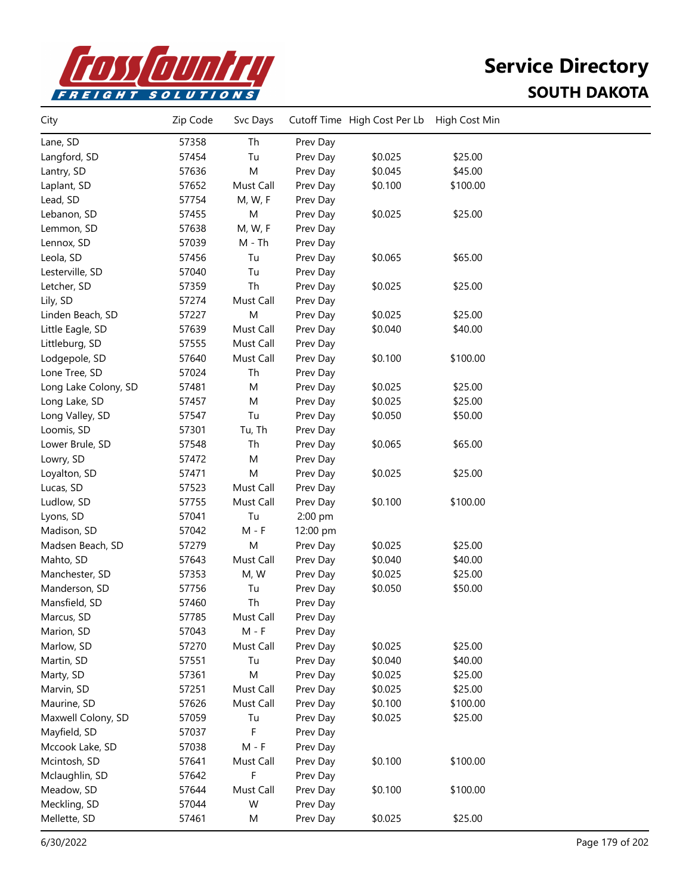

| City                 | Zip Code | Svc Days                    |          | Cutoff Time High Cost Per Lb | High Cost Min |  |
|----------------------|----------|-----------------------------|----------|------------------------------|---------------|--|
| Lane, SD             | 57358    | Th                          | Prev Day |                              |               |  |
| Langford, SD         | 57454    | Tu                          | Prev Day | \$0.025                      | \$25.00       |  |
| Lantry, SD           | 57636    | ${\sf M}$                   | Prev Day | \$0.045                      | \$45.00       |  |
| Laplant, SD          | 57652    | Must Call                   | Prev Day | \$0.100                      | \$100.00      |  |
| Lead, SD             | 57754    | M, W, F                     | Prev Day |                              |               |  |
| Lebanon, SD          | 57455    | M                           | Prev Day | \$0.025                      | \$25.00       |  |
| Lemmon, SD           | 57638    | M, W, F                     | Prev Day |                              |               |  |
| Lennox, SD           | 57039    | $M - Th$                    | Prev Day |                              |               |  |
| Leola, SD            | 57456    | Tu                          | Prev Day | \$0.065                      | \$65.00       |  |
| Lesterville, SD      | 57040    | Tu                          | Prev Day |                              |               |  |
| Letcher, SD          | 57359    | Th                          | Prev Day | \$0.025                      | \$25.00       |  |
| Lily, SD             | 57274    | Must Call                   | Prev Day |                              |               |  |
| Linden Beach, SD     | 57227    | M                           | Prev Day | \$0.025                      | \$25.00       |  |
| Little Eagle, SD     | 57639    | Must Call                   | Prev Day | \$0.040                      | \$40.00       |  |
| Littleburg, SD       | 57555    | Must Call                   | Prev Day |                              |               |  |
| Lodgepole, SD        | 57640    | Must Call                   | Prev Day | \$0.100                      | \$100.00      |  |
| Lone Tree, SD        | 57024    | Th                          | Prev Day |                              |               |  |
| Long Lake Colony, SD | 57481    | M                           | Prev Day | \$0.025                      | \$25.00       |  |
| Long Lake, SD        | 57457    | M                           | Prev Day | \$0.025                      | \$25.00       |  |
| Long Valley, SD      | 57547    | Tu                          | Prev Day | \$0.050                      | \$50.00       |  |
| Loomis, SD           | 57301    | Tu, Th                      | Prev Day |                              |               |  |
| Lower Brule, SD      | 57548    | Th                          | Prev Day | \$0.065                      | \$65.00       |  |
| Lowry, SD            | 57472    | M                           | Prev Day |                              |               |  |
| Loyalton, SD         | 57471    | M                           | Prev Day | \$0.025                      | \$25.00       |  |
| Lucas, SD            | 57523    | Must Call                   | Prev Day |                              |               |  |
| Ludlow, SD           | 57755    | Must Call                   | Prev Day | \$0.100                      | \$100.00      |  |
| Lyons, SD            | 57041    | Tu                          | 2:00 pm  |                              |               |  |
| Madison, SD          | 57042    | $M - F$                     | 12:00 pm |                              |               |  |
| Madsen Beach, SD     | 57279    | M                           | Prev Day | \$0.025                      | \$25.00       |  |
| Mahto, SD            | 57643    | Must Call                   | Prev Day | \$0.040                      | \$40.00       |  |
| Manchester, SD       | 57353    | M, W                        | Prev Day | \$0.025                      | \$25.00       |  |
| Manderson, SD        | 57756    | Tu                          | Prev Day | \$0.050                      | \$50.00       |  |
| Mansfield, SD        | 57460    | Th                          | Prev Day |                              |               |  |
| Marcus, SD           | 57785    | Must Call                   | Prev Day |                              |               |  |
| Marion, SD           | 57043    | $M - F$                     | Prev Day |                              |               |  |
| Marlow, SD           | 57270    | Must Call                   | Prev Day | \$0.025                      | \$25.00       |  |
| Martin, SD           | 57551    | Tu                          | Prev Day | \$0.040                      | \$40.00       |  |
| Marty, SD            | 57361    | M                           | Prev Day | \$0.025                      | \$25.00       |  |
| Marvin, SD           | 57251    | Must Call                   | Prev Day | \$0.025                      | \$25.00       |  |
| Maurine, SD          | 57626    | Must Call                   | Prev Day | \$0.100                      | \$100.00      |  |
| Maxwell Colony, SD   | 57059    | Tu                          | Prev Day | \$0.025                      | \$25.00       |  |
| Mayfield, SD         | 57037    | F                           | Prev Day |                              |               |  |
| Mccook Lake, SD      | 57038    | $\mathsf{M}$ - $\mathsf{F}$ | Prev Day |                              |               |  |
| Mcintosh, SD         | 57641    | Must Call                   | Prev Day | \$0.100                      | \$100.00      |  |
| Mclaughlin, SD       | 57642    | F                           | Prev Day |                              |               |  |
| Meadow, SD           | 57644    | Must Call                   | Prev Day | \$0.100                      | \$100.00      |  |
| Meckling, SD         | 57044    | W                           | Prev Day |                              |               |  |
| Mellette, SD         | 57461    | M                           | Prev Day | \$0.025                      | \$25.00       |  |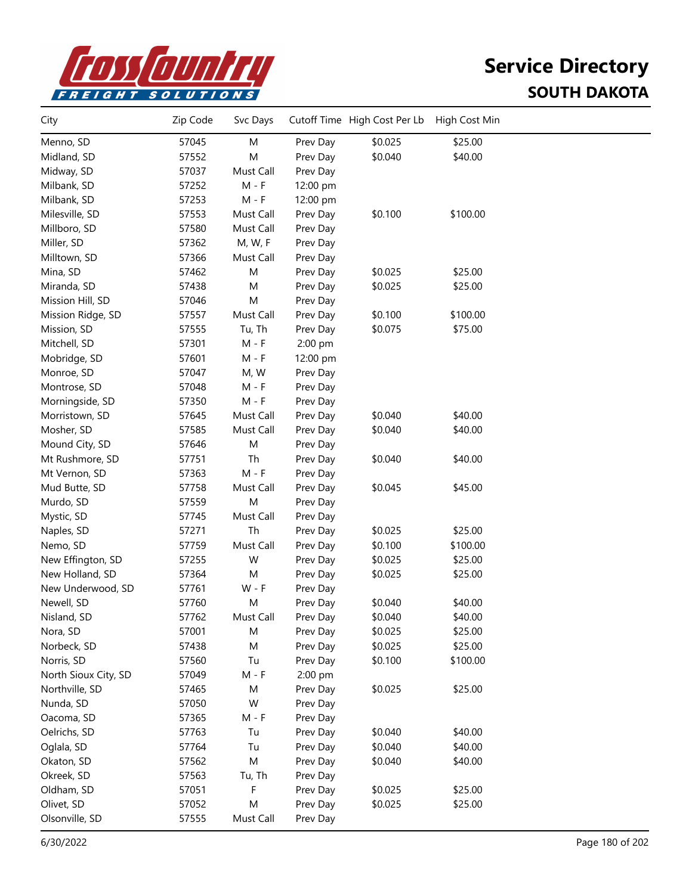

| City                 | Zip Code | Svc Days  |          | Cutoff Time High Cost Per Lb | High Cost Min |  |
|----------------------|----------|-----------|----------|------------------------------|---------------|--|
| Menno, SD            | 57045    | M         | Prev Day | \$0.025                      | \$25.00       |  |
| Midland, SD          | 57552    | M         | Prev Day | \$0.040                      | \$40.00       |  |
| Midway, SD           | 57037    | Must Call | Prev Day |                              |               |  |
| Milbank, SD          | 57252    | $M - F$   | 12:00 pm |                              |               |  |
| Milbank, SD          | 57253    | $M - F$   | 12:00 pm |                              |               |  |
| Milesville, SD       | 57553    | Must Call | Prev Day | \$0.100                      | \$100.00      |  |
| Millboro, SD         | 57580    | Must Call | Prev Day |                              |               |  |
| Miller, SD           | 57362    | M, W, F   | Prev Day |                              |               |  |
| Milltown, SD         | 57366    | Must Call | Prev Day |                              |               |  |
| Mina, SD             | 57462    | M         | Prev Day | \$0.025                      | \$25.00       |  |
| Miranda, SD          | 57438    | M         | Prev Day | \$0.025                      | \$25.00       |  |
| Mission Hill, SD     | 57046    | M         | Prev Day |                              |               |  |
| Mission Ridge, SD    | 57557    | Must Call | Prev Day | \$0.100                      | \$100.00      |  |
| Mission, SD          | 57555    | Tu, Th    | Prev Day | \$0.075                      | \$75.00       |  |
| Mitchell, SD         | 57301    | $M - F$   | 2:00 pm  |                              |               |  |
| Mobridge, SD         | 57601    | $M - F$   | 12:00 pm |                              |               |  |
| Monroe, SD           | 57047    | M, W      | Prev Day |                              |               |  |
| Montrose, SD         | 57048    | M - F     | Prev Day |                              |               |  |
| Morningside, SD      | 57350    | $M - F$   | Prev Day |                              |               |  |
| Morristown, SD       | 57645    | Must Call | Prev Day | \$0.040                      | \$40.00       |  |
| Mosher, SD           | 57585    | Must Call | Prev Day | \$0.040                      | \$40.00       |  |
| Mound City, SD       | 57646    | M         | Prev Day |                              |               |  |
| Mt Rushmore, SD      | 57751    | Th        | Prev Day | \$0.040                      | \$40.00       |  |
| Mt Vernon, SD        | 57363    | $M - F$   | Prev Day |                              |               |  |
| Mud Butte, SD        | 57758    | Must Call | Prev Day | \$0.045                      | \$45.00       |  |
| Murdo, SD            | 57559    | M         | Prev Day |                              |               |  |
| Mystic, SD           | 57745    | Must Call | Prev Day |                              |               |  |
| Naples, SD           | 57271    | Th        | Prev Day | \$0.025                      | \$25.00       |  |
| Nemo, SD             | 57759    | Must Call | Prev Day | \$0.100                      | \$100.00      |  |
| New Effington, SD    | 57255    | W         | Prev Day | \$0.025                      | \$25.00       |  |
| New Holland, SD      | 57364    | M         | Prev Day | \$0.025                      | \$25.00       |  |
| New Underwood, SD    | 57761    | $W - F$   | Prev Day |                              |               |  |
| Newell, SD           | 57760    | M         | Prev Day | \$0.040                      | \$40.00       |  |
| Nisland, SD          | 57762    | Must Call | Prev Day | \$0.040                      | \$40.00       |  |
| Nora, SD             | 57001    | M         | Prev Day | \$0.025                      | \$25.00       |  |
| Norbeck, SD          | 57438    | M         | Prev Day | \$0.025                      | \$25.00       |  |
| Norris, SD           | 57560    | Tu        | Prev Day | \$0.100                      | \$100.00      |  |
| North Sioux City, SD | 57049    | $M - F$   | 2:00 pm  |                              |               |  |
| Northville, SD       | 57465    | M         | Prev Day | \$0.025                      | \$25.00       |  |
| Nunda, SD            | 57050    | W         | Prev Day |                              |               |  |
| Oacoma, SD           | 57365    | $M - F$   | Prev Day |                              |               |  |
| Oelrichs, SD         | 57763    | Tu        | Prev Day | \$0.040                      | \$40.00       |  |
| Oglala, SD           | 57764    | Tu        | Prev Day | \$0.040                      | \$40.00       |  |
| Okaton, SD           | 57562    | ${\sf M}$ | Prev Day | \$0.040                      | \$40.00       |  |
| Okreek, SD           | 57563    | Tu, Th    | Prev Day |                              |               |  |
| Oldham, SD           | 57051    | F         | Prev Day | \$0.025                      | \$25.00       |  |
| Olivet, SD           | 57052    | M         | Prev Day | \$0.025                      | \$25.00       |  |
| Olsonville, SD       | 57555    | Must Call | Prev Day |                              |               |  |
|                      |          |           |          |                              |               |  |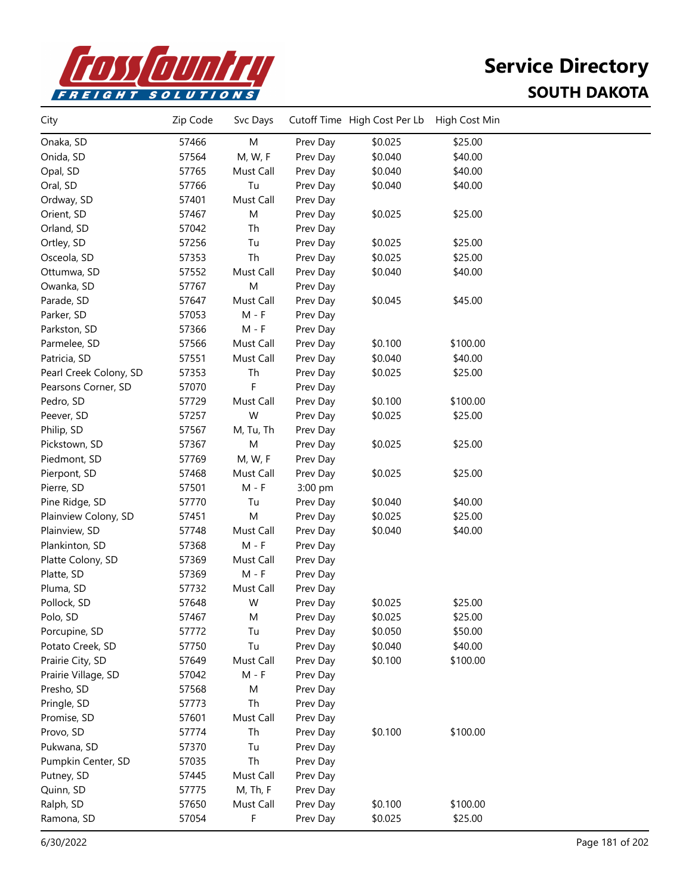

| City                   | Zip Code | Svc Days  |          | Cutoff Time High Cost Per Lb | High Cost Min |  |
|------------------------|----------|-----------|----------|------------------------------|---------------|--|
| Onaka, SD              | 57466    | M         | Prev Day | \$0.025                      | \$25.00       |  |
| Onida, SD              | 57564    | M, W, F   | Prev Day | \$0.040                      | \$40.00       |  |
| Opal, SD               | 57765    | Must Call | Prev Day | \$0.040                      | \$40.00       |  |
| Oral, SD               | 57766    | Tu        | Prev Day | \$0.040                      | \$40.00       |  |
| Ordway, SD             | 57401    | Must Call | Prev Day |                              |               |  |
| Orient, SD             | 57467    | M         | Prev Day | \$0.025                      | \$25.00       |  |
| Orland, SD             | 57042    | Th        | Prev Day |                              |               |  |
| Ortley, SD             | 57256    | Tu        | Prev Day | \$0.025                      | \$25.00       |  |
| Osceola, SD            | 57353    | Th        | Prev Day | \$0.025                      | \$25.00       |  |
| Ottumwa, SD            | 57552    | Must Call | Prev Day | \$0.040                      | \$40.00       |  |
| Owanka, SD             | 57767    | M         | Prev Day |                              |               |  |
| Parade, SD             | 57647    | Must Call | Prev Day | \$0.045                      | \$45.00       |  |
| Parker, SD             | 57053    | $M - F$   | Prev Day |                              |               |  |
| Parkston, SD           | 57366    | $M - F$   | Prev Day |                              |               |  |
| Parmelee, SD           | 57566    | Must Call | Prev Day | \$0.100                      | \$100.00      |  |
| Patricia, SD           | 57551    | Must Call | Prev Day | \$0.040                      | \$40.00       |  |
| Pearl Creek Colony, SD | 57353    | Th        | Prev Day | \$0.025                      | \$25.00       |  |
| Pearsons Corner, SD    | 57070    | F         | Prev Day |                              |               |  |
| Pedro, SD              | 57729    | Must Call | Prev Day | \$0.100                      | \$100.00      |  |
| Peever, SD             | 57257    | W         | Prev Day | \$0.025                      | \$25.00       |  |
| Philip, SD             | 57567    | M, Tu, Th | Prev Day |                              |               |  |
| Pickstown, SD          | 57367    | M         | Prev Day | \$0.025                      | \$25.00       |  |
| Piedmont, SD           | 57769    | M, W, F   | Prev Day |                              |               |  |
| Pierpont, SD           | 57468    | Must Call | Prev Day | \$0.025                      | \$25.00       |  |
| Pierre, SD             | 57501    | $M - F$   | 3:00 pm  |                              |               |  |
| Pine Ridge, SD         | 57770    | Tu        | Prev Day | \$0.040                      | \$40.00       |  |
| Plainview Colony, SD   | 57451    | M         | Prev Day | \$0.025                      | \$25.00       |  |
| Plainview, SD          | 57748    | Must Call | Prev Day | \$0.040                      | \$40.00       |  |
| Plankinton, SD         | 57368    | $M - F$   | Prev Day |                              |               |  |
| Platte Colony, SD      | 57369    | Must Call | Prev Day |                              |               |  |
| Platte, SD             | 57369    | M - F     | Prev Day |                              |               |  |
| Pluma, SD              | 57732    | Must Call | Prev Day |                              |               |  |
| Pollock, SD            | 57648    | W         | Prev Day | \$0.025                      | \$25.00       |  |
| Polo, SD               | 57467    | M         | Prev Day | \$0.025                      | \$25.00       |  |
| Porcupine, SD          | 57772    | Tu        | Prev Day | \$0.050                      | \$50.00       |  |
| Potato Creek, SD       | 57750    | Tu        | Prev Day | \$0.040                      | \$40.00       |  |
| Prairie City, SD       | 57649    | Must Call | Prev Day | \$0.100                      | \$100.00      |  |
| Prairie Village, SD    | 57042    | $M - F$   | Prev Day |                              |               |  |
| Presho, SD             | 57568    | M         | Prev Day |                              |               |  |
| Pringle, SD            | 57773    | Th        | Prev Day |                              |               |  |
| Promise, SD            | 57601    | Must Call | Prev Day |                              |               |  |
| Provo, SD              | 57774    | Th        | Prev Day | \$0.100                      | \$100.00      |  |
| Pukwana, SD            | 57370    | Tu        | Prev Day |                              |               |  |
| Pumpkin Center, SD     | 57035    | Th        | Prev Day |                              |               |  |
| Putney, SD             | 57445    | Must Call | Prev Day |                              |               |  |
| Quinn, SD              | 57775    | M, Th, F  | Prev Day |                              |               |  |
| Ralph, SD              | 57650    | Must Call | Prev Day | \$0.100                      | \$100.00      |  |
| Ramona, SD             | 57054    | F         | Prev Day | \$0.025                      | \$25.00       |  |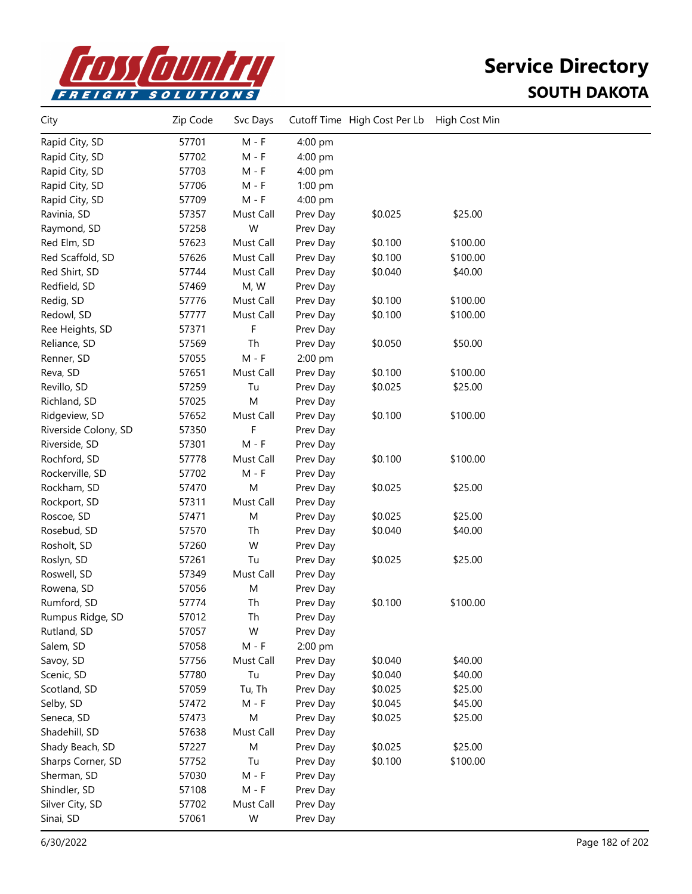

| $M - F$<br>57701<br>Rapid City, SD<br>4:00 pm<br>Rapid City, SD<br>57702<br>$M - F$<br>4:00 pm<br>Rapid City, SD<br>57703<br>$M - F$<br>4:00 pm<br>Rapid City, SD<br>57706<br>$M - F$<br>$1:00$ pm<br>$M - F$<br>Rapid City, SD<br>57709<br>4:00 pm<br>Ravinia, SD<br>57357<br>Must Call<br>\$0.025<br>\$25.00<br>Prev Day<br>W<br>57258<br>Raymond, SD<br>Prev Day<br>Red Elm, SD<br>57623<br>Must Call<br>Prev Day<br>\$0.100<br>\$100.00<br>Red Scaffold, SD<br>57626<br>Must Call<br>\$0.100<br>\$100.00<br>Prev Day<br>Red Shirt, SD<br>57744<br>Must Call<br>\$0.040<br>\$40.00<br>Prev Day<br>Redfield, SD<br>57469<br>M, W<br>Prev Day<br>\$100.00<br>Redig, SD<br>Prev Day<br>\$0.100<br>57776<br>Must Call<br>Must Call<br>\$0.100<br>\$100.00<br>Redowl, SD<br>57777<br>Prev Day<br>F<br>Ree Heights, SD<br>57371<br>Prev Day<br>Th<br>57569<br>\$0.050<br>\$50.00<br>Reliance, SD<br>Prev Day<br>57055<br>$M - F$<br>2:00 pm<br>Renner, SD<br>57651<br>Must Call<br>\$0.100<br>\$100.00<br>Reva, SD<br>Prev Day<br>Revillo, SD<br>57259<br>Tu<br>\$25.00<br>Prev Day<br>\$0.025<br>57025<br>M<br>Prev Day<br>Richland, SD<br>\$100.00<br>Ridgeview, SD<br>57652<br>Must Call<br>Prev Day<br>\$0.100<br>F<br>Riverside Colony, SD<br>57350<br>Prev Day<br>Riverside, SD<br>57301<br>$M - F$<br>Prev Day<br>Rochford, SD<br>\$100.00<br>57778<br>Must Call<br>Prev Day<br>\$0.100<br>Rockerville, SD<br>57702<br>$M - F$<br>Prev Day<br>Rockham, SD<br>57470<br>M<br>\$25.00<br>Prev Day<br>\$0.025<br>Rockport, SD<br>57311<br>Must Call<br>Prev Day<br>57471<br>M<br>Prev Day<br>\$0.025<br>\$25.00<br>Roscoe, SD<br>Rosebud, SD<br>57570<br>Th<br>Prev Day<br>\$0.040<br>\$40.00 | City | Zip Code | Svc Days | Cutoff Time High Cost Per Lb | High Cost Min |  |
|-----------------------------------------------------------------------------------------------------------------------------------------------------------------------------------------------------------------------------------------------------------------------------------------------------------------------------------------------------------------------------------------------------------------------------------------------------------------------------------------------------------------------------------------------------------------------------------------------------------------------------------------------------------------------------------------------------------------------------------------------------------------------------------------------------------------------------------------------------------------------------------------------------------------------------------------------------------------------------------------------------------------------------------------------------------------------------------------------------------------------------------------------------------------------------------------------------------------------------------------------------------------------------------------------------------------------------------------------------------------------------------------------------------------------------------------------------------------------------------------------------------------------------------------------------------------------------------------------------------------------------------------------------------------------------------------------|------|----------|----------|------------------------------|---------------|--|
|                                                                                                                                                                                                                                                                                                                                                                                                                                                                                                                                                                                                                                                                                                                                                                                                                                                                                                                                                                                                                                                                                                                                                                                                                                                                                                                                                                                                                                                                                                                                                                                                                                                                                               |      |          |          |                              |               |  |
|                                                                                                                                                                                                                                                                                                                                                                                                                                                                                                                                                                                                                                                                                                                                                                                                                                                                                                                                                                                                                                                                                                                                                                                                                                                                                                                                                                                                                                                                                                                                                                                                                                                                                               |      |          |          |                              |               |  |
|                                                                                                                                                                                                                                                                                                                                                                                                                                                                                                                                                                                                                                                                                                                                                                                                                                                                                                                                                                                                                                                                                                                                                                                                                                                                                                                                                                                                                                                                                                                                                                                                                                                                                               |      |          |          |                              |               |  |
|                                                                                                                                                                                                                                                                                                                                                                                                                                                                                                                                                                                                                                                                                                                                                                                                                                                                                                                                                                                                                                                                                                                                                                                                                                                                                                                                                                                                                                                                                                                                                                                                                                                                                               |      |          |          |                              |               |  |
|                                                                                                                                                                                                                                                                                                                                                                                                                                                                                                                                                                                                                                                                                                                                                                                                                                                                                                                                                                                                                                                                                                                                                                                                                                                                                                                                                                                                                                                                                                                                                                                                                                                                                               |      |          |          |                              |               |  |
|                                                                                                                                                                                                                                                                                                                                                                                                                                                                                                                                                                                                                                                                                                                                                                                                                                                                                                                                                                                                                                                                                                                                                                                                                                                                                                                                                                                                                                                                                                                                                                                                                                                                                               |      |          |          |                              |               |  |
|                                                                                                                                                                                                                                                                                                                                                                                                                                                                                                                                                                                                                                                                                                                                                                                                                                                                                                                                                                                                                                                                                                                                                                                                                                                                                                                                                                                                                                                                                                                                                                                                                                                                                               |      |          |          |                              |               |  |
|                                                                                                                                                                                                                                                                                                                                                                                                                                                                                                                                                                                                                                                                                                                                                                                                                                                                                                                                                                                                                                                                                                                                                                                                                                                                                                                                                                                                                                                                                                                                                                                                                                                                                               |      |          |          |                              |               |  |
|                                                                                                                                                                                                                                                                                                                                                                                                                                                                                                                                                                                                                                                                                                                                                                                                                                                                                                                                                                                                                                                                                                                                                                                                                                                                                                                                                                                                                                                                                                                                                                                                                                                                                               |      |          |          |                              |               |  |
|                                                                                                                                                                                                                                                                                                                                                                                                                                                                                                                                                                                                                                                                                                                                                                                                                                                                                                                                                                                                                                                                                                                                                                                                                                                                                                                                                                                                                                                                                                                                                                                                                                                                                               |      |          |          |                              |               |  |
|                                                                                                                                                                                                                                                                                                                                                                                                                                                                                                                                                                                                                                                                                                                                                                                                                                                                                                                                                                                                                                                                                                                                                                                                                                                                                                                                                                                                                                                                                                                                                                                                                                                                                               |      |          |          |                              |               |  |
|                                                                                                                                                                                                                                                                                                                                                                                                                                                                                                                                                                                                                                                                                                                                                                                                                                                                                                                                                                                                                                                                                                                                                                                                                                                                                                                                                                                                                                                                                                                                                                                                                                                                                               |      |          |          |                              |               |  |
|                                                                                                                                                                                                                                                                                                                                                                                                                                                                                                                                                                                                                                                                                                                                                                                                                                                                                                                                                                                                                                                                                                                                                                                                                                                                                                                                                                                                                                                                                                                                                                                                                                                                                               |      |          |          |                              |               |  |
|                                                                                                                                                                                                                                                                                                                                                                                                                                                                                                                                                                                                                                                                                                                                                                                                                                                                                                                                                                                                                                                                                                                                                                                                                                                                                                                                                                                                                                                                                                                                                                                                                                                                                               |      |          |          |                              |               |  |
|                                                                                                                                                                                                                                                                                                                                                                                                                                                                                                                                                                                                                                                                                                                                                                                                                                                                                                                                                                                                                                                                                                                                                                                                                                                                                                                                                                                                                                                                                                                                                                                                                                                                                               |      |          |          |                              |               |  |
|                                                                                                                                                                                                                                                                                                                                                                                                                                                                                                                                                                                                                                                                                                                                                                                                                                                                                                                                                                                                                                                                                                                                                                                                                                                                                                                                                                                                                                                                                                                                                                                                                                                                                               |      |          |          |                              |               |  |
|                                                                                                                                                                                                                                                                                                                                                                                                                                                                                                                                                                                                                                                                                                                                                                                                                                                                                                                                                                                                                                                                                                                                                                                                                                                                                                                                                                                                                                                                                                                                                                                                                                                                                               |      |          |          |                              |               |  |
|                                                                                                                                                                                                                                                                                                                                                                                                                                                                                                                                                                                                                                                                                                                                                                                                                                                                                                                                                                                                                                                                                                                                                                                                                                                                                                                                                                                                                                                                                                                                                                                                                                                                                               |      |          |          |                              |               |  |
|                                                                                                                                                                                                                                                                                                                                                                                                                                                                                                                                                                                                                                                                                                                                                                                                                                                                                                                                                                                                                                                                                                                                                                                                                                                                                                                                                                                                                                                                                                                                                                                                                                                                                               |      |          |          |                              |               |  |
|                                                                                                                                                                                                                                                                                                                                                                                                                                                                                                                                                                                                                                                                                                                                                                                                                                                                                                                                                                                                                                                                                                                                                                                                                                                                                                                                                                                                                                                                                                                                                                                                                                                                                               |      |          |          |                              |               |  |
|                                                                                                                                                                                                                                                                                                                                                                                                                                                                                                                                                                                                                                                                                                                                                                                                                                                                                                                                                                                                                                                                                                                                                                                                                                                                                                                                                                                                                                                                                                                                                                                                                                                                                               |      |          |          |                              |               |  |
|                                                                                                                                                                                                                                                                                                                                                                                                                                                                                                                                                                                                                                                                                                                                                                                                                                                                                                                                                                                                                                                                                                                                                                                                                                                                                                                                                                                                                                                                                                                                                                                                                                                                                               |      |          |          |                              |               |  |
|                                                                                                                                                                                                                                                                                                                                                                                                                                                                                                                                                                                                                                                                                                                                                                                                                                                                                                                                                                                                                                                                                                                                                                                                                                                                                                                                                                                                                                                                                                                                                                                                                                                                                               |      |          |          |                              |               |  |
|                                                                                                                                                                                                                                                                                                                                                                                                                                                                                                                                                                                                                                                                                                                                                                                                                                                                                                                                                                                                                                                                                                                                                                                                                                                                                                                                                                                                                                                                                                                                                                                                                                                                                               |      |          |          |                              |               |  |
|                                                                                                                                                                                                                                                                                                                                                                                                                                                                                                                                                                                                                                                                                                                                                                                                                                                                                                                                                                                                                                                                                                                                                                                                                                                                                                                                                                                                                                                                                                                                                                                                                                                                                               |      |          |          |                              |               |  |
|                                                                                                                                                                                                                                                                                                                                                                                                                                                                                                                                                                                                                                                                                                                                                                                                                                                                                                                                                                                                                                                                                                                                                                                                                                                                                                                                                                                                                                                                                                                                                                                                                                                                                               |      |          |          |                              |               |  |
|                                                                                                                                                                                                                                                                                                                                                                                                                                                                                                                                                                                                                                                                                                                                                                                                                                                                                                                                                                                                                                                                                                                                                                                                                                                                                                                                                                                                                                                                                                                                                                                                                                                                                               |      |          |          |                              |               |  |
|                                                                                                                                                                                                                                                                                                                                                                                                                                                                                                                                                                                                                                                                                                                                                                                                                                                                                                                                                                                                                                                                                                                                                                                                                                                                                                                                                                                                                                                                                                                                                                                                                                                                                               |      |          |          |                              |               |  |
| W<br>Rosholt, SD<br>57260<br>Prev Day                                                                                                                                                                                                                                                                                                                                                                                                                                                                                                                                                                                                                                                                                                                                                                                                                                                                                                                                                                                                                                                                                                                                                                                                                                                                                                                                                                                                                                                                                                                                                                                                                                                         |      |          |          |                              |               |  |
| Tu<br>\$0.025<br>\$25.00<br>Roslyn, SD<br>57261<br>Prev Day                                                                                                                                                                                                                                                                                                                                                                                                                                                                                                                                                                                                                                                                                                                                                                                                                                                                                                                                                                                                                                                                                                                                                                                                                                                                                                                                                                                                                                                                                                                                                                                                                                   |      |          |          |                              |               |  |
| Must Call<br>Roswell, SD<br>57349<br>Prev Day                                                                                                                                                                                                                                                                                                                                                                                                                                                                                                                                                                                                                                                                                                                                                                                                                                                                                                                                                                                                                                                                                                                                                                                                                                                                                                                                                                                                                                                                                                                                                                                                                                                 |      |          |          |                              |               |  |
| Rowena, SD<br>57056<br>M<br>Prev Day                                                                                                                                                                                                                                                                                                                                                                                                                                                                                                                                                                                                                                                                                                                                                                                                                                                                                                                                                                                                                                                                                                                                                                                                                                                                                                                                                                                                                                                                                                                                                                                                                                                          |      |          |          |                              |               |  |
| Rumford, SD<br>57774<br>Th<br>\$100.00<br>Prev Day<br>\$0.100                                                                                                                                                                                                                                                                                                                                                                                                                                                                                                                                                                                                                                                                                                                                                                                                                                                                                                                                                                                                                                                                                                                                                                                                                                                                                                                                                                                                                                                                                                                                                                                                                                 |      |          |          |                              |               |  |
| Rumpus Ridge, SD<br>57012<br>Th<br>Prev Day                                                                                                                                                                                                                                                                                                                                                                                                                                                                                                                                                                                                                                                                                                                                                                                                                                                                                                                                                                                                                                                                                                                                                                                                                                                                                                                                                                                                                                                                                                                                                                                                                                                   |      |          |          |                              |               |  |
| W<br>57057<br>Rutland, SD<br>Prev Day                                                                                                                                                                                                                                                                                                                                                                                                                                                                                                                                                                                                                                                                                                                                                                                                                                                                                                                                                                                                                                                                                                                                                                                                                                                                                                                                                                                                                                                                                                                                                                                                                                                         |      |          |          |                              |               |  |
| $M - F$<br>2:00 pm<br>Salem, SD<br>57058                                                                                                                                                                                                                                                                                                                                                                                                                                                                                                                                                                                                                                                                                                                                                                                                                                                                                                                                                                                                                                                                                                                                                                                                                                                                                                                                                                                                                                                                                                                                                                                                                                                      |      |          |          |                              |               |  |
| \$40.00<br>Savoy, SD<br>57756<br>Must Call<br>\$0.040<br>Prev Day                                                                                                                                                                                                                                                                                                                                                                                                                                                                                                                                                                                                                                                                                                                                                                                                                                                                                                                                                                                                                                                                                                                                                                                                                                                                                                                                                                                                                                                                                                                                                                                                                             |      |          |          |                              |               |  |
| Scenic, SD<br>Tu<br>\$0.040<br>\$40.00<br>57780<br>Prev Day                                                                                                                                                                                                                                                                                                                                                                                                                                                                                                                                                                                                                                                                                                                                                                                                                                                                                                                                                                                                                                                                                                                                                                                                                                                                                                                                                                                                                                                                                                                                                                                                                                   |      |          |          |                              |               |  |
| Scotland, SD<br>Tu, Th<br>\$0.025<br>\$25.00<br>57059<br>Prev Day                                                                                                                                                                                                                                                                                                                                                                                                                                                                                                                                                                                                                                                                                                                                                                                                                                                                                                                                                                                                                                                                                                                                                                                                                                                                                                                                                                                                                                                                                                                                                                                                                             |      |          |          |                              |               |  |
| $M - F$<br>Selby, SD<br>57472<br>\$0.045<br>\$45.00<br>Prev Day                                                                                                                                                                                                                                                                                                                                                                                                                                                                                                                                                                                                                                                                                                                                                                                                                                                                                                                                                                                                                                                                                                                                                                                                                                                                                                                                                                                                                                                                                                                                                                                                                               |      |          |          |                              |               |  |
| M<br>Seneca, SD<br>57473<br>Prev Day<br>\$0.025<br>\$25.00                                                                                                                                                                                                                                                                                                                                                                                                                                                                                                                                                                                                                                                                                                                                                                                                                                                                                                                                                                                                                                                                                                                                                                                                                                                                                                                                                                                                                                                                                                                                                                                                                                    |      |          |          |                              |               |  |
| Shadehill, SD<br>57638<br>Must Call<br>Prev Day                                                                                                                                                                                                                                                                                                                                                                                                                                                                                                                                                                                                                                                                                                                                                                                                                                                                                                                                                                                                                                                                                                                                                                                                                                                                                                                                                                                                                                                                                                                                                                                                                                               |      |          |          |                              |               |  |
| 57227<br>M<br>Prev Day<br>\$0.025<br>\$25.00<br>Shady Beach, SD                                                                                                                                                                                                                                                                                                                                                                                                                                                                                                                                                                                                                                                                                                                                                                                                                                                                                                                                                                                                                                                                                                                                                                                                                                                                                                                                                                                                                                                                                                                                                                                                                               |      |          |          |                              |               |  |
| Sharps Corner, SD<br>57752<br>Tu<br>Prev Day<br>\$0.100<br>\$100.00                                                                                                                                                                                                                                                                                                                                                                                                                                                                                                                                                                                                                                                                                                                                                                                                                                                                                                                                                                                                                                                                                                                                                                                                                                                                                                                                                                                                                                                                                                                                                                                                                           |      |          |          |                              |               |  |
| Sherman, SD<br>57030<br>$M - F$<br>Prev Day                                                                                                                                                                                                                                                                                                                                                                                                                                                                                                                                                                                                                                                                                                                                                                                                                                                                                                                                                                                                                                                                                                                                                                                                                                                                                                                                                                                                                                                                                                                                                                                                                                                   |      |          |          |                              |               |  |
| $M - F$<br>Shindler, SD<br>57108<br>Prev Day                                                                                                                                                                                                                                                                                                                                                                                                                                                                                                                                                                                                                                                                                                                                                                                                                                                                                                                                                                                                                                                                                                                                                                                                                                                                                                                                                                                                                                                                                                                                                                                                                                                  |      |          |          |                              |               |  |
| Silver City, SD<br>57702<br>Must Call<br>Prev Day                                                                                                                                                                                                                                                                                                                                                                                                                                                                                                                                                                                                                                                                                                                                                                                                                                                                                                                                                                                                                                                                                                                                                                                                                                                                                                                                                                                                                                                                                                                                                                                                                                             |      |          |          |                              |               |  |
| Sinai, SD<br>57061<br>W<br>Prev Day                                                                                                                                                                                                                                                                                                                                                                                                                                                                                                                                                                                                                                                                                                                                                                                                                                                                                                                                                                                                                                                                                                                                                                                                                                                                                                                                                                                                                                                                                                                                                                                                                                                           |      |          |          |                              |               |  |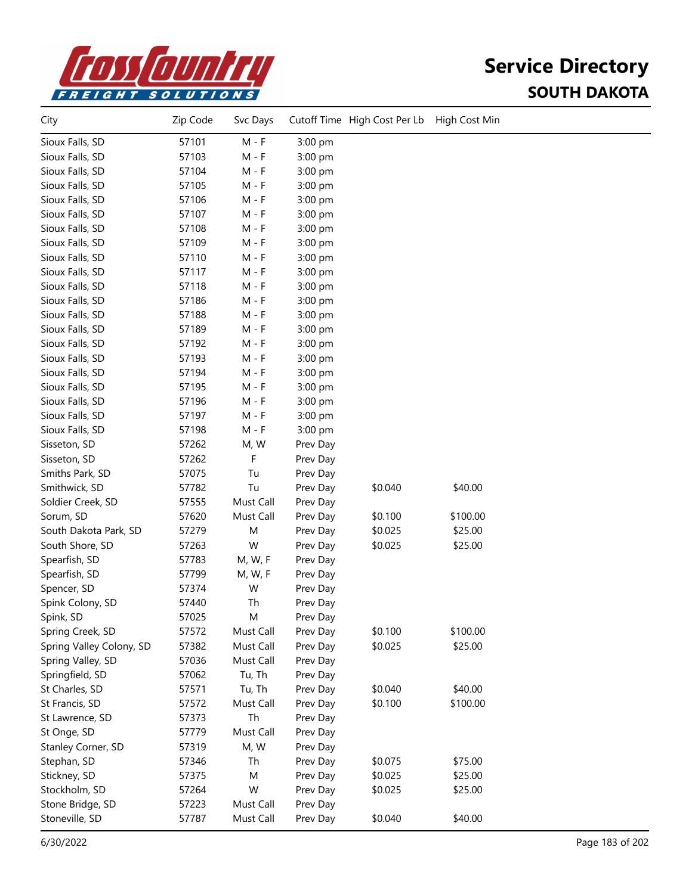

| City                     | Zip Code | Svc Days  |          | Cutoff Time High Cost Per Lb | High Cost Min |  |
|--------------------------|----------|-----------|----------|------------------------------|---------------|--|
| Sioux Falls, SD          | 57101    | $M - F$   | 3:00 pm  |                              |               |  |
| Sioux Falls, SD          | 57103    | M - F     | 3:00 pm  |                              |               |  |
| Sioux Falls, SD          | 57104    | M - F     | 3:00 pm  |                              |               |  |
| Sioux Falls, SD          | 57105    | $M - F$   | 3:00 pm  |                              |               |  |
| Sioux Falls, SD          | 57106    | $M - F$   | 3:00 pm  |                              |               |  |
| Sioux Falls, SD          | 57107    | $M - F$   | 3:00 pm  |                              |               |  |
| Sioux Falls, SD          | 57108    | M - F     | 3:00 pm  |                              |               |  |
| Sioux Falls, SD          | 57109    | $M - F$   | 3:00 pm  |                              |               |  |
| Sioux Falls, SD          | 57110    | M - F     | 3:00 pm  |                              |               |  |
| Sioux Falls, SD          | 57117    | M - F     | 3:00 pm  |                              |               |  |
| Sioux Falls, SD          | 57118    | M - F     | 3:00 pm  |                              |               |  |
| Sioux Falls, SD          | 57186    | M - F     | 3:00 pm  |                              |               |  |
| Sioux Falls, SD          | 57188    | M - F     | 3:00 pm  |                              |               |  |
| Sioux Falls, SD          | 57189    | M - F     | 3:00 pm  |                              |               |  |
| Sioux Falls, SD          | 57192    | M - F     | 3:00 pm  |                              |               |  |
| Sioux Falls, SD          | 57193    | $M - F$   | 3:00 pm  |                              |               |  |
| Sioux Falls, SD          | 57194    | $M - F$   | 3:00 pm  |                              |               |  |
| Sioux Falls, SD          | 57195    | M - F     | 3:00 pm  |                              |               |  |
| Sioux Falls, SD          | 57196    | M - F     | 3:00 pm  |                              |               |  |
| Sioux Falls, SD          | 57197    | $M - F$   | 3:00 pm  |                              |               |  |
| Sioux Falls, SD          | 57198    | $M - F$   | 3:00 pm  |                              |               |  |
| Sisseton, SD             | 57262    | M, W      | Prev Day |                              |               |  |
| Sisseton, SD             | 57262    | F         | Prev Day |                              |               |  |
| Smiths Park, SD          | 57075    | Tu        | Prev Day |                              |               |  |
| Smithwick, SD            | 57782    | Tu        | Prev Day | \$0.040                      | \$40.00       |  |
| Soldier Creek, SD        | 57555    | Must Call | Prev Day |                              |               |  |
| Sorum, SD                | 57620    | Must Call | Prev Day | \$0.100                      | \$100.00      |  |
| South Dakota Park, SD    | 57279    | M         | Prev Day | \$0.025                      | \$25.00       |  |
| South Shore, SD          | 57263    | W         | Prev Day | \$0.025                      | \$25.00       |  |
| Spearfish, SD            | 57783    | M, W, F   | Prev Day |                              |               |  |
| Spearfish, SD            | 57799    | M, W, F   | Prev Day |                              |               |  |
| Spencer, SD              | 57374    | W         | Prev Day |                              |               |  |
| Spink Colony, SD         | 57440    | Th        | Prev Day |                              |               |  |
| Spink, SD                | 57025    | M         | Prev Day |                              |               |  |
| Spring Creek, SD         | 57572    | Must Call | Prev Day | \$0.100                      | \$100.00      |  |
| Spring Valley Colony, SD | 57382    | Must Call | Prev Day | \$0.025                      | \$25.00       |  |
| Spring Valley, SD        | 57036    | Must Call | Prev Day |                              |               |  |
| Springfield, SD          | 57062    | Tu, Th    | Prev Day |                              |               |  |
| St Charles, SD           | 57571    | Tu, Th    | Prev Day | \$0.040                      | \$40.00       |  |
| St Francis, SD           | 57572    | Must Call | Prev Day | \$0.100                      | \$100.00      |  |
| St Lawrence, SD          | 57373    | Th        | Prev Day |                              |               |  |
| St Onge, SD              | 57779    | Must Call | Prev Day |                              |               |  |
| Stanley Corner, SD       | 57319    | M, W      | Prev Day |                              |               |  |
| Stephan, SD              | 57346    | Th        | Prev Day | \$0.075                      | \$75.00       |  |
| Stickney, SD             | 57375    | M         | Prev Day | \$0.025                      | \$25.00       |  |
| Stockholm, SD            | 57264    | W         | Prev Day | \$0.025                      | \$25.00       |  |
| Stone Bridge, SD         | 57223    | Must Call | Prev Day |                              |               |  |
| Stoneville, SD           | 57787    | Must Call | Prev Day | \$0.040                      | \$40.00       |  |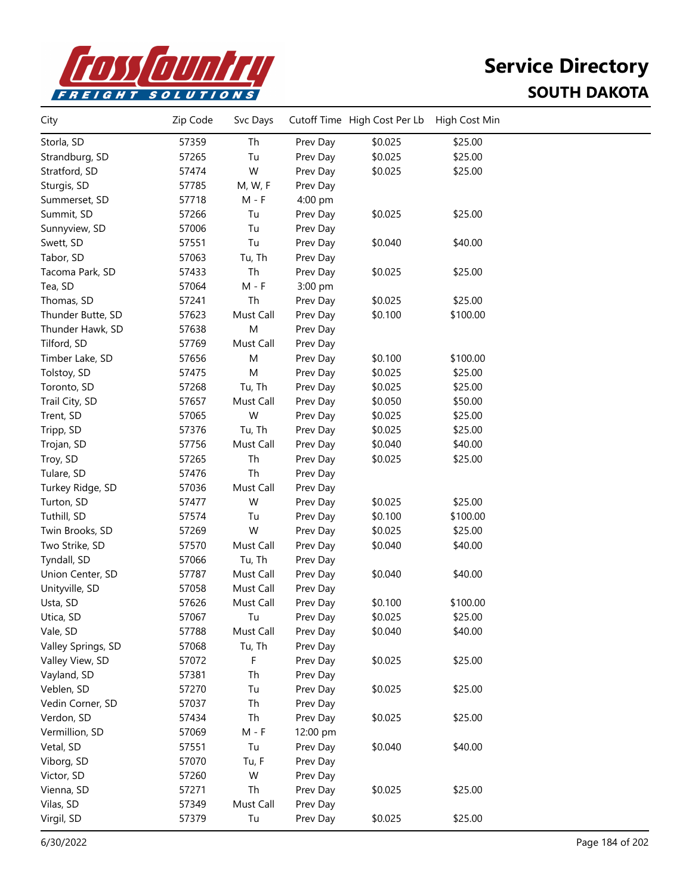

| City               | Zip Code | Svc Days  |          | Cutoff Time High Cost Per Lb | High Cost Min |  |
|--------------------|----------|-----------|----------|------------------------------|---------------|--|
| Storla, SD         | 57359    | Th        | Prev Day | \$0.025                      | \$25.00       |  |
| Strandburg, SD     | 57265    | Tu        | Prev Day | \$0.025                      | \$25.00       |  |
| Stratford, SD      | 57474    | W         | Prev Day | \$0.025                      | \$25.00       |  |
| Sturgis, SD        | 57785    | M, W, F   | Prev Day |                              |               |  |
| Summerset, SD      | 57718    | $M - F$   | 4:00 pm  |                              |               |  |
| Summit, SD         | 57266    | Tu        | Prev Day | \$0.025                      | \$25.00       |  |
| Sunnyview, SD      | 57006    | Tu        | Prev Day |                              |               |  |
| Swett, SD          | 57551    | Tu        | Prev Day | \$0.040                      | \$40.00       |  |
| Tabor, SD          | 57063    | Tu, Th    | Prev Day |                              |               |  |
| Tacoma Park, SD    | 57433    | Th        | Prev Day | \$0.025                      | \$25.00       |  |
| Tea, SD            | 57064    | $M - F$   | 3:00 pm  |                              |               |  |
| Thomas, SD         | 57241    | Th        | Prev Day | \$0.025                      | \$25.00       |  |
| Thunder Butte, SD  | 57623    | Must Call | Prev Day | \$0.100                      | \$100.00      |  |
| Thunder Hawk, SD   | 57638    | M         | Prev Day |                              |               |  |
| Tilford, SD        | 57769    | Must Call | Prev Day |                              |               |  |
| Timber Lake, SD    | 57656    | M         | Prev Day | \$0.100                      | \$100.00      |  |
| Tolstoy, SD        | 57475    | M         | Prev Day | \$0.025                      | \$25.00       |  |
| Toronto, SD        | 57268    | Tu, Th    | Prev Day | \$0.025                      | \$25.00       |  |
| Trail City, SD     | 57657    | Must Call | Prev Day | \$0.050                      | \$50.00       |  |
| Trent, SD          | 57065    | W         | Prev Day | \$0.025                      | \$25.00       |  |
| Tripp, SD          | 57376    | Tu, Th    | Prev Day | \$0.025                      | \$25.00       |  |
| Trojan, SD         | 57756    | Must Call | Prev Day | \$0.040                      | \$40.00       |  |
| Troy, SD           | 57265    | Th        | Prev Day | \$0.025                      | \$25.00       |  |
| Tulare, SD         | 57476    | Th        | Prev Day |                              |               |  |
| Turkey Ridge, SD   | 57036    | Must Call | Prev Day |                              |               |  |
| Turton, SD         | 57477    | W         | Prev Day | \$0.025                      | \$25.00       |  |
| Tuthill, SD        | 57574    | Tu        | Prev Day | \$0.100                      | \$100.00      |  |
| Twin Brooks, SD    | 57269    | W         | Prev Day | \$0.025                      | \$25.00       |  |
| Two Strike, SD     | 57570    | Must Call | Prev Day | \$0.040                      | \$40.00       |  |
| Tyndall, SD        | 57066    | Tu, Th    | Prev Day |                              |               |  |
| Union Center, SD   | 57787    | Must Call | Prev Day | \$0.040                      | \$40.00       |  |
| Unityville, SD     | 57058    | Must Call | Prev Day |                              |               |  |
| Usta, SD           | 57626    | Must Call | Prev Day | \$0.100                      | \$100.00      |  |
| Utica, SD          | 57067    | Tu        | Prev Day | \$0.025                      | \$25.00       |  |
| Vale, SD           | 57788    | Must Call | Prev Day | \$0.040                      | \$40.00       |  |
| Valley Springs, SD | 57068    | Tu, Th    | Prev Day |                              |               |  |
| Valley View, SD    | 57072    | F         | Prev Day | \$0.025                      | \$25.00       |  |
| Vayland, SD        | 57381    | Th        | Prev Day |                              |               |  |
| Veblen, SD         | 57270    | Tu        | Prev Day | \$0.025                      | \$25.00       |  |
| Vedin Corner, SD   | 57037    | Th        | Prev Day |                              |               |  |
| Verdon, SD         | 57434    | Th        | Prev Day | \$0.025                      | \$25.00       |  |
| Vermillion, SD     | 57069    | $M - F$   | 12:00 pm |                              |               |  |
| Vetal, SD          | 57551    | Tu        | Prev Day | \$0.040                      | \$40.00       |  |
| Viborg, SD         | 57070    | Tu, F     | Prev Day |                              |               |  |
| Victor, SD         | 57260    | W         | Prev Day |                              |               |  |
| Vienna, SD         | 57271    | Th        | Prev Day | \$0.025                      | \$25.00       |  |
| Vilas, SD          | 57349    | Must Call | Prev Day |                              |               |  |
| Virgil, SD         | 57379    | Tu        | Prev Day | \$0.025                      | \$25.00       |  |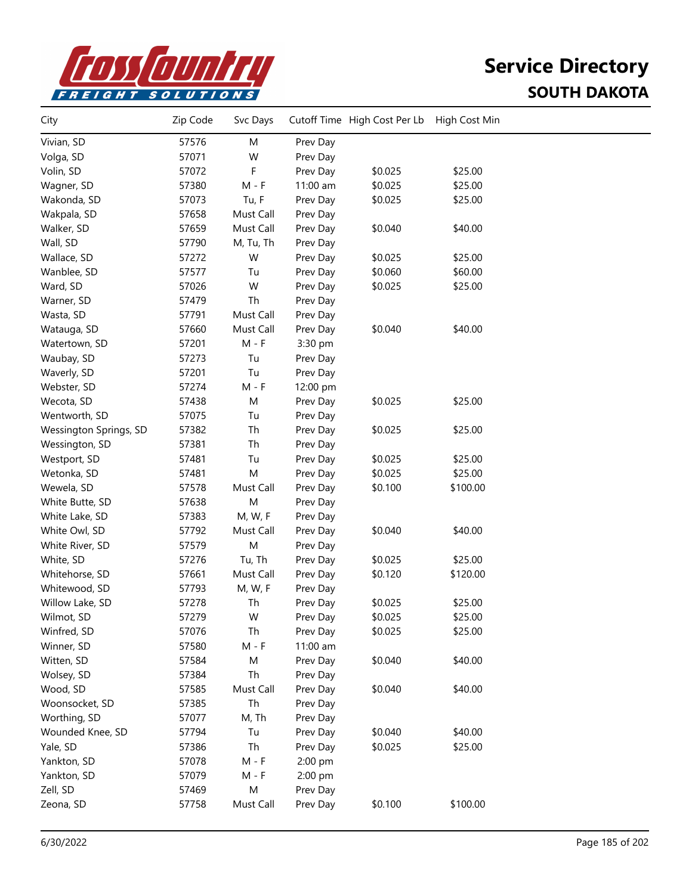

| City                   | Zip Code | Svc Days  |          | Cutoff Time High Cost Per Lb | High Cost Min |  |
|------------------------|----------|-----------|----------|------------------------------|---------------|--|
| Vivian, SD             | 57576    | M         | Prev Day |                              |               |  |
| Volga, SD              | 57071    | W         | Prev Day |                              |               |  |
| Volin, SD              | 57072    | F         | Prev Day | \$0.025                      | \$25.00       |  |
| Wagner, SD             | 57380    | $M - F$   | 11:00 am | \$0.025                      | \$25.00       |  |
| Wakonda, SD            | 57073    | Tu, F     | Prev Day | \$0.025                      | \$25.00       |  |
| Wakpala, SD            | 57658    | Must Call | Prev Day |                              |               |  |
| Walker, SD             | 57659    | Must Call | Prev Day | \$0.040                      | \$40.00       |  |
| Wall, SD               | 57790    | M, Tu, Th | Prev Day |                              |               |  |
| Wallace, SD            | 57272    | W         | Prev Day | \$0.025                      | \$25.00       |  |
| Wanblee, SD            | 57577    | Tu        | Prev Day | \$0.060                      | \$60.00       |  |
| Ward, SD               | 57026    | W         | Prev Day | \$0.025                      | \$25.00       |  |
| Warner, SD             | 57479    | Th        | Prev Day |                              |               |  |
| Wasta, SD              | 57791    | Must Call | Prev Day |                              |               |  |
| Watauga, SD            | 57660    | Must Call | Prev Day | \$0.040                      | \$40.00       |  |
| Watertown, SD          | 57201    | $M - F$   | 3:30 pm  |                              |               |  |
| Waubay, SD             | 57273    | Tu        | Prev Day |                              |               |  |
| Waverly, SD            | 57201    | Tu        | Prev Day |                              |               |  |
| Webster, SD            | 57274    | $M - F$   | 12:00 pm |                              |               |  |
| Wecota, SD             | 57438    | M         | Prev Day | \$0.025                      | \$25.00       |  |
| Wentworth, SD          | 57075    | Tu        | Prev Day |                              |               |  |
| Wessington Springs, SD | 57382    | Th        | Prev Day | \$0.025                      | \$25.00       |  |
| Wessington, SD         | 57381    | Th        | Prev Day |                              |               |  |
| Westport, SD           | 57481    | Tu        | Prev Day | \$0.025                      | \$25.00       |  |
| Wetonka, SD            | 57481    | M         | Prev Day | \$0.025                      | \$25.00       |  |
| Wewela, SD             | 57578    | Must Call | Prev Day | \$0.100                      | \$100.00      |  |
| White Butte, SD        | 57638    | M         | Prev Day |                              |               |  |
| White Lake, SD         | 57383    | M, W, F   | Prev Day |                              |               |  |
| White Owl, SD          | 57792    | Must Call | Prev Day | \$0.040                      | \$40.00       |  |
| White River, SD        | 57579    | ${\sf M}$ | Prev Day |                              |               |  |
| White, SD              | 57276    | Tu, Th    | Prev Day | \$0.025                      | \$25.00       |  |
| Whitehorse, SD         | 57661    | Must Call | Prev Day | \$0.120                      | \$120.00      |  |
| Whitewood, SD          | 57793    | M, W, F   | Prev Day |                              |               |  |
| Willow Lake, SD        | 57278    | Th        | Prev Day | \$0.025                      | \$25.00       |  |
| Wilmot, SD             | 57279    | W         | Prev Day | \$0.025                      | \$25.00       |  |
| Winfred, SD            | 57076    | Th        | Prev Day | \$0.025                      | \$25.00       |  |
| Winner, SD             | 57580    | $M - F$   | 11:00 am |                              |               |  |
| Witten, SD             | 57584    | M         | Prev Day | \$0.040                      | \$40.00       |  |
| Wolsey, SD             | 57384    | Th        | Prev Day |                              |               |  |
| Wood, SD               | 57585    | Must Call | Prev Day | \$0.040                      | \$40.00       |  |
| Woonsocket, SD         | 57385    | Th        | Prev Day |                              |               |  |
| Worthing, SD           | 57077    | M, Th     | Prev Day |                              |               |  |
| Wounded Knee, SD       | 57794    | Tu        | Prev Day | \$0.040                      | \$40.00       |  |
| Yale, SD               | 57386    | Th        | Prev Day | \$0.025                      | \$25.00       |  |
| Yankton, SD            | 57078    | $M - F$   | 2:00 pm  |                              |               |  |
| Yankton, SD            | 57079    | $M - F$   | 2:00 pm  |                              |               |  |
| Zell, SD               | 57469    | ${\sf M}$ | Prev Day |                              |               |  |
| Zeona, SD              | 57758    | Must Call | Prev Day | \$0.100                      | \$100.00      |  |
|                        |          |           |          |                              |               |  |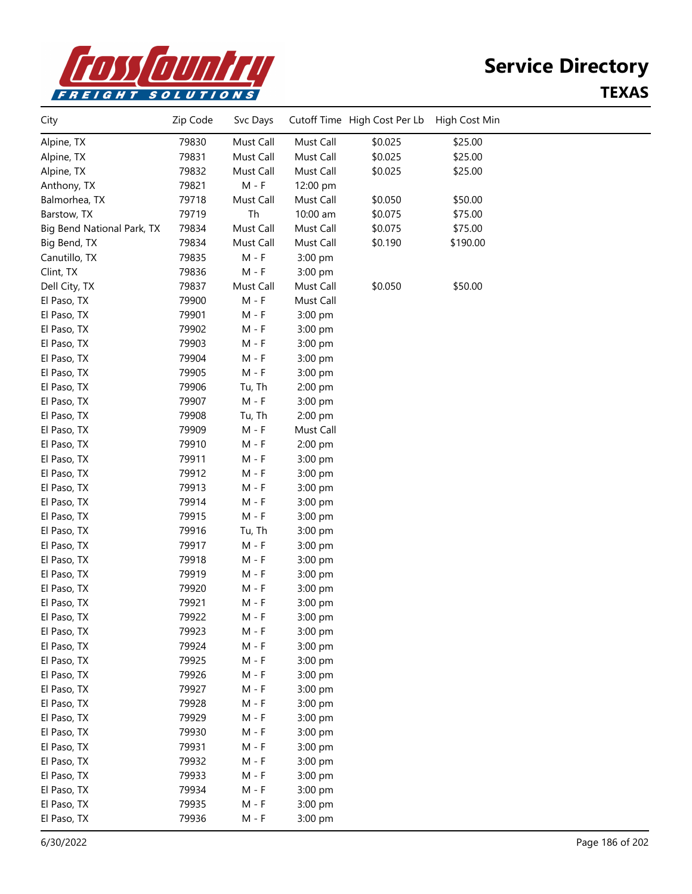

# **Service Directory**

#### **TEXAS**

| City                       | Zip Code | Svc Days  |           | Cutoff Time High Cost Per Lb | High Cost Min |  |
|----------------------------|----------|-----------|-----------|------------------------------|---------------|--|
| Alpine, TX                 | 79830    | Must Call | Must Call | \$0.025                      | \$25.00       |  |
| Alpine, TX                 | 79831    | Must Call | Must Call | \$0.025                      | \$25.00       |  |
| Alpine, TX                 | 79832    | Must Call | Must Call | \$0.025                      | \$25.00       |  |
| Anthony, TX                | 79821    | $M - F$   | 12:00 pm  |                              |               |  |
| Balmorhea, TX              | 79718    | Must Call | Must Call | \$0.050                      | \$50.00       |  |
| Barstow, TX                | 79719    | Th        | 10:00 am  | \$0.075                      | \$75.00       |  |
| Big Bend National Park, TX | 79834    | Must Call | Must Call | \$0.075                      | \$75.00       |  |
| Big Bend, TX               | 79834    | Must Call | Must Call | \$0.190                      | \$190.00      |  |
| Canutillo, TX              | 79835    | $M - F$   | 3:00 pm   |                              |               |  |
| Clint, TX                  | 79836    | $M - F$   | 3:00 pm   |                              |               |  |
| Dell City, TX              | 79837    | Must Call | Must Call | \$0.050                      | \$50.00       |  |
| El Paso, TX                | 79900    | $M - F$   | Must Call |                              |               |  |
| El Paso, TX                | 79901    | $M - F$   | 3:00 pm   |                              |               |  |
| El Paso, TX                | 79902    | M - F     | 3:00 pm   |                              |               |  |
| El Paso, TX                | 79903    | M - F     | 3:00 pm   |                              |               |  |
| El Paso, TX                | 79904    | M - F     | 3:00 pm   |                              |               |  |
| El Paso, TX                | 79905    | $M - F$   | 3:00 pm   |                              |               |  |
| El Paso, TX                | 79906    | Tu, Th    | 2:00 pm   |                              |               |  |
| El Paso, TX                | 79907    | $M - F$   | 3:00 pm   |                              |               |  |
| El Paso, TX                | 79908    | Tu, Th    | 2:00 pm   |                              |               |  |
| El Paso, TX                | 79909    | M - F     | Must Call |                              |               |  |
| El Paso, TX                | 79910    | $M - F$   | 2:00 pm   |                              |               |  |
| El Paso, TX                | 79911    | M - F     | 3:00 pm   |                              |               |  |
| El Paso, TX                | 79912    | $M - F$   | 3:00 pm   |                              |               |  |
| El Paso, TX                | 79913    | $M - F$   | 3:00 pm   |                              |               |  |
| El Paso, TX                | 79914    | M - F     | 3:00 pm   |                              |               |  |
| El Paso, TX                | 79915    | M - F     | 3:00 pm   |                              |               |  |
| El Paso, TX                | 79916    | Tu, Th    | 3:00 pm   |                              |               |  |
| El Paso, TX                | 79917    | M - F     | 3:00 pm   |                              |               |  |
| El Paso, TX                | 79918    | M - F     | 3:00 pm   |                              |               |  |
| El Paso, TX                | 79919    | M - F     | 3:00 pm   |                              |               |  |
| El Paso, TX                | 79920    | M - F     | 3:00 pm   |                              |               |  |
| El Paso, TX                | 79921    | M - F     | 3:00 pm   |                              |               |  |
| El Paso, TX                | 79922    | $M - F$   | 3:00 pm   |                              |               |  |
| El Paso, TX                | 79923    | $M - F$   | 3:00 pm   |                              |               |  |
| El Paso, TX                | 79924    | $M - F$   | 3:00 pm   |                              |               |  |
| El Paso, TX                | 79925    | $M - F$   | 3:00 pm   |                              |               |  |
| El Paso, TX                | 79926    | $M - F$   | 3:00 pm   |                              |               |  |
| El Paso, TX                | 79927    | $M - F$   | 3:00 pm   |                              |               |  |
| El Paso, TX                | 79928    | $M - F$   | 3:00 pm   |                              |               |  |
| El Paso, TX                | 79929    | $M - F$   | 3:00 pm   |                              |               |  |
| El Paso, TX                | 79930    | $M - F$   | 3:00 pm   |                              |               |  |
| El Paso, TX                | 79931    | M - F     | 3:00 pm   |                              |               |  |
| El Paso, TX                | 79932    | M - F     | 3:00 pm   |                              |               |  |
| El Paso, TX                | 79933    | $M - F$   | 3:00 pm   |                              |               |  |
| El Paso, TX                | 79934    | $M - F$   | 3:00 pm   |                              |               |  |
| El Paso, TX                | 79935    | $M - F$   | 3:00 pm   |                              |               |  |
| El Paso, TX                | 79936    | $M - F$   | 3:00 pm   |                              |               |  |
|                            |          |           |           |                              |               |  |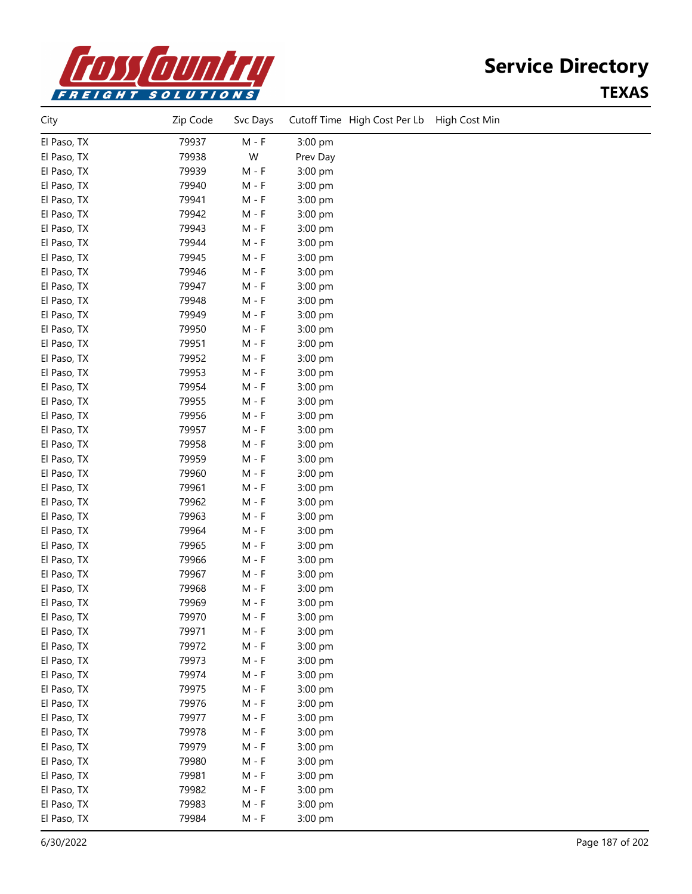

### **Service Directory TEXAS**

| City        | Zip Code | Svc Days                    |          | Cutoff Time High Cost Per Lb | High Cost Min |
|-------------|----------|-----------------------------|----------|------------------------------|---------------|
| El Paso, TX | 79937    | $M - F$                     | 3:00 pm  |                              |               |
| El Paso, TX | 79938    | W                           | Prev Day |                              |               |
| El Paso, TX | 79939    | $M - F$                     | 3:00 pm  |                              |               |
| El Paso, TX | 79940    | $M - F$                     | 3:00 pm  |                              |               |
| El Paso, TX | 79941    | $M - F$                     | 3:00 pm  |                              |               |
| El Paso, TX | 79942    | $M - F$                     | 3:00 pm  |                              |               |
| El Paso, TX | 79943    | $M - F$                     | 3:00 pm  |                              |               |
| El Paso, TX | 79944    | $M - F$                     | 3:00 pm  |                              |               |
| El Paso, TX | 79945    | $M - F$                     | 3:00 pm  |                              |               |
| El Paso, TX | 79946    | M - F                       | 3:00 pm  |                              |               |
| El Paso, TX | 79947    | $M - F$                     | 3:00 pm  |                              |               |
| El Paso, TX | 79948    | $M - F$                     | 3:00 pm  |                              |               |
| El Paso, TX | 79949    | $M - F$                     | 3:00 pm  |                              |               |
| El Paso, TX | 79950    | $M - F$                     | 3:00 pm  |                              |               |
| El Paso, TX | 79951    | $M - F$                     | 3:00 pm  |                              |               |
| El Paso, TX | 79952    | $M - F$                     | 3:00 pm  |                              |               |
| El Paso, TX | 79953    | $M - F$                     | 3:00 pm  |                              |               |
| El Paso, TX | 79954    | $M - F$                     | 3:00 pm  |                              |               |
| El Paso, TX | 79955    | $M - F$                     | 3:00 pm  |                              |               |
| El Paso, TX | 79956    | $M - F$                     | 3:00 pm  |                              |               |
| El Paso, TX | 79957    | $M - F$                     | 3:00 pm  |                              |               |
| El Paso, TX | 79958    | $M - F$                     | 3:00 pm  |                              |               |
| El Paso, TX | 79959    | $M - F$                     | 3:00 pm  |                              |               |
| El Paso, TX | 79960    | $M - F$                     | 3:00 pm  |                              |               |
| El Paso, TX | 79961    | $M - F$                     | 3:00 pm  |                              |               |
| El Paso, TX | 79962    | M - F                       | 3:00 pm  |                              |               |
| El Paso, TX | 79963    | $M - F$                     | 3:00 pm  |                              |               |
| El Paso, TX | 79964    | $M - F$                     | 3:00 pm  |                              |               |
| El Paso, TX | 79965    | $M - F$                     | 3:00 pm  |                              |               |
| El Paso, TX | 79966    | $M - F$                     | 3:00 pm  |                              |               |
| El Paso, TX | 79967    | $M - F$                     | 3:00 pm  |                              |               |
| El Paso, TX | 79968    | $M - F$                     | 3:00 pm  |                              |               |
| El Paso, TX | 79969    | M - F                       | 3:00 pm  |                              |               |
| El Paso, TX | 79970    | M - F                       | 3:00 pm  |                              |               |
| El Paso, TX | 79971    | $M - F$                     | 3:00 pm  |                              |               |
| El Paso, TX | 79972    | $M - F$                     | 3:00 pm  |                              |               |
| El Paso, TX | 79973    | $M - F$                     | 3:00 pm  |                              |               |
| El Paso, TX | 79974    | $M - F$                     | 3:00 pm  |                              |               |
| El Paso, TX | 79975    | $M - F$                     | 3:00 pm  |                              |               |
| El Paso, TX | 79976    | $M - F$                     | 3:00 pm  |                              |               |
| El Paso, TX | 79977    | $\mathsf{M}$ - $\mathsf{F}$ | 3:00 pm  |                              |               |
| El Paso, TX | 79978    | $M - F$                     | 3:00 pm  |                              |               |
| El Paso, TX | 79979    | $M - F$                     | 3:00 pm  |                              |               |
| El Paso, TX | 79980    | $M - F$                     | 3:00 pm  |                              |               |
| El Paso, TX | 79981    | $M - F$                     | 3:00 pm  |                              |               |
| El Paso, TX | 79982    | $M - F$                     | 3:00 pm  |                              |               |
| El Paso, TX | 79983    | $M - F$                     | 3:00 pm  |                              |               |
| El Paso, TX | 79984    | $M - F$                     | 3:00 pm  |                              |               |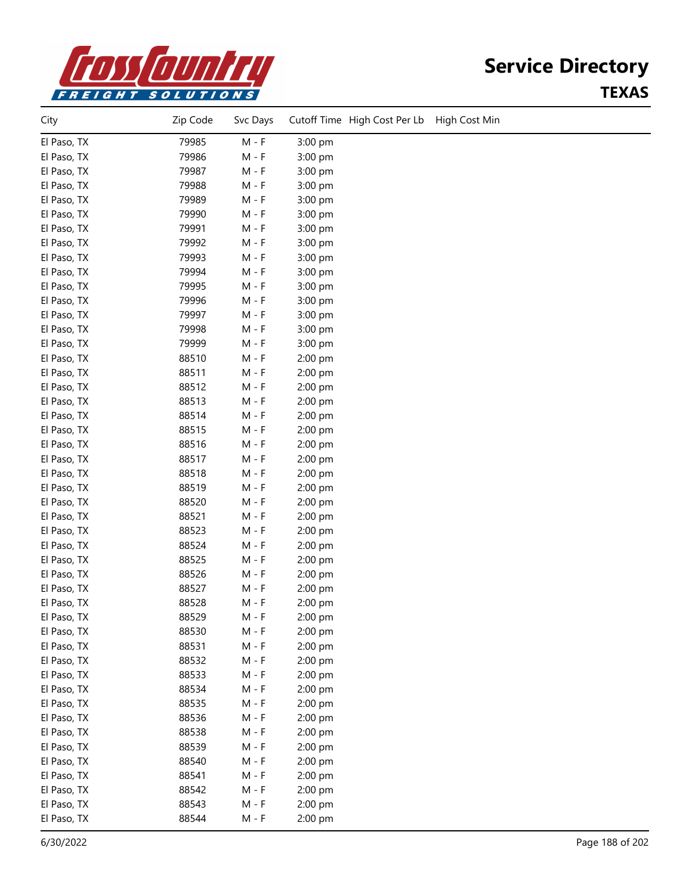

## **Service Directory TEXAS**

| City        | Zip Code | Svc Days |         | Cutoff Time High Cost Per Lb | High Cost Min |
|-------------|----------|----------|---------|------------------------------|---------------|
| El Paso, TX | 79985    | $M - F$  | 3:00 pm |                              |               |
| El Paso, TX | 79986    | $M - F$  | 3:00 pm |                              |               |
| El Paso, TX | 79987    | $M - F$  | 3:00 pm |                              |               |
| El Paso, TX | 79988    | $M - F$  | 3:00 pm |                              |               |
| El Paso, TX | 79989    | M - F    | 3:00 pm |                              |               |
| El Paso, TX | 79990    | $M - F$  | 3:00 pm |                              |               |
| El Paso, TX | 79991    | $M - F$  | 3:00 pm |                              |               |
| El Paso, TX | 79992    | M - F    | 3:00 pm |                              |               |
| El Paso, TX | 79993    | M - F    | 3:00 pm |                              |               |
| El Paso, TX | 79994    | M - F    | 3:00 pm |                              |               |
| El Paso, TX | 79995    | M - F    | 3:00 pm |                              |               |
| El Paso, TX | 79996    | $M - F$  | 3:00 pm |                              |               |
| El Paso, TX | 79997    | M - F    | 3:00 pm |                              |               |
| El Paso, TX | 79998    | $M - F$  | 3:00 pm |                              |               |
| El Paso, TX | 79999    | $M - F$  | 3:00 pm |                              |               |
| El Paso, TX | 88510    | $M - F$  | 2:00 pm |                              |               |
| El Paso, TX | 88511    | M - F    | 2:00 pm |                              |               |
| El Paso, TX | 88512    | $M - F$  | 2:00 pm |                              |               |
| El Paso, TX | 88513    | $M - F$  | 2:00 pm |                              |               |
| El Paso, TX | 88514    | $M - F$  | 2:00 pm |                              |               |
| El Paso, TX | 88515    | M - F    | 2:00 pm |                              |               |
| El Paso, TX | 88516    | M - F    | 2:00 pm |                              |               |
| El Paso, TX | 88517    | $M - F$  | 2:00 pm |                              |               |
| El Paso, TX | 88518    | M - F    | 2:00 pm |                              |               |
| El Paso, TX | 88519    | M - F    | 2:00 pm |                              |               |
| El Paso, TX | 88520    | M - F    | 2:00 pm |                              |               |
| El Paso, TX | 88521    | M - F    | 2:00 pm |                              |               |
| El Paso, TX | 88523    | M - F    | 2:00 pm |                              |               |
| El Paso, TX | 88524    | M - F    | 2:00 pm |                              |               |
| El Paso, TX | 88525    | $M - F$  | 2:00 pm |                              |               |
| El Paso, TX | 88526    | $M - F$  | 2:00 pm |                              |               |
| El Paso, TX | 88527    | $M - F$  | 2:00 pm |                              |               |
| El Paso, TX | 88528    | M - F    | 2:00 pm |                              |               |
| El Paso, TX | 88529    | $M - F$  | 2:00 pm |                              |               |
| El Paso, TX | 88530    | $M - F$  | 2:00 pm |                              |               |
| El Paso, TX | 88531    | $M - F$  | 2:00 pm |                              |               |
| El Paso, TX | 88532    | $M - F$  | 2:00 pm |                              |               |
| El Paso, TX | 88533    | $M - F$  | 2:00 pm |                              |               |
| El Paso, TX | 88534    | $M - F$  | 2:00 pm |                              |               |
| El Paso, TX | 88535    | $M - F$  | 2:00 pm |                              |               |
| El Paso, TX | 88536    | M - F    | 2:00 pm |                              |               |
| El Paso, TX | 88538    | $M - F$  | 2:00 pm |                              |               |
| El Paso, TX | 88539    | $M - F$  | 2:00 pm |                              |               |
| El Paso, TX | 88540    | M - F    | 2:00 pm |                              |               |
| El Paso, TX | 88541    | M - F    | 2:00 pm |                              |               |
| El Paso, TX | 88542    | M - F    | 2:00 pm |                              |               |
| El Paso, TX | 88543    | $M - F$  | 2:00 pm |                              |               |
| El Paso, TX | 88544    | $M - F$  | 2:00 pm |                              |               |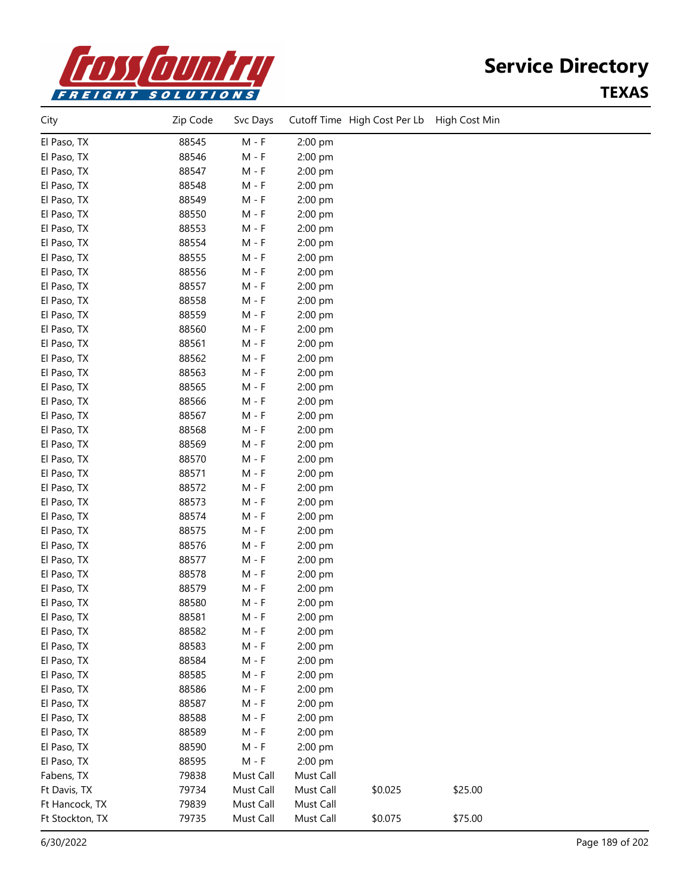

## **Service Directory TEXAS**

| City                       | Zip Code | Svc Days  |                    | Cutoff Time High Cost Per Lb | High Cost Min |  |
|----------------------------|----------|-----------|--------------------|------------------------------|---------------|--|
| El Paso, TX                | 88545    | $M - F$   | 2:00 pm            |                              |               |  |
| El Paso, TX                | 88546    | M - F     | 2:00 pm            |                              |               |  |
| El Paso, TX                | 88547    | M - F     | 2:00 pm            |                              |               |  |
| El Paso, TX                | 88548    | M - F     | 2:00 pm            |                              |               |  |
| El Paso, TX                | 88549    | $M - F$   | 2:00 pm            |                              |               |  |
| El Paso, TX                | 88550    | $M - F$   | 2:00 pm            |                              |               |  |
| El Paso, TX                | 88553    | $M - F$   | 2:00 pm            |                              |               |  |
| El Paso, TX                | 88554    | $M - F$   | 2:00 pm            |                              |               |  |
| El Paso, TX                | 88555    | M - F     | 2:00 pm            |                              |               |  |
| El Paso, TX                | 88556    | M - F     | 2:00 pm            |                              |               |  |
| El Paso, TX                | 88557    | $M - F$   | 2:00 pm            |                              |               |  |
| El Paso, TX                | 88558    | M - F     | 2:00 pm            |                              |               |  |
| El Paso, TX                | 88559    | $M - F$   | 2:00 pm            |                              |               |  |
| El Paso, TX                | 88560    | $M - F$   | 2:00 pm            |                              |               |  |
| El Paso, TX                | 88561    | $M - F$   | 2:00 pm            |                              |               |  |
| El Paso, TX                | 88562    | $M - F$   | 2:00 pm            |                              |               |  |
| El Paso, TX                | 88563    | M - F     | 2:00 pm            |                              |               |  |
| El Paso, TX                | 88565    | M - F     | 2:00 pm            |                              |               |  |
| El Paso, TX                | 88566    | M - F     | 2:00 pm            |                              |               |  |
| El Paso, TX                | 88567    | $M - F$   | 2:00 pm            |                              |               |  |
| El Paso, TX                | 88568    | $M - F$   | 2:00 pm            |                              |               |  |
| El Paso, TX                | 88569    | $M - F$   | 2:00 pm            |                              |               |  |
| El Paso, TX                | 88570    | $M - F$   | 2:00 pm            |                              |               |  |
| El Paso, TX                | 88571    | M - F     | 2:00 pm            |                              |               |  |
| El Paso, TX                | 88572    | M - F     | 2:00 pm            |                              |               |  |
| El Paso, TX                | 88573    | M - F     | 2:00 pm            |                              |               |  |
| El Paso, TX                | 88574    | M - F     | 2:00 pm            |                              |               |  |
| El Paso, TX                | 88575    | M - F     | 2:00 pm            |                              |               |  |
| El Paso, TX                | 88576    | $M - F$   | 2:00 pm            |                              |               |  |
| El Paso, TX                | 88577    | $M - F$   | 2:00 pm            |                              |               |  |
| El Paso, TX                | 88578    | $M - F$   | 2:00 pm            |                              |               |  |
| El Paso, TX                | 88579    | $M - F$   | 2:00 pm            |                              |               |  |
| El Paso, TX                | 88580    | $M - F$   | 2:00 pm            |                              |               |  |
| El Paso, TX                | 88581    | M - F     | 2:00 pm            |                              |               |  |
| El Paso, TX                | 88582    | M - F     | 2:00 pm            |                              |               |  |
| El Paso, TX                | 88583    | $M - F$   | 2:00 pm            |                              |               |  |
| El Paso, TX                | 88584    | $M - F$   | 2:00 pm            |                              |               |  |
| El Paso, TX                | 88585    | $M - F$   | 2:00 pm            |                              |               |  |
|                            | 88586    | $M - F$   |                    |                              |               |  |
| El Paso, TX<br>El Paso, TX | 88587    |           | 2:00 pm<br>2:00 pm |                              |               |  |
|                            | 88588    | $M - F$   |                    |                              |               |  |
| El Paso, TX                |          | $M - F$   | 2:00 pm            |                              |               |  |
| El Paso, TX                | 88589    | $M - F$   | 2:00 pm            |                              |               |  |
| El Paso, TX                | 88590    | $M - F$   | 2:00 pm            |                              |               |  |
| El Paso, TX                | 88595    | $M - F$   | 2:00 pm            |                              |               |  |
| Fabens, TX                 | 79838    | Must Call | Must Call          |                              |               |  |
| Ft Davis, TX               | 79734    | Must Call | Must Call          | \$0.025                      | \$25.00       |  |
| Ft Hancock, TX             | 79839    | Must Call | Must Call          |                              |               |  |
| Ft Stockton, TX            | 79735    | Must Call | Must Call          | \$0.075                      | \$75.00       |  |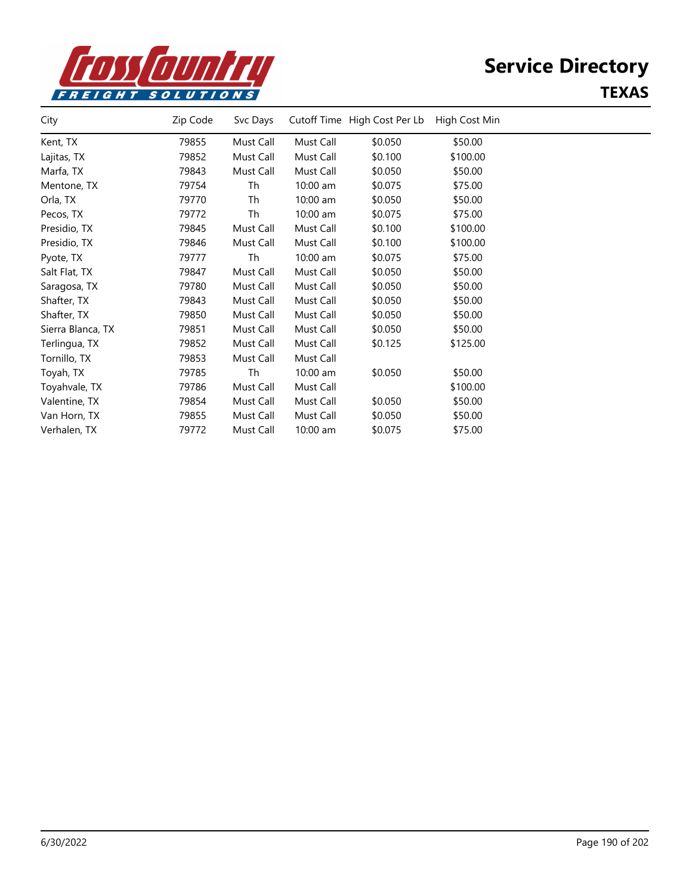

# **Service Directory**

#### **TEXAS**

| City              | Zip Code | Svc Days  |            | Cutoff Time High Cost Per Lb | High Cost Min |  |
|-------------------|----------|-----------|------------|------------------------------|---------------|--|
| Kent, TX          | 79855    | Must Call | Must Call  | \$0.050                      | \$50.00       |  |
| Lajitas, TX       | 79852    | Must Call | Must Call  | \$0.100                      | \$100.00      |  |
| Marfa, TX         | 79843    | Must Call | Must Call  | \$0.050                      | \$50.00       |  |
| Mentone, TX       | 79754    | Th        | $10:00$ am | \$0.075                      | \$75.00       |  |
| Orla, TX          | 79770    | Th        | $10:00$ am | \$0.050                      | \$50.00       |  |
| Pecos, TX         | 79772    | Th        | 10:00 am   | \$0.075                      | \$75.00       |  |
| Presidio, TX      | 79845    | Must Call | Must Call  | \$0.100                      | \$100.00      |  |
| Presidio, TX      | 79846    | Must Call | Must Call  | \$0.100                      | \$100.00      |  |
| Pyote, TX         | 79777    | Th        | 10:00 am   | \$0.075                      | \$75.00       |  |
| Salt Flat, TX     | 79847    | Must Call | Must Call  | \$0.050                      | \$50.00       |  |
| Saragosa, TX      | 79780    | Must Call | Must Call  | \$0.050                      | \$50.00       |  |
| Shafter, TX       | 79843    | Must Call | Must Call  | \$0.050                      | \$50.00       |  |
| Shafter, TX       | 79850    | Must Call | Must Call  | \$0.050                      | \$50.00       |  |
| Sierra Blanca, TX | 79851    | Must Call | Must Call  | \$0.050                      | \$50.00       |  |
| Terlingua, TX     | 79852    | Must Call | Must Call  | \$0.125                      | \$125.00      |  |
| Tornillo, TX      | 79853    | Must Call | Must Call  |                              |               |  |
| Toyah, TX         | 79785    | Th        | 10:00 am   | \$0.050                      | \$50.00       |  |
| Toyahvale, TX     | 79786    | Must Call | Must Call  |                              | \$100.00      |  |
| Valentine, TX     | 79854    | Must Call | Must Call  | \$0.050                      | \$50.00       |  |
| Van Horn, TX      | 79855    | Must Call | Must Call  | \$0.050                      | \$50.00       |  |
| Verhalen, TX      | 79772    | Must Call | 10:00 am   | \$0.075                      | \$75.00       |  |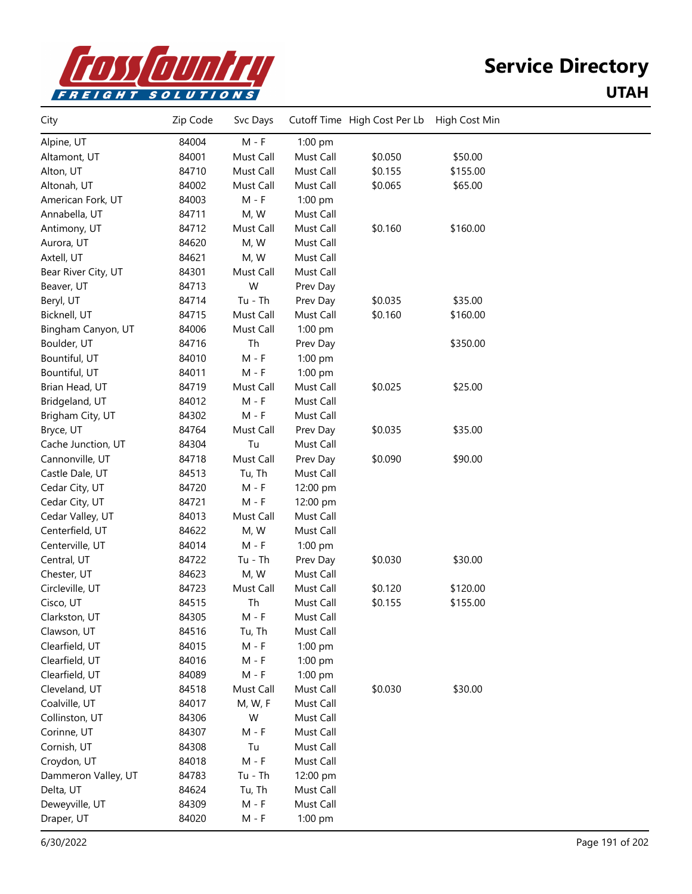

| City                | Zip Code | Svc Days                    |           | Cutoff Time High Cost Per Lb | High Cost Min |  |
|---------------------|----------|-----------------------------|-----------|------------------------------|---------------|--|
| Alpine, UT          | 84004    | $M - F$                     | 1:00 pm   |                              |               |  |
| Altamont, UT        | 84001    | Must Call                   | Must Call | \$0.050                      | \$50.00       |  |
| Alton, UT           | 84710    | Must Call                   | Must Call | \$0.155                      | \$155.00      |  |
| Altonah, UT         | 84002    | Must Call                   | Must Call | \$0.065                      | \$65.00       |  |
| American Fork, UT   | 84003    | $M - F$                     | $1:00$ pm |                              |               |  |
| Annabella, UT       | 84711    | M, W                        | Must Call |                              |               |  |
| Antimony, UT        | 84712    | Must Call                   | Must Call | \$0.160                      | \$160.00      |  |
| Aurora, UT          | 84620    | M, W                        | Must Call |                              |               |  |
| Axtell, UT          | 84621    | M, W                        | Must Call |                              |               |  |
| Bear River City, UT | 84301    | Must Call                   | Must Call |                              |               |  |
| Beaver, UT          | 84713    | W                           | Prev Day  |                              |               |  |
| Beryl, UT           | 84714    | Tu - Th                     | Prev Day  | \$0.035                      | \$35.00       |  |
| Bicknell, UT        | 84715    | Must Call                   | Must Call | \$0.160                      | \$160.00      |  |
| Bingham Canyon, UT  | 84006    | Must Call                   | 1:00 pm   |                              |               |  |
| Boulder, UT         | 84716    | Th                          | Prev Day  |                              | \$350.00      |  |
| Bountiful, UT       | 84010    | $M - F$                     | 1:00 pm   |                              |               |  |
| Bountiful, UT       | 84011    | $\mathsf{M}$ - $\mathsf{F}$ | 1:00 pm   |                              |               |  |
| Brian Head, UT      | 84719    | Must Call                   | Must Call | \$0.025                      | \$25.00       |  |
| Bridgeland, UT      | 84012    | $M - F$                     | Must Call |                              |               |  |
| Brigham City, UT    | 84302    | $M - F$                     | Must Call |                              |               |  |
| Bryce, UT           | 84764    | Must Call                   | Prev Day  | \$0.035                      | \$35.00       |  |
| Cache Junction, UT  | 84304    | Tu                          | Must Call |                              |               |  |
| Cannonville, UT     | 84718    | Must Call                   | Prev Day  | \$0.090                      | \$90.00       |  |
| Castle Dale, UT     | 84513    | Tu, Th                      | Must Call |                              |               |  |
| Cedar City, UT      | 84720    | $M - F$                     | 12:00 pm  |                              |               |  |
| Cedar City, UT      | 84721    | M - F                       | 12:00 pm  |                              |               |  |
| Cedar Valley, UT    | 84013    | Must Call                   | Must Call |                              |               |  |
| Centerfield, UT     | 84622    | M, W                        | Must Call |                              |               |  |
| Centerville, UT     | 84014    | $M - F$                     | 1:00 pm   |                              |               |  |
| Central, UT         | 84722    | $Tu - Th$                   | Prev Day  | \$0.030                      | \$30.00       |  |
| Chester, UT         | 84623    | M, W                        | Must Call |                              |               |  |
| Circleville, UT     | 84723    | Must Call                   | Must Call | \$0.120                      | \$120.00      |  |
| Cisco, UT           | 84515    | Th                          | Must Call | \$0.155                      | \$155.00      |  |
| Clarkston, UT       | 84305    | M - F                       | Must Call |                              |               |  |
| Clawson, UT         | 84516    | Tu, Th                      | Must Call |                              |               |  |
| Clearfield, UT      | 84015    | $M - F$                     | 1:00 pm   |                              |               |  |
| Clearfield, UT      | 84016    | $M - F$                     | 1:00 pm   |                              |               |  |
| Clearfield, UT      | 84089    | M - F                       | $1:00$ pm |                              |               |  |
| Cleveland, UT       | 84518    | Must Call                   | Must Call | \$0.030                      | \$30.00       |  |
| Coalville, UT       | 84017    | M, W, F                     | Must Call |                              |               |  |
| Collinston, UT      | 84306    | W                           | Must Call |                              |               |  |
| Corinne, UT         | 84307    | $M - F$                     | Must Call |                              |               |  |
| Cornish, UT         | 84308    | Tu                          | Must Call |                              |               |  |
| Croydon, UT         | 84018    | $M - F$                     | Must Call |                              |               |  |
| Dammeron Valley, UT | 84783    | Tu - Th                     | 12:00 pm  |                              |               |  |
| Delta, UT           | 84624    | Tu, Th                      | Must Call |                              |               |  |
| Deweyville, UT      | 84309    | $M - F$                     | Must Call |                              |               |  |
| Draper, UT          | 84020    | $M - F$                     | 1:00 pm   |                              |               |  |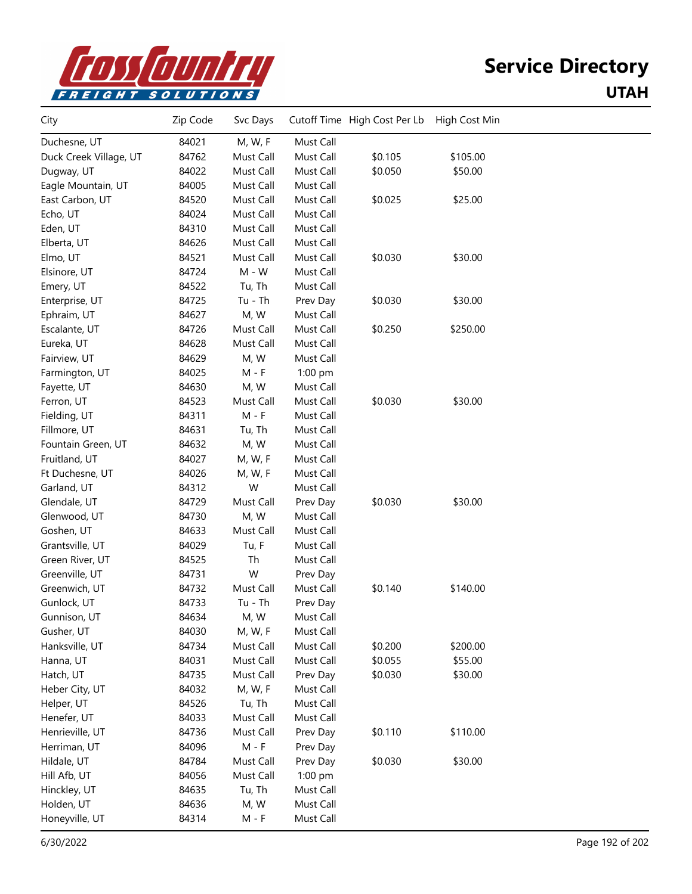

| City                   | Zip Code | Svc Days  |           | Cutoff Time High Cost Per Lb | High Cost Min |  |
|------------------------|----------|-----------|-----------|------------------------------|---------------|--|
| Duchesne, UT           | 84021    | M, W, F   | Must Call |                              |               |  |
| Duck Creek Village, UT | 84762    | Must Call | Must Call | \$0.105                      | \$105.00      |  |
| Dugway, UT             | 84022    | Must Call | Must Call | \$0.050                      | \$50.00       |  |
| Eagle Mountain, UT     | 84005    | Must Call | Must Call |                              |               |  |
| East Carbon, UT        | 84520    | Must Call | Must Call | \$0.025                      | \$25.00       |  |
| Echo, UT               | 84024    | Must Call | Must Call |                              |               |  |
| Eden, UT               | 84310    | Must Call | Must Call |                              |               |  |
| Elberta, UT            | 84626    | Must Call | Must Call |                              |               |  |
| Elmo, UT               | 84521    | Must Call | Must Call | \$0.030                      | \$30.00       |  |
| Elsinore, UT           | 84724    | $M - W$   | Must Call |                              |               |  |
| Emery, UT              | 84522    | Tu, Th    | Must Call |                              |               |  |
| Enterprise, UT         | 84725    | Tu - Th   | Prev Day  | \$0.030                      | \$30.00       |  |
| Ephraim, UT            | 84627    | M, W      | Must Call |                              |               |  |
| Escalante, UT          | 84726    | Must Call | Must Call | \$0.250                      | \$250.00      |  |
| Eureka, UT             | 84628    | Must Call | Must Call |                              |               |  |
| Fairview, UT           | 84629    | M, W      | Must Call |                              |               |  |
| Farmington, UT         | 84025    | $M - F$   | 1:00 pm   |                              |               |  |
| Fayette, UT            | 84630    | M, W      | Must Call |                              |               |  |
| Ferron, UT             | 84523    | Must Call | Must Call | \$0.030                      | \$30.00       |  |
| Fielding, UT           | 84311    | $M - F$   | Must Call |                              |               |  |
| Fillmore, UT           | 84631    | Tu, Th    | Must Call |                              |               |  |
| Fountain Green, UT     | 84632    | M, W      | Must Call |                              |               |  |
| Fruitland, UT          | 84027    | M, W, F   | Must Call |                              |               |  |
| Ft Duchesne, UT        | 84026    | M, W, F   | Must Call |                              |               |  |
| Garland, UT            | 84312    | W         | Must Call |                              |               |  |
| Glendale, UT           | 84729    | Must Call | Prev Day  | \$0.030                      | \$30.00       |  |
| Glenwood, UT           | 84730    | M, W      | Must Call |                              |               |  |
| Goshen, UT             | 84633    | Must Call | Must Call |                              |               |  |
| Grantsville, UT        | 84029    | Tu, F     | Must Call |                              |               |  |
| Green River, UT        | 84525    | Th        | Must Call |                              |               |  |
| Greenville, UT         | 84731    | W         | Prev Day  |                              |               |  |
| Greenwich, UT          | 84732    | Must Call | Must Call | \$0.140                      | \$140.00      |  |
| Gunlock, UT            | 84733    | $Tu - Th$ | Prev Day  |                              |               |  |
| Gunnison, UT           | 84634    | M, W      | Must Call |                              |               |  |
| Gusher, UT             | 84030    | M, W, F   | Must Call |                              |               |  |
| Hanksville, UT         | 84734    | Must Call | Must Call | \$0.200                      | \$200.00      |  |
| Hanna, UT              | 84031    | Must Call | Must Call | \$0.055                      | \$55.00       |  |
| Hatch, UT              | 84735    | Must Call | Prev Day  | \$0.030                      | \$30.00       |  |
| Heber City, UT         | 84032    | M, W, F   | Must Call |                              |               |  |
| Helper, UT             | 84526    | Tu, Th    | Must Call |                              |               |  |
| Henefer, UT            | 84033    | Must Call | Must Call |                              |               |  |
| Henrieville, UT        | 84736    | Must Call | Prev Day  | \$0.110                      | \$110.00      |  |
| Herriman, UT           | 84096    | $M - F$   | Prev Day  |                              |               |  |
| Hildale, UT            | 84784    | Must Call | Prev Day  | \$0.030                      | \$30.00       |  |
| Hill Afb, UT           | 84056    | Must Call | 1:00 pm   |                              |               |  |
| Hinckley, UT           | 84635    | Tu, Th    | Must Call |                              |               |  |
| Holden, UT             | 84636    | M, W      | Must Call |                              |               |  |
| Honeyville, UT         | 84314    | M - F     | Must Call |                              |               |  |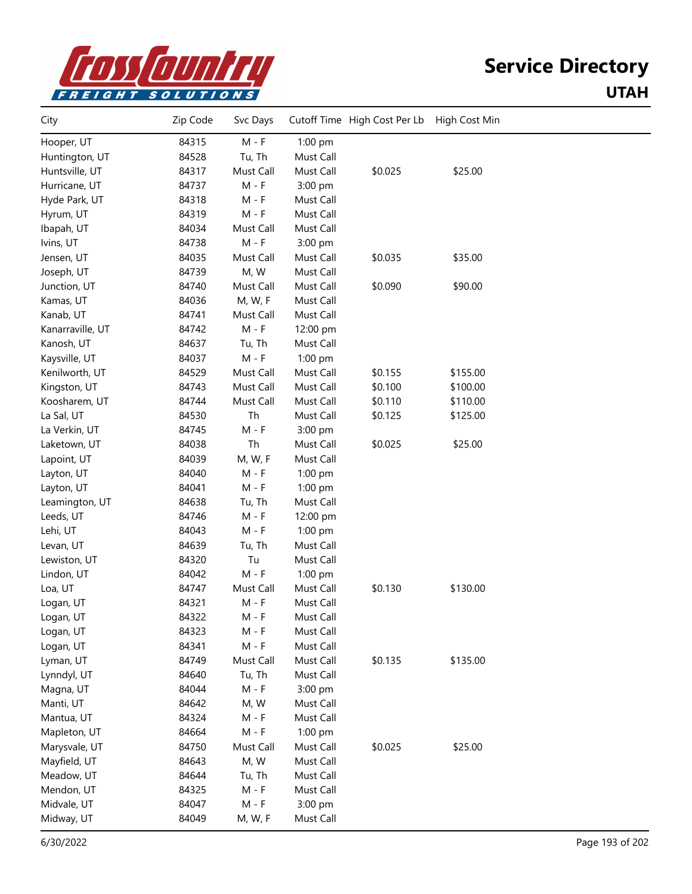

| City             | Zip Code | Svc Days  |           | Cutoff Time High Cost Per Lb | High Cost Min |  |
|------------------|----------|-----------|-----------|------------------------------|---------------|--|
| Hooper, UT       | 84315    | $M - F$   | 1:00 pm   |                              |               |  |
| Huntington, UT   | 84528    | Tu, Th    | Must Call |                              |               |  |
| Huntsville, UT   | 84317    | Must Call | Must Call | \$0.025                      | \$25.00       |  |
| Hurricane, UT    | 84737    | $M - F$   | 3:00 pm   |                              |               |  |
| Hyde Park, UT    | 84318    | $M - F$   | Must Call |                              |               |  |
| Hyrum, UT        | 84319    | $M - F$   | Must Call |                              |               |  |
| Ibapah, UT       | 84034    | Must Call | Must Call |                              |               |  |
| Ivins, UT        | 84738    | $M - F$   | 3:00 pm   |                              |               |  |
| Jensen, UT       | 84035    | Must Call | Must Call | \$0.035                      | \$35.00       |  |
| Joseph, UT       | 84739    | M, W      | Must Call |                              |               |  |
| Junction, UT     | 84740    | Must Call | Must Call | \$0.090                      | \$90.00       |  |
| Kamas, UT        | 84036    | M, W, F   | Must Call |                              |               |  |
| Kanab, UT        | 84741    | Must Call | Must Call |                              |               |  |
| Kanarraville, UT | 84742    | $M - F$   | 12:00 pm  |                              |               |  |
| Kanosh, UT       | 84637    | Tu, Th    | Must Call |                              |               |  |
| Kaysville, UT    | 84037    | $M - F$   | 1:00 pm   |                              |               |  |
| Kenilworth, UT   | 84529    | Must Call | Must Call | \$0.155                      | \$155.00      |  |
| Kingston, UT     | 84743    | Must Call | Must Call | \$0.100                      | \$100.00      |  |
| Koosharem, UT    | 84744    | Must Call | Must Call | \$0.110                      | \$110.00      |  |
| La Sal, UT       | 84530    | Th        | Must Call | \$0.125                      | \$125.00      |  |
| La Verkin, UT    | 84745    | $M - F$   | 3:00 pm   |                              |               |  |
| Laketown, UT     | 84038    | Th        | Must Call | \$0.025                      | \$25.00       |  |
| Lapoint, UT      | 84039    | M, W, F   | Must Call |                              |               |  |
| Layton, UT       | 84040    | $M - F$   | 1:00 pm   |                              |               |  |
| Layton, UT       | 84041    | $M - F$   | 1:00 pm   |                              |               |  |
| Leamington, UT   | 84638    | Tu, Th    | Must Call |                              |               |  |
| Leeds, UT        | 84746    | $M - F$   | 12:00 pm  |                              |               |  |
| Lehi, UT         | 84043    | $M - F$   | 1:00 pm   |                              |               |  |
| Levan, UT        | 84639    | Tu, Th    | Must Call |                              |               |  |
| Lewiston, UT     | 84320    | Tu        | Must Call |                              |               |  |
| Lindon, UT       | 84042    | $M - F$   | 1:00 pm   |                              |               |  |
| Loa, UT          | 84747    | Must Call | Must Call | \$0.130                      | \$130.00      |  |
| Logan, UT        | 84321    | $M - F$   | Must Call |                              |               |  |
| Logan, UT        | 84322    | M - F     | Must Call |                              |               |  |
| Logan, UT        | 84323    | M - F     | Must Call |                              |               |  |
| Logan, UT        | 84341    | $M - F$   | Must Call |                              |               |  |
| Lyman, UT        | 84749    | Must Call | Must Call | \$0.135                      | \$135.00      |  |
| Lynndyl, UT      | 84640    | Tu, Th    | Must Call |                              |               |  |
| Magna, UT        | 84044    | $M - F$   | 3:00 pm   |                              |               |  |
| Manti, UT        | 84642    | M, W      | Must Call |                              |               |  |
| Mantua, UT       | 84324    | M - F     | Must Call |                              |               |  |
| Mapleton, UT     | 84664    | M - F     | 1:00 pm   |                              |               |  |
| Marysvale, UT    | 84750    | Must Call | Must Call | \$0.025                      | \$25.00       |  |
| Mayfield, UT     | 84643    | M, W      | Must Call |                              |               |  |
| Meadow, UT       | 84644    | Tu, Th    | Must Call |                              |               |  |
| Mendon, UT       | 84325    | $M - F$   | Must Call |                              |               |  |
| Midvale, UT      | 84047    | $M - F$   | 3:00 pm   |                              |               |  |
| Midway, UT       | 84049    | M, W, F   | Must Call |                              |               |  |
|                  |          |           |           |                              |               |  |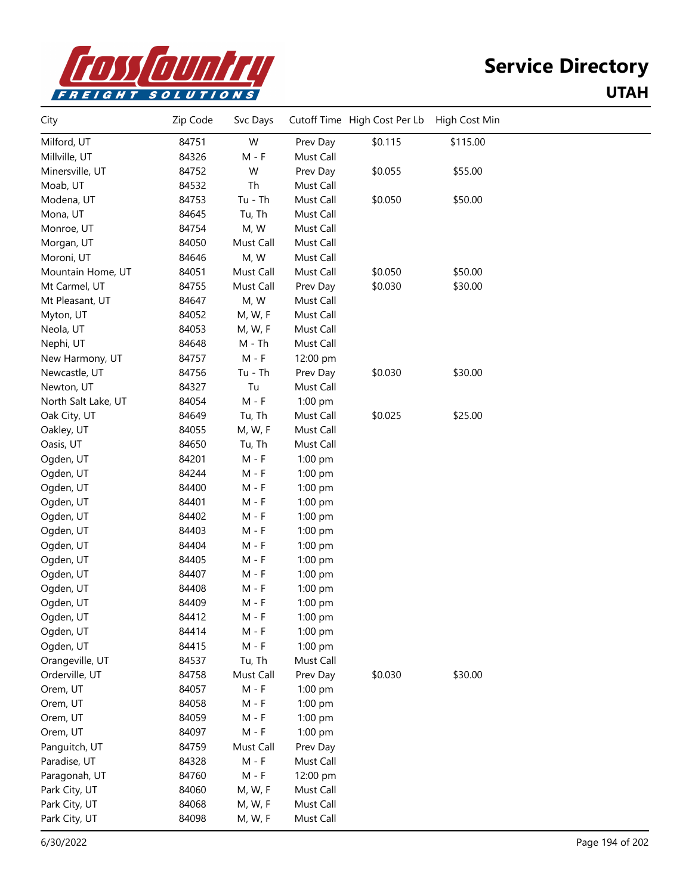

| City                | Zip Code | Svc Days  |           | Cutoff Time High Cost Per Lb | High Cost Min |  |
|---------------------|----------|-----------|-----------|------------------------------|---------------|--|
| Milford, UT         | 84751    | W         | Prev Day  | \$0.115                      | \$115.00      |  |
| Millville, UT       | 84326    | $M - F$   | Must Call |                              |               |  |
| Minersville, UT     | 84752    | W         | Prev Day  | \$0.055                      | \$55.00       |  |
| Moab, UT            | 84532    | Th        | Must Call |                              |               |  |
| Modena, UT          | 84753    | $Tu - Th$ | Must Call | \$0.050                      | \$50.00       |  |
| Mona, UT            | 84645    | Tu, Th    | Must Call |                              |               |  |
| Monroe, UT          | 84754    | M, W      | Must Call |                              |               |  |
| Morgan, UT          | 84050    | Must Call | Must Call |                              |               |  |
| Moroni, UT          | 84646    | M, W      | Must Call |                              |               |  |
| Mountain Home, UT   | 84051    | Must Call | Must Call | \$0.050                      | \$50.00       |  |
| Mt Carmel, UT       | 84755    | Must Call | Prev Day  | \$0.030                      | \$30.00       |  |
| Mt Pleasant, UT     | 84647    | M, W      | Must Call |                              |               |  |
| Myton, UT           | 84052    | M, W, F   | Must Call |                              |               |  |
| Neola, UT           | 84053    | M, W, F   | Must Call |                              |               |  |
| Nephi, UT           | 84648    | $M - Th$  | Must Call |                              |               |  |
| New Harmony, UT     | 84757    | $M - F$   | 12:00 pm  |                              |               |  |
| Newcastle, UT       | 84756    | $Tu - Th$ | Prev Day  | \$0.030                      | \$30.00       |  |
| Newton, UT          | 84327    | Tu        | Must Call |                              |               |  |
| North Salt Lake, UT | 84054    | $M - F$   | $1:00$ pm |                              |               |  |
| Oak City, UT        | 84649    | Tu, Th    | Must Call | \$0.025                      | \$25.00       |  |
| Oakley, UT          | 84055    | M, W, F   | Must Call |                              |               |  |
| Oasis, UT           | 84650    | Tu, Th    | Must Call |                              |               |  |
| Ogden, UT           | 84201    | M - F     | 1:00 pm   |                              |               |  |
| Ogden, UT           | 84244    | M - F     | 1:00 pm   |                              |               |  |
| Ogden, UT           | 84400    | M - F     | 1:00 pm   |                              |               |  |
| Ogden, UT           | 84401    | M - F     | 1:00 pm   |                              |               |  |
| Ogden, UT           | 84402    | $M - F$   | 1:00 pm   |                              |               |  |
| Ogden, UT           | 84403    | $M - F$   | 1:00 pm   |                              |               |  |
| Ogden, UT           | 84404    | $M - F$   | 1:00 pm   |                              |               |  |
| Ogden, UT           | 84405    | $M - F$   | 1:00 pm   |                              |               |  |
| Ogden, UT           | 84407    | $M - F$   | 1:00 pm   |                              |               |  |
| Ogden, UT           | 84408    | M - F     | 1:00 pm   |                              |               |  |
| Ogden, UT           | 84409    | M - F     | 1:00 pm   |                              |               |  |
| Ogden, UT           | 84412    | M - F     | 1:00 pm   |                              |               |  |
| Ogden, UT           | 84414    | M - F     | 1:00 pm   |                              |               |  |
| Ogden, UT           | 84415    | $M - F$   | 1:00 pm   |                              |               |  |
| Orangeville, UT     | 84537    | Tu, Th    | Must Call |                              |               |  |
| Orderville, UT      | 84758    | Must Call | Prev Day  | \$0.030                      | \$30.00       |  |
| Orem, UT            | 84057    | $M - F$   | 1:00 pm   |                              |               |  |
| Orem, UT            | 84058    | M - F     | 1:00 pm   |                              |               |  |
| Orem, UT            | 84059    | M - F     | 1:00 pm   |                              |               |  |
| Orem, UT            | 84097    | $M - F$   | 1:00 pm   |                              |               |  |
| Panguitch, UT       | 84759    | Must Call | Prev Day  |                              |               |  |
| Paradise, UT        | 84328    | $M - F$   | Must Call |                              |               |  |
| Paragonah, UT       | 84760    | $M - F$   | 12:00 pm  |                              |               |  |
| Park City, UT       | 84060    | M, W, F   | Must Call |                              |               |  |
| Park City, UT       | 84068    | M, W, F   | Must Call |                              |               |  |
| Park City, UT       | 84098    | M, W, F   | Must Call |                              |               |  |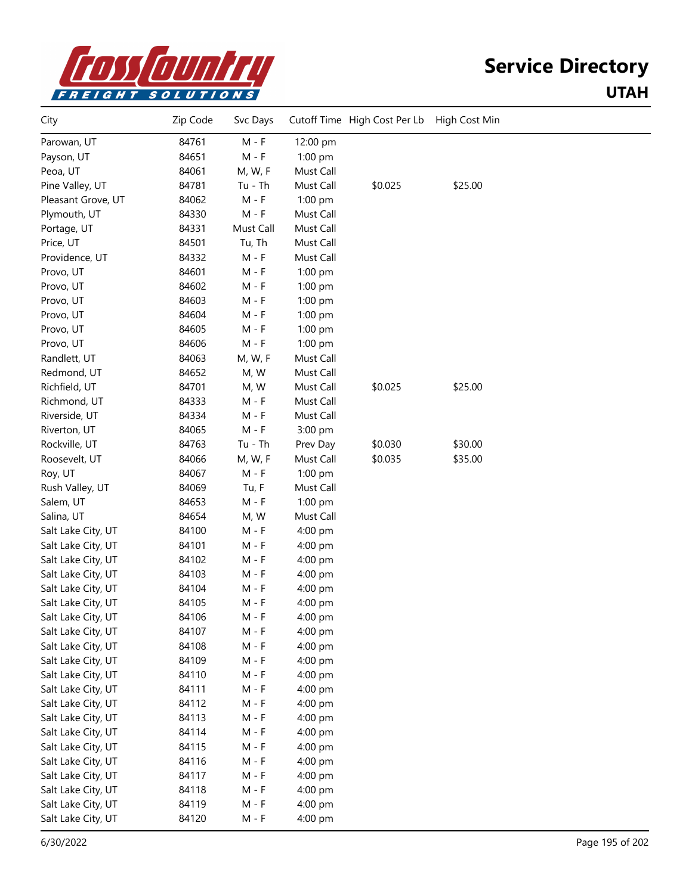

| City               | Zip Code | Svc Days  |           | Cutoff Time High Cost Per Lb High Cost Min |         |  |
|--------------------|----------|-----------|-----------|--------------------------------------------|---------|--|
| Parowan, UT        | 84761    | $M - F$   | 12:00 pm  |                                            |         |  |
| Payson, UT         | 84651    | $M - F$   | 1:00 pm   |                                            |         |  |
| Peoa, UT           | 84061    | M, W, F   | Must Call |                                            |         |  |
| Pine Valley, UT    | 84781    | $Tu - Th$ | Must Call | \$0.025                                    | \$25.00 |  |
| Pleasant Grove, UT | 84062    | $M - F$   | $1:00$ pm |                                            |         |  |
| Plymouth, UT       | 84330    | $M - F$   | Must Call |                                            |         |  |
| Portage, UT        | 84331    | Must Call | Must Call |                                            |         |  |
| Price, UT          | 84501    | Tu, Th    | Must Call |                                            |         |  |
| Providence, UT     | 84332    | $M - F$   | Must Call |                                            |         |  |
| Provo, UT          | 84601    | M - F     | 1:00 pm   |                                            |         |  |
| Provo, UT          | 84602    | M - F     | $1:00$ pm |                                            |         |  |
| Provo, UT          | 84603    | M - F     | $1:00$ pm |                                            |         |  |
| Provo, UT          | 84604    | $M - F$   | $1:00$ pm |                                            |         |  |
| Provo, UT          | 84605    | $M - F$   | $1:00$ pm |                                            |         |  |
| Provo, UT          | 84606    | $M - F$   | $1:00$ pm |                                            |         |  |
| Randlett, UT       | 84063    | M, W, F   | Must Call |                                            |         |  |
| Redmond, UT        | 84652    | M, W      | Must Call |                                            |         |  |
| Richfield, UT      | 84701    | M, W      | Must Call | \$0.025                                    | \$25.00 |  |
| Richmond, UT       | 84333    | M - F     | Must Call |                                            |         |  |
| Riverside, UT      | 84334    | $M - F$   | Must Call |                                            |         |  |
| Riverton, UT       | 84065    | $M - F$   | 3:00 pm   |                                            |         |  |
| Rockville, UT      | 84763    | $Tu - Th$ | Prev Day  | \$0.030                                    | \$30.00 |  |
| Roosevelt, UT      | 84066    | M, W, F   | Must Call | \$0.035                                    | \$35.00 |  |
| Roy, UT            | 84067    | $M - F$   | 1:00 pm   |                                            |         |  |
| Rush Valley, UT    | 84069    | Tu, F     | Must Call |                                            |         |  |
| Salem, UT          | 84653    | $M - F$   | 1:00 pm   |                                            |         |  |
| Salina, UT         | 84654    | M, W      | Must Call |                                            |         |  |
| Salt Lake City, UT | 84100    | $M - F$   | 4:00 pm   |                                            |         |  |
| Salt Lake City, UT | 84101    | $M - F$   | 4:00 pm   |                                            |         |  |
| Salt Lake City, UT | 84102    | M - F     | 4:00 pm   |                                            |         |  |
| Salt Lake City, UT | 84103    | M - F     | 4:00 pm   |                                            |         |  |
| Salt Lake City, UT | 84104    | $M - F$   | 4:00 pm   |                                            |         |  |
| Salt Lake City, UT | 84105    | $M - F$   | 4:00 pm   |                                            |         |  |
| Salt Lake City, UT | 84106    | $M - F$   | 4:00 pm   |                                            |         |  |
| Salt Lake City, UT | 84107    | M - F     | 4:00 pm   |                                            |         |  |
| Salt Lake City, UT | 84108    | $M - F$   | 4:00 pm   |                                            |         |  |
| Salt Lake City, UT | 84109    | M - F     | 4:00 pm   |                                            |         |  |
| Salt Lake City, UT | 84110    | M - F     | 4:00 pm   |                                            |         |  |
| Salt Lake City, UT | 84111    | M - F     | 4:00 pm   |                                            |         |  |
| Salt Lake City, UT | 84112    | $M - F$   | 4:00 pm   |                                            |         |  |
| Salt Lake City, UT | 84113    | $M - F$   | 4:00 pm   |                                            |         |  |
| Salt Lake City, UT | 84114    | $M - F$   | 4:00 pm   |                                            |         |  |
| Salt Lake City, UT | 84115    | M - F     | 4:00 pm   |                                            |         |  |
| Salt Lake City, UT | 84116    | M - F     | 4:00 pm   |                                            |         |  |
| Salt Lake City, UT | 84117    | M - F     | 4:00 pm   |                                            |         |  |
| Salt Lake City, UT | 84118    | M - F     | 4:00 pm   |                                            |         |  |
| Salt Lake City, UT | 84119    | $M - F$   | 4:00 pm   |                                            |         |  |
| Salt Lake City, UT | 84120    | M - F     | 4:00 pm   |                                            |         |  |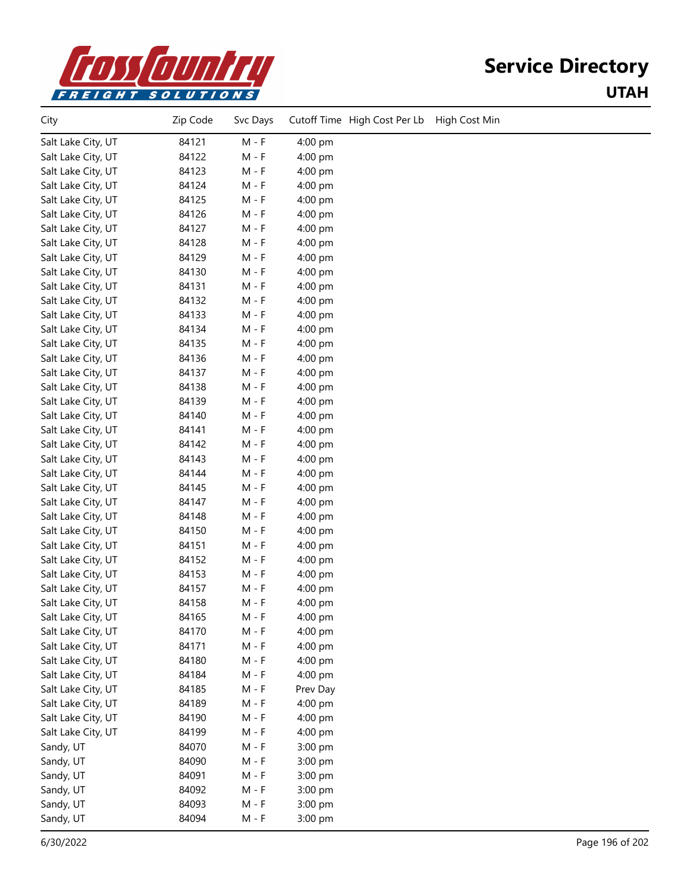

| City               | Zip Code | Svc Days | Cutoff Time High Cost Per Lb | High Cost Min |
|--------------------|----------|----------|------------------------------|---------------|
| Salt Lake City, UT | 84121    | $M - F$  | 4:00 pm                      |               |
| Salt Lake City, UT | 84122    | $M - F$  | 4:00 pm                      |               |
| Salt Lake City, UT | 84123    | $M - F$  | 4:00 pm                      |               |
| Salt Lake City, UT | 84124    | $M - F$  | 4:00 pm                      |               |
| Salt Lake City, UT | 84125    | $M - F$  | 4:00 pm                      |               |
| Salt Lake City, UT | 84126    | $M - F$  | 4:00 pm                      |               |
| Salt Lake City, UT | 84127    | $M - F$  | 4:00 pm                      |               |
| Salt Lake City, UT | 84128    | $M - F$  | 4:00 pm                      |               |
| Salt Lake City, UT | 84129    | M - F    | 4:00 pm                      |               |
| Salt Lake City, UT | 84130    | $M - F$  | 4:00 pm                      |               |
| Salt Lake City, UT | 84131    | $M - F$  | 4:00 pm                      |               |
| Salt Lake City, UT | 84132    | $M - F$  | 4:00 pm                      |               |
| Salt Lake City, UT | 84133    | M - F    | 4:00 pm                      |               |
| Salt Lake City, UT | 84134    | $M - F$  | 4:00 pm                      |               |
| Salt Lake City, UT | 84135    | $M - F$  | 4:00 pm                      |               |
| Salt Lake City, UT | 84136    | $M - F$  | 4:00 pm                      |               |
| Salt Lake City, UT | 84137    | $M - F$  | 4:00 pm                      |               |
| Salt Lake City, UT | 84138    | $M - F$  | 4:00 pm                      |               |
| Salt Lake City, UT | 84139    | $M - F$  | 4:00 pm                      |               |
| Salt Lake City, UT | 84140    | $M - F$  | 4:00 pm                      |               |
| Salt Lake City, UT | 84141    | M - F    | 4:00 pm                      |               |
| Salt Lake City, UT | 84142    | $M - F$  | 4:00 pm                      |               |
| Salt Lake City, UT | 84143    | $M - F$  | 4:00 pm                      |               |
| Salt Lake City, UT | 84144    | $M - F$  | 4:00 pm                      |               |
| Salt Lake City, UT | 84145    | M - F    | 4:00 pm                      |               |
| Salt Lake City, UT | 84147    | $M - F$  | 4:00 pm                      |               |
| Salt Lake City, UT | 84148    | $M - F$  | 4:00 pm                      |               |
| Salt Lake City, UT | 84150    | $M - F$  | 4:00 pm                      |               |
| Salt Lake City, UT | 84151    | M - F    | 4:00 pm                      |               |
| Salt Lake City, UT | 84152    | $M - F$  | 4:00 pm                      |               |
| Salt Lake City, UT | 84153    | $M - F$  | 4:00 pm                      |               |
| Salt Lake City, UT | 84157    | $M - F$  | 4:00 pm                      |               |
| Salt Lake City, UT | 84158    | M - F    | 4:00 pm                      |               |
| Salt Lake City, UT | 84165    | $M - F$  | 4:00 pm                      |               |
| Salt Lake City, UT | 84170    | M - F    | 4:00 pm                      |               |
| Salt Lake City, UT | 84171    | $M - F$  | 4:00 pm                      |               |
| Salt Lake City, UT | 84180    | M - F    | 4:00 pm                      |               |
| Salt Lake City, UT | 84184    | $M - F$  | 4:00 pm                      |               |
| Salt Lake City, UT | 84185    | $M - F$  | Prev Day                     |               |
| Salt Lake City, UT | 84189    | $M - F$  | 4:00 pm                      |               |
| Salt Lake City, UT | 84190    | M - F    | 4:00 pm                      |               |
| Salt Lake City, UT | 84199    | $M - F$  | 4:00 pm                      |               |
| Sandy, UT          | 84070    | $M - F$  | 3:00 pm                      |               |
| Sandy, UT          | 84090    | $M - F$  | 3:00 pm                      |               |
| Sandy, UT          | 84091    | M - F    | 3:00 pm                      |               |
| Sandy, UT          | 84092    | $M - F$  | 3:00 pm                      |               |
| Sandy, UT          | 84093    | $M - F$  | 3:00 pm                      |               |
| Sandy, UT          | 84094    | $M - F$  | 3:00 pm                      |               |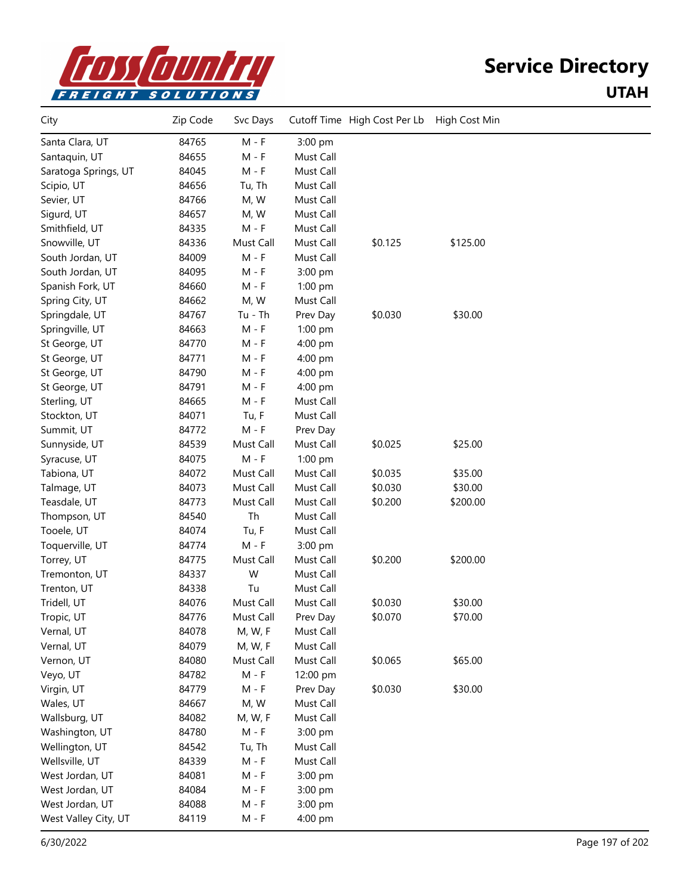

| City                 | Zip Code | Svc Days  |           | Cutoff Time High Cost Per Lb | High Cost Min |  |
|----------------------|----------|-----------|-----------|------------------------------|---------------|--|
| Santa Clara, UT      | 84765    | $M - F$   | 3:00 pm   |                              |               |  |
| Santaquin, UT        | 84655    | $M - F$   | Must Call |                              |               |  |
| Saratoga Springs, UT | 84045    | $M - F$   | Must Call |                              |               |  |
| Scipio, UT           | 84656    | Tu, Th    | Must Call |                              |               |  |
| Sevier, UT           | 84766    | M, W      | Must Call |                              |               |  |
| Sigurd, UT           | 84657    | M, W      | Must Call |                              |               |  |
| Smithfield, UT       | 84335    | $M - F$   | Must Call |                              |               |  |
| Snowville, UT        | 84336    | Must Call | Must Call | \$0.125                      | \$125.00      |  |
| South Jordan, UT     | 84009    | $M - F$   | Must Call |                              |               |  |
| South Jordan, UT     | 84095    | $M - F$   | 3:00 pm   |                              |               |  |
| Spanish Fork, UT     | 84660    | $M - F$   | 1:00 pm   |                              |               |  |
| Spring City, UT      | 84662    | M, W      | Must Call |                              |               |  |
| Springdale, UT       | 84767    | Tu - Th   | Prev Day  | \$0.030                      | \$30.00       |  |
| Springville, UT      | 84663    | $M - F$   | 1:00 pm   |                              |               |  |
| St George, UT        | 84770    | $M - F$   | 4:00 pm   |                              |               |  |
| St George, UT        | 84771    | $M - F$   | 4:00 pm   |                              |               |  |
| St George, UT        | 84790    | $M - F$   | 4:00 pm   |                              |               |  |
| St George, UT        | 84791    | $M - F$   | 4:00 pm   |                              |               |  |
| Sterling, UT         | 84665    | $M - F$   | Must Call |                              |               |  |
| Stockton, UT         | 84071    | Tu, F     | Must Call |                              |               |  |
| Summit, UT           | 84772    | $M - F$   | Prev Day  |                              |               |  |
| Sunnyside, UT        | 84539    | Must Call | Must Call | \$0.025                      | \$25.00       |  |
| Syracuse, UT         | 84075    | $M - F$   | 1:00 pm   |                              |               |  |
| Tabiona, UT          | 84072    | Must Call | Must Call | \$0.035                      | \$35.00       |  |
| Talmage, UT          | 84073    | Must Call | Must Call | \$0.030                      | \$30.00       |  |
| Teasdale, UT         | 84773    | Must Call | Must Call | \$0.200                      | \$200.00      |  |
| Thompson, UT         | 84540    | Th        | Must Call |                              |               |  |
| Tooele, UT           | 84074    | Tu, F     | Must Call |                              |               |  |
| Toquerville, UT      | 84774    | $M - F$   | 3:00 pm   |                              |               |  |
| Torrey, UT           | 84775    | Must Call | Must Call | \$0.200                      | \$200.00      |  |
| Tremonton, UT        | 84337    | W         | Must Call |                              |               |  |
| Trenton, UT          | 84338    | Tu        | Must Call |                              |               |  |
| Tridell, UT          | 84076    | Must Call | Must Call | \$0.030                      | \$30.00       |  |
| Tropic, UT           | 84776    | Must Call | Prev Day  | \$0.070                      | \$70.00       |  |
| Vernal, UT           | 84078    | M, W, F   | Must Call |                              |               |  |
| Vernal, UT           | 84079    | M, W, F   | Must Call |                              |               |  |
| Vernon, UT           | 84080    | Must Call | Must Call | \$0.065                      | \$65.00       |  |
| Veyo, UT             | 84782    | $M - F$   | 12:00 pm  |                              |               |  |
| Virgin, UT           | 84779    | $M - F$   | Prev Day  | \$0.030                      | \$30.00       |  |
| Wales, UT            | 84667    | M, W      | Must Call |                              |               |  |
| Wallsburg, UT        | 84082    | M, W, F   | Must Call |                              |               |  |
| Washington, UT       | 84780    | $M - F$   | 3:00 pm   |                              |               |  |
| Wellington, UT       | 84542    | Tu, Th    | Must Call |                              |               |  |
| Wellsville, UT       | 84339    | $M - F$   | Must Call |                              |               |  |
| West Jordan, UT      | 84081    | $M - F$   | 3:00 pm   |                              |               |  |
| West Jordan, UT      | 84084    | $M - F$   | 3:00 pm   |                              |               |  |
| West Jordan, UT      | 84088    | $M - F$   | 3:00 pm   |                              |               |  |
| West Valley City, UT | 84119    | M - F     | 4:00 pm   |                              |               |  |
|                      |          |           |           |                              |               |  |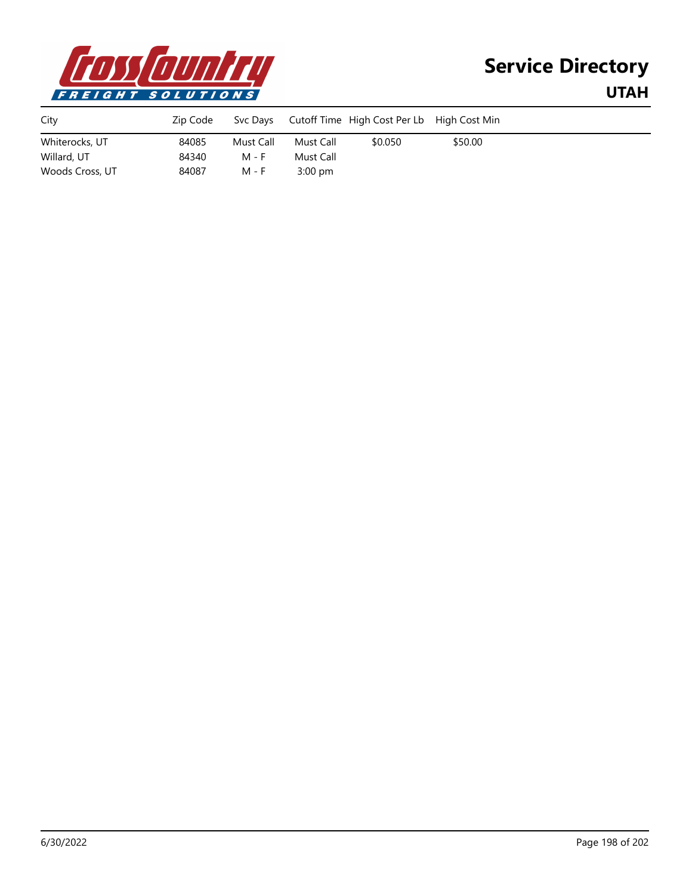

| City            | Zip Code | Svc Days  |           | Cutoff Time High Cost Per Lb High Cost Min |         |  |
|-----------------|----------|-----------|-----------|--------------------------------------------|---------|--|
| Whiterocks, UT  | 84085    | Must Call | Must Call | \$0.050                                    | \$50.00 |  |
| Willard, UT     | 84340    | M - F     | Must Call |                                            |         |  |
| Woods Cross, UT | 84087    | M - F     | $3:00$ pm |                                            |         |  |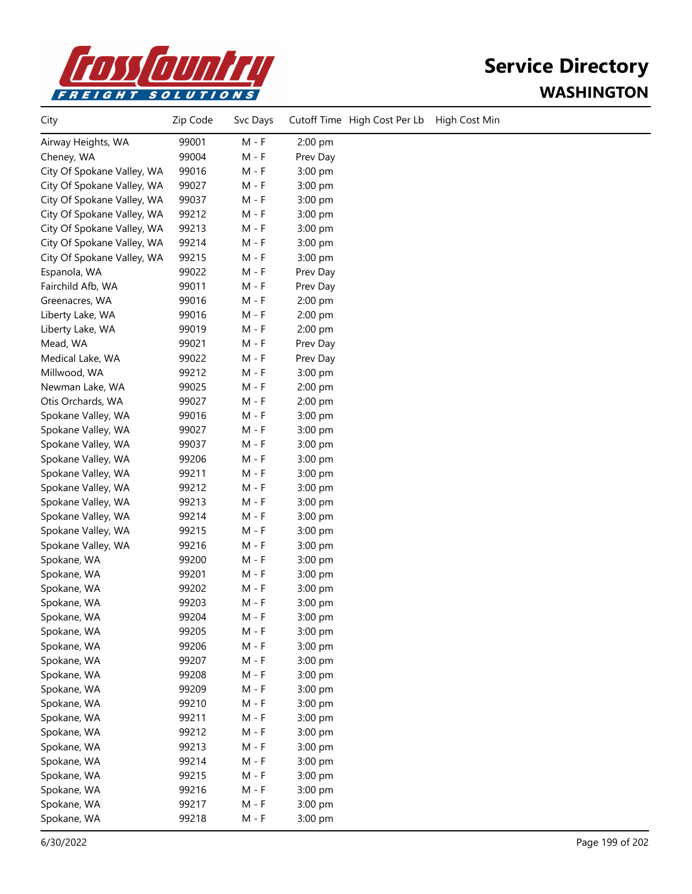

# **Service Directory WASHINGTON**

| City                       | Zip Code | Svc Days |          | Cutoff Time High Cost Per Lb | High Cost Min |
|----------------------------|----------|----------|----------|------------------------------|---------------|
| Airway Heights, WA         | 99001    | $M - F$  | 2:00 pm  |                              |               |
| Cheney, WA                 | 99004    | $M - F$  | Prev Day |                              |               |
| City Of Spokane Valley, WA | 99016    | $M - F$  | 3:00 pm  |                              |               |
| City Of Spokane Valley, WA | 99027    | M - F    | 3:00 pm  |                              |               |
| City Of Spokane Valley, WA | 99037    | M - F    | 3:00 pm  |                              |               |
| City Of Spokane Valley, WA | 99212    | M - F    | 3:00 pm  |                              |               |
| City Of Spokane Valley, WA | 99213    | $M - F$  | 3:00 pm  |                              |               |
| City Of Spokane Valley, WA | 99214    | M - F    | 3:00 pm  |                              |               |
| City Of Spokane Valley, WA | 99215    | M - F    | 3:00 pm  |                              |               |
| Espanola, WA               | 99022    | M - F    | Prev Day |                              |               |
| Fairchild Afb, WA          | 99011    | M - F    | Prev Day |                              |               |
| Greenacres, WA             | 99016    | M - F    | 2:00 pm  |                              |               |
| Liberty Lake, WA           | 99016    | $M - F$  | 2:00 pm  |                              |               |
| Liberty Lake, WA           | 99019    | M - F    | 2:00 pm  |                              |               |
| Mead, WA                   | 99021    | M - F    | Prev Day |                              |               |
| Medical Lake, WA           | 99022    | M - F    | Prev Day |                              |               |
| Millwood, WA               | 99212    | M - F    | 3:00 pm  |                              |               |
| Newman Lake, WA            | 99025    | M - F    | 2:00 pm  |                              |               |
| Otis Orchards, WA          | 99027    | M - F    | 2:00 pm  |                              |               |
| Spokane Valley, WA         | 99016    | M - F    | 3:00 pm  |                              |               |
| Spokane Valley, WA         | 99027    | M - F    | 3:00 pm  |                              |               |
| Spokane Valley, WA         | 99037    | M - F    | 3:00 pm  |                              |               |
| Spokane Valley, WA         | 99206    | M - F    | 3:00 pm  |                              |               |
| Spokane Valley, WA         | 99211    | M - F    | 3:00 pm  |                              |               |
| Spokane Valley, WA         | 99212    | M - F    | 3:00 pm  |                              |               |
| Spokane Valley, WA         | 99213    | M - F    | 3:00 pm  |                              |               |
| Spokane Valley, WA         | 99214    | M - F    | 3:00 pm  |                              |               |
| Spokane Valley, WA         | 99215    | M - F    | 3:00 pm  |                              |               |
| Spokane Valley, WA         | 99216    | $M - F$  | 3:00 pm  |                              |               |
| Spokane, WA                | 99200    | $M - F$  | 3:00 pm  |                              |               |
| Spokane, WA                | 99201    | M - F    | 3:00 pm  |                              |               |
| Spokane, WA                | 99202    | M - F    | 3:00 pm  |                              |               |
| Spokane, WA                | 99203    | M - F    | 3:00 pm  |                              |               |
| Spokane, WA                | 99204    | M - F    | 3:00 pm  |                              |               |
| Spokane, WA                | 99205    | M - F    | 3:00 pm  |                              |               |
| Spokane, WA                | 99206    | $M - F$  | 3:00 pm  |                              |               |
| Spokane, WA                | 99207    | $M - F$  | 3:00 pm  |                              |               |
| Spokane, WA                | 99208    | $M - F$  | 3:00 pm  |                              |               |
| Spokane, WA                | 99209    | M - F    | 3:00 pm  |                              |               |
| Spokane, WA                | 99210    | M - F    | 3:00 pm  |                              |               |
| Spokane, WA                | 99211    | M - F    | 3:00 pm  |                              |               |
| Spokane, WA                | 99212    | $M - F$  | 3:00 pm  |                              |               |
| Spokane, WA                | 99213    | $M - F$  | 3:00 pm  |                              |               |
| Spokane, WA                | 99214    | $M - F$  | 3:00 pm  |                              |               |
| Spokane, WA                | 99215    | $M - F$  | 3:00 pm  |                              |               |
| Spokane, WA                | 99216    | $M - F$  | 3:00 pm  |                              |               |
| Spokane, WA                | 99217    | M - F    | 3:00 pm  |                              |               |
| Spokane, WA                | 99218    | M - F    | 3:00 pm  |                              |               |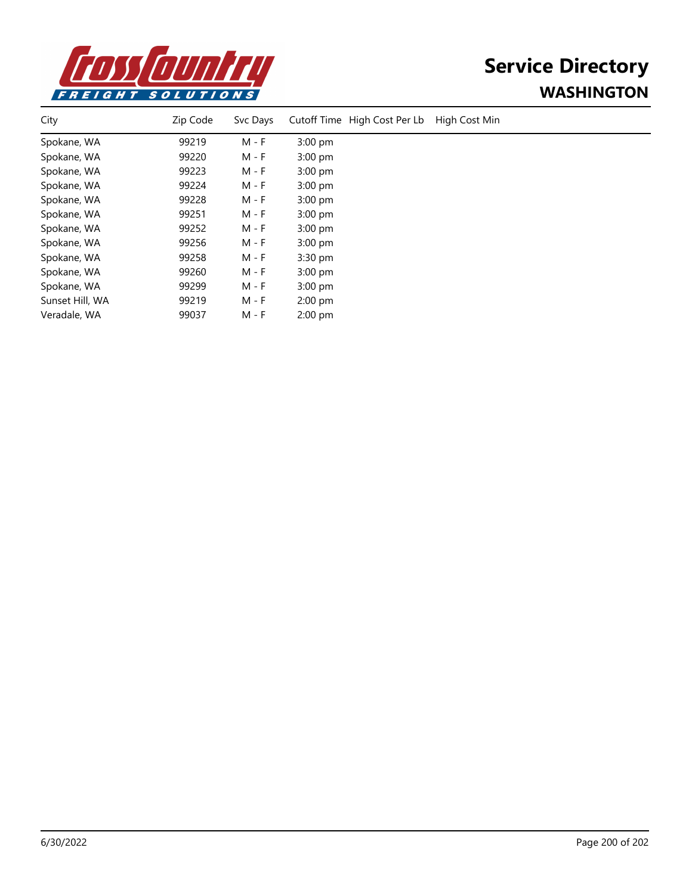

# **Service Directory WASHINGTON**

| City            | Zip Code | Svc Days | Cutoff Time High Cost Per Lb | High Cost Min |
|-----------------|----------|----------|------------------------------|---------------|
| Spokane, WA     | 99219    | M - F    | $3:00$ pm                    |               |
| Spokane, WA     | 99220    | M - F    | $3:00$ pm                    |               |
| Spokane, WA     | 99223    | M - F    | $3:00$ pm                    |               |
| Spokane, WA     | 99224    | M - F    | $3:00$ pm                    |               |
| Spokane, WA     | 99228    | M - F    | $3:00$ pm                    |               |
| Spokane, WA     | 99251    | M - F    | $3:00$ pm                    |               |
| Spokane, WA     | 99252    | M - F    | $3:00$ pm                    |               |
| Spokane, WA     | 99256    | M - F    | $3:00$ pm                    |               |
| Spokane, WA     | 99258    | M - F    | $3:30$ pm                    |               |
| Spokane, WA     | 99260    | M - F    | $3:00$ pm                    |               |
| Spokane, WA     | 99299    | M - F    | $3:00$ pm                    |               |
| Sunset Hill, WA | 99219    | M - F    | $2:00$ pm                    |               |
| Veradale, WA    | 99037    | M - F    | $2:00$ pm                    |               |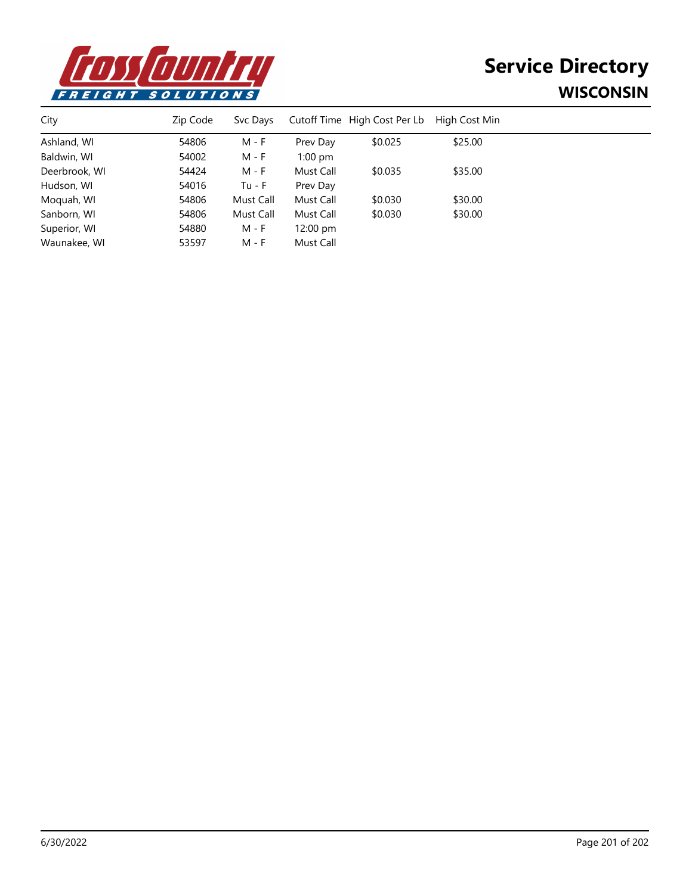

# **Service Directory WISCONSIN**

| City          | Zip Code | Syc Days  |                    | Cutoff Time High Cost Per Lb | High Cost Min |  |
|---------------|----------|-----------|--------------------|------------------------------|---------------|--|
| Ashland, WI   | 54806    | M - F     | Prev Day           | \$0.025                      | \$25.00       |  |
| Baldwin, WI   | 54002    | M - F     | $1:00$ pm          |                              |               |  |
| Deerbrook, WI | 54424    | M - F     | Must Call          | \$0.035                      | \$35.00       |  |
| Hudson, WI    | 54016    | $Tu - F$  | Prev Day           |                              |               |  |
| Moquah, WI    | 54806    | Must Call | Must Call          | \$0.030                      | \$30.00       |  |
| Sanborn, WI   | 54806    | Must Call | Must Call          | \$0.030                      | \$30.00       |  |
| Superior, WI  | 54880    | M - F     | $12:00 \text{ pm}$ |                              |               |  |
| Waunakee, WI  | 53597    | M - F     | Must Call          |                              |               |  |